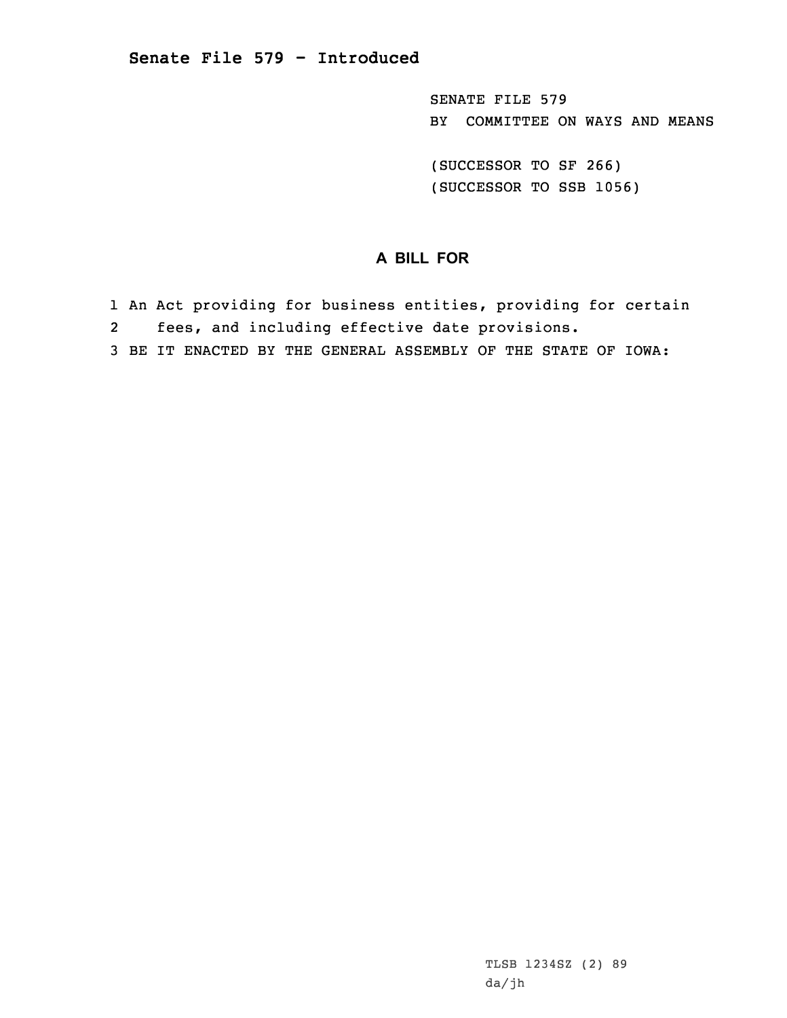SENATE FILE 579 BY COMMITTEE ON WAYS AND MEANS

(SUCCESSOR TO SF 266) (SUCCESSOR TO SSB 1056)

## **A BILL FOR**

- 1 An Act providing for business entities, providing for certain
- 2fees, and including effective date provisions.
- 3 BE IT ENACTED BY THE GENERAL ASSEMBLY OF THE STATE OF IOWA: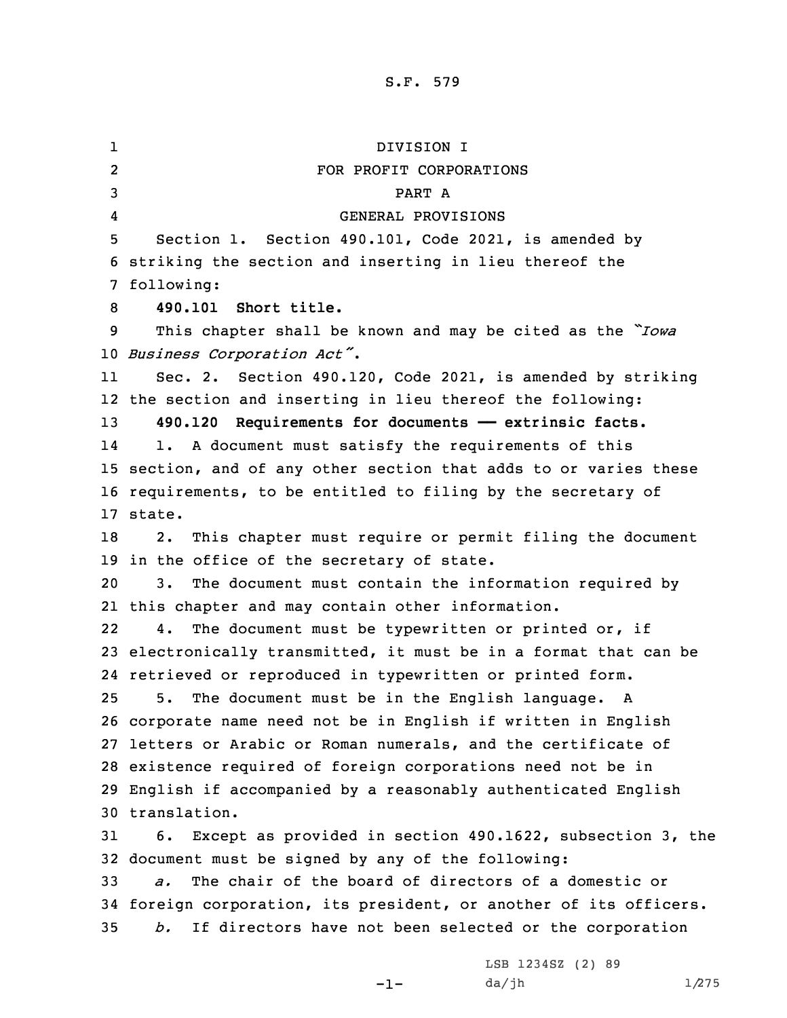1 DIVISION I  $\overline{2}$  FOR PROFIT CORPORATIONS 3 PART A 4 GENERAL PROVISIONS Section 1. Section 490.101, Code 2021, is amended by striking the section and inserting in lieu thereof the following: **490.101 Short title.** This chapter shall be known and may be cited as the *"Iowa Business Corporation Act"*. 11 Sec. 2. Section 490.120, Code 2021, is amended by striking the section and inserting in lieu thereof the following: **490.120 Requirements for documents —— extrinsic facts.** 14 1. <sup>A</sup> document must satisfy the requirements of this section, and of any other section that adds to or varies these requirements, to be entitled to filing by the secretary of 17 state. 2. This chapter must require or permit filing the document in the office of the secretary of state. 3. The document must contain the information required by this chapter and may contain other information. 22 4. The document must be typewritten or printed or, if electronically transmitted, it must be in <sup>a</sup> format that can be retrieved or reproduced in typewritten or printed form. 5. The document must be in the English language. <sup>A</sup> corporate name need not be in English if written in English letters or Arabic or Roman numerals, and the certificate of existence required of foreign corporations need not be in English if accompanied by <sup>a</sup> reasonably authenticated English translation. 6. Except as provided in section 490.1622, subsection 3, the document must be signed by any of the following: *a.* The chair of the board of directors of <sup>a</sup> domestic or foreign corporation, its president, or another of its officers. *b.* If directors have not been selected or the corporation

 $-1-$ 

LSB 1234SZ (2) 89 da/jh 1/275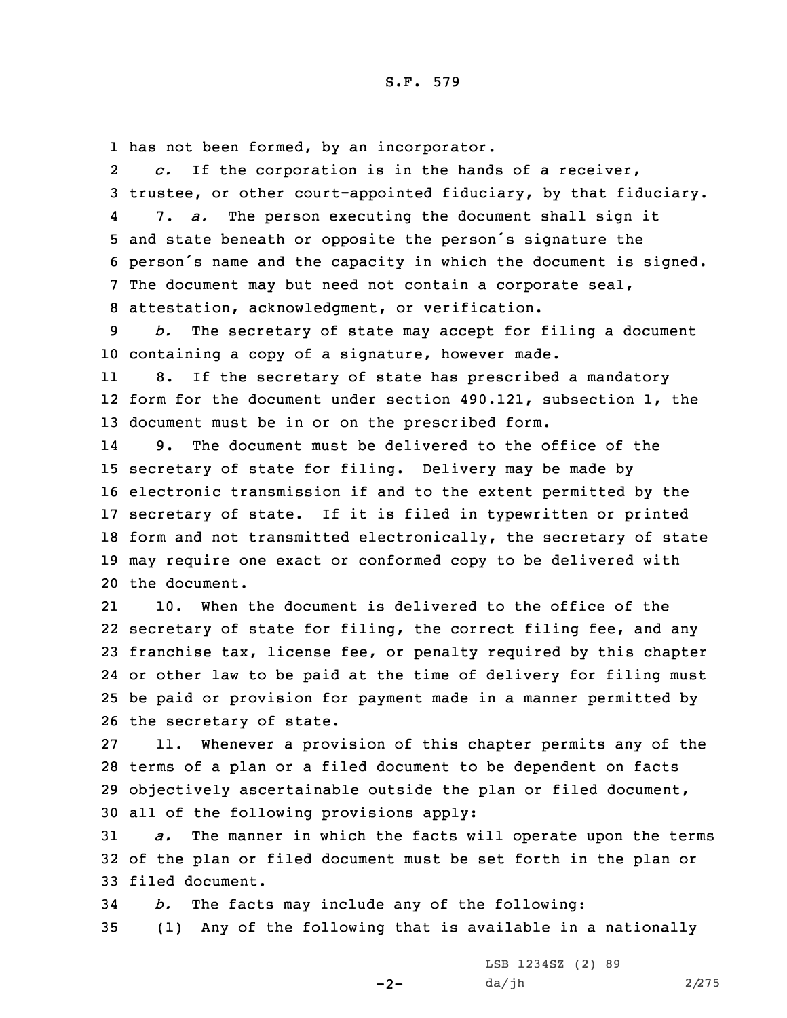1 has not been formed, by an incorporator.

2 *c.* If the corporation is in the hands of <sup>a</sup> receiver, 3 trustee, or other court-appointed fiduciary, by that fiduciary. 4 7. *a.* The person executing the document shall sign it <sup>5</sup> and state beneath or opposite the person's signature the <sup>6</sup> person's name and the capacity in which the document is signed. 7 The document may but need not contain <sup>a</sup> corporate seal, 8 attestation, acknowledgment, or verification.

9 *b.* The secretary of state may accept for filing <sup>a</sup> document 10 containing <sup>a</sup> copy of <sup>a</sup> signature, however made.

11 8. If the secretary of state has prescribed <sup>a</sup> mandatory 12 form for the document under section 490.121, subsection 1, the 13 document must be in or on the prescribed form.

14 9. The document must be delivered to the office of the secretary of state for filing. Delivery may be made by electronic transmission if and to the extent permitted by the secretary of state. If it is filed in typewritten or printed form and not transmitted electronically, the secretary of state may require one exact or conformed copy to be delivered with the document.

21 10. When the document is delivered to the office of the secretary of state for filing, the correct filing fee, and any franchise tax, license fee, or penalty required by this chapter or other law to be paid at the time of delivery for filing must be paid or provision for payment made in <sup>a</sup> manner permitted by the secretary of state.

 11. Whenever <sup>a</sup> provision of this chapter permits any of the terms of <sup>a</sup> plan or <sup>a</sup> filed document to be dependent on facts objectively ascertainable outside the plan or filed document, all of the following provisions apply:

31 *a.* The manner in which the facts will operate upon the terms 32 of the plan or filed document must be set forth in the plan or 33 filed document.

34 *b.* The facts may include any of the following:

35 (1) Any of the following that is available in <sup>a</sup> nationally

 $-2-$ 

LSB 1234SZ (2) 89 da/jh 2/275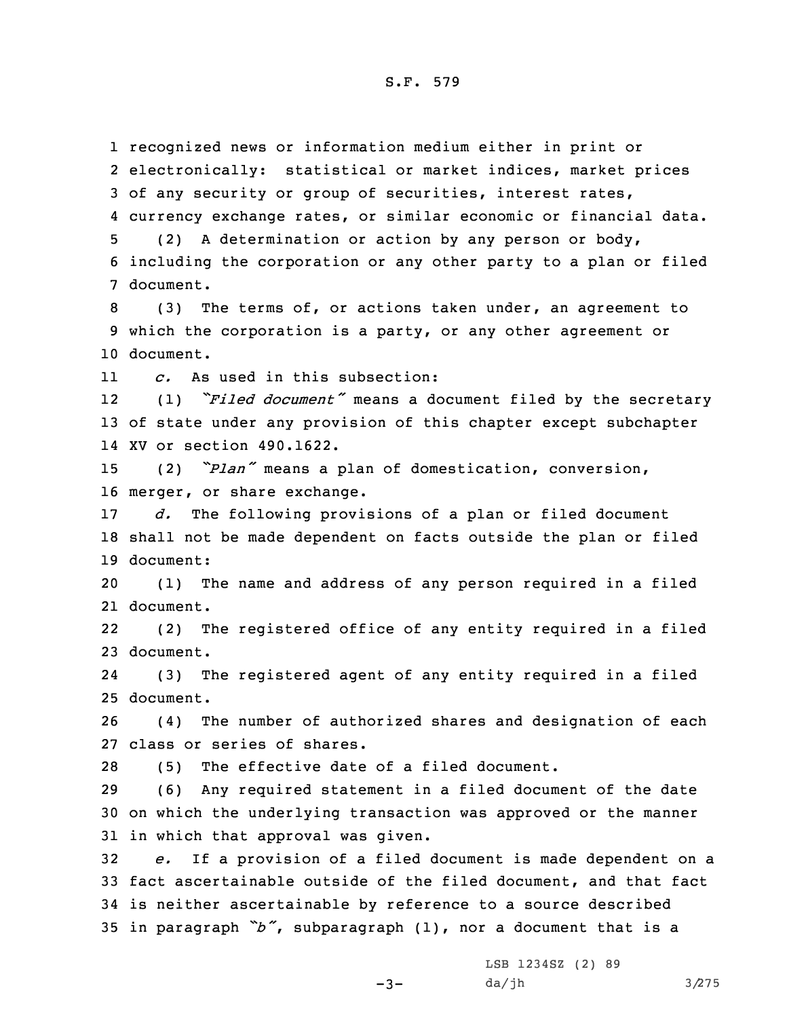recognized news or information medium either in print or electronically: statistical or market indices, market prices of any security or group of securities, interest rates, currency exchange rates, or similar economic or financial data. (2) <sup>A</sup> determination or action by any person or body, including the corporation or any other party to <sup>a</sup> plan or filed document. (3) The terms of, or actions taken under, an agreement to which the corporation is <sup>a</sup> party, or any other agreement or document. 11 *c.* As used in this subsection: 12 (1) *"Filed document"* means <sup>a</sup> document filed by the secretary of state under any provision of this chapter except subchapter XV or section 490.1622. (2) *"Plan"* means <sup>a</sup> plan of domestication, conversion, merger, or share exchange. *d.* The following provisions of <sup>a</sup> plan or filed document shall not be made dependent on facts outside the plan or filed document: (1) The name and address of any person required in <sup>a</sup> filed document. 22 (2) The registered office of any entity required in <sup>a</sup> filed document. 24 (3) The registered agent of any entity required in <sup>a</sup> filed document. (4) The number of authorized shares and designation of each class or series of shares. (5) The effective date of <sup>a</sup> filed document. (6) Any required statement in <sup>a</sup> filed document of the date on which the underlying transaction was approved or the manner in which that approval was given. *e.* If <sup>a</sup> provision of <sup>a</sup> filed document is made dependent on <sup>a</sup> fact ascertainable outside of the filed document, and that fact is neither ascertainable by reference to <sup>a</sup> source described in paragraph *"b"*, subparagraph (1), nor <sup>a</sup> document that is <sup>a</sup>

 $-3-$ 

LSB 1234SZ (2) 89 da/jh 3/275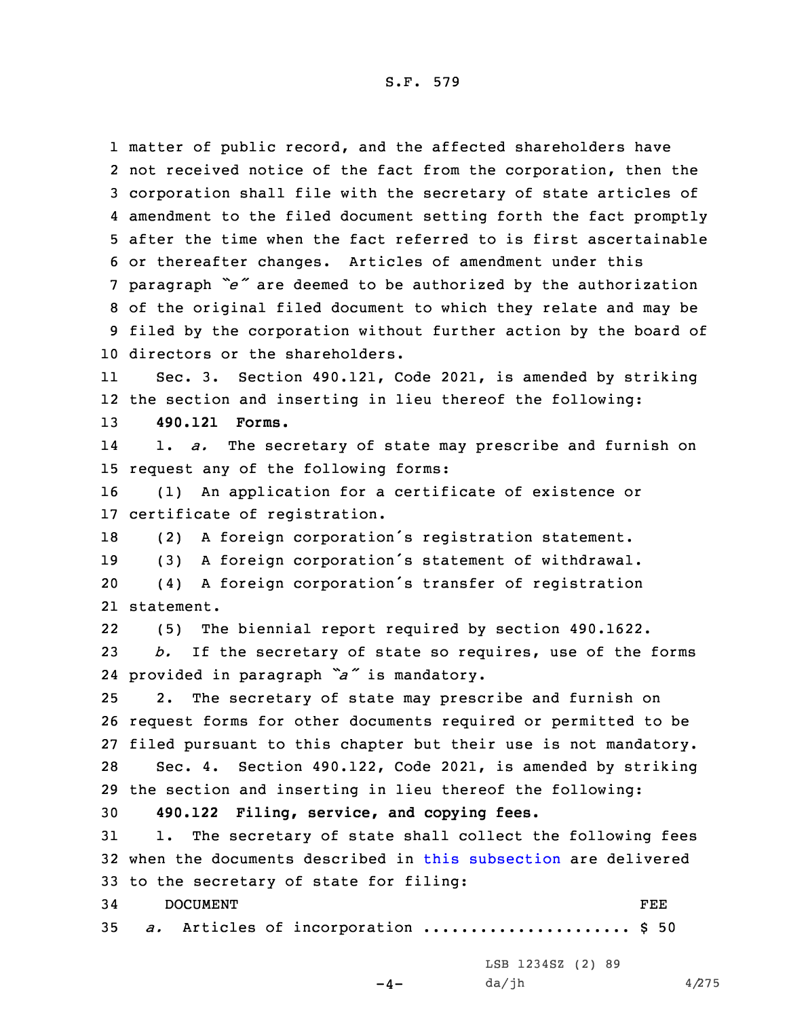matter of public record, and the affected shareholders have not received notice of the fact from the corporation, then the corporation shall file with the secretary of state articles of amendment to the filed document setting forth the fact promptly after the time when the fact referred to is first ascertainable or thereafter changes. Articles of amendment under this paragraph *"e"* are deemed to be authorized by the authorization of the original filed document to which they relate and may be filed by the corporation without further action by the board of directors or the shareholders.

11 Sec. 3. Section 490.121, Code 2021, is amended by striking 12 the section and inserting in lieu thereof the following: 13 **490.121 Forms.**

14 1. *a.* The secretary of state may prescribe and furnish on 15 request any of the following forms:

16 (1) An application for <sup>a</sup> certificate of existence or 17 certificate of registration.

<sup>18</sup> (2) <sup>A</sup> foreign corporation's registration statement.

<sup>19</sup> (3) <sup>A</sup> foreign corporation's statement of withdrawal.

<sup>20</sup> (4) <sup>A</sup> foreign corporation's transfer of registration 21 statement.

22(5) The biennial report required by section 490.1622.

23 *b.* If the secretary of state so requires, use of the forms 24 provided in paragraph *"a"* is mandatory.

 2. The secretary of state may prescribe and furnish on request forms for other documents required or permitted to be filed pursuant to this chapter but their use is not mandatory. Sec. 4. Section 490.122, Code 2021, is amended by striking the section and inserting in lieu thereof the following:

30 **490.122 Filing, service, and copying fees.**

31 1. The secretary of state shall collect the following fees 32 when the documents described in this [subsection](https://www.legis.iowa.gov/docs/code/2021/490.122.pdf) are delivered 33 to the secretary of state for filing:

34 DOCUMENT **FEE** 

|  |  |  |  |  | 35 a. Articles of incorporation  \$ 50 |  |  |  |
|--|--|--|--|--|----------------------------------------|--|--|--|
|--|--|--|--|--|----------------------------------------|--|--|--|

 $-4-$ 

LSB 1234SZ (2) 89  $da/jh$  4/275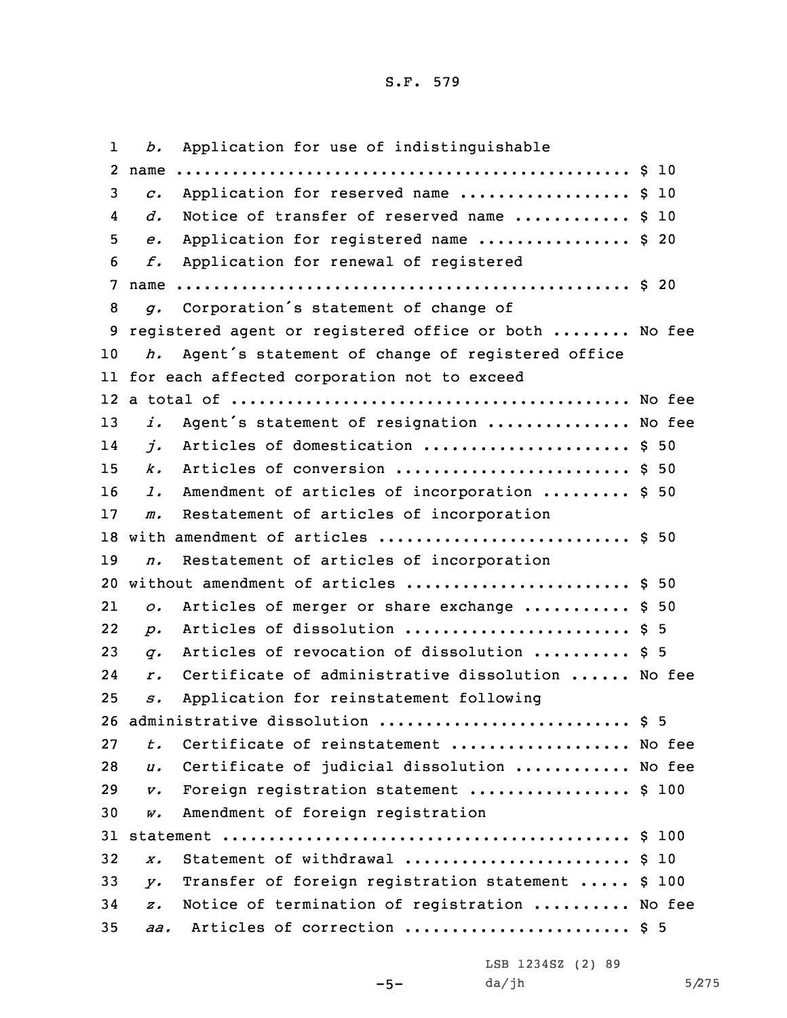1 *b.* Application for use of indistinguishable name ................................................. \$ 10 *c.* Application for reserved name .................. \$ 10 4 *d.* Notice of transfer of reserved name ............ \$ 10 *e.* Application for registered name .................. \$ 20 *f.* Application for renewal of registered name ................................................. \$ 20 *g.* Corporation's statement of change of registered agent or registered office or both ........ No fee *h.* Agent's statement of change of registered office for each affected corporation not to exceed a total of ........................................... No fee *i.* Agent's statement of resignation ............... No fee 14 *j.* Articles of domestication ...................... \$ 50 *k.* Articles of conversion ......................... \$ 50 *l.* Amendment of articles of incorporation ......... \$ 50 *m.* Restatement of articles of incorporation 18 with amendment of articles .............................. \$ 50 *n.* Restatement of articles of incorporation 20 without amendment of articles ........................... \$ 50 21 *o.* Articles of merger or share exchange ........... \$ 50 22 *p.* Articles of dissolution ........................ \$ 5 *q.* Articles of revocation of dissolution .......... \$ 5 24 *r.* Certificate of administrative dissolution ...... No fee *s.* Application for reinstatement following 26 administrative dissolution .............................. \$ 5 *t.* Certificate of reinstatement ................... No fee *u.* Certificate of judicial dissolution ............ No fee *v.* Foreign registration statement ................. \$ 100 *w.* Amendment of foreign registration statement ............................................ \$ 100 32 x. Statement of withdrawal ............................ \$ 10 *y.* Transfer of foreign registration statement ..... \$ 100 *z.* Notice of termination of registration .......... No fee *aa.* Articles of correction ........................ \$ 5

LSB 1234SZ (2) 89

 $-5-$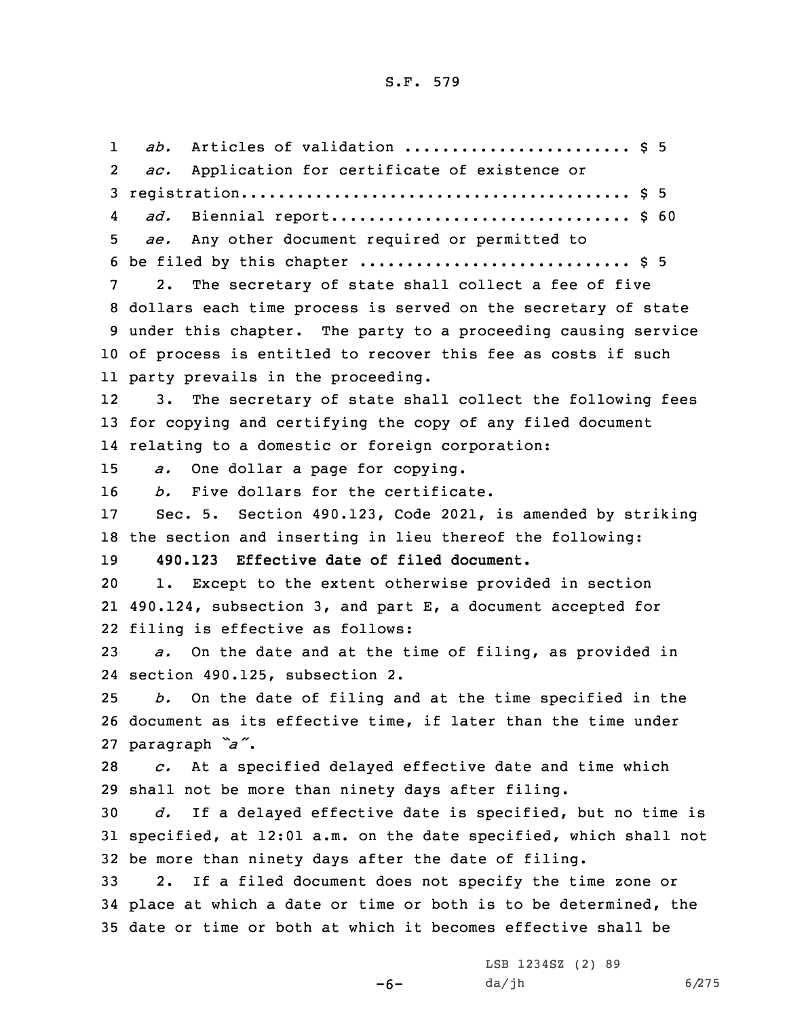1 *ab.* Articles of validation ........................ \$ 5 2 *ac.* Application for certificate of existence or registration.......................................... \$ 5 4 *ad.* Biennial report................................ \$ 60 *ae.* Any other document required or permitted to 6 be filed by this chapter ................................ \$ 5 2. The secretary of state shall collect <sup>a</sup> fee of five dollars each time process is served on the secretary of state under this chapter. The party to <sup>a</sup> proceeding causing service of process is entitled to recover this fee as costs if such party prevails in the proceeding. 12 3. The secretary of state shall collect the following fees for copying and certifying the copy of any filed document relating to <sup>a</sup> domestic or foreign corporation: *a.* One dollar <sup>a</sup> page for copying. *b.* Five dollars for the certificate. Sec. 5. Section 490.123, Code 2021, is amended by striking the section and inserting in lieu thereof the following: **490.123 Effective date of filed document.** 1. Except to the extent otherwise provided in section 490.124, subsection 3, and part E, <sup>a</sup> document accepted for filing is effective as follows: *a.* On the date and at the time of filing, as provided in section 490.125, subsection 2. *b.* On the date of filing and at the time specified in the document as its effective time, if later than the time under paragraph *"a"*. *c.* At <sup>a</sup> specified delayed effective date and time which shall not be more than ninety days after filing. *d.* If <sup>a</sup> delayed effective date is specified, but no time is specified, at 12:01 a.m. on the date specified, which shall not be more than ninety days after the date of filing. 2. If <sup>a</sup> filed document does not specify the time zone or place at which <sup>a</sup> date or time or both is to be determined, the date or time or both at which it becomes effective shall be

-6-

LSB 1234SZ (2) 89  $da/jh$  6/275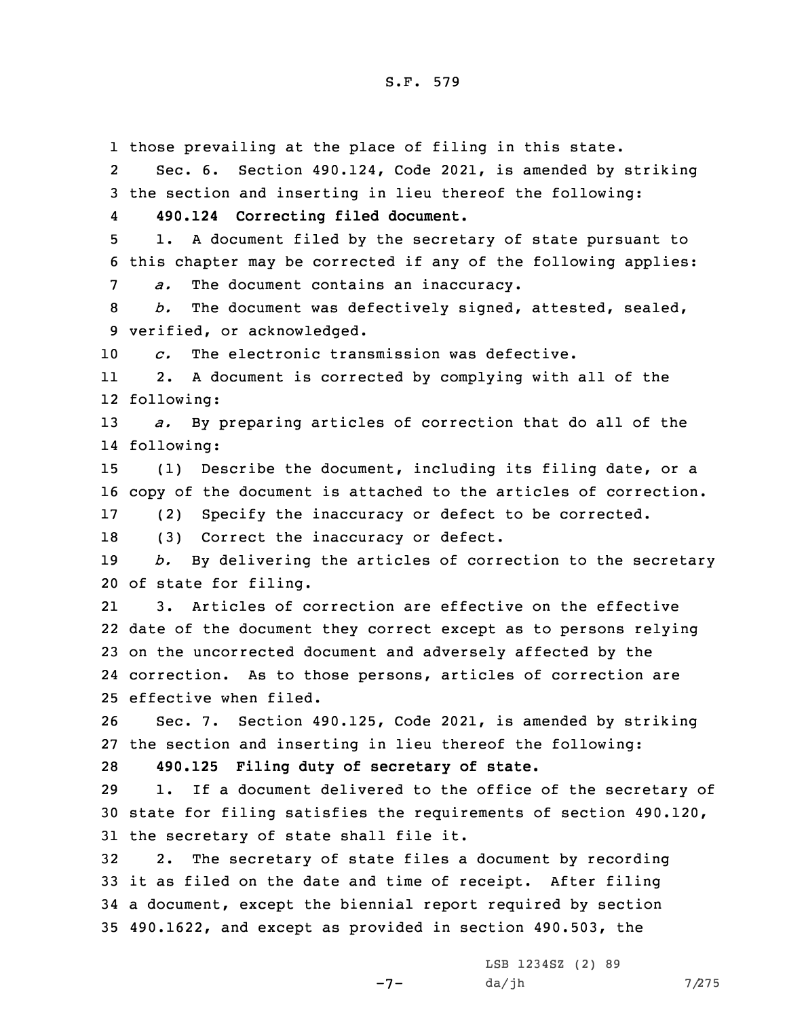1 those prevailing at the place of filing in this state.

2 Sec. 6. Section 490.124, Code 2021, is amended by striking 3 the section and inserting in lieu thereof the following:

4**490.124 Correcting filed document.**

5 1. <sup>A</sup> document filed by the secretary of state pursuant to 6 this chapter may be corrected if any of the following applies: 7 *a.* The document contains an inaccuracy.

8 *b.* The document was defectively signed, attested, sealed, 9 verified, or acknowledged.

10 *c.* The electronic transmission was defective.

11 2. <sup>A</sup> document is corrected by complying with all of the 12 following:

13 *a.* By preparing articles of correction that do all of the 14 following:

15 (1) Describe the document, including its filing date, or <sup>a</sup> 16 copy of the document is attached to the articles of correction.

17 (2) Specify the inaccuracy or defect to be corrected.

18 (3) Correct the inaccuracy or defect.

19 *b.* By delivering the articles of correction to the secretary 20 of state for filing.

21 3. Articles of correction are effective on the effective date of the document they correct except as to persons relying on the uncorrected document and adversely affected by the correction. As to those persons, articles of correction are effective when filed.

26 Sec. 7. Section 490.125, Code 2021, is amended by striking 27 the section and inserting in lieu thereof the following:

28 **490.125 Filing duty of secretary of state.**

29 1. If <sup>a</sup> document delivered to the office of the secretary of 30 state for filing satisfies the requirements of section 490.120, 31 the secretary of state shall file it.

 2. The secretary of state files <sup>a</sup> document by recording it as filed on the date and time of receipt. After filing <sup>a</sup> document, except the biennial report required by section 490.1622, and except as provided in section 490.503, the

 $-7-$ 

LSB 1234SZ (2) 89  $da/jh$  7/275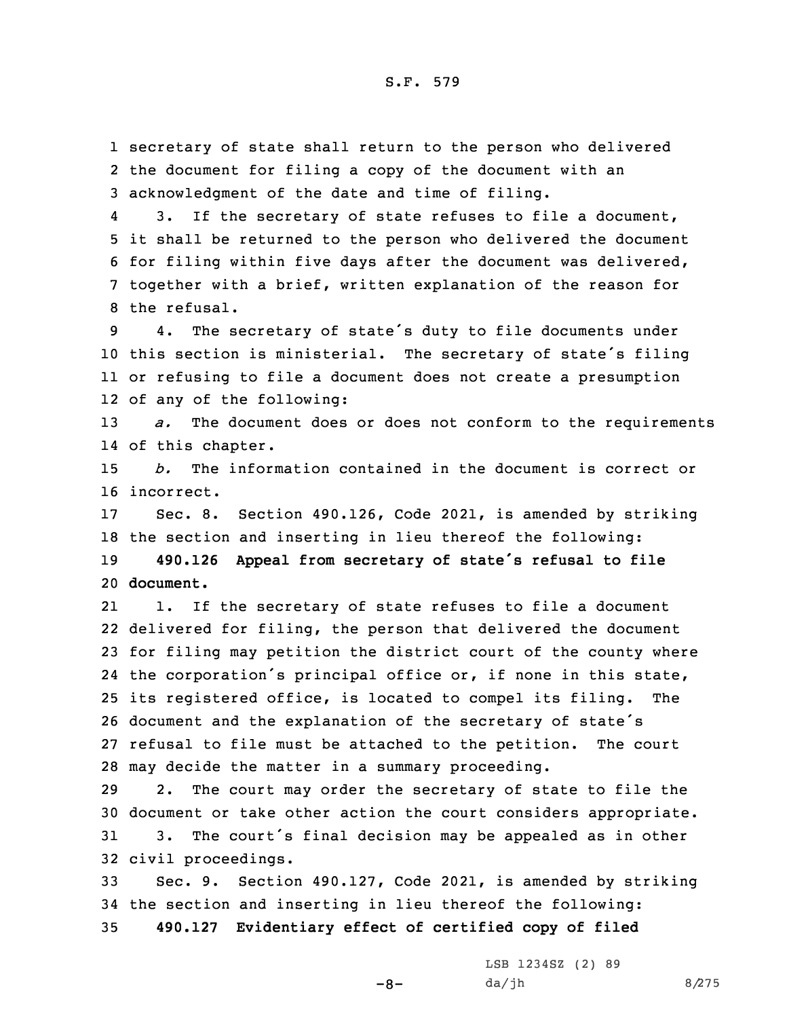1 secretary of state shall return to the person who delivered 2 the document for filing <sup>a</sup> copy of the document with an 3 acknowledgment of the date and time of filing.

4 3. If the secretary of state refuses to file <sup>a</sup> document, it shall be returned to the person who delivered the document for filing within five days after the document was delivered, together with <sup>a</sup> brief, written explanation of the reason for the refusal.

 4. The secretary of state's duty to file documents under this section is ministerial. The secretary of state's filing or refusing to file <sup>a</sup> document does not create <sup>a</sup> presumption of any of the following:

13 *a.* The document does or does not conform to the requirements 14 of this chapter.

15 *b.* The information contained in the document is correct or 16 incorrect.

17 Sec. 8. Section 490.126, Code 2021, is amended by striking 18 the section and inserting in lieu thereof the following:

<sup>19</sup> **490.126 Appeal from secretary of state's refusal to file** 20 **document.**

21 1. If the secretary of state refuses to file <sup>a</sup> document delivered for filing, the person that delivered the document for filing may petition the district court of the county where the corporation's principal office or, if none in this state, its registered office, is located to compel its filing. The document and the explanation of the secretary of state's refusal to file must be attached to the petition. The court may decide the matter in <sup>a</sup> summary proceeding.

 2. The court may order the secretary of state to file the document or take other action the court considers appropriate. 3. The court's final decision may be appealed as in other civil proceedings.

33 Sec. 9. Section 490.127, Code 2021, is amended by striking 34 the section and inserting in lieu thereof the following: 35 **490.127 Evidentiary effect of certified copy of filed**

> LSB 1234SZ (2) 89  $da/jh$  8/275

 $-8-$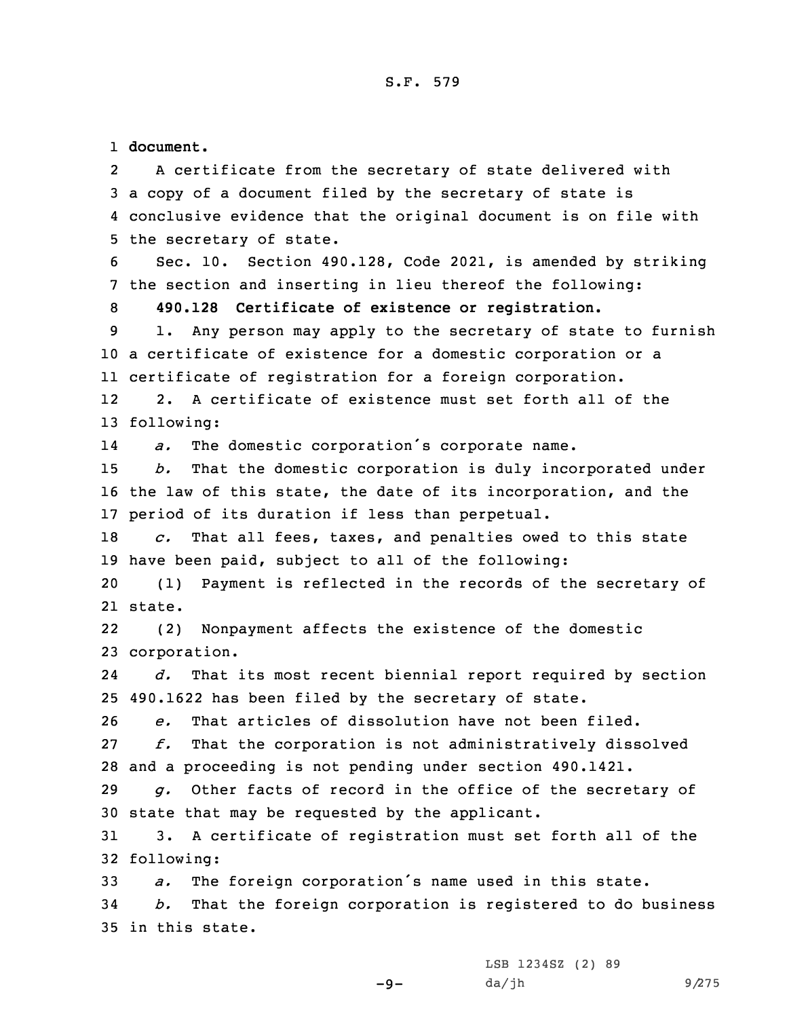**document.** 2 <sup>A</sup> certificate from the secretary of state delivered with <sup>a</sup> copy of <sup>a</sup> document filed by the secretary of state is conclusive evidence that the original document is on file with the secretary of state. Sec. 10. Section 490.128, Code 2021, is amended by striking the section and inserting in lieu thereof the following: **490.128 Certificate of existence or registration.** 1. Any person may apply to the secretary of state to furnish <sup>a</sup> certificate of existence for <sup>a</sup> domestic corporation or <sup>a</sup> certificate of registration for <sup>a</sup> foreign corporation. 12 2. A certificate of existence must set forth all of the following: 14 *a.* The domestic corporation's corporate name. *b.* That the domestic corporation is duly incorporated under the law of this state, the date of its incorporation, and the period of its duration if less than perpetual. *c.* That all fees, taxes, and penalties owed to this state have been paid, subject to all of the following: (1) Payment is reflected in the records of the secretary of 21 state. 22 (2) Nonpayment affects the existence of the domestic corporation. 24 *d.* That its most recent biennial report required by section 490.1622 has been filed by the secretary of state. *e.* That articles of dissolution have not been filed. *f.* That the corporation is not administratively dissolved and <sup>a</sup> proceeding is not pending under section 490.1421. *g.* Other facts of record in the office of the secretary of state that may be requested by the applicant. 3. <sup>A</sup> certificate of registration must set forth all of the following: *a.* The foreign corporation's name used in this state. *b.* That the foreign corporation is registered to do business in this state.

> LSB 1234SZ (2) 89 da/jh 9/275

 $-9-$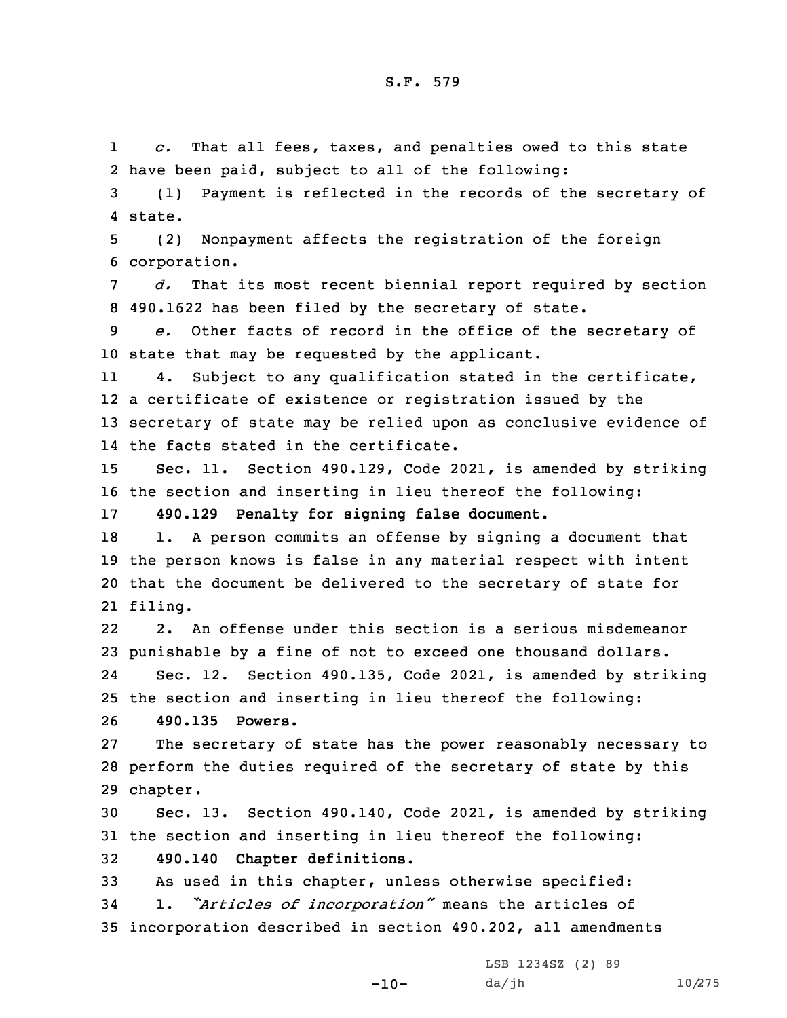1 *c.* That all fees, taxes, and penalties owed to this state 2 have been paid, subject to all of the following:

3 (1) Payment is reflected in the records of the secretary of 4 state.

5 (2) Nonpayment affects the registration of the foreign 6 corporation.

7 *d.* That its most recent biennial report required by section 8 490.1622 has been filed by the secretary of state.

9 *e.* Other facts of record in the office of the secretary of 10 state that may be requested by the applicant.

11 4. Subject to any qualification stated in the certificate, 12 <sup>a</sup> certificate of existence or registration issued by the 13 secretary of state may be relied upon as conclusive evidence of 14 the facts stated in the certificate.

15 Sec. 11. Section 490.129, Code 2021, is amended by striking 16 the section and inserting in lieu thereof the following:

17 **490.129 Penalty for signing false document.**

18 1. A person commits an offense by signing a document that 19 the person knows is false in any material respect with intent 20 that the document be delivered to the secretary of state for 21 filing.

22 2. An offense under this section is <sup>a</sup> serious misdemeanor 23 punishable by <sup>a</sup> fine of not to exceed one thousand dollars.

24 Sec. 12. Section 490.135, Code 2021, is amended by striking 25 the section and inserting in lieu thereof the following:

26 **490.135 Powers.**

27 The secretary of state has the power reasonably necessary to 28 perform the duties required of the secretary of state by this 29 chapter.

30 Sec. 13. Section 490.140, Code 2021, is amended by striking 31 the section and inserting in lieu thereof the following:

32 **490.140 Chapter definitions.**

33 As used in this chapter, unless otherwise specified: <sup>34</sup> 1. *"Articles of incorporation"* means the articles of

35 incorporation described in section 490.202, all amendments

 $-10-$ 

LSB 1234SZ (2) 89 da/jh 10/275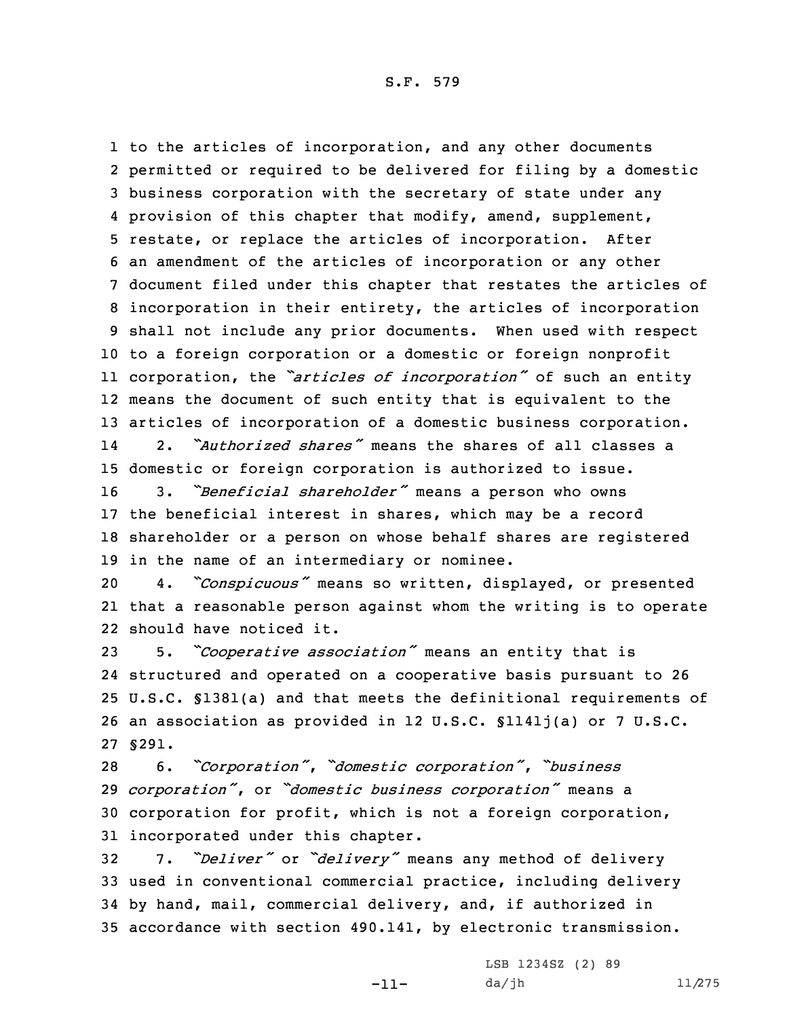to the articles of incorporation, and any other documents permitted or required to be delivered for filing by <sup>a</sup> domestic business corporation with the secretary of state under any provision of this chapter that modify, amend, supplement, restate, or replace the articles of incorporation. After an amendment of the articles of incorporation or any other document filed under this chapter that restates the articles of incorporation in their entirety, the articles of incorporation shall not include any prior documents. When used with respect to <sup>a</sup> foreign corporation or <sup>a</sup> domestic or foreign nonprofit corporation, the *"articles of incorporation"* of such an entity means the document of such entity that is equivalent to the articles of incorporation of <sup>a</sup> domestic business corporation. 14 2. *"Authorized shares"* means the shares of all classes <sup>a</sup> domestic or foreign corporation is authorized to issue. 3. *"Beneficial shareholder"* means <sup>a</sup> person who owns the beneficial interest in shares, which may be <sup>a</sup> record shareholder or <sup>a</sup> person on whose behalf shares are registered in the name of an intermediary or nominee.

<sup>20</sup> 4. *"Conspicuous"* means so written, displayed, or presented 21 that <sup>a</sup> reasonable person against whom the writing is to operate 22 should have noticed it.

 5. *"Cooperative association"* means an entity that is structured and operated on <sup>a</sup> cooperative basis pursuant to 26 U.S.C. §1381(a) and that meets the definitional requirements of an association as provided in 12 U.S.C. §1141j(a) or 7 U.S.C. 27 §291.

 6. *"Corporation"*, *"domestic corporation"*, *"business corporation"*, or *"domestic business corporation"* means <sup>a</sup> corporation for profit, which is not <sup>a</sup> foreign corporation, incorporated under this chapter.

 7. *"Deliver"* or *"delivery"* means any method of delivery used in conventional commercial practice, including delivery by hand, mail, commercial delivery, and, if authorized in accordance with section 490.141, by electronic transmission.

-11-

LSB 1234SZ (2) 89 da/jh 11/275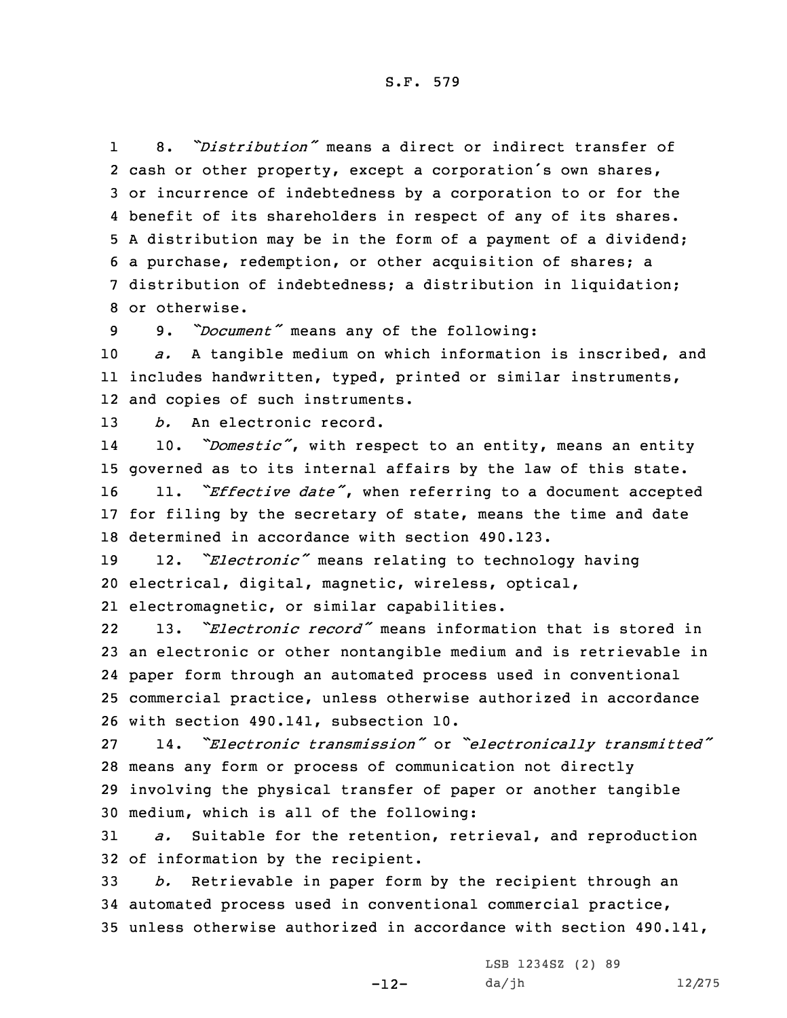1 8. *"Distribution"* means <sup>a</sup> direct or indirect transfer of cash or other property, except <sup>a</sup> corporation's own shares, or incurrence of indebtedness by <sup>a</sup> corporation to or for the benefit of its shareholders in respect of any of its shares. <sup>A</sup> distribution may be in the form of <sup>a</sup> payment of <sup>a</sup> dividend; <sup>a</sup> purchase, redemption, or other acquisition of shares; <sup>a</sup> distribution of indebtedness; <sup>a</sup> distribution in liquidation; or otherwise.

<sup>9</sup> 9. *"Document"* means any of the following:

10 *a.* <sup>A</sup> tangible medium on which information is inscribed, and 11 includes handwritten, typed, printed or similar instruments, 12 and copies of such instruments.

13 *b.* An electronic record.

14 10. *"Domestic"*, with respect to an entity, means an entity governed as to its internal affairs by the law of this state. 11. *"Effective date"*, when referring to <sup>a</sup> document accepted for filing by the secretary of state, means the time and date determined in accordance with section 490.123.

<sup>19</sup> 12. *"Electronic"* means relating to technology having 20 electrical, digital, magnetic, wireless, optical, 21 electromagnetic, or similar capabilities.

22 13. *"Electronic record"* means information that is stored in an electronic or other nontangible medium and is retrievable in paper form through an automated process used in conventional commercial practice, unless otherwise authorized in accordance with section 490.141, subsection 10.

 14. *"Electronic transmission"* or *"electronically transmitted"* means any form or process of communication not directly involving the physical transfer of paper or another tangible medium, which is all of the following:

31 *a.* Suitable for the retention, retrieval, and reproduction 32 of information by the recipient.

33 *b.* Retrievable in paper form by the recipient through an 34 automated process used in conventional commercial practice, 35 unless otherwise authorized in accordance with section 490.141,

-12-

LSB 1234SZ (2) 89 da/jh 12/275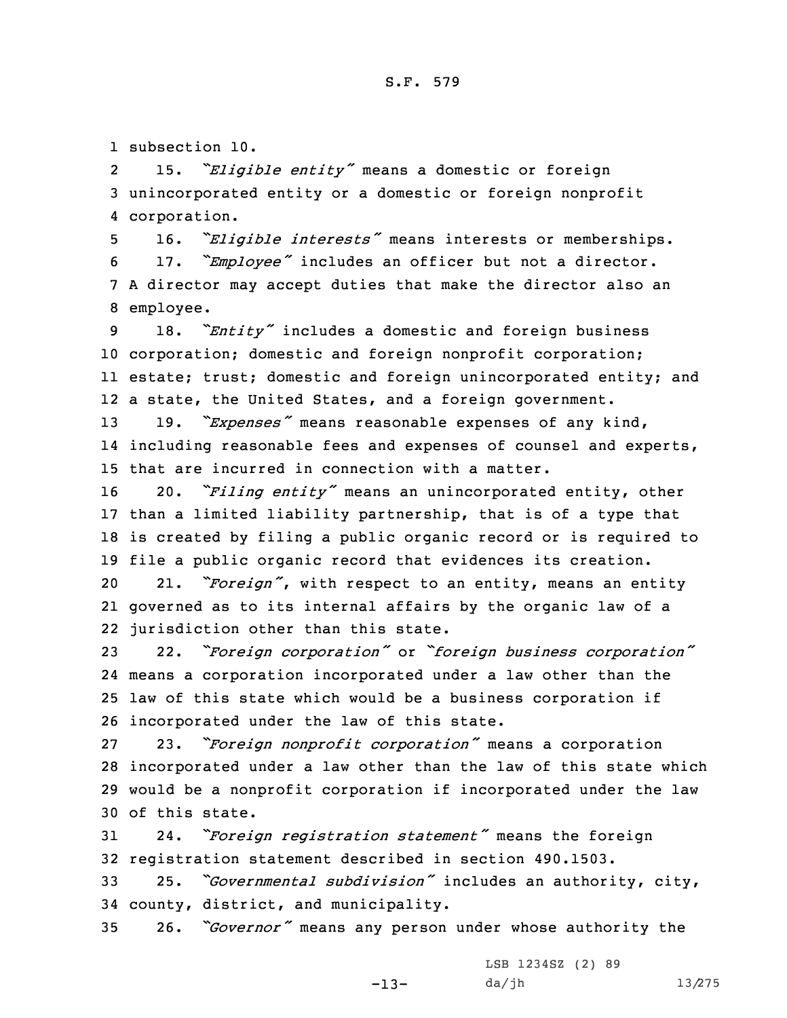1 subsection 10.

2 15. *"Eligible entity"* means <sup>a</sup> domestic or foreign 3 unincorporated entity or <sup>a</sup> domestic or foreign nonprofit 4 corporation.

 16. *"Eligible interests"* means interests or memberships. 17. *"Employee"* includes an officer but not <sup>a</sup> director. <sup>A</sup> director may accept duties that make the director also an employee.

 18. *"Entity"* includes <sup>a</sup> domestic and foreign business corporation; domestic and foreign nonprofit corporation; estate; trust; domestic and foreign unincorporated entity; and <sup>a</sup> state, the United States, and <sup>a</sup> foreign government.

<sup>13</sup> 19. *"Expenses"* means reasonable expenses of any kind, 14 including reasonable fees and expenses of counsel and experts, 15 that are incurred in connection with <sup>a</sup> matter.

 20. *"Filing entity"* means an unincorporated entity, other than <sup>a</sup> limited liability partnership, that is of <sup>a</sup> type that is created by filing <sup>a</sup> public organic record or is required to file <sup>a</sup> public organic record that evidences its creation.

<sup>20</sup> 21. *"Foreign"*, with respect to an entity, means an entity 21 governed as to its internal affairs by the organic law of <sup>a</sup> 22 jurisdiction other than this state.

 22. *"Foreign corporation"* or *"foreign business corporation"* means <sup>a</sup> corporation incorporated under <sup>a</sup> law other than the law of this state which would be <sup>a</sup> business corporation if incorporated under the law of this state.

 23. *"Foreign nonprofit corporation"* means <sup>a</sup> corporation incorporated under <sup>a</sup> law other than the law of this state which would be <sup>a</sup> nonprofit corporation if incorporated under the law of this state.

<sup>31</sup> 24. *"Foreign registration statement"* means the foreign 32 registration statement described in section 490.1503.

<sup>33</sup> 25. *"Governmental subdivision"* includes an authority, city, 34 county, district, and municipality.

<sup>35</sup> 26. *"Governor"* means any person under whose authority the

-13-

LSB 1234SZ (2) 89 da/jh 13/275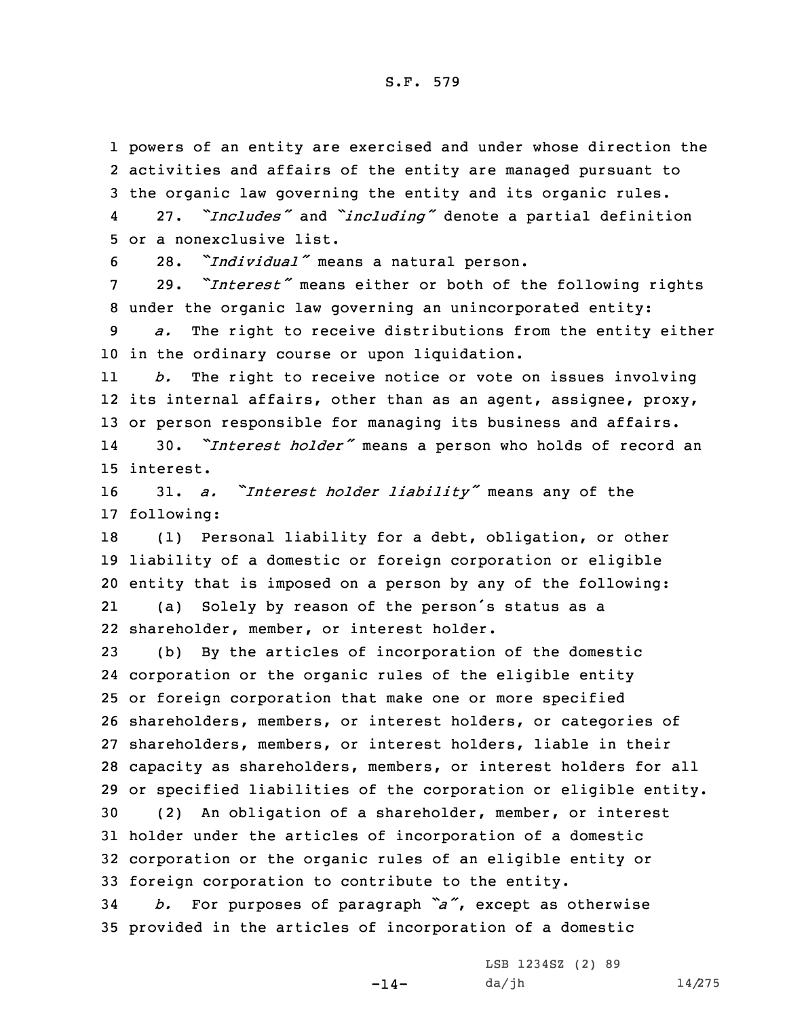1 powers of an entity are exercised and under whose direction the 2 activities and affairs of the entity are managed pursuant to 3 the organic law governing the entity and its organic rules.

4 27. *"Includes"* and *"including"* denote <sup>a</sup> partial definition 5 or <sup>a</sup> nonexclusive list.

<sup>6</sup> 28. *"Individual"* means <sup>a</sup> natural person.

<sup>7</sup> 29. *"Interest"* means either or both of the following rights 8 under the organic law governing an unincorporated entity:

9 *a.* The right to receive distributions from the entity either 10 in the ordinary course or upon liquidation.

11 *b.* The right to receive notice or vote on issues involving 12 its internal affairs, other than as an agent, assignee, proxy, 13 or person responsible for managing its business and affairs. 1430. *"Interest holder"* means <sup>a</sup> person who holds of record an

15 interest.

<sup>16</sup> 31. *a. "Interest holder liability"* means any of the 17 following:

 (1) Personal liability for <sup>a</sup> debt, obligation, or other liability of <sup>a</sup> domestic or foreign corporation or eligible entity that is imposed on <sup>a</sup> person by any of the following: 21 (a) Solely by reason of the person's status as <sup>a</sup> shareholder, member, or interest holder.

 (b) By the articles of incorporation of the domestic corporation or the organic rules of the eligible entity or foreign corporation that make one or more specified shareholders, members, or interest holders, or categories of shareholders, members, or interest holders, liable in their capacity as shareholders, members, or interest holders for all or specified liabilities of the corporation or eligible entity. (2) An obligation of <sup>a</sup> shareholder, member, or interest holder under the articles of incorporation of <sup>a</sup> domestic corporation or the organic rules of an eligible entity or foreign corporation to contribute to the entity.

<sup>34</sup> *b.* For purposes of paragraph *"a"*, except as otherwise 35 provided in the articles of incorporation of <sup>a</sup> domestic

 $-14-$ 

LSB 1234SZ (2) 89 da/jh 14/275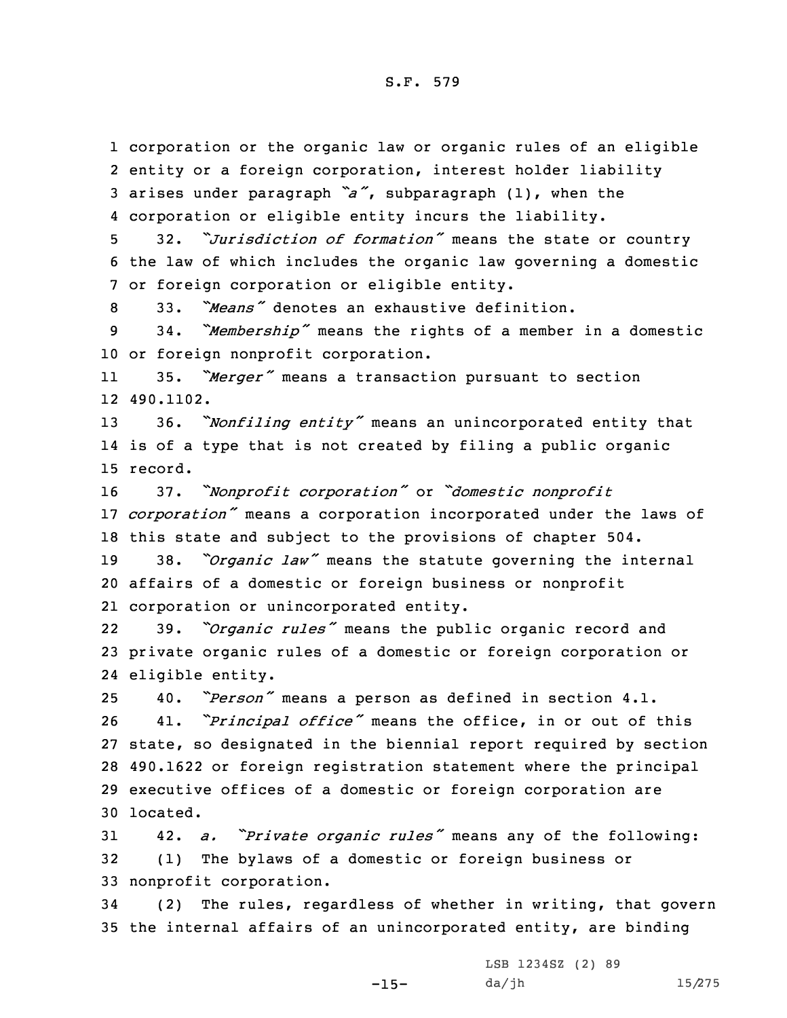corporation or the organic law or organic rules of an eligible entity or <sup>a</sup> foreign corporation, interest holder liability arises under paragraph *"a"*, subparagraph (1), when the corporation or eligible entity incurs the liability.

<sup>5</sup> 32. *"Jurisdiction of formation"* means the state or country 6 the law of which includes the organic law governing <sup>a</sup> domestic 7 or foreign corporation or eligible entity.

8 33. *"Means"* denotes an exhaustive definition.

<sup>9</sup> 34. *"Membership"* means the rights of <sup>a</sup> member in <sup>a</sup> domestic 10 or foreign nonprofit corporation.

11 35. *"Merger"* means <sup>a</sup> transaction pursuant to section 12 490.1102.

<sup>13</sup> 36. *"Nonfiling entity"* means an unincorporated entity that 14 is of <sup>a</sup> type that is not created by filing <sup>a</sup> public organic 15 record.

<sup>16</sup> 37. *"Nonprofit corporation"* or *"domestic nonprofit* <sup>17</sup> *corporation"* means <sup>a</sup> corporation incorporated under the laws of 18 this state and subject to the provisions of chapter 504.

<sup>19</sup> 38. *"Organic law"* means the statute governing the internal 20 affairs of <sup>a</sup> domestic or foreign business or nonprofit 21 corporation or unincorporated entity.

22 39. *"Organic rules"* means the public organic record and 23 private organic rules of <sup>a</sup> domestic or foreign corporation or 24 eligible entity.

 40. *"Person"* means <sup>a</sup> person as defined in section 4.1. 41. *"Principal office"* means the office, in or out of this state, so designated in the biennial report required by section 490.1622 or foreign registration statement where the principal executive offices of <sup>a</sup> domestic or foreign corporation are 30 located.

<sup>31</sup> 42. *a. "Private organic rules"* means any of the following: 32 (1) The bylaws of <sup>a</sup> domestic or foreign business or 33 nonprofit corporation.

34 (2) The rules, regardless of whether in writing, that govern 35 the internal affairs of an unincorporated entity, are binding

 $-15-$ 

LSB 1234SZ (2) 89 da/jh 15/275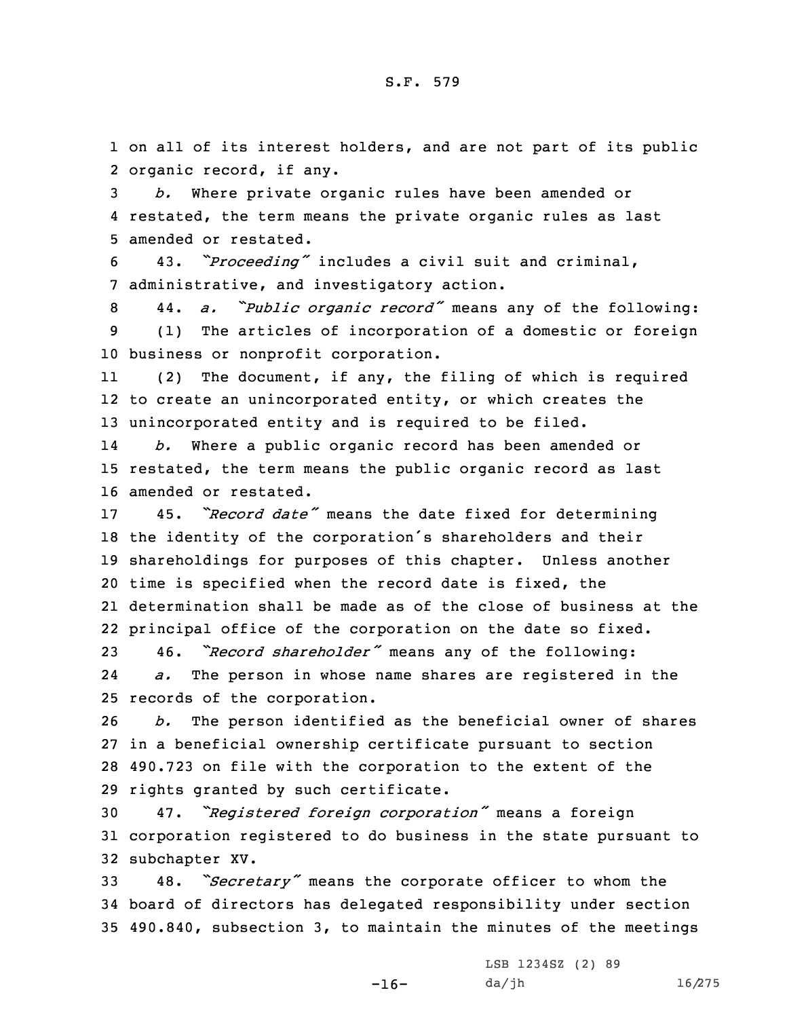1 on all of its interest holders, and are not part of its public 2 organic record, if any.

3 *b.* Where private organic rules have been amended or 4 restated, the term means the private organic rules as last 5 amended or restated.

<sup>6</sup> 43. *"Proceeding"* includes <sup>a</sup> civil suit and criminal, 7 administrative, and investigatory action.

<sup>8</sup> 44. *a. "Public organic record"* means any of the following: 9 (1) The articles of incorporation of <sup>a</sup> domestic or foreign 10 business or nonprofit corporation.

11 (2) The document, if any, the filing of which is required 12 to create an unincorporated entity, or which creates the 13 unincorporated entity and is required to be filed.

14 *b.* Where <sup>a</sup> public organic record has been amended or 15 restated, the term means the public organic record as last 16 amended or restated.

 45. *"Record date"* means the date fixed for determining the identity of the corporation's shareholders and their shareholdings for purposes of this chapter. Unless another time is specified when the record date is fixed, the determination shall be made as of the close of business at the principal office of the corporation on the date so fixed.

<sup>23</sup> 46. *"Record shareholder"* means any of the following: 24 *a.* The person in whose name shares are registered in the 25 records of the corporation.

 *b.* The person identified as the beneficial owner of shares in <sup>a</sup> beneficial ownership certificate pursuant to section 490.723 on file with the corporation to the extent of the rights granted by such certificate.

<sup>30</sup> 47. *"Registered foreign corporation"* means <sup>a</sup> foreign 31 corporation registered to do business in the state pursuant to 32 subchapter XV.

<sup>33</sup> 48. *"Secretary"* means the corporate officer to whom the 34 board of directors has delegated responsibility under section 35 490.840, subsection 3, to maintain the minutes of the meetings

-16-

LSB 1234SZ (2) 89 da/jh 16/275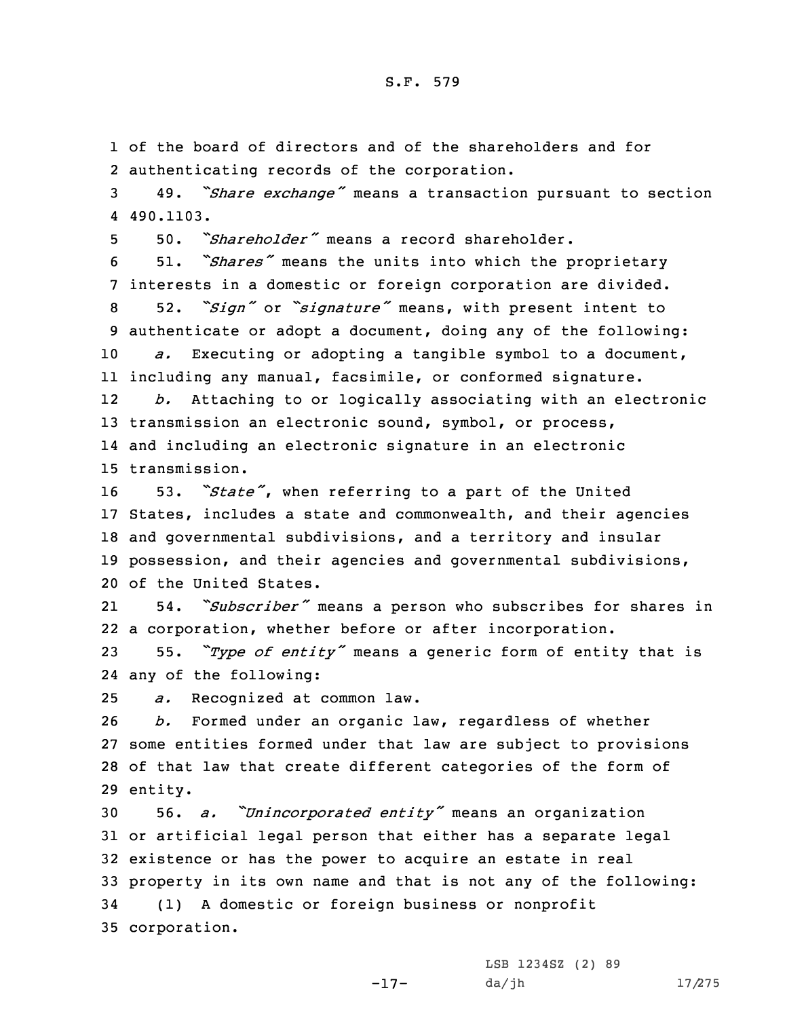1 of the board of directors and of the shareholders and for 2 authenticating records of the corporation.

<sup>3</sup> 49. *"Share exchange"* means <sup>a</sup> transaction pursuant to section 4 490.1103.

5 50. *"Shareholder"* means <sup>a</sup> record shareholder.

 51. *"Shares"* means the units into which the proprietary interests in <sup>a</sup> domestic or foreign corporation are divided. 52. *"Sign"* or *"signature"* means, with present intent to authenticate or adopt <sup>a</sup> document, doing any of the following: *a.* Executing or adopting <sup>a</sup> tangible symbol to <sup>a</sup> document, including any manual, facsimile, or conformed signature. 12 *b.* Attaching to or logically associating with an electronic 13 transmission an electronic sound, symbol, or process, and including an electronic signature in an electronic

15 transmission.

 53. *"State"*, when referring to <sup>a</sup> part of the United States, includes <sup>a</sup> state and commonwealth, and their agencies and governmental subdivisions, and <sup>a</sup> territory and insular possession, and their agencies and governmental subdivisions, of the United States.

21 54. *"Subscriber"* means <sup>a</sup> person who subscribes for shares in 22 <sup>a</sup> corporation, whether before or after incorporation.

<sup>23</sup> 55. *"Type of entity"* means <sup>a</sup> generic form of entity that is 24 any of the following:

25 *a.* Recognized at common law.

 *b.* Formed under an organic law, regardless of whether some entities formed under that law are subject to provisions of that law that create different categories of the form of 29 entity.

 56. *a. "Unincorporated entity"* means an organization or artificial legal person that either has <sup>a</sup> separate legal existence or has the power to acquire an estate in real property in its own name and that is not any of the following: (1) <sup>A</sup> domestic or foreign business or nonprofit corporation.

> LSB 1234SZ (2) 89 da/jh 17/275

-17-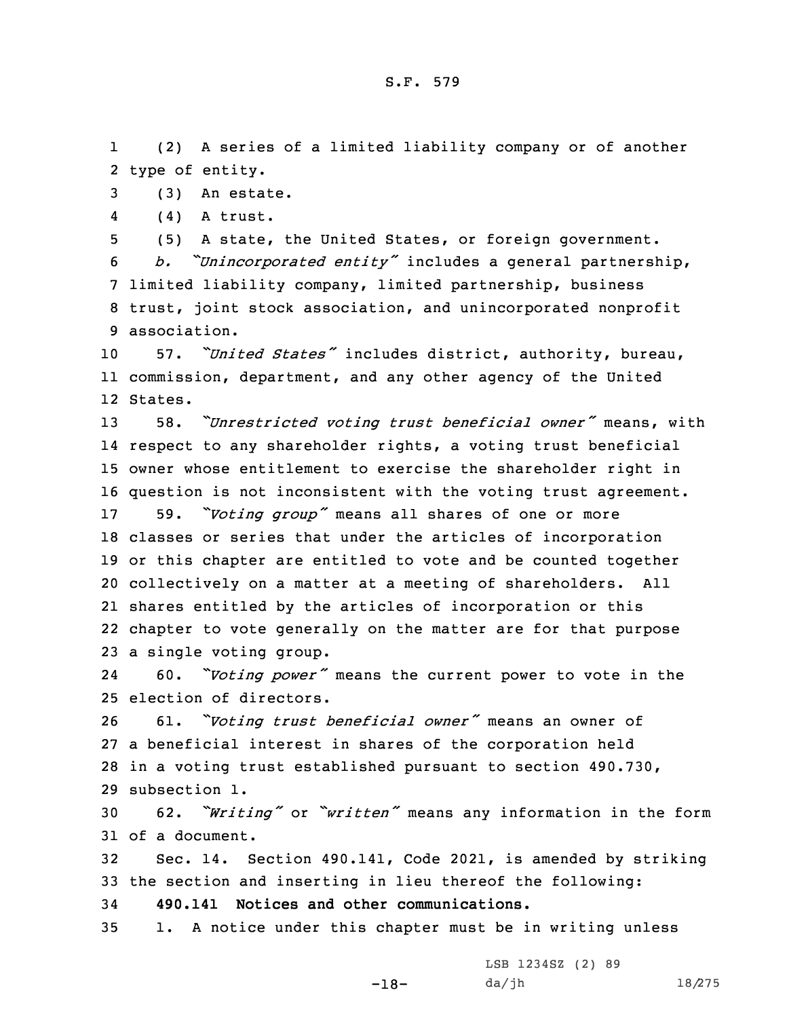1 (2) <sup>A</sup> series of <sup>a</sup> limited liability company or of another 2 type of entity.

3 (3) An estate.

4(4) A trust.

5 (5) <sup>A</sup> state, the United States, or foreign government.

 *b. "Unincorporated entity"* includes <sup>a</sup> general partnership, limited liability company, limited partnership, business trust, joint stock association, and unincorporated nonprofit association.

<sup>10</sup> 57. *"United States"* includes district, authority, bureau, 11 commission, department, and any other agency of the United 12 States.

 58. *"Unrestricted voting trust beneficial owner"* means, with respect to any shareholder rights, <sup>a</sup> voting trust beneficial owner whose entitlement to exercise the shareholder right in question is not inconsistent with the voting trust agreement. 59. *"Voting group"* means all shares of one or more

 classes or series that under the articles of incorporation or this chapter are entitled to vote and be counted together collectively on <sup>a</sup> matter at <sup>a</sup> meeting of shareholders. All shares entitled by the articles of incorporation or this chapter to vote generally on the matter are for that purpose <sup>a</sup> single voting group.

24 60. *"Voting power"* means the current power to vote in the 25 election of directors.

 61. *"Voting trust beneficial owner"* means an owner of <sup>a</sup> beneficial interest in shares of the corporation held in <sup>a</sup> voting trust established pursuant to section 490.730, subsection 1.

<sup>30</sup> 62. *"Writing"* or *"written"* means any information in the form 31 of a document.

32 Sec. 14. Section 490.141, Code 2021, is amended by striking 33 the section and inserting in lieu thereof the following:

34 **490.141 Notices and other communications.**

35 1. <sup>A</sup> notice under this chapter must be in writing unless

LSB 1234SZ (2) 89 da/jh 18/275

-18-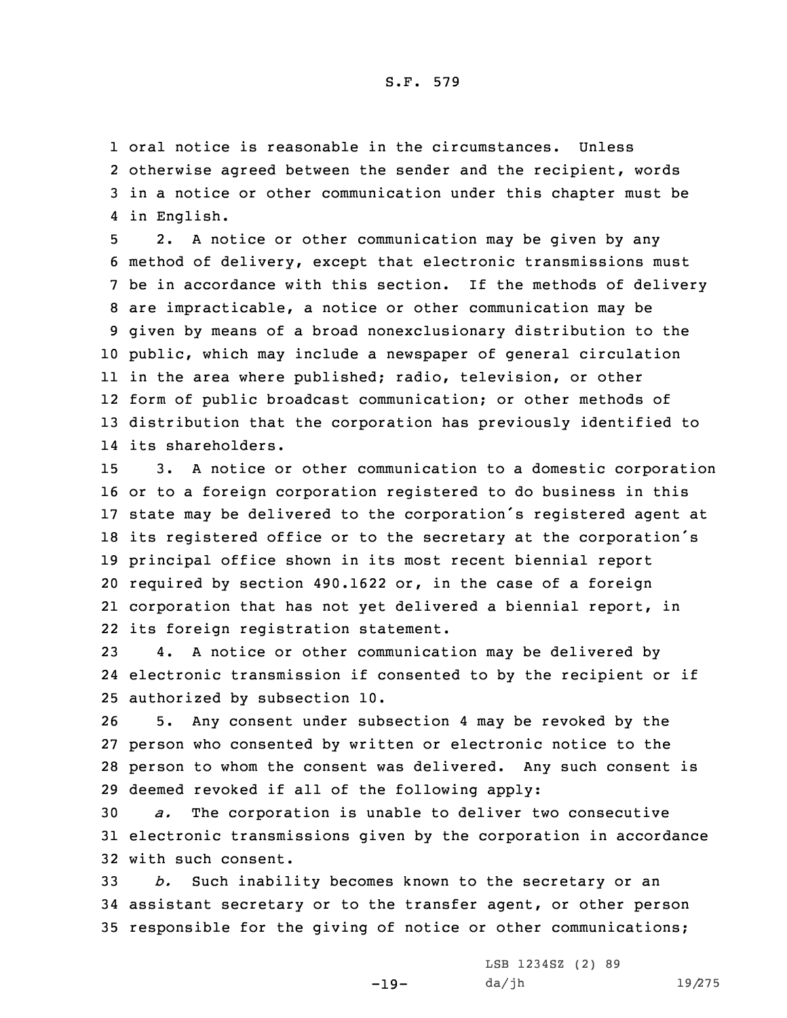oral notice is reasonable in the circumstances. Unless otherwise agreed between the sender and the recipient, words in <sup>a</sup> notice or other communication under this chapter must be in English.

 2. <sup>A</sup> notice or other communication may be given by any method of delivery, except that electronic transmissions must be in accordance with this section. If the methods of delivery are impracticable, <sup>a</sup> notice or other communication may be given by means of <sup>a</sup> broad nonexclusionary distribution to the public, which may include <sup>a</sup> newspaper of general circulation in the area where published; radio, television, or other form of public broadcast communication; or other methods of distribution that the corporation has previously identified to its shareholders.

 3. <sup>A</sup> notice or other communication to <sup>a</sup> domestic corporation or to <sup>a</sup> foreign corporation registered to do business in this state may be delivered to the corporation's registered agent at its registered office or to the secretary at the corporation's principal office shown in its most recent biennial report required by section 490.1622 or, in the case of <sup>a</sup> foreign corporation that has not yet delivered <sup>a</sup> biennial report, in its foreign registration statement.

23 4. <sup>A</sup> notice or other communication may be delivered by 24 electronic transmission if consented to by the recipient or if 25 authorized by subsection 10.

 5. Any consent under subsection 4 may be revoked by the person who consented by written or electronic notice to the person to whom the consent was delivered. Any such consent is deemed revoked if all of the following apply:

30 *a.* The corporation is unable to deliver two consecutive 31 electronic transmissions given by the corporation in accordance 32 with such consent.

33 *b.* Such inability becomes known to the secretary or an 34 assistant secretary or to the transfer agent, or other person 35 responsible for the giving of notice or other communications;

-19-

LSB 1234SZ (2) 89 da/jh 19/275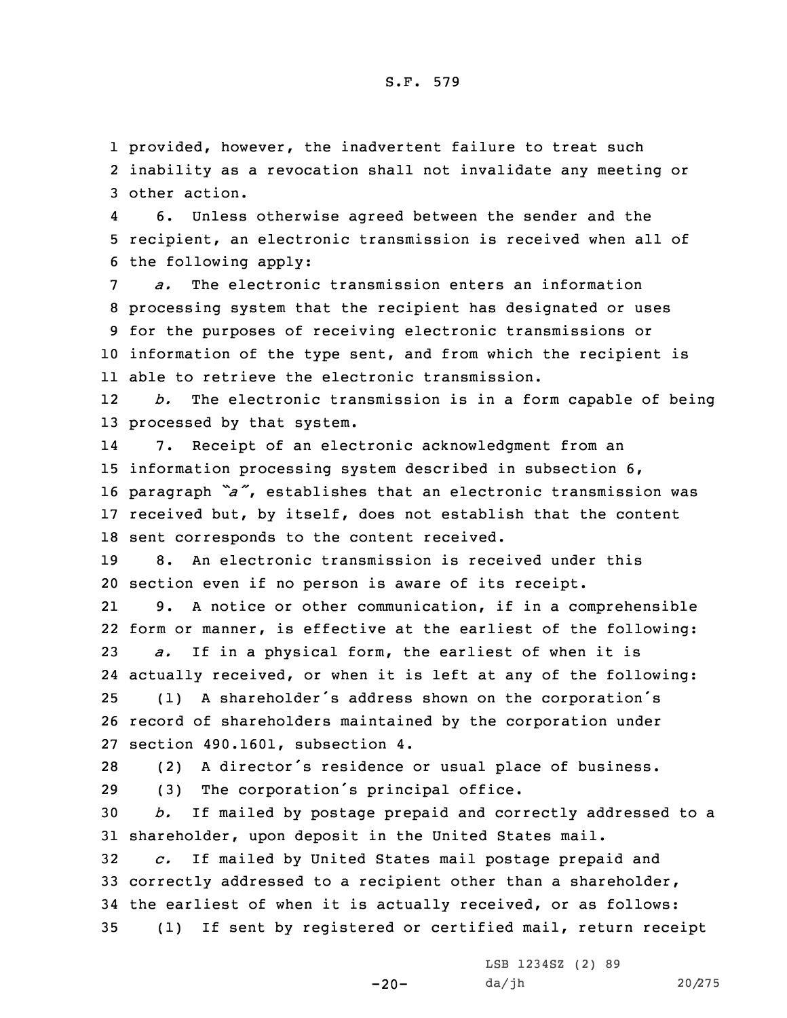1 provided, however, the inadvertent failure to treat such 2 inability as <sup>a</sup> revocation shall not invalidate any meeting or 3 other action.

4 6. Unless otherwise agreed between the sender and the 5 recipient, an electronic transmission is received when all of 6 the following apply:

 *a.* The electronic transmission enters an information processing system that the recipient has designated or uses for the purposes of receiving electronic transmissions or information of the type sent, and from which the recipient is able to retrieve the electronic transmission.

12 *b.* The electronic transmission is in <sup>a</sup> form capable of being 13 processed by that system.

14 7. Receipt of an electronic acknowledgment from an information processing system described in subsection 6, paragraph *"a"*, establishes that an electronic transmission was received but, by itself, does not establish that the content sent corresponds to the content received.

19 8. An electronic transmission is received under this 20 section even if no person is aware of its receipt.

21 9. <sup>A</sup> notice or other communication, if in <sup>a</sup> comprehensible form or manner, is effective at the earliest of the following: *a.* If in <sup>a</sup> physical form, the earliest of when it is actually received, or when it is left at any of the following: (1) <sup>A</sup> shareholder's address shown on the corporation's record of shareholders maintained by the corporation under section 490.1601, subsection 4.

<sup>28</sup> (2) <sup>A</sup> director's residence or usual place of business.

<sup>29</sup> (3) The corporation's principal office.

30 *b.* If mailed by postage prepaid and correctly addressed to <sup>a</sup> 31 shareholder, upon deposit in the United States mail.

 *c.* If mailed by United States mail postage prepaid and correctly addressed to <sup>a</sup> recipient other than <sup>a</sup> shareholder, the earliest of when it is actually received, or as follows: (1) If sent by registered or certified mail, return receipt

 $-20-$ 

LSB 1234SZ (2) 89 da/jh 20/275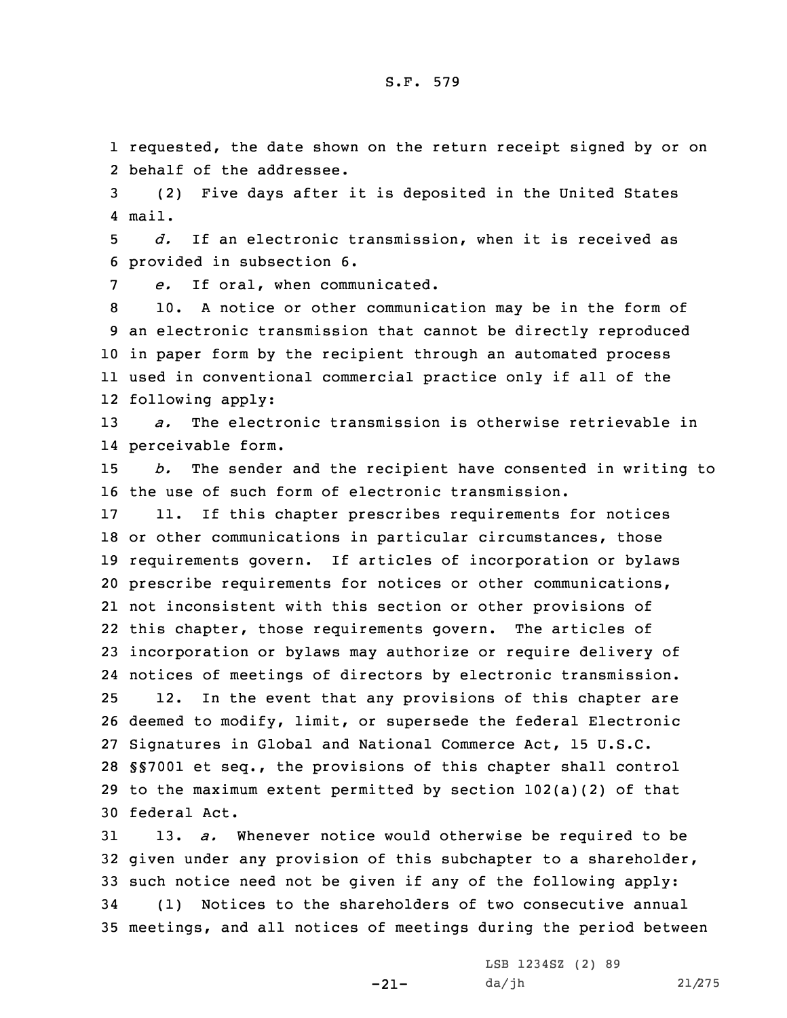1 requested, the date shown on the return receipt signed by or on 2 behalf of the addressee.

3 (2) Five days after it is deposited in the United States 4 mail.

5 *d.* If an electronic transmission, when it is received as 6 provided in subsection 6.

7 *e.* If oral, when communicated.

 10. <sup>A</sup> notice or other communication may be in the form of an electronic transmission that cannot be directly reproduced in paper form by the recipient through an automated process used in conventional commercial practice only if all of the following apply:

13 *a.* The electronic transmission is otherwise retrievable in 14 perceivable form.

15 *b.* The sender and the recipient have consented in writing to 16 the use of such form of electronic transmission.

 11. If this chapter prescribes requirements for notices or other communications in particular circumstances, those requirements govern. If articles of incorporation or bylaws prescribe requirements for notices or other communications, not inconsistent with this section or other provisions of this chapter, those requirements govern. The articles of incorporation or bylaws may authorize or require delivery of notices of meetings of directors by electronic transmission. 12. In the event that any provisions of this chapter are deemed to modify, limit, or supersede the federal Electronic Signatures in Global and National Commerce Act, 15 U.S.C. §§7001 et seq., the provisions of this chapter shall control to the maximum extent permitted by section 102(a)(2) of that federal Act.

 13. *a.* Whenever notice would otherwise be required to be given under any provision of this subchapter to <sup>a</sup> shareholder, such notice need not be given if any of the following apply: (1) Notices to the shareholders of two consecutive annual meetings, and all notices of meetings during the period between

-21-

LSB 1234SZ (2) 89 da/jh 21/275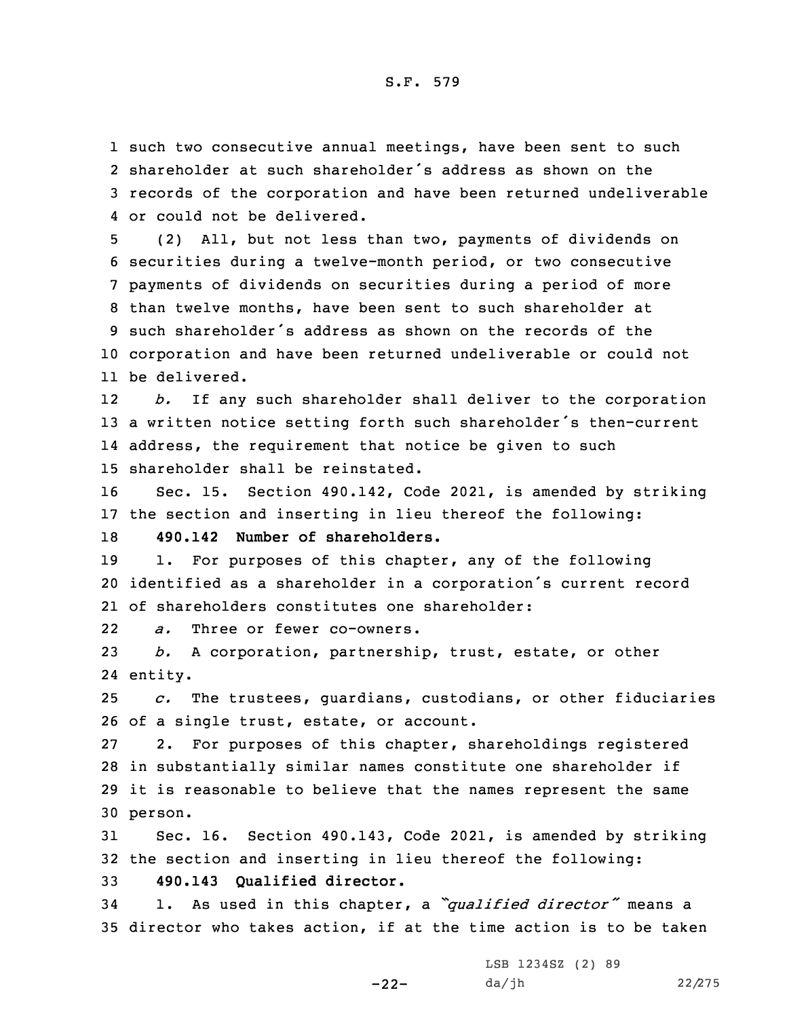such two consecutive annual meetings, have been sent to such shareholder at such shareholder's address as shown on the records of the corporation and have been returned undeliverable or could not be delivered.

 (2) All, but not less than two, payments of dividends on securities during <sup>a</sup> twelve-month period, or two consecutive payments of dividends on securities during <sup>a</sup> period of more than twelve months, have been sent to such shareholder at such shareholder's address as shown on the records of the corporation and have been returned undeliverable or could not be delivered.

12 *b.* If any such shareholder shall deliver to the corporation <sup>13</sup> <sup>a</sup> written notice setting forth such shareholder's then-current 14 address, the requirement that notice be given to such 15 shareholder shall be reinstated.

16 Sec. 15. Section 490.142, Code 2021, is amended by striking 17 the section and inserting in lieu thereof the following:

18 **490.142 Number of shareholders.**

19 1. For purposes of this chapter, any of the following <sup>20</sup> identified as <sup>a</sup> shareholder in <sup>a</sup> corporation's current record 21 of shareholders constitutes one shareholder:

22*a.* Three or fewer co-owners.

23 *b.* <sup>A</sup> corporation, partnership, trust, estate, or other 24 entity.

25 *c.* The trustees, guardians, custodians, or other fiduciaries 26 of <sup>a</sup> single trust, estate, or account.

 2. For purposes of this chapter, shareholdings registered in substantially similar names constitute one shareholder if it is reasonable to believe that the names represent the same 30 person.

31 Sec. 16. Section 490.143, Code 2021, is amended by striking 32 the section and inserting in lieu thereof the following:

33 **490.143 Qualified director.**

<sup>34</sup> 1. As used in this chapter, <sup>a</sup> *"qualified director"* means <sup>a</sup> 35 director who takes action, if at the time action is to be taken

-22-

LSB 1234SZ (2) 89 da/jh 22/275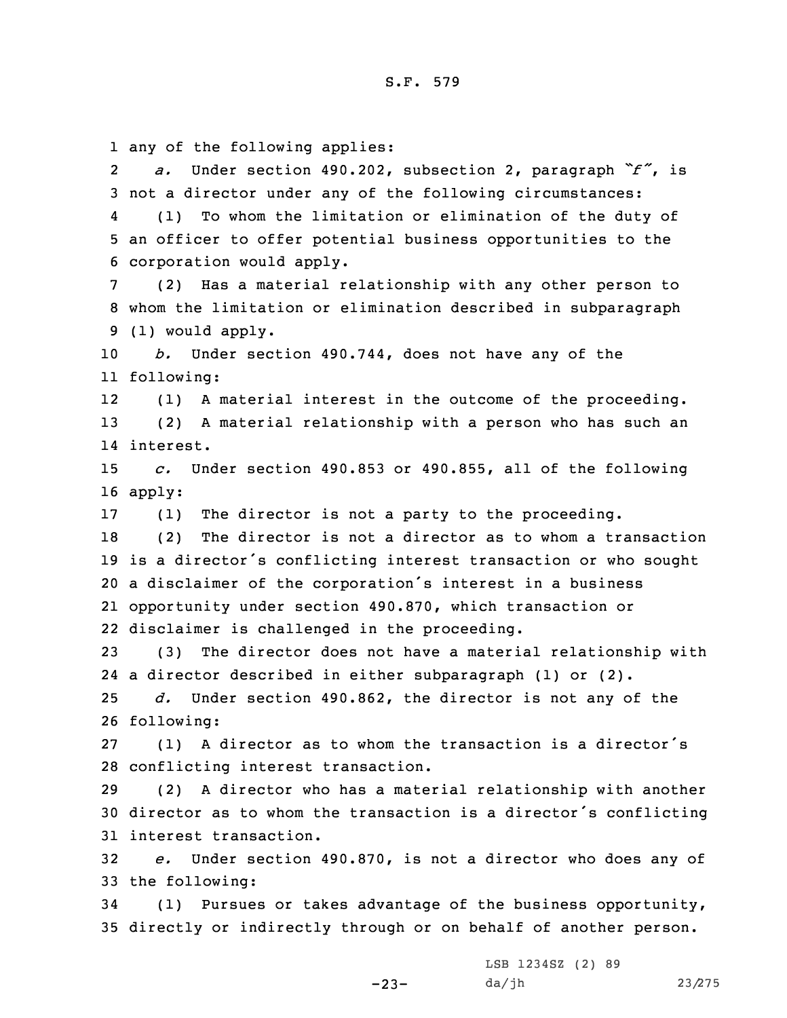1 any of the following applies:

2 *a.* Under section 490.202, subsection 2, paragraph *"f"*, is 3 not <sup>a</sup> director under any of the following circumstances:

4 (1) To whom the limitation or elimination of the duty of 5 an officer to offer potential business opportunities to the 6 corporation would apply.

7 (2) Has <sup>a</sup> material relationship with any other person to 8 whom the limitation or elimination described in subparagraph 9 (1) would apply.

10 *b.* Under section 490.744, does not have any of the 11 following:

12 (1) <sup>A</sup> material interest in the outcome of the proceeding. 13 (2) <sup>A</sup> material relationship with <sup>a</sup> person who has such an 14 interest.

15 *c.* Under section 490.853 or 490.855, all of the following 16 apply:

17 (1) The director is not <sup>a</sup> party to the proceeding.

 (2) The director is not <sup>a</sup> director as to whom <sup>a</sup> transaction is <sup>a</sup> director's conflicting interest transaction or who sought <sup>a</sup> disclaimer of the corporation's interest in <sup>a</sup> business opportunity under section 490.870, which transaction or disclaimer is challenged in the proceeding.

23 (3) The director does not have <sup>a</sup> material relationship with 24 <sup>a</sup> director described in either subparagraph (1) or (2).

25 *d.* Under section 490.862, the director is not any of the 26 following:

27 (1) <sup>A</sup> director as to whom the transaction is <sup>a</sup> director's 28 conflicting interest transaction.

29 (2) <sup>A</sup> director who has <sup>a</sup> material relationship with another <sup>30</sup> director as to whom the transaction is <sup>a</sup> director's conflicting 31 interest transaction.

32 *e.* Under section 490.870, is not <sup>a</sup> director who does any of 33 the following:

34 (1) Pursues or takes advantage of the business opportunity, 35 directly or indirectly through or on behalf of another person.

-23-

LSB 1234SZ (2) 89 da/jh 23/275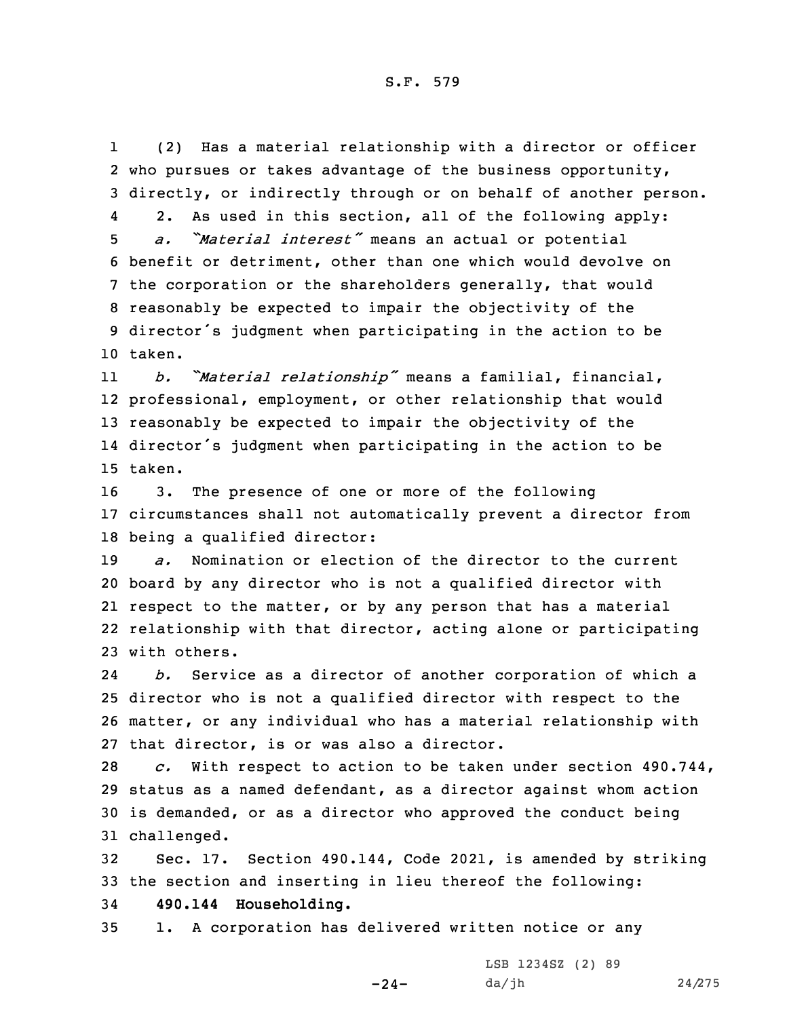1 (2) Has <sup>a</sup> material relationship with <sup>a</sup> director or officer 2 who pursues or takes advantage of the business opportunity, 3 directly, or indirectly through or on behalf of another person. 4 2. As used in this section, all of the following apply: <sup>5</sup> *a. "Material interest"* means an actual or potential

 benefit or detriment, other than one which would devolve on the corporation or the shareholders generally, that would reasonably be expected to impair the objectivity of the director's judgment when participating in the action to be 10 taken.

11 *b. "Material relationship"* means <sup>a</sup> familial, financial, 12 professional, employment, or other relationship that would 13 reasonably be expected to impair the objectivity of the 14 director's judgment when participating in the action to be 15 taken.

16 3. The presence of one or more of the following 17 circumstances shall not automatically prevent <sup>a</sup> director from 18 being <sup>a</sup> qualified director:

 *a.* Nomination or election of the director to the current board by any director who is not <sup>a</sup> qualified director with respect to the matter, or by any person that has <sup>a</sup> material relationship with that director, acting alone or participating with others.

24 *b.* Service as <sup>a</sup> director of another corporation of which <sup>a</sup> 25 director who is not <sup>a</sup> qualified director with respect to the 26 matter, or any individual who has <sup>a</sup> material relationship with 27 that director, is or was also <sup>a</sup> director.

 *c.* With respect to action to be taken under section 490.744, status as <sup>a</sup> named defendant, as <sup>a</sup> director against whom action is demanded, or as <sup>a</sup> director who approved the conduct being challenged.

32 Sec. 17. Section 490.144, Code 2021, is amended by striking 33 the section and inserting in lieu thereof the following: 34 **490.144 Householding.**

35 1. <sup>A</sup> corporation has delivered written notice or any

 $-24-$ 

LSB 1234SZ (2) 89 da/jh 24/275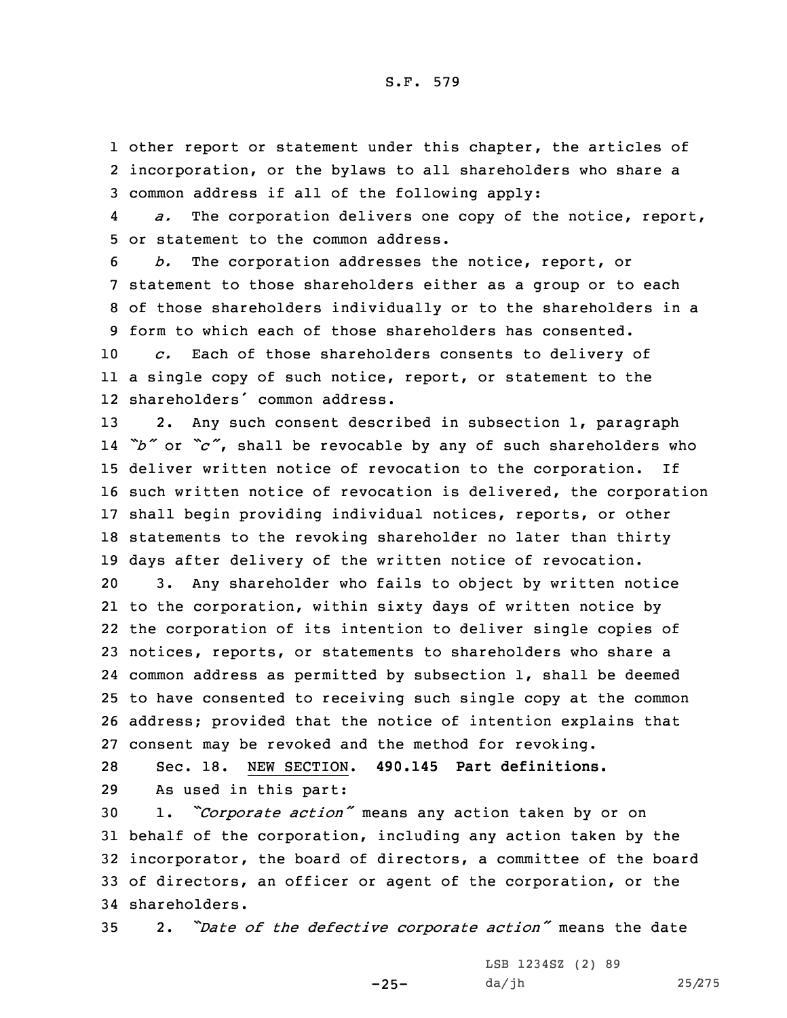1 other report or statement under this chapter, the articles of 2 incorporation, or the bylaws to all shareholders who share <sup>a</sup> 3 common address if all of the following apply:

4 *a.* The corporation delivers one copy of the notice, report, 5 or statement to the common address.

 *b.* The corporation addresses the notice, report, or statement to those shareholders either as <sup>a</sup> group or to each of those shareholders individually or to the shareholders in <sup>a</sup> form to which each of those shareholders has consented. *c.* Each of those shareholders consents to delivery of

11 <sup>a</sup> single copy of such notice, report, or statement to the 12 shareholders' common address.

13 2. Any such consent described in subsection 1, paragraph *"b"* or *"c"*, shall be revocable by any of such shareholders who deliver written notice of revocation to the corporation. If such written notice of revocation is delivered, the corporation shall begin providing individual notices, reports, or other statements to the revoking shareholder no later than thirty days after delivery of the written notice of revocation. 3. Any shareholder who fails to object by written notice to the corporation, within sixty days of written notice by the corporation of its intention to deliver single copies of notices, reports, or statements to shareholders who share <sup>a</sup> common address as permitted by subsection 1, shall be deemed to have consented to receiving such single copy at the common address; provided that the notice of intention explains that consent may be revoked and the method for revoking.

28 Sec. 18. NEW SECTION. **490.145 Part definitions.** 29 As used in this part:

 1. *"Corporate action"* means any action taken by or on behalf of the corporation, including any action taken by the incorporator, the board of directors, <sup>a</sup> committee of the board of directors, an officer or agent of the corporation, or the shareholders.

<sup>35</sup> 2. *"Date of the defective corporate action"* means the date

 $-25-$ 

LSB 1234SZ (2) 89 da/jh 25/275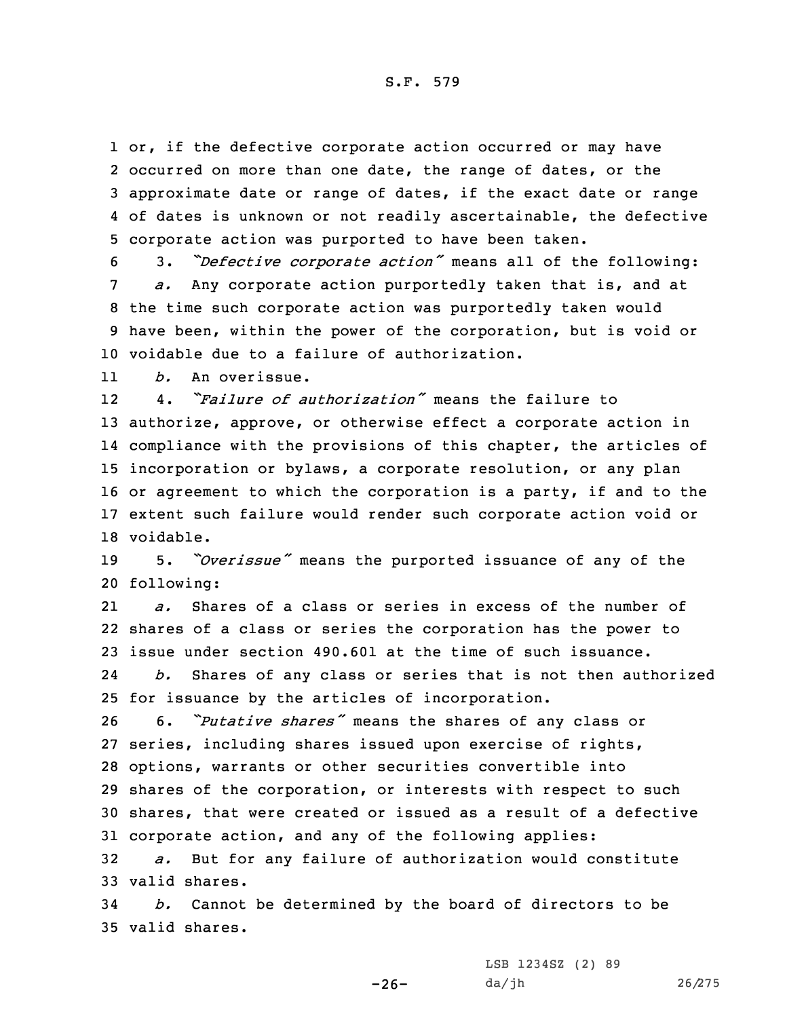1 or, if the defective corporate action occurred or may have occurred on more than one date, the range of dates, or the approximate date or range of dates, if the exact date or range of dates is unknown or not readily ascertainable, the defective corporate action was purported to have been taken.

 3. *"Defective corporate action"* means all of the following: *a.* Any corporate action purportedly taken that is, and at the time such corporate action was purportedly taken would have been, within the power of the corporation, but is void or voidable due to <sup>a</sup> failure of authorization.

11*b.* An overissue.

12 4. *"Failure of authorization"* means the failure to authorize, approve, or otherwise effect <sup>a</sup> corporate action in compliance with the provisions of this chapter, the articles of incorporation or bylaws, <sup>a</sup> corporate resolution, or any plan or agreement to which the corporation is <sup>a</sup> party, if and to the extent such failure would render such corporate action void or voidable.

<sup>19</sup> 5. *"Overissue"* means the purported issuance of any of the 20 following:

21 *a.* Shares of <sup>a</sup> class or series in excess of the number of 22 shares of <sup>a</sup> class or series the corporation has the power to 23 issue under section 490.601 at the time of such issuance.

24 *b.* Shares of any class or series that is not then authorized 25 for issuance by the articles of incorporation.

 6. *"Putative shares"* means the shares of any class or series, including shares issued upon exercise of rights, options, warrants or other securities convertible into shares of the corporation, or interests with respect to such shares, that were created or issued as <sup>a</sup> result of <sup>a</sup> defective corporate action, and any of the following applies:

32 *a.* But for any failure of authorization would constitute 33 valid shares.

34 *b.* Cannot be determined by the board of directors to be 35 valid shares.

 $-26-$ 

LSB 1234SZ (2) 89 da/jh 26/275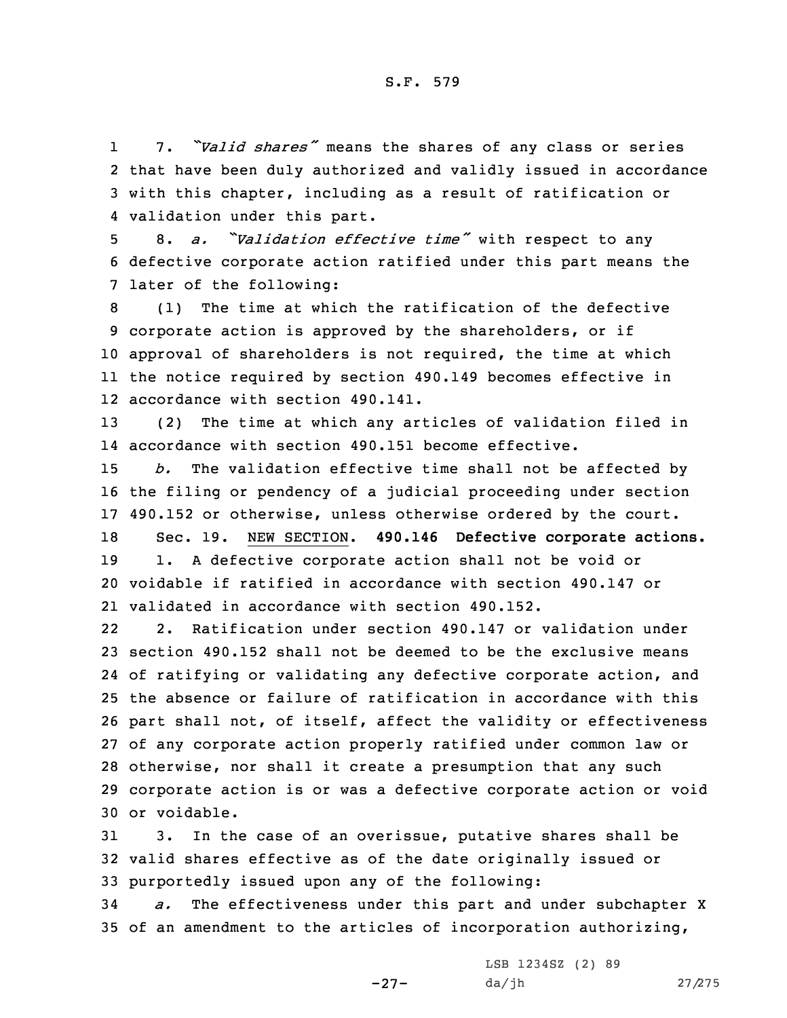1 7. *"Valid shares"* means the shares of any class or series 2 that have been duly authorized and validly issued in accordance 3 with this chapter, including as <sup>a</sup> result of ratification or 4 validation under this part.

<sup>5</sup> 8. *a. "Validation effective time"* with respect to any 6 defective corporate action ratified under this part means the 7 later of the following:

 (1) The time at which the ratification of the defective corporate action is approved by the shareholders, or if approval of shareholders is not required, the time at which the notice required by section 490.149 becomes effective in accordance with section 490.141.

13 (2) The time at which any articles of validation filed in 14 accordance with section 490.151 become effective.

15 *b.* The validation effective time shall not be affected by 16 the filing or pendency of <sup>a</sup> judicial proceeding under section 17 490.152 or otherwise, unless otherwise ordered by the court.

 Sec. 19. NEW SECTION. **490.146 Defective corporate actions.** 1. <sup>A</sup> defective corporate action shall not be void or voidable if ratified in accordance with section 490.147 or validated in accordance with section 490.152.

22 2. Ratification under section 490.147 or validation under section 490.152 shall not be deemed to be the exclusive means of ratifying or validating any defective corporate action, and the absence or failure of ratification in accordance with this part shall not, of itself, affect the validity or effectiveness of any corporate action properly ratified under common law or otherwise, nor shall it create <sup>a</sup> presumption that any such corporate action is or was <sup>a</sup> defective corporate action or void or voidable.

31 3. In the case of an overissue, putative shares shall be 32 valid shares effective as of the date originally issued or 33 purportedly issued upon any of the following:

-27-

34 *a.* The effectiveness under this part and under subchapter <sup>X</sup> 35 of an amendment to the articles of incorporation authorizing,

> LSB 1234SZ (2) 89 da/jh 27/275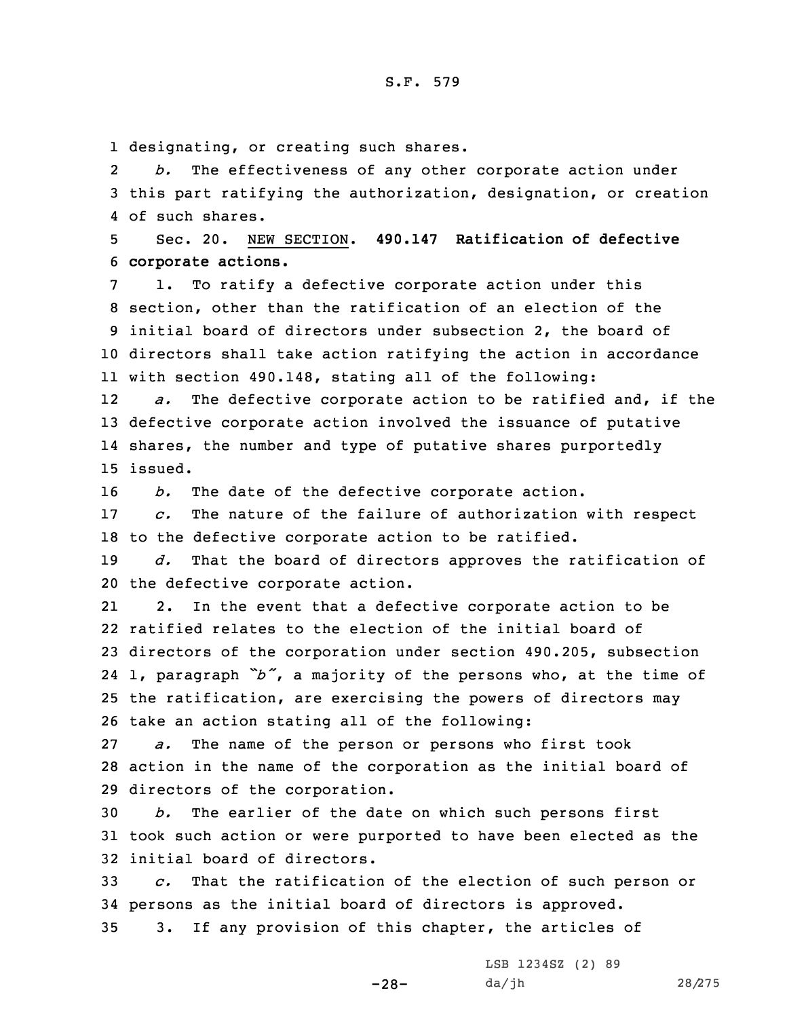1 designating, or creating such shares.

2 *b.* The effectiveness of any other corporate action under 3 this part ratifying the authorization, designation, or creation 4 of such shares.

5 Sec. 20. NEW SECTION. **490.147 Ratification of defective** 6 **corporate actions.**

 1. To ratify <sup>a</sup> defective corporate action under this section, other than the ratification of an election of the initial board of directors under subsection 2, the board of directors shall take action ratifying the action in accordance with section 490.148, stating all of the following:

12 *a.* The defective corporate action to be ratified and, if the 13 defective corporate action involved the issuance of putative 14 shares, the number and type of putative shares purportedly 15 issued.

16 *b.* The date of the defective corporate action.

17 *c.* The nature of the failure of authorization with respect 18 to the defective corporate action to be ratified.

19 *d.* That the board of directors approves the ratification of 20 the defective corporate action.

21 2. In the event that <sup>a</sup> defective corporate action to be ratified relates to the election of the initial board of directors of the corporation under section 490.205, subsection 1, paragraph *"b"*, <sup>a</sup> majority of the persons who, at the time of the ratification, are exercising the powers of directors may take an action stating all of the following:

27 *a.* The name of the person or persons who first took 28 action in the name of the corporation as the initial board of 29 directors of the corporation.

30 *b.* The earlier of the date on which such persons first 31 took such action or were purported to have been elected as the 32 initial board of directors.

33 *c.* That the ratification of the election of such person or 34 persons as the initial board of directors is approved.

-28-

35 3. If any provision of this chapter, the articles of

LSB 1234SZ (2) 89 da/jh 28/275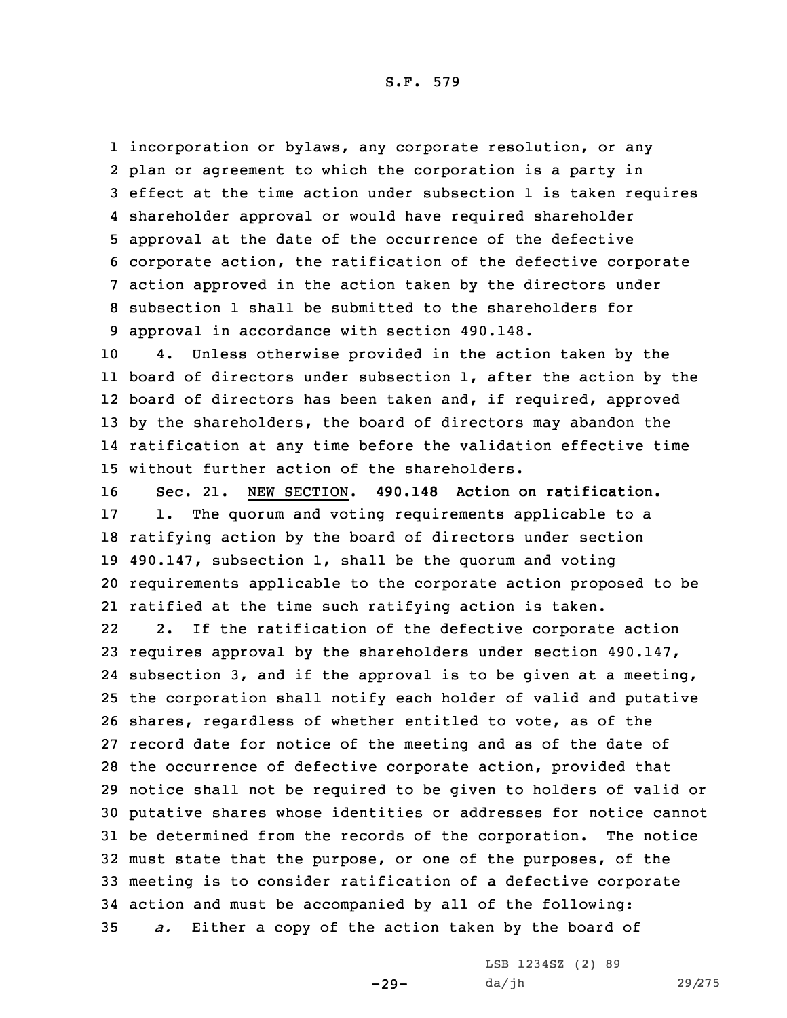incorporation or bylaws, any corporate resolution, or any plan or agreement to which the corporation is <sup>a</sup> party in effect at the time action under subsection 1 is taken requires shareholder approval or would have required shareholder approval at the date of the occurrence of the defective corporate action, the ratification of the defective corporate action approved in the action taken by the directors under subsection 1 shall be submitted to the shareholders for approval in accordance with section 490.148.

 4. Unless otherwise provided in the action taken by the board of directors under subsection 1, after the action by the board of directors has been taken and, if required, approved by the shareholders, the board of directors may abandon the ratification at any time before the validation effective time without further action of the shareholders.

 Sec. 21. NEW SECTION. **490.148 Action on ratification.** 1. The quorum and voting requirements applicable to <sup>a</sup> ratifying action by the board of directors under section 490.147, subsection 1, shall be the quorum and voting requirements applicable to the corporate action proposed to be ratified at the time such ratifying action is taken.

22 2. If the ratification of the defective corporate action requires approval by the shareholders under section 490.147, subsection 3, and if the approval is to be given at <sup>a</sup> meeting, the corporation shall notify each holder of valid and putative shares, regardless of whether entitled to vote, as of the record date for notice of the meeting and as of the date of the occurrence of defective corporate action, provided that notice shall not be required to be given to holders of valid or putative shares whose identities or addresses for notice cannot be determined from the records of the corporation. The notice must state that the purpose, or one of the purposes, of the meeting is to consider ratification of <sup>a</sup> defective corporate action and must be accompanied by all of the following: *a.* Either <sup>a</sup> copy of the action taken by the board of

 $-29-$ 

LSB 1234SZ (2) 89 da/jh 29/275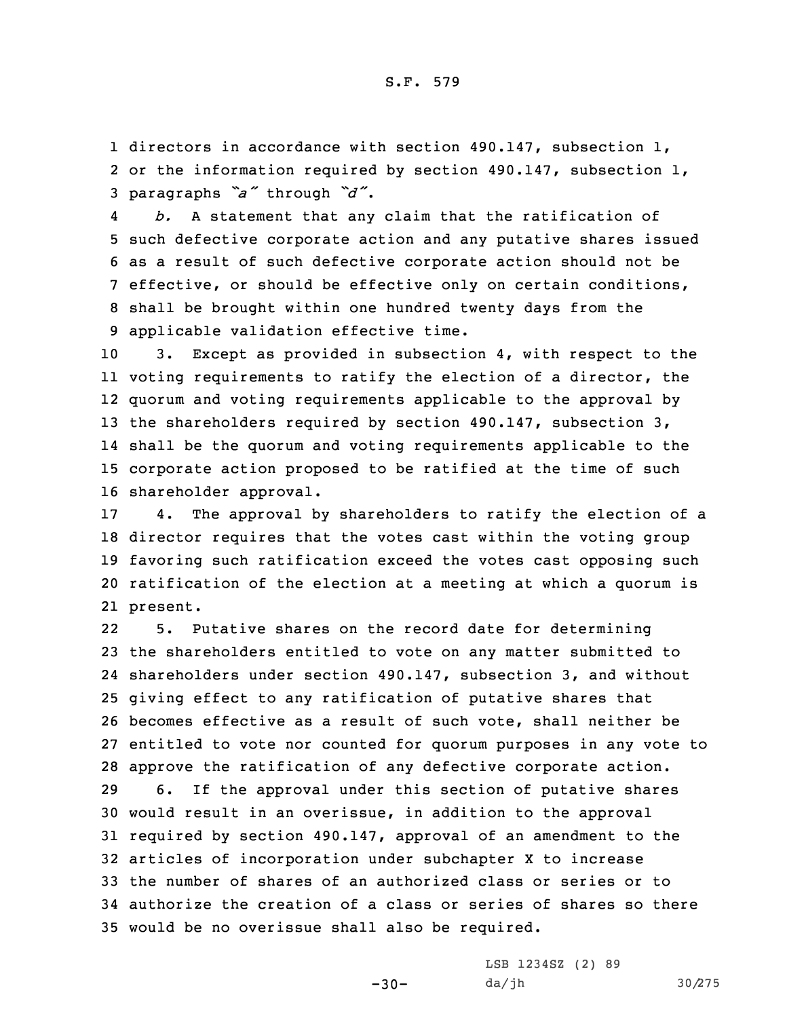1 directors in accordance with section 490.147, subsection 1, 2 or the information required by section 490.147, subsection 1, <sup>3</sup> paragraphs *"a"* through *"d"*.

4 *b.* <sup>A</sup> statement that any claim that the ratification of such defective corporate action and any putative shares issued as <sup>a</sup> result of such defective corporate action should not be effective, or should be effective only on certain conditions, shall be brought within one hundred twenty days from the applicable validation effective time.

 3. Except as provided in subsection 4, with respect to the voting requirements to ratify the election of <sup>a</sup> director, the quorum and voting requirements applicable to the approval by the shareholders required by section 490.147, subsection 3, shall be the quorum and voting requirements applicable to the corporate action proposed to be ratified at the time of such shareholder approval.

 4. The approval by shareholders to ratify the election of <sup>a</sup> director requires that the votes cast within the voting group favoring such ratification exceed the votes cast opposing such ratification of the election at <sup>a</sup> meeting at which <sup>a</sup> quorum is 21 present.

22 5. Putative shares on the record date for determining the shareholders entitled to vote on any matter submitted to shareholders under section 490.147, subsection 3, and without giving effect to any ratification of putative shares that becomes effective as <sup>a</sup> result of such vote, shall neither be entitled to vote nor counted for quorum purposes in any vote to approve the ratification of any defective corporate action. 6. If the approval under this section of putative shares would result in an overissue, in addition to the approval required by section 490.147, approval of an amendment to the articles of incorporation under subchapter <sup>X</sup> to increase the number of shares of an authorized class or series or to authorize the creation of <sup>a</sup> class or series of shares so there would be no overissue shall also be required.

 $-30-$ 

LSB 1234SZ (2) 89 da/jh 30/275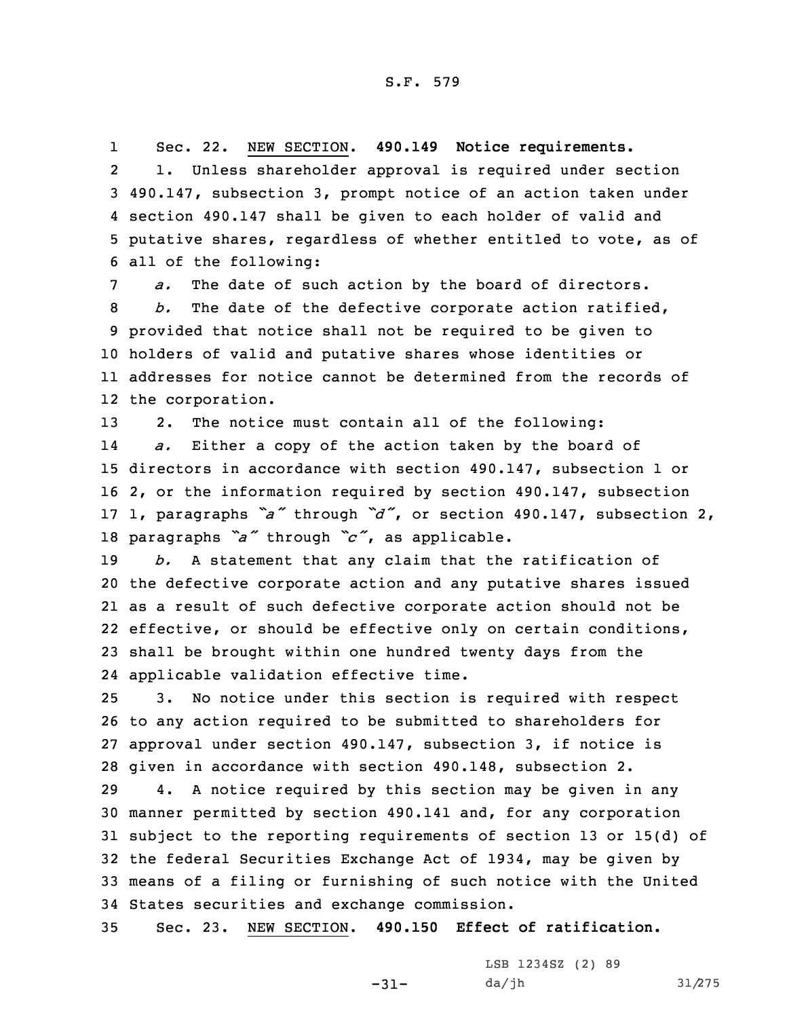1 Sec. 22. NEW SECTION. **490.149 Notice requirements.** 2 1. Unless shareholder approval is required under section 3 490.147, subsection 3, prompt notice of an action taken under 4 section 490.147 shall be given to each holder of valid and 5 putative shares, regardless of whether entitled to vote, as of 6 all of the following:

 *a.* The date of such action by the board of directors. *b.* The date of the defective corporate action ratified, provided that notice shall not be required to be given to holders of valid and putative shares whose identities or addresses for notice cannot be determined from the records of the corporation.

13 2. The notice must contain all of the following:

14 *a.* Either <sup>a</sup> copy of the action taken by the board of directors in accordance with section 490.147, subsection 1 or 2, or the information required by section 490.147, subsection 1, paragraphs *"a"* through *"d"*, or section 490.147, subsection 2, paragraphs *"a"* through *"c"*, as applicable.

 *b.* <sup>A</sup> statement that any claim that the ratification of the defective corporate action and any putative shares issued as <sup>a</sup> result of such defective corporate action should not be effective, or should be effective only on certain conditions, shall be brought within one hundred twenty days from the applicable validation effective time.

 3. No notice under this section is required with respect to any action required to be submitted to shareholders for approval under section 490.147, subsection 3, if notice is given in accordance with section 490.148, subsection 2.

 4. <sup>A</sup> notice required by this section may be given in any manner permitted by section 490.141 and, for any corporation subject to the reporting requirements of section 13 or 15(d) of the federal Securities Exchange Act of 1934, may be given by means of <sup>a</sup> filing or furnishing of such notice with the United States securities and exchange commission.

35 Sec. 23. NEW SECTION. **490.150 Effect of ratification.**

-31-

LSB 1234SZ (2) 89 da/jh 31/275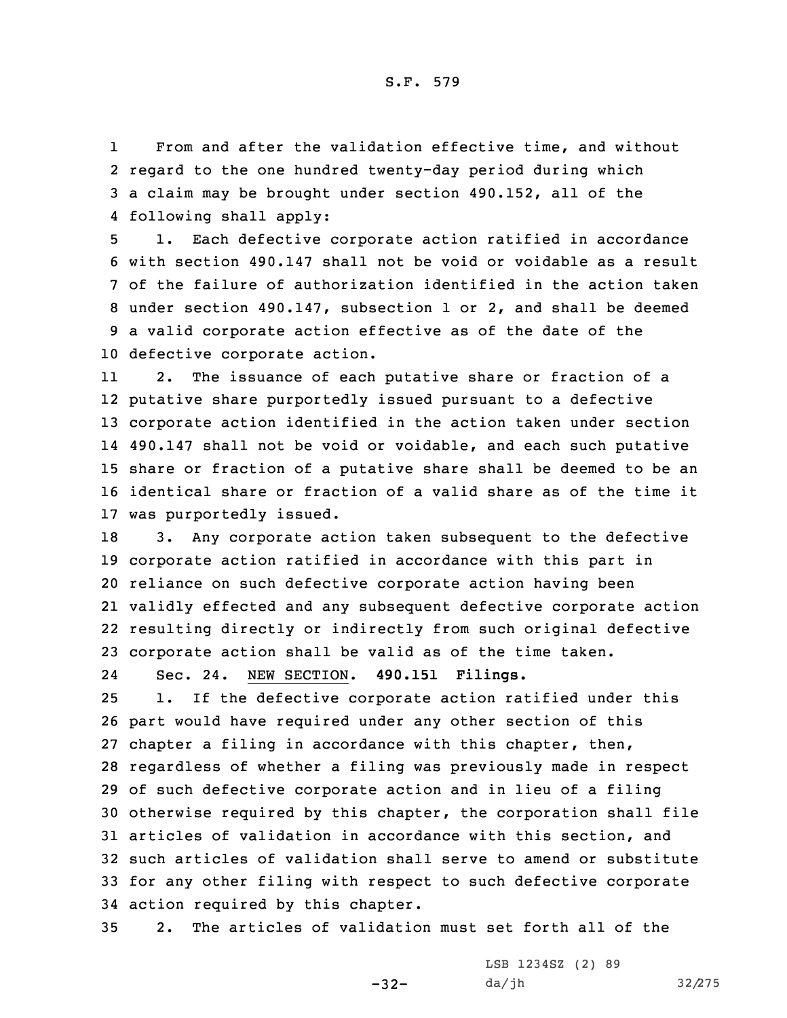1 From and after the validation effective time, and without 2 regard to the one hundred twenty-day period during which 3 <sup>a</sup> claim may be brought under section 490.152, all of the 4 following shall apply:

 1. Each defective corporate action ratified in accordance with section 490.147 shall not be void or voidable as <sup>a</sup> result of the failure of authorization identified in the action taken under section 490.147, subsection 1 or 2, and shall be deemed <sup>a</sup> valid corporate action effective as of the date of the defective corporate action.

11 2. The issuance of each putative share or fraction of <sup>a</sup> putative share purportedly issued pursuant to <sup>a</sup> defective corporate action identified in the action taken under section 490.147 shall not be void or voidable, and each such putative share or fraction of <sup>a</sup> putative share shall be deemed to be an identical share or fraction of <sup>a</sup> valid share as of the time it was purportedly issued.

 3. Any corporate action taken subsequent to the defective corporate action ratified in accordance with this part in reliance on such defective corporate action having been validly effected and any subsequent defective corporate action resulting directly or indirectly from such original defective corporate action shall be valid as of the time taken.

24Sec. 24. NEW SECTION. **490.151 Filings.**

 1. If the defective corporate action ratified under this part would have required under any other section of this chapter <sup>a</sup> filing in accordance with this chapter, then, regardless of whether <sup>a</sup> filing was previously made in respect of such defective corporate action and in lieu of <sup>a</sup> filing otherwise required by this chapter, the corporation shall file articles of validation in accordance with this section, and such articles of validation shall serve to amend or substitute for any other filing with respect to such defective corporate action required by this chapter.

35 2. The articles of validation must set forth all of the

-32-

LSB 1234SZ (2) 89 da/jh 32/275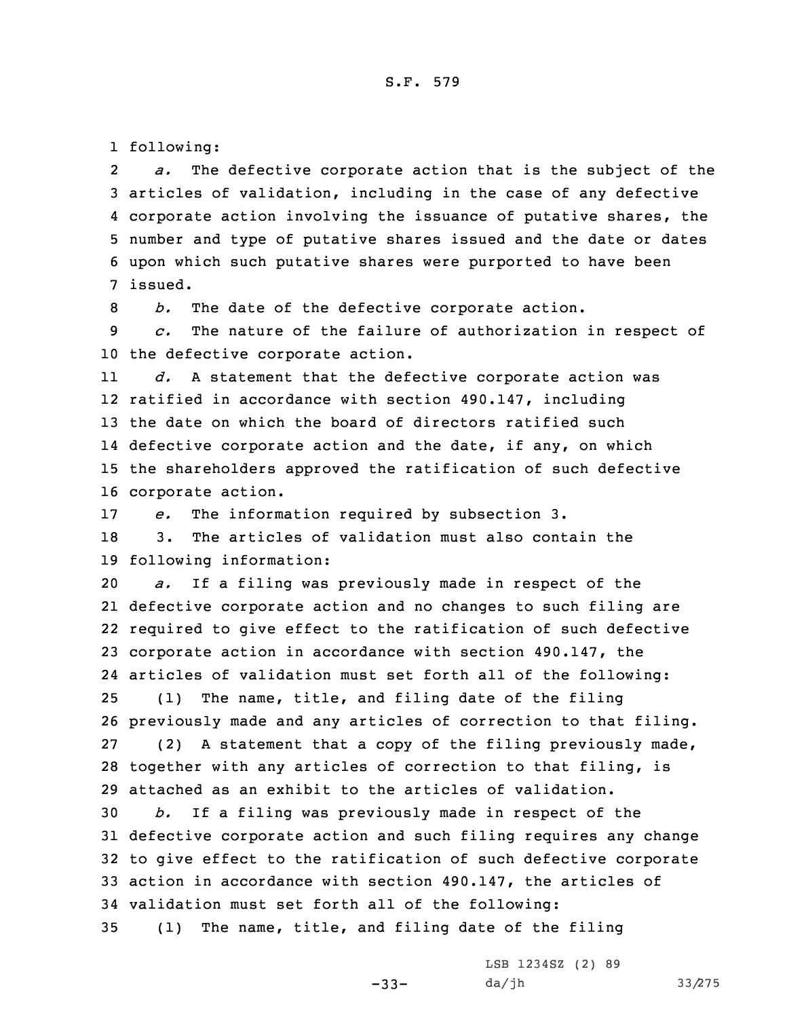1 following:

2 *a.* The defective corporate action that is the subject of the 3 articles of validation, including in the case of any defective 4 corporate action involving the issuance of putative shares, the 5 number and type of putative shares issued and the date or dates 6 upon which such putative shares were purported to have been 7 issued.

8 *b.* The date of the defective corporate action.

9 *c.* The nature of the failure of authorization in respect of 10 the defective corporate action.

11 *d.* <sup>A</sup> statement that the defective corporate action was ratified in accordance with section 490.147, including the date on which the board of directors ratified such defective corporate action and the date, if any, on which the shareholders approved the ratification of such defective corporate action.

17 *e.* The information required by subsection 3.

18 3. The articles of validation must also contain the 19 following information:

 *a.* If <sup>a</sup> filing was previously made in respect of the defective corporate action and no changes to such filing are required to give effect to the ratification of such defective corporate action in accordance with section 490.147, the articles of validation must set forth all of the following: (1) The name, title, and filing date of the filing previously made and any articles of correction to that filing. (2) <sup>A</sup> statement that <sup>a</sup> copy of the filing previously made, together with any articles of correction to that filing, is attached as an exhibit to the articles of validation.

 *b.* If <sup>a</sup> filing was previously made in respect of the defective corporate action and such filing requires any change to give effect to the ratification of such defective corporate action in accordance with section 490.147, the articles of validation must set forth all of the following:

-33-

35 (1) The name, title, and filing date of the filing

LSB 1234SZ (2) 89 da/jh 33/275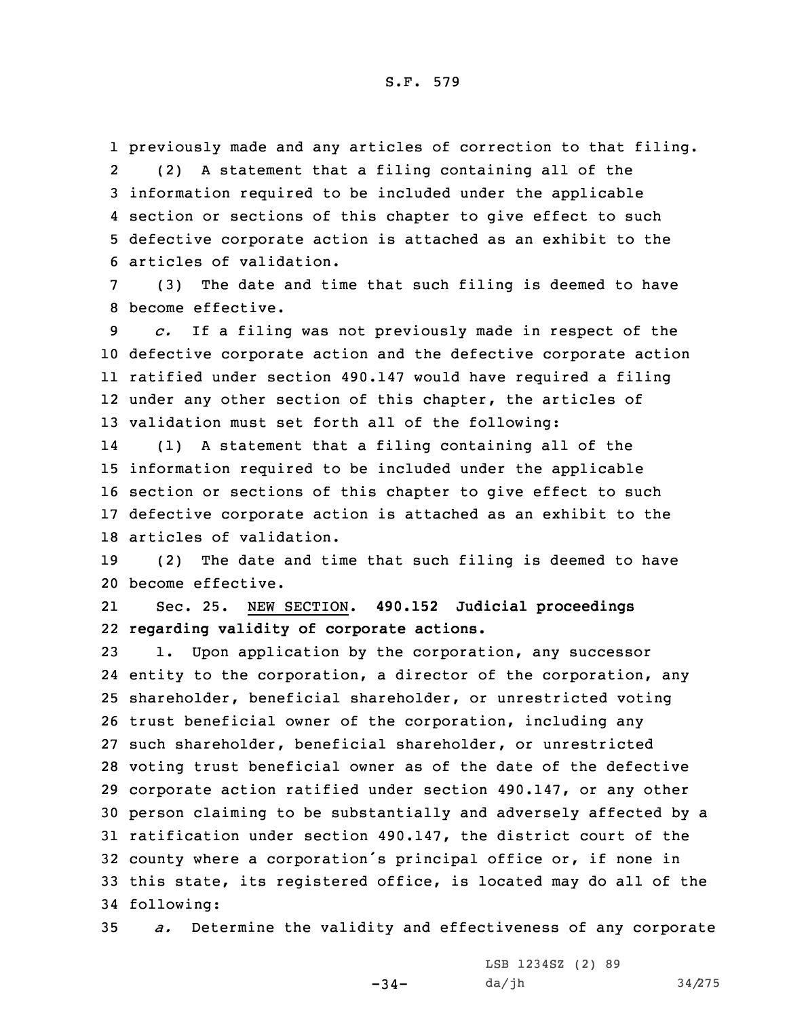previously made and any articles of correction to that filing. 2 (2) <sup>A</sup> statement that <sup>a</sup> filing containing all of the information required to be included under the applicable section or sections of this chapter to give effect to such defective corporate action is attached as an exhibit to the articles of validation.

7 (3) The date and time that such filing is deemed to have 8 become effective.

 *c.* If <sup>a</sup> filing was not previously made in respect of the defective corporate action and the defective corporate action ratified under section 490.147 would have required <sup>a</sup> filing under any other section of this chapter, the articles of validation must set forth all of the following:

14 (1) <sup>A</sup> statement that <sup>a</sup> filing containing all of the information required to be included under the applicable section or sections of this chapter to give effect to such defective corporate action is attached as an exhibit to the articles of validation.

19 (2) The date and time that such filing is deemed to have 20 become effective.

21 Sec. 25. NEW SECTION. **490.152 Judicial proceedings** 22 **regarding validity of corporate actions.**

 1. Upon application by the corporation, any successor entity to the corporation, <sup>a</sup> director of the corporation, any shareholder, beneficial shareholder, or unrestricted voting trust beneficial owner of the corporation, including any such shareholder, beneficial shareholder, or unrestricted voting trust beneficial owner as of the date of the defective corporate action ratified under section 490.147, or any other person claiming to be substantially and adversely affected by <sup>a</sup> ratification under section 490.147, the district court of the county where <sup>a</sup> corporation's principal office or, if none in this state, its registered office, is located may do all of the following:

35 *a.* Determine the validity and effectiveness of any corporate

 $-34-$ 

LSB 1234SZ (2) 89 da/jh 34/275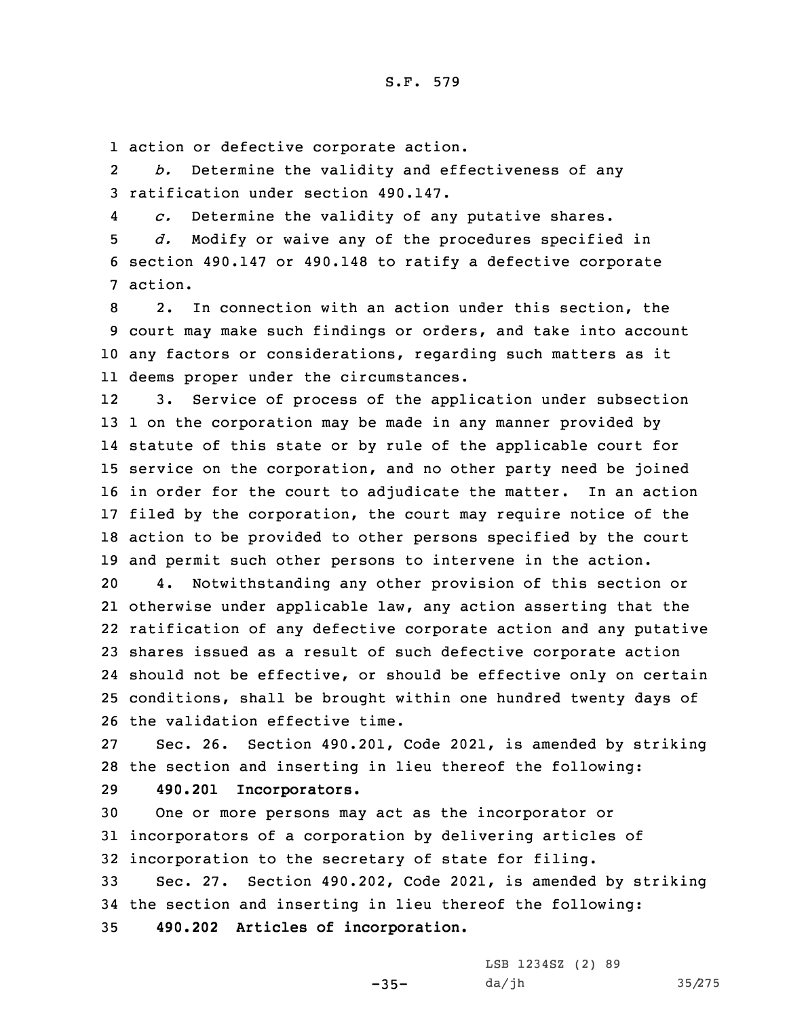1 action or defective corporate action.

2 *b.* Determine the validity and effectiveness of any 3 ratification under section 490.147.

4*c.* Determine the validity of any putative shares.

5 *d.* Modify or waive any of the procedures specified in 6 section 490.147 or 490.148 to ratify <sup>a</sup> defective corporate 7 action.

 2. In connection with an action under this section, the court may make such findings or orders, and take into account any factors or considerations, regarding such matters as it deems proper under the circumstances.

12 3. Service of process of the application under subsection 13 1 on the corporation may be made in any manner provided by statute of this state or by rule of the applicable court for service on the corporation, and no other party need be joined in order for the court to adjudicate the matter. In an action filed by the corporation, the court may require notice of the action to be provided to other persons specified by the court and permit such other persons to intervene in the action.

 4. Notwithstanding any other provision of this section or otherwise under applicable law, any action asserting that the ratification of any defective corporate action and any putative shares issued as <sup>a</sup> result of such defective corporate action should not be effective, or should be effective only on certain conditions, shall be brought within one hundred twenty days of the validation effective time.

27 Sec. 26. Section 490.201, Code 2021, is amended by striking 28 the section and inserting in lieu thereof the following: 29 **490.201 Incorporators.**

30 One or more persons may act as the incorporator or 31 incorporators of <sup>a</sup> corporation by delivering articles of 32 incorporation to the secretary of state for filing.

33 Sec. 27. Section 490.202, Code 2021, is amended by striking 34 the section and inserting in lieu thereof the following: 35 **490.202 Articles of incorporation.**

-35-

LSB 1234SZ (2) 89 da/jh 35/275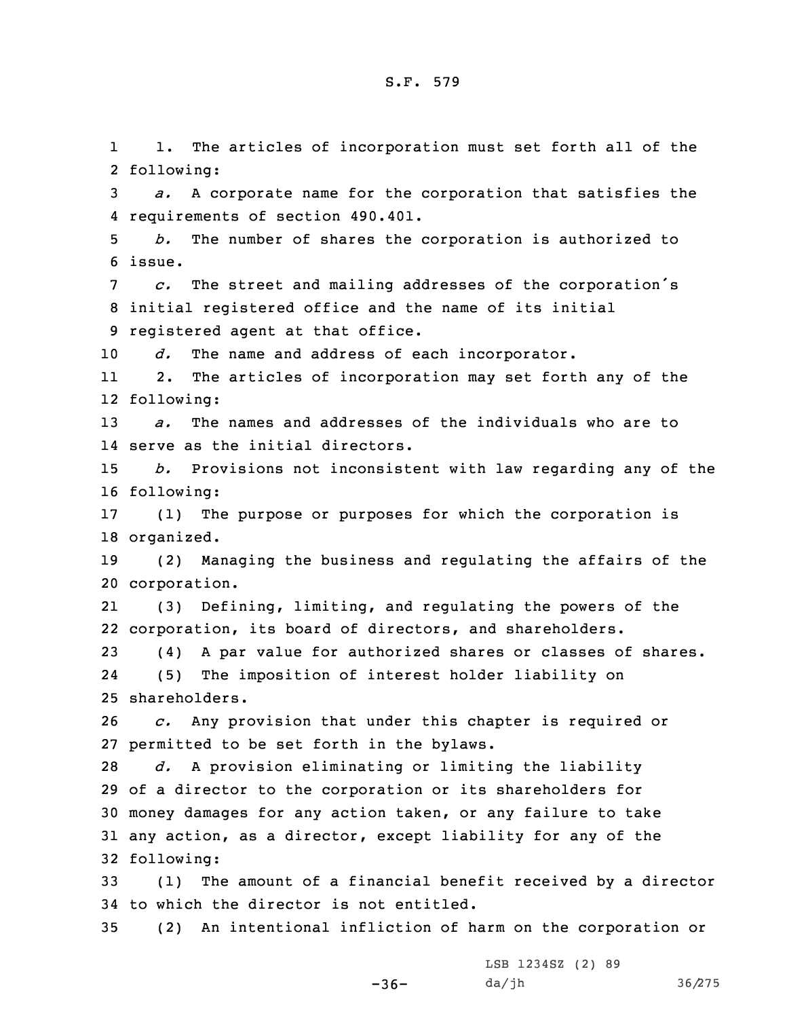1 1. The articles of incorporation must set forth all of the following: *a.* <sup>A</sup> corporate name for the corporation that satisfies the requirements of section 490.401. *b.* The number of shares the corporation is authorized to 6 issue. *c.* The street and mailing addresses of the corporation's initial registered office and the name of its initial registered agent at that office. *d.* The name and address of each incorporator. 11 2. The articles of incorporation may set forth any of the following: *a.* The names and addresses of the individuals who are to serve as the initial directors. *b.* Provisions not inconsistent with law regarding any of the following: (1) The purpose or purposes for which the corporation is organized. (2) Managing the business and regulating the affairs of the corporation. 21 (3) Defining, limiting, and regulating the powers of the corporation, its board of directors, and shareholders. (4) <sup>A</sup> par value for authorized shares or classes of shares. 24 (5) The imposition of interest holder liability on shareholders. *c.* Any provision that under this chapter is required or permitted to be set forth in the bylaws. *d.* <sup>A</sup> provision eliminating or limiting the liability of <sup>a</sup> director to the corporation or its shareholders for money damages for any action taken, or any failure to take any action, as <sup>a</sup> director, except liability for any of the

32 following:

33 (1) The amount of <sup>a</sup> financial benefit received by <sup>a</sup> director 34 to which the director is not entitled.

35 (2) An intentional infliction of harm on the corporation or

 $-36-$ 

LSB 1234SZ (2) 89 da/jh 36/275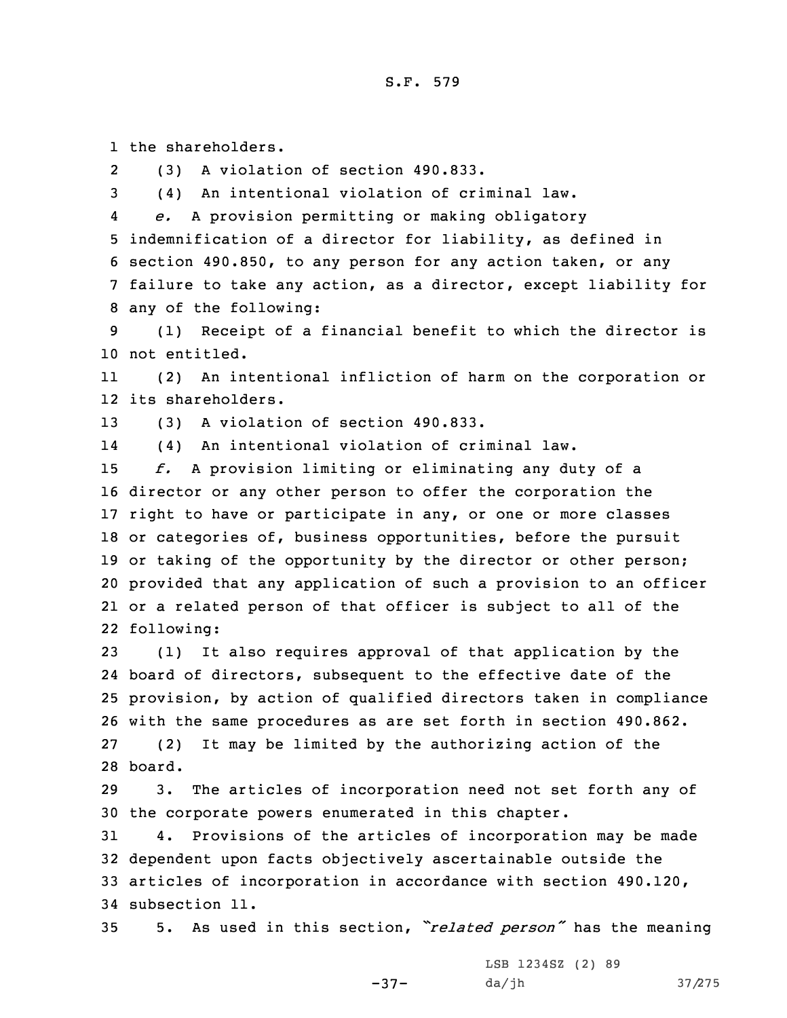1 the shareholders.

2(3) <sup>A</sup> violation of section 490.833.

3 (4) An intentional violation of criminal law.

4 *e.* <sup>A</sup> provision permitting or making obligatory indemnification of <sup>a</sup> director for liability, as defined in section 490.850, to any person for any action taken, or any failure to take any action, as <sup>a</sup> director, except liability for any of the following:

9 (1) Receipt of <sup>a</sup> financial benefit to which the director is 10 not entitled.

11 (2) An intentional infliction of harm on the corporation or 12 its shareholders.

13 (3) <sup>A</sup> violation of section 490.833.

14(4) An intentional violation of criminal law.

 *f.* <sup>A</sup> provision limiting or eliminating any duty of <sup>a</sup> director or any other person to offer the corporation the right to have or participate in any, or one or more classes or categories of, business opportunities, before the pursuit or taking of the opportunity by the director or other person; provided that any application of such <sup>a</sup> provision to an officer or <sup>a</sup> related person of that officer is subject to all of the following:

 (1) It also requires approval of that application by the board of directors, subsequent to the effective date of the provision, by action of qualified directors taken in compliance with the same procedures as are set forth in section 490.862. (2) It may be limited by the authorizing action of the 28 board.

29 3. The articles of incorporation need not set forth any of 30 the corporate powers enumerated in this chapter.

 4. Provisions of the articles of incorporation may be made dependent upon facts objectively ascertainable outside the articles of incorporation in accordance with section 490.120, subsection 11.

<sup>35</sup> 5. As used in this section, *"related person"* has the meaning

-37-

LSB 1234SZ (2) 89 da/jh 37/275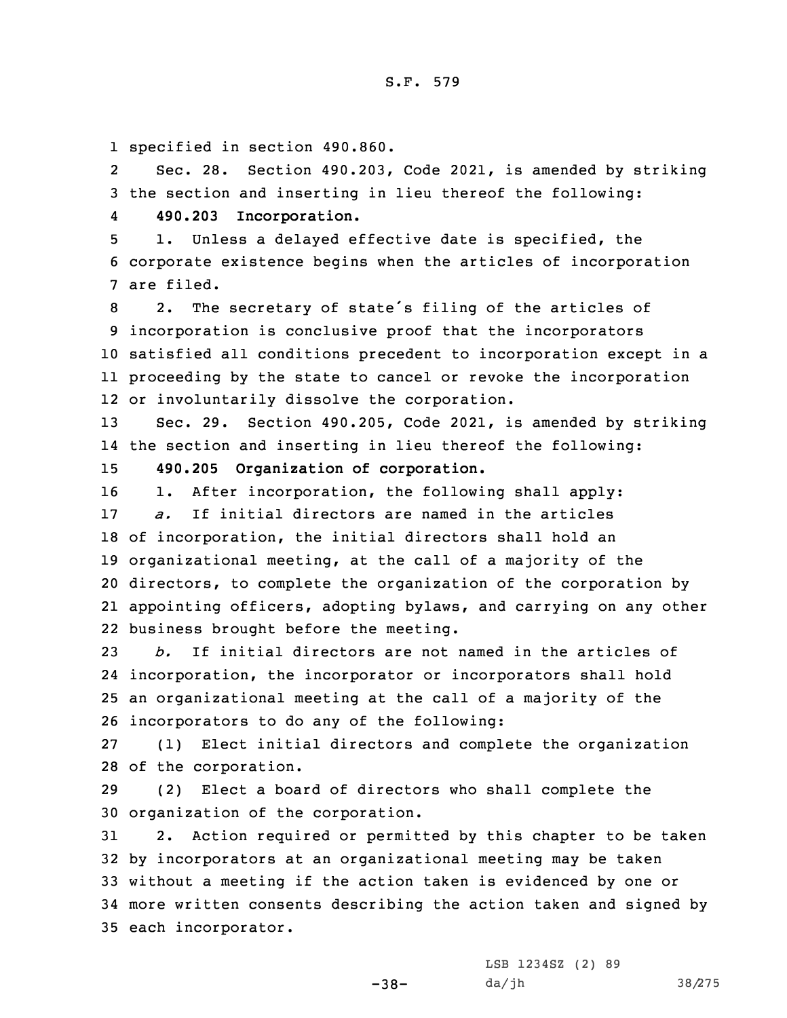1 specified in section 490.860.

2 Sec. 28. Section 490.203, Code 2021, is amended by striking 3 the section and inserting in lieu thereof the following: 4**490.203 Incorporation.**

5 1. Unless <sup>a</sup> delayed effective date is specified, the 6 corporate existence begins when the articles of incorporation 7 are filed.

 2. The secretary of state's filing of the articles of incorporation is conclusive proof that the incorporators satisfied all conditions precedent to incorporation except in <sup>a</sup> proceeding by the state to cancel or revoke the incorporation or involuntarily dissolve the corporation.

13 Sec. 29. Section 490.205, Code 2021, is amended by striking 14 the section and inserting in lieu thereof the following:

15 **490.205 Organization of corporation.**

16 1. After incorporation, the following shall apply: *a.* If initial directors are named in the articles of incorporation, the initial directors shall hold an organizational meeting, at the call of <sup>a</sup> majority of the directors, to complete the organization of the corporation by appointing officers, adopting bylaws, and carrying on any other business brought before the meeting.

 *b.* If initial directors are not named in the articles of incorporation, the incorporator or incorporators shall hold an organizational meeting at the call of <sup>a</sup> majority of the incorporators to do any of the following:

27 (1) Elect initial directors and complete the organization 28 of the corporation.

29 (2) Elect <sup>a</sup> board of directors who shall complete the 30 organization of the corporation.

 2. Action required or permitted by this chapter to be taken by incorporators at an organizational meeting may be taken without <sup>a</sup> meeting if the action taken is evidenced by one or more written consents describing the action taken and signed by each incorporator.

-38-

LSB 1234SZ (2) 89 da/jh 38/275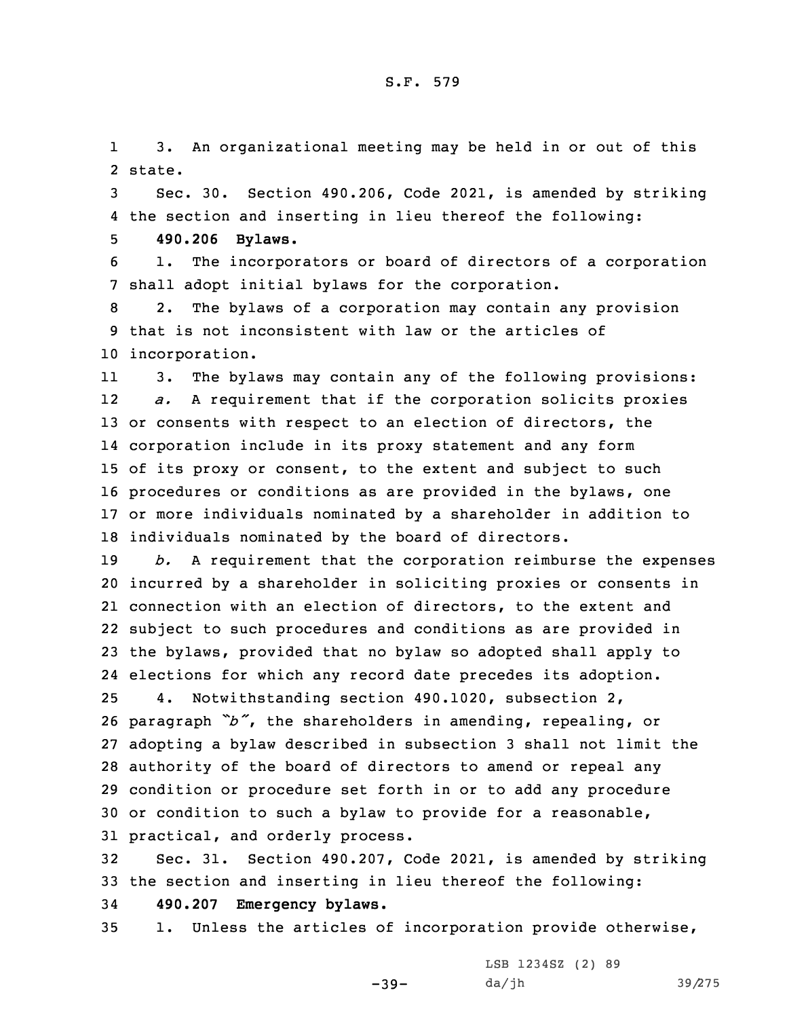1 3. An organizational meeting may be held in or out of this 2 state.

3 Sec. 30. Section 490.206, Code 2021, is amended by striking 4 the section and inserting in lieu thereof the following:

5 **490.206 Bylaws.**

6 1. The incorporators or board of directors of <sup>a</sup> corporation 7 shall adopt initial bylaws for the corporation.

8 2. The bylaws of <sup>a</sup> corporation may contain any provision 9 that is not inconsistent with law or the articles of 10 incorporation.

11 3. The bylaws may contain any of the following provisions: 12 *a.* <sup>A</sup> requirement that if the corporation solicits proxies 13 or consents with respect to an election of directors, the 14 corporation include in its proxy statement and any form 15 of its proxy or consent, to the extent and subject to such 16 procedures or conditions as are provided in the bylaws, one 17 or more individuals nominated by <sup>a</sup> shareholder in addition to 18 individuals nominated by the board of directors.

 *b.* <sup>A</sup> requirement that the corporation reimburse the expenses incurred by <sup>a</sup> shareholder in soliciting proxies or consents in connection with an election of directors, to the extent and subject to such procedures and conditions as are provided in the bylaws, provided that no bylaw so adopted shall apply to elections for which any record date precedes its adoption. 4. Notwithstanding section 490.1020, subsection 2,

 paragraph *"b"*, the shareholders in amending, repealing, or adopting <sup>a</sup> bylaw described in subsection 3 shall not limit the authority of the board of directors to amend or repeal any condition or procedure set forth in or to add any procedure or condition to such <sup>a</sup> bylaw to provide for <sup>a</sup> reasonable, practical, and orderly process.

32 Sec. 31. Section 490.207, Code 2021, is amended by striking 33 the section and inserting in lieu thereof the following:

34 **490.207 Emergency bylaws.**

35 1. Unless the articles of incorporation provide otherwise,

-39-

LSB 1234SZ (2) 89 da/jh 39/275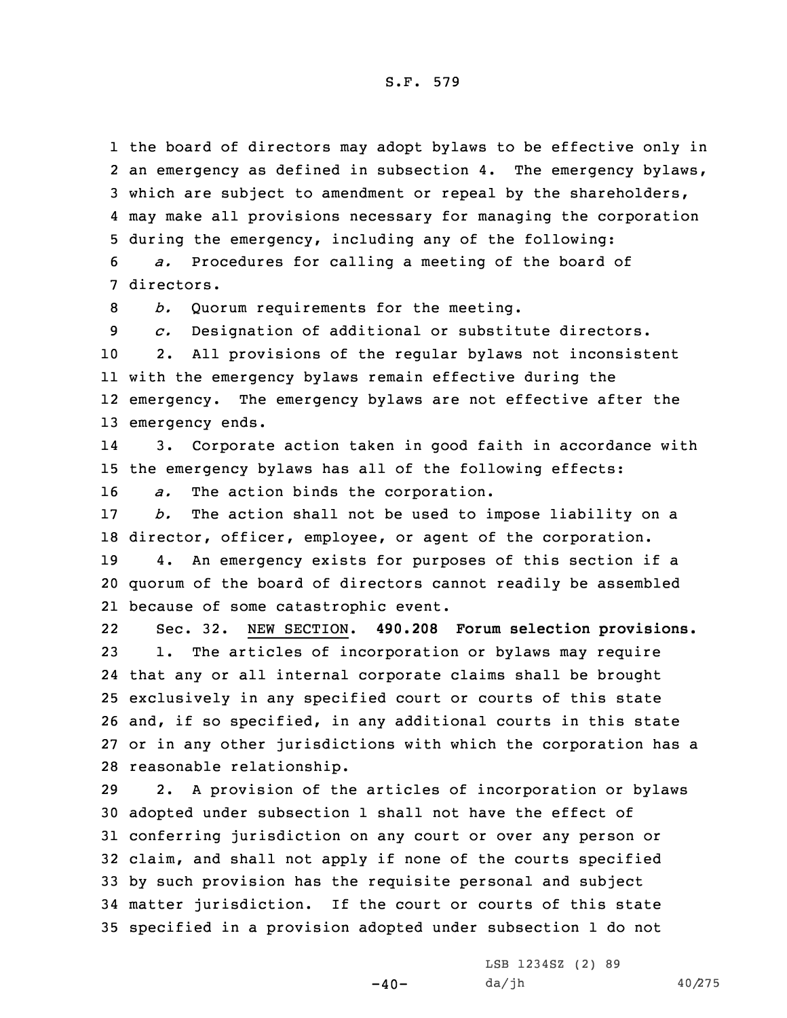S.F. 579

 the board of directors may adopt bylaws to be effective only in an emergency as defined in subsection 4. The emergency bylaws, which are subject to amendment or repeal by the shareholders, may make all provisions necessary for managing the corporation during the emergency, including any of the following:

6 *a.* Procedures for calling <sup>a</sup> meeting of the board of 7 directors.

8 *b.* Quorum requirements for the meeting.

 *c.* Designation of additional or substitute directors. 2. All provisions of the regular bylaws not inconsistent with the emergency bylaws remain effective during the emergency. The emergency bylaws are not effective after the emergency ends.

14 3. Corporate action taken in good faith in accordance with 15 the emergency bylaws has all of the following effects: 16 *a.* The action binds the corporation.

17 *b.* The action shall not be used to impose liability on <sup>a</sup> 18 director, officer, employee, or agent of the corporation.

19 4. An emergency exists for purposes of this section if <sup>a</sup> 20 quorum of the board of directors cannot readily be assembled 21 because of some catastrophic event.

22 Sec. 32. NEW SECTION. **490.208 Forum selection provisions.** 1. The articles of incorporation or bylaws may require that any or all internal corporate claims shall be brought exclusively in any specified court or courts of this state and, if so specified, in any additional courts in this state or in any other jurisdictions with which the corporation has <sup>a</sup> reasonable relationship.

 2. <sup>A</sup> provision of the articles of incorporation or bylaws adopted under subsection 1 shall not have the effect of conferring jurisdiction on any court or over any person or claim, and shall not apply if none of the courts specified by such provision has the requisite personal and subject matter jurisdiction. If the court or courts of this state specified in <sup>a</sup> provision adopted under subsection 1 do not

> LSB 1234SZ (2) 89 da/jh 40/275

 $-40-$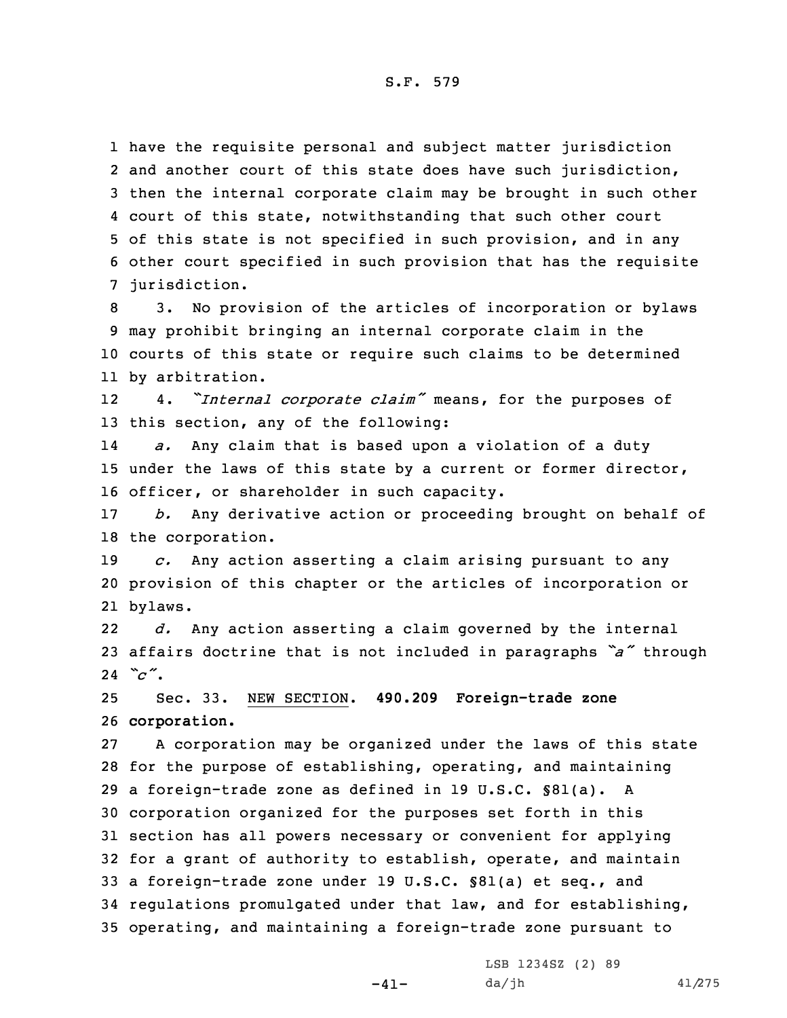have the requisite personal and subject matter jurisdiction and another court of this state does have such jurisdiction, then the internal corporate claim may be brought in such other court of this state, notwithstanding that such other court of this state is not specified in such provision, and in any other court specified in such provision that has the requisite jurisdiction.

 3. No provision of the articles of incorporation or bylaws may prohibit bringing an internal corporate claim in the courts of this state or require such claims to be determined by arbitration.

12 4. *"Internal corporate claim"* means, for the purposes of 13 this section, any of the following:

14 *a.* Any claim that is based upon <sup>a</sup> violation of <sup>a</sup> duty 15 under the laws of this state by <sup>a</sup> current or former director, 16 officer, or shareholder in such capacity.

17 *b.* Any derivative action or proceeding brought on behalf of 18 the corporation.

19 *c.* Any action asserting <sup>a</sup> claim arising pursuant to any 20 provision of this chapter or the articles of incorporation or 21 bylaws.

22 *d.* Any action asserting <sup>a</sup> claim governed by the internal <sup>23</sup> affairs doctrine that is not included in paragraphs *"a"* through 24 *"c"*.

25 Sec. 33. NEW SECTION. **490.209 Foreign-trade zone** 26 **corporation.**

 <sup>A</sup> corporation may be organized under the laws of this state for the purpose of establishing, operating, and maintaining <sup>a</sup> foreign-trade zone as defined in 19 U.S.C. §81(a). <sup>A</sup> corporation organized for the purposes set forth in this section has all powers necessary or convenient for applying for <sup>a</sup> grant of authority to establish, operate, and maintain <sup>a</sup> foreign-trade zone under 19 U.S.C. §81(a) et seq., and regulations promulgated under that law, and for establishing, operating, and maintaining <sup>a</sup> foreign-trade zone pursuant to

 $-41-$ 

LSB 1234SZ (2) 89 da/jh 41/275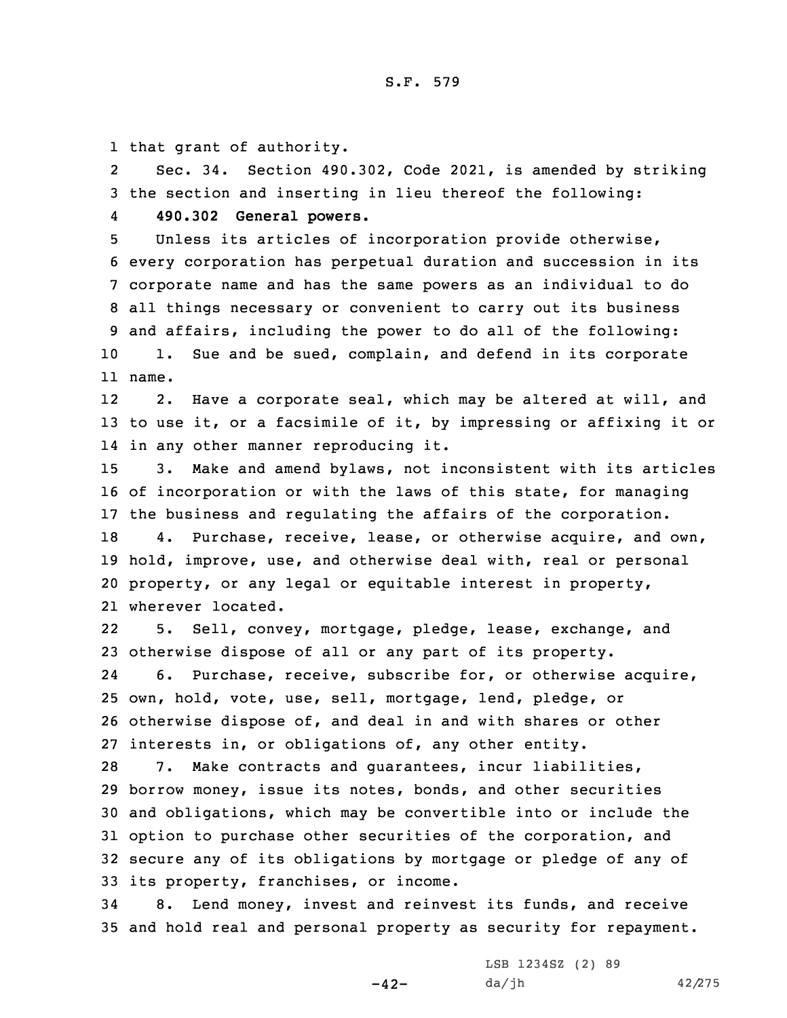1 that grant of authority.

2 Sec. 34. Section 490.302, Code 2021, is amended by striking 3 the section and inserting in lieu thereof the following:

4**490.302 General powers.**

 Unless its articles of incorporation provide otherwise, every corporation has perpetual duration and succession in its corporate name and has the same powers as an individual to do all things necessary or convenient to carry out its business and affairs, including the power to do all of the following: 1. Sue and be sued, complain, and defend in its corporate 11 name.

12 2. Have <sup>a</sup> corporate seal, which may be altered at will, and 13 to use it, or <sup>a</sup> facsimile of it, by impressing or affixing it or 14 in any other manner reproducing it.

 3. Make and amend bylaws, not inconsistent with its articles of incorporation or with the laws of this state, for managing the business and regulating the affairs of the corporation. 4. Purchase, receive, lease, or otherwise acquire, and own, hold, improve, use, and otherwise deal with, real or personal property, or any legal or equitable interest in property, wherever located.

22 5. Sell, convey, mortgage, pledge, lease, exchange, and 23 otherwise dispose of all or any part of its property. 24 6. Purchase, receive, subscribe for, or otherwise acquire, 25 own, hold, vote, use, sell, mortgage, lend, pledge, or 26 otherwise dispose of, and deal in and with shares or other 27 interests in, or obligations of, any other entity.

 7. Make contracts and guarantees, incur liabilities, borrow money, issue its notes, bonds, and other securities and obligations, which may be convertible into or include the option to purchase other securities of the corporation, and secure any of its obligations by mortgage or pledge of any of its property, franchises, or income.

34 8. Lend money, invest and reinvest its funds, and receive 35 and hold real and personal property as security for repayment.

 $-42-$ 

LSB 1234SZ (2) 89 da/jh 42/275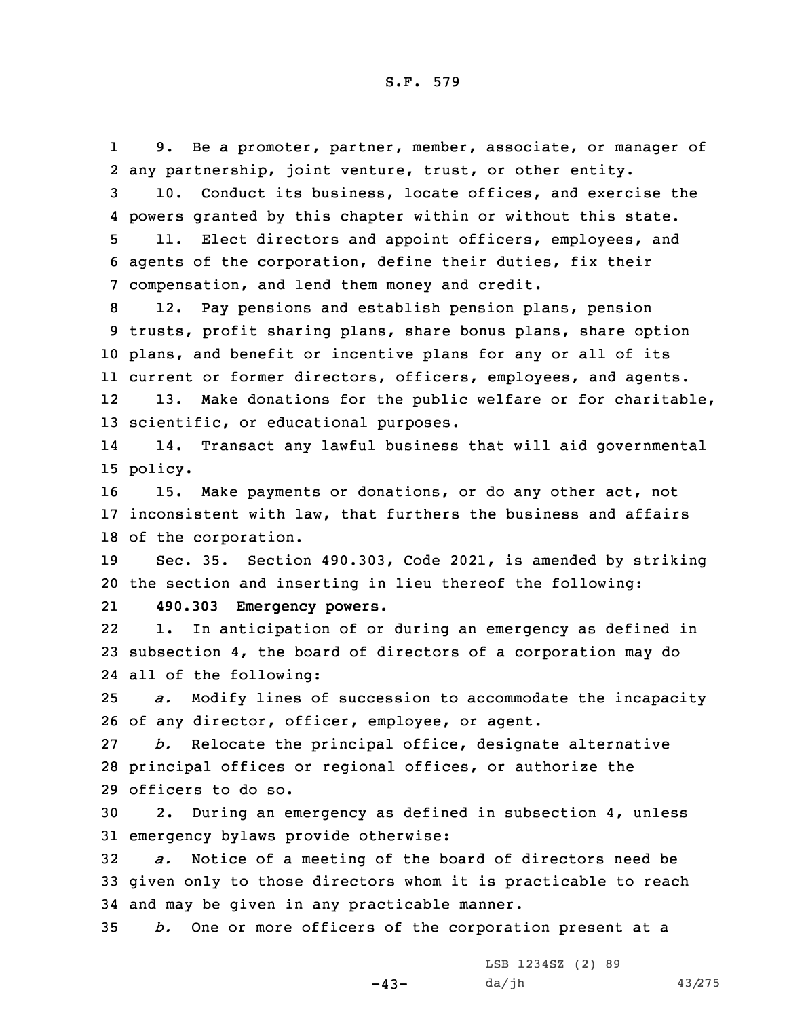1 9. Be <sup>a</sup> promoter, partner, member, associate, or manager of 2 any partnership, joint venture, trust, or other entity.

3 10. Conduct its business, locate offices, and exercise the 4 powers granted by this chapter within or without this state.

5 11. Elect directors and appoint officers, employees, and 6 agents of the corporation, define their duties, fix their 7 compensation, and lend them money and credit.

 12. Pay pensions and establish pension plans, pension trusts, profit sharing plans, share bonus plans, share option plans, and benefit or incentive plans for any or all of its current or former directors, officers, employees, and agents. 12 13. Make donations for the public welfare or for charitable, scientific, or educational purposes.

14 14. Transact any lawful business that will aid governmental 15 policy.

16 15. Make payments or donations, or do any other act, not 17 inconsistent with law, that furthers the business and affairs 18 of the corporation.

19 Sec. 35. Section 490.303, Code 2021, is amended by striking 20 the section and inserting in lieu thereof the following:

21**490.303 Emergency powers.**

22 1. In anticipation of or during an emergency as defined in 23 subsection 4, the board of directors of <sup>a</sup> corporation may do 24 all of the following:

25 *a.* Modify lines of succession to accommodate the incapacity 26 of any director, officer, employee, or agent.

27 *b.* Relocate the principal office, designate alternative 28 principal offices or regional offices, or authorize the 29 officers to do so.

30 2. During an emergency as defined in subsection 4, unless 31 emergency bylaws provide otherwise:

32 *a.* Notice of <sup>a</sup> meeting of the board of directors need be 33 given only to those directors whom it is practicable to reach 34 and may be given in any practicable manner.

35 *b.* One or more officers of the corporation present at <sup>a</sup>

 $-43-$ 

LSB 1234SZ (2) 89 da/jh 43/275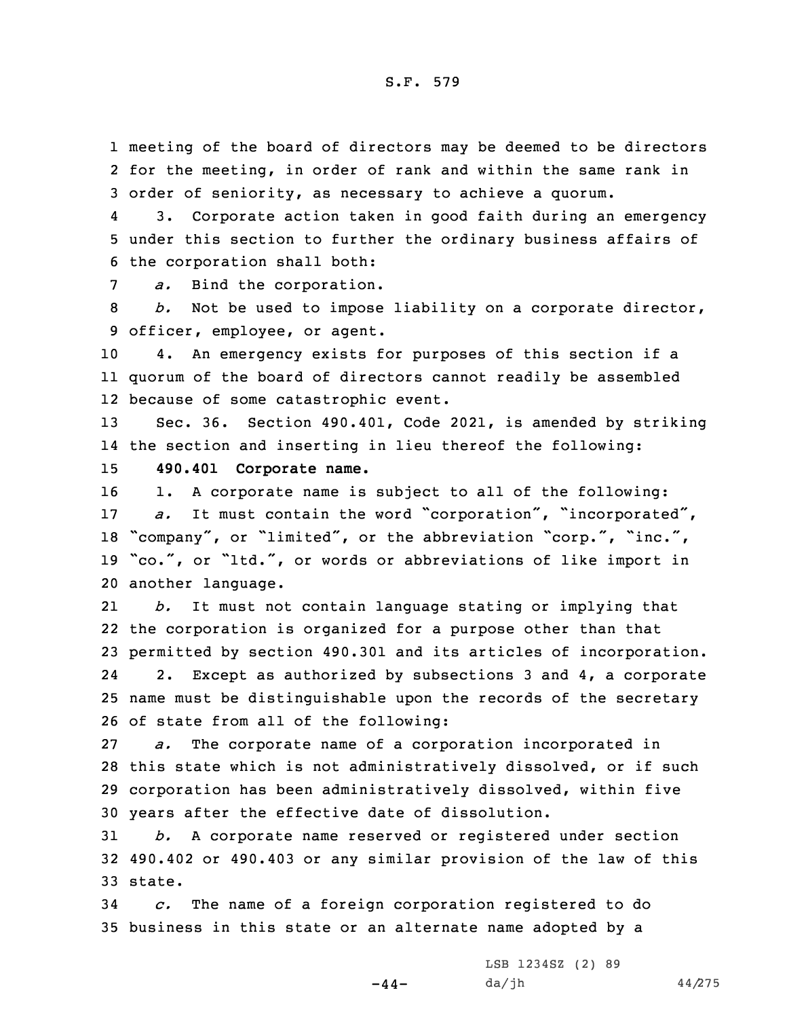S.F. 579

1 meeting of the board of directors may be deemed to be directors 2 for the meeting, in order of rank and within the same rank in 3 order of seniority, as necessary to achieve <sup>a</sup> quorum.

4 3. Corporate action taken in good faith during an emergency 5 under this section to further the ordinary business affairs of 6 the corporation shall both:

7 *a.* Bind the corporation.

8 *b.* Not be used to impose liability on <sup>a</sup> corporate director, 9 officer, employee, or agent.

10 4. An emergency exists for purposes of this section if <sup>a</sup> 11 quorum of the board of directors cannot readily be assembled 12 because of some catastrophic event.

13 Sec. 36. Section 490.401, Code 2021, is amended by striking 14 the section and inserting in lieu thereof the following:

15 **490.401 Corporate name.**

 1. <sup>A</sup> corporate name is subject to all of the following: *a.* It must contain the word "corporation", "incorporated", "company", or "limited", or the abbreviation "corp.", "inc.", "co.", or "ltd.", or words or abbreviations of like import in another language.

21 *b.* It must not contain language stating or implying that 22 the corporation is organized for <sup>a</sup> purpose other than that 23 permitted by section 490.301 and its articles of incorporation. 24 2. Except as authorized by subsections 3 and 4, <sup>a</sup> corporate 25 name must be distinguishable upon the records of the secretary 26 of state from all of the following:

 *a.* The corporate name of <sup>a</sup> corporation incorporated in this state which is not administratively dissolved, or if such corporation has been administratively dissolved, within five years after the effective date of dissolution.

31 *b.* <sup>A</sup> corporate name reserved or registered under section 32 490.402 or 490.403 or any similar provision of the law of this 33 state.

34 *c.* The name of <sup>a</sup> foreign corporation registered to do 35 business in this state or an alternate name adopted by <sup>a</sup>

 $-44-$ 

LSB 1234SZ (2) 89 da/jh 44/275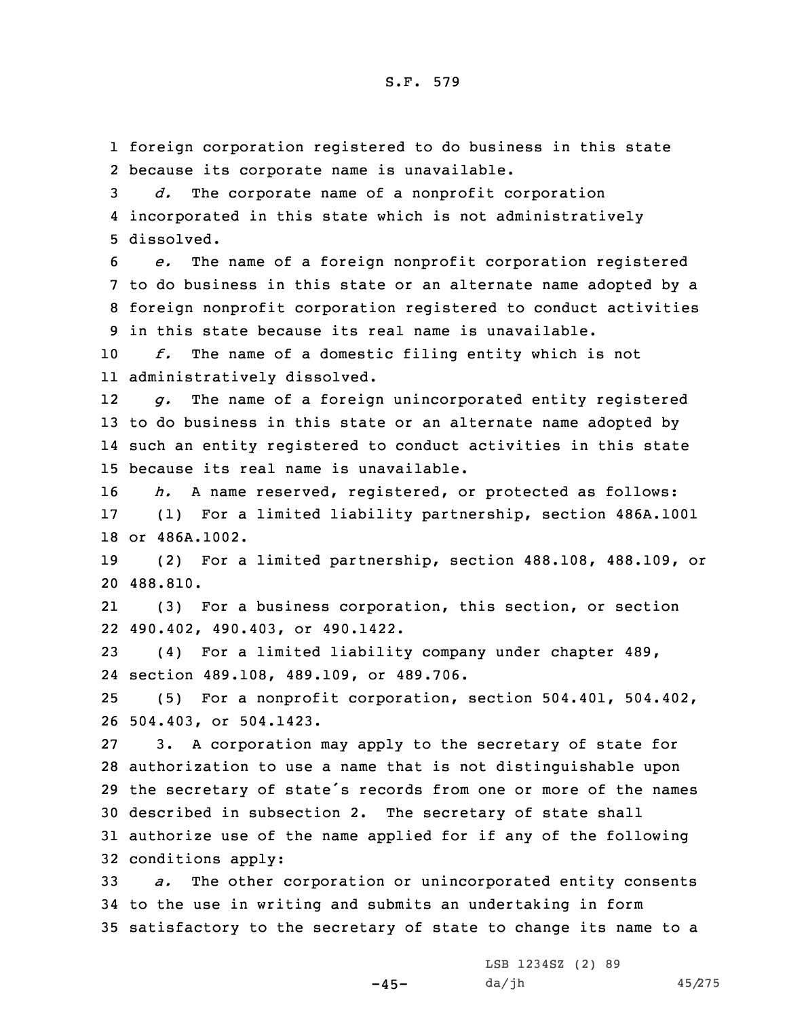1 foreign corporation registered to do business in this state 2 because its corporate name is unavailable.

3 *d.* The corporate name of <sup>a</sup> nonprofit corporation 4 incorporated in this state which is not administratively 5 dissolved.

 *e.* The name of <sup>a</sup> foreign nonprofit corporation registered to do business in this state or an alternate name adopted by <sup>a</sup> foreign nonprofit corporation registered to conduct activities in this state because its real name is unavailable.

10 *f.* The name of <sup>a</sup> domestic filing entity which is not 11 administratively dissolved.

12 *g.* The name of <sup>a</sup> foreign unincorporated entity registered 13 to do business in this state or an alternate name adopted by 14 such an entity registered to conduct activities in this state 15 because its real name is unavailable.

16 *h.* <sup>A</sup> name reserved, registered, or protected as follows: 17 (1) For <sup>a</sup> limited liability partnership, section 486A.1001 18 or 486A.1002.

19 (2) For <sup>a</sup> limited partnership, section 488.108, 488.109, or 20 488.810.

21 (3) For <sup>a</sup> business corporation, this section, or section 22 490.402, 490.403, or 490.1422.

23 (4) For <sup>a</sup> limited liability company under chapter 489, 24 section 489.108, 489.109, or 489.706.

25 (5) For <sup>a</sup> nonprofit corporation, section 504.401, 504.402, 26 504.403, or 504.1423.

 3. <sup>A</sup> corporation may apply to the secretary of state for authorization to use <sup>a</sup> name that is not distinguishable upon the secretary of state's records from one or more of the names described in subsection 2. The secretary of state shall authorize use of the name applied for if any of the following conditions apply:

33 *a.* The other corporation or unincorporated entity consents 34 to the use in writing and submits an undertaking in form 35 satisfactory to the secretary of state to change its name to <sup>a</sup>

 $-45-$ 

LSB 1234SZ (2) 89 da/jh 45/275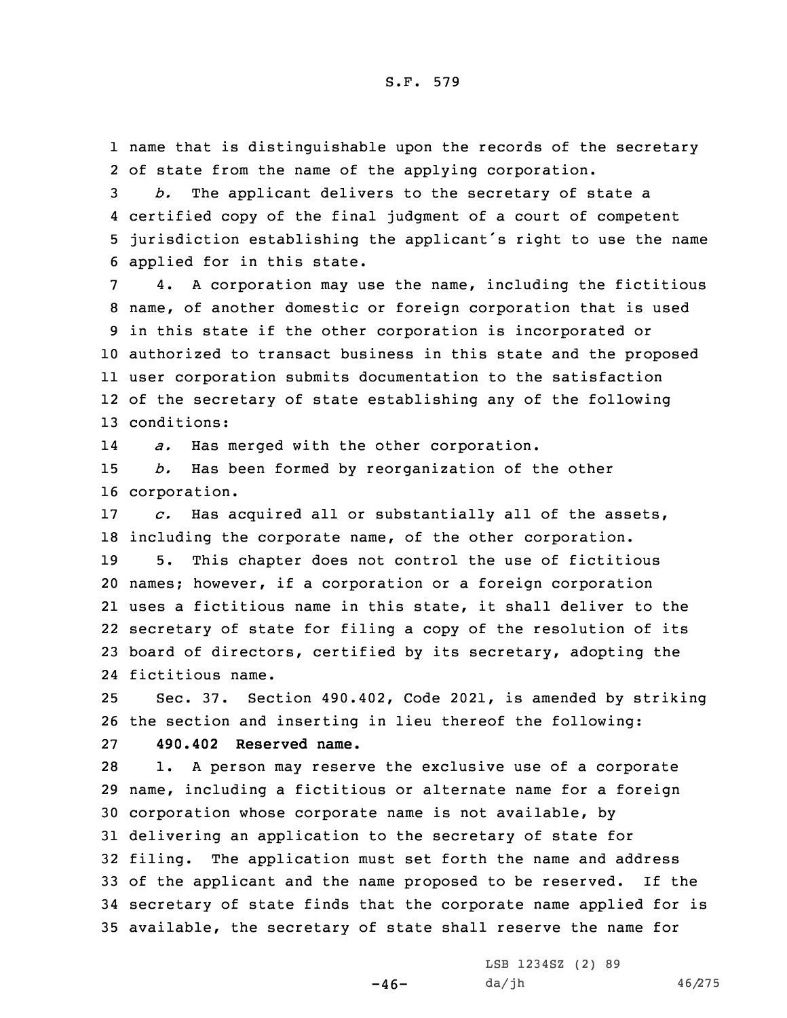1 name that is distinguishable upon the records of the secretary 2 of state from the name of the applying corporation.

 *b.* The applicant delivers to the secretary of state <sup>a</sup> certified copy of the final judgment of <sup>a</sup> court of competent jurisdiction establishing the applicant's right to use the name applied for in this state.

 4. <sup>A</sup> corporation may use the name, including the fictitious name, of another domestic or foreign corporation that is used in this state if the other corporation is incorporated or authorized to transact business in this state and the proposed user corporation submits documentation to the satisfaction of the secretary of state establishing any of the following conditions:

14*a.* Has merged with the other corporation.

15 *b.* Has been formed by reorganization of the other 16 corporation.

 *c.* Has acquired all or substantially all of the assets, including the corporate name, of the other corporation. 5. This chapter does not control the use of fictitious names; however, if <sup>a</sup> corporation or <sup>a</sup> foreign corporation uses <sup>a</sup> fictitious name in this state, it shall deliver to the secretary of state for filing <sup>a</sup> copy of the resolution of its board of directors, certified by its secretary, adopting the fictitious name.

25 Sec. 37. Section 490.402, Code 2021, is amended by striking 26 the section and inserting in lieu thereof the following:

27 **490.402 Reserved name.**

 1. <sup>A</sup> person may reserve the exclusive use of <sup>a</sup> corporate name, including <sup>a</sup> fictitious or alternate name for <sup>a</sup> foreign corporation whose corporate name is not available, by delivering an application to the secretary of state for filing. The application must set forth the name and address of the applicant and the name proposed to be reserved. If the secretary of state finds that the corporate name applied for is available, the secretary of state shall reserve the name for

 $-46-$ 

LSB 1234SZ (2) 89 da/jh 46/275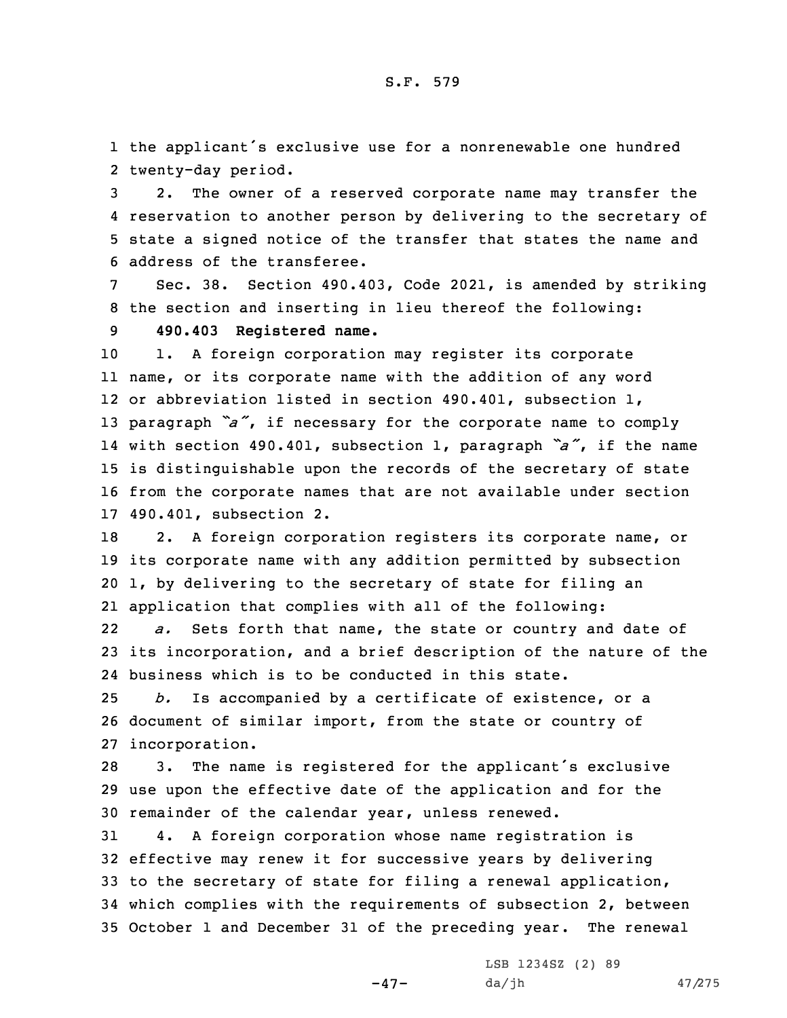1 the applicant's exclusive use for <sup>a</sup> nonrenewable one hundred 2 twenty-day period.

 2. The owner of <sup>a</sup> reserved corporate name may transfer the reservation to another person by delivering to the secretary of state <sup>a</sup> signed notice of the transfer that states the name and address of the transferee.

Sec. 38. Section 490.403, Code 2021, is amended by striking 8 the section and inserting in lieu thereof the following:

9 **490.403 Registered name.**

 1. <sup>A</sup> foreign corporation may register its corporate name, or its corporate name with the addition of any word or abbreviation listed in section 490.401, subsection 1, paragraph *"a"*, if necessary for the corporate name to comply with section 490.401, subsection 1, paragraph *"a"*, if the name is distinguishable upon the records of the secretary of state from the corporate names that are not available under section 490.401, subsection 2.

 2. <sup>A</sup> foreign corporation registers its corporate name, or its corporate name with any addition permitted by subsection 1, by delivering to the secretary of state for filing an application that complies with all of the following:

22 *a.* Sets forth that name, the state or country and date of 23 its incorporation, and <sup>a</sup> brief description of the nature of the 24 business which is to be conducted in this state.

25 *b.* Is accompanied by <sup>a</sup> certificate of existence, or <sup>a</sup> 26 document of similar import, from the state or country of 27 incorporation.

<sup>28</sup> 3. The name is registered for the applicant's exclusive 29 use upon the effective date of the application and for the 30 remainder of the calendar year, unless renewed.

 4. <sup>A</sup> foreign corporation whose name registration is effective may renew it for successive years by delivering to the secretary of state for filing <sup>a</sup> renewal application, which complies with the requirements of subsection 2, between October 1 and December 31 of the preceding year. The renewal

 $-47-$ 

LSB 1234SZ (2) 89 da/jh 47/275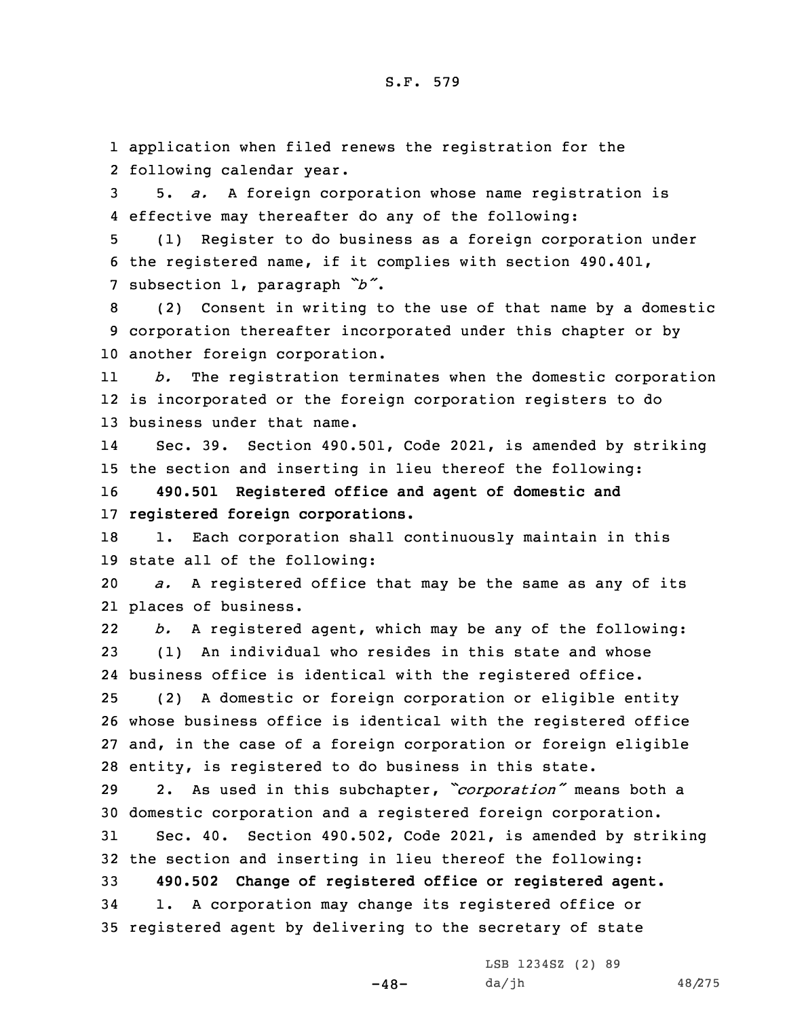1 application when filed renews the registration for the 2 following calendar year.

3 5. *a.* <sup>A</sup> foreign corporation whose name registration is 4 effective may thereafter do any of the following:

5 (1) Register to do business as <sup>a</sup> foreign corporation under 6 the registered name, if it complies with section 490.401, <sup>7</sup> subsection 1, paragraph *"b"*.

8 (2) Consent in writing to the use of that name by <sup>a</sup> domestic 9 corporation thereafter incorporated under this chapter or by 10 another foreign corporation.

11 *b.* The registration terminates when the domestic corporation 12 is incorporated or the foreign corporation registers to do 13 business under that name.

14 Sec. 39. Section 490.501, Code 2021, is amended by striking 15 the section and inserting in lieu thereof the following:

16 **490.501 Registered office and agent of domestic and** 17 **registered foreign corporations.**

18 1. Each corporation shall continuously maintain in this 19 state all of the following:

20 *a.* <sup>A</sup> registered office that may be the same as any of its 21 places of business.

22 *b.* <sup>A</sup> registered agent, which may be any of the following: 23 (1) An individual who resides in this state and whose 24 business office is identical with the registered office.

 (2) <sup>A</sup> domestic or foreign corporation or eligible entity whose business office is identical with the registered office and, in the case of <sup>a</sup> foreign corporation or foreign eligible entity, is registered to do business in this state.

<sup>29</sup> 2. As used in this subchapter, *"corporation"* means both <sup>a</sup> 30 domestic corporation and <sup>a</sup> registered foreign corporation.

31 Sec. 40. Section 490.502, Code 2021, is amended by striking 32 the section and inserting in lieu thereof the following:

33 **490.502 Change of registered office or registered agent.** 34 1. <sup>A</sup> corporation may change its registered office or 35 registered agent by delivering to the secretary of state

 $-48-$ 

LSB 1234SZ (2) 89 da/jh 48/275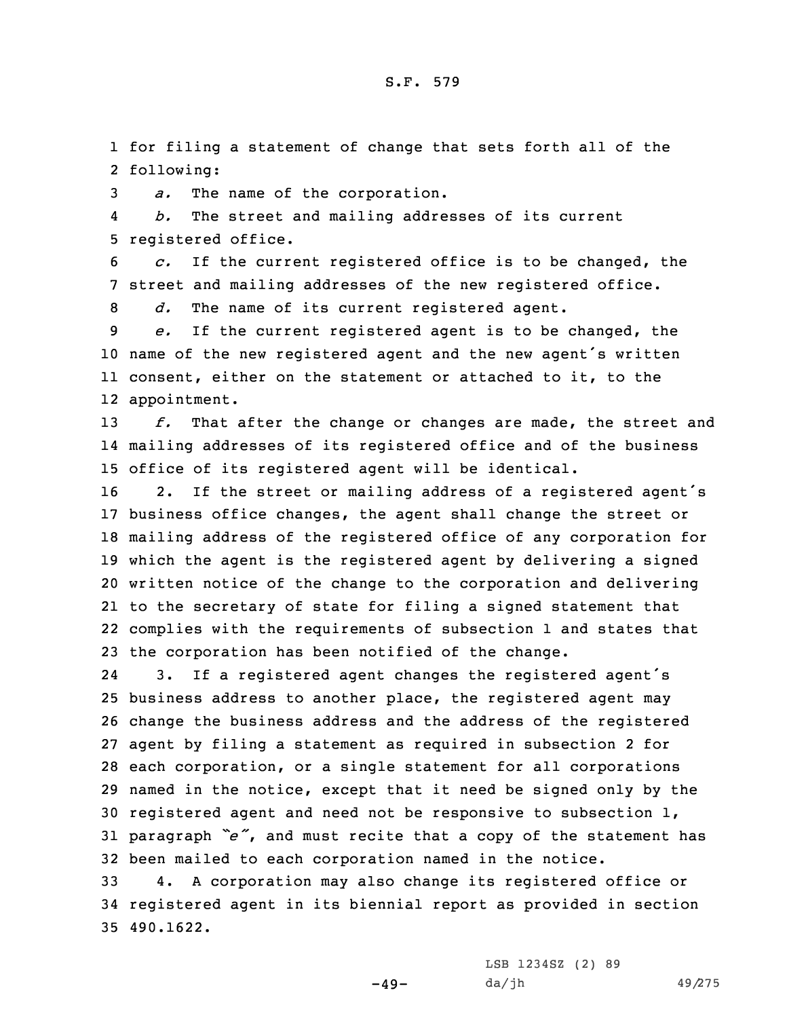1 for filing <sup>a</sup> statement of change that sets forth all of the 2 following:

3 *a.* The name of the corporation.

4 *b.* The street and mailing addresses of its current 5 registered office.

6 *c.* If the current registered office is to be changed, the 7 street and mailing addresses of the new registered office.

8 *d.* The name of its current registered agent.

 *e.* If the current registered agent is to be changed, the name of the new registered agent and the new agent's written consent, either on the statement or attached to it, to the appointment.

13 *f.* That after the change or changes are made, the street and 14 mailing addresses of its registered office and of the business 15 office of its registered agent will be identical.

 2. If the street or mailing address of <sup>a</sup> registered agent's business office changes, the agent shall change the street or mailing address of the registered office of any corporation for which the agent is the registered agent by delivering <sup>a</sup> signed written notice of the change to the corporation and delivering to the secretary of state for filing <sup>a</sup> signed statement that complies with the requirements of subsection 1 and states that the corporation has been notified of the change.

24 3. If <sup>a</sup> registered agent changes the registered agent's business address to another place, the registered agent may change the business address and the address of the registered agent by filing <sup>a</sup> statement as required in subsection 2 for each corporation, or <sup>a</sup> single statement for all corporations named in the notice, except that it need be signed only by the registered agent and need not be responsive to subsection 1, paragraph *"e"*, and must recite that <sup>a</sup> copy of the statement has been mailed to each corporation named in the notice.

33 4. <sup>A</sup> corporation may also change its registered office or 34 registered agent in its biennial report as provided in section 35 490.1622.

 $-49-$ 

LSB 1234SZ (2) 89 da/jh 49/275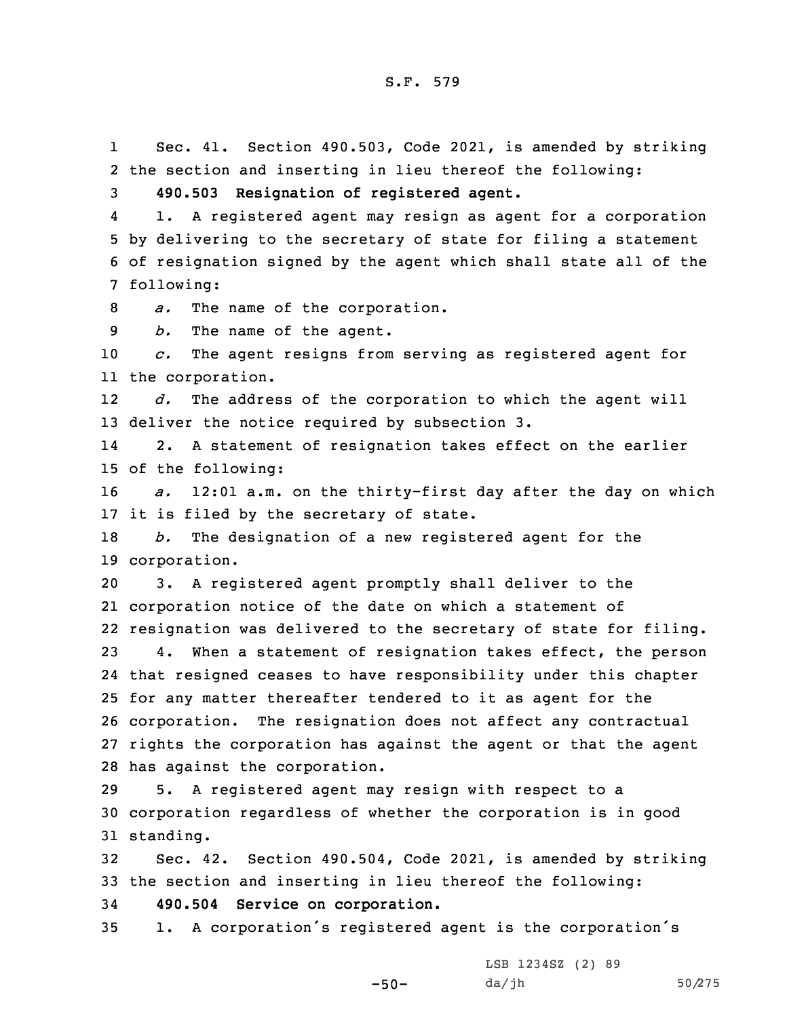1 Sec. 41. Section 490.503, Code 2021, is amended by striking 2 the section and inserting in lieu thereof the following:

3 **490.503 Resignation of registered agent.**

 1. <sup>A</sup> registered agent may resign as agent for <sup>a</sup> corporation 5 by delivering to the secretary of state for filing <sup>a</sup> statement

6 of resignation signed by the agent which shall state all of the 7 following:

8 *a.* The name of the corporation.

9 *b.* The name of the agent.

4

10 *c.* The agent resigns from serving as registered agent for 11 the corporation.

12 *d.* The address of the corporation to which the agent will 13 deliver the notice required by subsection 3.

14 2. <sup>A</sup> statement of resignation takes effect on the earlier 15 of the following:

16 *a.* 12:01 a.m. on the thirty-first day after the day on which 17 it is filed by the secretary of state.

18 *b.* The designation of <sup>a</sup> new registered agent for the 19 corporation.

20 3. <sup>A</sup> registered agent promptly shall deliver to the 21 corporation notice of the date on which <sup>a</sup> statement of 22 resignation was delivered to the secretary of state for filing.

 4. When <sup>a</sup> statement of resignation takes effect, the person that resigned ceases to have responsibility under this chapter for any matter thereafter tendered to it as agent for the corporation. The resignation does not affect any contractual rights the corporation has against the agent or that the agent has against the corporation.

29 5. <sup>A</sup> registered agent may resign with respect to <sup>a</sup> 30 corporation regardless of whether the corporation is in good 31 standing.

32 Sec. 42. Section 490.504, Code 2021, is amended by striking 33 the section and inserting in lieu thereof the following: 34 **490.504 Service on corporation.**

<sup>35</sup> 1. <sup>A</sup> corporation's registered agent is the corporation's

 $-50-$ 

LSB 1234SZ (2) 89 da/jh 50/275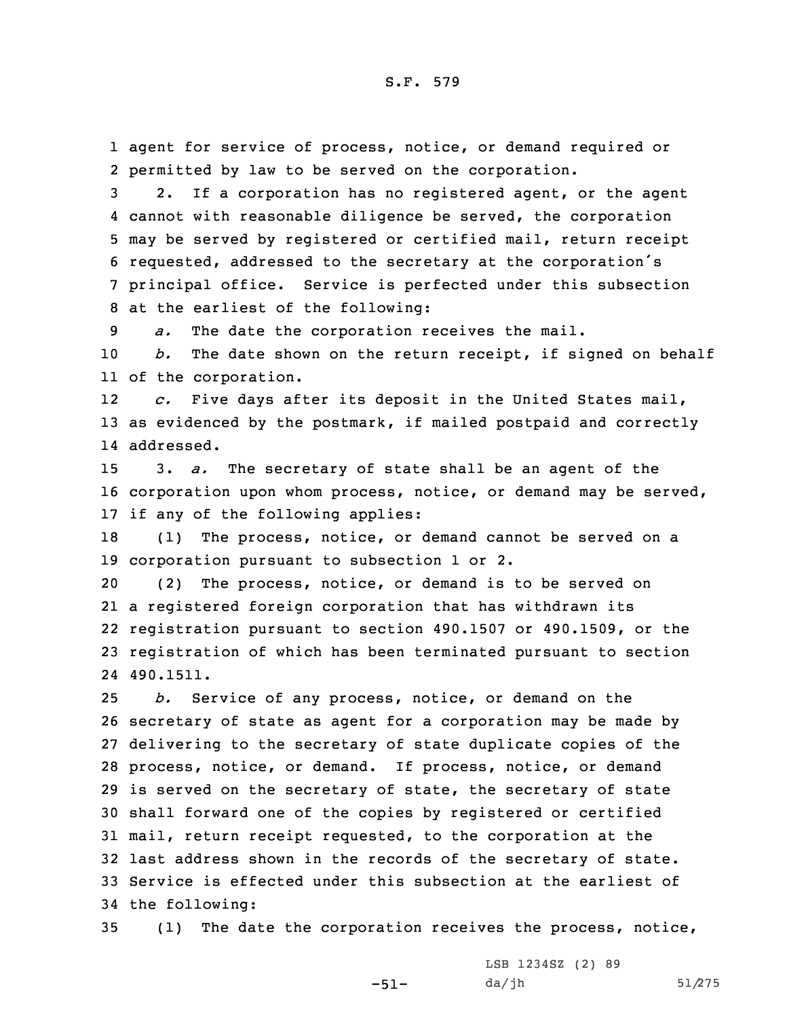1 agent for service of process, notice, or demand required or 2 permitted by law to be served on the corporation.

 2. If <sup>a</sup> corporation has no registered agent, or the agent cannot with reasonable diligence be served, the corporation may be served by registered or certified mail, return receipt requested, addressed to the secretary at the corporation's principal office. Service is perfected under this subsection at the earliest of the following:

9 *a.* The date the corporation receives the mail.

10 *b.* The date shown on the return receipt, if signed on behalf 11 of the corporation.

12 *c.* Five days after its deposit in the United States mail, 13 as evidenced by the postmark, if mailed postpaid and correctly 14 addressed.

15 3. *a.* The secretary of state shall be an agent of the 16 corporation upon whom process, notice, or demand may be served, 17 if any of the following applies:

18 (1) The process, notice, or demand cannot be served on <sup>a</sup> 19 corporation pursuant to subsection 1 or 2.

 (2) The process, notice, or demand is to be served on <sup>a</sup> registered foreign corporation that has withdrawn its registration pursuant to section 490.1507 or 490.1509, or the registration of which has been terminated pursuant to section 490.1511.

 *b.* Service of any process, notice, or demand on the secretary of state as agent for <sup>a</sup> corporation may be made by delivering to the secretary of state duplicate copies of the process, notice, or demand. If process, notice, or demand is served on the secretary of state, the secretary of state shall forward one of the copies by registered or certified mail, return receipt requested, to the corporation at the last address shown in the records of the secretary of state. Service is effected under this subsection at the earliest of the following:

35 (1) The date the corporation receives the process, notice,

-51-

LSB 1234SZ (2) 89 da/jh 51/275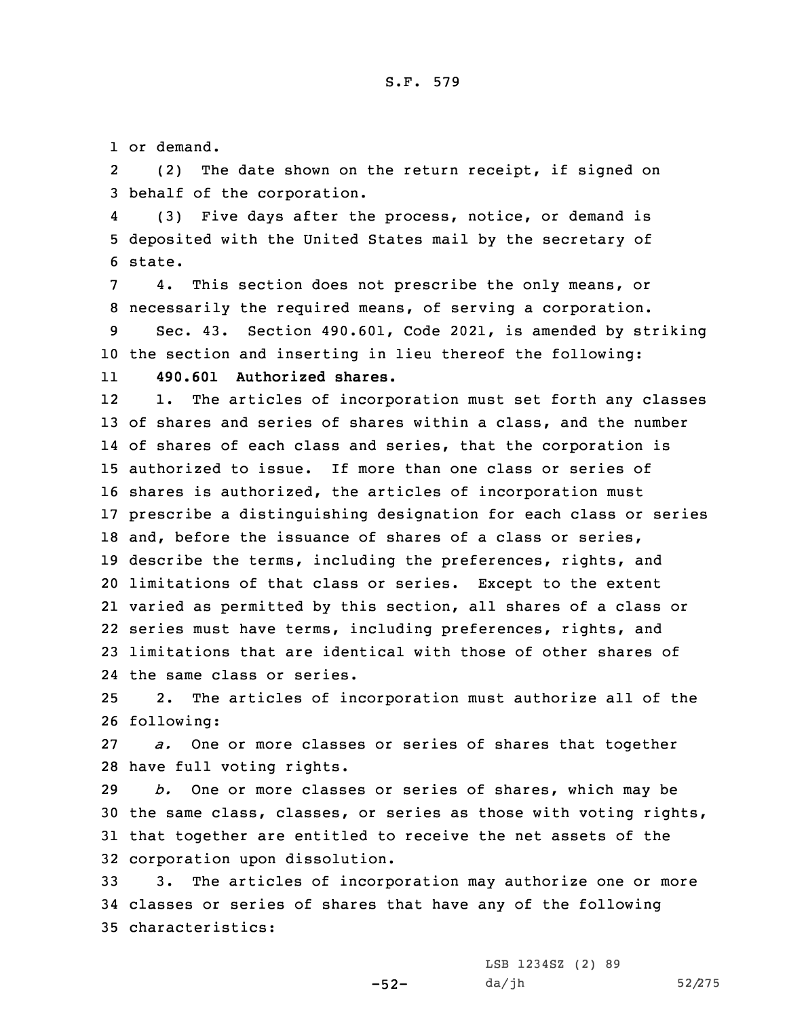1 or demand.

2 (2) The date shown on the return receipt, if signed on 3 behalf of the corporation.

4 (3) Five days after the process, notice, or demand is 5 deposited with the United States mail by the secretary of 6 state.

7 4. This section does not prescribe the only means, or 8 necessarily the required means, of serving <sup>a</sup> corporation.

9 Sec. 43. Section 490.601, Code 2021, is amended by striking 10 the section and inserting in lieu thereof the following:

11**490.601 Authorized shares.**

12 1. The articles of incorporation must set forth any classes of shares and series of shares within <sup>a</sup> class, and the number of shares of each class and series, that the corporation is authorized to issue. If more than one class or series of shares is authorized, the articles of incorporation must prescribe <sup>a</sup> distinguishing designation for each class or series and, before the issuance of shares of <sup>a</sup> class or series, describe the terms, including the preferences, rights, and limitations of that class or series. Except to the extent varied as permitted by this section, all shares of <sup>a</sup> class or series must have terms, including preferences, rights, and limitations that are identical with those of other shares of the same class or series.

25 2. The articles of incorporation must authorize all of the 26 following:

27 *a.* One or more classes or series of shares that together 28 have full voting rights.

 *b.* One or more classes or series of shares, which may be the same class, classes, or series as those with voting rights, that together are entitled to receive the net assets of the corporation upon dissolution.

33 3. The articles of incorporation may authorize one or more 34 classes or series of shares that have any of the following 35 characteristics:

-52-

LSB 1234SZ (2) 89 da/jh 52/275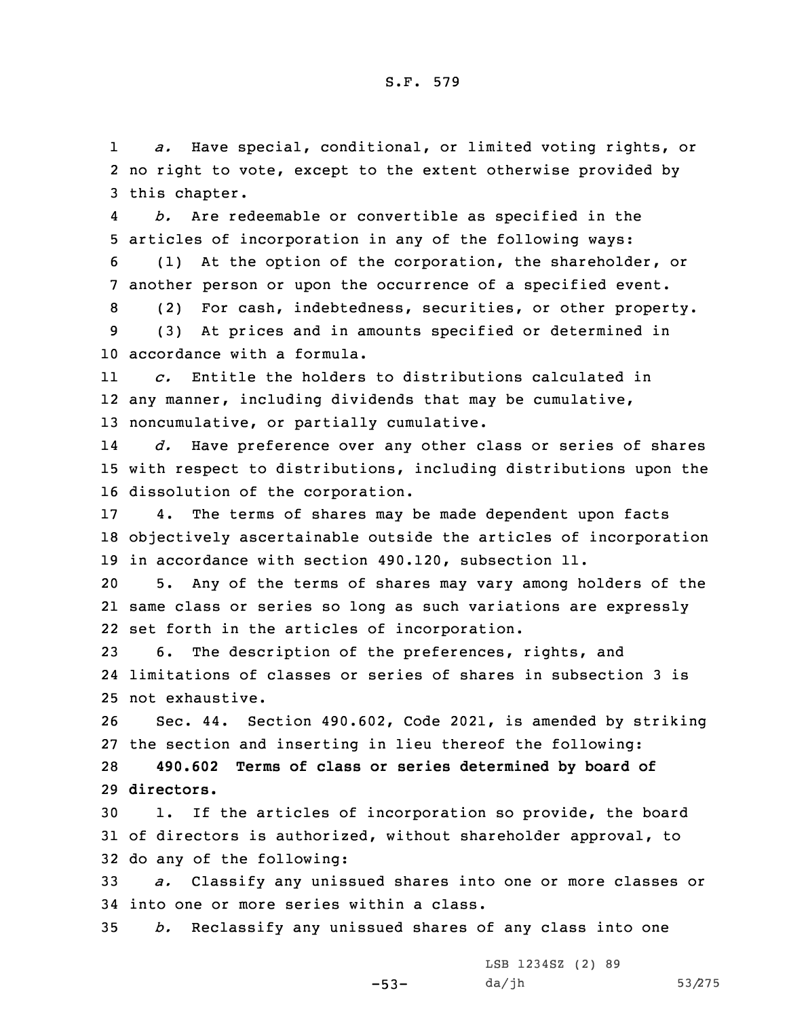1 *a.* Have special, conditional, or limited voting rights, or 2 no right to vote, except to the extent otherwise provided by 3 this chapter.

4 *b.* Are redeemable or convertible as specified in the 5 articles of incorporation in any of the following ways:

6 (1) At the option of the corporation, the shareholder, or 7 another person or upon the occurrence of <sup>a</sup> specified event.

8 (2) For cash, indebtedness, securities, or other property. 9 (3) At prices and in amounts specified or determined in 10 accordance with <sup>a</sup> formula.

11 *c.* Entitle the holders to distributions calculated in 12 any manner, including dividends that may be cumulative, 13 noncumulative, or partially cumulative.

14 *d.* Have preference over any other class or series of shares 15 with respect to distributions, including distributions upon the 16 dissolution of the corporation.

17 4. The terms of shares may be made dependent upon facts 18 objectively ascertainable outside the articles of incorporation 19 in accordance with section 490.120, subsection 11.

20 5. Any of the terms of shares may vary among holders of the 21 same class or series so long as such variations are expressly 22 set forth in the articles of incorporation.

23 6. The description of the preferences, rights, and 24 limitations of classes or series of shares in subsection 3 is 25 not exhaustive.

26 Sec. 44. Section 490.602, Code 2021, is amended by striking 27 the section and inserting in lieu thereof the following: 28 **490.602 Terms of class or series determined by board of**

29 **directors.**

30 1. If the articles of incorporation so provide, the board 31 of directors is authorized, without shareholder approval, to 32 do any of the following:

33 *a.* Classify any unissued shares into one or more classes or 34 into one or more series within <sup>a</sup> class.

-53-

35 *b.* Reclassify any unissued shares of any class into one

LSB 1234SZ (2) 89 da/jh 53/275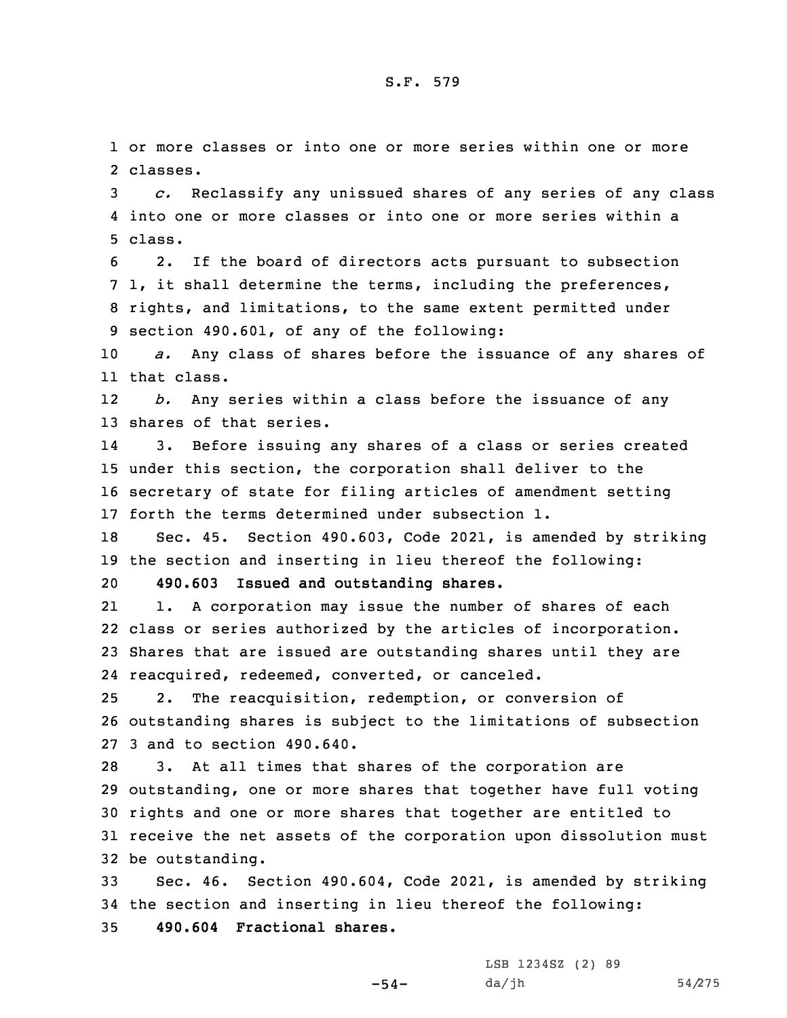1 or more classes or into one or more series within one or more 2 classes.

3 *c.* Reclassify any unissued shares of any series of any class 4 into one or more classes or into one or more series within <sup>a</sup> 5 class.

 2. If the board of directors acts pursuant to subsection 1, it shall determine the terms, including the preferences, rights, and limitations, to the same extent permitted under section 490.601, of any of the following:

10 *a.* Any class of shares before the issuance of any shares of 11 that class.

12 *b.* Any series within <sup>a</sup> class before the issuance of any 13 shares of that series.

14 3. Before issuing any shares of <sup>a</sup> class or series created 15 under this section, the corporation shall deliver to the 16 secretary of state for filing articles of amendment setting 17 forth the terms determined under subsection 1.

18 Sec. 45. Section 490.603, Code 2021, is amended by striking 19 the section and inserting in lieu thereof the following:

20 **490.603 Issued and outstanding shares.**

21 1. <sup>A</sup> corporation may issue the number of shares of each 22 class or series authorized by the articles of incorporation. 23 Shares that are issued are outstanding shares until they are 24 reacquired, redeemed, converted, or canceled.

25 2. The reacquisition, redemption, or conversion of 26 outstanding shares is subject to the limitations of subsection 27 3 and to section 490.640.

 3. At all times that shares of the corporation are outstanding, one or more shares that together have full voting rights and one or more shares that together are entitled to receive the net assets of the corporation upon dissolution must be outstanding.

33 Sec. 46. Section 490.604, Code 2021, is amended by striking 34 the section and inserting in lieu thereof the following: 35 **490.604 Fractional shares.**

> LSB 1234SZ (2) 89 da/jh 54/275

-54-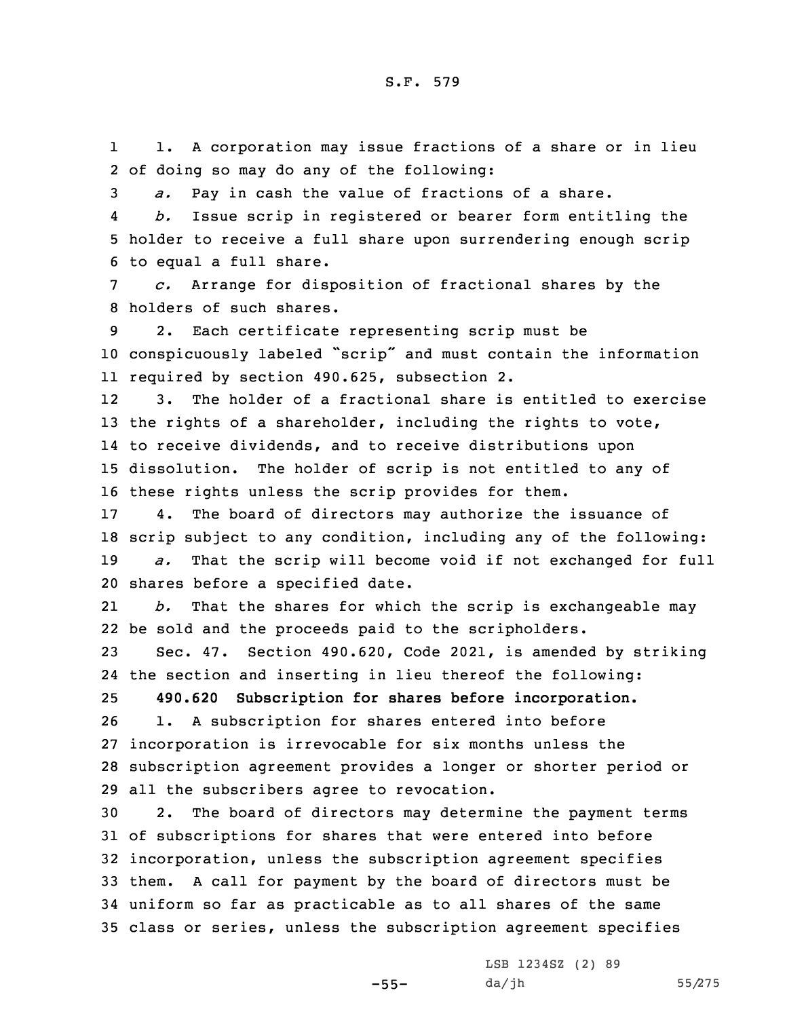1 1. <sup>A</sup> corporation may issue fractions of <sup>a</sup> share or in lieu 2 of doing so may do any of the following:

3 *a.* Pay in cash the value of fractions of <sup>a</sup> share.

4 *b.* Issue scrip in registered or bearer form entitling the 5 holder to receive <sup>a</sup> full share upon surrendering enough scrip 6 to equal <sup>a</sup> full share.

7 *c.* Arrange for disposition of fractional shares by the 8 holders of such shares.

9 2. Each certificate representing scrip must be <sup>10</sup> conspicuously labeled "scrip" and must contain the information 11 required by section 490.625, subsection 2.

12 3. The holder of <sup>a</sup> fractional share is entitled to exercise 13 the rights of a shareholder, including the rights to vote, 14 to receive dividends, and to receive distributions upon 15 dissolution. The holder of scrip is not entitled to any of 16 these rights unless the scrip provides for them.

 4. The board of directors may authorize the issuance of scrip subject to any condition, including any of the following: *a.* That the scrip will become void if not exchanged for full shares before <sup>a</sup> specified date.

21 *b.* That the shares for which the scrip is exchangeable may 22 be sold and the proceeds paid to the scripholders.

23 Sec. 47. Section 490.620, Code 2021, is amended by striking 24 the section and inserting in lieu thereof the following:

25 **490.620 Subscription for shares before incorporation.**

 1. <sup>A</sup> subscription for shares entered into before incorporation is irrevocable for six months unless the subscription agreement provides <sup>a</sup> longer or shorter period or all the subscribers agree to revocation.

 2. The board of directors may determine the payment terms of subscriptions for shares that were entered into before incorporation, unless the subscription agreement specifies them. <sup>A</sup> call for payment by the board of directors must be uniform so far as practicable as to all shares of the same class or series, unless the subscription agreement specifies

-55-

LSB 1234SZ (2) 89 da/jh 55/275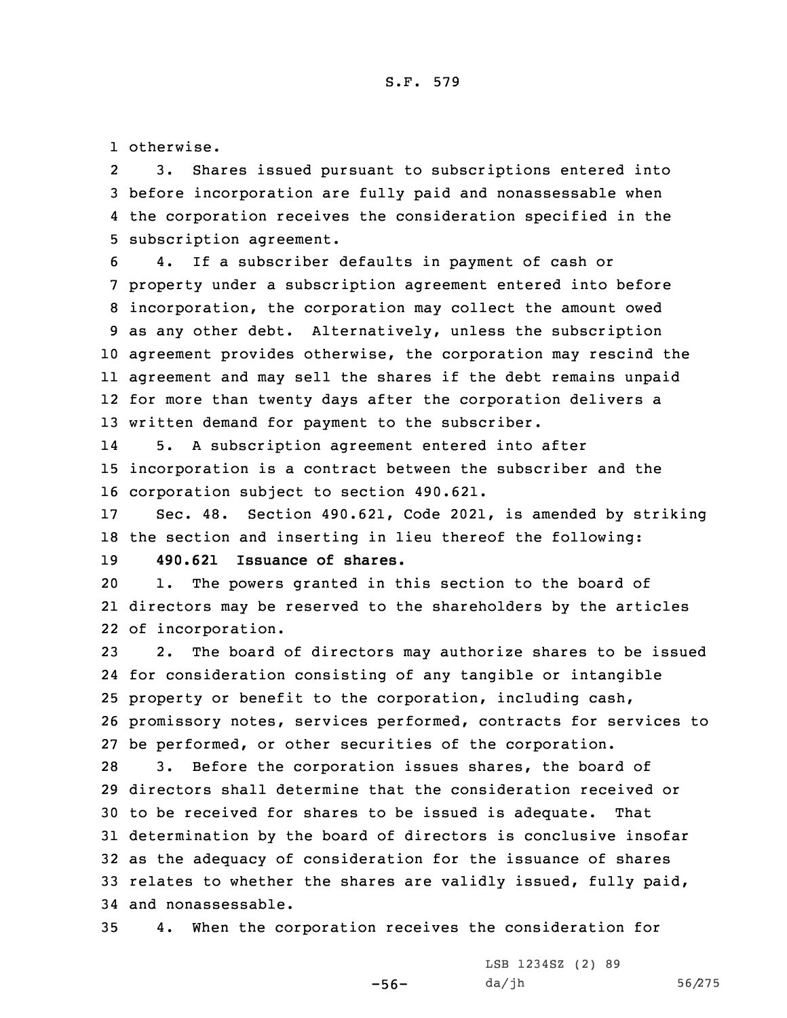1 otherwise.

2 3. Shares issued pursuant to subscriptions entered into 3 before incorporation are fully paid and nonassessable when 4 the corporation receives the consideration specified in the 5 subscription agreement.

 4. If <sup>a</sup> subscriber defaults in payment of cash or property under <sup>a</sup> subscription agreement entered into before incorporation, the corporation may collect the amount owed as any other debt. Alternatively, unless the subscription agreement provides otherwise, the corporation may rescind the agreement and may sell the shares if the debt remains unpaid for more than twenty days after the corporation delivers <sup>a</sup> written demand for payment to the subscriber.

14 5. <sup>A</sup> subscription agreement entered into after 15 incorporation is <sup>a</sup> contract between the subscriber and the 16 corporation subject to section 490.621.

17 Sec. 48. Section 490.621, Code 2021, is amended by striking 18 the section and inserting in lieu thereof the following:

19 **490.621 Issuance of shares.**

20 1. The powers granted in this section to the board of 21 directors may be reserved to the shareholders by the articles 22 of incorporation.

 2. The board of directors may authorize shares to be issued for consideration consisting of any tangible or intangible property or benefit to the corporation, including cash, promissory notes, services performed, contracts for services to be performed, or other securities of the corporation.

 3. Before the corporation issues shares, the board of directors shall determine that the consideration received or to be received for shares to be issued is adequate. That determination by the board of directors is conclusive insofar as the adequacy of consideration for the issuance of shares relates to whether the shares are validly issued, fully paid, and nonassessable.

35 4. When the corporation receives the consideration for

-56-

LSB 1234SZ (2) 89 da/jh 56/275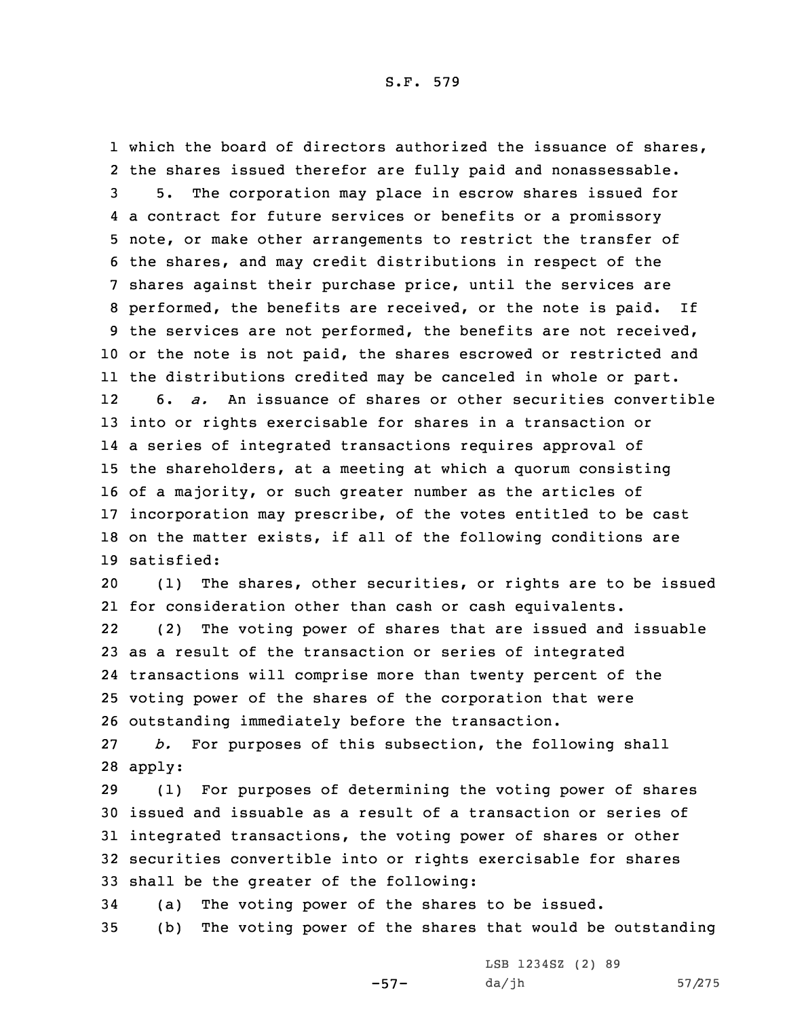1 which the board of directors authorized the issuance of shares, the shares issued therefor are fully paid and nonassessable. 5. The corporation may place in escrow shares issued for <sup>a</sup> contract for future services or benefits or <sup>a</sup> promissory note, or make other arrangements to restrict the transfer of the shares, and may credit distributions in respect of the shares against their purchase price, until the services are performed, the benefits are received, or the note is paid. If the services are not performed, the benefits are not received, or the note is not paid, the shares escrowed or restricted and the distributions credited may be canceled in whole or part. 12 6. *a.* An issuance of shares or other securities convertible into or rights exercisable for shares in <sup>a</sup> transaction or <sup>a</sup> series of integrated transactions requires approval of the shareholders, at <sup>a</sup> meeting at which <sup>a</sup> quorum consisting of <sup>a</sup> majority, or such greater number as the articles of incorporation may prescribe, of the votes entitled to be cast on the matter exists, if all of the following conditions are satisfied:

20 (1) The shares, other securities, or rights are to be issued 21 for consideration other than cash or cash equivalents.

22 (2) The voting power of shares that are issued and issuable as <sup>a</sup> result of the transaction or series of integrated transactions will comprise more than twenty percent of the voting power of the shares of the corporation that were outstanding immediately before the transaction.

27 *b.* For purposes of this subsection, the following shall 28 apply:

 (1) For purposes of determining the voting power of shares issued and issuable as <sup>a</sup> result of <sup>a</sup> transaction or series of integrated transactions, the voting power of shares or other securities convertible into or rights exercisable for shares shall be the greater of the following:

34 (a) The voting power of the shares to be issued.

35 (b) The voting power of the shares that would be outstanding

-57-

LSB 1234SZ (2) 89 da/jh 57/275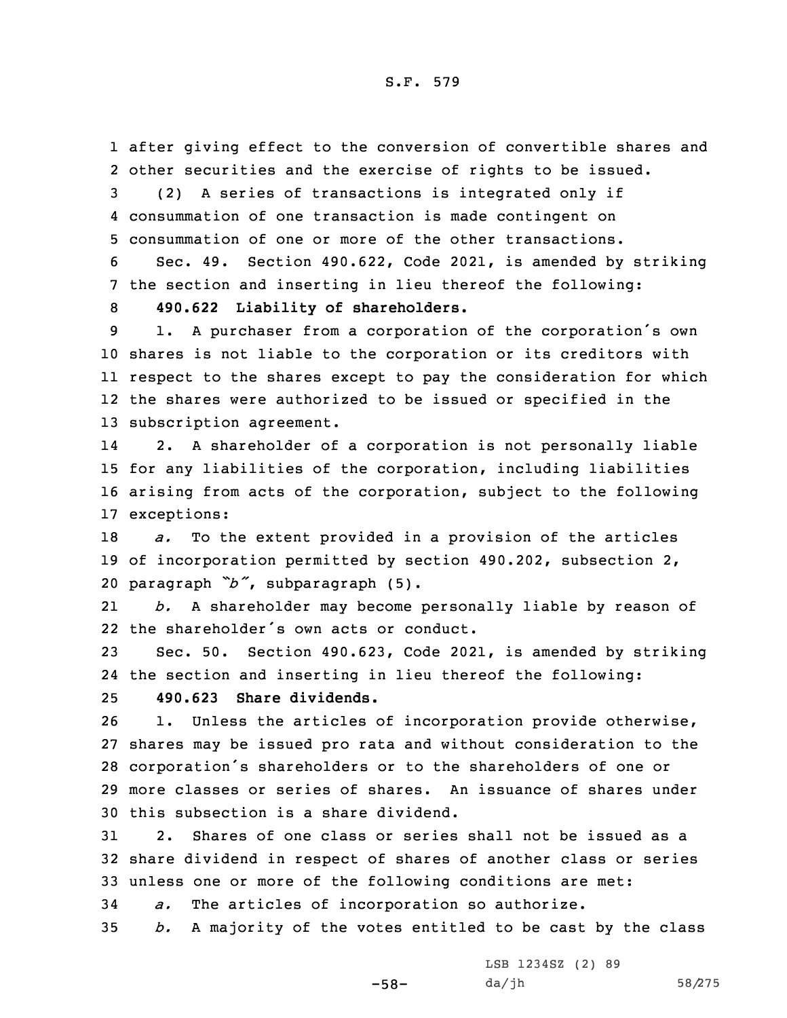S.F. 579

1 after giving effect to the conversion of convertible shares and 2 other securities and the exercise of rights to be issued.

3 (2) <sup>A</sup> series of transactions is integrated only if 4 consummation of one transaction is made contingent on 5 consummation of one or more of the other transactions.

6 Sec. 49. Section 490.622, Code 2021, is amended by striking 7 the section and inserting in lieu thereof the following:

8 **490.622 Liability of shareholders.**

 1. <sup>A</sup> purchaser from <sup>a</sup> corporation of the corporation's own shares is not liable to the corporation or its creditors with respect to the shares except to pay the consideration for which the shares were authorized to be issued or specified in the subscription agreement.

14 2. <sup>A</sup> shareholder of <sup>a</sup> corporation is not personally liable 15 for any liabilities of the corporation, including liabilities 16 arising from acts of the corporation, subject to the following 17 exceptions:

18 *a.* To the extent provided in <sup>a</sup> provision of the articles 19 of incorporation permitted by section 490.202, subsection 2, <sup>20</sup> paragraph *"b"*, subparagraph (5).

21 *b.* <sup>A</sup> shareholder may become personally liable by reason of 22 the shareholder's own acts or conduct.

23 Sec. 50. Section 490.623, Code 2021, is amended by striking 24 the section and inserting in lieu thereof the following:

25 **490.623 Share dividends.**

 1. Unless the articles of incorporation provide otherwise, shares may be issued pro rata and without consideration to the corporation's shareholders or to the shareholders of one or more classes or series of shares. An issuance of shares under this subsection is <sup>a</sup> share dividend.

31 2. Shares of one class or series shall not be issued as <sup>a</sup> 32 share dividend in respect of shares of another class or series 33 unless one or more of the following conditions are met:

34 *a.* The articles of incorporation so authorize.

35 *b.* <sup>A</sup> majority of the votes entitled to be cast by the class

-58-

LSB 1234SZ (2) 89 da/jh 58/275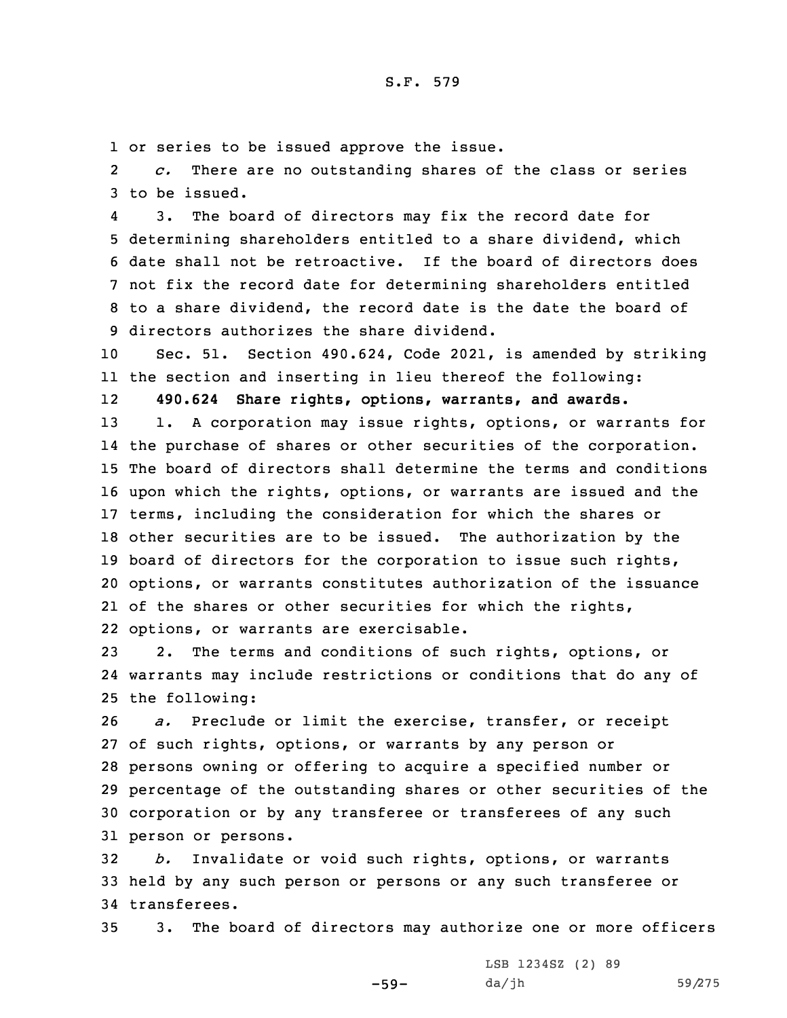1 or series to be issued approve the issue.

2 *c.* There are no outstanding shares of the class or series 3 to be issued.

4 3. The board of directors may fix the record date for determining shareholders entitled to <sup>a</sup> share dividend, which date shall not be retroactive. If the board of directors does not fix the record date for determining shareholders entitled to <sup>a</sup> share dividend, the record date is the date the board of directors authorizes the share dividend.

10 Sec. 51. Section 490.624, Code 2021, is amended by striking 11 the section and inserting in lieu thereof the following:

12**490.624 Share rights, options, warrants, and awards.**

13 1. A corporation may issue rights, options, or warrants for the purchase of shares or other securities of the corporation. The board of directors shall determine the terms and conditions upon which the rights, options, or warrants are issued and the terms, including the consideration for which the shares or other securities are to be issued. The authorization by the board of directors for the corporation to issue such rights, options, or warrants constitutes authorization of the issuance of the shares or other securities for which the rights, options, or warrants are exercisable.

23 2. The terms and conditions of such rights, options, or 24 warrants may include restrictions or conditions that do any of 25 the following:

 *a.* Preclude or limit the exercise, transfer, or receipt of such rights, options, or warrants by any person or persons owning or offering to acquire <sup>a</sup> specified number or percentage of the outstanding shares or other securities of the corporation or by any transferee or transferees of any such person or persons.

32 *b.* Invalidate or void such rights, options, or warrants 33 held by any such person or persons or any such transferee or 34 transferees.

35 3. The board of directors may authorize one or more officers

-59-

LSB 1234SZ (2) 89 da/jh 59/275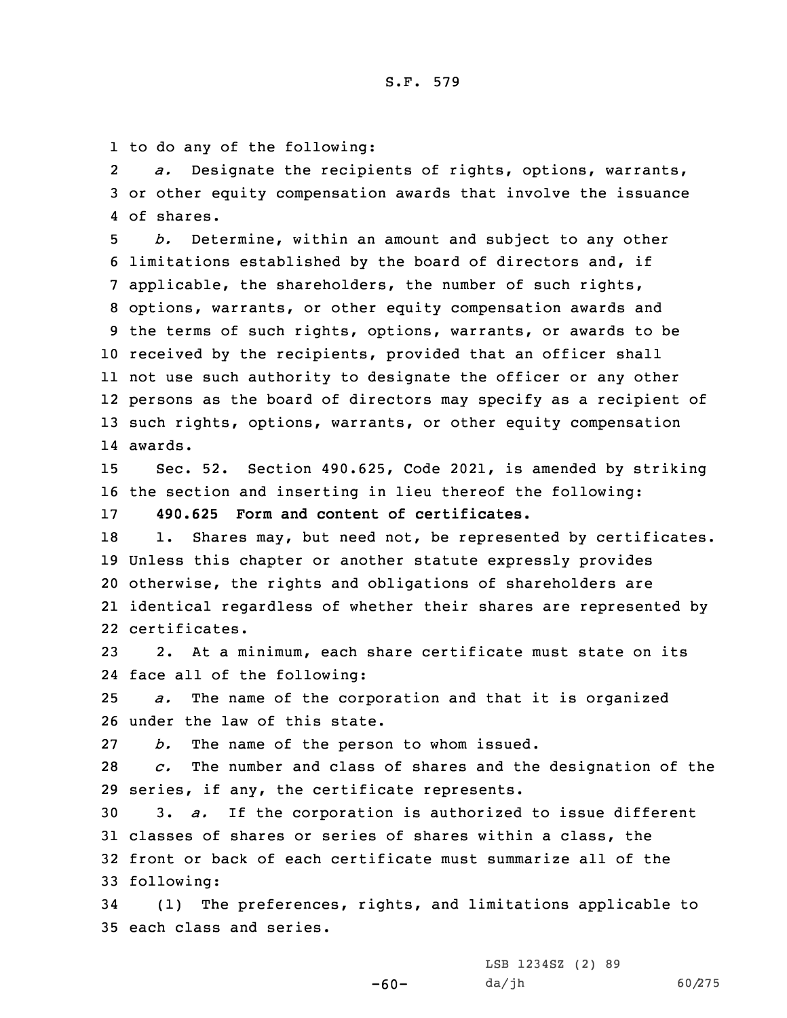1 to do any of the following:

2 *a.* Designate the recipients of rights, options, warrants, 3 or other equity compensation awards that involve the issuance 4 of shares.

 *b.* Determine, within an amount and subject to any other limitations established by the board of directors and, if applicable, the shareholders, the number of such rights, options, warrants, or other equity compensation awards and the terms of such rights, options, warrants, or awards to be received by the recipients, provided that an officer shall not use such authority to designate the officer or any other persons as the board of directors may specify as <sup>a</sup> recipient of such rights, options, warrants, or other equity compensation 14 awards.

15 Sec. 52. Section 490.625, Code 2021, is amended by striking 16 the section and inserting in lieu thereof the following:

17 **490.625 Form and content of certificates.**

18 1. Shares may, but need not, be represented by certificates. Unless this chapter or another statute expressly provides otherwise, the rights and obligations of shareholders are identical regardless of whether their shares are represented by certificates.

23 2. At <sup>a</sup> minimum, each share certificate must state on its 24 face all of the following:

25 *a.* The name of the corporation and that it is organized 26 under the law of this state.

27 *b.* The name of the person to whom issued.

28 *c.* The number and class of shares and the designation of the 29 series, if any, the certificate represents.

 3. *a.* If the corporation is authorized to issue different classes of shares or series of shares within <sup>a</sup> class, the front or back of each certificate must summarize all of the following:

34 (1) The preferences, rights, and limitations applicable to 35 each class and series.

> LSB 1234SZ (2) 89 da/jh 60/275

 $-60-$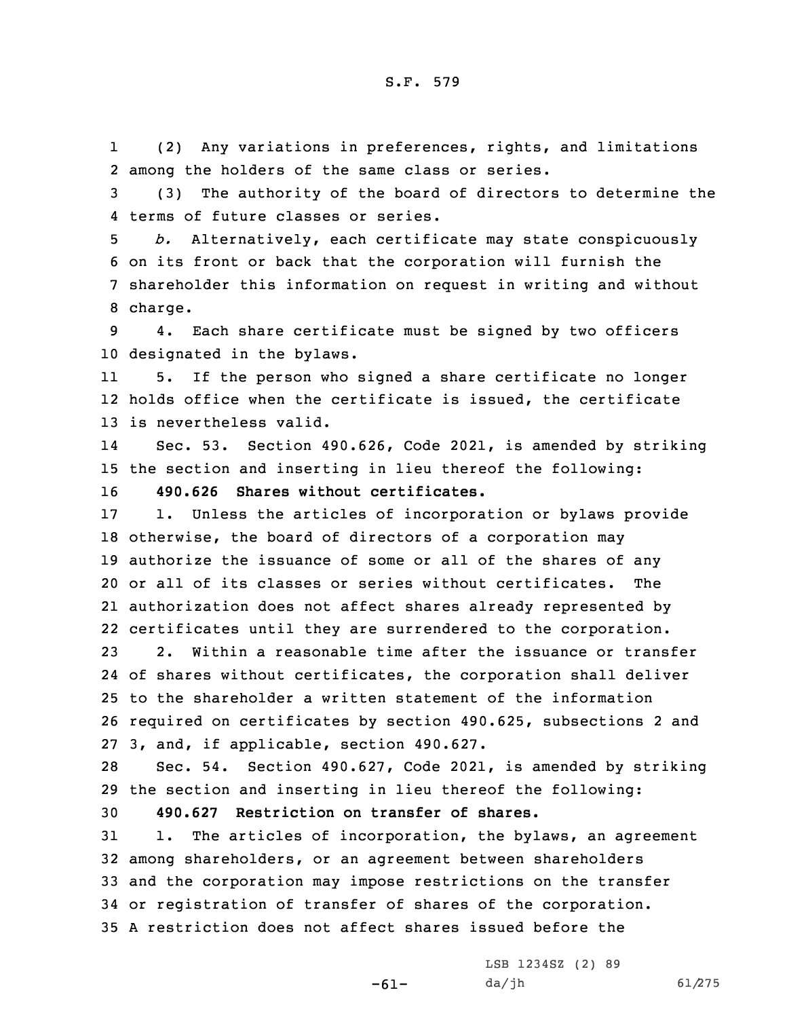S.F. 579

1 (2) Any variations in preferences, rights, and limitations 2 among the holders of the same class or series.

3 (3) The authority of the board of directors to determine the 4 terms of future classes or series.

 *b.* Alternatively, each certificate may state conspicuously on its front or back that the corporation will furnish the shareholder this information on request in writing and without 8 charge.

9 4. Each share certificate must be signed by two officers 10 designated in the bylaws.

11 5. If the person who signed <sup>a</sup> share certificate no longer 12 holds office when the certificate is issued, the certificate 13 is nevertheless valid.

14 Sec. 53. Section 490.626, Code 2021, is amended by striking 15 the section and inserting in lieu thereof the following: 16 **490.626 Shares without certificates.**

 1. Unless the articles of incorporation or bylaws provide otherwise, the board of directors of <sup>a</sup> corporation may authorize the issuance of some or all of the shares of any or all of its classes or series without certificates. The authorization does not affect shares already represented by certificates until they are surrendered to the corporation.

 2. Within <sup>a</sup> reasonable time after the issuance or transfer of shares without certificates, the corporation shall deliver to the shareholder <sup>a</sup> written statement of the information required on certificates by section 490.625, subsections 2 and 3, and, if applicable, section 490.627.

28 Sec. 54. Section 490.627, Code 2021, is amended by striking 29 the section and inserting in lieu thereof the following:

30 **490.627 Restriction on transfer of shares.**

 1. The articles of incorporation, the bylaws, an agreement among shareholders, or an agreement between shareholders and the corporation may impose restrictions on the transfer or registration of transfer of shares of the corporation. A restriction does not affect shares issued before the

-61-

LSB 1234SZ (2) 89 da/jh 61/275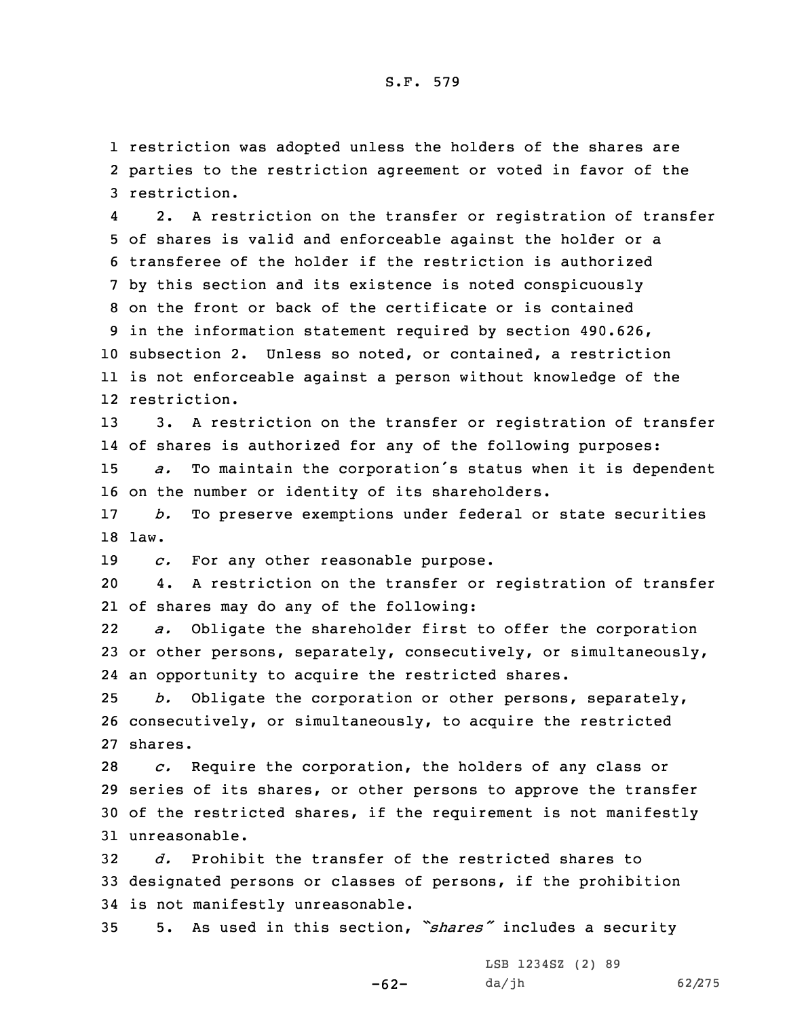1 restriction was adopted unless the holders of the shares are 2 parties to the restriction agreement or voted in favor of the 3 restriction.

4 2. <sup>A</sup> restriction on the transfer or registration of transfer of shares is valid and enforceable against the holder or <sup>a</sup> transferee of the holder if the restriction is authorized by this section and its existence is noted conspicuously on the front or back of the certificate or is contained in the information statement required by section 490.626, subsection 2. Unless so noted, or contained, <sup>a</sup> restriction is not enforceable against <sup>a</sup> person without knowledge of the restriction.

 3. <sup>A</sup> restriction on the transfer or registration of transfer of shares is authorized for any of the following purposes: *a.* To maintain the corporation's status when it is dependent on the number or identity of its shareholders.

17 *b.* To preserve exemptions under federal or state securities 18 law.

19 *c.* For any other reasonable purpose.

20 4. <sup>A</sup> restriction on the transfer or registration of transfer 21 of shares may do any of the following:

22 *a.* Obligate the shareholder first to offer the corporation 23 or other persons, separately, consecutively, or simultaneously, 24 an opportunity to acquire the restricted shares.

25 *b.* Obligate the corporation or other persons, separately, 26 consecutively, or simultaneously, to acquire the restricted 27 shares.

 *c.* Require the corporation, the holders of any class or series of its shares, or other persons to approve the transfer of the restricted shares, if the requirement is not manifestly unreasonable.

32 *d.* Prohibit the transfer of the restricted shares to 33 designated persons or classes of persons, if the prohibition 34 is not manifestly unreasonable.

<sup>35</sup> 5. As used in this section, *"shares"* includes <sup>a</sup> security

 $-62-$ 

LSB 1234SZ (2) 89 da/jh 62/275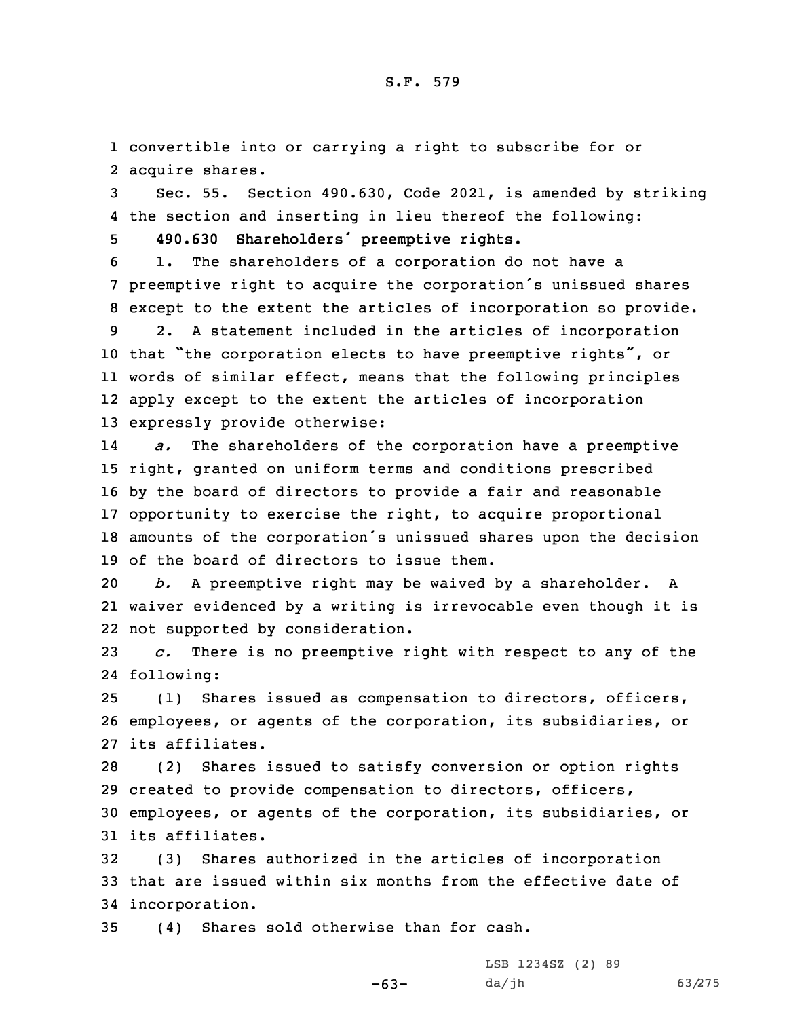1 convertible into or carrying <sup>a</sup> right to subscribe for or 2 acquire shares.

3 Sec. 55. Section 490.630, Code 2021, is amended by striking 4 the section and inserting in lieu thereof the following:

<sup>5</sup> **490.630 Shareholders' preemptive rights.**

6 1. The shareholders of <sup>a</sup> corporation do not have <sup>a</sup> <sup>7</sup> preemptive right to acquire the corporation's unissued shares 8 except to the extent the articles of incorporation so provide.

 2. <sup>A</sup> statement included in the articles of incorporation that "the corporation elects to have preemptive rights", or words of similar effect, means that the following principles apply except to the extent the articles of incorporation expressly provide otherwise:

14 *a.* The shareholders of the corporation have <sup>a</sup> preemptive right, granted on uniform terms and conditions prescribed by the board of directors to provide <sup>a</sup> fair and reasonable opportunity to exercise the right, to acquire proportional amounts of the corporation's unissued shares upon the decision of the board of directors to issue them.

20 *b.* <sup>A</sup> preemptive right may be waived by <sup>a</sup> shareholder. <sup>A</sup> 21 waiver evidenced by <sup>a</sup> writing is irrevocable even though it is 22 not supported by consideration.

23 *c.* There is no preemptive right with respect to any of the 24 following:

25 (1) Shares issued as compensation to directors, officers, 26 employees, or agents of the corporation, its subsidiaries, or 27 its affiliates.

 (2) Shares issued to satisfy conversion or option rights created to provide compensation to directors, officers, employees, or agents of the corporation, its subsidiaries, or its affiliates.

32 (3) Shares authorized in the articles of incorporation 33 that are issued within six months from the effective date of 34 incorporation.

-63-

35 (4) Shares sold otherwise than for cash.

LSB 1234SZ (2) 89 da/jh 63/275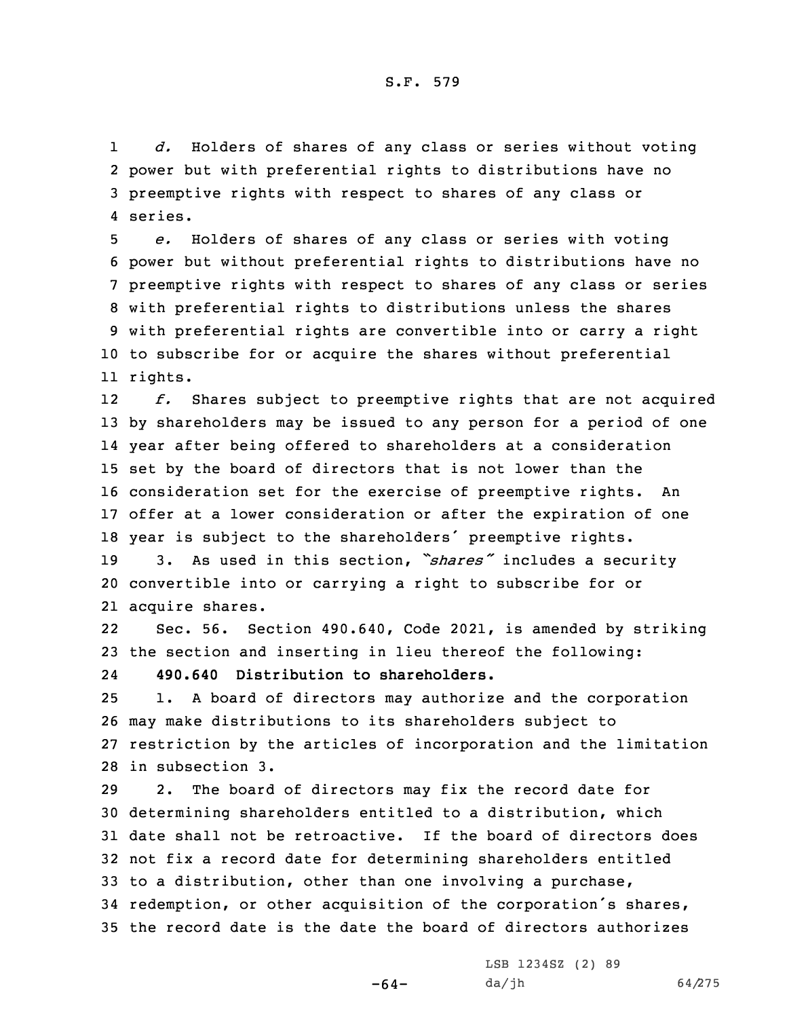1 *d.* Holders of shares of any class or series without voting 2 power but with preferential rights to distributions have no 3 preemptive rights with respect to shares of any class or 4 series.

 *e.* Holders of shares of any class or series with voting power but without preferential rights to distributions have no preemptive rights with respect to shares of any class or series with preferential rights to distributions unless the shares with preferential rights are convertible into or carry <sup>a</sup> right to subscribe for or acquire the shares without preferential 11 rights.

12 *f.* Shares subject to preemptive rights that are not acquired by shareholders may be issued to any person for <sup>a</sup> period of one year after being offered to shareholders at <sup>a</sup> consideration set by the board of directors that is not lower than the consideration set for the exercise of preemptive rights. An offer at <sup>a</sup> lower consideration or after the expiration of one year is subject to the shareholders' preemptive rights.

<sup>19</sup> 3. As used in this section, *"shares"* includes <sup>a</sup> security 20 convertible into or carrying <sup>a</sup> right to subscribe for or 21 acquire shares.

22 Sec. 56. Section 490.640, Code 2021, is amended by striking 23 the section and inserting in lieu thereof the following:

24**490.640 Distribution to shareholders.**

 1. <sup>A</sup> board of directors may authorize and the corporation may make distributions to its shareholders subject to restriction by the articles of incorporation and the limitation in subsection 3.

 2. The board of directors may fix the record date for determining shareholders entitled to <sup>a</sup> distribution, which date shall not be retroactive. If the board of directors does not fix <sup>a</sup> record date for determining shareholders entitled to <sup>a</sup> distribution, other than one involving <sup>a</sup> purchase, redemption, or other acquisition of the corporation's shares, the record date is the date the board of directors authorizes

-64-

LSB 1234SZ (2) 89 da/jh 64/275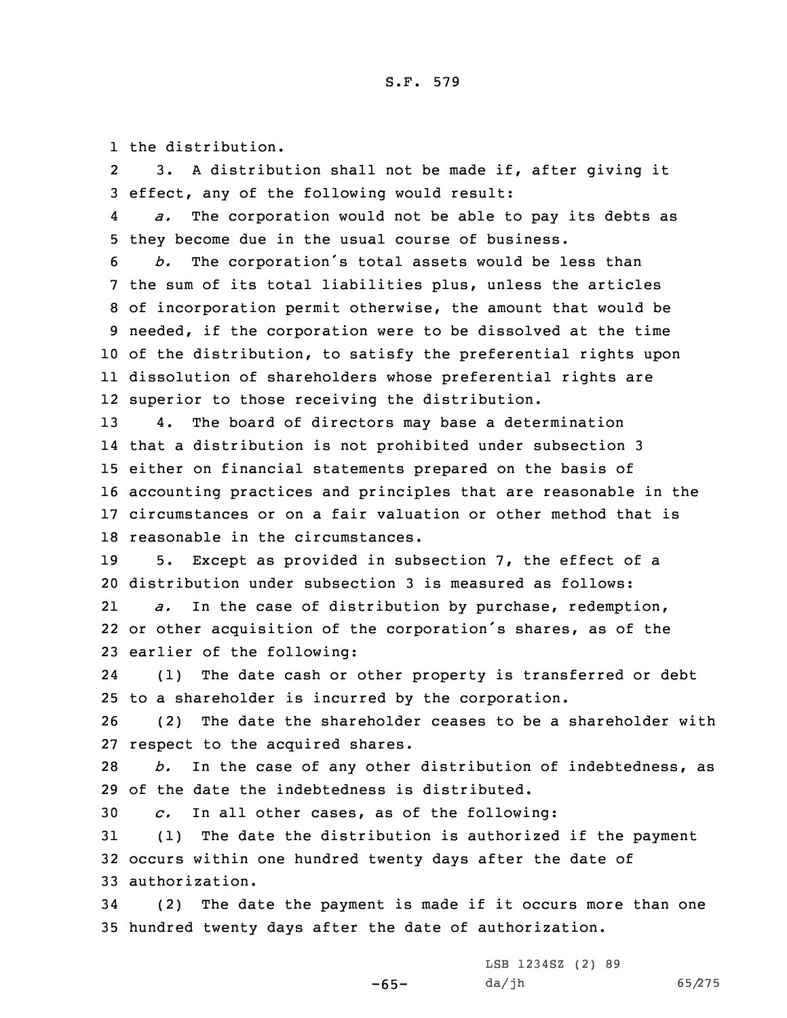1 the distribution.

2 3. <sup>A</sup> distribution shall not be made if, after giving it 3 effect, any of the following would result:

4 *a.* The corporation would not be able to pay its debts as 5 they become due in the usual course of business.

 *b.* The corporation's total assets would be less than the sum of its total liabilities plus, unless the articles of incorporation permit otherwise, the amount that would be needed, if the corporation were to be dissolved at the time of the distribution, to satisfy the preferential rights upon dissolution of shareholders whose preferential rights are superior to those receiving the distribution.

 4. The board of directors may base <sup>a</sup> determination that <sup>a</sup> distribution is not prohibited under subsection 3 either on financial statements prepared on the basis of accounting practices and principles that are reasonable in the circumstances or on <sup>a</sup> fair valuation or other method that is reasonable in the circumstances.

19 5. Except as provided in subsection 7, the effect of <sup>a</sup> 20 distribution under subsection 3 is measured as follows:

21 *a.* In the case of distribution by purchase, redemption, 22 or other acquisition of the corporation's shares, as of the 23 earlier of the following:

24 (1) The date cash or other property is transferred or debt 25 to <sup>a</sup> shareholder is incurred by the corporation.

26 (2) The date the shareholder ceases to be <sup>a</sup> shareholder with 27 respect to the acquired shares.

28 *b.* In the case of any other distribution of indebtedness, as 29 of the date the indebtedness is distributed.

30 *c.* In all other cases, as of the following:

31 (1) The date the distribution is authorized if the payment 32 occurs within one hundred twenty days after the date of 33 authorization.

34 (2) The date the payment is made if it occurs more than one 35 hundred twenty days after the date of authorization.

-65-

LSB 1234SZ (2) 89 da/jh 65/275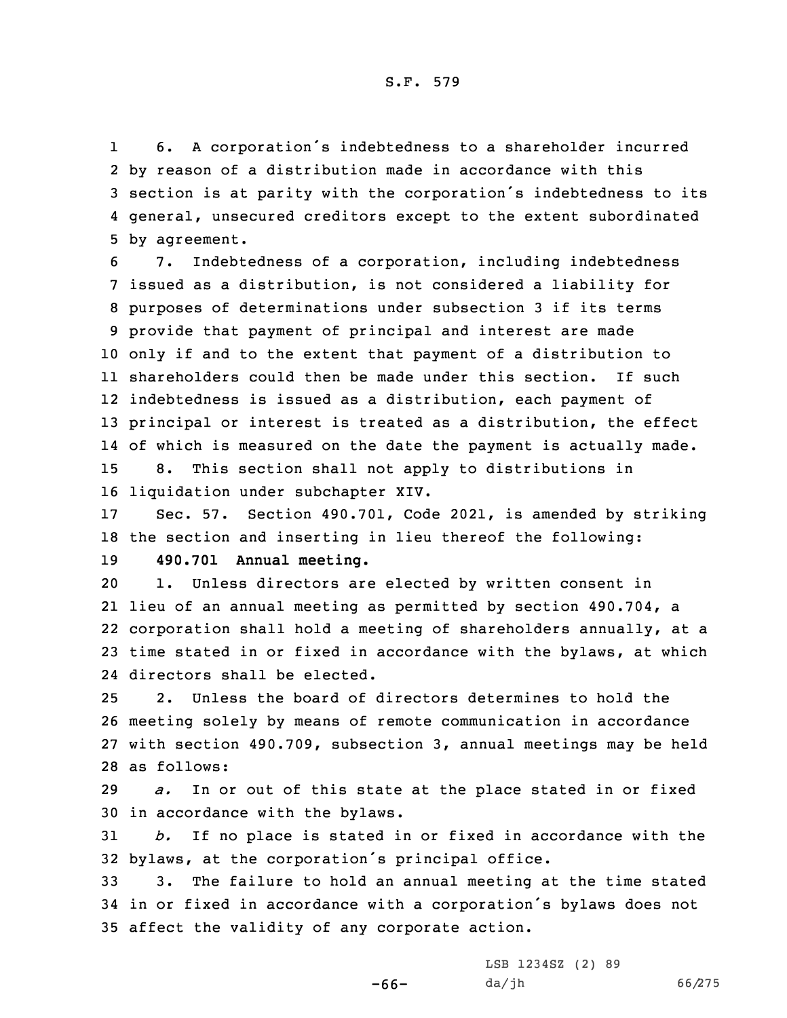1 6. <sup>A</sup> corporation's indebtedness to <sup>a</sup> shareholder incurred by reason of <sup>a</sup> distribution made in accordance with this section is at parity with the corporation's indebtedness to its general, unsecured creditors except to the extent subordinated by agreement.

 7. Indebtedness of <sup>a</sup> corporation, including indebtedness issued as <sup>a</sup> distribution, is not considered <sup>a</sup> liability for purposes of determinations under subsection 3 if its terms provide that payment of principal and interest are made only if and to the extent that payment of <sup>a</sup> distribution to shareholders could then be made under this section. If such indebtedness is issued as <sup>a</sup> distribution, each payment of principal or interest is treated as <sup>a</sup> distribution, the effect of which is measured on the date the payment is actually made. 8. This section shall not apply to distributions in liquidation under subchapter XIV.

17 Sec. 57. Section 490.701, Code 2021, is amended by striking 18 the section and inserting in lieu thereof the following: 19 **490.701 Annual meeting.**

 1. Unless directors are elected by written consent in lieu of an annual meeting as permitted by section 490.704, <sup>a</sup> corporation shall hold <sup>a</sup> meeting of shareholders annually, at <sup>a</sup> time stated in or fixed in accordance with the bylaws, at which directors shall be elected.

 2. Unless the board of directors determines to hold the meeting solely by means of remote communication in accordance with section 490.709, subsection 3, annual meetings may be held as follows:

29 *a.* In or out of this state at the place stated in or fixed 30 in accordance with the bylaws.

31 *b.* If no place is stated in or fixed in accordance with the <sup>32</sup> bylaws, at the corporation's principal office.

33 3. The failure to hold an annual meeting at the time stated <sup>34</sup> in or fixed in accordance with <sup>a</sup> corporation's bylaws does not 35 affect the validity of any corporate action.

-66-

LSB 1234SZ (2) 89 da/jh 66/275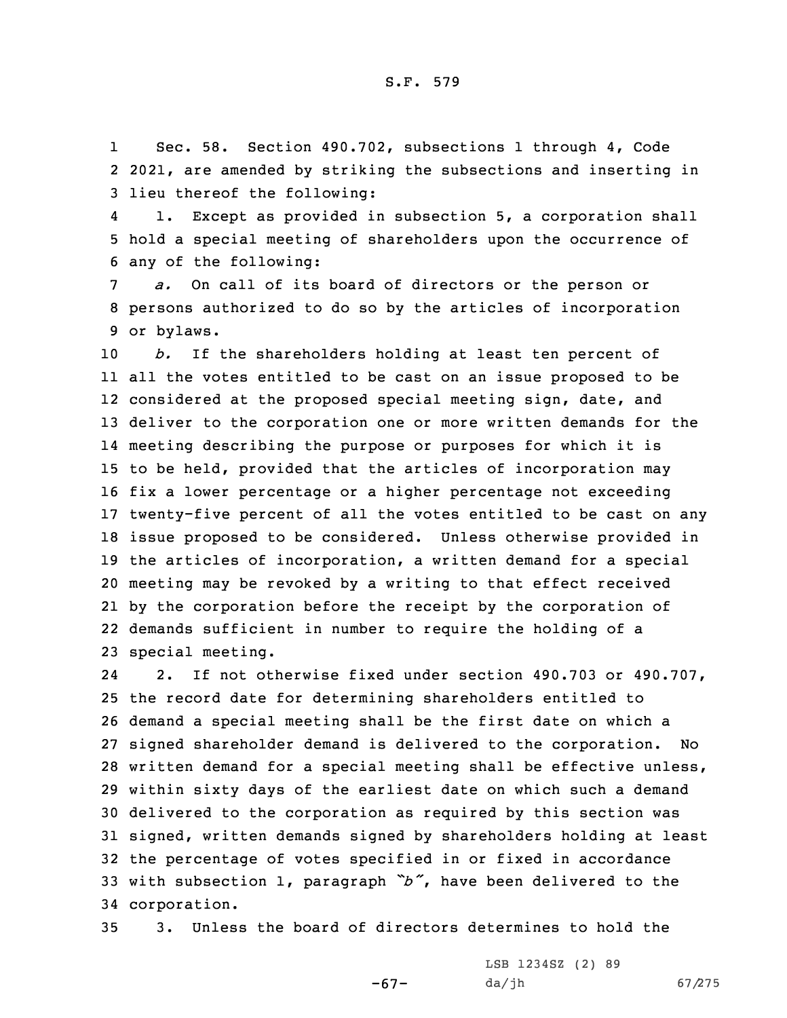1 Sec. 58. Section 490.702, subsections 1 through 4, Code 2 2021, are amended by striking the subsections and inserting in 3 lieu thereof the following:

4 1. Except as provided in subsection 5, <sup>a</sup> corporation shall 5 hold <sup>a</sup> special meeting of shareholders upon the occurrence of 6 any of the following:

7 *a.* On call of its board of directors or the person or 8 persons authorized to do so by the articles of incorporation 9 or bylaws.

 *b.* If the shareholders holding at least ten percent of all the votes entitled to be cast on an issue proposed to be considered at the proposed special meeting sign, date, and deliver to the corporation one or more written demands for the meeting describing the purpose or purposes for which it is to be held, provided that the articles of incorporation may fix <sup>a</sup> lower percentage or <sup>a</sup> higher percentage not exceeding twenty-five percent of all the votes entitled to be cast on any issue proposed to be considered. Unless otherwise provided in the articles of incorporation, <sup>a</sup> written demand for <sup>a</sup> special meeting may be revoked by <sup>a</sup> writing to that effect received by the corporation before the receipt by the corporation of demands sufficient in number to require the holding of <sup>a</sup> special meeting.

24 2. If not otherwise fixed under section 490.703 or 490.707, the record date for determining shareholders entitled to demand <sup>a</sup> special meeting shall be the first date on which <sup>a</sup> signed shareholder demand is delivered to the corporation. No written demand for <sup>a</sup> special meeting shall be effective unless, within sixty days of the earliest date on which such <sup>a</sup> demand delivered to the corporation as required by this section was signed, written demands signed by shareholders holding at least the percentage of votes specified in or fixed in accordance with subsection 1, paragraph *"b"*, have been delivered to the corporation.

35 3. Unless the board of directors determines to hold the

-67-

LSB 1234SZ (2) 89 da/jh 67/275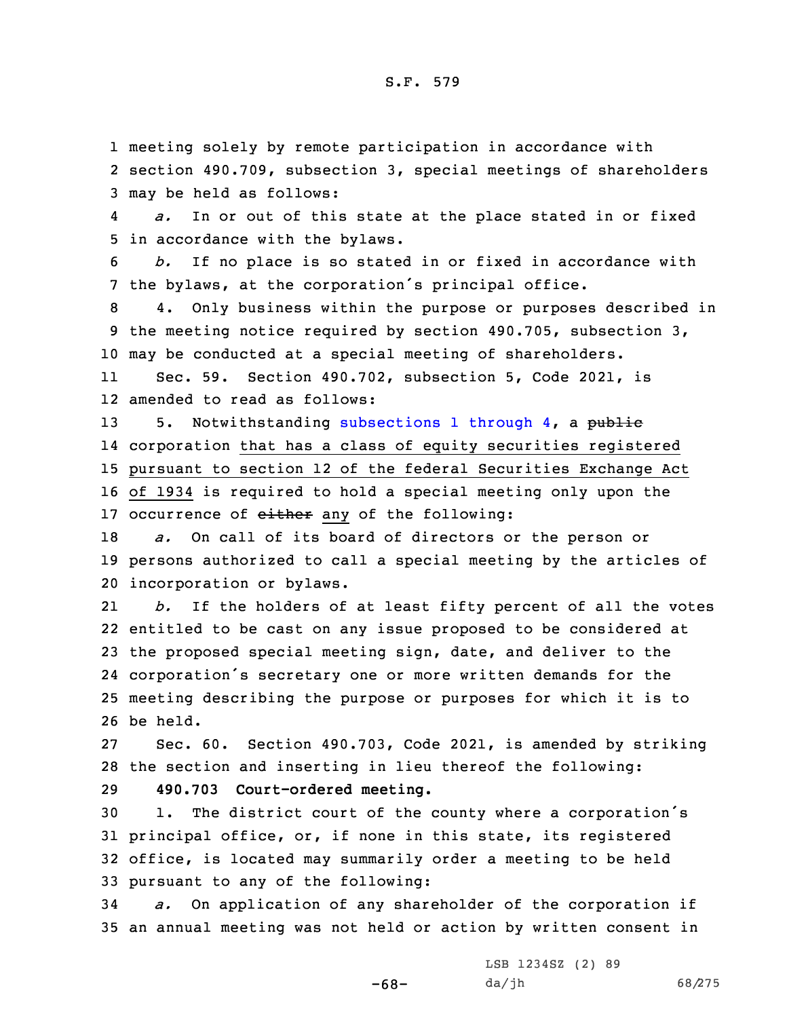1 meeting solely by remote participation in accordance with 2 section 490.709, subsection 3, special meetings of shareholders 3 may be held as follows:

4 *a.* In or out of this state at the place stated in or fixed 5 in accordance with the bylaws.

6 *b.* If no place is so stated in or fixed in accordance with <sup>7</sup> the bylaws, at the corporation's principal office.

8 4. Only business within the purpose or purposes described in 9 the meeting notice required by section 490.705, subsection 3, 10 may be conducted at <sup>a</sup> special meeting of shareholders.

11 Sec. 59. Section 490.702, subsection 5, Code 2021, is 12 amended to read as follows:

13 5. Notwithstanding [subsections](https://www.legis.iowa.gov/docs/code/2021/490.702.pdf) 1 through 4, a public 14 corporation that has <sup>a</sup> class of equity securities registered 15 pursuant to section 12 of the federal Securities Exchange Act 16 of 1934 is required to hold <sup>a</sup> special meeting only upon the 17 occurrence of either any of the following:

18 *a.* On call of its board of directors or the person or 19 persons authorized to call <sup>a</sup> special meeting by the articles of 20 incorporation or bylaws.

21 *b.* If the holders of at least fifty percent of all the votes 22 entitled to be cast on any issue proposed to be considered at 23 the proposed special meeting sign, date, and deliver to the 24 corporation's secretary one or more written demands for the 25 meeting describing the purpose or purposes for which it is to 26 be held.

27 Sec. 60. Section 490.703, Code 2021, is amended by striking 28 the section and inserting in lieu thereof the following:

29 **490.703 Court-ordered meeting.**

 1. The district court of the county where <sup>a</sup> corporation's principal office, or, if none in this state, its registered office, is located may summarily order <sup>a</sup> meeting to be held pursuant to any of the following:

34 *a.* On application of any shareholder of the corporation if 35 an annual meeting was not held or action by written consent in

-68-

LSB 1234SZ (2) 89 da/jh 68/275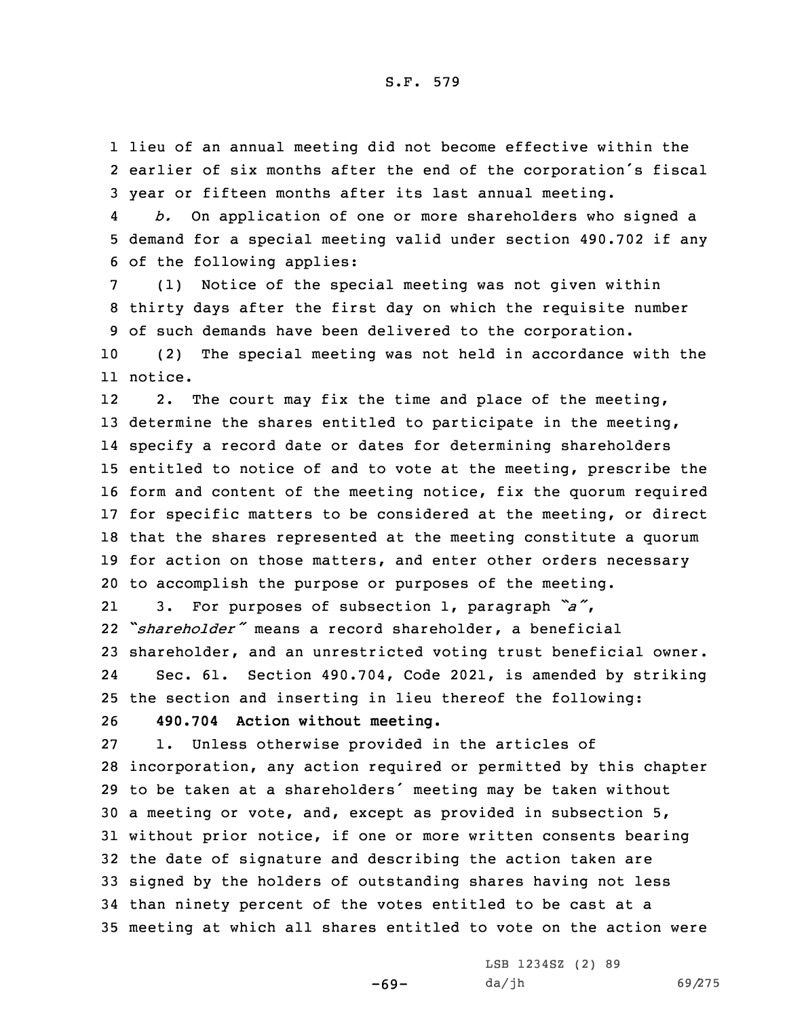1 lieu of an annual meeting did not become effective within the 2 earlier of six months after the end of the corporation's fiscal 3 year or fifteen months after its last annual meeting.

4 *b.* On application of one or more shareholders who signed <sup>a</sup> 5 demand for <sup>a</sup> special meeting valid under section 490.702 if any 6 of the following applies:

7 (1) Notice of the special meeting was not given within 8 thirty days after the first day on which the requisite number 9 of such demands have been delivered to the corporation.

10 (2) The special meeting was not held in accordance with the 11 notice.

12 2. The court may fix the time and place of the meeting, 13 determine the shares entitled to participate in the meeting, specify <sup>a</sup> record date or dates for determining shareholders entitled to notice of and to vote at the meeting, prescribe the form and content of the meeting notice, fix the quorum required for specific matters to be considered at the meeting, or direct that the shares represented at the meeting constitute <sup>a</sup> quorum for action on those matters, and enter other orders necessary to accomplish the purpose or purposes of the meeting.

21 3. For purposes of subsection 1, paragraph *"a"*, 22 "*shareholder"* means <sup>a</sup> record shareholder, <sup>a</sup> beneficial 23 shareholder, and an unrestricted voting trust beneficial owner. 24 Sec. 61. Section 490.704, Code 2021, is amended by striking 25 the section and inserting in lieu thereof the following: 26 **490.704 Action without meeting.**

 1. Unless otherwise provided in the articles of incorporation, any action required or permitted by this chapter to be taken at <sup>a</sup> shareholders' meeting may be taken without <sup>a</sup> meeting or vote, and, except as provided in subsection 5, without prior notice, if one or more written consents bearing the date of signature and describing the action taken are signed by the holders of outstanding shares having not less than ninety percent of the votes entitled to be cast at <sup>a</sup> meeting at which all shares entitled to vote on the action were

-69-

LSB 1234SZ (2) 89 da/jh 69/275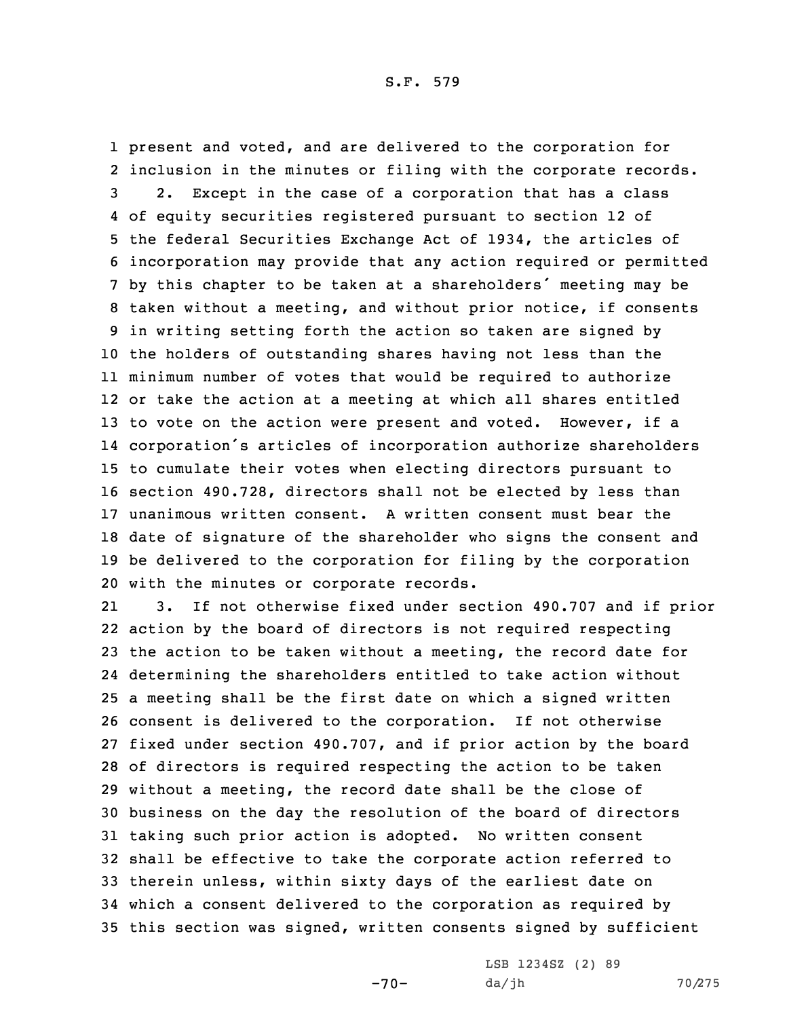present and voted, and are delivered to the corporation for inclusion in the minutes or filing with the corporate records. 2. Except in the case of <sup>a</sup> corporation that has <sup>a</sup> class of equity securities registered pursuant to section 12 of the federal Securities Exchange Act of 1934, the articles of incorporation may provide that any action required or permitted by this chapter to be taken at <sup>a</sup> shareholders' meeting may be taken without <sup>a</sup> meeting, and without prior notice, if consents in writing setting forth the action so taken are signed by the holders of outstanding shares having not less than the minimum number of votes that would be required to authorize or take the action at <sup>a</sup> meeting at which all shares entitled 13 to vote on the action were present and voted. However, if a corporation's articles of incorporation authorize shareholders to cumulate their votes when electing directors pursuant to section 490.728, directors shall not be elected by less than unanimous written consent. A written consent must bear the date of signature of the shareholder who signs the consent and be delivered to the corporation for filing by the corporation with the minutes or corporate records.

21 3. If not otherwise fixed under section 490.707 and if prior action by the board of directors is not required respecting the action to be taken without <sup>a</sup> meeting, the record date for determining the shareholders entitled to take action without <sup>a</sup> meeting shall be the first date on which <sup>a</sup> signed written consent is delivered to the corporation. If not otherwise fixed under section 490.707, and if prior action by the board of directors is required respecting the action to be taken without <sup>a</sup> meeting, the record date shall be the close of business on the day the resolution of the board of directors taking such prior action is adopted. No written consent shall be effective to take the corporate action referred to therein unless, within sixty days of the earliest date on which <sup>a</sup> consent delivered to the corporation as required by this section was signed, written consents signed by sufficient

 $-70-$ 

LSB 1234SZ (2) 89 da/jh 70/275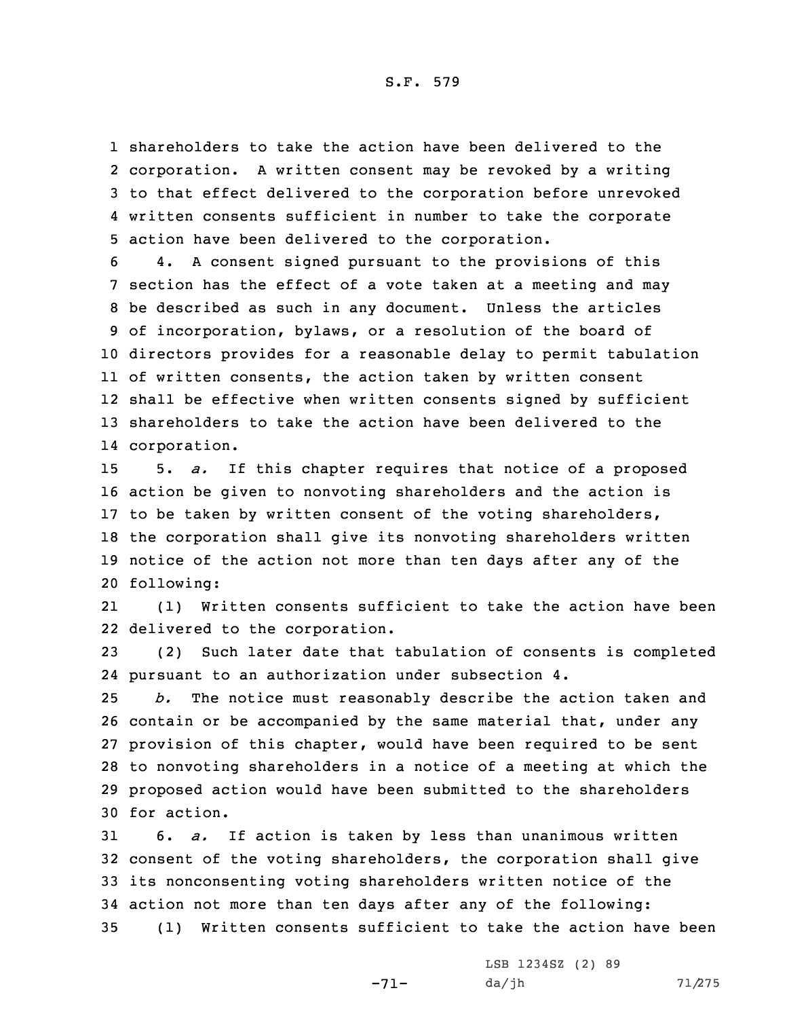shareholders to take the action have been delivered to the corporation. <sup>A</sup> written consent may be revoked by <sup>a</sup> writing to that effect delivered to the corporation before unrevoked written consents sufficient in number to take the corporate action have been delivered to the corporation.

 4. <sup>A</sup> consent signed pursuant to the provisions of this section has the effect of <sup>a</sup> vote taken at <sup>a</sup> meeting and may be described as such in any document. Unless the articles of incorporation, bylaws, or <sup>a</sup> resolution of the board of directors provides for <sup>a</sup> reasonable delay to permit tabulation of written consents, the action taken by written consent shall be effective when written consents signed by sufficient shareholders to take the action have been delivered to the corporation.

 5. *a.* If this chapter requires that notice of <sup>a</sup> proposed action be given to nonvoting shareholders and the action is to be taken by written consent of the voting shareholders, the corporation shall give its nonvoting shareholders written notice of the action not more than ten days after any of the following:

21 (1) Written consents sufficient to take the action have been 22 delivered to the corporation.

23 (2) Such later date that tabulation of consents is completed 24 pursuant to an authorization under subsection 4.

 *b.* The notice must reasonably describe the action taken and contain or be accompanied by the same material that, under any provision of this chapter, would have been required to be sent to nonvoting shareholders in <sup>a</sup> notice of <sup>a</sup> meeting at which the proposed action would have been submitted to the shareholders for action.

 6. *a.* If action is taken by less than unanimous written consent of the voting shareholders, the corporation shall give its nonconsenting voting shareholders written notice of the action not more than ten days after any of the following: (1) Written consents sufficient to take the action have been

-71-

LSB 1234SZ (2) 89 da/jh 71/275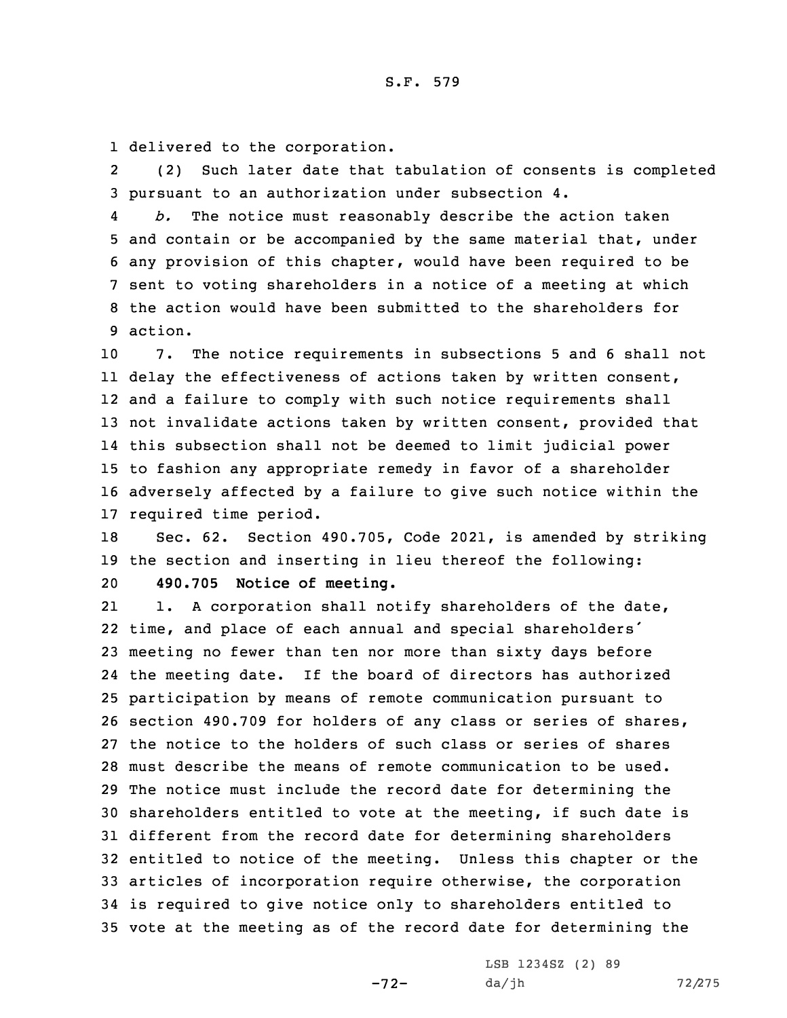1 delivered to the corporation.

2 (2) Such later date that tabulation of consents is completed 3 pursuant to an authorization under subsection 4.

4 *b.* The notice must reasonably describe the action taken 5 and contain or be accompanied by the same material that, under 6 any provision of this chapter, would have been required to be 7 sent to voting shareholders in <sup>a</sup> notice of <sup>a</sup> meeting at which 8 the action would have been submitted to the shareholders for 9 action.

 7. The notice requirements in subsections 5 and 6 shall not delay the effectiveness of actions taken by written consent, and <sup>a</sup> failure to comply with such notice requirements shall not invalidate actions taken by written consent, provided that this subsection shall not be deemed to limit judicial power to fashion any appropriate remedy in favor of <sup>a</sup> shareholder adversely affected by <sup>a</sup> failure to give such notice within the required time period.

18 Sec. 62. Section 490.705, Code 2021, is amended by striking 19 the section and inserting in lieu thereof the following: 20 **490.705 Notice of meeting.**

21 1. <sup>A</sup> corporation shall notify shareholders of the date, time, and place of each annual and special shareholders' meeting no fewer than ten nor more than sixty days before the meeting date. If the board of directors has authorized participation by means of remote communication pursuant to section 490.709 for holders of any class or series of shares, the notice to the holders of such class or series of shares must describe the means of remote communication to be used. The notice must include the record date for determining the shareholders entitled to vote at the meeting, if such date is different from the record date for determining shareholders entitled to notice of the meeting. Unless this chapter or the articles of incorporation require otherwise, the corporation is required to give notice only to shareholders entitled to vote at the meeting as of the record date for determining the

-72-

LSB 1234SZ (2) 89 da/jh 72/275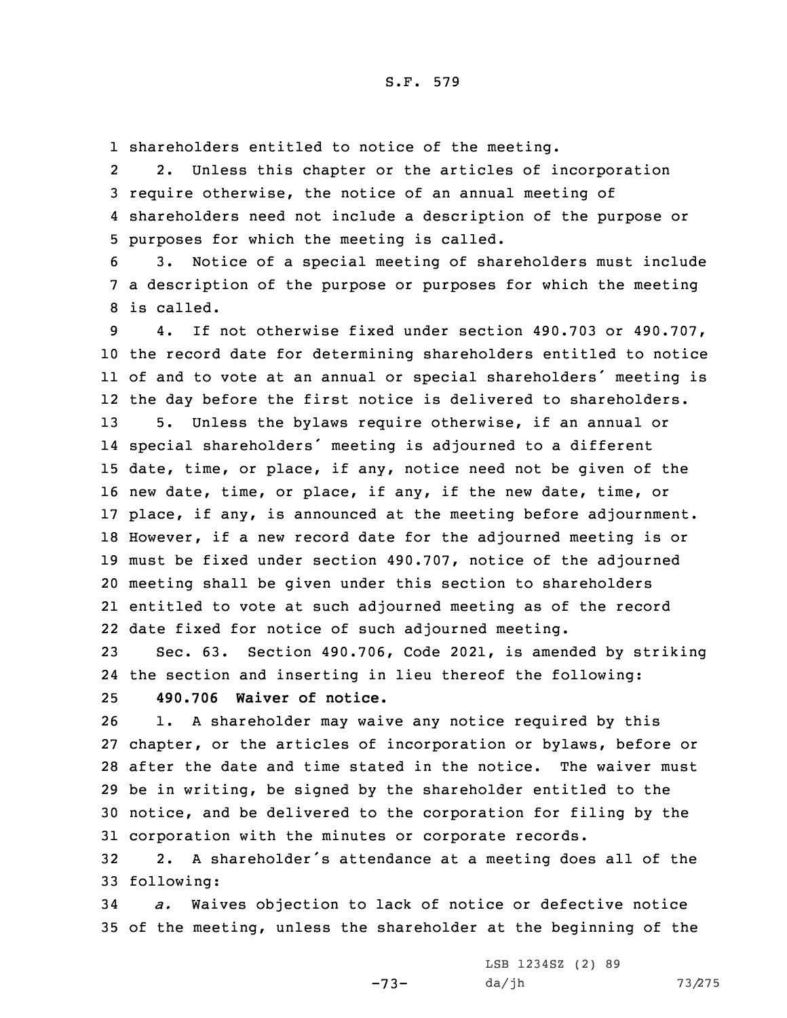1 shareholders entitled to notice of the meeting.

2 2. Unless this chapter or the articles of incorporation 3 require otherwise, the notice of an annual meeting of 4 shareholders need not include <sup>a</sup> description of the purpose or 5 purposes for which the meeting is called.

6 3. Notice of <sup>a</sup> special meeting of shareholders must include 7 <sup>a</sup> description of the purpose or purposes for which the meeting 8 is called.

 4. If not otherwise fixed under section 490.703 or 490.707, the record date for determining shareholders entitled to notice of and to vote at an annual or special shareholders' meeting is the day before the first notice is delivered to shareholders. 5. Unless the bylaws require otherwise, if an annual or special shareholders' meeting is adjourned to <sup>a</sup> different date, time, or place, if any, notice need not be given of the new date, time, or place, if any, if the new date, time, or place, if any, is announced at the meeting before adjournment. However, if <sup>a</sup> new record date for the adjourned meeting is or must be fixed under section 490.707, notice of the adjourned meeting shall be given under this section to shareholders entitled to vote at such adjourned meeting as of the record date fixed for notice of such adjourned meeting.

23 Sec. 63. Section 490.706, Code 2021, is amended by striking 24 the section and inserting in lieu thereof the following:

25 **490.706 Waiver of notice.**

 1. <sup>A</sup> shareholder may waive any notice required by this chapter, or the articles of incorporation or bylaws, before or after the date and time stated in the notice. The waiver must be in writing, be signed by the shareholder entitled to the notice, and be delivered to the corporation for filing by the corporation with the minutes or corporate records.

<sup>32</sup> 2. <sup>A</sup> shareholder's attendance at <sup>a</sup> meeting does all of the 33 following:

34 *a.* Waives objection to lack of notice or defective notice 35 of the meeting, unless the shareholder at the beginning of the

-73-

LSB 1234SZ (2) 89 da/jh 73/275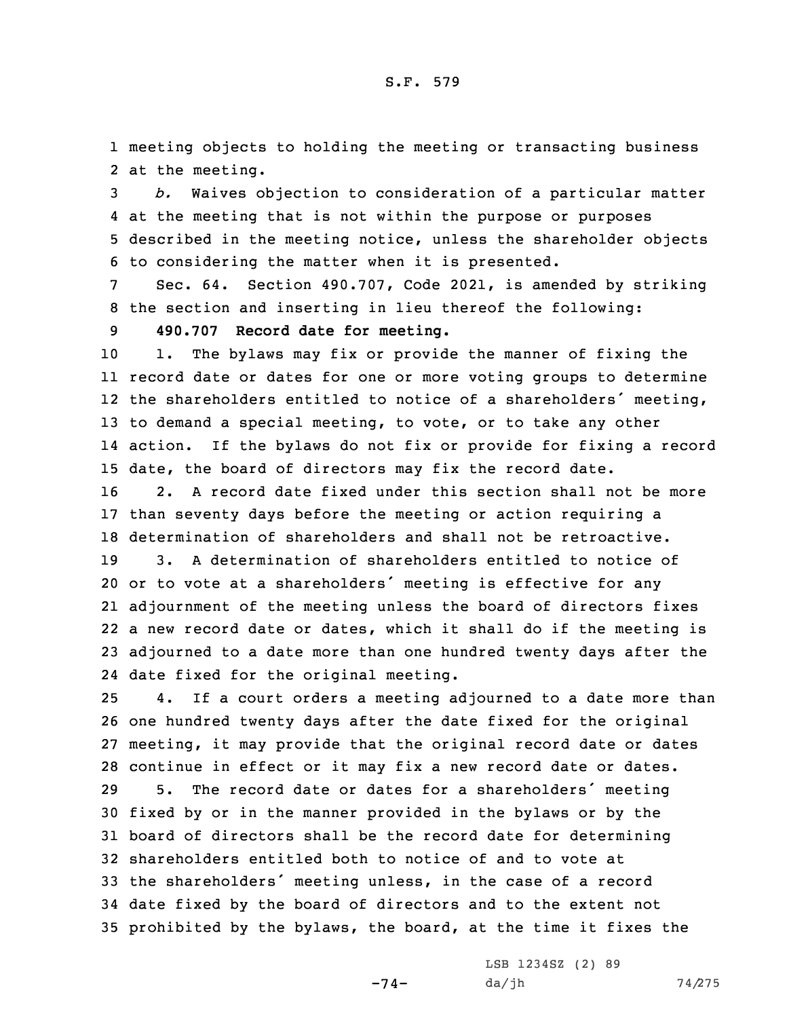1 meeting objects to holding the meeting or transacting business 2 at the meeting.

 *b.* Waives objection to consideration of <sup>a</sup> particular matter at the meeting that is not within the purpose or purposes described in the meeting notice, unless the shareholder objects to considering the matter when it is presented.

7 Sec. 64. Section 490.707, Code 2021, is amended by striking 8 the section and inserting in lieu thereof the following:

9 **490.707 Record date for meeting.**

 1. The bylaws may fix or provide the manner of fixing the record date or dates for one or more voting groups to determine the shareholders entitled to notice of <sup>a</sup> shareholders' meeting, to demand <sup>a</sup> special meeting, to vote, or to take any other action. If the bylaws do not fix or provide for fixing <sup>a</sup> record date, the board of directors may fix the record date.

16 2. A record date fixed under this section shall not be more 17 than seventy days before the meeting or action requiring <sup>a</sup> 18 determination of shareholders and shall not be retroactive.

 3. A determination of shareholders entitled to notice of or to vote at <sup>a</sup> shareholders' meeting is effective for any adjournment of the meeting unless the board of directors fixes <sup>a</sup> new record date or dates, which it shall do if the meeting is adjourned to <sup>a</sup> date more than one hundred twenty days after the date fixed for the original meeting.

 4. If <sup>a</sup> court orders <sup>a</sup> meeting adjourned to <sup>a</sup> date more than one hundred twenty days after the date fixed for the original meeting, it may provide that the original record date or dates continue in effect or it may fix <sup>a</sup> new record date or dates. 5. The record date or dates for <sup>a</sup> shareholders' meeting fixed by or in the manner provided in the bylaws or by the board of directors shall be the record date for determining shareholders entitled both to notice of and to vote at the shareholders' meeting unless, in the case of <sup>a</sup> record date fixed by the board of directors and to the extent not prohibited by the bylaws, the board, at the time it fixes the

-74-

LSB 1234SZ (2) 89 da/jh 74/275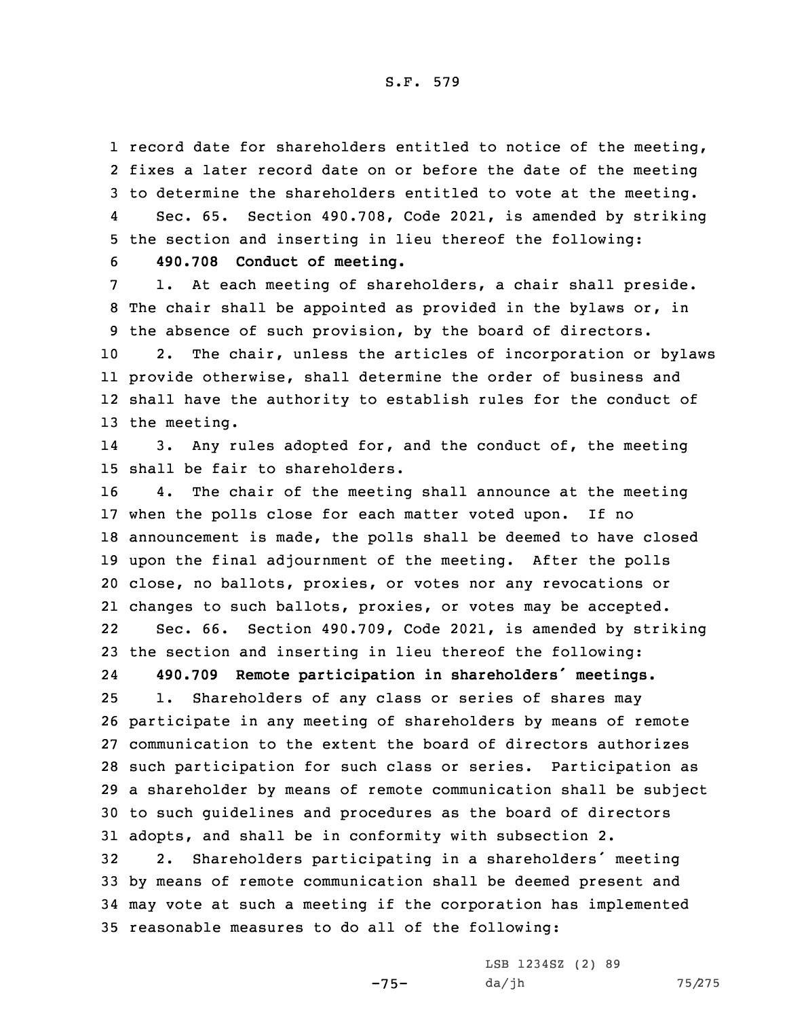S.F. 579

1 record date for shareholders entitled to notice of the meeting, 2 fixes <sup>a</sup> later record date on or before the date of the meeting 3 to determine the shareholders entitled to vote at the meeting. 4 Sec. 65. Section 490.708, Code 2021, is amended by striking 5 the section and inserting in lieu thereof the following:

6 **490.708 Conduct of meeting.**

 1. At each meeting of shareholders, <sup>a</sup> chair shall preside. The chair shall be appointed as provided in the bylaws or, in the absence of such provision, by the board of directors. 2. The chair, unless the articles of incorporation or bylaws provide otherwise, shall determine the order of business and shall have the authority to establish rules for the conduct of the meeting.

14 3. Any rules adopted for, and the conduct of, the meeting 15 shall be fair to shareholders.

 4. The chair of the meeting shall announce at the meeting when the polls close for each matter voted upon. If no announcement is made, the polls shall be deemed to have closed upon the final adjournment of the meeting. After the polls close, no ballots, proxies, or votes nor any revocations or changes to such ballots, proxies, or votes may be accepted. 22 Sec. 66. Section 490.709, Code 2021, is amended by striking the section and inserting in lieu thereof the following:

24**490.709 Remote participation in shareholders' meetings.**

 1. Shareholders of any class or series of shares may participate in any meeting of shareholders by means of remote communication to the extent the board of directors authorizes such participation for such class or series. Participation as <sup>a</sup> shareholder by means of remote communication shall be subject to such guidelines and procedures as the board of directors adopts, and shall be in conformity with subsection 2.

 2. Shareholders participating in <sup>a</sup> shareholders' meeting by means of remote communication shall be deemed present and may vote at such <sup>a</sup> meeting if the corporation has implemented reasonable measures to do all of the following:

-75-

LSB 1234SZ (2) 89 da/jh 75/275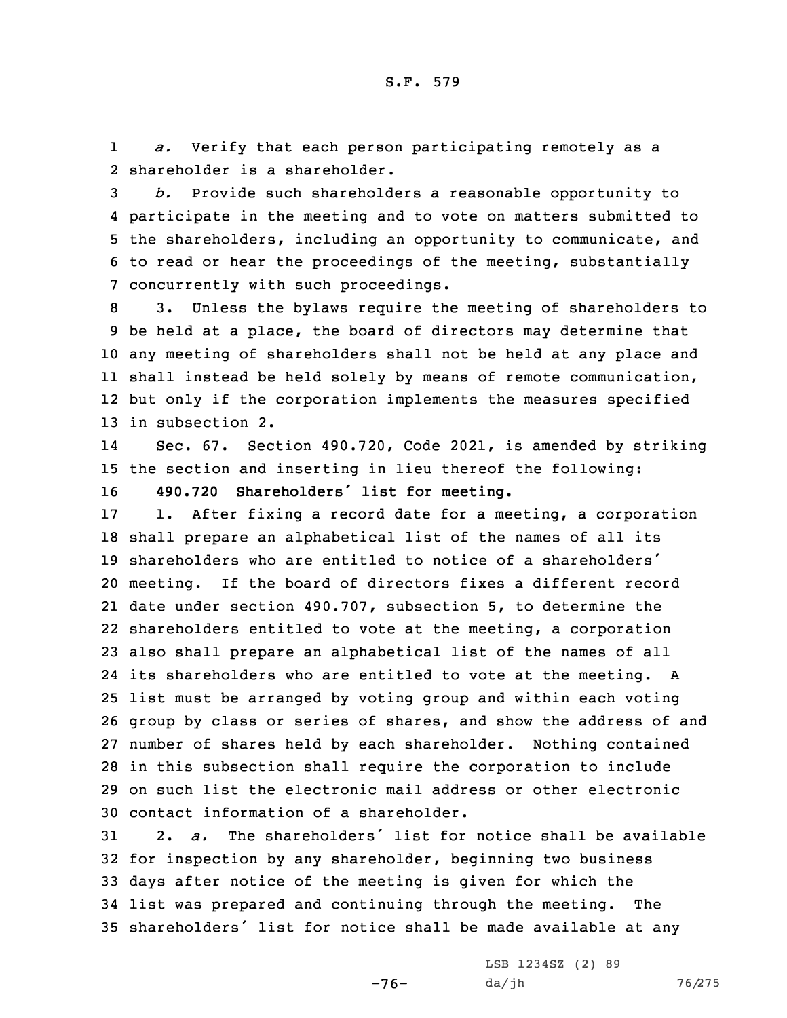1 *a.* Verify that each person participating remotely as <sup>a</sup> 2 shareholder is <sup>a</sup> shareholder.

 *b.* Provide such shareholders <sup>a</sup> reasonable opportunity to participate in the meeting and to vote on matters submitted to the shareholders, including an opportunity to communicate, and to read or hear the proceedings of the meeting, substantially concurrently with such proceedings.

 3. Unless the bylaws require the meeting of shareholders to be held at <sup>a</sup> place, the board of directors may determine that any meeting of shareholders shall not be held at any place and shall instead be held solely by means of remote communication, but only if the corporation implements the measures specified in subsection 2.

14 Sec. 67. Section 490.720, Code 2021, is amended by striking 15 the section and inserting in lieu thereof the following: <sup>16</sup> **490.720 Shareholders' list for meeting.**

 1. After fixing <sup>a</sup> record date for <sup>a</sup> meeting, <sup>a</sup> corporation shall prepare an alphabetical list of the names of all its shareholders who are entitled to notice of <sup>a</sup> shareholders' meeting. If the board of directors fixes <sup>a</sup> different record date under section 490.707, subsection 5, to determine the shareholders entitled to vote at the meeting, <sup>a</sup> corporation also shall prepare an alphabetical list of the names of all its shareholders who are entitled to vote at the meeting. <sup>A</sup> list must be arranged by voting group and within each voting group by class or series of shares, and show the address of and number of shares held by each shareholder. Nothing contained in this subsection shall require the corporation to include on such list the electronic mail address or other electronic contact information of <sup>a</sup> shareholder.

 2. *a.* The shareholders' list for notice shall be available for inspection by any shareholder, beginning two business days after notice of the meeting is given for which the list was prepared and continuing through the meeting. The shareholders' list for notice shall be made available at any

-76-

LSB 1234SZ (2) 89 da/jh 76/275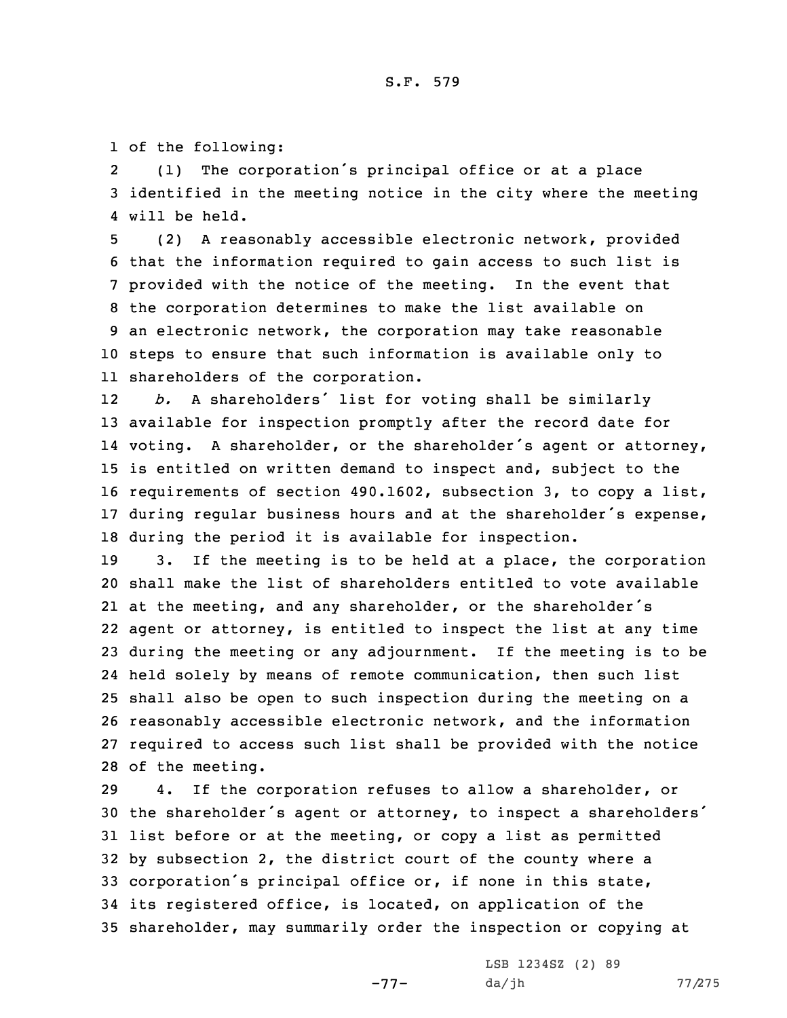1 of the following:

2 (1) The corporation's principal office or at <sup>a</sup> place 3 identified in the meeting notice in the city where the meeting 4 will be held.

 (2) <sup>A</sup> reasonably accessible electronic network, provided that the information required to gain access to such list is provided with the notice of the meeting. In the event that the corporation determines to make the list available on an electronic network, the corporation may take reasonable steps to ensure that such information is available only to shareholders of the corporation.

12 *b.* <sup>A</sup> shareholders' list for voting shall be similarly available for inspection promptly after the record date for voting. <sup>A</sup> shareholder, or the shareholder's agent or attorney, is entitled on written demand to inspect and, subject to the requirements of section 490.1602, subsection 3, to copy <sup>a</sup> list, during regular business hours and at the shareholder's expense, during the period it is available for inspection.

 3. If the meeting is to be held at <sup>a</sup> place, the corporation shall make the list of shareholders entitled to vote available at the meeting, and any shareholder, or the shareholder's agent or attorney, is entitled to inspect the list at any time during the meeting or any adjournment. If the meeting is to be held solely by means of remote communication, then such list shall also be open to such inspection during the meeting on <sup>a</sup> reasonably accessible electronic network, and the information required to access such list shall be provided with the notice of the meeting.

 4. If the corporation refuses to allow <sup>a</sup> shareholder, or the shareholder's agent or attorney, to inspect <sup>a</sup> shareholders' list before or at the meeting, or copy <sup>a</sup> list as permitted by subsection 2, the district court of the county where <sup>a</sup> corporation's principal office or, if none in this state, its registered office, is located, on application of the shareholder, may summarily order the inspection or copying at

-77-

LSB 1234SZ (2) 89 da/jh 77/275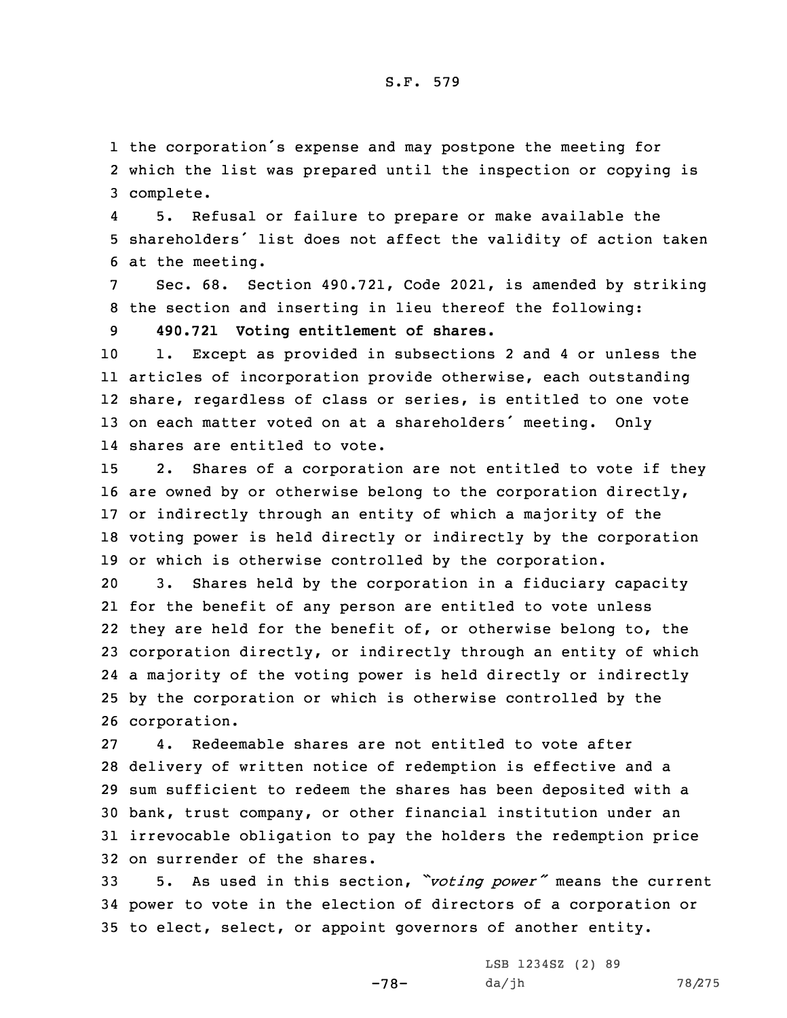## S.F. 579

1 the corporation's expense and may postpone the meeting for 2 which the list was prepared until the inspection or copying is 3 complete.

4 5. Refusal or failure to prepare or make available the <sup>5</sup> shareholders' list does not affect the validity of action taken 6 at the meeting.

7 Sec. 68. Section 490.721, Code 2021, is amended by striking 8 the section and inserting in lieu thereof the following:

9 **490.721 Voting entitlement of shares.**

 1. Except as provided in subsections 2 and 4 or unless the articles of incorporation provide otherwise, each outstanding share, regardless of class or series, is entitled to one vote on each matter voted on at <sup>a</sup> shareholders' meeting. Only shares are entitled to vote.

 2. Shares of <sup>a</sup> corporation are not entitled to vote if they are owned by or otherwise belong to the corporation directly, or indirectly through an entity of which <sup>a</sup> majority of the voting power is held directly or indirectly by the corporation or which is otherwise controlled by the corporation.

 3. Shares held by the corporation in <sup>a</sup> fiduciary capacity for the benefit of any person are entitled to vote unless they are held for the benefit of, or otherwise belong to, the corporation directly, or indirectly through an entity of which <sup>a</sup> majority of the voting power is held directly or indirectly by the corporation or which is otherwise controlled by the corporation.

 4. Redeemable shares are not entitled to vote after delivery of written notice of redemption is effective and <sup>a</sup> sum sufficient to redeem the shares has been deposited with <sup>a</sup> bank, trust company, or other financial institution under an irrevocable obligation to pay the holders the redemption price on surrender of the shares.

<sup>33</sup> 5. As used in this section, *"voting power"* means the current 34 power to vote in the election of directors of <sup>a</sup> corporation or 35 to elect, select, or appoint governors of another entity.

> LSB 1234SZ (2) 89 da/jh 78/275

-78-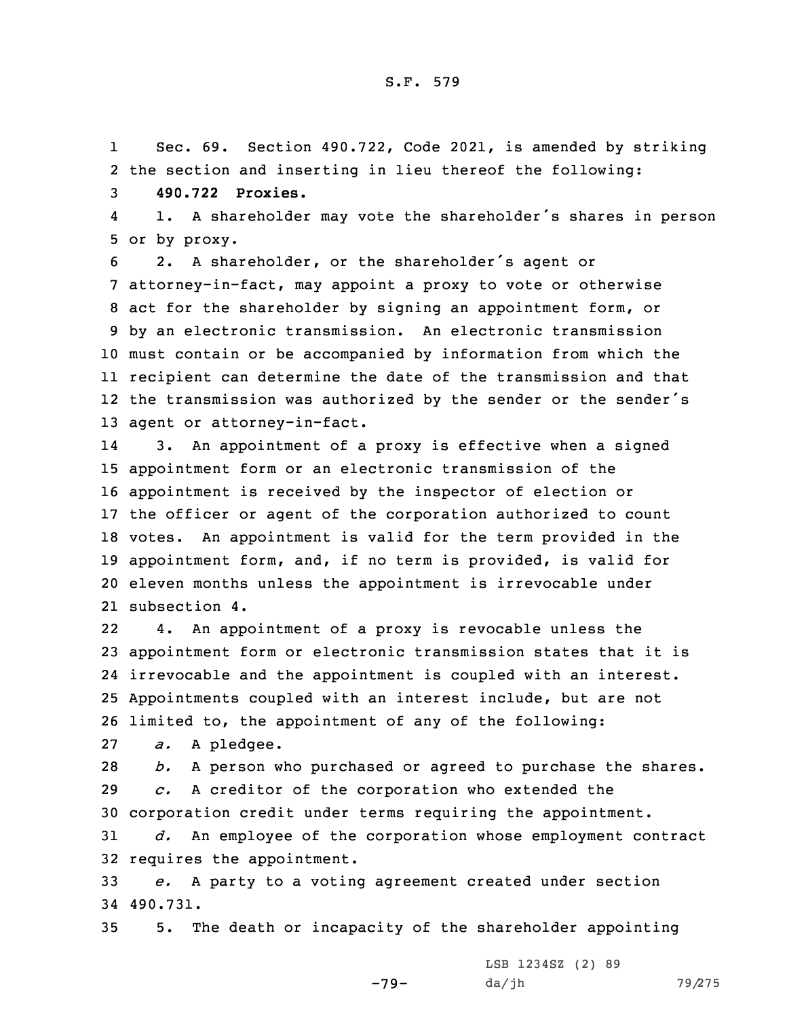1 Sec. 69. Section 490.722, Code 2021, is amended by striking 2 the section and inserting in lieu thereof the following:

3 **490.722 Proxies.**

4 1. <sup>A</sup> shareholder may vote the shareholder's shares in person 5 or by proxy.

 2. <sup>A</sup> shareholder, or the shareholder's agent or attorney-in-fact, may appoint <sup>a</sup> proxy to vote or otherwise act for the shareholder by signing an appointment form, or by an electronic transmission. An electronic transmission must contain or be accompanied by information from which the recipient can determine the date of the transmission and that the transmission was authorized by the sender or the sender's agent or attorney-in-fact.

14 3. An appointment of <sup>a</sup> proxy is effective when <sup>a</sup> signed appointment form or an electronic transmission of the appointment is received by the inspector of election or the officer or agent of the corporation authorized to count votes. An appointment is valid for the term provided in the appointment form, and, if no term is provided, is valid for eleven months unless the appointment is irrevocable under subsection 4.

22 4. An appointment of <sup>a</sup> proxy is revocable unless the appointment form or electronic transmission states that it is irrevocable and the appointment is coupled with an interest. Appointments coupled with an interest include, but are not limited to, the appointment of any of the following:

27 *a.* <sup>A</sup> pledgee.

28 *b.* <sup>A</sup> person who purchased or agreed to purchase the shares. 29 *c.* <sup>A</sup> creditor of the corporation who extended the 30 corporation credit under terms requiring the appointment.

31 *d.* An employee of the corporation whose employment contract 32 requires the appointment.

33 *e.* <sup>A</sup> party to <sup>a</sup> voting agreement created under section 34 490.731.

35 5. The death or incapacity of the shareholder appointing

-79-

LSB 1234SZ (2) 89 da/jh 79/275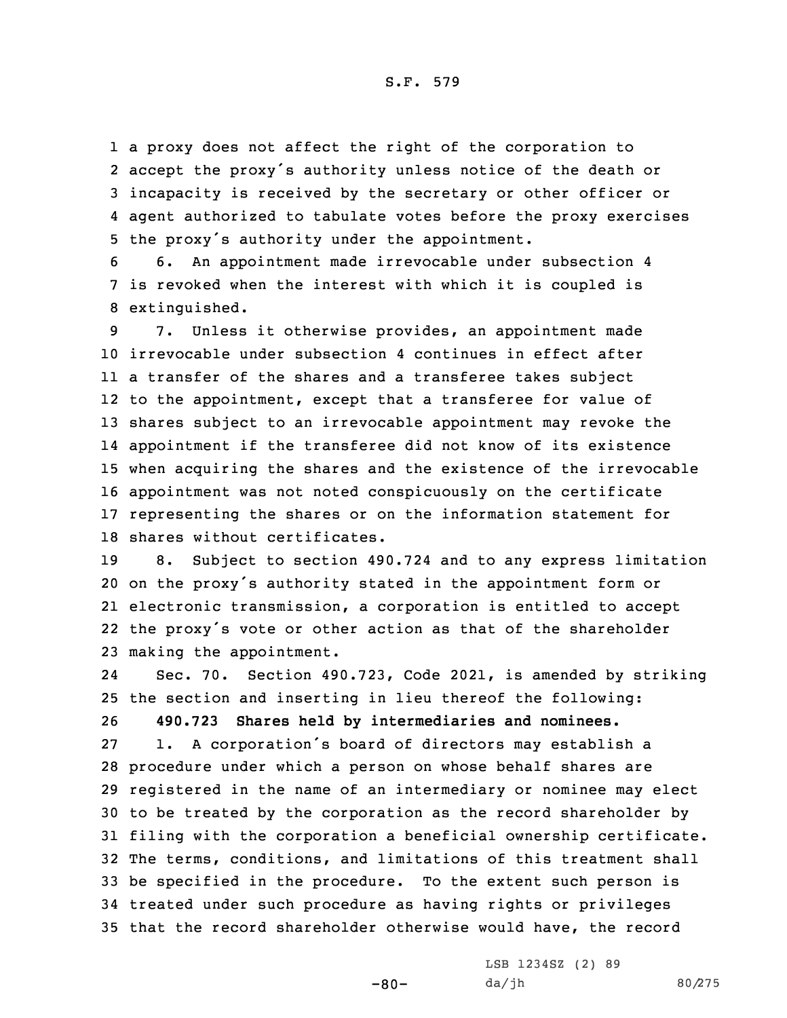<sup>a</sup> proxy does not affect the right of the corporation to accept the proxy's authority unless notice of the death or incapacity is received by the secretary or other officer or agent authorized to tabulate votes before the proxy exercises the proxy's authority under the appointment.

6 6. An appointment made irrevocable under subsection 4 7 is revoked when the interest with which it is coupled is 8 extinguished.

 7. Unless it otherwise provides, an appointment made irrevocable under subsection 4 continues in effect after <sup>a</sup> transfer of the shares and <sup>a</sup> transferee takes subject to the appointment, except that <sup>a</sup> transferee for value of shares subject to an irrevocable appointment may revoke the appointment if the transferee did not know of its existence when acquiring the shares and the existence of the irrevocable appointment was not noted conspicuously on the certificate representing the shares or on the information statement for shares without certificates.

 8. Subject to section 490.724 and to any express limitation on the proxy's authority stated in the appointment form or electronic transmission, <sup>a</sup> corporation is entitled to accept the proxy's vote or other action as that of the shareholder making the appointment.

24 Sec. 70. Section 490.723, Code 2021, is amended by striking 25 the section and inserting in lieu thereof the following:

26 **490.723 Shares held by intermediaries and nominees.**

 1. <sup>A</sup> corporation's board of directors may establish <sup>a</sup> procedure under which <sup>a</sup> person on whose behalf shares are registered in the name of an intermediary or nominee may elect to be treated by the corporation as the record shareholder by filing with the corporation <sup>a</sup> beneficial ownership certificate. The terms, conditions, and limitations of this treatment shall be specified in the procedure. To the extent such person is treated under such procedure as having rights or privileges that the record shareholder otherwise would have, the record

-80-

LSB 1234SZ (2) 89 da/jh 80/275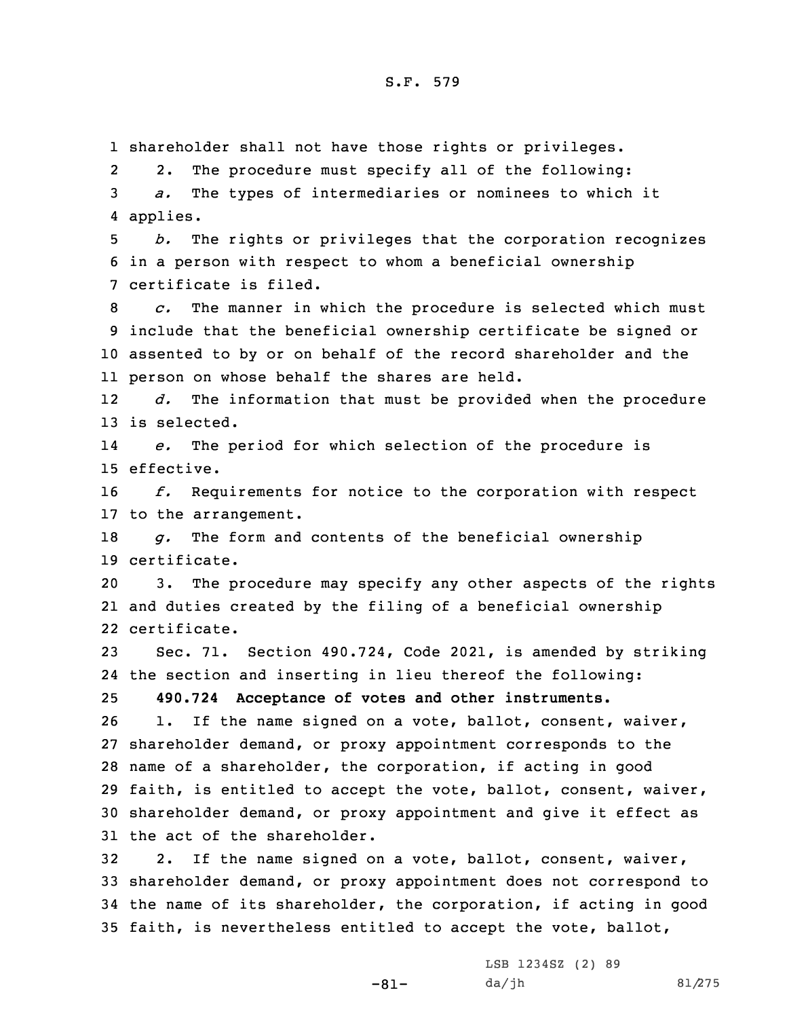1 shareholder shall not have those rights or privileges.

22. The procedure must specify all of the following:

3 *a.* The types of intermediaries or nominees to which it 4 applies.

5 *b.* The rights or privileges that the corporation recognizes 6 in <sup>a</sup> person with respect to whom <sup>a</sup> beneficial ownership 7 certificate is filed.

 *c.* The manner in which the procedure is selected which must include that the beneficial ownership certificate be signed or assented to by or on behalf of the record shareholder and the person on whose behalf the shares are held.

12 *d.* The information that must be provided when the procedure 13 is selected.

14 *e.* The period for which selection of the procedure is 15 effective.

16 *f.* Requirements for notice to the corporation with respect 17 to the arrangement.

18 *g.* The form and contents of the beneficial ownership 19 certificate.

20 3. The procedure may specify any other aspects of the rights 21 and duties created by the filing of <sup>a</sup> beneficial ownership 22 certificate.

23 Sec. 71. Section 490.724, Code 2021, is amended by striking 24 the section and inserting in lieu thereof the following:

25 **490.724 Acceptance of votes and other instruments.**

 1. If the name signed on <sup>a</sup> vote, ballot, consent, waiver, shareholder demand, or proxy appointment corresponds to the name of <sup>a</sup> shareholder, the corporation, if acting in good faith, is entitled to accept the vote, ballot, consent, waiver, shareholder demand, or proxy appointment and give it effect as the act of the shareholder.

 2. If the name signed on <sup>a</sup> vote, ballot, consent, waiver, shareholder demand, or proxy appointment does not correspond to the name of its shareholder, the corporation, if acting in good faith, is nevertheless entitled to accept the vote, ballot,

-81-

```
LSB 1234SZ (2) 89
da/jh 81/275
```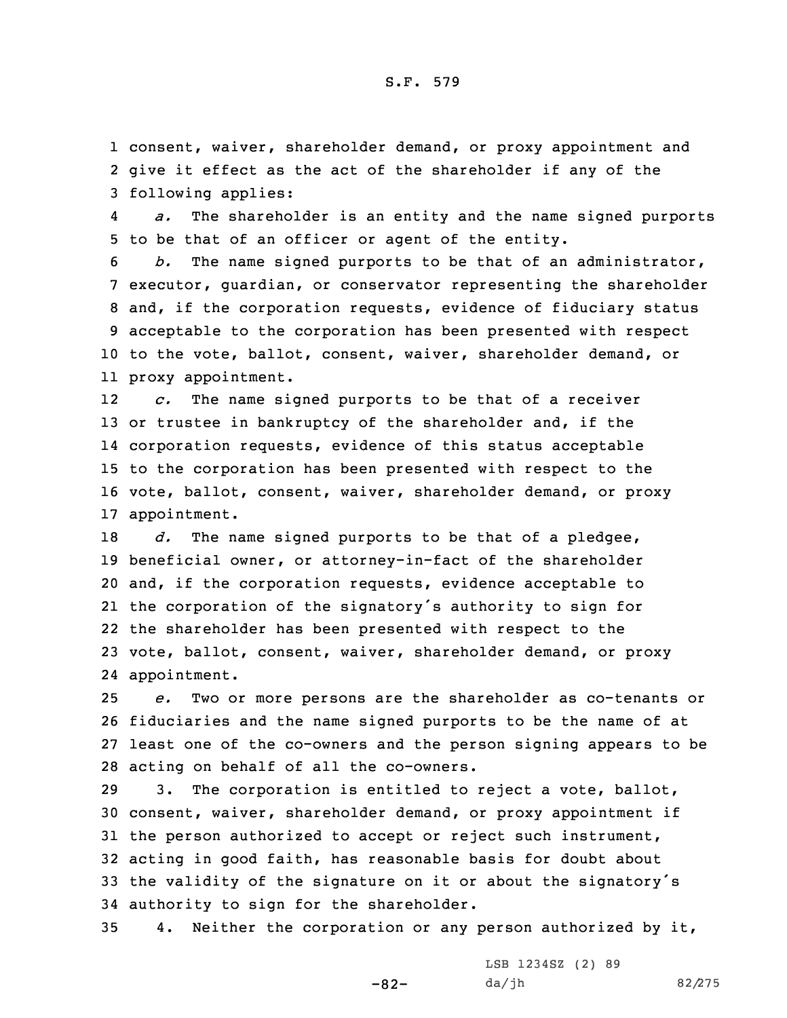1 consent, waiver, shareholder demand, or proxy appointment and 2 give it effect as the act of the shareholder if any of the 3 following applies:

4 *a.* The shareholder is an entity and the name signed purports 5 to be that of an officer or agent of the entity.

 *b.* The name signed purports to be that of an administrator, executor, guardian, or conservator representing the shareholder and, if the corporation requests, evidence of fiduciary status acceptable to the corporation has been presented with respect to the vote, ballot, consent, waiver, shareholder demand, or proxy appointment.

12 *c.* The name signed purports to be that of <sup>a</sup> receiver or trustee in bankruptcy of the shareholder and, if the corporation requests, evidence of this status acceptable to the corporation has been presented with respect to the vote, ballot, consent, waiver, shareholder demand, or proxy appointment.

 *d.* The name signed purports to be that of <sup>a</sup> pledgee, beneficial owner, or attorney-in-fact of the shareholder and, if the corporation requests, evidence acceptable to the corporation of the signatory's authority to sign for the shareholder has been presented with respect to the vote, ballot, consent, waiver, shareholder demand, or proxy appointment.

 *e.* Two or more persons are the shareholder as co-tenants or fiduciaries and the name signed purports to be the name of at least one of the co-owners and the person signing appears to be acting on behalf of all the co-owners.

 3. The corporation is entitled to reject <sup>a</sup> vote, ballot, consent, waiver, shareholder demand, or proxy appointment if the person authorized to accept or reject such instrument, acting in good faith, has reasonable basis for doubt about the validity of the signature on it or about the signatory's authority to sign for the shareholder.

35 4. Neither the corporation or any person authorized by it,

 $-82-$ 

LSB 1234SZ (2) 89 da/jh 82/275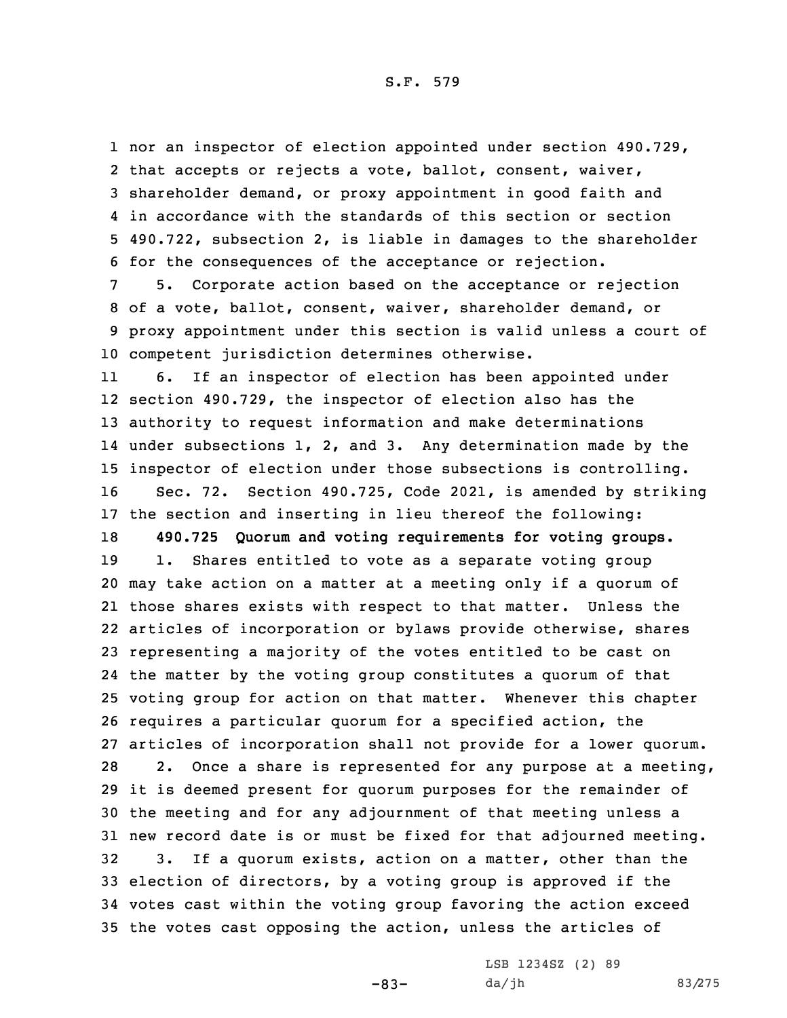S.F. 579

 nor an inspector of election appointed under section 490.729, that accepts or rejects <sup>a</sup> vote, ballot, consent, waiver, shareholder demand, or proxy appointment in good faith and in accordance with the standards of this section or section 490.722, subsection 2, is liable in damages to the shareholder for the consequences of the acceptance or rejection.

 5. Corporate action based on the acceptance or rejection of <sup>a</sup> vote, ballot, consent, waiver, shareholder demand, or proxy appointment under this section is valid unless <sup>a</sup> court of competent jurisdiction determines otherwise.

11 6. If an inspector of election has been appointed under section 490.729, the inspector of election also has the authority to request information and make determinations under subsections 1, 2, and 3. Any determination made by the inspector of election under those subsections is controlling. Sec. 72. Section 490.725, Code 2021, is amended by striking the section and inserting in lieu thereof the following:

 **490.725 Quorum and voting requirements for voting groups.** 1. Shares entitled to vote as <sup>a</sup> separate voting group may take action on <sup>a</sup> matter at <sup>a</sup> meeting only if <sup>a</sup> quorum of those shares exists with respect to that matter. Unless the articles of incorporation or bylaws provide otherwise, shares representing <sup>a</sup> majority of the votes entitled to be cast on the matter by the voting group constitutes <sup>a</sup> quorum of that voting group for action on that matter. Whenever this chapter requires <sup>a</sup> particular quorum for <sup>a</sup> specified action, the articles of incorporation shall not provide for <sup>a</sup> lower quorum. 28 2. Once a share is represented for any purpose at a meeting, it is deemed present for quorum purposes for the remainder of the meeting and for any adjournment of that meeting unless <sup>a</sup> new record date is or must be fixed for that adjourned meeting. 3. If <sup>a</sup> quorum exists, action on <sup>a</sup> matter, other than the election of directors, by <sup>a</sup> voting group is approved if the votes cast within the voting group favoring the action exceed the votes cast opposing the action, unless the articles of

-83-

LSB 1234SZ (2) 89 da/jh 83/275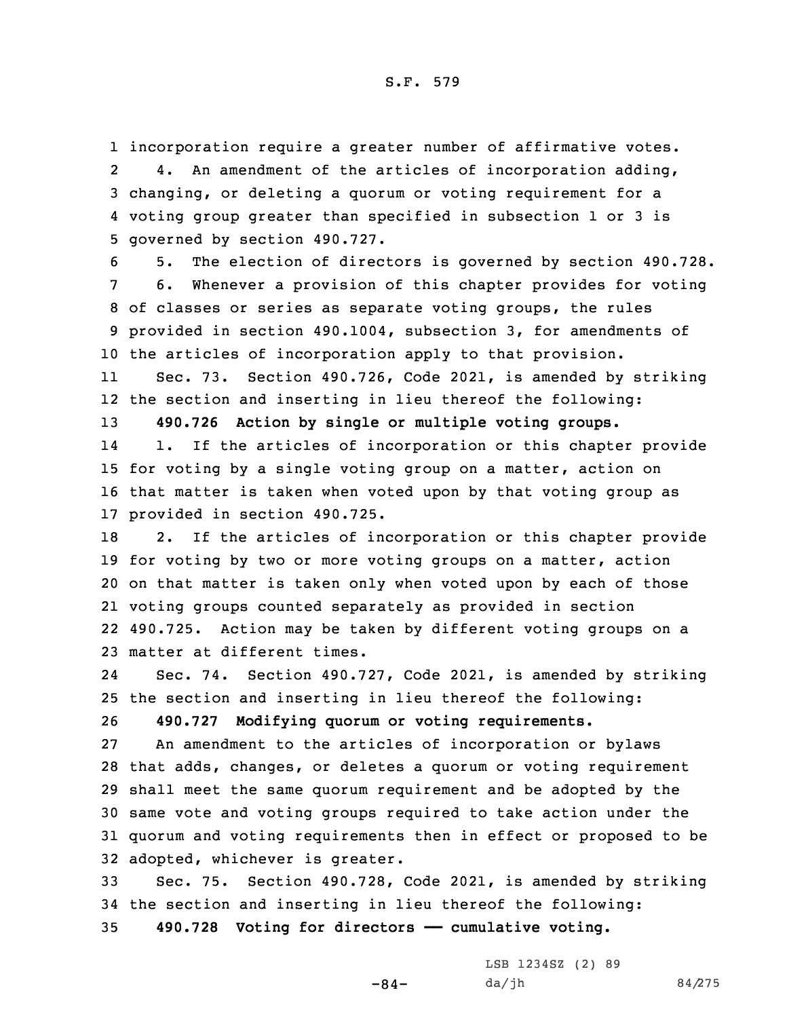1 incorporation require <sup>a</sup> greater number of affirmative votes.

2 4. An amendment of the articles of incorporation adding, 3 changing, or deleting <sup>a</sup> quorum or voting requirement for <sup>a</sup> 4 voting group greater than specified in subsection 1 or 3 is 5 governed by section 490.727.

 5. The election of directors is governed by section 490.728. 6. Whenever <sup>a</sup> provision of this chapter provides for voting of classes or series as separate voting groups, the rules provided in section 490.1004, subsection 3, for amendments of the articles of incorporation apply to that provision.

11 Sec. 73. Section 490.726, Code 2021, is amended by striking 12 the section and inserting in lieu thereof the following:

13 **490.726 Action by single or multiple voting groups.**

14 1. If the articles of incorporation or this chapter provide 15 for voting by <sup>a</sup> single voting group on <sup>a</sup> matter, action on 16 that matter is taken when voted upon by that voting group as 17 provided in section 490.725.

18 2. If the articles of incorporation or this chapter provide 19 for voting by two or more voting groups on a matter, action on that matter is taken only when voted upon by each of those voting groups counted separately as provided in section 490.725. Action may be taken by different voting groups on <sup>a</sup> matter at different times.

24 Sec. 74. Section 490.727, Code 2021, is amended by striking 25 the section and inserting in lieu thereof the following:

26 **490.727 Modifying quorum or voting requirements.**

 An amendment to the articles of incorporation or bylaws that adds, changes, or deletes <sup>a</sup> quorum or voting requirement shall meet the same quorum requirement and be adopted by the same vote and voting groups required to take action under the quorum and voting requirements then in effect or proposed to be adopted, whichever is greater.

33 Sec. 75. Section 490.728, Code 2021, is amended by striking 34 the section and inserting in lieu thereof the following:

 $-84-$ 

35 **490.728 Voting for directors —— cumulative voting.**

LSB 1234SZ (2) 89 da/jh 84/275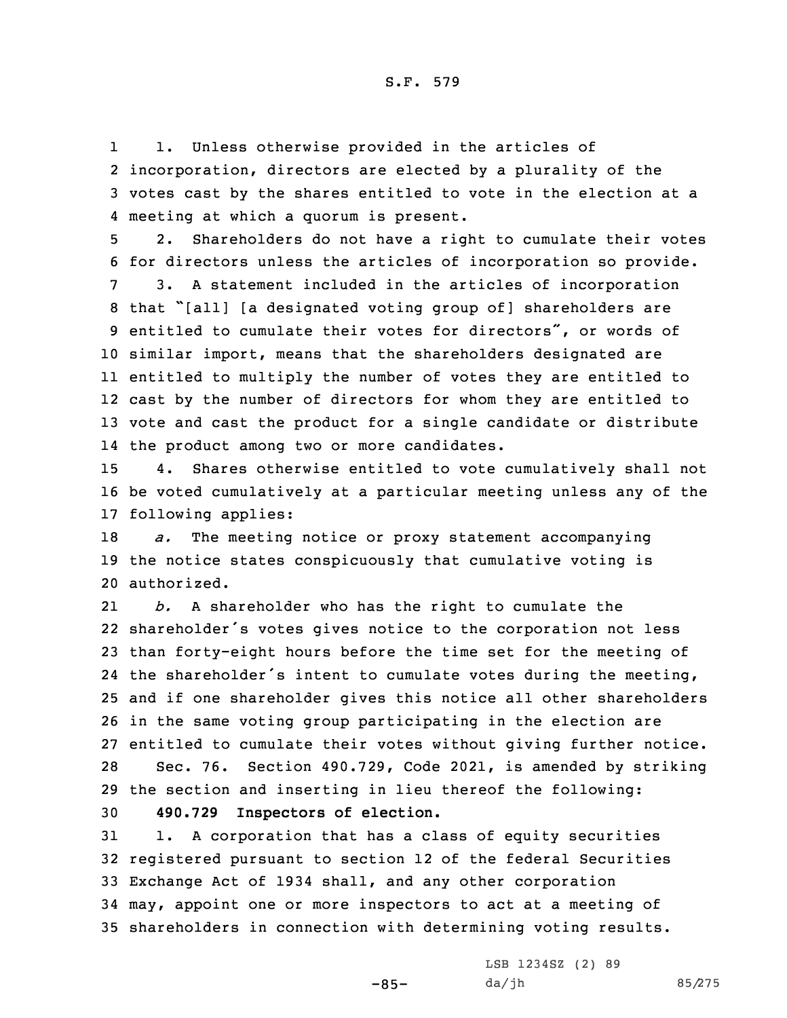1 1. Unless otherwise provided in the articles of 2 incorporation, directors are elected by <sup>a</sup> plurality of the 3 votes cast by the shares entitled to vote in the election at <sup>a</sup> 4 meeting at which <sup>a</sup> quorum is present.

5 2. Shareholders do not have <sup>a</sup> right to cumulate their votes 6 for directors unless the articles of incorporation so provide.

 3. <sup>A</sup> statement included in the articles of incorporation that "[all] [a designated voting group of] shareholders are entitled to cumulate their votes for directors", or words of similar import, means that the shareholders designated are entitled to multiply the number of votes they are entitled to cast by the number of directors for whom they are entitled to vote and cast the product for <sup>a</sup> single candidate or distribute the product among two or more candidates.

15 4. Shares otherwise entitled to vote cumulatively shall not 16 be voted cumulatively at <sup>a</sup> particular meeting unless any of the 17 following applies:

18 *a.* The meeting notice or proxy statement accompanying 19 the notice states conspicuously that cumulative voting is 20 authorized.

21 *b.* <sup>A</sup> shareholder who has the right to cumulate the shareholder's votes gives notice to the corporation not less than forty-eight hours before the time set for the meeting of the shareholder's intent to cumulate votes during the meeting, and if one shareholder gives this notice all other shareholders in the same voting group participating in the election are entitled to cumulate their votes without giving further notice. Sec. 76. Section 490.729, Code 2021, is amended by striking the section and inserting in lieu thereof the following:

30 **490.729 Inspectors of election.**

 1. <sup>A</sup> corporation that has <sup>a</sup> class of equity securities registered pursuant to section 12 of the federal Securities Exchange Act of 1934 shall, and any other corporation may, appoint one or more inspectors to act at <sup>a</sup> meeting of shareholders in connection with determining voting results.

 $-85-$ 

LSB 1234SZ (2) 89 da/jh 85/275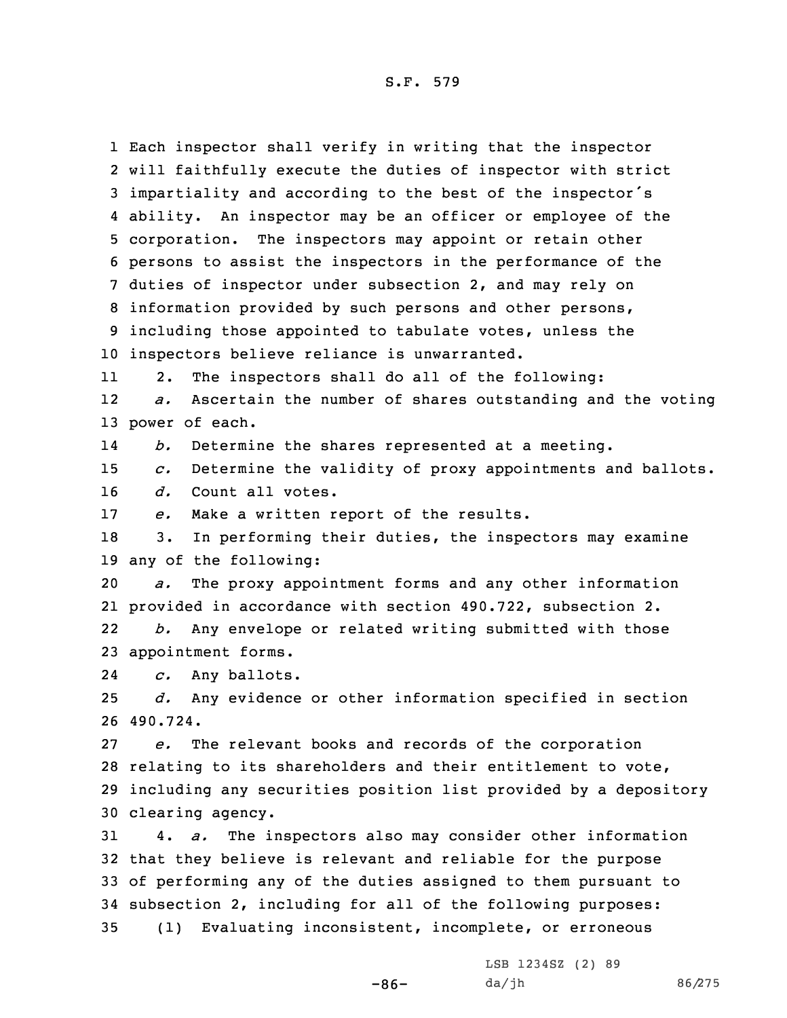S.F. 579

 Each inspector shall verify in writing that the inspector will faithfully execute the duties of inspector with strict impartiality and according to the best of the inspector's ability. An inspector may be an officer or employee of the corporation. The inspectors may appoint or retain other persons to assist the inspectors in the performance of the duties of inspector under subsection 2, and may rely on information provided by such persons and other persons, including those appointed to tabulate votes, unless the inspectors believe reliance is unwarranted. 11 2. The inspectors shall do all of the following: 12 *a.* Ascertain the number of shares outstanding and the voting power of each. 14 *b.* Determine the shares represented at <sup>a</sup> meeting. *c.* Determine the validity of proxy appointments and ballots. *d.* Count all votes. *e.* Make <sup>a</sup> written report of the results. 3. In performing their duties, the inspectors may examine any of the following: *a.* The proxy appointment forms and any other information provided in accordance with section 490.722, subsection 2. 22 *b.* Any envelope or related writing submitted with those appointment forms. 24 *c.* Any ballots. *d.* Any evidence or other information specified in section 26 490.724. *e.* The relevant books and records of the corporation relating to its shareholders and their entitlement to vote, including any securities position list provided by <sup>a</sup> depository clearing agency. 4. *a.* The inspectors also may consider other information that they believe is relevant and reliable for the purpose of performing any of the duties assigned to them pursuant to subsection 2, including for all of the following purposes: (1) Evaluating inconsistent, incomplete, or erroneous

-86-

LSB 1234SZ (2) 89 da/jh 86/275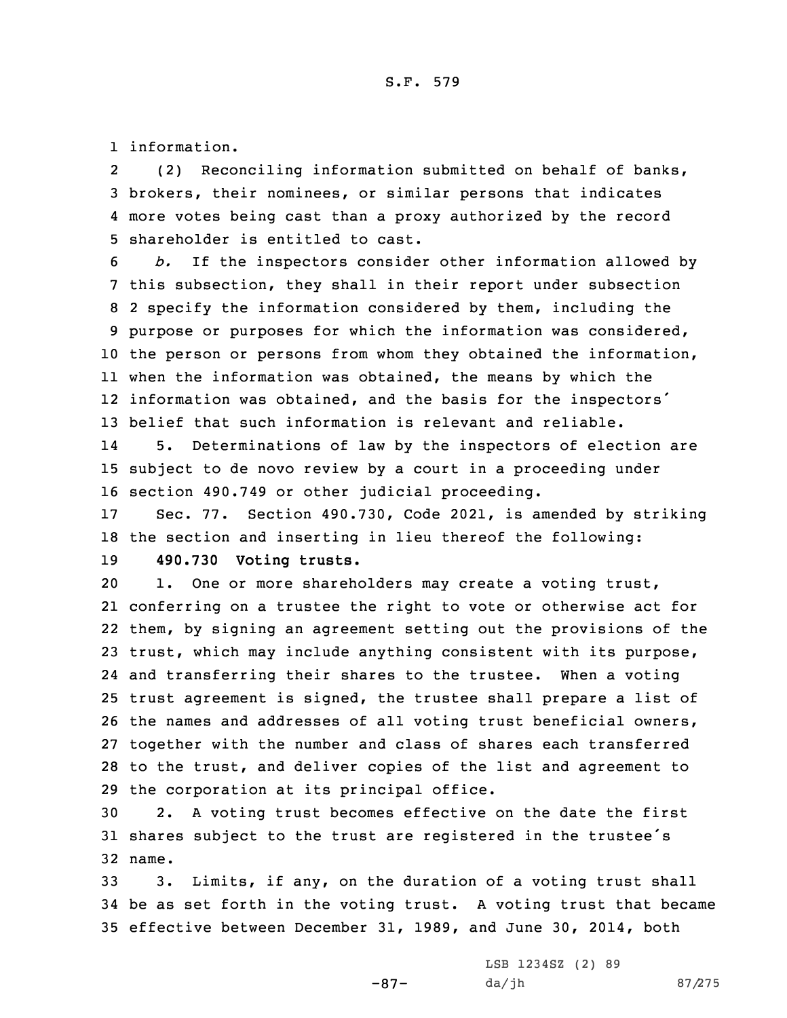1 information.

2 (2) Reconciling information submitted on behalf of banks, 3 brokers, their nominees, or similar persons that indicates 4 more votes being cast than <sup>a</sup> proxy authorized by the record 5 shareholder is entitled to cast.

 *b.* If the inspectors consider other information allowed by this subsection, they shall in their report under subsection 2 specify the information considered by them, including the purpose or purposes for which the information was considered, the person or persons from whom they obtained the information, when the information was obtained, the means by which the information was obtained, and the basis for the inspectors' belief that such information is relevant and reliable.

14 5. Determinations of law by the inspectors of election are 15 subject to de novo review by <sup>a</sup> court in <sup>a</sup> proceeding under 16 section 490.749 or other judicial proceeding.

17 Sec. 77. Section 490.730, Code 2021, is amended by striking 18 the section and inserting in lieu thereof the following: 19 **490.730 Voting trusts.**

 1. One or more shareholders may create <sup>a</sup> voting trust, conferring on <sup>a</sup> trustee the right to vote or otherwise act for them, by signing an agreement setting out the provisions of the trust, which may include anything consistent with its purpose, and transferring their shares to the trustee. When <sup>a</sup> voting trust agreement is signed, the trustee shall prepare <sup>a</sup> list of the names and addresses of all voting trust beneficial owners, together with the number and class of shares each transferred to the trust, and deliver copies of the list and agreement to the corporation at its principal office.

30 2. <sup>A</sup> voting trust becomes effective on the date the first <sup>31</sup> shares subject to the trust are registered in the trustee's 32 name.

-87-

33 3. Limits, if any, on the duration of <sup>a</sup> voting trust shall 34 be as set forth in the voting trust. <sup>A</sup> voting trust that became 35 effective between December 31, 1989, and June 30, 2014, both

> LSB 1234SZ (2) 89 da/jh 87/275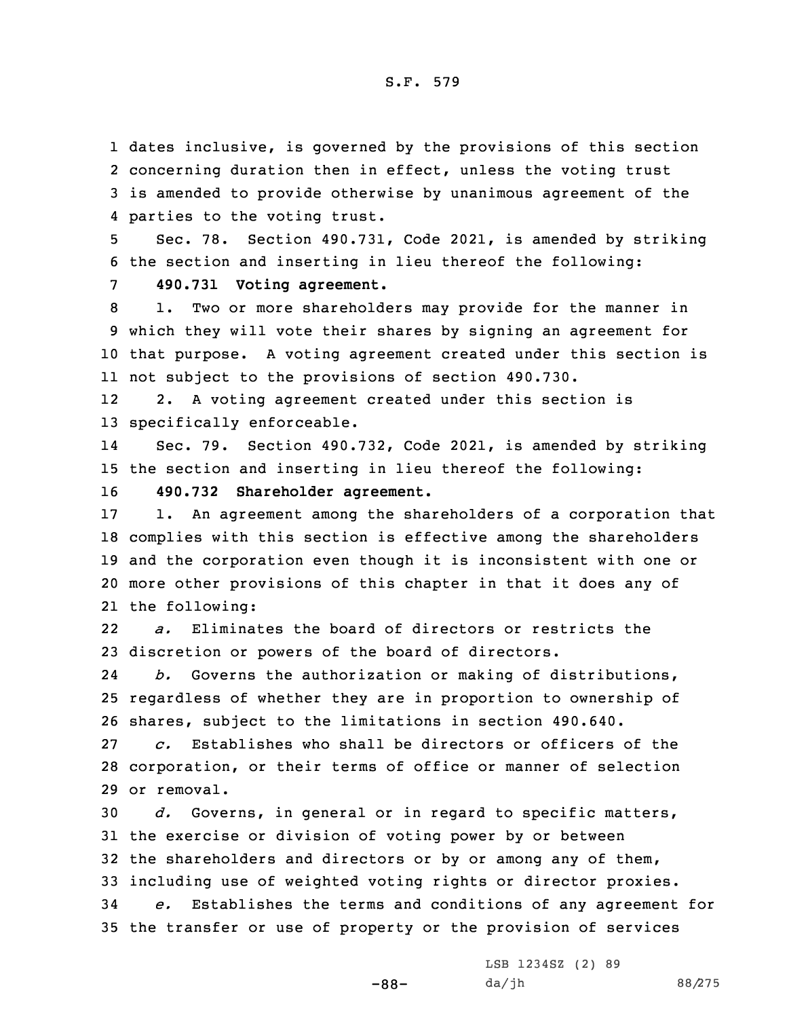dates inclusive, is governed by the provisions of this section concerning duration then in effect, unless the voting trust is amended to provide otherwise by unanimous agreement of the parties to the voting trust.

5 Sec. 78. Section 490.731, Code 2021, is amended by striking 6 the section and inserting in lieu thereof the following:

7 **490.731 Voting agreement.**

 1. Two or more shareholders may provide for the manner in which they will vote their shares by signing an agreement for that purpose. <sup>A</sup> voting agreement created under this section is not subject to the provisions of section 490.730.

12 2. <sup>A</sup> voting agreement created under this section is 13 specifically enforceable.

14 Sec. 79. Section 490.732, Code 2021, is amended by striking 15 the section and inserting in lieu thereof the following: 16 **490.732 Shareholder agreement.**

 1. An agreement among the shareholders of <sup>a</sup> corporation that complies with this section is effective among the shareholders and the corporation even though it is inconsistent with one or more other provisions of this chapter in that it does any of the following:

22 *a.* Eliminates the board of directors or restricts the 23 discretion or powers of the board of directors.

24 *b.* Governs the authorization or making of distributions, 25 regardless of whether they are in proportion to ownership of 26 shares, subject to the limitations in section 490.640.

27 *c.* Establishes who shall be directors or officers of the 28 corporation, or their terms of office or manner of selection 29 or removal.

 *d.* Governs, in general or in regard to specific matters, the exercise or division of voting power by or between the shareholders and directors or by or among any of them, including use of weighted voting rights or director proxies. *e.* Establishes the terms and conditions of any agreement for the transfer or use of property or the provision of services

-88-

LSB 1234SZ (2) 89 da/jh 88/275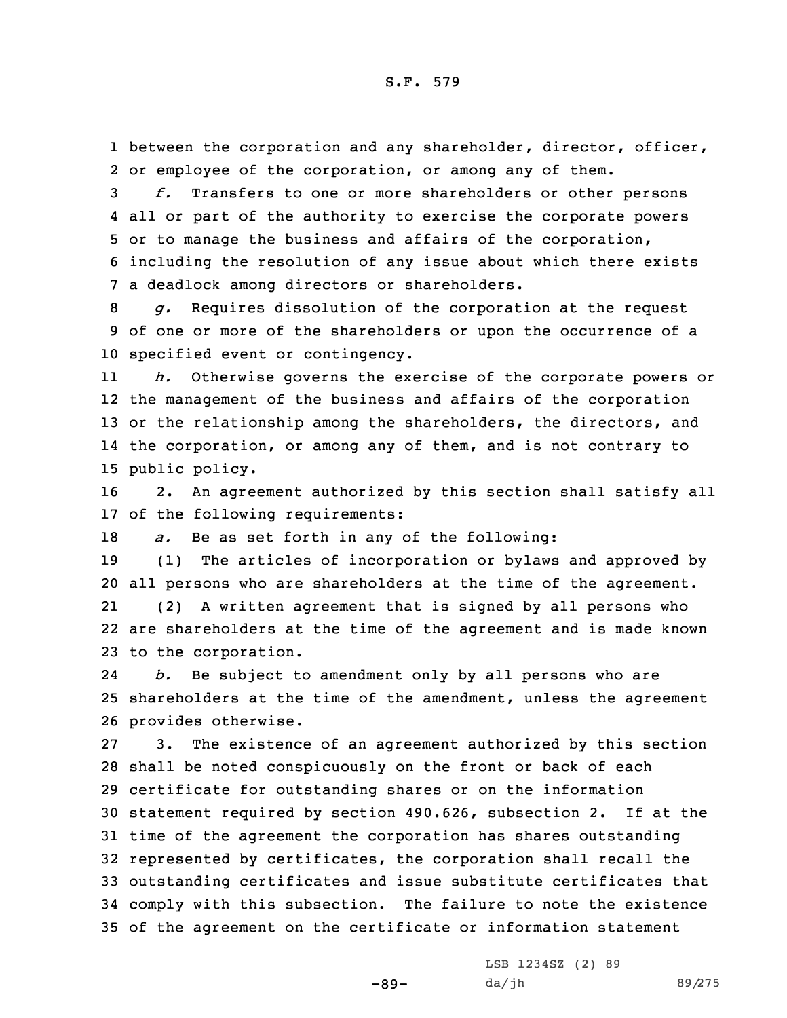1 between the corporation and any shareholder, director, officer, 2 or employee of the corporation, or among any of them.

 *f.* Transfers to one or more shareholders or other persons all or part of the authority to exercise the corporate powers or to manage the business and affairs of the corporation, including the resolution of any issue about which there exists <sup>a</sup> deadlock among directors or shareholders.

8 *g.* Requires dissolution of the corporation at the request 9 of one or more of the shareholders or upon the occurrence of <sup>a</sup> 10 specified event or contingency.

11 *h.* Otherwise governs the exercise of the corporate powers or 12 the management of the business and affairs of the corporation 13 or the relationship among the shareholders, the directors, and 14 the corporation, or among any of them, and is not contrary to 15 public policy.

16 2. An agreement authorized by this section shall satisfy all 17 of the following requirements:

18 *a.* Be as set forth in any of the following:

19 (1) The articles of incorporation or bylaws and approved by 20 all persons who are shareholders at the time of the agreement.

21 (2) <sup>A</sup> written agreement that is signed by all persons who 22 are shareholders at the time of the agreement and is made known 23 to the corporation.

24 *b.* Be subject to amendment only by all persons who are 25 shareholders at the time of the amendment, unless the agreement 26 provides otherwise.

 3. The existence of an agreement authorized by this section shall be noted conspicuously on the front or back of each certificate for outstanding shares or on the information statement required by section 490.626, subsection 2. If at the time of the agreement the corporation has shares outstanding represented by certificates, the corporation shall recall the outstanding certificates and issue substitute certificates that comply with this subsection. The failure to note the existence of the agreement on the certificate or information statement

-89-

LSB 1234SZ (2) 89 da/jh 89/275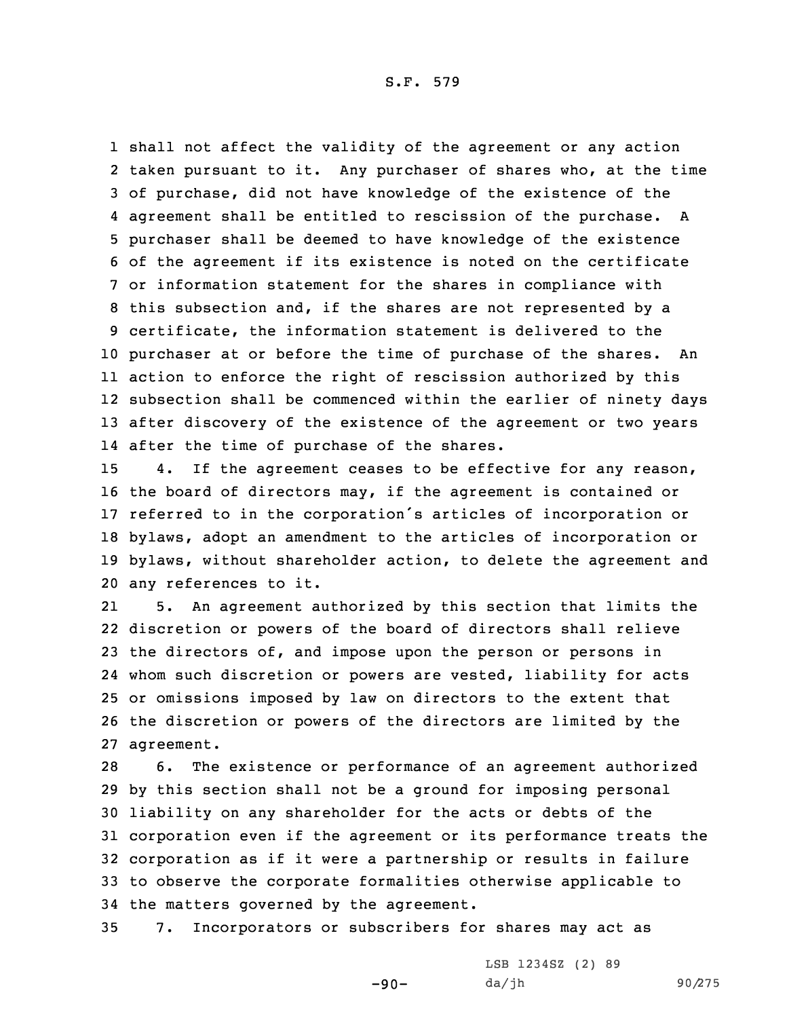shall not affect the validity of the agreement or any action taken pursuant to it. Any purchaser of shares who, at the time of purchase, did not have knowledge of the existence of the agreement shall be entitled to rescission of the purchase. <sup>A</sup> purchaser shall be deemed to have knowledge of the existence of the agreement if its existence is noted on the certificate or information statement for the shares in compliance with this subsection and, if the shares are not represented by <sup>a</sup> certificate, the information statement is delivered to the purchaser at or before the time of purchase of the shares. An action to enforce the right of rescission authorized by this subsection shall be commenced within the earlier of ninety days after discovery of the existence of the agreement or two years after the time of purchase of the shares.

 4. If the agreement ceases to be effective for any reason, the board of directors may, if the agreement is contained or referred to in the corporation's articles of incorporation or bylaws, adopt an amendment to the articles of incorporation or bylaws, without shareholder action, to delete the agreement and any references to it.

21 5. An agreement authorized by this section that limits the discretion or powers of the board of directors shall relieve the directors of, and impose upon the person or persons in whom such discretion or powers are vested, liability for acts or omissions imposed by law on directors to the extent that the discretion or powers of the directors are limited by the agreement.

 6. The existence or performance of an agreement authorized by this section shall not be <sup>a</sup> ground for imposing personal liability on any shareholder for the acts or debts of the corporation even if the agreement or its performance treats the corporation as if it were <sup>a</sup> partnership or results in failure to observe the corporate formalities otherwise applicable to the matters governed by the agreement.

35 7. Incorporators or subscribers for shares may act as

-90-

LSB 1234SZ (2) 89 da/jh 90/275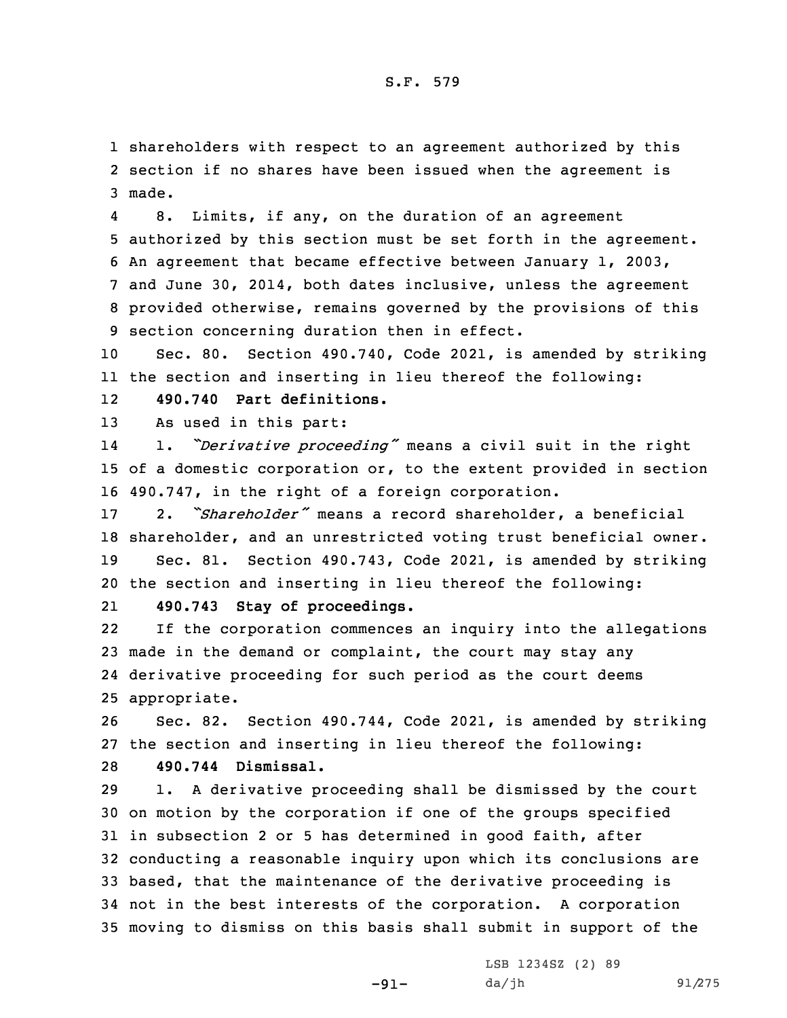1 shareholders with respect to an agreement authorized by this 2 section if no shares have been issued when the agreement is 3 made.

4 8. Limits, if any, on the duration of an agreement authorized by this section must be set forth in the agreement. An agreement that became effective between January 1, 2003, and June 30, 2014, both dates inclusive, unless the agreement provided otherwise, remains governed by the provisions of this section concerning duration then in effect.

10 Sec. 80. Section 490.740, Code 2021, is amended by striking 11 the section and inserting in lieu thereof the following:

12**490.740 Part definitions.**

13 As used in this part:

14 1. *"Derivative proceeding"* means <sup>a</sup> civil suit in the right 15 of <sup>a</sup> domestic corporation or, to the extent provided in section 16 490.747, in the right of <sup>a</sup> foreign corporation.

 2. *"Shareholder"* means <sup>a</sup> record shareholder, <sup>a</sup> beneficial shareholder, and an unrestricted voting trust beneficial owner. Sec. 81. Section 490.743, Code 2021, is amended by striking the section and inserting in lieu thereof the following:

21**490.743 Stay of proceedings.**

22 If the corporation commences an inquiry into the allegations 23 made in the demand or complaint, the court may stay any 24 derivative proceeding for such period as the court deems 25 appropriate.

26 Sec. 82. Section 490.744, Code 2021, is amended by striking 27 the section and inserting in lieu thereof the following: 28 **490.744 Dismissal.**

 1. <sup>A</sup> derivative proceeding shall be dismissed by the court on motion by the corporation if one of the groups specified in subsection 2 or 5 has determined in good faith, after conducting <sup>a</sup> reasonable inquiry upon which its conclusions are based, that the maintenance of the derivative proceeding is not in the best interests of the corporation. <sup>A</sup> corporation moving to dismiss on this basis shall submit in support of the

-91-

LSB 1234SZ (2) 89 da/jh 91/275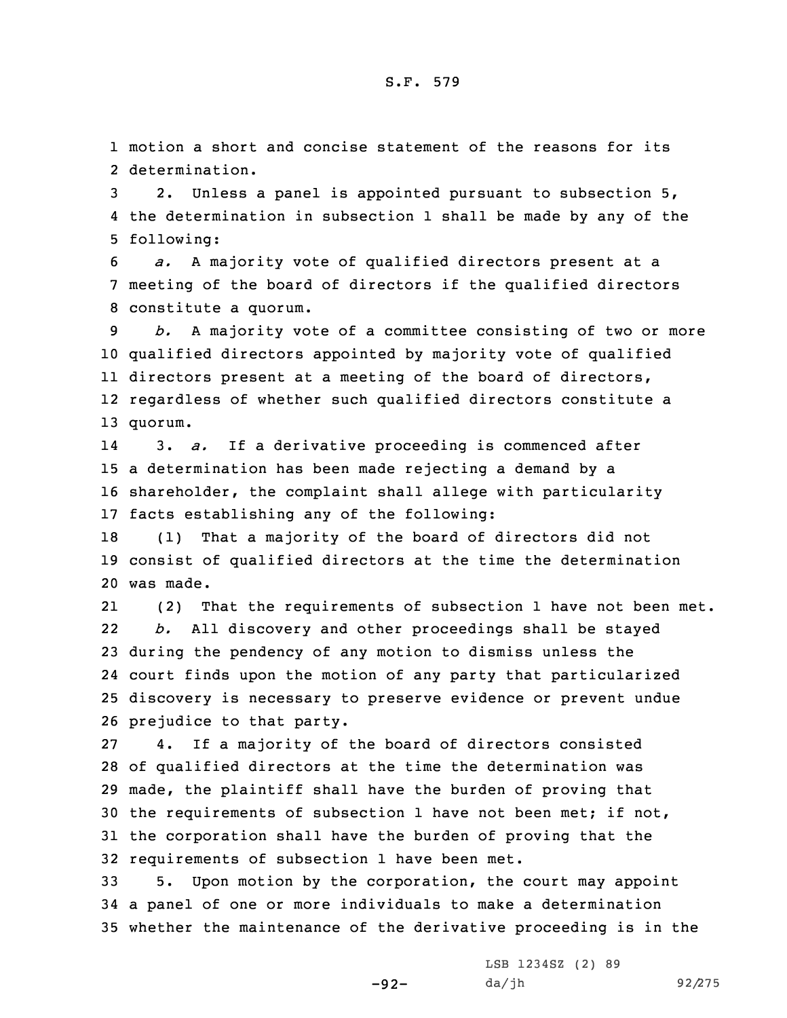1 motion <sup>a</sup> short and concise statement of the reasons for its 2 determination.

3 2. Unless <sup>a</sup> panel is appointed pursuant to subsection 5, 4 the determination in subsection 1 shall be made by any of the 5 following:

6 *a.* <sup>A</sup> majority vote of qualified directors present at <sup>a</sup> 7 meeting of the board of directors if the qualified directors 8 constitute <sup>a</sup> quorum.

 *b.* <sup>A</sup> majority vote of <sup>a</sup> committee consisting of two or more qualified directors appointed by majority vote of qualified directors present at <sup>a</sup> meeting of the board of directors, regardless of whether such qualified directors constitute <sup>a</sup> 13 quorum.

14 3. *a.* If <sup>a</sup> derivative proceeding is commenced after 15 <sup>a</sup> determination has been made rejecting <sup>a</sup> demand by <sup>a</sup> 16 shareholder, the complaint shall allege with particularity 17 facts establishing any of the following:

18 (1) That <sup>a</sup> majority of the board of directors did not 19 consist of qualified directors at the time the determination 20 was made.

21 (2) That the requirements of subsection 1 have not been met. 22 *b.* All discovery and other proceedings shall be stayed 23 during the pendency of any motion to dismiss unless the 24 court finds upon the motion of any party that particularized 25 discovery is necessary to preserve evidence or prevent undue 26 prejudice to that party.

 4. If <sup>a</sup> majority of the board of directors consisted of qualified directors at the time the determination was made, the plaintiff shall have the burden of proving that the requirements of subsection 1 have not been met; if not, the corporation shall have the burden of proving that the requirements of subsection 1 have been met.

33 5. Upon motion by the corporation, the court may appoint 34 <sup>a</sup> panel of one or more individuals to make <sup>a</sup> determination 35 whether the maintenance of the derivative proceeding is in the

-92-

LSB 1234SZ (2) 89 da/jh 92/275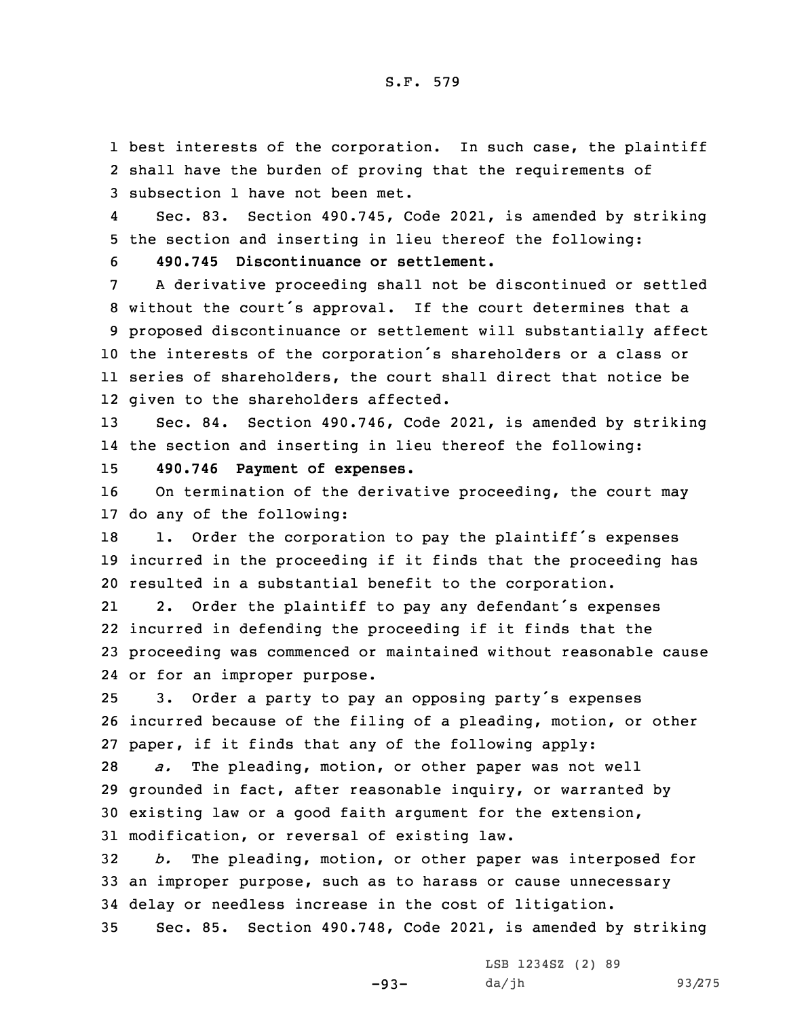1 best interests of the corporation. In such case, the plaintiff 2 shall have the burden of proving that the requirements of 3 subsection 1 have not been met.

4 Sec. 83. Section 490.745, Code 2021, is amended by striking 5 the section and inserting in lieu thereof the following:

6 **490.745 Discontinuance or settlement.**

 <sup>A</sup> derivative proceeding shall not be discontinued or settled without the court's approval. If the court determines that <sup>a</sup> proposed discontinuance or settlement will substantially affect the interests of the corporation's shareholders or <sup>a</sup> class or series of shareholders, the court shall direct that notice be given to the shareholders affected.

13 Sec. 84. Section 490.746, Code 2021, is amended by striking 14 the section and inserting in lieu thereof the following:

15 **490.746 Payment of expenses.**

16 On termination of the derivative proceeding, the court may 17 do any of the following:

18 1. Order the corporation to pay the plaintiff's expenses 19 incurred in the proceeding if it finds that the proceeding has 20 resulted in <sup>a</sup> substantial benefit to the corporation.

21 2. Order the plaintiff to pay any defendant's expenses 22 incurred in defending the proceeding if it finds that the 23 proceeding was commenced or maintained without reasonable cause 24 or for an improper purpose.

<sup>25</sup> 3. Order <sup>a</sup> party to pay an opposing party's expenses 26 incurred because of the filing of <sup>a</sup> pleading, motion, or other 27 paper, if it finds that any of the following apply:

 *a.* The pleading, motion, or other paper was not well grounded in fact, after reasonable inquiry, or warranted by existing law or <sup>a</sup> good faith argument for the extension, modification, or reversal of existing law.

32 *b.* The pleading, motion, or other paper was interposed for 33 an improper purpose, such as to harass or cause unnecessary 34 delay or needless increase in the cost of litigation.

35 Sec. 85. Section 490.748, Code 2021, is amended by striking

-93-

LSB 1234SZ (2) 89 da/jh 93/275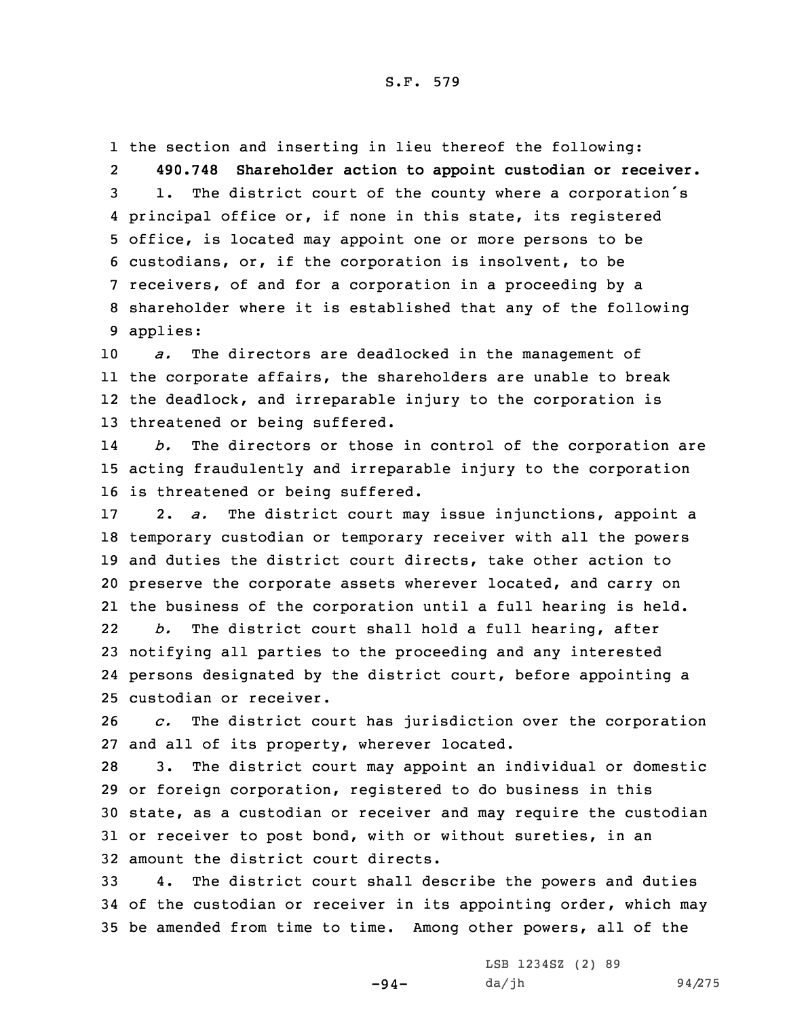the section and inserting in lieu thereof the following: 2 **490.748 Shareholder action to appoint custodian or receiver.** 1. The district court of the county where <sup>a</sup> corporation's principal office or, if none in this state, its registered office, is located may appoint one or more persons to be custodians, or, if the corporation is insolvent, to be receivers, of and for <sup>a</sup> corporation in <sup>a</sup> proceeding by <sup>a</sup> shareholder where it is established that any of the following 9 applies:

 *a.* The directors are deadlocked in the management of the corporate affairs, the shareholders are unable to break the deadlock, and irreparable injury to the corporation is threatened or being suffered.

14 *b.* The directors or those in control of the corporation are 15 acting fraudulently and irreparable injury to the corporation 16 is threatened or being suffered.

 2. *a.* The district court may issue injunctions, appoint <sup>a</sup> temporary custodian or temporary receiver with all the powers and duties the district court directs, take other action to preserve the corporate assets wherever located, and carry on the business of the corporation until <sup>a</sup> full hearing is held. 22 *b.* The district court shall hold <sup>a</sup> full hearing, after notifying all parties to the proceeding and any interested persons designated by the district court, before appointing <sup>a</sup>

25 custodian or receiver.

26 *c.* The district court has jurisdiction over the corporation 27 and all of its property, wherever located.

 3. The district court may appoint an individual or domestic or foreign corporation, registered to do business in this state, as <sup>a</sup> custodian or receiver and may require the custodian or receiver to post bond, with or without sureties, in an amount the district court directs.

33 4. The district court shall describe the powers and duties 34 of the custodian or receiver in its appointing order, which may 35 be amended from time to time. Among other powers, all of the

-94-

LSB 1234SZ (2) 89 da/jh 94/275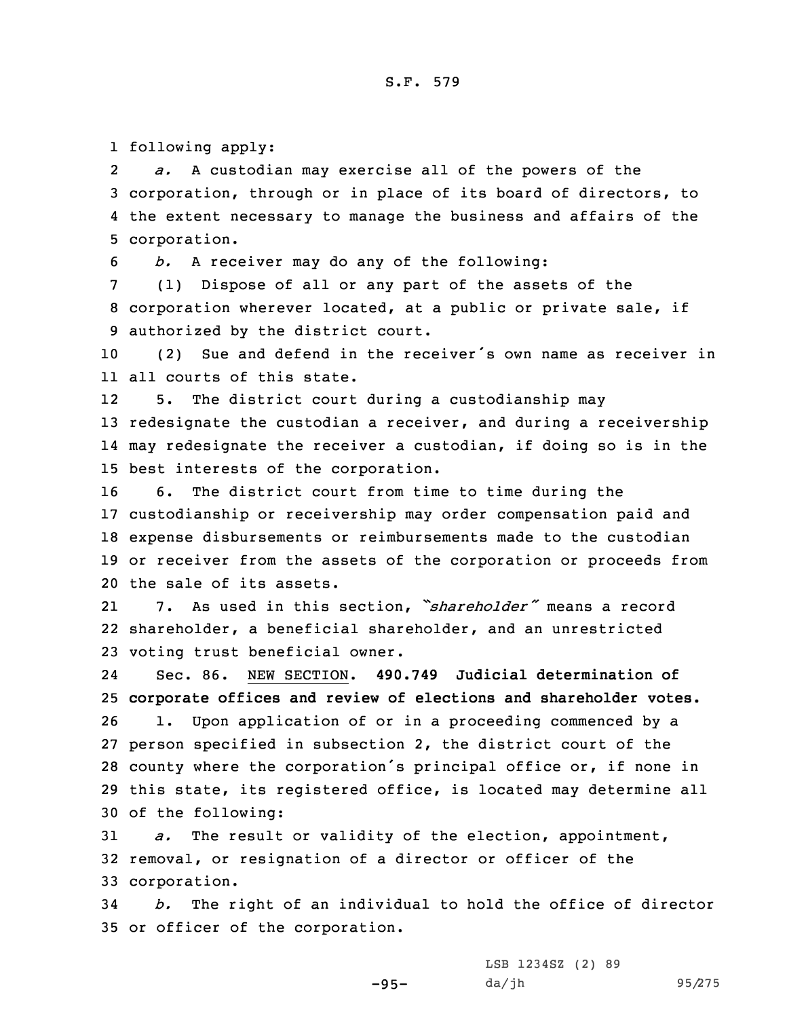1 following apply:

2 *a.* <sup>A</sup> custodian may exercise all of the powers of the 3 corporation, through or in place of its board of directors, to 4 the extent necessary to manage the business and affairs of the 5 corporation.

6 *b.* <sup>A</sup> receiver may do any of the following:

7 (1) Dispose of all or any part of the assets of the 8 corporation wherever located, at <sup>a</sup> public or private sale, if 9 authorized by the district court.

10 (2) Sue and defend in the receiver's own name as receiver in 11 all courts of this state.

12 5. The district court during <sup>a</sup> custodianship may 13 redesignate the custodian <sup>a</sup> receiver, and during <sup>a</sup> receivership 14 may redesignate the receiver <sup>a</sup> custodian, if doing so is in the 15 best interests of the corporation.

 6. The district court from time to time during the custodianship or receivership may order compensation paid and expense disbursements or reimbursements made to the custodian or receiver from the assets of the corporation or proceeds from the sale of its assets.

21 7. As used in this section, *"shareholder"* means <sup>a</sup> record 22 shareholder, <sup>a</sup> beneficial shareholder, and an unrestricted 23 voting trust beneficial owner.

24 Sec. 86. NEW SECTION. **490.749 Judicial determination of corporate offices and review of elections and shareholder votes.** 1. Upon application of or in <sup>a</sup> proceeding commenced by <sup>a</sup> person specified in subsection 2, the district court of the county where the corporation's principal office or, if none in this state, its registered office, is located may determine all of the following:

31 *a.* The result or validity of the election, appointment, 32 removal, or resignation of <sup>a</sup> director or officer of the 33 corporation.

34 *b.* The right of an individual to hold the office of director 35 or officer of the corporation.

> LSB 1234SZ (2) 89 da/jh 95/275

-95-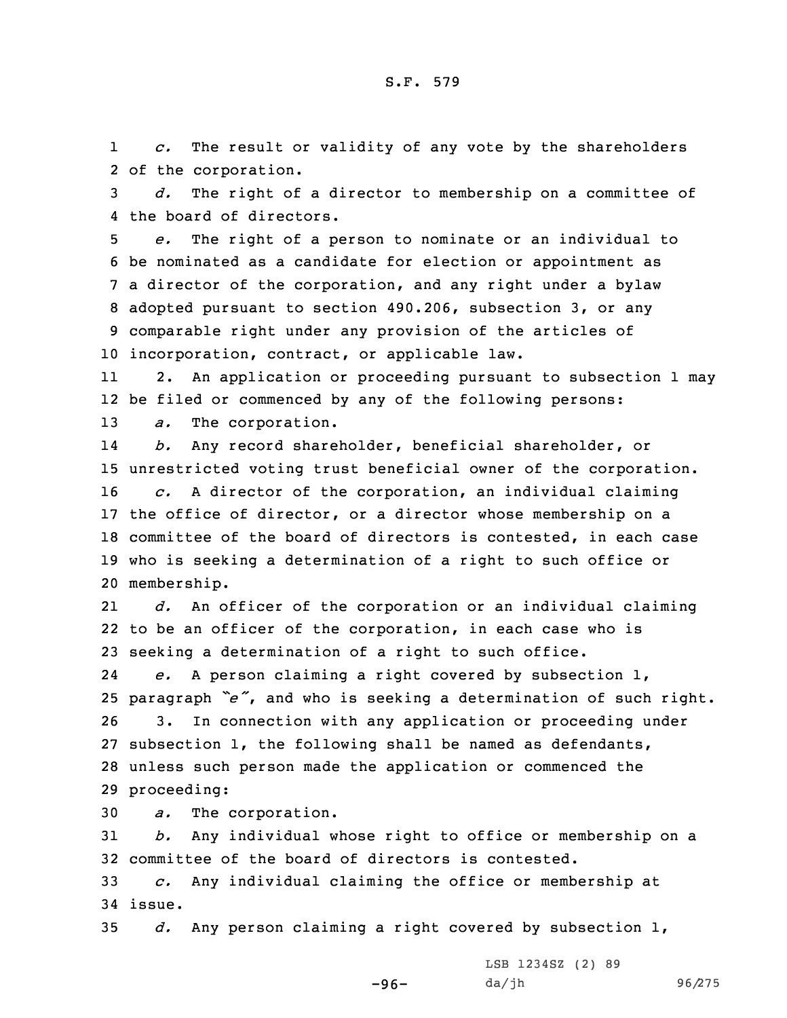1 *c.* The result or validity of any vote by the shareholders 2 of the corporation.

3 *d.* The right of <sup>a</sup> director to membership on <sup>a</sup> committee of 4 the board of directors.

 *e.* The right of <sup>a</sup> person to nominate or an individual to be nominated as <sup>a</sup> candidate for election or appointment as <sup>a</sup> director of the corporation, and any right under <sup>a</sup> bylaw adopted pursuant to section 490.206, subsection 3, or any comparable right under any provision of the articles of incorporation, contract, or applicable law.

11 2. An application or proceeding pursuant to subsection 1 may 12 be filed or commenced by any of the following persons:

13 *a.* The corporation.

14 *b.* Any record shareholder, beneficial shareholder, or unrestricted voting trust beneficial owner of the corporation. *c.* <sup>A</sup> director of the corporation, an individual claiming the office of director, or <sup>a</sup> director whose membership on <sup>a</sup> committee of the board of directors is contested, in each case who is seeking <sup>a</sup> determination of <sup>a</sup> right to such office or membership.

21 *d.* An officer of the corporation or an individual claiming 22 to be an officer of the corporation, in each case who is 23 seeking <sup>a</sup> determination of <sup>a</sup> right to such office.

24 *e.* <sup>A</sup> person claiming <sup>a</sup> right covered by subsection 1, paragraph *"e"*, and who is seeking <sup>a</sup> determination of such right. 3. In connection with any application or proceeding under subsection 1, the following shall be named as defendants, unless such person made the application or commenced the proceeding:

30 *a.* The corporation.

31 *b.* Any individual whose right to office or membership on <sup>a</sup> 32 committee of the board of directors is contested.

33 *c.* Any individual claiming the office or membership at 34 issue.

35 *d.* Any person claiming <sup>a</sup> right covered by subsection 1,

-96-

LSB 1234SZ (2) 89 da/jh 96/275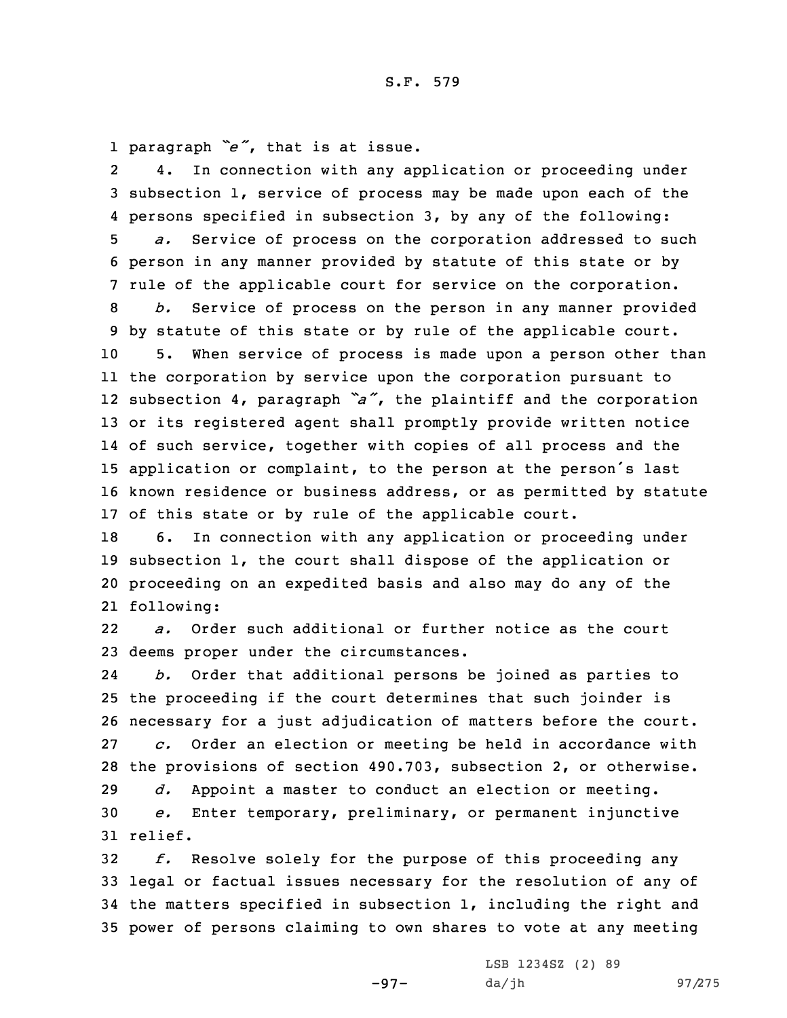1 paragraph *"e"*, that is at issue.

2 4. In connection with any application or proceeding under subsection 1, service of process may be made upon each of the persons specified in subsection 3, by any of the following: *a.* Service of process on the corporation addressed to such person in any manner provided by statute of this state or by rule of the applicable court for service on the corporation. *b.* Service of process on the person in any manner provided by statute of this state or by rule of the applicable court. 5. When service of process is made upon <sup>a</sup> person other than the corporation by service upon the corporation pursuant to subsection 4, paragraph *"a"*, the plaintiff and the corporation or its registered agent shall promptly provide written notice of such service, together with copies of all process and the application or complaint, to the person at the person's last known residence or business address, or as permitted by statute of this state or by rule of the applicable court.

 6. In connection with any application or proceeding under subsection 1, the court shall dispose of the application or proceeding on an expedited basis and also may do any of the following:

22 *a.* Order such additional or further notice as the court 23 deems proper under the circumstances.

24 *b.* Order that additional persons be joined as parties to the proceeding if the court determines that such joinder is necessary for <sup>a</sup> just adjudication of matters before the court. *c.* Order an election or meeting be held in accordance with the provisions of section 490.703, subsection 2, or otherwise. *d.* Appoint <sup>a</sup> master to conduct an election or meeting. *e.* Enter temporary, preliminary, or permanent injunctive 31 relief.

 *f.* Resolve solely for the purpose of this proceeding any legal or factual issues necessary for the resolution of any of the matters specified in subsection 1, including the right and power of persons claiming to own shares to vote at any meeting

-97-

LSB 1234SZ (2) 89 da/jh 97/275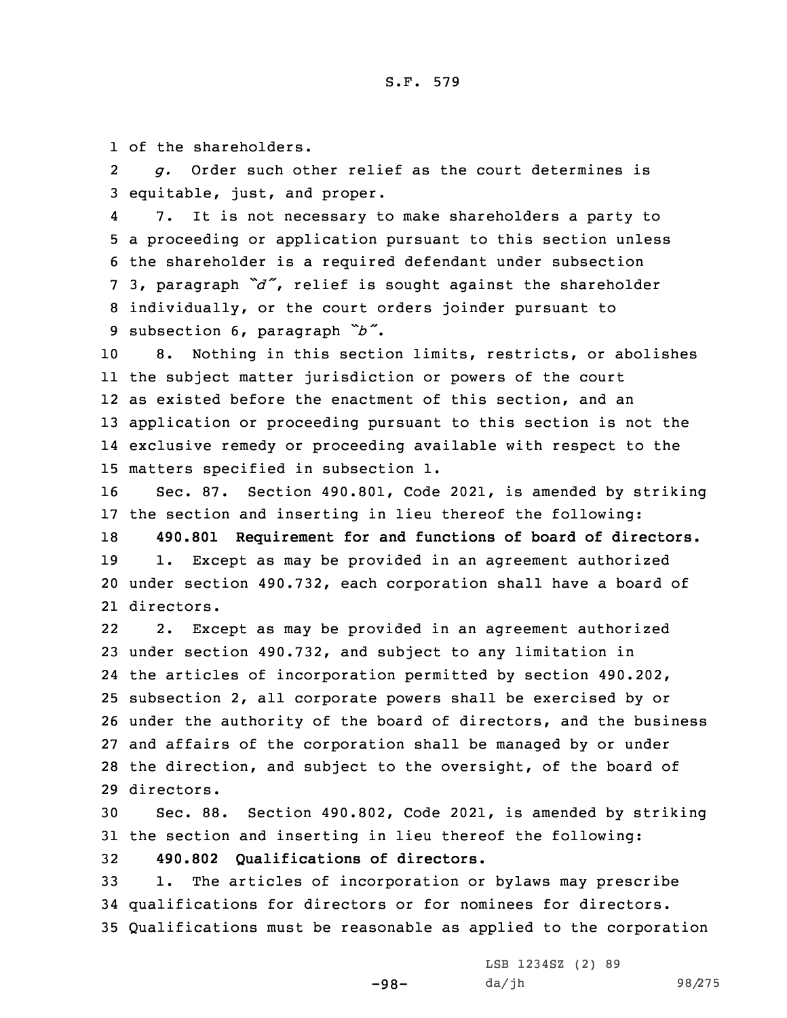1 of the shareholders.

2 *g.* Order such other relief as the court determines is 3 equitable, just, and proper.

4 7. It is not necessary to make shareholders <sup>a</sup> party to <sup>a</sup> proceeding or application pursuant to this section unless the shareholder is <sup>a</sup> required defendant under subsection 3, paragraph *"d"*, relief is sought against the shareholder individually, or the court orders joinder pursuant to subsection 6, paragraph *"b"*.

 8. Nothing in this section limits, restricts, or abolishes the subject matter jurisdiction or powers of the court as existed before the enactment of this section, and an application or proceeding pursuant to this section is not the exclusive remedy or proceeding available with respect to the matters specified in subsection 1.

16 Sec. 87. Section 490.801, Code 2021, is amended by striking 17 the section and inserting in lieu thereof the following:

 **490.801 Requirement for and functions of board of directors.** 1. Except as may be provided in an agreement authorized under section 490.732, each corporation shall have <sup>a</sup> board of directors.

22 2. Except as may be provided in an agreement authorized under section 490.732, and subject to any limitation in the articles of incorporation permitted by section 490.202, subsection 2, all corporate powers shall be exercised by or under the authority of the board of directors, and the business and affairs of the corporation shall be managed by or under the direction, and subject to the oversight, of the board of directors.

30 Sec. 88. Section 490.802, Code 2021, is amended by striking 31 the section and inserting in lieu thereof the following: 32 **490.802 Qualifications of directors.**

33 1. The articles of incorporation or bylaws may prescribe 34 qualifications for directors or for nominees for directors. 35 Qualifications must be reasonable as applied to the corporation

-98-

LSB 1234SZ (2) 89 da/jh 98/275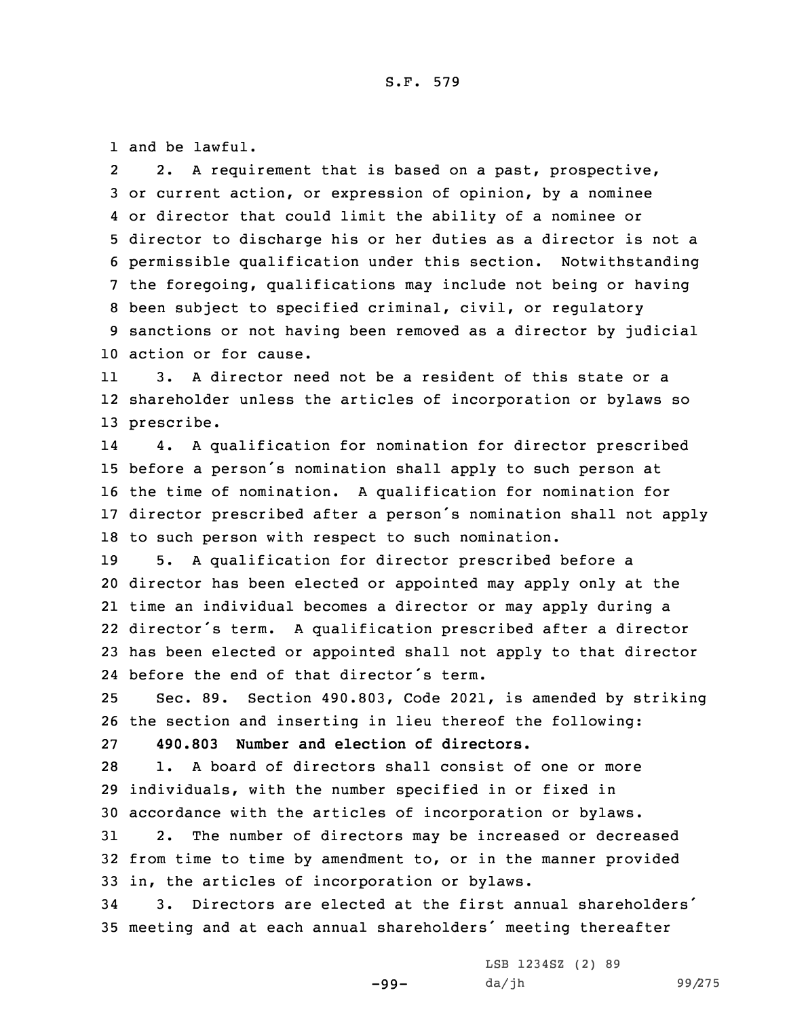1 and be lawful.

2 2. <sup>A</sup> requirement that is based on <sup>a</sup> past, prospective, or current action, or expression of opinion, by <sup>a</sup> nominee or director that could limit the ability of <sup>a</sup> nominee or director to discharge his or her duties as <sup>a</sup> director is not <sup>a</sup> permissible qualification under this section. Notwithstanding the foregoing, qualifications may include not being or having been subject to specified criminal, civil, or regulatory sanctions or not having been removed as <sup>a</sup> director by judicial action or for cause.

11 3. A director need not be <sup>a</sup> resident of this state or <sup>a</sup> 12 shareholder unless the articles of incorporation or bylaws so 13 prescribe.

14 4. <sup>A</sup> qualification for nomination for director prescribed before <sup>a</sup> person's nomination shall apply to such person at the time of nomination. <sup>A</sup> qualification for nomination for director prescribed after <sup>a</sup> person's nomination shall not apply to such person with respect to such nomination.

 5. <sup>A</sup> qualification for director prescribed before <sup>a</sup> director has been elected or appointed may apply only at the time an individual becomes <sup>a</sup> director or may apply during <sup>a</sup> director's term. <sup>A</sup> qualification prescribed after <sup>a</sup> director has been elected or appointed shall not apply to that director before the end of that director's term.

25 Sec. 89. Section 490.803, Code 2021, is amended by striking 26 the section and inserting in lieu thereof the following:

27 **490.803 Number and election of directors.**

28 1. A board of directors shall consist of one or more 29 individuals, with the number specified in or fixed in 30 accordance with the articles of incorporation or bylaws.

31 2. The number of directors may be increased or decreased 32 from time to time by amendment to, or in the manner provided 33 in, the articles of incorporation or bylaws.

34 3. Directors are elected at the first annual shareholders' <sup>35</sup> meeting and at each annual shareholders' meeting thereafter

-99-

LSB 1234SZ (2) 89 da/jh 99/275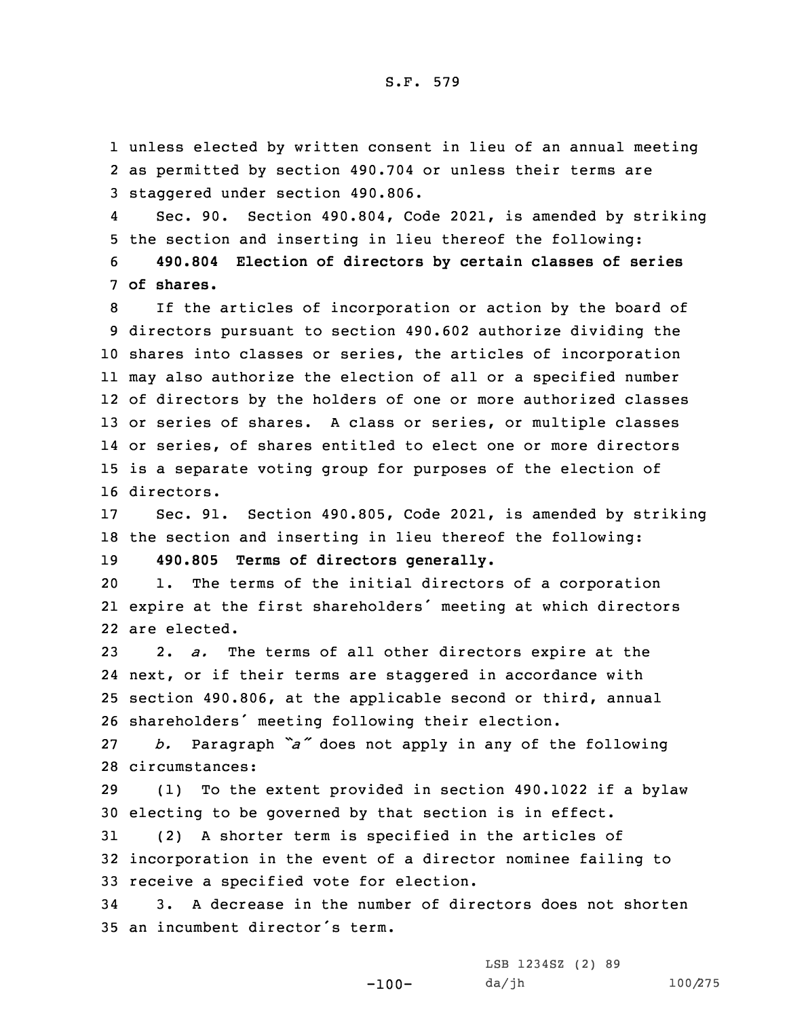1 unless elected by written consent in lieu of an annual meeting 2 as permitted by section 490.704 or unless their terms are 3 staggered under section 490.806.

4 Sec. 90. Section 490.804, Code 2021, is amended by striking 5 the section and inserting in lieu thereof the following:

6 **490.804 Election of directors by certain classes of series** 7 **of shares.**

 If the articles of incorporation or action by the board of directors pursuant to section 490.602 authorize dividing the shares into classes or series, the articles of incorporation may also authorize the election of all or <sup>a</sup> specified number of directors by the holders of one or more authorized classes or series of shares. <sup>A</sup> class or series, or multiple classes or series, of shares entitled to elect one or more directors is <sup>a</sup> separate voting group for purposes of the election of directors.

17 Sec. 91. Section 490.805, Code 2021, is amended by striking 18 the section and inserting in lieu thereof the following:

19 **490.805 Terms of directors generally.**

20 1. The terms of the initial directors of <sup>a</sup> corporation 21 expire at the first shareholders' meeting at which directors 22 are elected.

 2. *a.* The terms of all other directors expire at the next, or if their terms are staggered in accordance with section 490.806, at the applicable second or third, annual shareholders' meeting following their election.

27 *b.* Paragraph *"a"* does not apply in any of the following 28 circumstances:

29 (1) To the extent provided in section 490.1022 if <sup>a</sup> bylaw 30 electing to be governed by that section is in effect.

31 (2) <sup>A</sup> shorter term is specified in the articles of 32 incorporation in the event of <sup>a</sup> director nominee failing to 33 receive <sup>a</sup> specified vote for election.

34 3. A decrease in the number of directors does not shorten 35 an incumbent director's term.

-100-

LSB 1234SZ (2) 89 da/jh 100/275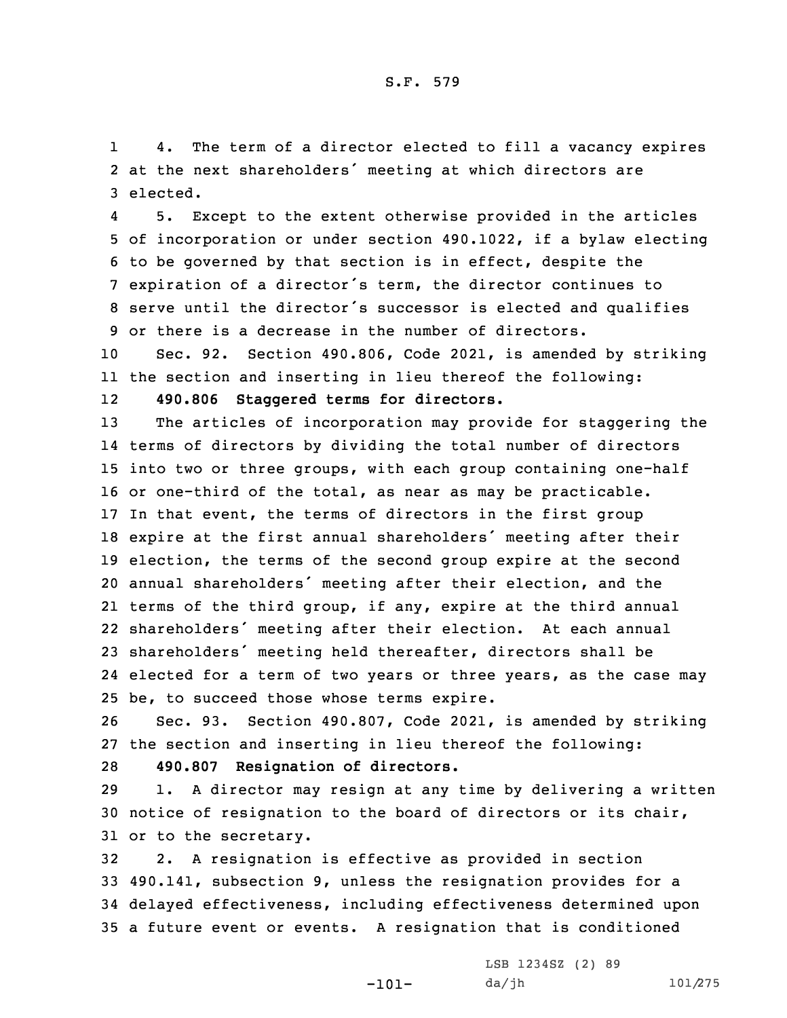1 4. The term of <sup>a</sup> director elected to fill <sup>a</sup> vacancy expires 2 at the next shareholders' meeting at which directors are 3 elected.

4 5. Except to the extent otherwise provided in the articles of incorporation or under section 490.1022, if <sup>a</sup> bylaw electing to be governed by that section is in effect, despite the expiration of <sup>a</sup> director's term, the director continues to serve until the director's successor is elected and qualifies or there is <sup>a</sup> decrease in the number of directors.

10 Sec. 92. Section 490.806, Code 2021, is amended by striking 11 the section and inserting in lieu thereof the following: 12**490.806 Staggered terms for directors.**

 The articles of incorporation may provide for staggering the terms of directors by dividing the total number of directors into two or three groups, with each group containing one-half or one-third of the total, as near as may be practicable. In that event, the terms of directors in the first group expire at the first annual shareholders' meeting after their election, the terms of the second group expire at the second annual shareholders' meeting after their election, and the terms of the third group, if any, expire at the third annual shareholders' meeting after their election. At each annual shareholders' meeting held thereafter, directors shall be elected for <sup>a</sup> term of two years or three years, as the case may be, to succeed those whose terms expire.

26 Sec. 93. Section 490.807, Code 2021, is amended by striking 27 the section and inserting in lieu thereof the following: 28 **490.807 Resignation of directors.**

29 1. <sup>A</sup> director may resign at any time by delivering <sup>a</sup> written 30 notice of resignation to the board of directors or its chair, 31 or to the secretary.

 2. <sup>A</sup> resignation is effective as provided in section 490.141, subsection 9, unless the resignation provides for <sup>a</sup> delayed effectiveness, including effectiveness determined upon <sup>a</sup> future event or events. <sup>A</sup> resignation that is conditioned

-101-

LSB 1234SZ (2) 89 da/jh 101/275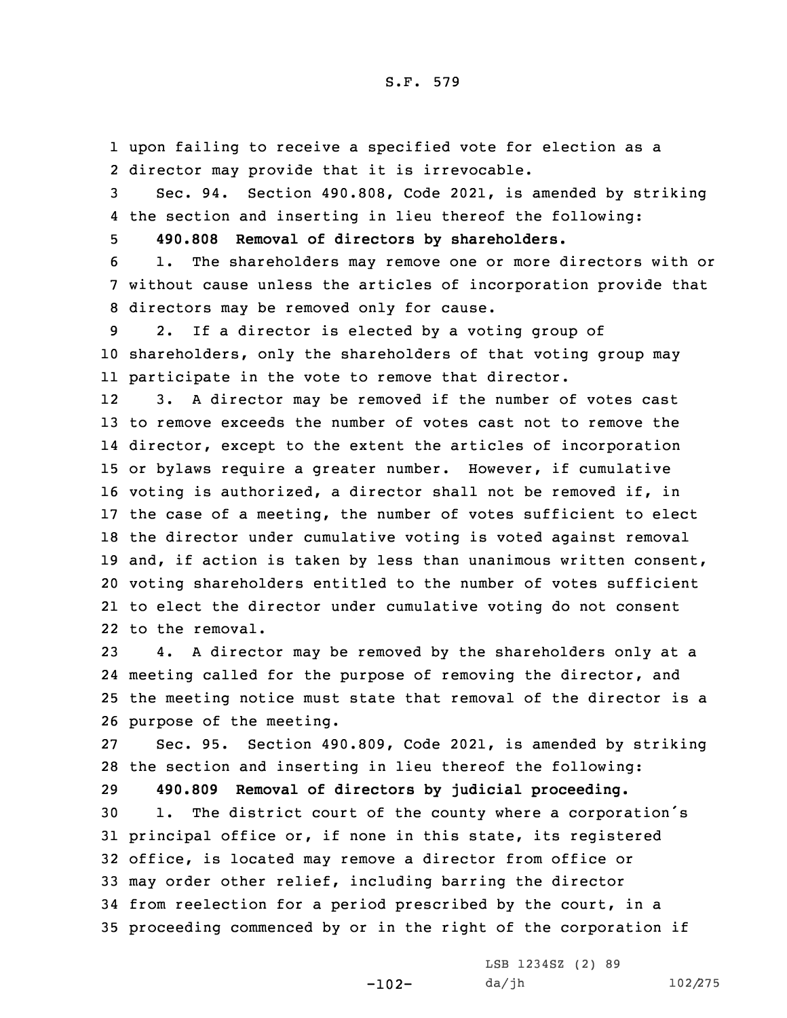1 upon failing to receive <sup>a</sup> specified vote for election as <sup>a</sup> 2 director may provide that it is irrevocable.

3 Sec. 94. Section 490.808, Code 2021, is amended by striking 4 the section and inserting in lieu thereof the following:

5 **490.808 Removal of directors by shareholders.**

6 1. The shareholders may remove one or more directors with or 7 without cause unless the articles of incorporation provide that 8 directors may be removed only for cause.

9 2. If <sup>a</sup> director is elected by <sup>a</sup> voting group of 10 shareholders, only the shareholders of that voting group may 11 participate in the vote to remove that director.

12 3. <sup>A</sup> director may be removed if the number of votes cast to remove exceeds the number of votes cast not to remove the director, except to the extent the articles of incorporation or bylaws require <sup>a</sup> greater number. However, if cumulative voting is authorized, <sup>a</sup> director shall not be removed if, in the case of <sup>a</sup> meeting, the number of votes sufficient to elect the director under cumulative voting is voted against removal and, if action is taken by less than unanimous written consent, voting shareholders entitled to the number of votes sufficient to elect the director under cumulative voting do not consent to the removal.

 4. <sup>A</sup> director may be removed by the shareholders only at <sup>a</sup> meeting called for the purpose of removing the director, and the meeting notice must state that removal of the director is <sup>a</sup> purpose of the meeting.

27 Sec. 95. Section 490.809, Code 2021, is amended by striking 28 the section and inserting in lieu thereof the following:

 **490.809 Removal of directors by judicial proceeding.** 1. The district court of the county where <sup>a</sup> corporation's principal office or, if none in this state, its registered office, is located may remove <sup>a</sup> director from office or may order other relief, including barring the director from reelection for <sup>a</sup> period prescribed by the court, in <sup>a</sup> proceeding commenced by or in the right of the corporation if

-102-

LSB 1234SZ (2) 89 da/jh 102/275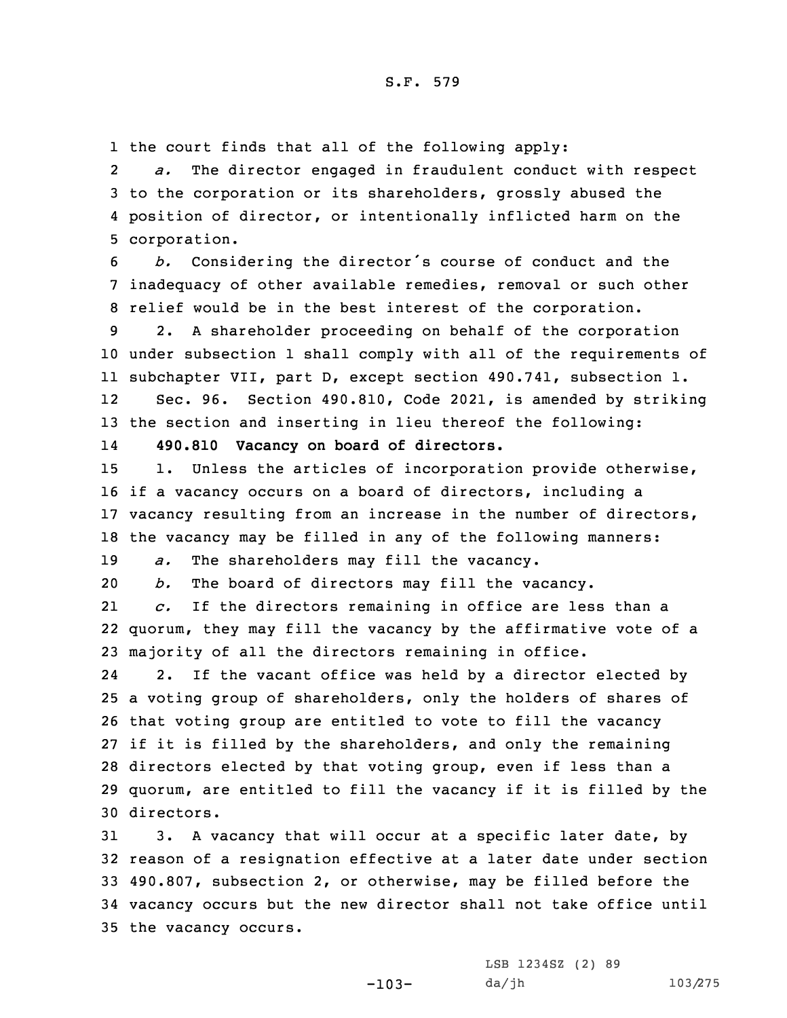1 the court finds that all of the following apply:

2 *a.* The director engaged in fraudulent conduct with respect 3 to the corporation or its shareholders, grossly abused the 4 position of director, or intentionally inflicted harm on the 5 corporation.

<sup>6</sup> *b.* Considering the director's course of conduct and the 7 inadequacy of other available remedies, removal or such other 8 relief would be in the best interest of the corporation.

9 2. <sup>A</sup> shareholder proceeding on behalf of the corporation 10 under subsection 1 shall comply with all of the requirements of 11 subchapter VII, part D, except section 490.741, subsection 1.

12 Sec. 96. Section 490.810, Code 2021, is amended by striking 13 the section and inserting in lieu thereof the following:

14**490.810 Vacancy on board of directors.**

15 1. Unless the articles of incorporation provide otherwise, if <sup>a</sup> vacancy occurs on <sup>a</sup> board of directors, including <sup>a</sup> vacancy resulting from an increase in the number of directors, the vacancy may be filled in any of the following manners:

19 *a.* The shareholders may fill the vacancy.

20 *b.* The board of directors may fill the vacancy.

21 *c.* If the directors remaining in office are less than <sup>a</sup> 22 quorum, they may fill the vacancy by the affirmative vote of <sup>a</sup> 23 majority of all the directors remaining in office.

24 2. If the vacant office was held by <sup>a</sup> director elected by <sup>a</sup> voting group of shareholders, only the holders of shares of that voting group are entitled to vote to fill the vacancy if it is filled by the shareholders, and only the remaining directors elected by that voting group, even if less than <sup>a</sup> quorum, are entitled to fill the vacancy if it is filled by the directors.

 3. <sup>A</sup> vacancy that will occur at <sup>a</sup> specific later date, by reason of <sup>a</sup> resignation effective at <sup>a</sup> later date under section 490.807, subsection 2, or otherwise, may be filled before the vacancy occurs but the new director shall not take office until the vacancy occurs.

> LSB 1234SZ (2) 89 da/jh 103/275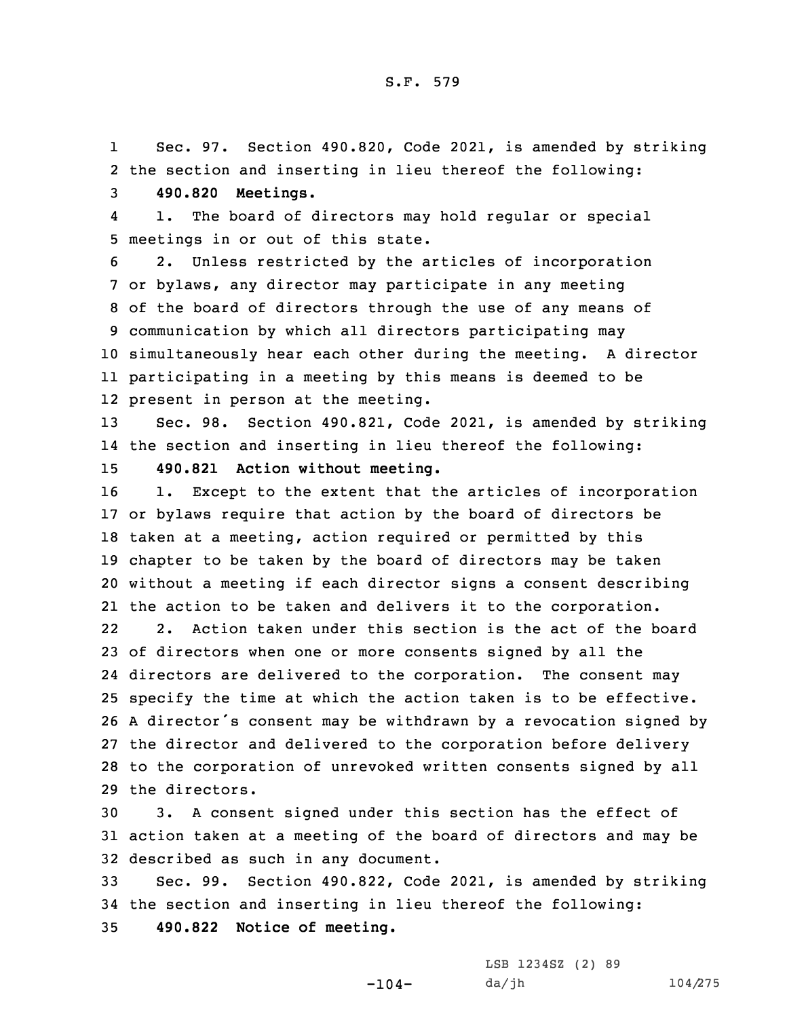1 Sec. 97. Section 490.820, Code 2021, is amended by striking 2 the section and inserting in lieu thereof the following:

3 **490.820 Meetings.**

4 1. The board of directors may hold regular or special 5 meetings in or out of this state.

 2. Unless restricted by the articles of incorporation or bylaws, any director may participate in any meeting of the board of directors through the use of any means of communication by which all directors participating may simultaneously hear each other during the meeting. <sup>A</sup> director participating in <sup>a</sup> meeting by this means is deemed to be present in person at the meeting.

13 Sec. 98. Section 490.821, Code 2021, is amended by striking 14 the section and inserting in lieu thereof the following: 15 **490.821 Action without meeting.**

16 1. Except to the extent that the articles of incorporation or bylaws require that action by the board of directors be taken at <sup>a</sup> meeting, action required or permitted by this chapter to be taken by the board of directors may be taken without <sup>a</sup> meeting if each director signs <sup>a</sup> consent describing the action to be taken and delivers it to the corporation. 22 2. Action taken under this section is the act of the board of directors when one or more consents signed by all the directors are delivered to the corporation. The consent may specify the time at which the action taken is to be effective. <sup>A</sup> director's consent may be withdrawn by <sup>a</sup> revocation signed by the director and delivered to the corporation before delivery to the corporation of unrevoked written consents signed by all the directors.

30 3. <sup>A</sup> consent signed under this section has the effect of 31 action taken at <sup>a</sup> meeting of the board of directors and may be 32 described as such in any document.

33 Sec. 99. Section 490.822, Code 2021, is amended by striking 34 the section and inserting in lieu thereof the following: 35 **490.822 Notice of meeting.**

> -104- LSB 1234SZ (2) 89 da/jh 104/275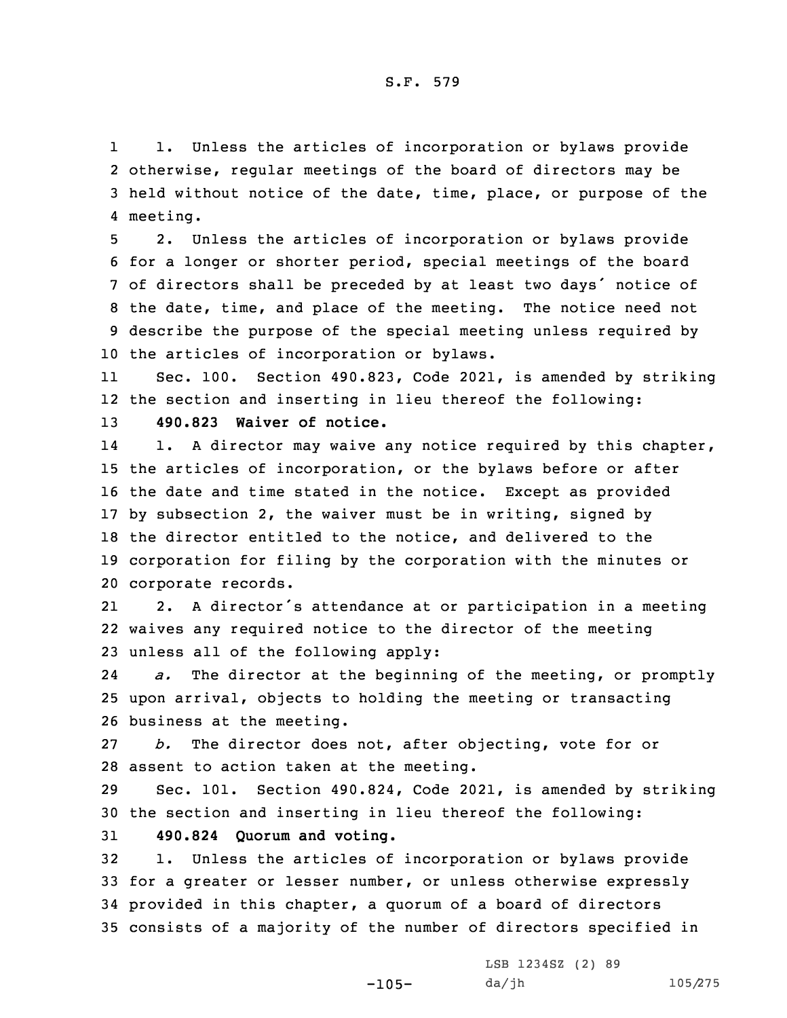1 1. Unless the articles of incorporation or bylaws provide 2 otherwise, regular meetings of the board of directors may be 3 held without notice of the date, time, place, or purpose of the 4 meeting.

 2. Unless the articles of incorporation or bylaws provide for <sup>a</sup> longer or shorter period, special meetings of the board of directors shall be preceded by at least two days' notice of the date, time, and place of the meeting. The notice need not describe the purpose of the special meeting unless required by the articles of incorporation or bylaws.

11 Sec. 100. Section 490.823, Code 2021, is amended by striking 12 the section and inserting in lieu thereof the following:

13 **490.823 Waiver of notice.**

14 1. <sup>A</sup> director may waive any notice required by this chapter, the articles of incorporation, or the bylaws before or after the date and time stated in the notice. Except as provided by subsection 2, the waiver must be in writing, signed by the director entitled to the notice, and delivered to the corporation for filing by the corporation with the minutes or corporate records.

21 2. <sup>A</sup> director's attendance at or participation in <sup>a</sup> meeting 22 waives any required notice to the director of the meeting 23 unless all of the following apply:

24 *a.* The director at the beginning of the meeting, or promptly 25 upon arrival, objects to holding the meeting or transacting 26 business at the meeting.

27 *b.* The director does not, after objecting, vote for or 28 assent to action taken at the meeting.

29 Sec. 101. Section 490.824, Code 2021, is amended by striking 30 the section and inserting in lieu thereof the following:

31 **490.824 Quorum and voting.**

 1. Unless the articles of incorporation or bylaws provide for <sup>a</sup> greater or lesser number, or unless otherwise expressly provided in this chapter, <sup>a</sup> quorum of <sup>a</sup> board of directors consists of <sup>a</sup> majority of the number of directors specified in

-105-

LSB 1234SZ (2) 89 da/jh 105/275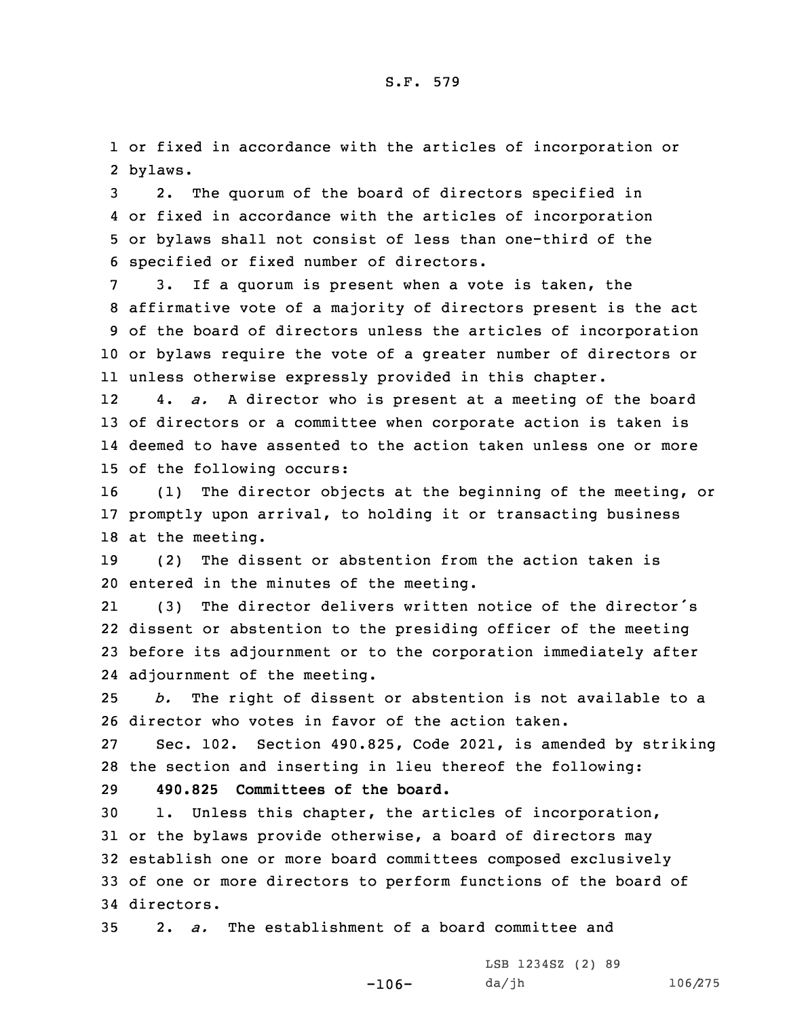1 or fixed in accordance with the articles of incorporation or 2 bylaws.

 2. The quorum of the board of directors specified in or fixed in accordance with the articles of incorporation or bylaws shall not consist of less than one-third of the specified or fixed number of directors.

 3. If <sup>a</sup> quorum is present when <sup>a</sup> vote is taken, the affirmative vote of <sup>a</sup> majority of directors present is the act of the board of directors unless the articles of incorporation or bylaws require the vote of <sup>a</sup> greater number of directors or unless otherwise expressly provided in this chapter.

12 4. *a.* <sup>A</sup> director who is present at <sup>a</sup> meeting of the board 13 of directors or <sup>a</sup> committee when corporate action is taken is 14 deemed to have assented to the action taken unless one or more 15 of the following occurs:

16 (1) The director objects at the beginning of the meeting, or 17 promptly upon arrival, to holding it or transacting business 18 at the meeting.

19 (2) The dissent or abstention from the action taken is 20 entered in the minutes of the meeting.

21 (3) The director delivers written notice of the director's 22 dissent or abstention to the presiding officer of the meeting 23 before its adjournment or to the corporation immediately after 24 adjournment of the meeting.

25 *b.* The right of dissent or abstention is not available to <sup>a</sup> 26 director who votes in favor of the action taken.

27 Sec. 102. Section 490.825, Code 2021, is amended by striking 28 the section and inserting in lieu thereof the following:

29 **490.825 Committees of the board.**

 1. Unless this chapter, the articles of incorporation, or the bylaws provide otherwise, <sup>a</sup> board of directors may establish one or more board committees composed exclusively of one or more directors to perform functions of the board of directors.

-106-

35 2. *a.* The establishment of <sup>a</sup> board committee and

LSB 1234SZ (2) 89 da/jh 106/275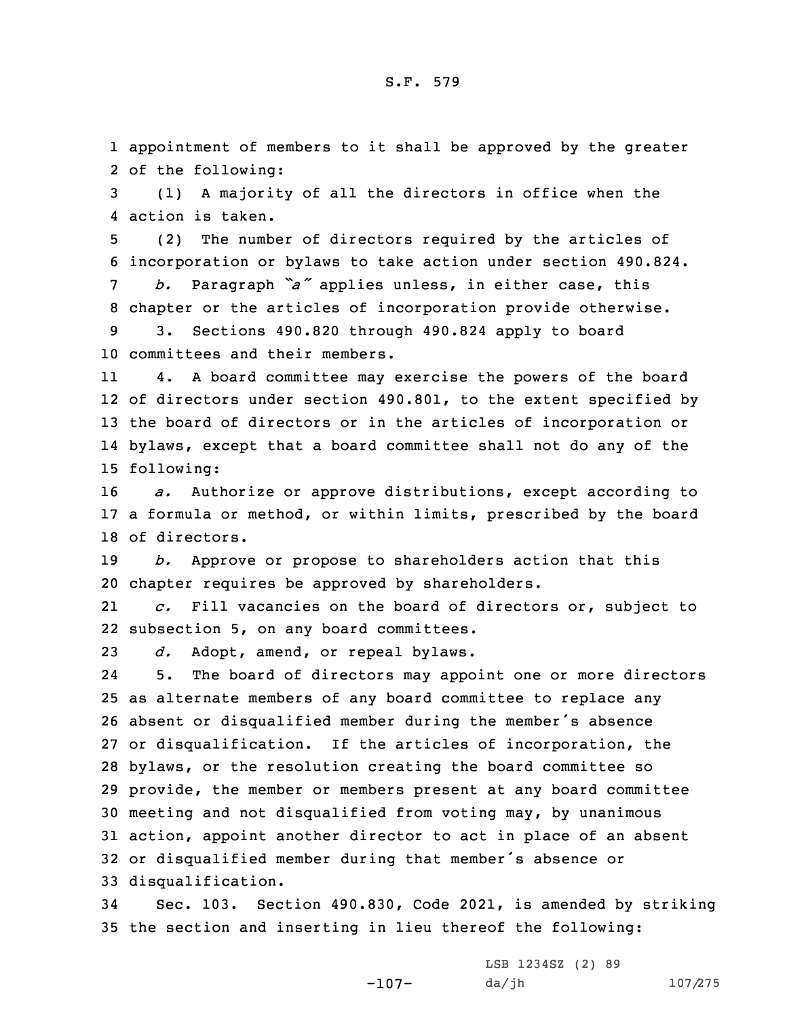1 appointment of members to it shall be approved by the greater 2 of the following:

3 (1) <sup>A</sup> majority of all the directors in office when the 4 action is taken.

5 (2) The number of directors required by the articles of 6 incorporation or bylaws to take action under section 490.824. <sup>7</sup> *b.* Paragraph *"a"* applies unless, in either case, this

8 chapter or the articles of incorporation provide otherwise. 9 3. Sections 490.820 through 490.824 apply to board

10 committees and their members.

11 4. <sup>A</sup> board committee may exercise the powers of the board of directors under section 490.801, to the extent specified by the board of directors or in the articles of incorporation or bylaws, except that <sup>a</sup> board committee shall not do any of the following:

16 *a.* Authorize or approve distributions, except according to 17 <sup>a</sup> formula or method, or within limits, prescribed by the board 18 of directors.

19 *b.* Approve or propose to shareholders action that this 20 chapter requires be approved by shareholders.

21 *c.* Fill vacancies on the board of directors or, subject to 22 subsection 5, on any board committees.

23 *d.* Adopt, amend, or repeal bylaws.

24 5. The board of directors may appoint one or more directors as alternate members of any board committee to replace any absent or disqualified member during the member's absence or disqualification. If the articles of incorporation, the bylaws, or the resolution creating the board committee so provide, the member or members present at any board committee meeting and not disqualified from voting may, by unanimous action, appoint another director to act in place of an absent or disqualified member during that member's absence or disqualification.

34 Sec. 103. Section 490.830, Code 2021, is amended by striking 35 the section and inserting in lieu thereof the following:

-107-

LSB 1234SZ (2) 89 da/jh 107/275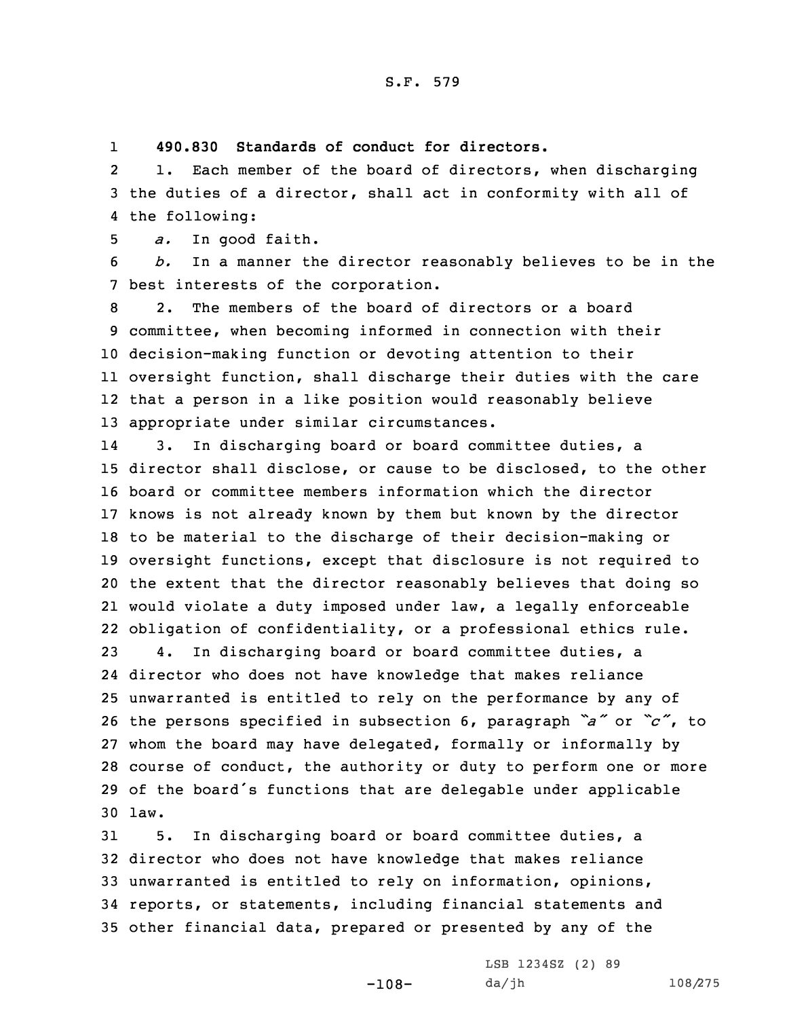1**490.830 Standards of conduct for directors.**

2 1. Each member of the board of directors, when discharging 3 the duties of <sup>a</sup> director, shall act in conformity with all of 4 the following:

5 *a.* In good faith.

6 *b.* In <sup>a</sup> manner the director reasonably believes to be in the 7 best interests of the corporation.

 2. The members of the board of directors or <sup>a</sup> board committee, when becoming informed in connection with their decision-making function or devoting attention to their oversight function, shall discharge their duties with the care that <sup>a</sup> person in <sup>a</sup> like position would reasonably believe appropriate under similar circumstances.

14 3. In discharging board or board committee duties, <sup>a</sup> director shall disclose, or cause to be disclosed, to the other board or committee members information which the director knows is not already known by them but known by the director to be material to the discharge of their decision-making or oversight functions, except that disclosure is not required to the extent that the director reasonably believes that doing so would violate <sup>a</sup> duty imposed under law, <sup>a</sup> legally enforceable obligation of confidentiality, or <sup>a</sup> professional ethics rule.

 4. In discharging board or board committee duties, <sup>a</sup> director who does not have knowledge that makes reliance unwarranted is entitled to rely on the performance by any of the persons specified in subsection 6, paragraph *"a"* or *"c"*, to whom the board may have delegated, formally or informally by course of conduct, the authority or duty to perform one or more of the board's functions that are delegable under applicable 30 law.

 5. In discharging board or board committee duties, <sup>a</sup> director who does not have knowledge that makes reliance unwarranted is entitled to rely on information, opinions, reports, or statements, including financial statements and other financial data, prepared or presented by any of the

-108-

LSB 1234SZ (2) 89 da/jh 108/275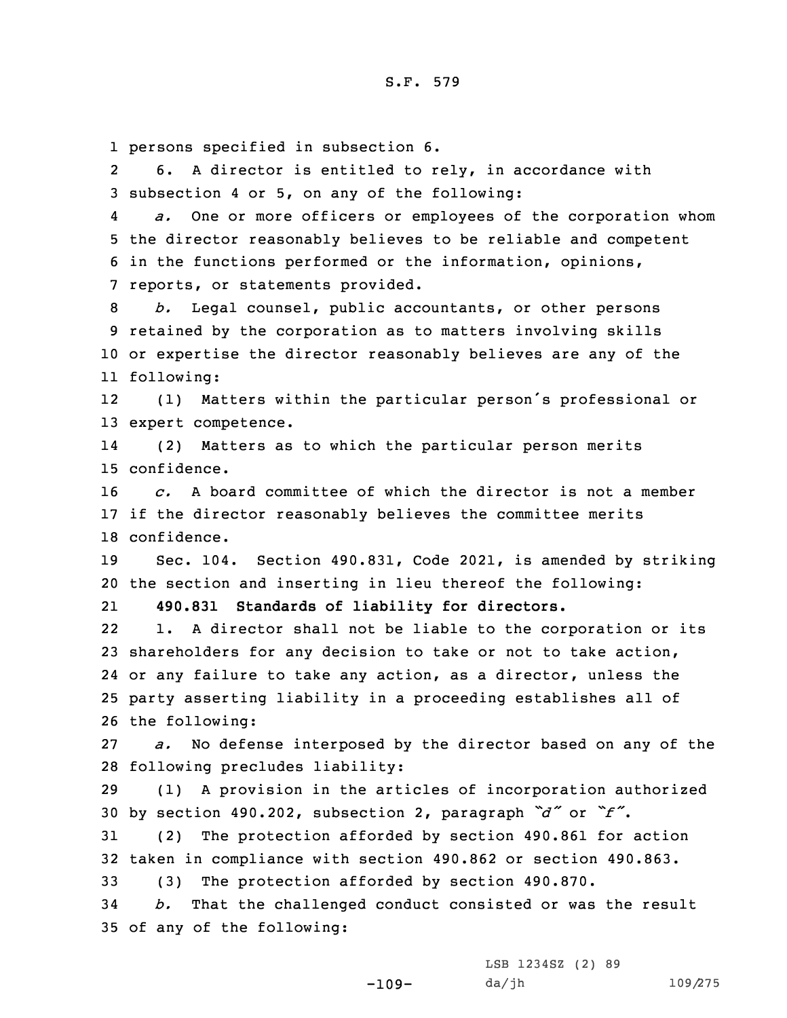1 persons specified in subsection 6.

2 6. <sup>A</sup> director is entitled to rely, in accordance with 3 subsection 4 or 5, on any of the following:

4 *a.* One or more officers or employees of the corporation whom 5 the director reasonably believes to be reliable and competent 6 in the functions performed or the information, opinions, 7 reports, or statements provided.

 *b.* Legal counsel, public accountants, or other persons retained by the corporation as to matters involving skills or expertise the director reasonably believes are any of the following:

12 (1) Matters within the particular person's professional or 13 expert competence.

14 (2) Matters as to which the particular person merits 15 confidence.

16 *c.* A board committee of which the director is not <sup>a</sup> member 17 if the director reasonably believes the committee merits 18 confidence.

19 Sec. 104. Section 490.831, Code 2021, is amended by striking 20 the section and inserting in lieu thereof the following:

21**490.831 Standards of liability for directors.**

22 1. <sup>A</sup> director shall not be liable to the corporation or its shareholders for any decision to take or not to take action, or any failure to take any action, as <sup>a</sup> director, unless the party asserting liability in <sup>a</sup> proceeding establishes all of the following:

27 *a.* No defense interposed by the director based on any of the 28 following precludes liability:

29 (1) <sup>A</sup> provision in the articles of incorporation authorized <sup>30</sup> by section 490.202, subsection 2, paragraph *"d"* or *"f"*.

31 (2) The protection afforded by section 490.861 for action 32 taken in compliance with section 490.862 or section 490.863.

33 (3) The protection afforded by section 490.870.

34 *b.* That the challenged conduct consisted or was the result 35 of any of the following:

LSB 1234SZ (2) 89

-109-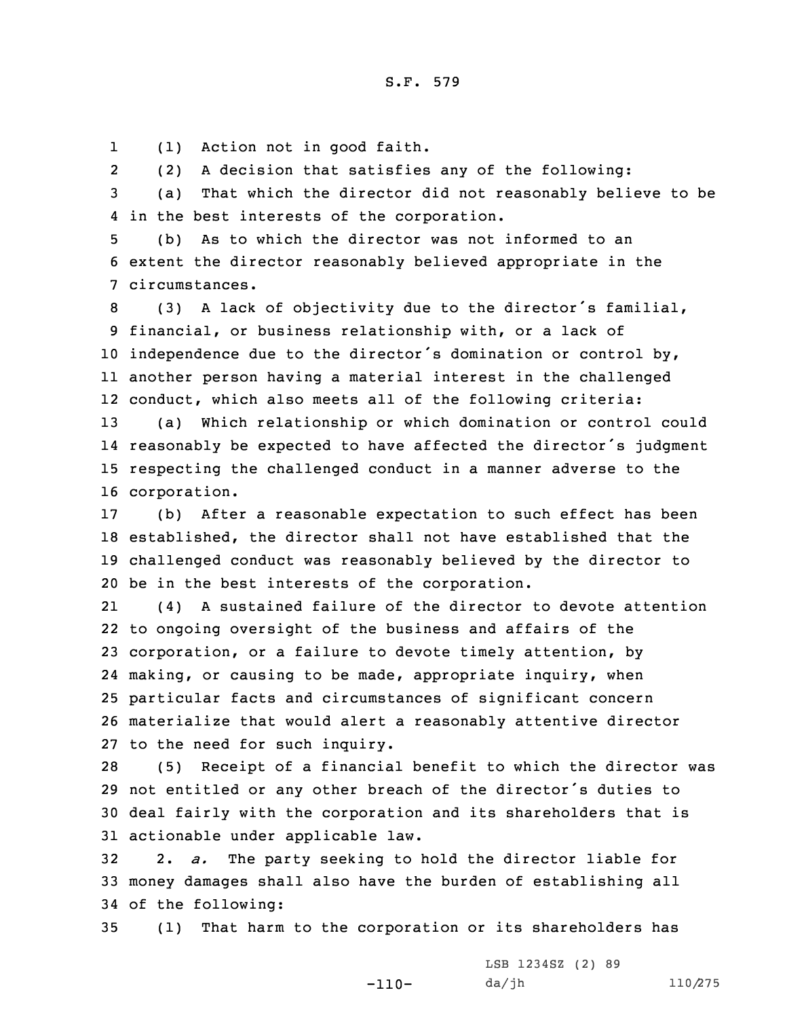1(1) Action not in good faith.

2 (2) <sup>A</sup> decision that satisfies any of the following: 3 (a) That which the director did not reasonably believe to be 4 in the best interests of the corporation.

5 (b) As to which the director was not informed to an 6 extent the director reasonably believed appropriate in the 7 circumstances.

 (3) <sup>A</sup> lack of objectivity due to the director's familial, financial, or business relationship with, or <sup>a</sup> lack of independence due to the director's domination or control by, another person having <sup>a</sup> material interest in the challenged conduct, which also meets all of the following criteria:

 (a) Which relationship or which domination or control could reasonably be expected to have affected the director's judgment respecting the challenged conduct in <sup>a</sup> manner adverse to the corporation.

 (b) After <sup>a</sup> reasonable expectation to such effect has been established, the director shall not have established that the challenged conduct was reasonably believed by the director to be in the best interests of the corporation.

21 (4) <sup>A</sup> sustained failure of the director to devote attention to ongoing oversight of the business and affairs of the corporation, or <sup>a</sup> failure to devote timely attention, by making, or causing to be made, appropriate inquiry, when particular facts and circumstances of significant concern materialize that would alert <sup>a</sup> reasonably attentive director to the need for such inquiry.

 (5) Receipt of <sup>a</sup> financial benefit to which the director was not entitled or any other breach of the director's duties to deal fairly with the corporation and its shareholders that is actionable under applicable law.

32 2. *a.* The party seeking to hold the director liable for 33 money damages shall also have the burden of establishing all 34 of the following:

35 (1) That harm to the corporation or its shareholders has

-110-

LSB 1234SZ (2) 89 da/jh 110/275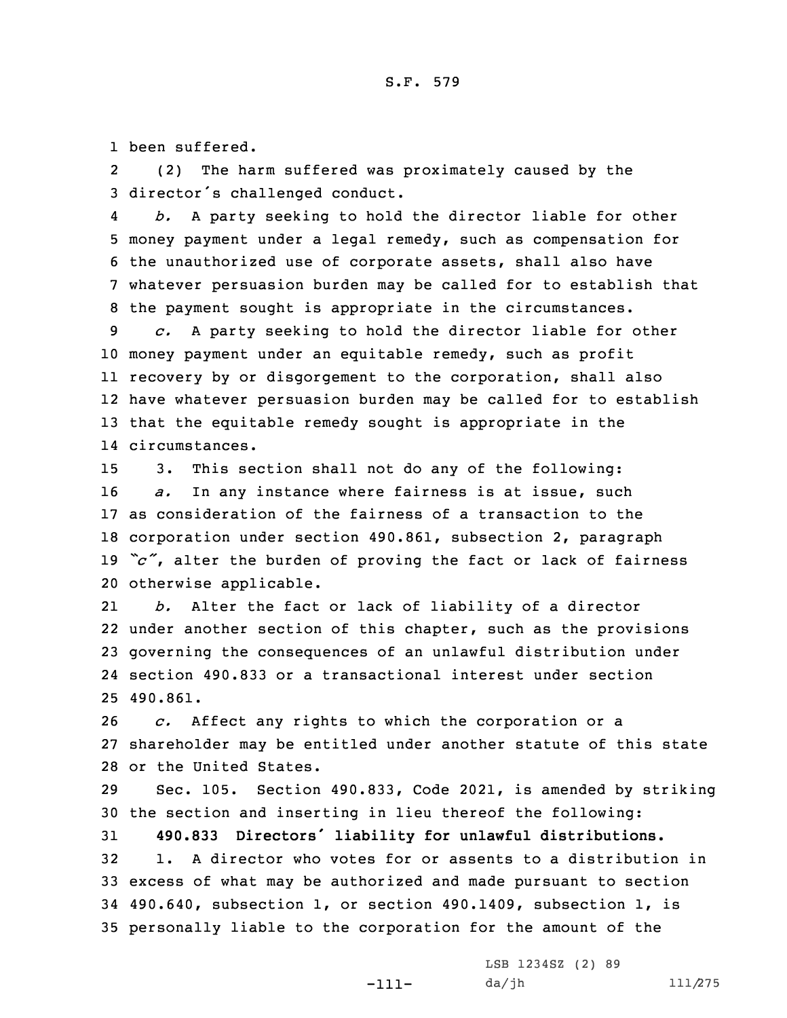1 been suffered.

2 (2) The harm suffered was proximately caused by the <sup>3</sup> director's challenged conduct.

4 *b.* <sup>A</sup> party seeking to hold the director liable for other money payment under <sup>a</sup> legal remedy, such as compensation for the unauthorized use of corporate assets, shall also have whatever persuasion burden may be called for to establish that the payment sought is appropriate in the circumstances.

 *c.* <sup>A</sup> party seeking to hold the director liable for other money payment under an equitable remedy, such as profit recovery by or disgorgement to the corporation, shall also have whatever persuasion burden may be called for to establish that the equitable remedy sought is appropriate in the circumstances.

 3. This section shall not do any of the following: *a.* In any instance where fairness is at issue, such as consideration of the fairness of <sup>a</sup> transaction to the corporation under section 490.861, subsection 2, paragraph *"c"*, alter the burden of proving the fact or lack of fairness otherwise applicable.

21 *b.* Alter the fact or lack of liability of <sup>a</sup> director 22 under another section of this chapter, such as the provisions 23 governing the consequences of an unlawful distribution under 24 section 490.833 or <sup>a</sup> transactional interest under section 25 490.861.

26 *c.* Affect any rights to which the corporation or <sup>a</sup> 27 shareholder may be entitled under another statute of this state 28 or the United States.

29 Sec. 105. Section 490.833, Code 2021, is amended by striking 30 the section and inserting in lieu thereof the following:

 **490.833 Directors' liability for unlawful distributions.** 1. A director who votes for or assents to <sup>a</sup> distribution in excess of what may be authorized and made pursuant to section 490.640, subsection 1, or section 490.1409, subsection 1, is personally liable to the corporation for the amount of the

-111-

```
LSB 1234SZ (2) 89
da/jh 111/275
```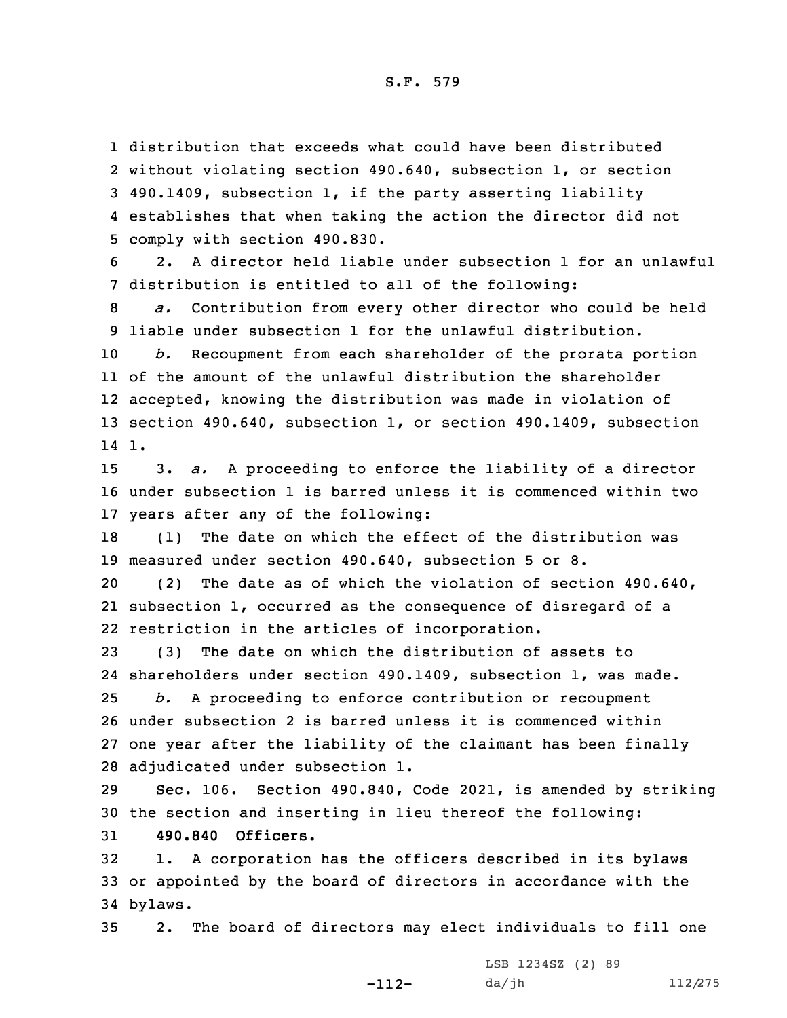distribution that exceeds what could have been distributed without violating section 490.640, subsection 1, or section 490.1409, subsection 1, if the party asserting liability establishes that when taking the action the director did not comply with section 490.830.

6 2. A director held liable under subsection 1 for an unlawful 7 distribution is entitled to all of the following:

8 *a.* Contribution from every other director who could be held 9 liable under subsection 1 for the unlawful distribution.

 *b.* Recoupment from each shareholder of the prorata portion of the amount of the unlawful distribution the shareholder accepted, knowing the distribution was made in violation of section 490.640, subsection 1, or section 490.1409, subsection 14 1.

15 3. *a.* <sup>A</sup> proceeding to enforce the liability of <sup>a</sup> director 16 under subsection 1 is barred unless it is commenced within two 17 years after any of the following:

18 (1) The date on which the effect of the distribution was 19 measured under section 490.640, subsection 5 or 8.

20 (2) The date as of which the violation of section 490.640, 21 subsection 1, occurred as the consequence of disregard of <sup>a</sup> 22 restriction in the articles of incorporation.

23 (3) The date on which the distribution of assets to 24 shareholders under section 490.1409, subsection 1, was made. 25 *b.* <sup>A</sup> proceeding to enforce contribution or recoupment

26 under subsection 2 is barred unless it is commenced within 27 one year after the liability of the claimant has been finally 28 adjudicated under subsection 1.

29 Sec. 106. Section 490.840, Code 2021, is amended by striking 30 the section and inserting in lieu thereof the following:

31 **490.840 Officers.**

32 1. <sup>A</sup> corporation has the officers described in its bylaws 33 or appointed by the board of directors in accordance with the 34 bylaws.

35 2. The board of directors may elect individuals to fill one

-112-

LSB 1234SZ (2) 89 da/jh 112/275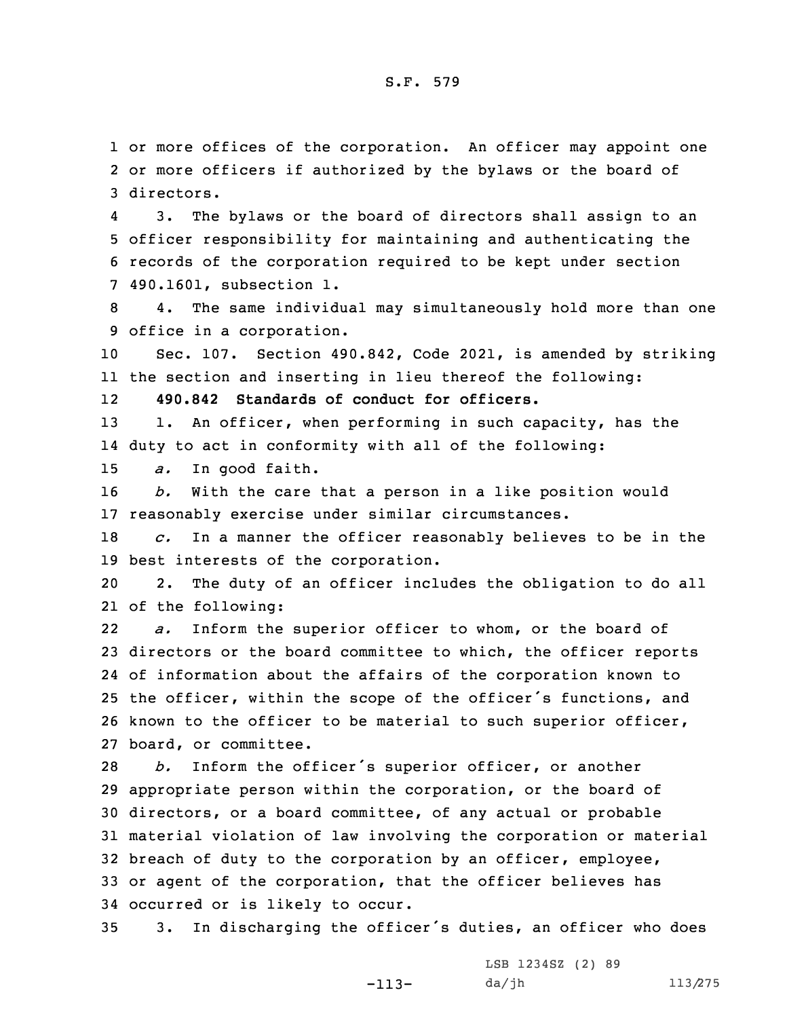1 or more offices of the corporation. An officer may appoint one 2 or more officers if authorized by the bylaws or the board of 3 directors.

4 3. The bylaws or the board of directors shall assign to an 5 officer responsibility for maintaining and authenticating the 6 records of the corporation required to be kept under section 7 490.1601, subsection 1.

8 4. The same individual may simultaneously hold more than one 9 office in <sup>a</sup> corporation.

10 Sec. 107. Section 490.842, Code 2021, is amended by striking 11 the section and inserting in lieu thereof the following:

12**490.842 Standards of conduct for officers.**

13 1. An officer, when performing in such capacity, has the 14 duty to act in conformity with all of the following:

15 *a.* In good faith.

16 *b.* With the care that <sup>a</sup> person in <sup>a</sup> like position would 17 reasonably exercise under similar circumstances.

18 *c.* In <sup>a</sup> manner the officer reasonably believes to be in the 19 best interests of the corporation.

20 2. The duty of an officer includes the obligation to do all 21 of the following:

22 *a.* Inform the superior officer to whom, or the board of directors or the board committee to which, the officer reports of information about the affairs of the corporation known to the officer, within the scope of the officer's functions, and known to the officer to be material to such superior officer, board, or committee.

 *b.* Inform the officer's superior officer, or another appropriate person within the corporation, or the board of directors, or <sup>a</sup> board committee, of any actual or probable material violation of law involving the corporation or material breach of duty to the corporation by an officer, employee, or agent of the corporation, that the officer believes has occurred or is likely to occur.

<sup>35</sup> 3. In discharging the officer's duties, an officer who does

LSB 1234SZ (2) 89 da/jh 113/275

-113-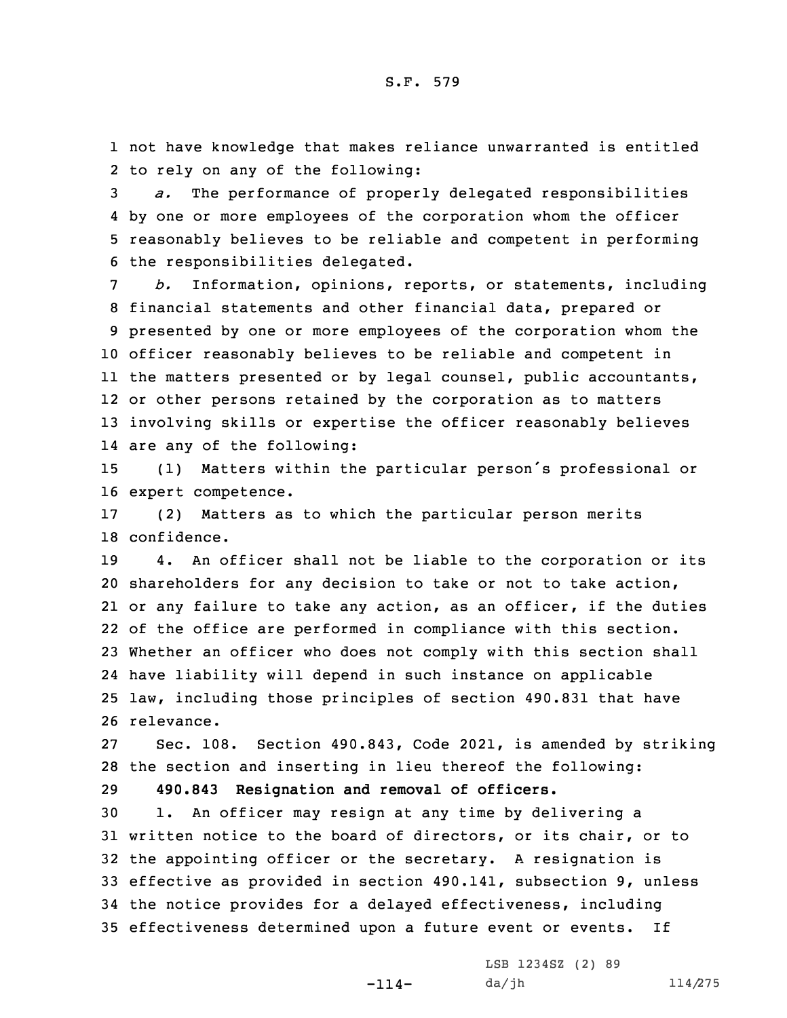1 not have knowledge that makes reliance unwarranted is entitled 2 to rely on any of the following:

 *a.* The performance of properly delegated responsibilities by one or more employees of the corporation whom the officer reasonably believes to be reliable and competent in performing the responsibilities delegated.

 *b.* Information, opinions, reports, or statements, including financial statements and other financial data, prepared or presented by one or more employees of the corporation whom the officer reasonably believes to be reliable and competent in the matters presented or by legal counsel, public accountants, or other persons retained by the corporation as to matters involving skills or expertise the officer reasonably believes are any of the following:

<sup>15</sup> (1) Matters within the particular person's professional or 16 expert competence.

17 (2) Matters as to which the particular person merits 18 confidence.

 4. An officer shall not be liable to the corporation or its shareholders for any decision to take or not to take action, or any failure to take any action, as an officer, if the duties of the office are performed in compliance with this section. Whether an officer who does not comply with this section shall have liability will depend in such instance on applicable law, including those principles of section 490.831 that have relevance.

27 Sec. 108. Section 490.843, Code 2021, is amended by striking 28 the section and inserting in lieu thereof the following:

29 **490.843 Resignation and removal of officers.**

 1. An officer may resign at any time by delivering <sup>a</sup> written notice to the board of directors, or its chair, or to the appointing officer or the secretary. <sup>A</sup> resignation is effective as provided in section 490.141, subsection 9, unless the notice provides for <sup>a</sup> delayed effectiveness, including effectiveness determined upon <sup>a</sup> future event or events. If

-114-

LSB 1234SZ (2) 89 da/jh 114/275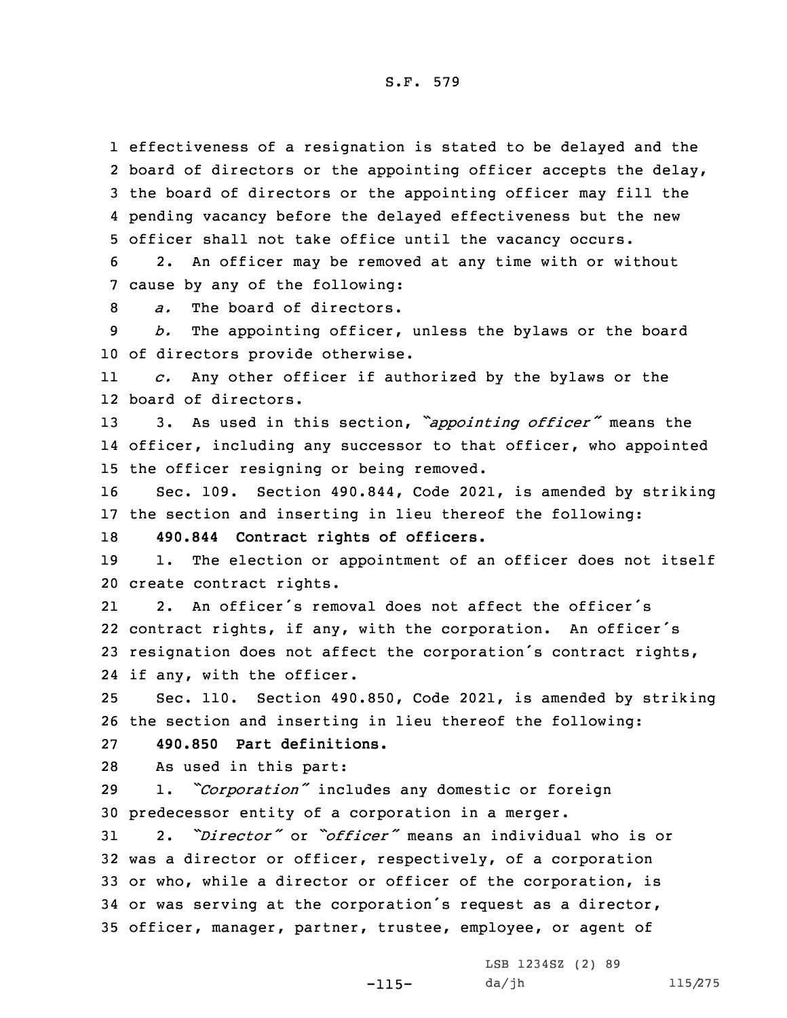effectiveness of <sup>a</sup> resignation is stated to be delayed and the 2 board of directors or the appointing officer accepts the delay, the board of directors or the appointing officer may fill the pending vacancy before the delayed effectiveness but the new officer shall not take office until the vacancy occurs.

6 2. An officer may be removed at any time with or without 7 cause by any of the following:

8 *a.* The board of directors.

9 *b.* The appointing officer, unless the bylaws or the board 10 of directors provide otherwise.

11 *c.* Any other officer if authorized by the bylaws or the 12 board of directors.

<sup>13</sup> 3. As used in this section, *"appointing officer"* means the 14 officer, including any successor to that officer, who appointed 15 the officer resigning or being removed.

16 Sec. 109. Section 490.844, Code 2021, is amended by striking 17 the section and inserting in lieu thereof the following:

18 **490.844 Contract rights of officers.**

19 1. The election or appointment of an officer does not itself 20 create contract rights.

21 2. An officer's removal does not affect the officer's 22 contract rights, if any, with the corporation. An officer's <sup>23</sup> resignation does not affect the corporation's contract rights, 24 if any, with the officer.

25 Sec. 110. Section 490.850, Code 2021, is amended by striking 26 the section and inserting in lieu thereof the following:

27 **490.850 Part definitions.**

28 As used in this part:

<sup>29</sup> 1. *"Corporation"* includes any domestic or foreign 30 predecessor entity of <sup>a</sup> corporation in <sup>a</sup> merger.

 2. *"Director"* or *"officer"* means an individual who is or was <sup>a</sup> director or officer, respectively, of <sup>a</sup> corporation or who, while <sup>a</sup> director or officer of the corporation, is or was serving at the corporation's request as <sup>a</sup> director, officer, manager, partner, trustee, employee, or agent of

-115-

LSB 1234SZ (2) 89 da/jh 115/275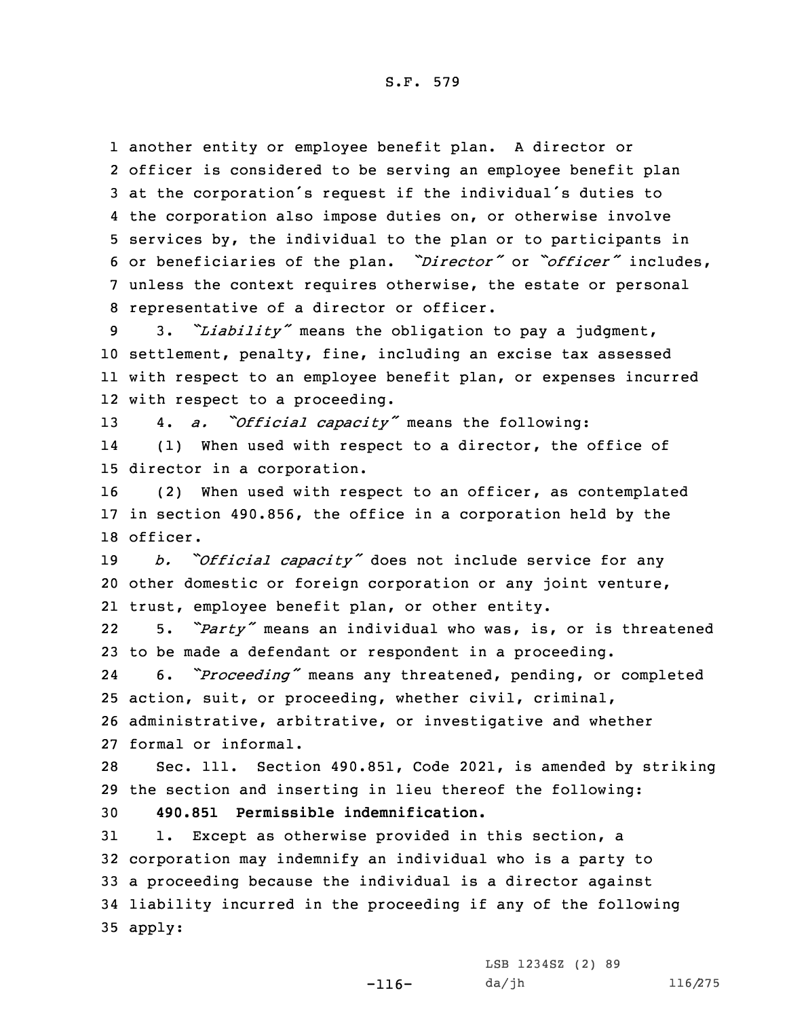S.F. 579

 another entity or employee benefit plan. <sup>A</sup> director or officer is considered to be serving an employee benefit plan at the corporation's request if the individual's duties to the corporation also impose duties on, or otherwise involve services by, the individual to the plan or to participants in or beneficiaries of the plan. *"Director"* or *"officer"* includes, unless the context requires otherwise, the estate or personal representative of <sup>a</sup> director or officer.

 3. *"Liability"* means the obligation to pay <sup>a</sup> judgment, settlement, penalty, fine, including an excise tax assessed with respect to an employee benefit plan, or expenses incurred with respect to <sup>a</sup> proceeding.

<sup>13</sup> 4. *a. "Official capacity"* means the following: 14(1) When used with respect to <sup>a</sup> director, the office of

15 director in <sup>a</sup> corporation. 16 (2) When used with respect to an officer, as contemplated

17 in section 490.856, the office in <sup>a</sup> corporation held by the 18 officer.

<sup>19</sup> *b. "Official capacity"* does not include service for any 20 other domestic or foreign corporation or any joint venture, 21 trust, employee benefit plan, or other entity.

22 5. *"Party"* means an individual who was, is, or is threatened 23 to be made <sup>a</sup> defendant or respondent in <sup>a</sup> proceeding.

24 6. *"Proceeding"* means any threatened, pending, or completed 25 action, suit, or proceeding, whether civil, criminal, 26 administrative, arbitrative, or investigative and whether 27 formal or informal.

28 Sec. 111. Section 490.851, Code 2021, is amended by striking 29 the section and inserting in lieu thereof the following:

30 **490.851 Permissible indemnification.**

 1. Except as otherwise provided in this section, <sup>a</sup> corporation may indemnify an individual who is <sup>a</sup> party to <sup>a</sup> proceeding because the individual is <sup>a</sup> director against liability incurred in the proceeding if any of the following 35 apply:

-116-

LSB 1234SZ (2) 89 da/jh 116/275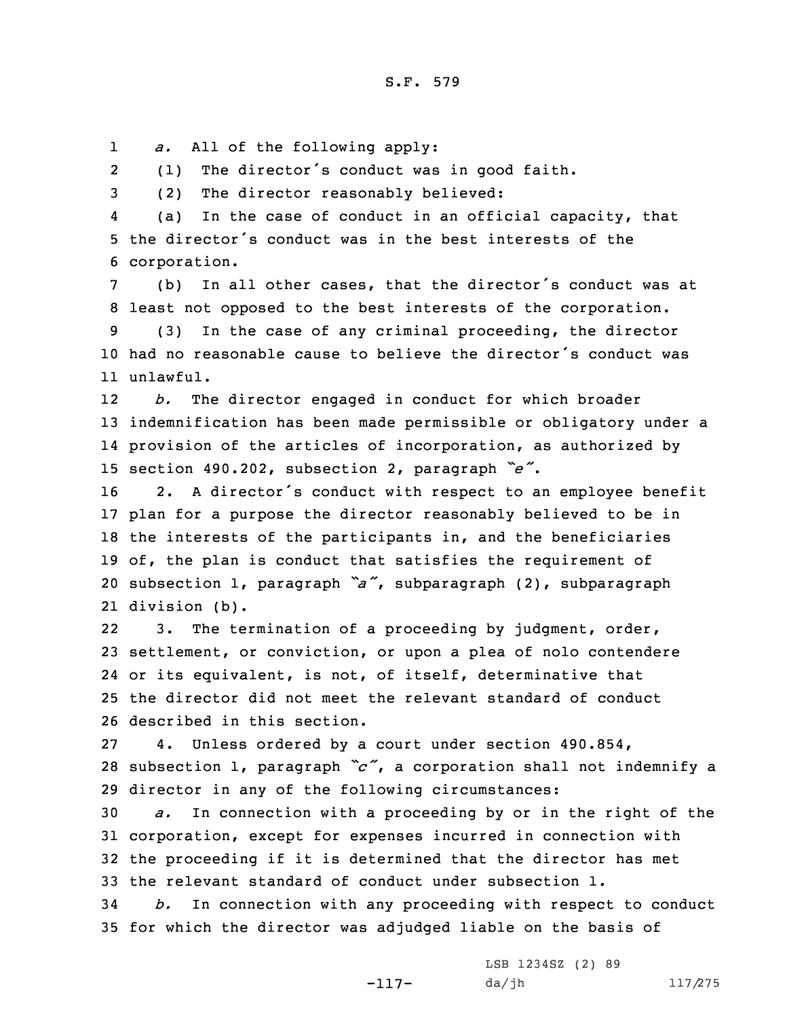1*a.* All of the following apply:

2(1) The director's conduct was in good faith.

3 (2) The director reasonably believed:

4 (a) In the case of conduct in an official capacity, that 5 the director's conduct was in the best interests of the 6 corporation.

<sup>7</sup> (b) In all other cases, that the director's conduct was at 8 least not opposed to the best interests of the corporation.

9 (3) In the case of any criminal proceeding, the director 10 had no reasonable cause to believe the director's conduct was 11 unlawful.

12 *b.* The director engaged in conduct for which broader 13 indemnification has been made permissible or obligatory under <sup>a</sup> 14 provision of the articles of incorporation, as authorized by <sup>15</sup> section 490.202, subsection 2, paragraph *"e"*.

16 2. A director's conduct with respect to an employee benefit plan for <sup>a</sup> purpose the director reasonably believed to be in the interests of the participants in, and the beneficiaries 19 of, the plan is conduct that satisfies the requirement of subsection 1, paragraph *"a"*, subparagraph (2), subparagraph division (b).

22 3. The termination of <sup>a</sup> proceeding by judgment, order, settlement, or conviction, or upon <sup>a</sup> plea of nolo contendere or its equivalent, is not, of itself, determinative that the director did not meet the relevant standard of conduct described in this section.

27 4. Unless ordered by <sup>a</sup> court under section 490.854, <sup>28</sup> subsection 1, paragraph *"c"*, <sup>a</sup> corporation shall not indemnify <sup>a</sup> 29 director in any of the following circumstances:

 *a.* In connection with <sup>a</sup> proceeding by or in the right of the corporation, except for expenses incurred in connection with the proceeding if it is determined that the director has met the relevant standard of conduct under subsection 1.

34 *b.* In connection with any proceeding with respect to conduct 35 for which the director was adjudged liable on the basis of

> LSB 1234SZ (2) 89 da/jh 117/275

-117-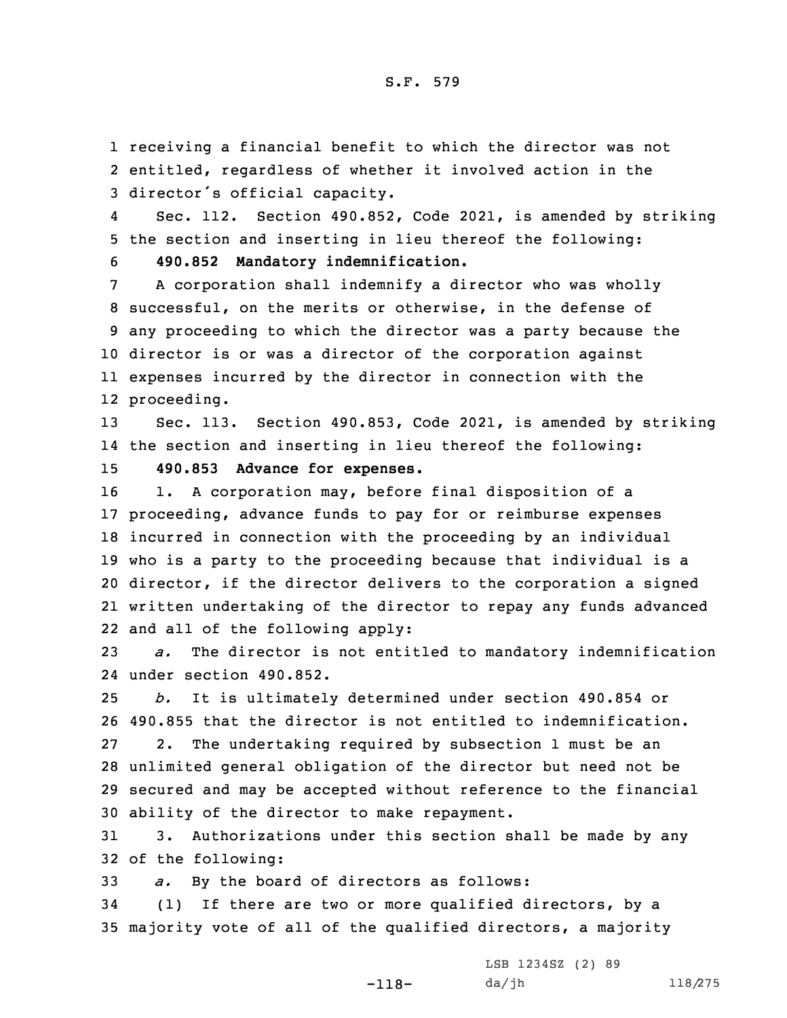1 receiving <sup>a</sup> financial benefit to which the director was not 2 entitled, regardless of whether it involved action in the <sup>3</sup> director's official capacity.

4 Sec. 112. Section 490.852, Code 2021, is amended by striking 5 the section and inserting in lieu thereof the following:

6 **490.852 Mandatory indemnification.**

 <sup>A</sup> corporation shall indemnify <sup>a</sup> director who was wholly successful, on the merits or otherwise, in the defense of any proceeding to which the director was <sup>a</sup> party because the director is or was <sup>a</sup> director of the corporation against expenses incurred by the director in connection with the proceeding.

13 Sec. 113. Section 490.853, Code 2021, is amended by striking 14 the section and inserting in lieu thereof the following:

15 **490.853 Advance for expenses.**

16 1. A corporation may, before final disposition of a proceeding, advance funds to pay for or reimburse expenses incurred in connection with the proceeding by an individual who is <sup>a</sup> party to the proceeding because that individual is <sup>a</sup> director, if the director delivers to the corporation <sup>a</sup> signed written undertaking of the director to repay any funds advanced and all of the following apply:

23 *a.* The director is not entitled to mandatory indemnification 24 under section 490.852.

 *b.* It is ultimately determined under section 490.854 or 490.855 that the director is not entitled to indemnification. 2. The undertaking required by subsection 1 must be an unlimited general obligation of the director but need not be secured and may be accepted without reference to the financial ability of the director to make repayment.

31 3. Authorizations under this section shall be made by any 32 of the following:

33 *a.* By the board of directors as follows:

34 (1) If there are two or more qualified directors, by <sup>a</sup> 35 majority vote of all of the qualified directors, <sup>a</sup> majority

-118-

LSB 1234SZ (2) 89 da/jh 118/275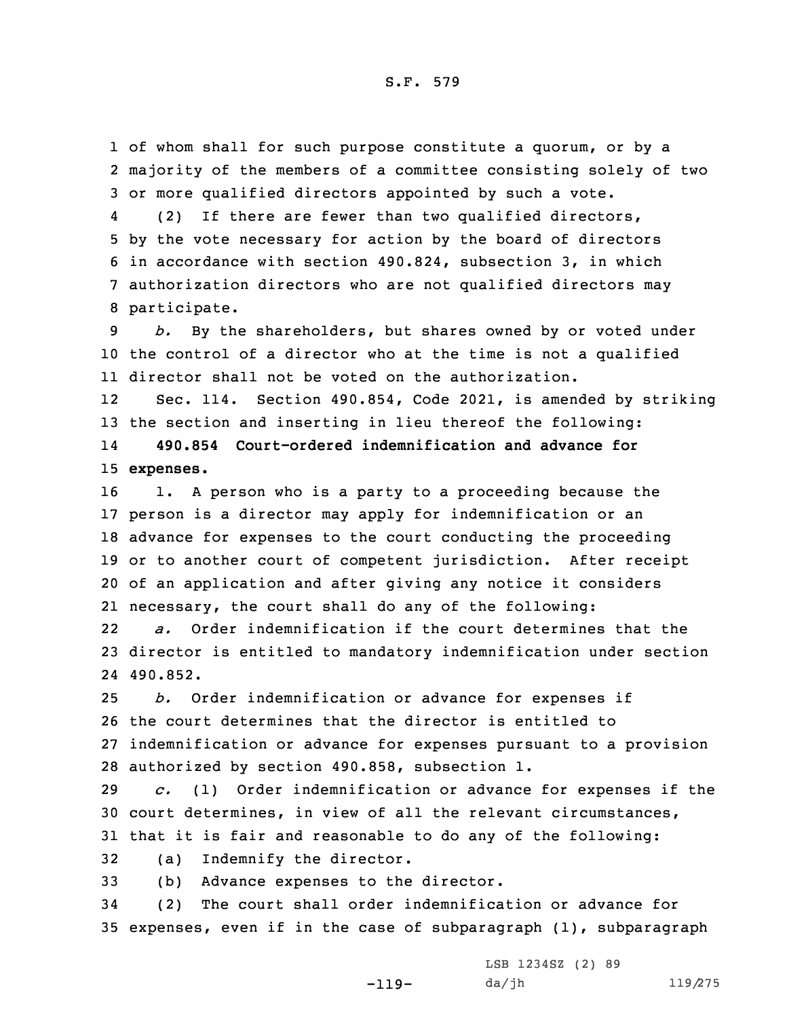1 of whom shall for such purpose constitute <sup>a</sup> quorum, or by <sup>a</sup> 2 majority of the members of <sup>a</sup> committee consisting solely of two 3 or more qualified directors appointed by such <sup>a</sup> vote.

4 (2) If there are fewer than two qualified directors, by the vote necessary for action by the board of directors in accordance with section 490.824, subsection 3, in which authorization directors who are not qualified directors may participate.

9 *b.* By the shareholders, but shares owned by or voted under 10 the control of <sup>a</sup> director who at the time is not <sup>a</sup> qualified 11 director shall not be voted on the authorization.

12 Sec. 114. Section 490.854, Code 2021, is amended by striking 13 the section and inserting in lieu thereof the following: 14 **490.854 Court-ordered indemnification and advance for** 15 **expenses.**

 1. <sup>A</sup> person who is <sup>a</sup> party to <sup>a</sup> proceeding because the person is <sup>a</sup> director may apply for indemnification or an advance for expenses to the court conducting the proceeding or to another court of competent jurisdiction. After receipt of an application and after giving any notice it considers necessary, the court shall do any of the following:

22 *a.* Order indemnification if the court determines that the 23 director is entitled to mandatory indemnification under section 24 490.852.

 *b.* Order indemnification or advance for expenses if the court determines that the director is entitled to indemnification or advance for expenses pursuant to <sup>a</sup> provision authorized by section 490.858, subsection 1.

29 *c.* (1) Order indemnification or advance for expenses if the 30 court determines, in view of all the relevant circumstances, 31 that it is fair and reasonable to do any of the following:

32 (a) Indemnify the director.

33 (b) Advance expenses to the director.

34 (2) The court shall order indemnification or advance for 35 expenses, even if in the case of subparagraph (1), subparagraph

-119-

LSB 1234SZ (2) 89 da/jh 119/275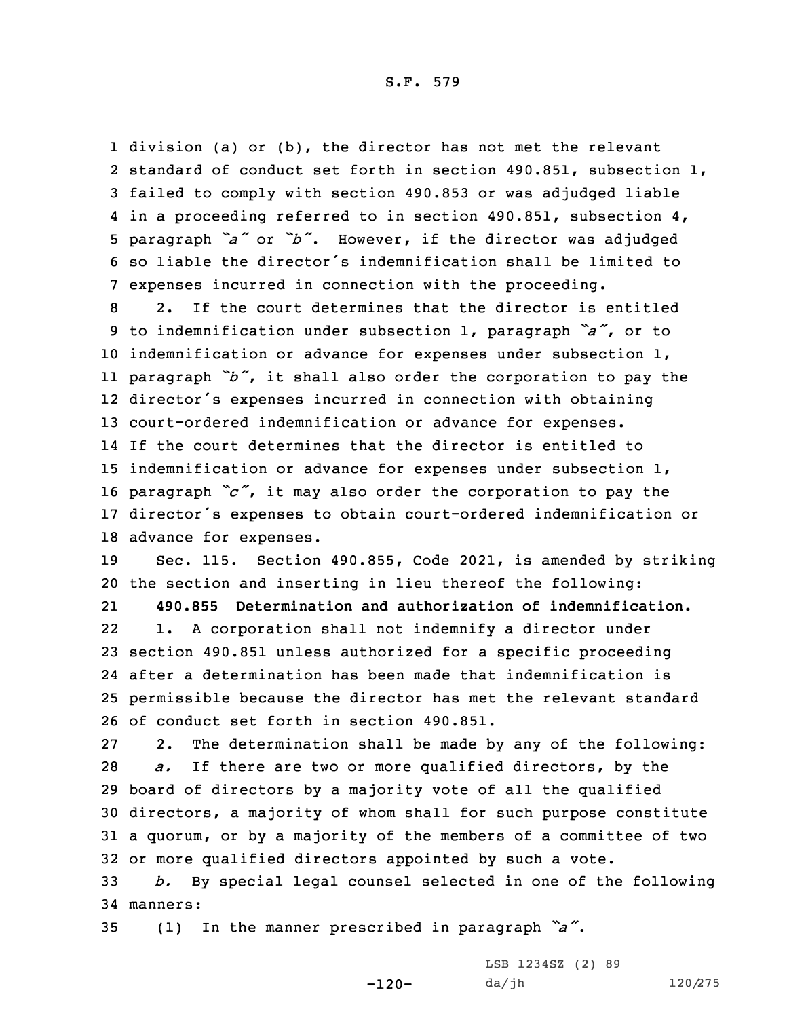division (a) or (b), the director has not met the relevant standard of conduct set forth in section 490.851, subsection 1, failed to comply with section 490.853 or was adjudged liable in <sup>a</sup> proceeding referred to in section 490.851, subsection 4, paragraph *"a"* or *"b"*. However, if the director was adjudged so liable the director's indemnification shall be limited to expenses incurred in connection with the proceeding.

 2. If the court determines that the director is entitled to indemnification under subsection 1, paragraph *"a"*, or to indemnification or advance for expenses under subsection 1, paragraph *"b"*, it shall also order the corporation to pay the director's expenses incurred in connection with obtaining court-ordered indemnification or advance for expenses. If the court determines that the director is entitled to indemnification or advance for expenses under subsection 1, paragraph *"c"*, it may also order the corporation to pay the director's expenses to obtain court-ordered indemnification or advance for expenses.

19 Sec. 115. Section 490.855, Code 2021, is amended by striking 20 the section and inserting in lieu thereof the following:

21 **490.855 Determination and authorization of indemnification.** 22 1. <sup>A</sup> corporation shall not indemnify <sup>a</sup> director under 23 section 490.851 unless authorized for <sup>a</sup> specific proceeding 24 after <sup>a</sup> determination has been made that indemnification is 25 permissible because the director has met the relevant standard 26 of conduct set forth in section 490.851.

 2. The determination shall be made by any of the following: *a.* If there are two or more qualified directors, by the board of directors by <sup>a</sup> majority vote of all the qualified directors, <sup>a</sup> majority of whom shall for such purpose constitute <sup>a</sup> quorum, or by <sup>a</sup> majority of the members of <sup>a</sup> committee of two or more qualified directors appointed by such <sup>a</sup> vote.

33 *b.* By special legal counsel selected in one of the following 34 manners:

 $-120-$ 

<sup>35</sup> (1) In the manner prescribed in paragraph *"a"*.

LSB 1234SZ (2) 89 da/jh 120/275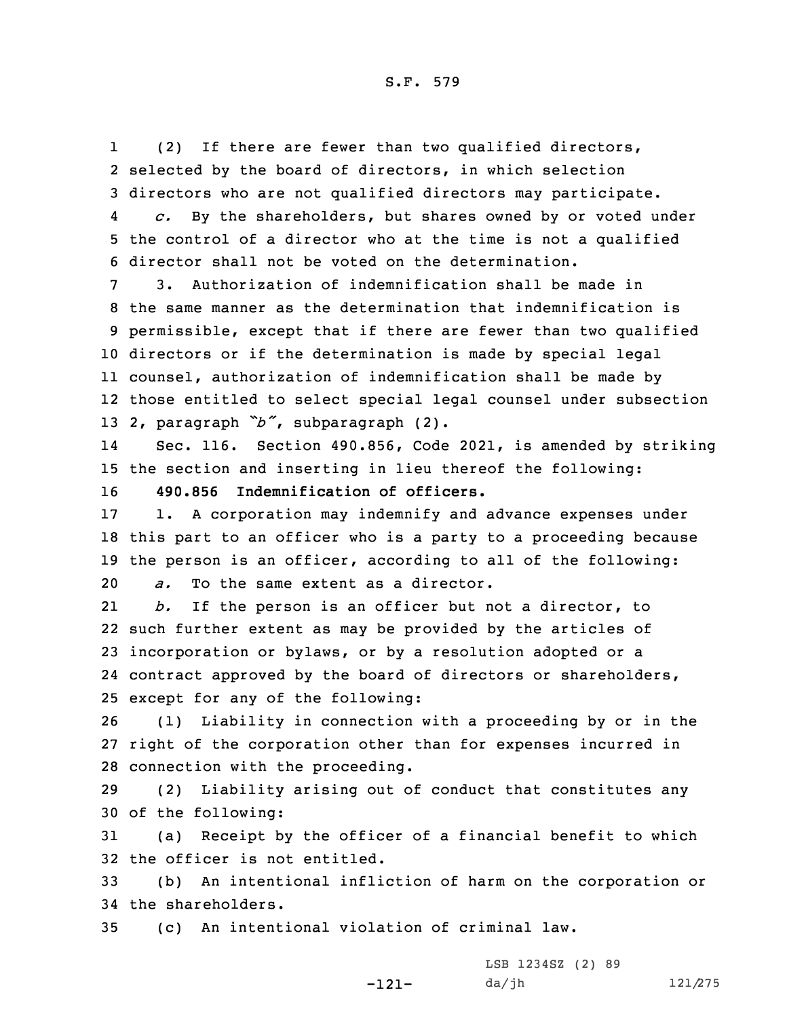1 (2) If there are fewer than two qualified directors, 2 selected by the board of directors, in which selection 3 directors who are not qualified directors may participate. 4 *c.* By the shareholders, but shares owned by or voted under 5 the control of <sup>a</sup> director who at the time is not <sup>a</sup> qualified

6 director shall not be voted on the determination.

 3. Authorization of indemnification shall be made in the same manner as the determination that indemnification is permissible, except that if there are fewer than two qualified directors or if the determination is made by special legal counsel, authorization of indemnification shall be made by those entitled to select special legal counsel under subsection 2, paragraph *"b"*, subparagraph (2).

14 Sec. 116. Section 490.856, Code 2021, is amended by striking 15 the section and inserting in lieu thereof the following: 16 **490.856 Indemnification of officers.**

 1. <sup>A</sup> corporation may indemnify and advance expenses under this part to an officer who is <sup>a</sup> party to <sup>a</sup> proceeding because the person is an officer, according to all of the following: *a.* To the same extent as <sup>a</sup> director.

21 *b.* If the person is an officer but not <sup>a</sup> director, to such further extent as may be provided by the articles of incorporation or bylaws, or by <sup>a</sup> resolution adopted or <sup>a</sup> contract approved by the board of directors or shareholders, except for any of the following:

26 (1) Liability in connection with <sup>a</sup> proceeding by or in the 27 right of the corporation other than for expenses incurred in 28 connection with the proceeding.

29 (2) Liability arising out of conduct that constitutes any 30 of the following:

31 (a) Receipt by the officer of <sup>a</sup> financial benefit to which 32 the officer is not entitled.

33 (b) An intentional infliction of harm on the corporation or 34 the shareholders.

-121-

35 (c) An intentional violation of criminal law.

LSB 1234SZ (2) 89 da/jh 121/275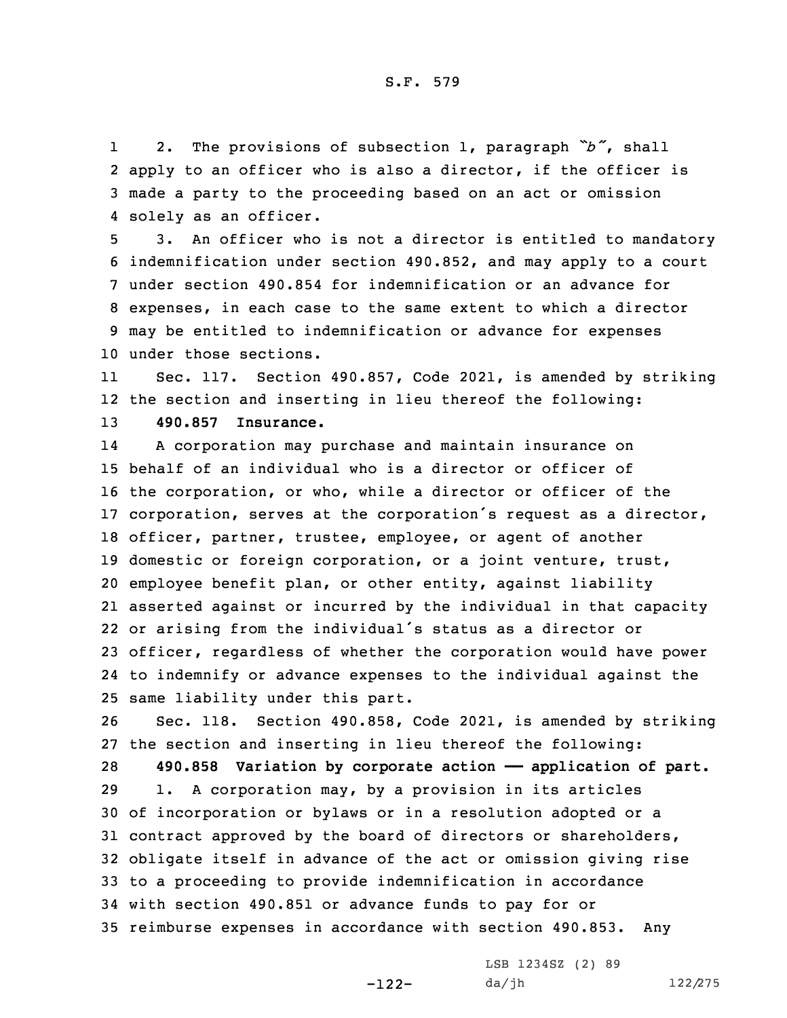S.F. 579

1 2. The provisions of subsection 1, paragraph *"b"*, shall 2 apply to an officer who is also <sup>a</sup> director, if the officer is 3 made <sup>a</sup> party to the proceeding based on an act or omission 4 solely as an officer.

 3. An officer who is not <sup>a</sup> director is entitled to mandatory indemnification under section 490.852, and may apply to <sup>a</sup> court under section 490.854 for indemnification or an advance for expenses, in each case to the same extent to which <sup>a</sup> director may be entitled to indemnification or advance for expenses under those sections.

11 Sec. 117. Section 490.857, Code 2021, is amended by striking 12 the section and inserting in lieu thereof the following:

13 **490.857 Insurance.**

14 <sup>A</sup> corporation may purchase and maintain insurance on behalf of an individual who is <sup>a</sup> director or officer of the corporation, or who, while <sup>a</sup> director or officer of the corporation, serves at the corporation's request as <sup>a</sup> director, officer, partner, trustee, employee, or agent of another 19 domestic or foreign corporation, or a joint venture, trust, employee benefit plan, or other entity, against liability asserted against or incurred by the individual in that capacity or arising from the individual's status as <sup>a</sup> director or officer, regardless of whether the corporation would have power to indemnify or advance expenses to the individual against the same liability under this part.

26 Sec. 118. Section 490.858, Code 2021, is amended by striking 27 the section and inserting in lieu thereof the following:

 **490.858 Variation by corporate action —— application of part.** 1. <sup>A</sup> corporation may, by <sup>a</sup> provision in its articles of incorporation or bylaws or in <sup>a</sup> resolution adopted or <sup>a</sup> contract approved by the board of directors or shareholders, obligate itself in advance of the act or omission giving rise to <sup>a</sup> proceeding to provide indemnification in accordance with section 490.851 or advance funds to pay for or reimburse expenses in accordance with section 490.853. Any

-122-

LSB 1234SZ (2) 89 da/jh 122/275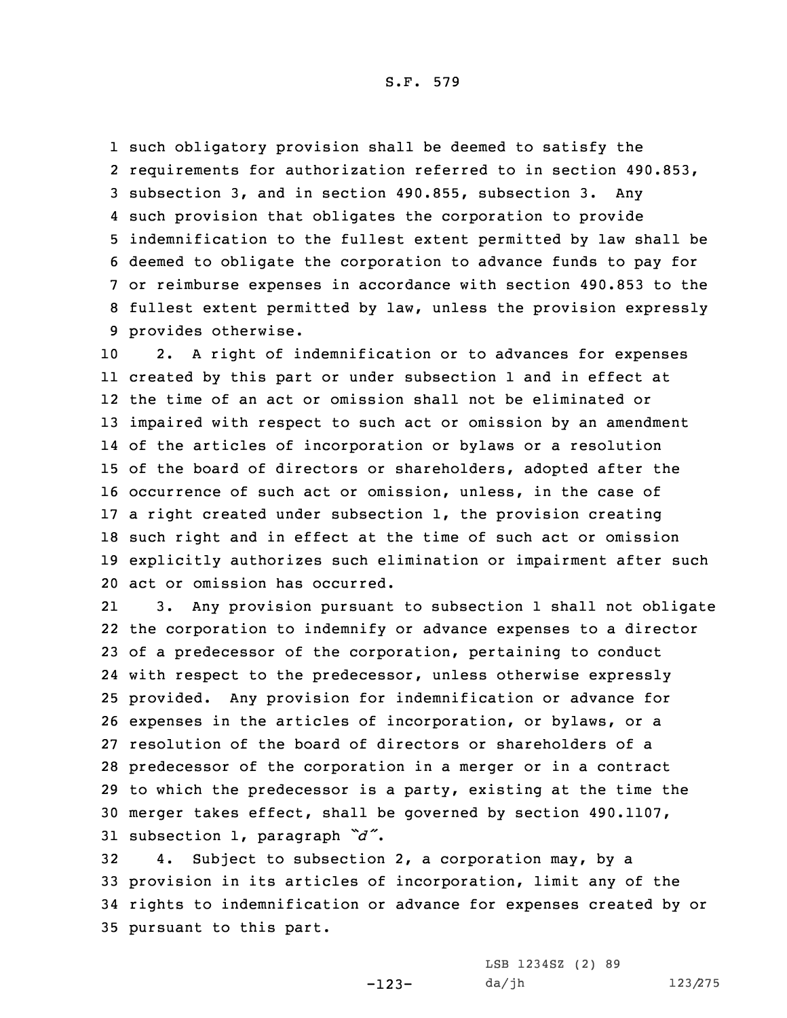S.F. 579

 such obligatory provision shall be deemed to satisfy the requirements for authorization referred to in section 490.853, subsection 3, and in section 490.855, subsection 3. Any such provision that obligates the corporation to provide indemnification to the fullest extent permitted by law shall be deemed to obligate the corporation to advance funds to pay for or reimburse expenses in accordance with section 490.853 to the fullest extent permitted by law, unless the provision expressly provides otherwise.

 2. <sup>A</sup> right of indemnification or to advances for expenses created by this part or under subsection 1 and in effect at the time of an act or omission shall not be eliminated or impaired with respect to such act or omission by an amendment of the articles of incorporation or bylaws or <sup>a</sup> resolution of the board of directors or shareholders, adopted after the occurrence of such act or omission, unless, in the case of <sup>a</sup> right created under subsection 1, the provision creating such right and in effect at the time of such act or omission explicitly authorizes such elimination or impairment after such act or omission has occurred.

21 3. Any provision pursuant to subsection 1 shall not obligate the corporation to indemnify or advance expenses to <sup>a</sup> director of <sup>a</sup> predecessor of the corporation, pertaining to conduct with respect to the predecessor, unless otherwise expressly provided. Any provision for indemnification or advance for expenses in the articles of incorporation, or bylaws, or <sup>a</sup> resolution of the board of directors or shareholders of <sup>a</sup> predecessor of the corporation in <sup>a</sup> merger or in <sup>a</sup> contract to which the predecessor is <sup>a</sup> party, existing at the time the merger takes effect, shall be governed by section 490.1107, subsection 1, paragraph *"d"*.

 4. Subject to subsection 2, <sup>a</sup> corporation may, by <sup>a</sup> provision in its articles of incorporation, limit any of the rights to indemnification or advance for expenses created by or pursuant to this part.

-123-

LSB 1234SZ (2) 89 da/jh 123/275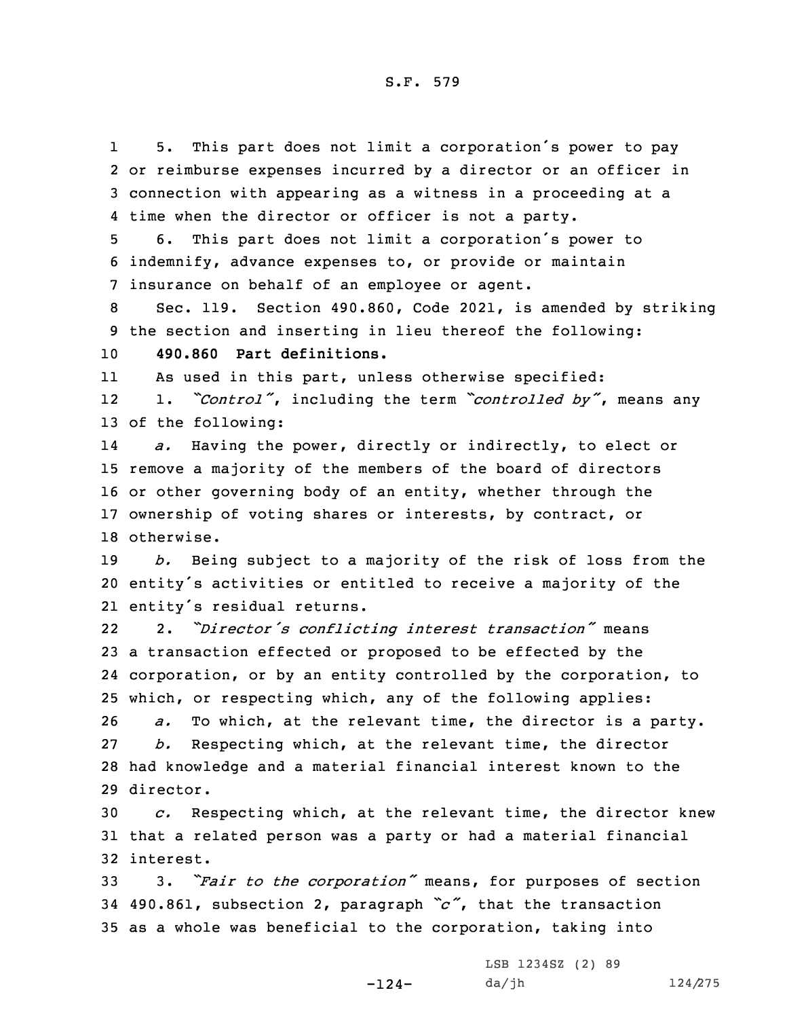1 5. This part does not limit <sup>a</sup> corporation's power to pay 2 or reimburse expenses incurred by <sup>a</sup> director or an officer in 3 connection with appearing as <sup>a</sup> witness in <sup>a</sup> proceeding at <sup>a</sup> 4 time when the director or officer is not <sup>a</sup> party.

<sup>5</sup> 6. This part does not limit <sup>a</sup> corporation's power to 6 indemnify, advance expenses to, or provide or maintain 7 insurance on behalf of an employee or agent.

8 Sec. 119. Section 490.860, Code 2021, is amended by striking 9 the section and inserting in lieu thereof the following:

10 **490.860 Part definitions.**

11As used in this part, unless otherwise specified:

12 1. *"Control"*, including the term *"controlled by"*, means any 13 of the following:

14 *a.* Having the power, directly or indirectly, to elect or remove <sup>a</sup> majority of the members of the board of directors or other governing body of an entity, whether through the ownership of voting shares or interests, by contract, or otherwise.

19 *b.* Being subject to <sup>a</sup> majority of the risk of loss from the <sup>20</sup> entity's activities or entitled to receive <sup>a</sup> majority of the 21 entity's residual returns.

22 2. *"Director's conflicting interest transaction"* means 23 <sup>a</sup> transaction effected or proposed to be effected by the 24 corporation, or by an entity controlled by the corporation, to 25 which, or respecting which, any of the following applies:

 *a.* To which, at the relevant time, the director is <sup>a</sup> party. *b.* Respecting which, at the relevant time, the director had knowledge and <sup>a</sup> material financial interest known to the director.

30 *c.* Respecting which, at the relevant time, the director knew 31 that <sup>a</sup> related person was <sup>a</sup> party or had <sup>a</sup> material financial 32 interest.

<sup>33</sup> 3. *"Fair to the corporation"* means, for purposes of section <sup>34</sup> 490.861, subsection 2, paragraph *"c"*, that the transaction 35 as <sup>a</sup> whole was beneficial to the corporation, taking into

-124-

LSB 1234SZ (2) 89 da/jh 124/275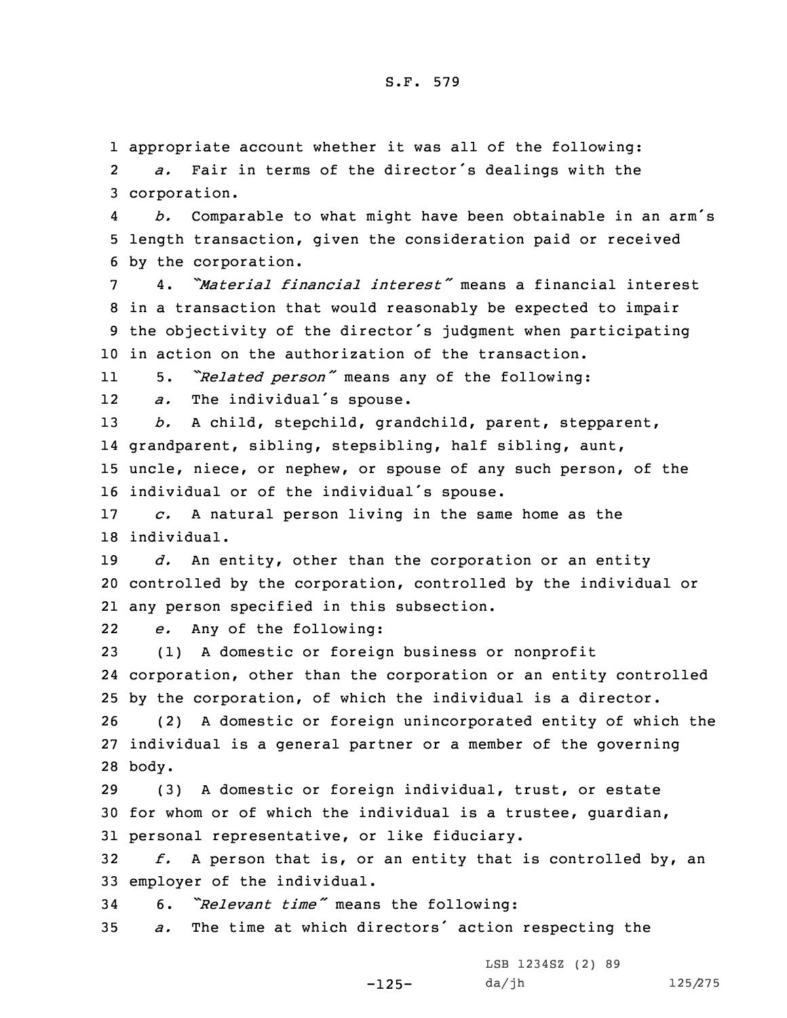1 appropriate account whether it was all of the following:

2 *a.* Fair in terms of the director's dealings with the 3 corporation.

4 *b.* Comparable to what might have been obtainable in an arm's 5 length transaction, given the consideration paid or received 6 by the corporation.

 4. *"Material financial interest"* means <sup>a</sup> financial interest in <sup>a</sup> transaction that would reasonably be expected to impair the objectivity of the director's judgment when participating in action on the authorization of the transaction.

115. *"Related person"* means any of the following:

12*a.* The individual's spouse.

 *b.* <sup>A</sup> child, stepchild, grandchild, parent, stepparent, grandparent, sibling, stepsibling, half sibling, aunt, uncle, niece, or nephew, or spouse of any such person, of the individual or of the individual's spouse.

17 *c.* <sup>A</sup> natural person living in the same home as the 18 individual.

19 *d.* An entity, other than the corporation or an entity 20 controlled by the corporation, controlled by the individual or 21 any person specified in this subsection.

22*e.* Any of the following:

23 (1) <sup>A</sup> domestic or foreign business or nonprofit 24 corporation, other than the corporation or an entity controlled 25 by the corporation, of which the individual is <sup>a</sup> director.

26 (2) <sup>A</sup> domestic or foreign unincorporated entity of which the 27 individual is <sup>a</sup> general partner or <sup>a</sup> member of the governing 28 body.

29 (3) <sup>A</sup> domestic or foreign individual, trust, or estate 30 for whom or of which the individual is <sup>a</sup> trustee, guardian, 31 personal representative, or like fiduciary.

32 *f.* <sup>A</sup> person that is, or an entity that is controlled by, an 33 employer of the individual.

-125-

<sup>34</sup> 6. *"Relevant time"* means the following:

<sup>35</sup> *a.* The time at which directors' action respecting the

LSB 1234SZ (2) 89 da/jh 125/275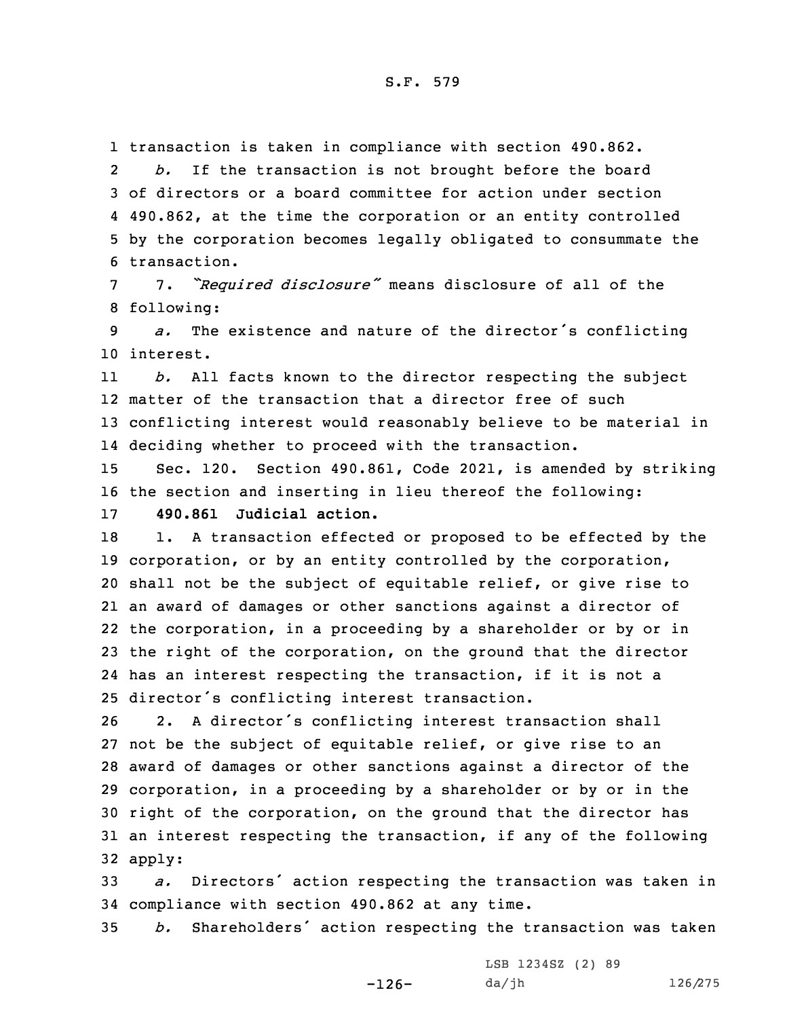1 transaction is taken in compliance with section 490.862.

2 *b.* If the transaction is not brought before the board of directors or <sup>a</sup> board committee for action under section 490.862, at the time the corporation or an entity controlled by the corporation becomes legally obligated to consummate the transaction.

7. *"Required disclosure"* means disclosure of all of the 8 following:

<sup>9</sup> *a.* The existence and nature of the director's conflicting 10 interest.

11 *b.* All facts known to the director respecting the subject 12 matter of the transaction that <sup>a</sup> director free of such 13 conflicting interest would reasonably believe to be material in 14 deciding whether to proceed with the transaction.

15 Sec. 120. Section 490.861, Code 2021, is amended by striking 16 the section and inserting in lieu thereof the following: 17 **490.861 Judicial action.**

18 1. A transaction effected or proposed to be effected by the corporation, or by an entity controlled by the corporation, shall not be the subject of equitable relief, or give rise to an award of damages or other sanctions against <sup>a</sup> director of the corporation, in <sup>a</sup> proceeding by <sup>a</sup> shareholder or by or in the right of the corporation, on the ground that the director has an interest respecting the transaction, if it is not <sup>a</sup> director's conflicting interest transaction.

 2. <sup>A</sup> director's conflicting interest transaction shall not be the subject of equitable relief, or give rise to an award of damages or other sanctions against <sup>a</sup> director of the corporation, in <sup>a</sup> proceeding by <sup>a</sup> shareholder or by or in the right of the corporation, on the ground that the director has an interest respecting the transaction, if any of the following 32 apply:

<sup>33</sup> *a.* Directors' action respecting the transaction was taken in 34 compliance with section 490.862 at any time.

<sup>35</sup> *b.* Shareholders' action respecting the transaction was taken

-126-

LSB 1234SZ (2) 89 da/jh 126/275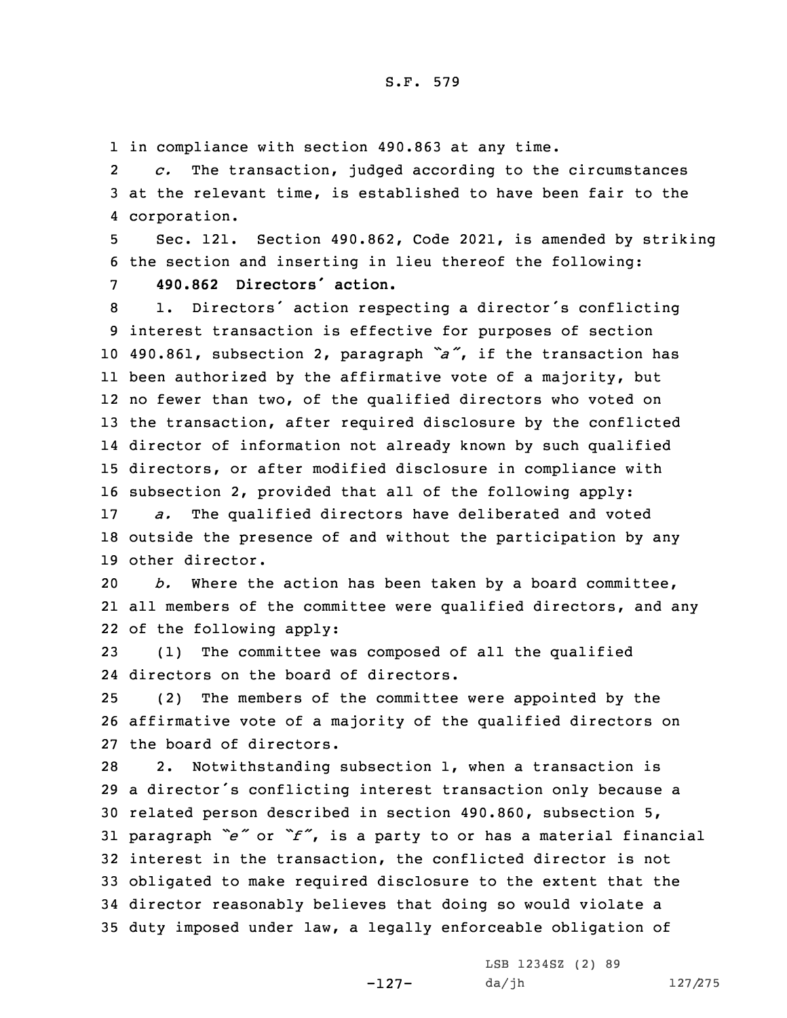1 in compliance with section 490.863 at any time.

2 *c.* The transaction, judged according to the circumstances 3 at the relevant time, is established to have been fair to the 4 corporation.

5 Sec. 121. Section 490.862, Code 2021, is amended by striking 6 the section and inserting in lieu thereof the following:

7 **490.862 Directors' action.**

 1. Directors' action respecting <sup>a</sup> director's conflicting interest transaction is effective for purposes of section 490.861, subsection 2, paragraph *"a"*, if the transaction has been authorized by the affirmative vote of <sup>a</sup> majority, but no fewer than two, of the qualified directors who voted on the transaction, after required disclosure by the conflicted director of information not already known by such qualified directors, or after modified disclosure in compliance with subsection 2, provided that all of the following apply:

17 *a.* The qualified directors have deliberated and voted 18 outside the presence of and without the participation by any 19 other director.

20 *b.* Where the action has been taken by <sup>a</sup> board committee, 21 all members of the committee were qualified directors, and any 22 of the following apply:

23 (1) The committee was composed of all the qualified 24 directors on the board of directors.

25 (2) The members of the committee were appointed by the 26 affirmative vote of <sup>a</sup> majority of the qualified directors on 27 the board of directors.

 2. Notwithstanding subsection 1, when <sup>a</sup> transaction is <sup>a</sup> director's conflicting interest transaction only because <sup>a</sup> related person described in section 490.860, subsection 5, paragraph *"e"* or *"f"*, is <sup>a</sup> party to or has <sup>a</sup> material financial interest in the transaction, the conflicted director is not obligated to make required disclosure to the extent that the director reasonably believes that doing so would violate <sup>a</sup> duty imposed under law, <sup>a</sup> legally enforceable obligation of

-127-

LSB 1234SZ (2) 89 da/jh 127/275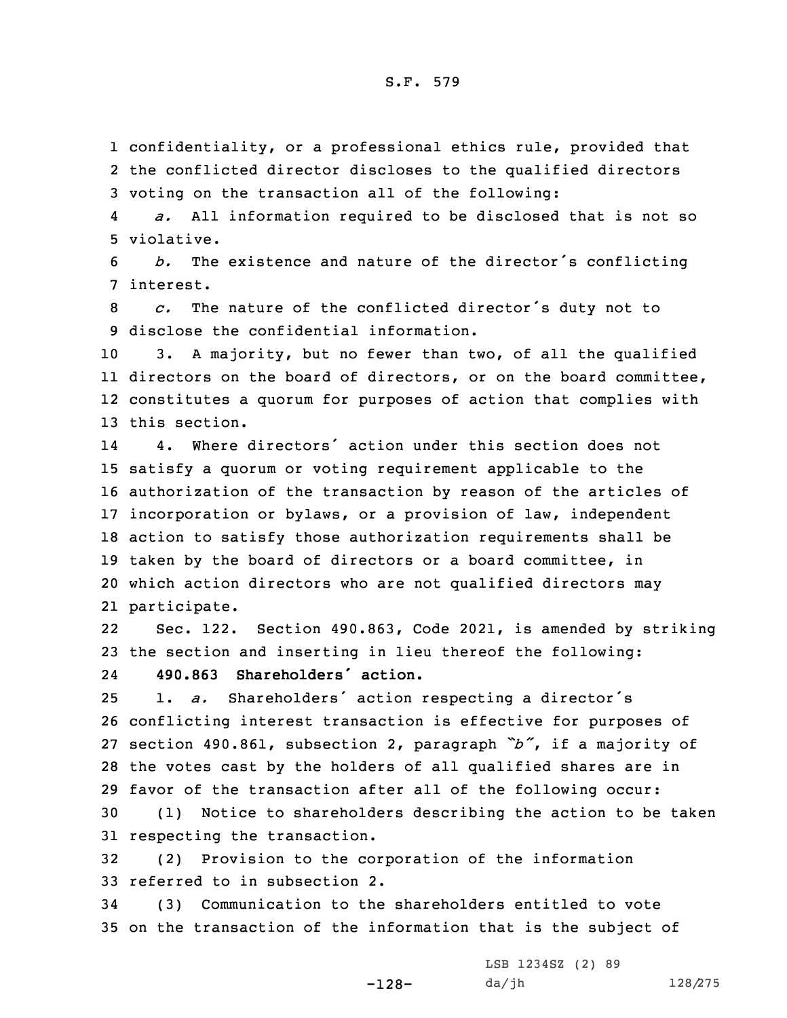1 confidentiality, or <sup>a</sup> professional ethics rule, provided that 2 the conflicted director discloses to the qualified directors 3 voting on the transaction all of the following:

4 *a.* All information required to be disclosed that is not so 5 violative.

<sup>6</sup> *b.* The existence and nature of the director's conflicting 7 interest.

<sup>8</sup> *c.* The nature of the conflicted director's duty not to 9 disclose the confidential information.

 3. <sup>A</sup> majority, but no fewer than two, of all the qualified directors on the board of directors, or on the board committee, constitutes <sup>a</sup> quorum for purposes of action that complies with this section.

14 4. Where directors' action under this section does not satisfy <sup>a</sup> quorum or voting requirement applicable to the authorization of the transaction by reason of the articles of incorporation or bylaws, or <sup>a</sup> provision of law, independent action to satisfy those authorization requirements shall be taken by the board of directors or <sup>a</sup> board committee, in which action directors who are not qualified directors may participate.

22 Sec. 122. Section 490.863, Code 2021, is amended by striking 23 the section and inserting in lieu thereof the following:

24**490.863 Shareholders' action.**

 1. *a.* Shareholders' action respecting <sup>a</sup> director's conflicting interest transaction is effective for purposes of section 490.861, subsection 2, paragraph *"b"*, if <sup>a</sup> majority of the votes cast by the holders of all qualified shares are in favor of the transaction after all of the following occur:

30 (1) Notice to shareholders describing the action to be taken 31 respecting the transaction.

32 (2) Provision to the corporation of the information 33 referred to in subsection 2.

34 (3) Communication to the shareholders entitled to vote 35 on the transaction of the information that is the subject of

-128-

LSB 1234SZ (2) 89 da/jh 128/275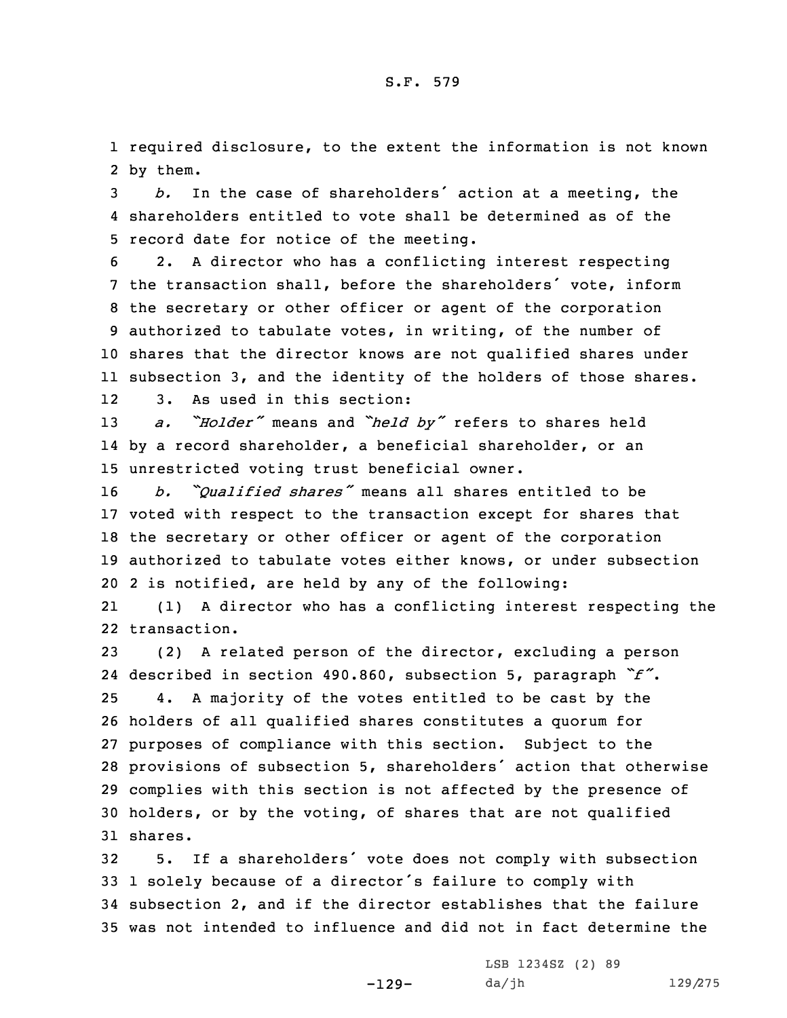1 required disclosure, to the extent the information is not known 2 by them.

<sup>3</sup> *b.* In the case of shareholders' action at <sup>a</sup> meeting, the 4 shareholders entitled to vote shall be determined as of the 5 record date for notice of the meeting.

 2. <sup>A</sup> director who has <sup>a</sup> conflicting interest respecting the transaction shall, before the shareholders' vote, inform the secretary or other officer or agent of the corporation authorized to tabulate votes, in writing, of the number of shares that the director knows are not qualified shares under subsection 3, and the identity of the holders of those shares. 123. As used in this section:

<sup>13</sup> *a. "Holder"* means and *"held by"* refers to shares held 14 by <sup>a</sup> record shareholder, <sup>a</sup> beneficial shareholder, or an 15 unrestricted voting trust beneficial owner.

 *b. "Qualified shares"* means all shares entitled to be voted with respect to the transaction except for shares that the secretary or other officer or agent of the corporation authorized to tabulate votes either knows, or under subsection 2 is notified, are held by any of the following:

21 (1) <sup>A</sup> director who has <sup>a</sup> conflicting interest respecting the 22 transaction.

 (2) <sup>A</sup> related person of the director, excluding <sup>a</sup> person described in section 490.860, subsection 5, paragraph *"f"*. 4. <sup>A</sup> majority of the votes entitled to be cast by the holders of all qualified shares constitutes <sup>a</sup> quorum for purposes of compliance with this section. Subject to the provisions of subsection 5, shareholders' action that otherwise complies with this section is not affected by the presence of holders, or by the voting, of shares that are not qualified 31 shares.

 5. If <sup>a</sup> shareholders' vote does not comply with subsection <sup>1</sup> solely because of <sup>a</sup> director's failure to comply with subsection 2, and if the director establishes that the failure was not intended to influence and did not in fact determine the

-129-

LSB 1234SZ (2) 89 da/jh 129/275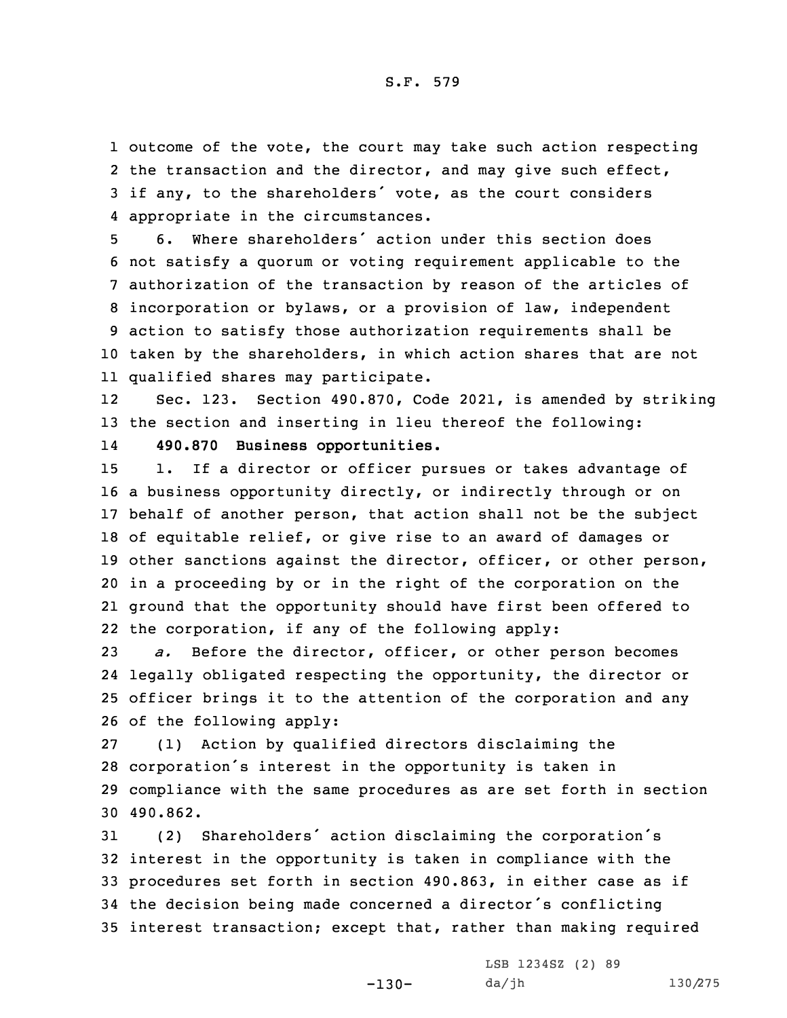outcome of the vote, the court may take such action respecting 2 the transaction and the director, and may give such effect, if any, to the shareholders' vote, as the court considers appropriate in the circumstances.

 6. Where shareholders' action under this section does not satisfy <sup>a</sup> quorum or voting requirement applicable to the authorization of the transaction by reason of the articles of incorporation or bylaws, or <sup>a</sup> provision of law, independent action to satisfy those authorization requirements shall be taken by the shareholders, in which action shares that are not qualified shares may participate.

12 Sec. 123. Section 490.870, Code 2021, is amended by striking 13 the section and inserting in lieu thereof the following:

14**490.870 Business opportunities.**

 1. If <sup>a</sup> director or officer pursues or takes advantage of <sup>a</sup> business opportunity directly, or indirectly through or on behalf of another person, that action shall not be the subject of equitable relief, or give rise to an award of damages or 19 other sanctions against the director, officer, or other person, in <sup>a</sup> proceeding by or in the right of the corporation on the ground that the opportunity should have first been offered to the corporation, if any of the following apply:

 *a.* Before the director, officer, or other person becomes legally obligated respecting the opportunity, the director or officer brings it to the attention of the corporation and any of the following apply:

 (1) Action by qualified directors disclaiming the corporation's interest in the opportunity is taken in compliance with the same procedures as are set forth in section 30 490.862.

 (2) Shareholders' action disclaiming the corporation's interest in the opportunity is taken in compliance with the procedures set forth in section 490.863, in either case as if the decision being made concerned <sup>a</sup> director's conflicting interest transaction; except that, rather than making required

-130-

LSB 1234SZ (2) 89 da/jh 130/275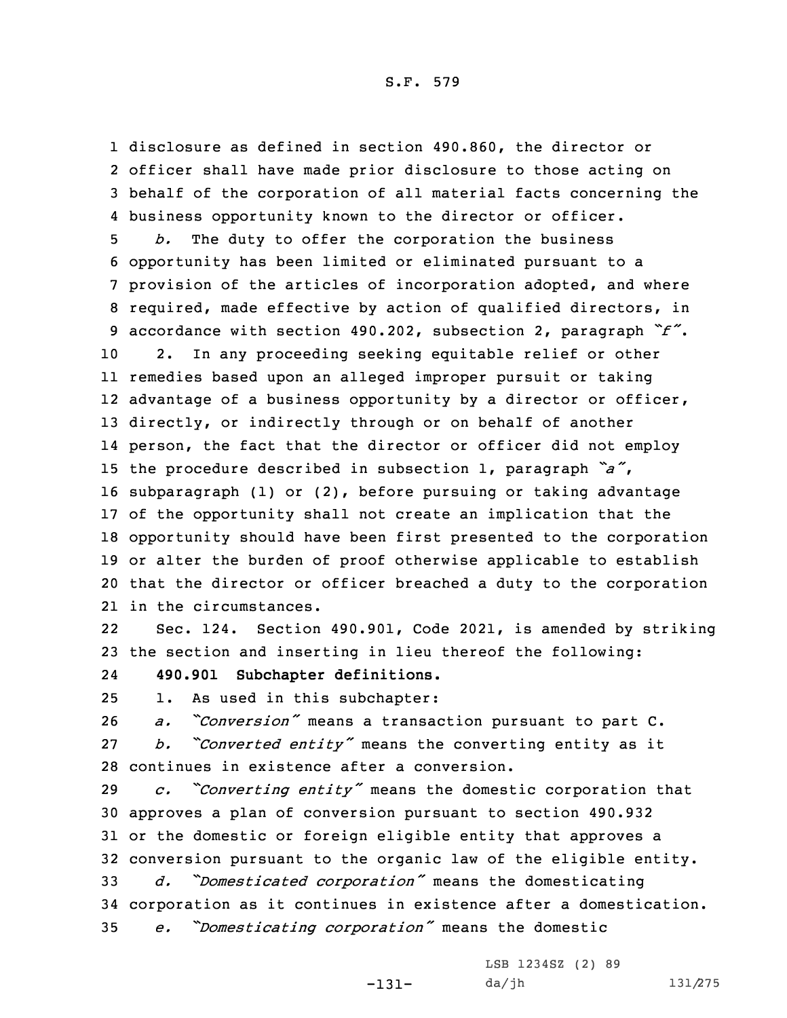disclosure as defined in section 490.860, the director or officer shall have made prior disclosure to those acting on behalf of the corporation of all material facts concerning the business opportunity known to the director or officer.

 *b.* The duty to offer the corporation the business opportunity has been limited or eliminated pursuant to <sup>a</sup> provision of the articles of incorporation adopted, and where required, made effective by action of qualified directors, in accordance with section 490.202, subsection 2, paragraph *"f"*. 2. In any proceeding seeking equitable relief or other remedies based upon an alleged improper pursuit or taking advantage of <sup>a</sup> business opportunity by <sup>a</sup> director or officer, directly, or indirectly through or on behalf of another person, the fact that the director or officer did not employ the procedure described in subsection 1, paragraph *"a"*, subparagraph (1) or (2), before pursuing or taking advantage of the opportunity shall not create an implication that the opportunity should have been first presented to the corporation or alter the burden of proof otherwise applicable to establish that the director or officer breached <sup>a</sup> duty to the corporation in the circumstances.

22 Sec. 124. Section 490.901, Code 2021, is amended by striking 23 the section and inserting in lieu thereof the following:

24**490.901 Subchapter definitions.**

25 1. As used in this subchapter:

<sup>26</sup> *a. "Conversion"* means <sup>a</sup> transaction pursuant to part C.

27 *b. "Converted entity"* means the converting entity as it 28 continues in existence after <sup>a</sup> conversion.

 *c. "Converting entity"* means the domestic corporation that approves <sup>a</sup> plan of conversion pursuant to section 490.932 or the domestic or foreign eligible entity that approves <sup>a</sup> conversion pursuant to the organic law of the eligible entity. *d. "Domesticated corporation"* means the domesticating corporation as it continues in existence after <sup>a</sup> domestication.

-131-

<sup>35</sup> *e. "Domesticating corporation"* means the domestic

LSB 1234SZ (2) 89 da/jh 131/275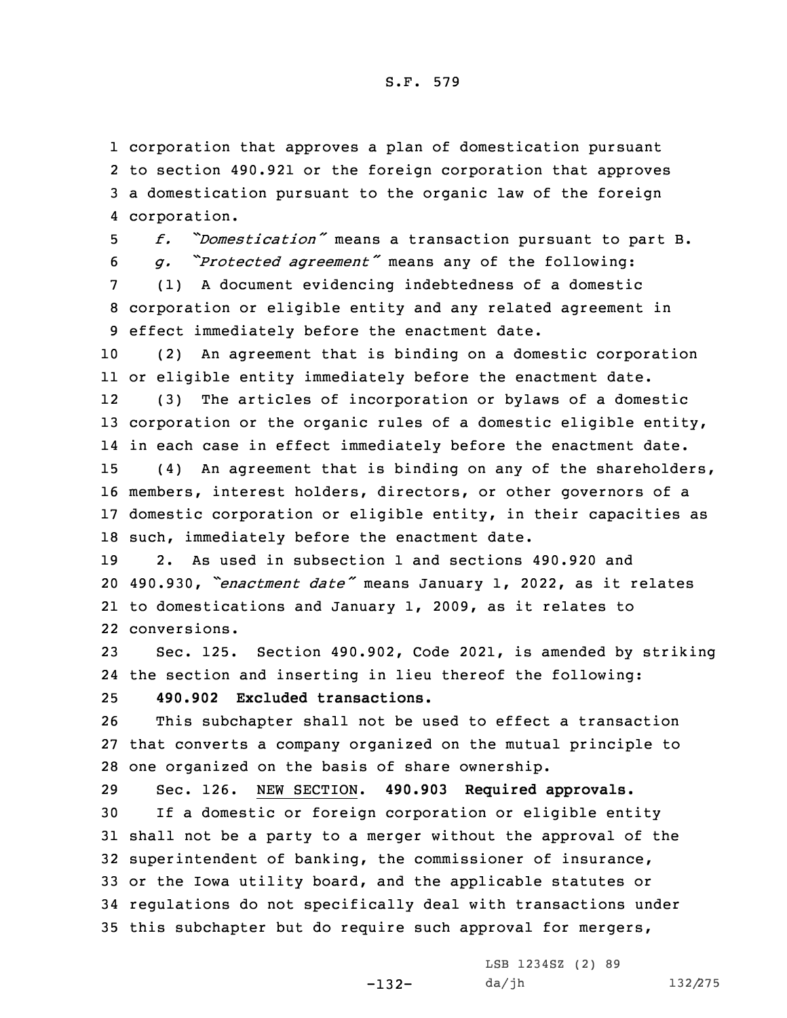corporation that approves <sup>a</sup> plan of domestication pursuant to section 490.921 or the foreign corporation that approves <sup>a</sup> domestication pursuant to the organic law of the foreign corporation.

<sup>5</sup> *f. "Domestication"* means <sup>a</sup> transaction pursuant to part B. <sup>6</sup> *g. "Protected agreement"* means any of the following:

7 (1) <sup>A</sup> document evidencing indebtedness of <sup>a</sup> domestic 8 corporation or eligible entity and any related agreement in 9 effect immediately before the enactment date.

10 (2) An agreement that is binding on <sup>a</sup> domestic corporation 11 or eligible entity immediately before the enactment date.

12 (3) The articles of incorporation or bylaws of <sup>a</sup> domestic 13 corporation or the organic rules of <sup>a</sup> domestic eligible entity, 14 in each case in effect immediately before the enactment date.

 (4) An agreement that is binding on any of the shareholders, members, interest holders, directors, or other governors of <sup>a</sup> domestic corporation or eligible entity, in their capacities as such, immediately before the enactment date.

 2. As used in subsection 1 and sections 490.920 and 490.930, *"enactment date"* means January 1, 2022, as it relates to domestications and January 1, 2009, as it relates to conversions.

23 Sec. 125. Section 490.902, Code 2021, is amended by striking 24 the section and inserting in lieu thereof the following:

25 **490.902 Excluded transactions.**

26 This subchapter shall not be used to effect <sup>a</sup> transaction 27 that converts <sup>a</sup> company organized on the mutual principle to 28 one organized on the basis of share ownership.

29 Sec. 126. NEW SECTION. **490.903 Required approvals.**

 If <sup>a</sup> domestic or foreign corporation or eligible entity shall not be <sup>a</sup> party to <sup>a</sup> merger without the approval of the superintendent of banking, the commissioner of insurance, or the Iowa utility board, and the applicable statutes or regulations do not specifically deal with transactions under this subchapter but do require such approval for mergers,

-132-

LSB 1234SZ (2) 89 da/jh 132/275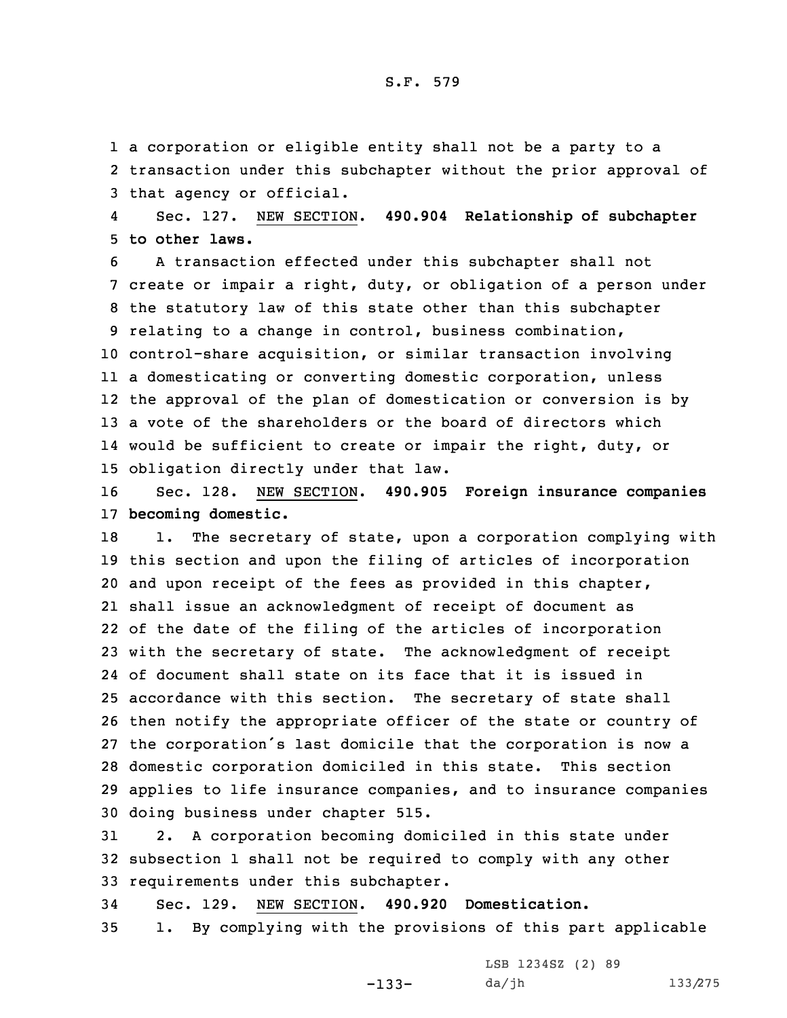1 <sup>a</sup> corporation or eligible entity shall not be <sup>a</sup> party to <sup>a</sup> 2 transaction under this subchapter without the prior approval of 3 that agency or official.

4 Sec. 127. NEW SECTION. **490.904 Relationship of subchapter** 5 **to other laws.**

 <sup>A</sup> transaction effected under this subchapter shall not create or impair <sup>a</sup> right, duty, or obligation of <sup>a</sup> person under the statutory law of this state other than this subchapter relating to <sup>a</sup> change in control, business combination, control-share acquisition, or similar transaction involving <sup>a</sup> domesticating or converting domestic corporation, unless the approval of the plan of domestication or conversion is by <sup>a</sup> vote of the shareholders or the board of directors which would be sufficient to create or impair the right, duty, or obligation directly under that law.

16 Sec. 128. NEW SECTION. **490.905 Foreign insurance companies** 17 **becoming domestic.**

18 1. The secretary of state, upon a corporation complying with this section and upon the filing of articles of incorporation and upon receipt of the fees as provided in this chapter, shall issue an acknowledgment of receipt of document as of the date of the filing of the articles of incorporation with the secretary of state. The acknowledgment of receipt of document shall state on its face that it is issued in accordance with this section. The secretary of state shall then notify the appropriate officer of the state or country of the corporation's last domicile that the corporation is now <sup>a</sup> domestic corporation domiciled in this state. This section applies to life insurance companies, and to insurance companies doing business under chapter 515.

31 2. <sup>A</sup> corporation becoming domiciled in this state under 32 subsection 1 shall not be required to comply with any other 33 requirements under this subchapter.

34 Sec. 129. NEW SECTION. **490.920 Domestication.**

35 1. By complying with the provisions of this part applicable

-133-

LSB 1234SZ (2) 89 da/jh 133/275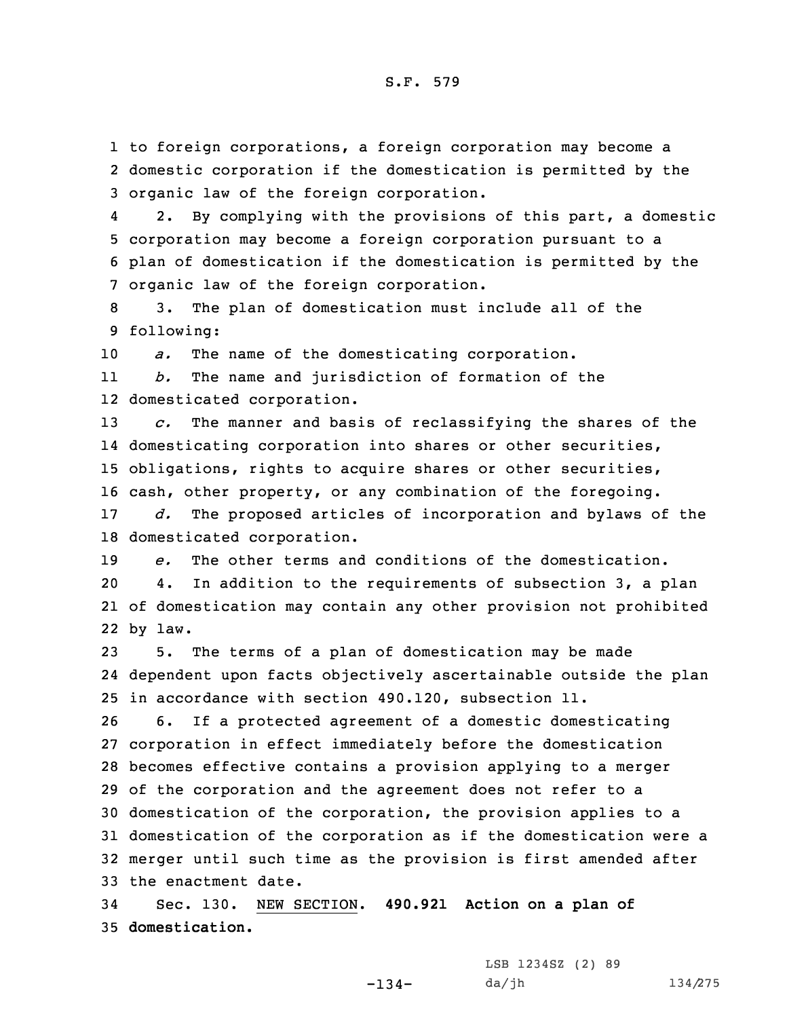1 to foreign corporations, <sup>a</sup> foreign corporation may become <sup>a</sup> 2 domestic corporation if the domestication is permitted by the 3 organic law of the foreign corporation.

4 2. By complying with the provisions of this part, <sup>a</sup> domestic 5 corporation may become <sup>a</sup> foreign corporation pursuant to <sup>a</sup> 6 plan of domestication if the domestication is permitted by the 7 organic law of the foreign corporation.

8 3. The plan of domestication must include all of the 9 following:

10 *a.* The name of the domesticating corporation.

11 *b.* The name and jurisdiction of formation of the 12 domesticated corporation.

 *c.* The manner and basis of reclassifying the shares of the domesticating corporation into shares or other securities, obligations, rights to acquire shares or other securities, cash, other property, or any combination of the foregoing.

17 *d.* The proposed articles of incorporation and bylaws of the 18 domesticated corporation.

 *e.* The other terms and conditions of the domestication. 4. In addition to the requirements of subsection 3, <sup>a</sup> plan of domestication may contain any other provision not prohibited 22 by law.

23 5. The terms of <sup>a</sup> plan of domestication may be made 24 dependent upon facts objectively ascertainable outside the plan 25 in accordance with section 490.120, subsection 11.

 6. If <sup>a</sup> protected agreement of <sup>a</sup> domestic domesticating corporation in effect immediately before the domestication becomes effective contains <sup>a</sup> provision applying to <sup>a</sup> merger of the corporation and the agreement does not refer to <sup>a</sup> domestication of the corporation, the provision applies to <sup>a</sup> domestication of the corporation as if the domestication were <sup>a</sup> merger until such time as the provision is first amended after the enactment date.

34 Sec. 130. NEW SECTION. **490.921 Action on <sup>a</sup> plan of** 35 **domestication.**

> LSB 1234SZ (2) 89 da/jh 134/275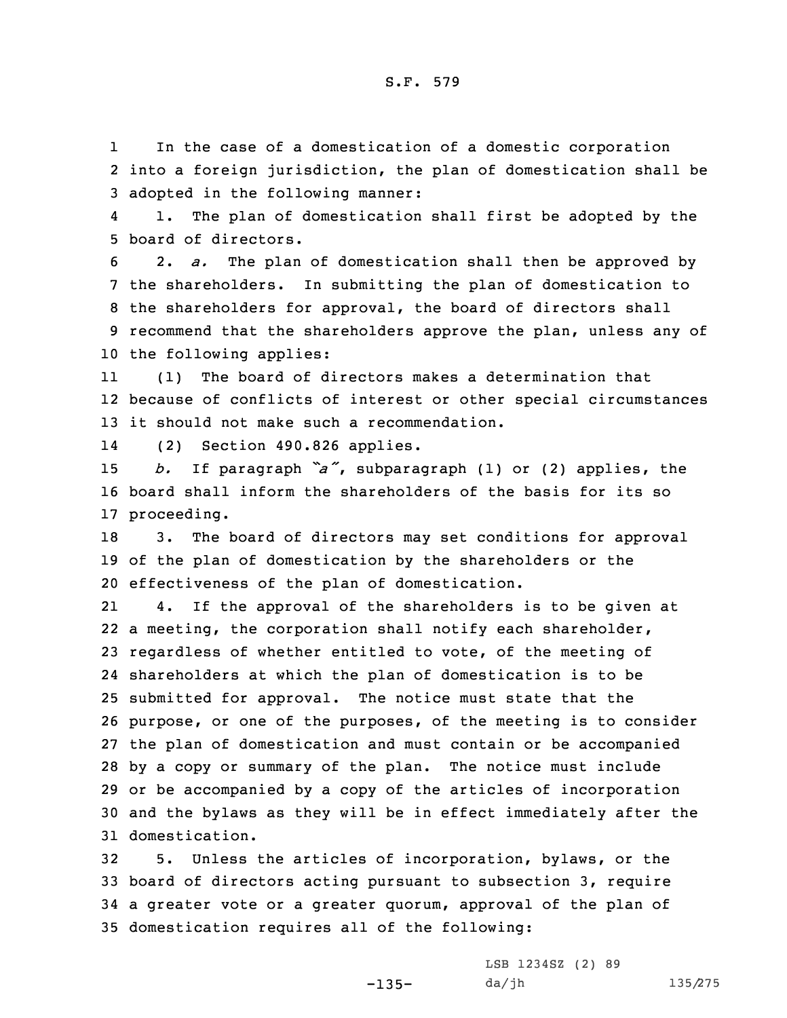1 In the case of <sup>a</sup> domestication of <sup>a</sup> domestic corporation 2 into <sup>a</sup> foreign jurisdiction, the plan of domestication shall be 3 adopted in the following manner:

4 1. The plan of domestication shall first be adopted by the 5 board of directors.

 2. *a.* The plan of domestication shall then be approved by the shareholders. In submitting the plan of domestication to the shareholders for approval, the board of directors shall recommend that the shareholders approve the plan, unless any of the following applies:

11 (1) The board of directors makes <sup>a</sup> determination that 12 because of conflicts of interest or other special circumstances 13 it should not make such <sup>a</sup> recommendation.

14(2) Section 490.826 applies.

<sup>15</sup> *b.* If paragraph *"a"*, subparagraph (1) or (2) applies, the 16 board shall inform the shareholders of the basis for its so 17 proceeding.

18 3. The board of directors may set conditions for approval 19 of the plan of domestication by the shareholders or the 20 effectiveness of the plan of domestication.

21 4. If the approval of the shareholders is to be given at <sup>a</sup> meeting, the corporation shall notify each shareholder, regardless of whether entitled to vote, of the meeting of shareholders at which the plan of domestication is to be submitted for approval. The notice must state that the purpose, or one of the purposes, of the meeting is to consider the plan of domestication and must contain or be accompanied by <sup>a</sup> copy or summary of the plan. The notice must include or be accompanied by <sup>a</sup> copy of the articles of incorporation and the bylaws as they will be in effect immediately after the domestication.

 5. Unless the articles of incorporation, bylaws, or the board of directors acting pursuant to subsection 3, require <sup>a</sup> greater vote or <sup>a</sup> greater quorum, approval of the plan of domestication requires all of the following:

> LSB 1234SZ (2) 89 da/jh 135/275

-135-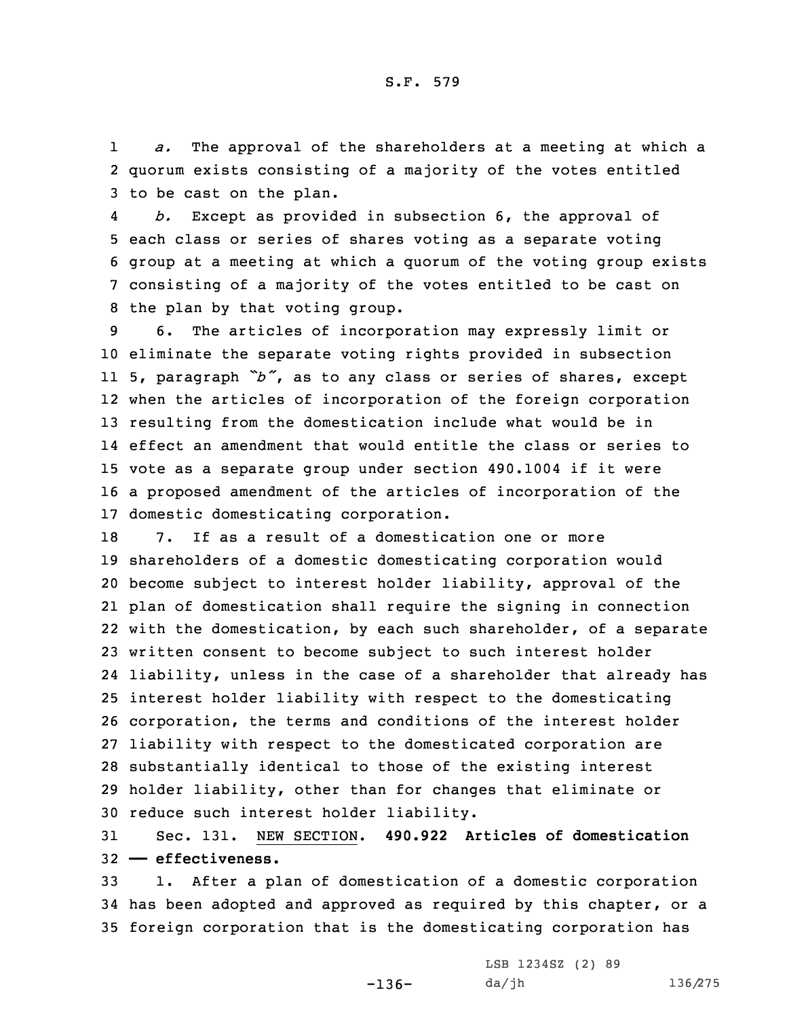1 *a.* The approval of the shareholders at <sup>a</sup> meeting at which <sup>a</sup> 2 quorum exists consisting of <sup>a</sup> majority of the votes entitled 3 to be cast on the plan.

4 *b.* Except as provided in subsection 6, the approval of each class or series of shares voting as <sup>a</sup> separate voting group at <sup>a</sup> meeting at which <sup>a</sup> quorum of the voting group exists consisting of <sup>a</sup> majority of the votes entitled to be cast on the plan by that voting group.

 6. The articles of incorporation may expressly limit or eliminate the separate voting rights provided in subsection 5, paragraph *"b"*, as to any class or series of shares, except when the articles of incorporation of the foreign corporation resulting from the domestication include what would be in effect an amendment that would entitle the class or series to vote as <sup>a</sup> separate group under section 490.1004 if it were <sup>a</sup> proposed amendment of the articles of incorporation of the domestic domesticating corporation.

 7. If as <sup>a</sup> result of <sup>a</sup> domestication one or more shareholders of <sup>a</sup> domestic domesticating corporation would become subject to interest holder liability, approval of the plan of domestication shall require the signing in connection with the domestication, by each such shareholder, of <sup>a</sup> separate written consent to become subject to such interest holder liability, unless in the case of <sup>a</sup> shareholder that already has interest holder liability with respect to the domesticating corporation, the terms and conditions of the interest holder liability with respect to the domesticated corporation are substantially identical to those of the existing interest holder liability, other than for changes that eliminate or reduce such interest holder liability.

31 Sec. 131. NEW SECTION. **490.922 Articles of domestication** 32 **—— effectiveness.**

33 1. After <sup>a</sup> plan of domestication of <sup>a</sup> domestic corporation 34 has been adopted and approved as required by this chapter, or <sup>a</sup> 35 foreign corporation that is the domesticating corporation has

-136-

LSB 1234SZ (2) 89 da/jh 136/275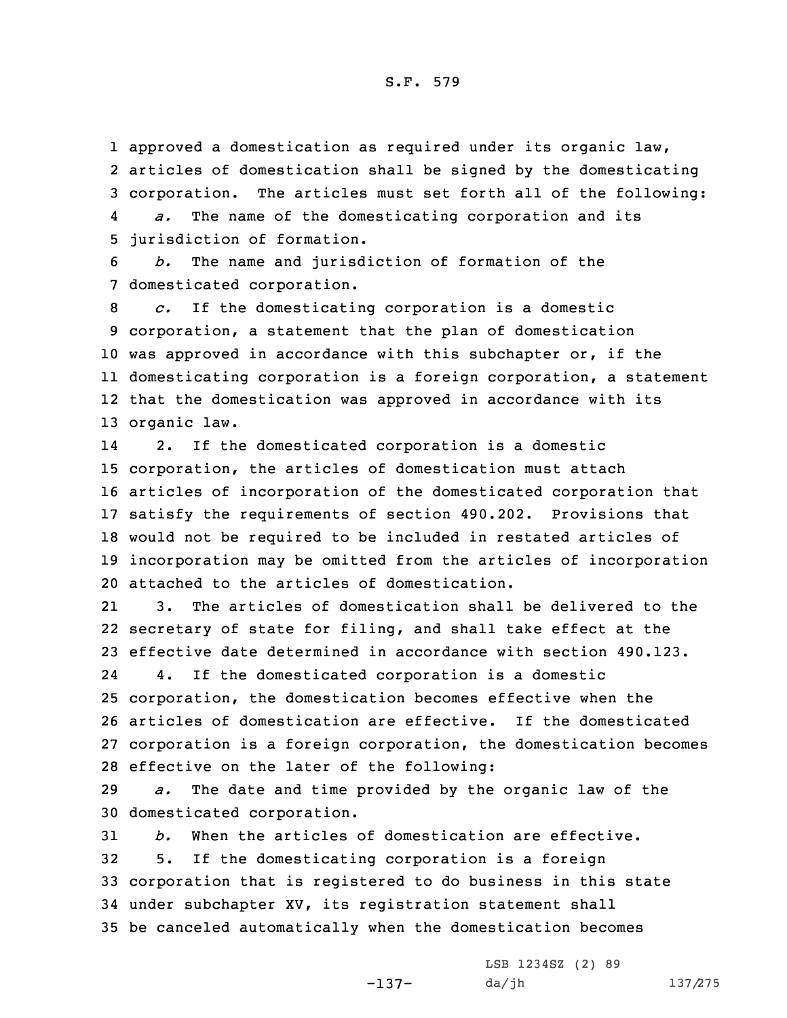S.F. 579

1 approved <sup>a</sup> domestication as required under its organic law, 2 articles of domestication shall be signed by the domesticating 3 corporation. The articles must set forth all of the following: 4*a.* The name of the domesticating corporation and its

5 jurisdiction of formation.

6 *b.* The name and jurisdiction of formation of the 7 domesticated corporation.

 *c.* If the domesticating corporation is <sup>a</sup> domestic corporation, <sup>a</sup> statement that the plan of domestication was approved in accordance with this subchapter or, if the domesticating corporation is <sup>a</sup> foreign corporation, <sup>a</sup> statement that the domestication was approved in accordance with its organic law.

14 2. If the domesticated corporation is <sup>a</sup> domestic corporation, the articles of domestication must attach articles of incorporation of the domesticated corporation that satisfy the requirements of section 490.202. Provisions that would not be required to be included in restated articles of incorporation may be omitted from the articles of incorporation attached to the articles of domestication.

21 3. The articles of domestication shall be delivered to the 22 secretary of state for filing, and shall take effect at the 23 effective date determined in accordance with section 490.123.

24 4. If the domesticated corporation is <sup>a</sup> domestic corporation, the domestication becomes effective when the articles of domestication are effective. If the domesticated corporation is <sup>a</sup> foreign corporation, the domestication becomes effective on the later of the following:

29 *a.* The date and time provided by the organic law of the 30 domesticated corporation.

 *b.* When the articles of domestication are effective. 5. If the domesticating corporation is <sup>a</sup> foreign corporation that is registered to do business in this state under subchapter XV, its registration statement shall be canceled automatically when the domestication becomes

-137-

LSB 1234SZ (2) 89 da/jh 137/275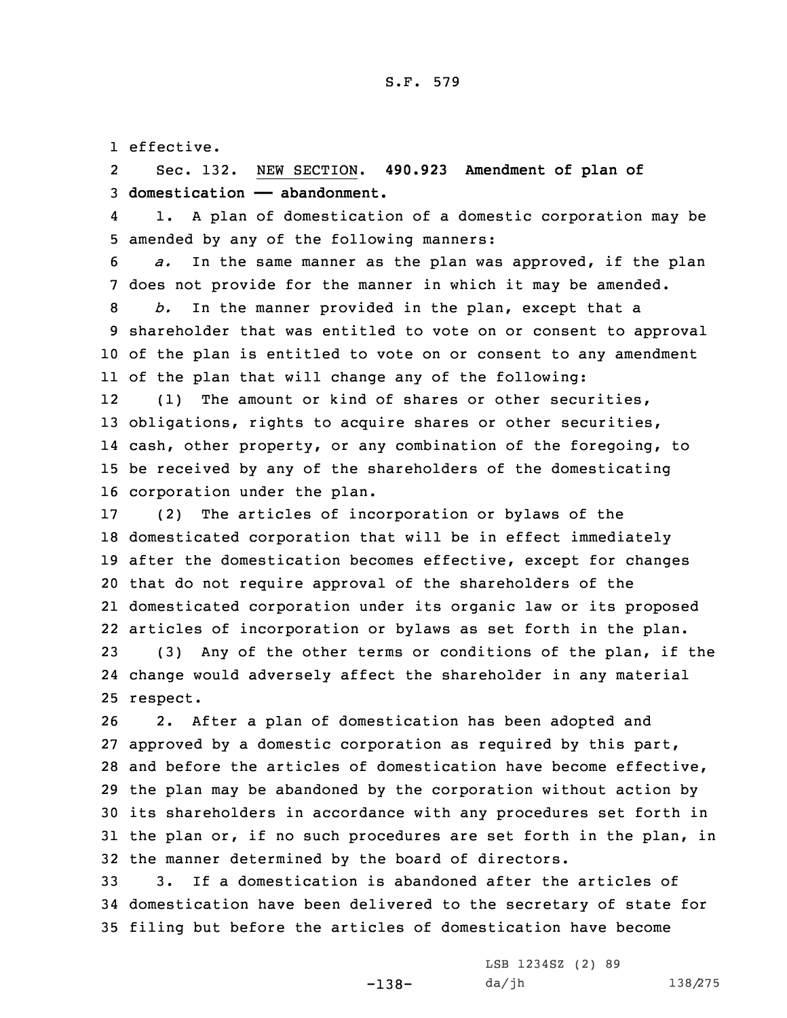1 effective.

2 Sec. 132. NEW SECTION. **490.923 Amendment of plan of** 3 **domestication —— abandonment.**

4 1. <sup>A</sup> plan of domestication of <sup>a</sup> domestic corporation may be 5 amended by any of the following manners:

6 *a.* In the same manner as the plan was approved, if the plan 7 does not provide for the manner in which it may be amended.

 *b.* In the manner provided in the plan, except that <sup>a</sup> shareholder that was entitled to vote on or consent to approval of the plan is entitled to vote on or consent to any amendment of the plan that will change any of the following:

12 (1) The amount or kind of shares or other securities, obligations, rights to acquire shares or other securities, cash, other property, or any combination of the foregoing, to be received by any of the shareholders of the domesticating corporation under the plan.

 (2) The articles of incorporation or bylaws of the domesticated corporation that will be in effect immediately after the domestication becomes effective, except for changes that do not require approval of the shareholders of the domesticated corporation under its organic law or its proposed articles of incorporation or bylaws as set forth in the plan. (3) Any of the other terms or conditions of the plan, if the change would adversely affect the shareholder in any material 25 respect.

 2. After <sup>a</sup> plan of domestication has been adopted and approved by <sup>a</sup> domestic corporation as required by this part, and before the articles of domestication have become effective, the plan may be abandoned by the corporation without action by its shareholders in accordance with any procedures set forth in the plan or, if no such procedures are set forth in the plan, in the manner determined by the board of directors.

33 3. If <sup>a</sup> domestication is abandoned after the articles of 34 domestication have been delivered to the secretary of state for 35 filing but before the articles of domestication have become

-138-

LSB 1234SZ (2) 89 da/jh 138/275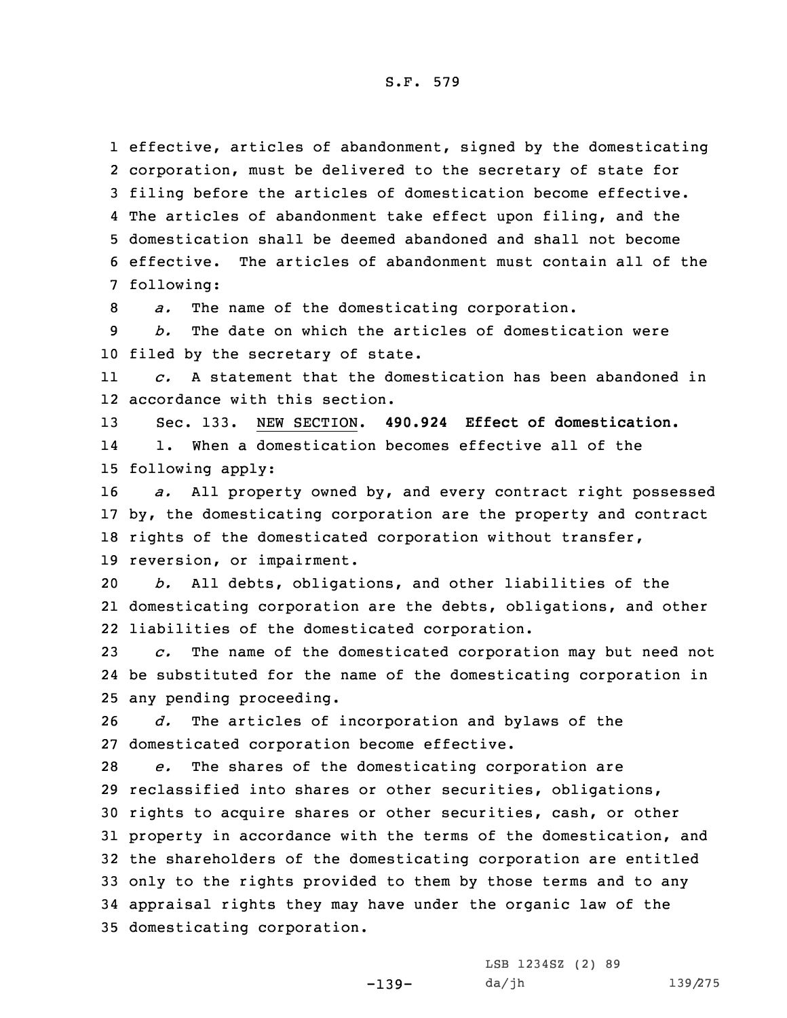S.F. 579

 effective, articles of abandonment, signed by the domesticating corporation, must be delivered to the secretary of state for filing before the articles of domestication become effective. 4 The articles of abandonment take effect upon filing, and the domestication shall be deemed abandoned and shall not become effective. The articles of abandonment must contain all of the following:

8 *a.* The name of the domesticating corporation.

9 *b.* The date on which the articles of domestication were 10 filed by the secretary of state.

11 *c.* A statement that the domestication has been abandoned in 12 accordance with this section.

13 Sec. 133. NEW SECTION. **490.924 Effect of domestication.** 14 1. When <sup>a</sup> domestication becomes effective all of the 15 following apply:

 *a.* All property owned by, and every contract right possessed by, the domesticating corporation are the property and contract rights of the domesticated corporation without transfer, reversion, or impairment.

20 *b.* All debts, obligations, and other liabilities of the 21 domesticating corporation are the debts, obligations, and other 22 liabilities of the domesticated corporation.

23 *c.* The name of the domesticated corporation may but need not 24 be substituted for the name of the domesticating corporation in 25 any pending proceeding.

26 *d.* The articles of incorporation and bylaws of the 27 domesticated corporation become effective.

 *e.* The shares of the domesticating corporation are reclassified into shares or other securities, obligations, rights to acquire shares or other securities, cash, or other property in accordance with the terms of the domestication, and the shareholders of the domesticating corporation are entitled only to the rights provided to them by those terms and to any appraisal rights they may have under the organic law of the domesticating corporation.

> LSB 1234SZ (2) 89 da/jh 139/275

-139-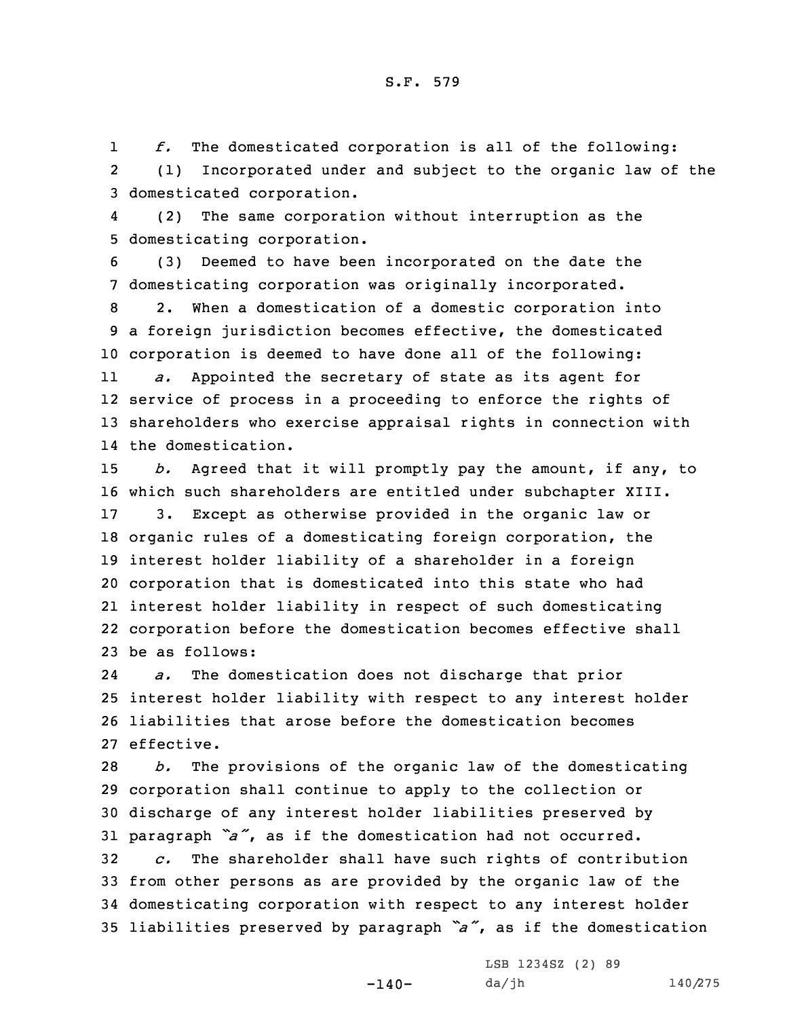1 *f.* The domesticated corporation is all of the following: 2 (1) Incorporated under and subject to the organic law of the 3 domesticated corporation.

4 (2) The same corporation without interruption as the 5 domesticating corporation.

6 (3) Deemed to have been incorporated on the date the 7 domesticating corporation was originally incorporated.

8 2. When <sup>a</sup> domestication of <sup>a</sup> domestic corporation into 9 <sup>a</sup> foreign jurisdiction becomes effective, the domesticated 10 corporation is deemed to have done all of the following:

11 *a.* Appointed the secretary of state as its agent for 12 service of process in <sup>a</sup> proceeding to enforce the rights of 13 shareholders who exercise appraisal rights in connection with 14 the domestication.

 *b.* Agreed that it will promptly pay the amount, if any, to which such shareholders are entitled under subchapter XIII. 3. Except as otherwise provided in the organic law or organic rules of <sup>a</sup> domesticating foreign corporation, the interest holder liability of <sup>a</sup> shareholder in <sup>a</sup> foreign corporation that is domesticated into this state who had interest holder liability in respect of such domesticating corporation before the domestication becomes effective shall be as follows:

24 *a.* The domestication does not discharge that prior 25 interest holder liability with respect to any interest holder 26 liabilities that arose before the domestication becomes 27 effective.

 *b.* The provisions of the organic law of the domesticating corporation shall continue to apply to the collection or discharge of any interest holder liabilities preserved by paragraph *"a"*, as if the domestication had not occurred. *c.* The shareholder shall have such rights of contribution from other persons as are provided by the organic law of the domesticating corporation with respect to any interest holder liabilities preserved by paragraph *"a"*, as if the domestication

 $-140-$ 

LSB 1234SZ (2) 89 da/jh 140/275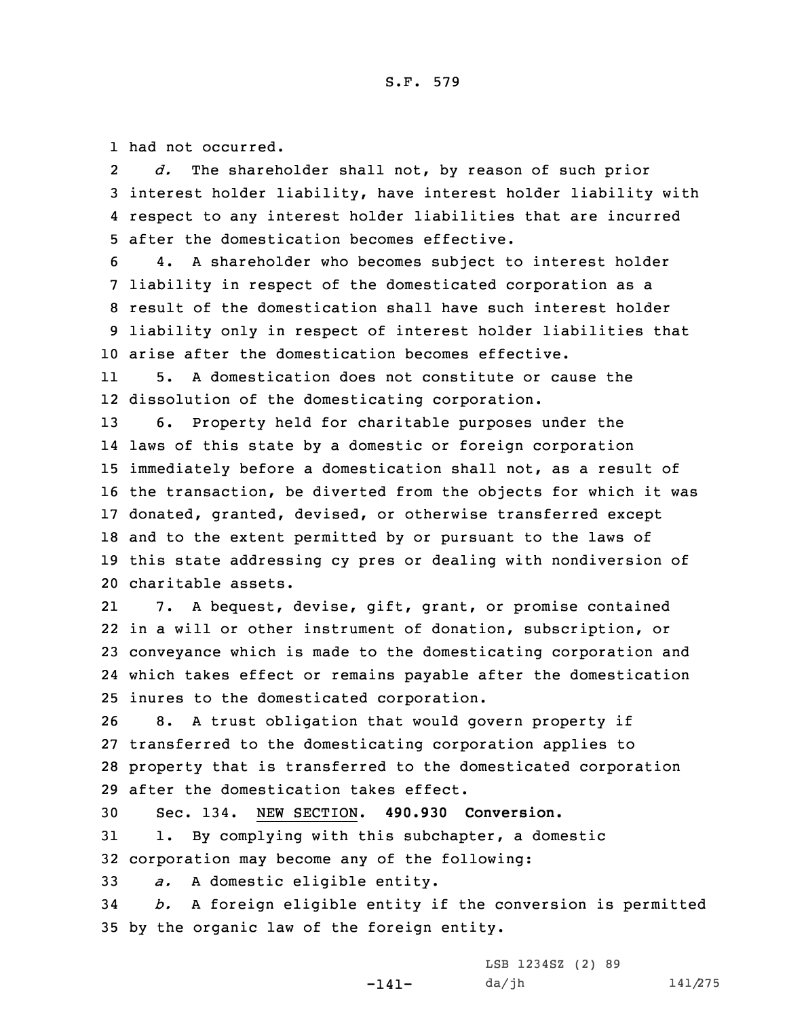1 had not occurred.

2 *d.* The shareholder shall not, by reason of such prior 3 interest holder liability, have interest holder liability with 4 respect to any interest holder liabilities that are incurred 5 after the domestication becomes effective.

 4. <sup>A</sup> shareholder who becomes subject to interest holder liability in respect of the domesticated corporation as <sup>a</sup> result of the domestication shall have such interest holder liability only in respect of interest holder liabilities that arise after the domestication becomes effective.

11 5. A domestication does not constitute or cause the 12 dissolution of the domesticating corporation.

 6. Property held for charitable purposes under the laws of this state by <sup>a</sup> domestic or foreign corporation immediately before <sup>a</sup> domestication shall not, as <sup>a</sup> result of the transaction, be diverted from the objects for which it was donated, granted, devised, or otherwise transferred except and to the extent permitted by or pursuant to the laws of this state addressing cy pres or dealing with nondiversion of charitable assets.

21 7. <sup>A</sup> bequest, devise, gift, grant, or promise contained in <sup>a</sup> will or other instrument of donation, subscription, or conveyance which is made to the domesticating corporation and which takes effect or remains payable after the domestication inures to the domesticated corporation.

 8. <sup>A</sup> trust obligation that would govern property if transferred to the domesticating corporation applies to property that is transferred to the domesticated corporation after the domestication takes effect.

30 Sec. 134. NEW SECTION. **490.930 Conversion.** 31 1. By complying with this subchapter, <sup>a</sup> domestic 32 corporation may become any of the following:

33 *a.* <sup>A</sup> domestic eligible entity.

34 *b.* <sup>A</sup> foreign eligible entity if the conversion is permitted 35 by the organic law of the foreign entity.

> -141-LSB 1234SZ (2) 89 da/jh 141/275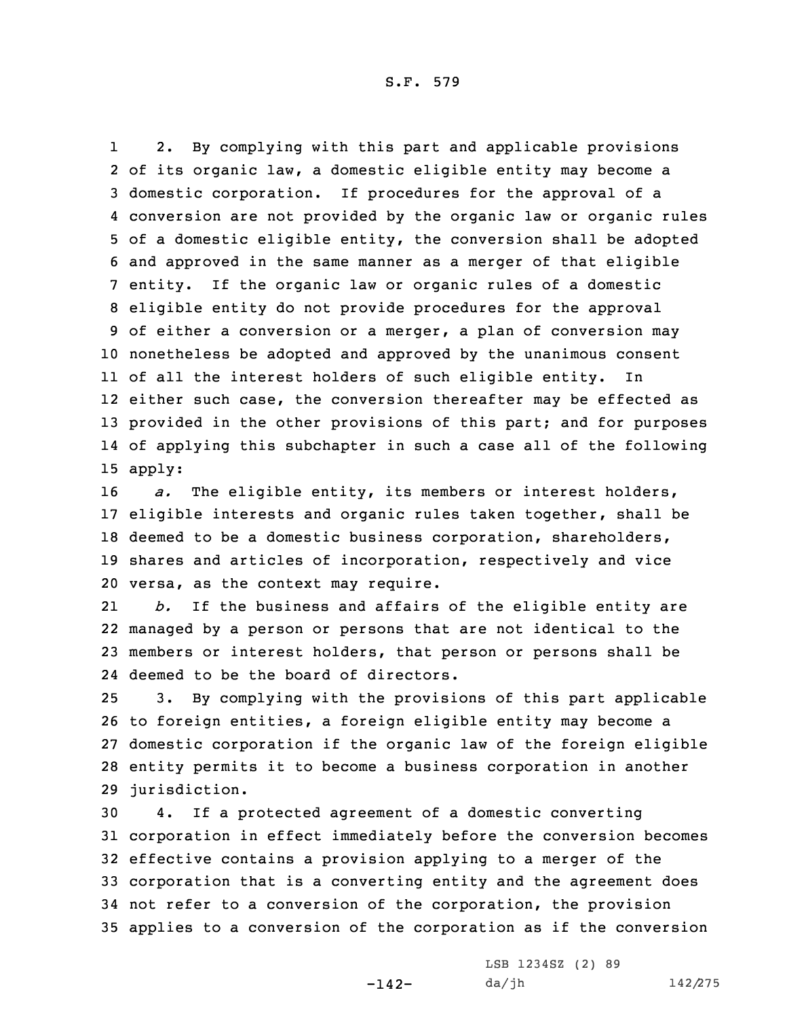1 2. By complying with this part and applicable provisions of its organic law, <sup>a</sup> domestic eligible entity may become <sup>a</sup> domestic corporation. If procedures for the approval of <sup>a</sup> conversion are not provided by the organic law or organic rules of <sup>a</sup> domestic eligible entity, the conversion shall be adopted and approved in the same manner as <sup>a</sup> merger of that eligible entity. If the organic law or organic rules of <sup>a</sup> domestic eligible entity do not provide procedures for the approval of either <sup>a</sup> conversion or <sup>a</sup> merger, <sup>a</sup> plan of conversion may nonetheless be adopted and approved by the unanimous consent of all the interest holders of such eligible entity. In either such case, the conversion thereafter may be effected as provided in the other provisions of this part; and for purposes of applying this subchapter in such <sup>a</sup> case all of the following 15 apply:

 *a.* The eligible entity, its members or interest holders, eligible interests and organic rules taken together, shall be deemed to be <sup>a</sup> domestic business corporation, shareholders, shares and articles of incorporation, respectively and vice versa, as the context may require.

21 *b.* If the business and affairs of the eligible entity are 22 managed by <sup>a</sup> person or persons that are not identical to the 23 members or interest holders, that person or persons shall be 24 deemed to be the board of directors.

 3. By complying with the provisions of this part applicable to foreign entities, <sup>a</sup> foreign eligible entity may become <sup>a</sup> domestic corporation if the organic law of the foreign eligible entity permits it to become <sup>a</sup> business corporation in another jurisdiction.

 4. If <sup>a</sup> protected agreement of <sup>a</sup> domestic converting corporation in effect immediately before the conversion becomes effective contains <sup>a</sup> provision applying to <sup>a</sup> merger of the corporation that is <sup>a</sup> converting entity and the agreement does not refer to <sup>a</sup> conversion of the corporation, the provision applies to <sup>a</sup> conversion of the corporation as if the conversion

-142-

LSB 1234SZ (2) 89 da/jh 142/275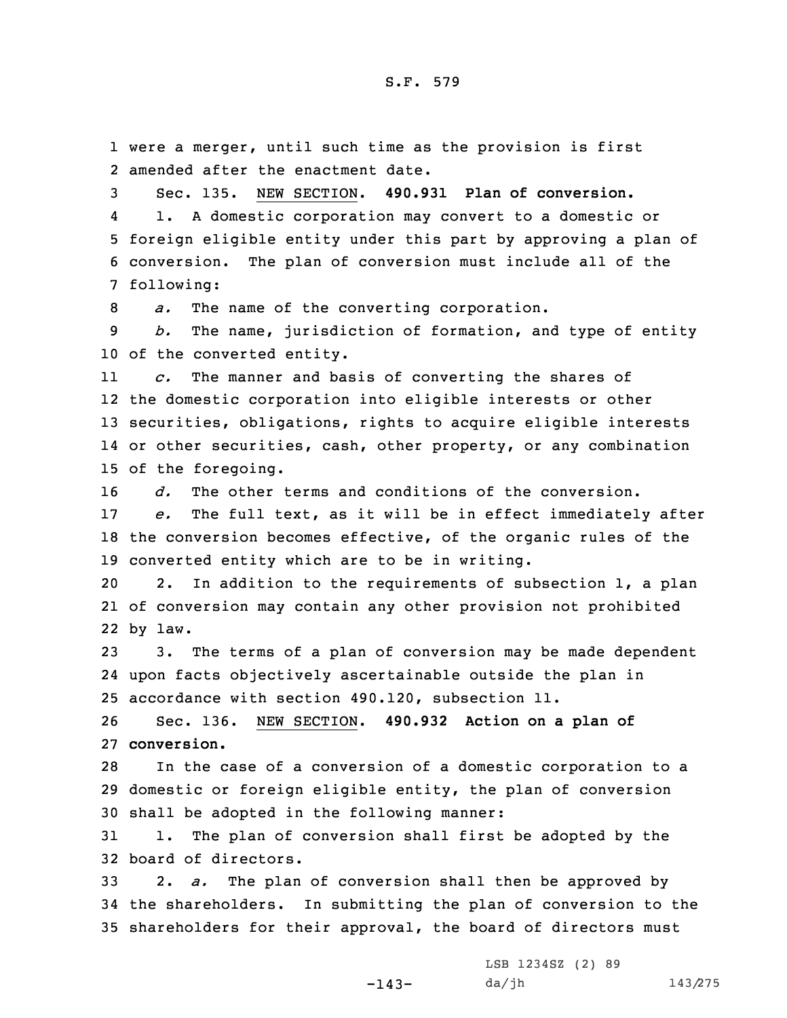1 were <sup>a</sup> merger, until such time as the provision is first 2 amended after the enactment date.

3 Sec. 135. NEW SECTION. **490.931 Plan of conversion.**

4 1. <sup>A</sup> domestic corporation may convert to <sup>a</sup> domestic or 5 foreign eligible entity under this part by approving <sup>a</sup> plan of 6 conversion. The plan of conversion must include all of the 7 following:

8 *a.* The name of the converting corporation.

9 *b.* The name, jurisdiction of formation, and type of entity 10 of the converted entity.

11 *c.* The manner and basis of converting the shares of the domestic corporation into eligible interests or other securities, obligations, rights to acquire eligible interests or other securities, cash, other property, or any combination of the foregoing.

 *d.* The other terms and conditions of the conversion. *e.* The full text, as it will be in effect immediately after the conversion becomes effective, of the organic rules of the converted entity which are to be in writing.

20 2. In addition to the requirements of subsection 1, <sup>a</sup> plan 21 of conversion may contain any other provision not prohibited 22 by law.

23 3. The terms of <sup>a</sup> plan of conversion may be made dependent 24 upon facts objectively ascertainable outside the plan in 25 accordance with section 490.120, subsection 11.

26 Sec. 136. NEW SECTION. **490.932 Action on <sup>a</sup> plan of** 27 **conversion.**

28 In the case of <sup>a</sup> conversion of <sup>a</sup> domestic corporation to <sup>a</sup> 29 domestic or foreign eligible entity, the plan of conversion 30 shall be adopted in the following manner:

31 1. The plan of conversion shall first be adopted by the 32 board of directors.

33 2. *a.* The plan of conversion shall then be approved by 34 the shareholders. In submitting the plan of conversion to the 35 shareholders for their approval, the board of directors must

-143-

LSB 1234SZ (2) 89 da/jh 143/275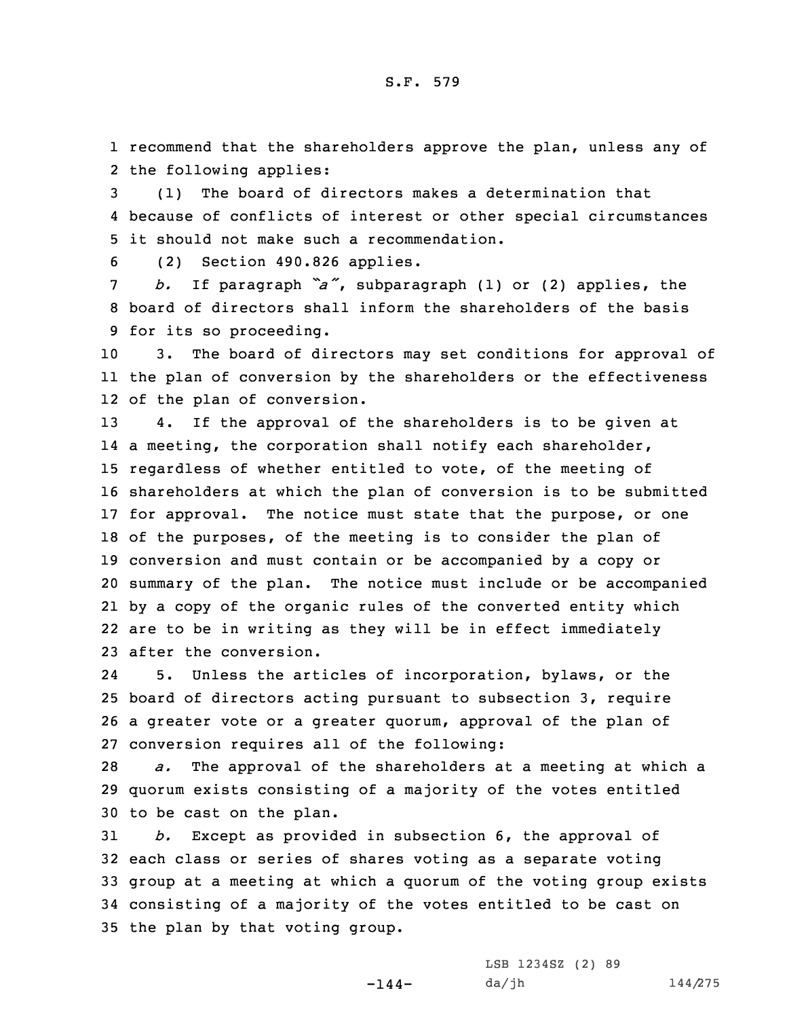1 recommend that the shareholders approve the plan, unless any of 2 the following applies:

3 (1) The board of directors makes <sup>a</sup> determination that 4 because of conflicts of interest or other special circumstances 5 it should not make such <sup>a</sup> recommendation.

6 (2) Section 490.826 applies.

<sup>7</sup> *b.* If paragraph *"a"*, subparagraph (1) or (2) applies, the 8 board of directors shall inform the shareholders of the basis 9 for its so proceeding.

10 3. The board of directors may set conditions for approval of 11 the plan of conversion by the shareholders or the effectiveness 12 of the plan of conversion.

 4. If the approval of the shareholders is to be given at <sup>a</sup> meeting, the corporation shall notify each shareholder, regardless of whether entitled to vote, of the meeting of shareholders at which the plan of conversion is to be submitted for approval. The notice must state that the purpose, or one of the purposes, of the meeting is to consider the plan of conversion and must contain or be accompanied by <sup>a</sup> copy or summary of the plan. The notice must include or be accompanied by <sup>a</sup> copy of the organic rules of the converted entity which are to be in writing as they will be in effect immediately after the conversion.

24 5. Unless the articles of incorporation, bylaws, or the 25 board of directors acting pursuant to subsection 3, require 26 <sup>a</sup> greater vote or <sup>a</sup> greater quorum, approval of the plan of 27 conversion requires all of the following:

28 *a.* The approval of the shareholders at <sup>a</sup> meeting at which <sup>a</sup> 29 quorum exists consisting of <sup>a</sup> majority of the votes entitled 30 to be cast on the plan.

 *b.* Except as provided in subsection 6, the approval of each class or series of shares voting as <sup>a</sup> separate voting group at <sup>a</sup> meeting at which <sup>a</sup> quorum of the voting group exists consisting of <sup>a</sup> majority of the votes entitled to be cast on the plan by that voting group.

> LSB 1234SZ (2) 89 da/jh 144/275

-144-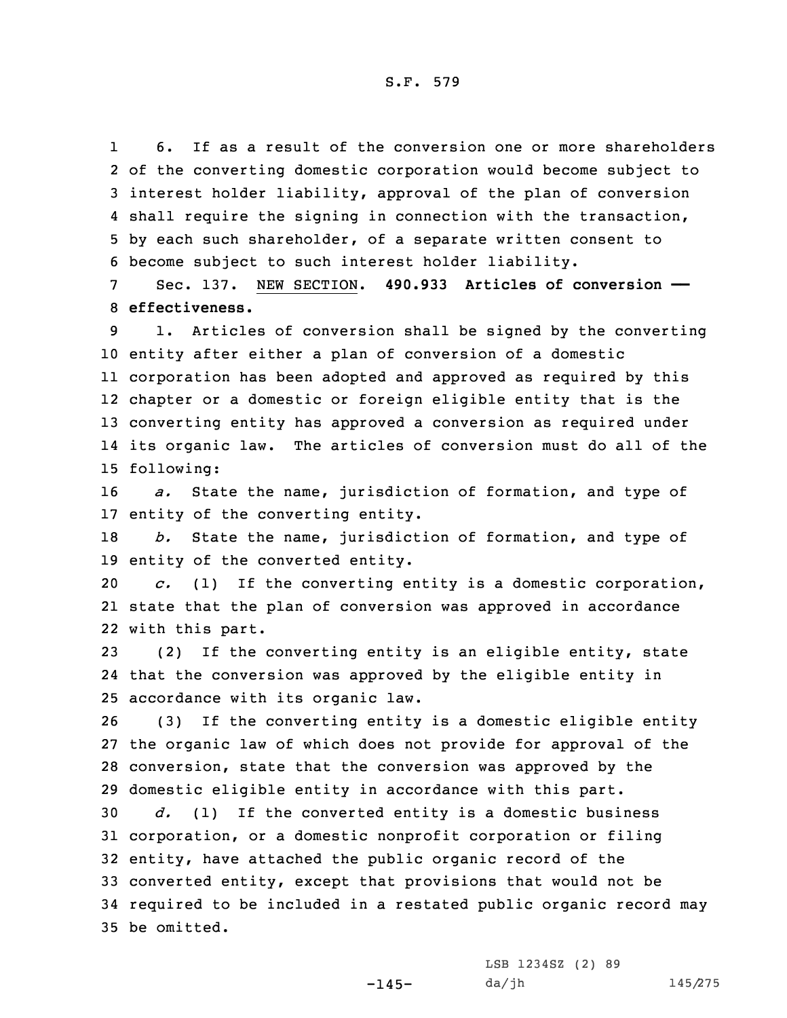1 6. If as <sup>a</sup> result of the conversion one or more shareholders of the converting domestic corporation would become subject to interest holder liability, approval of the plan of conversion shall require the signing in connection with the transaction, by each such shareholder, of <sup>a</sup> separate written consent to become subject to such interest holder liability.

7 Sec. 137. NEW SECTION. **490.933 Articles of conversion ——** 8 **effectiveness.**

 1. Articles of conversion shall be signed by the converting entity after either <sup>a</sup> plan of conversion of <sup>a</sup> domestic corporation has been adopted and approved as required by this chapter or <sup>a</sup> domestic or foreign eligible entity that is the converting entity has approved <sup>a</sup> conversion as required under its organic law. The articles of conversion must do all of the following:

16 *a.* State the name, jurisdiction of formation, and type of 17 entity of the converting entity.

18 *b.* State the name, jurisdiction of formation, and type of 19 entity of the converted entity.

20 *c.* (1) If the converting entity is <sup>a</sup> domestic corporation, 21 state that the plan of conversion was approved in accordance 22 with this part.

23 (2) If the converting entity is an eligible entity, state 24 that the conversion was approved by the eligible entity in 25 accordance with its organic law.

 (3) If the converting entity is <sup>a</sup> domestic eligible entity the organic law of which does not provide for approval of the conversion, state that the conversion was approved by the domestic eligible entity in accordance with this part.

 *d.* (1) If the converted entity is <sup>a</sup> domestic business corporation, or <sup>a</sup> domestic nonprofit corporation or filing entity, have attached the public organic record of the converted entity, except that provisions that would not be required to be included in <sup>a</sup> restated public organic record may be omitted.

 $-145-$ 

LSB 1234SZ (2) 89 da/jh 145/275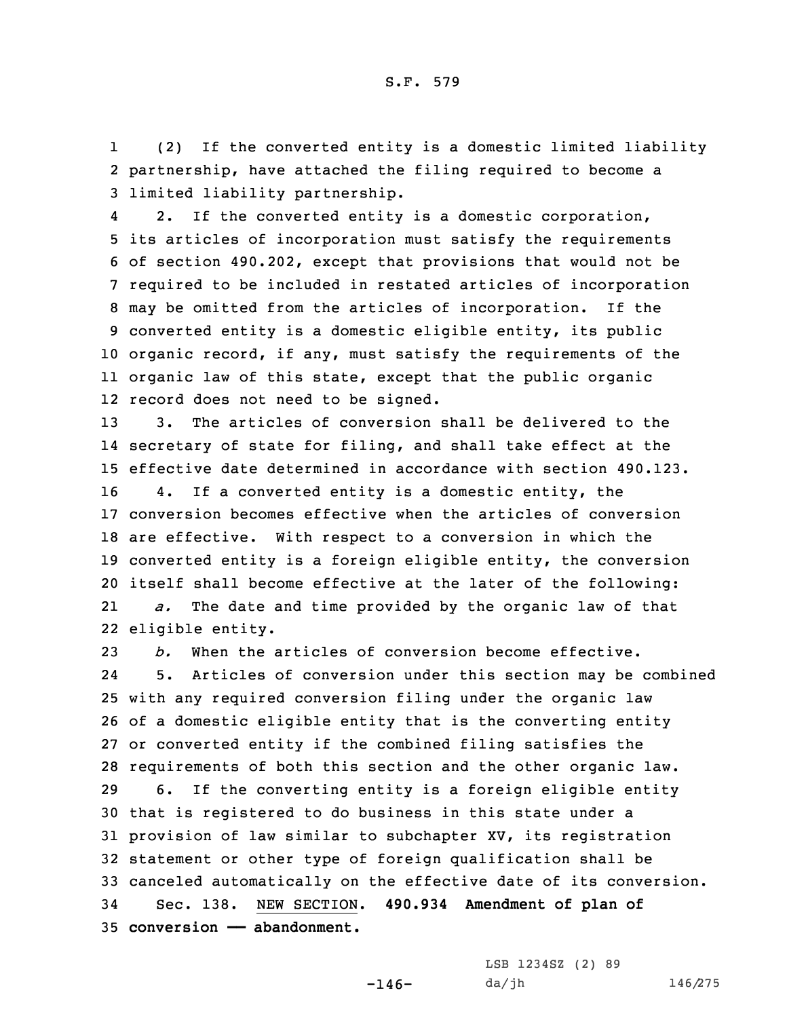1 (2) If the converted entity is <sup>a</sup> domestic limited liability 2 partnership, have attached the filing required to become <sup>a</sup> 3 limited liability partnership.

4 2. If the converted entity is <sup>a</sup> domestic corporation, its articles of incorporation must satisfy the requirements of section 490.202, except that provisions that would not be required to be included in restated articles of incorporation may be omitted from the articles of incorporation. If the converted entity is <sup>a</sup> domestic eligible entity, its public organic record, if any, must satisfy the requirements of the organic law of this state, except that the public organic record does not need to be signed.

 3. The articles of conversion shall be delivered to the secretary of state for filing, and shall take effect at the effective date determined in accordance with section 490.123. 4. If <sup>a</sup> converted entity is <sup>a</sup> domestic entity, the conversion becomes effective when the articles of conversion are effective. With respect to <sup>a</sup> conversion in which the converted entity is <sup>a</sup> foreign eligible entity, the conversion itself shall become effective at the later of the following: 21 *a.* The date and time provided by the organic law of that eligible entity.

 *b.* When the articles of conversion become effective. 24 5. Articles of conversion under this section may be combined with any required conversion filing under the organic law of <sup>a</sup> domestic eligible entity that is the converting entity or converted entity if the combined filing satisfies the requirements of both this section and the other organic law. 6. If the converting entity is <sup>a</sup> foreign eligible entity that is registered to do business in this state under <sup>a</sup> provision of law similar to subchapter XV, its registration statement or other type of foreign qualification shall be canceled automatically on the effective date of its conversion. Sec. 138. NEW SECTION. **490.934 Amendment of plan of conversion —— abandonment.**

-146-

LSB 1234SZ (2) 89 da/jh 146/275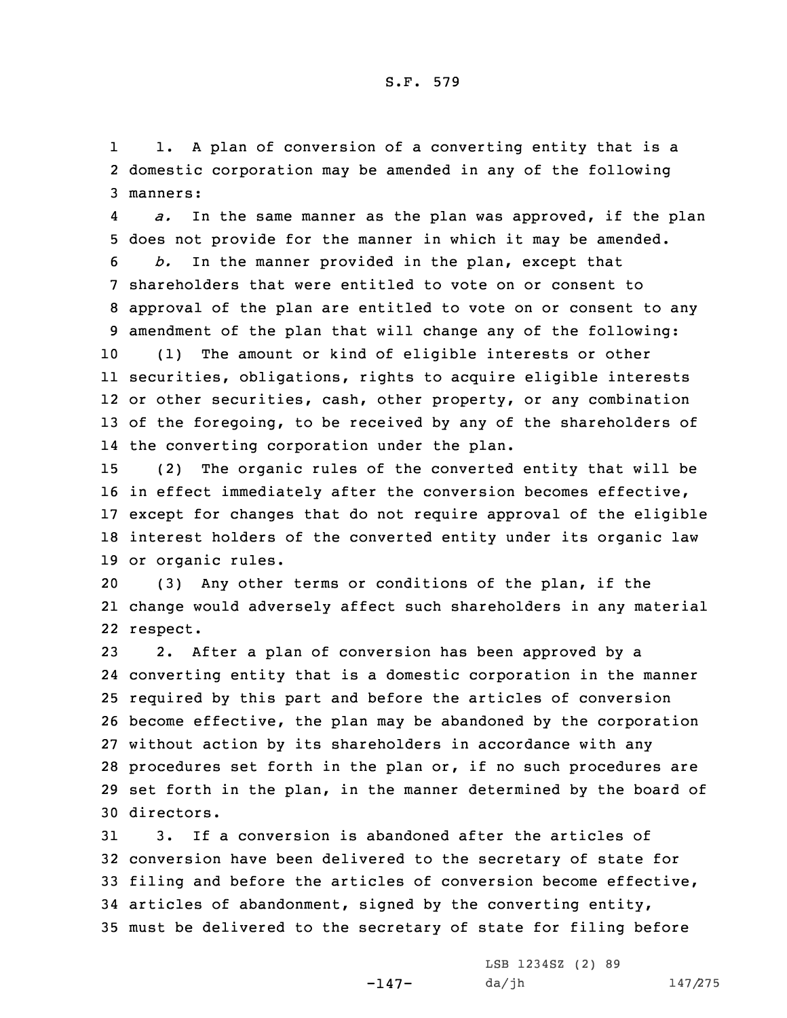1 1. <sup>A</sup> plan of conversion of <sup>a</sup> converting entity that is <sup>a</sup> 2 domestic corporation may be amended in any of the following 3 manners:

4 *a.* In the same manner as the plan was approved, if the plan does not provide for the manner in which it may be amended. *b.* In the manner provided in the plan, except that shareholders that were entitled to vote on or consent to approval of the plan are entitled to vote on or consent to any amendment of the plan that will change any of the following: (1) The amount or kind of eligible interests or other securities, obligations, rights to acquire eligible interests or other securities, cash, other property, or any combination of the foregoing, to be received by any of the shareholders of the converting corporation under the plan.

 (2) The organic rules of the converted entity that will be in effect immediately after the conversion becomes effective, except for changes that do not require approval of the eligible interest holders of the converted entity under its organic law or organic rules.

20 (3) Any other terms or conditions of the plan, if the 21 change would adversely affect such shareholders in any material 22 respect.

 2. After <sup>a</sup> plan of conversion has been approved by <sup>a</sup> converting entity that is <sup>a</sup> domestic corporation in the manner required by this part and before the articles of conversion become effective, the plan may be abandoned by the corporation without action by its shareholders in accordance with any procedures set forth in the plan or, if no such procedures are set forth in the plan, in the manner determined by the board of directors.

 3. If <sup>a</sup> conversion is abandoned after the articles of conversion have been delivered to the secretary of state for filing and before the articles of conversion become effective, articles of abandonment, signed by the converting entity, must be delivered to the secretary of state for filing before

-147-

LSB 1234SZ (2) 89 da/jh 147/275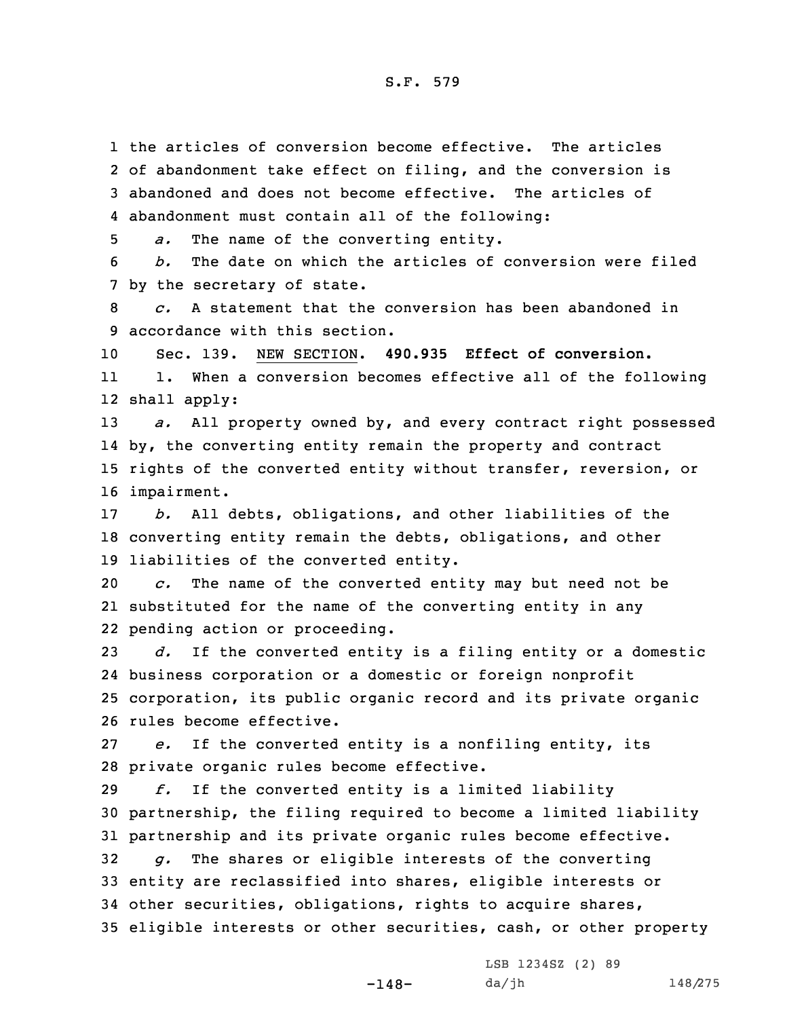the articles of conversion become effective. The articles of abandonment take effect on filing, and the conversion is abandoned and does not become effective. The articles of abandonment must contain all of the following:

5 *a.* The name of the converting entity.

6 *b.* The date on which the articles of conversion were filed 7 by the secretary of state.

8 *c.* A statement that the conversion has been abandoned in 9 accordance with this section.

10 Sec. 139. NEW SECTION. **490.935 Effect of conversion.** 11 1. When <sup>a</sup> conversion becomes effective all of the following 12 shall apply:

 *a.* All property owned by, and every contract right possessed by, the converting entity remain the property and contract rights of the converted entity without transfer, reversion, or impairment.

17 *b.* All debts, obligations, and other liabilities of the 18 converting entity remain the debts, obligations, and other 19 liabilities of the converted entity.

20 *c.* The name of the converted entity may but need not be 21 substituted for the name of the converting entity in any 22 pending action or proceeding.

 *d.* If the converted entity is <sup>a</sup> filing entity or <sup>a</sup> domestic business corporation or <sup>a</sup> domestic or foreign nonprofit corporation, its public organic record and its private organic rules become effective.

27 *e.* If the converted entity is <sup>a</sup> nonfiling entity, its 28 private organic rules become effective.

29 *f.* If the converted entity is <sup>a</sup> limited liability 30 partnership, the filing required to become <sup>a</sup> limited liability 31 partnership and its private organic rules become effective.

 *g.* The shares or eligible interests of the converting entity are reclassified into shares, eligible interests or other securities, obligations, rights to acquire shares, eligible interests or other securities, cash, or other property

-148-

LSB 1234SZ (2) 89 da/jh 148/275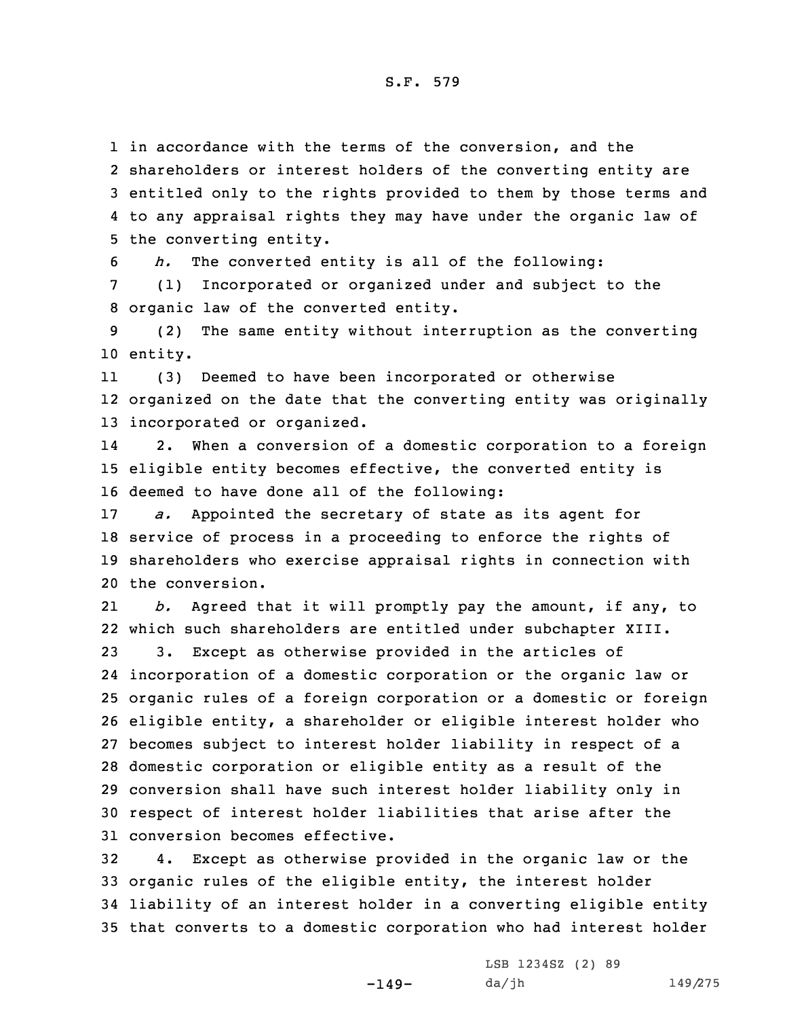in accordance with the terms of the conversion, and the shareholders or interest holders of the converting entity are entitled only to the rights provided to them by those terms and to any appraisal rights they may have under the organic law of the converting entity.

6 *h.* The converted entity is all of the following:

7 (1) Incorporated or organized under and subject to the 8 organic law of the converted entity.

9 (2) The same entity without interruption as the converting 10 entity.

11 (3) Deemed to have been incorporated or otherwise 12 organized on the date that the converting entity was originally 13 incorporated or organized.

14 2. When <sup>a</sup> conversion of <sup>a</sup> domestic corporation to <sup>a</sup> foreign 15 eligible entity becomes effective, the converted entity is 16 deemed to have done all of the following:

 *a.* Appointed the secretary of state as its agent for service of process in <sup>a</sup> proceeding to enforce the rights of shareholders who exercise appraisal rights in connection with the conversion.

21 *b.* Agreed that it will promptly pay the amount, if any, to 22 which such shareholders are entitled under subchapter XIII.

 3. Except as otherwise provided in the articles of incorporation of <sup>a</sup> domestic corporation or the organic law or organic rules of <sup>a</sup> foreign corporation or <sup>a</sup> domestic or foreign eligible entity, <sup>a</sup> shareholder or eligible interest holder who becomes subject to interest holder liability in respect of <sup>a</sup> domestic corporation or eligible entity as <sup>a</sup> result of the conversion shall have such interest holder liability only in respect of interest holder liabilities that arise after the conversion becomes effective.

 4. Except as otherwise provided in the organic law or the organic rules of the eligible entity, the interest holder liability of an interest holder in <sup>a</sup> converting eligible entity that converts to <sup>a</sup> domestic corporation who had interest holder

-149-

LSB 1234SZ (2) 89 da/jh 149/275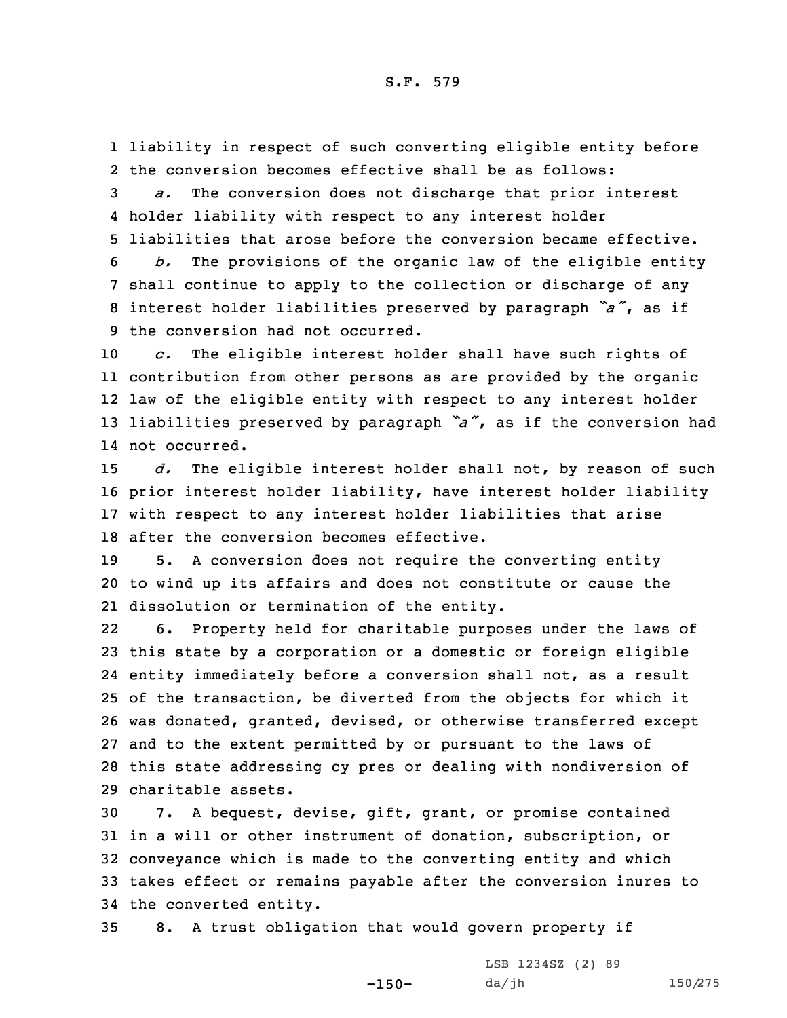1 liability in respect of such converting eligible entity before 2 the conversion becomes effective shall be as follows:

3 *a.* The conversion does not discharge that prior interest 4 holder liability with respect to any interest holder 5 liabilities that arose before the conversion became effective.

 *b.* The provisions of the organic law of the eligible entity shall continue to apply to the collection or discharge of any interest holder liabilities preserved by paragraph *"a"*, as if the conversion had not occurred.

 *c.* The eligible interest holder shall have such rights of contribution from other persons as are provided by the organic law of the eligible entity with respect to any interest holder liabilities preserved by paragraph *"a"*, as if the conversion had not occurred.

 *d.* The eligible interest holder shall not, by reason of such prior interest holder liability, have interest holder liability with respect to any interest holder liabilities that arise after the conversion becomes effective.

19 5. <sup>A</sup> conversion does not require the converting entity 20 to wind up its affairs and does not constitute or cause the 21 dissolution or termination of the entity.

22 6. Property held for charitable purposes under the laws of this state by <sup>a</sup> corporation or <sup>a</sup> domestic or foreign eligible entity immediately before <sup>a</sup> conversion shall not, as <sup>a</sup> result of the transaction, be diverted from the objects for which it was donated, granted, devised, or otherwise transferred except and to the extent permitted by or pursuant to the laws of this state addressing cy pres or dealing with nondiversion of charitable assets.

 7. <sup>A</sup> bequest, devise, gift, grant, or promise contained in <sup>a</sup> will or other instrument of donation, subscription, or conveyance which is made to the converting entity and which takes effect or remains payable after the conversion inures to the converted entity.

35 8. <sup>A</sup> trust obligation that would govern property if

 $-150-$ 

LSB 1234SZ (2) 89 da/jh 150/275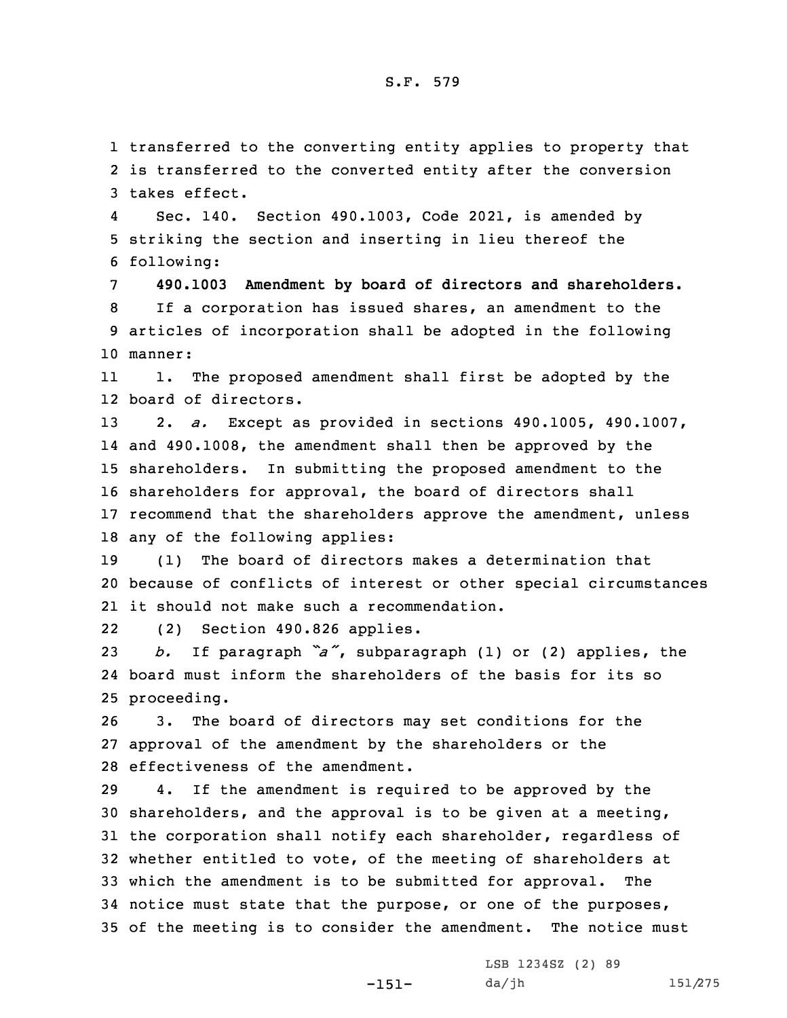## S.F. 579

1 transferred to the converting entity applies to property that 2 is transferred to the converted entity after the conversion 3 takes effect.

4 Sec. 140. Section 490.1003, Code 2021, is amended by 5 striking the section and inserting in lieu thereof the 6 following:

 **490.1003 Amendment by board of directors and shareholders.** If <sup>a</sup> corporation has issued shares, an amendment to the articles of incorporation shall be adopted in the following 10 manner:

11 1. The proposed amendment shall first be adopted by the 12 board of directors.

 2. *a.* Except as provided in sections 490.1005, 490.1007, and 490.1008, the amendment shall then be approved by the shareholders. In submitting the proposed amendment to the shareholders for approval, the board of directors shall recommend that the shareholders approve the amendment, unless any of the following applies:

19 (1) The board of directors makes <sup>a</sup> determination that 20 because of conflicts of interest or other special circumstances 21 it should not make such <sup>a</sup> recommendation.

22(2) Section 490.826 applies.

<sup>23</sup> *b.* If paragraph *"a"*, subparagraph (1) or (2) applies, the 24 board must inform the shareholders of the basis for its so 25 proceeding.

26 3. The board of directors may set conditions for the 27 approval of the amendment by the shareholders or the 28 effectiveness of the amendment.

 4. If the amendment is required to be approved by the shareholders, and the approval is to be given at <sup>a</sup> meeting, the corporation shall notify each shareholder, regardless of whether entitled to vote, of the meeting of shareholders at which the amendment is to be submitted for approval. The notice must state that the purpose, or one of the purposes, of the meeting is to consider the amendment. The notice must

-151-

LSB 1234SZ (2) 89 da/jh 151/275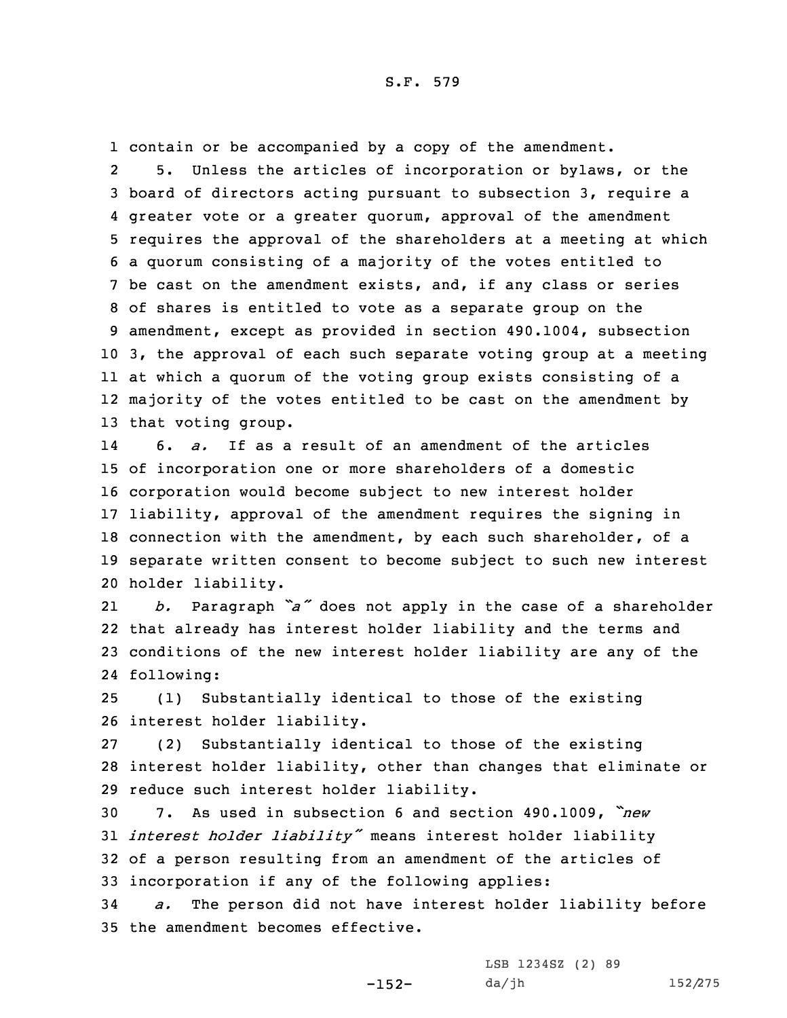1 contain or be accompanied by <sup>a</sup> copy of the amendment.

2 5. Unless the articles of incorporation or bylaws, or the board of directors acting pursuant to subsection 3, require <sup>a</sup> greater vote or <sup>a</sup> greater quorum, approval of the amendment requires the approval of the shareholders at <sup>a</sup> meeting at which <sup>a</sup> quorum consisting of <sup>a</sup> majority of the votes entitled to be cast on the amendment exists, and, if any class or series of shares is entitled to vote as <sup>a</sup> separate group on the amendment, except as provided in section 490.1004, subsection 3, the approval of each such separate voting group at <sup>a</sup> meeting at which <sup>a</sup> quorum of the voting group exists consisting of <sup>a</sup> majority of the votes entitled to be cast on the amendment by that voting group.

14 6. *a.* If as <sup>a</sup> result of an amendment of the articles of incorporation one or more shareholders of <sup>a</sup> domestic corporation would become subject to new interest holder liability, approval of the amendment requires the signing in 18 connection with the amendment, by each such shareholder, of a separate written consent to become subject to such new interest holder liability.

21 *b.* Paragraph *"a"* does not apply in the case of <sup>a</sup> shareholder 22 that already has interest holder liability and the terms and 23 conditions of the new interest holder liability are any of the 24 following:

25 (1) Substantially identical to those of the existing 26 interest holder liability.

27 (2) Substantially identical to those of the existing 28 interest holder liability, other than changes that eliminate or 29 reduce such interest holder liability.

 7. As used in subsection 6 and section 490.1009, *"new interest holder liability"* means interest holder liability of <sup>a</sup> person resulting from an amendment of the articles of incorporation if any of the following applies:

34 *a.* The person did not have interest holder liability before 35 the amendment becomes effective.

-152-

LSB 1234SZ (2) 89 da/jh 152/275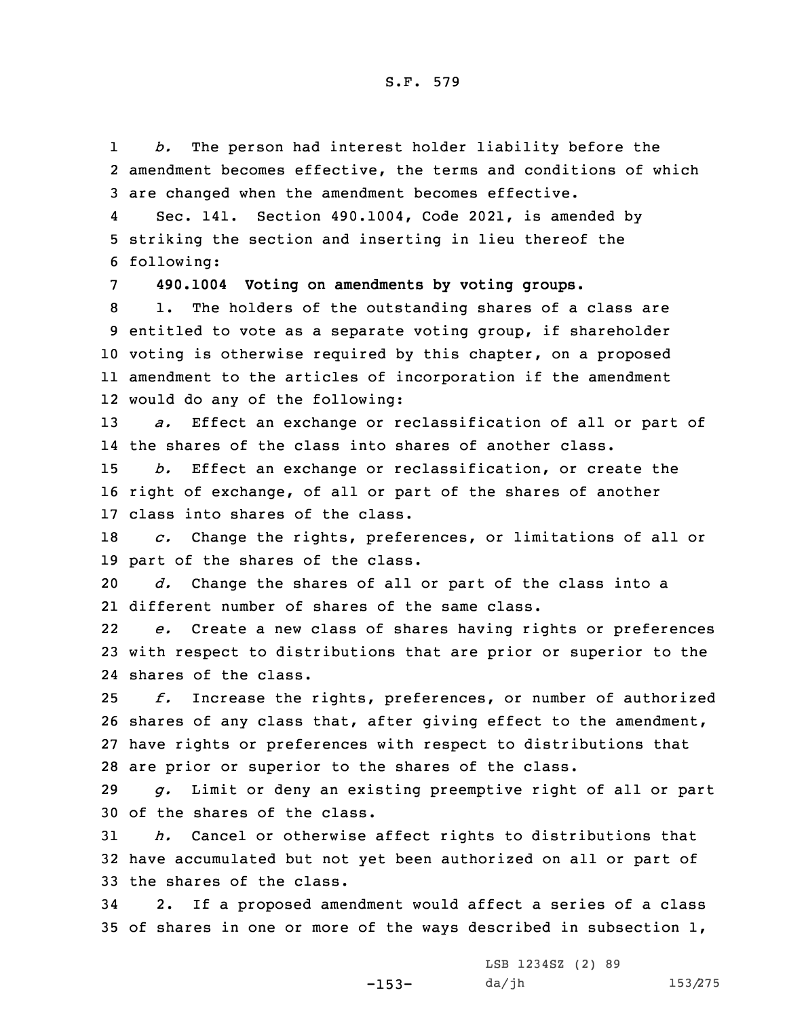1 *b.* The person had interest holder liability before the 2 amendment becomes effective, the terms and conditions of which 3 are changed when the amendment becomes effective.

4 Sec. 141. Section 490.1004, Code 2021, is amended by 5 striking the section and inserting in lieu thereof the 6 following:

7 **490.1004 Voting on amendments by voting groups.**

 1. The holders of the outstanding shares of <sup>a</sup> class are entitled to vote as <sup>a</sup> separate voting group, if shareholder voting is otherwise required by this chapter, on <sup>a</sup> proposed amendment to the articles of incorporation if the amendment would do any of the following:

13 *a.* Effect an exchange or reclassification of all or part of 14 the shares of the class into shares of another class.

15 *b.* Effect an exchange or reclassification, or create the 16 right of exchange, of all or part of the shares of another 17 class into shares of the class.

18 *c.* Change the rights, preferences, or limitations of all or 19 part of the shares of the class.

20 *d.* Change the shares of all or part of the class into <sup>a</sup> 21 different number of shares of the same class.

22 *e.* Create <sup>a</sup> new class of shares having rights or preferences 23 with respect to distributions that are prior or superior to the 24 shares of the class.

 *f.* Increase the rights, preferences, or number of authorized shares of any class that, after giving effect to the amendment, have rights or preferences with respect to distributions that are prior or superior to the shares of the class.

29 *g.* Limit or deny an existing preemptive right of all or part 30 of the shares of the class.

31 *h.* Cancel or otherwise affect rights to distributions that 32 have accumulated but not yet been authorized on all or part of 33 the shares of the class.

34 2. If <sup>a</sup> proposed amendment would affect <sup>a</sup> series of <sup>a</sup> class 35 of shares in one or more of the ways described in subsection 1,

> LSB 1234SZ (2) 89 da/jh 153/275

-153-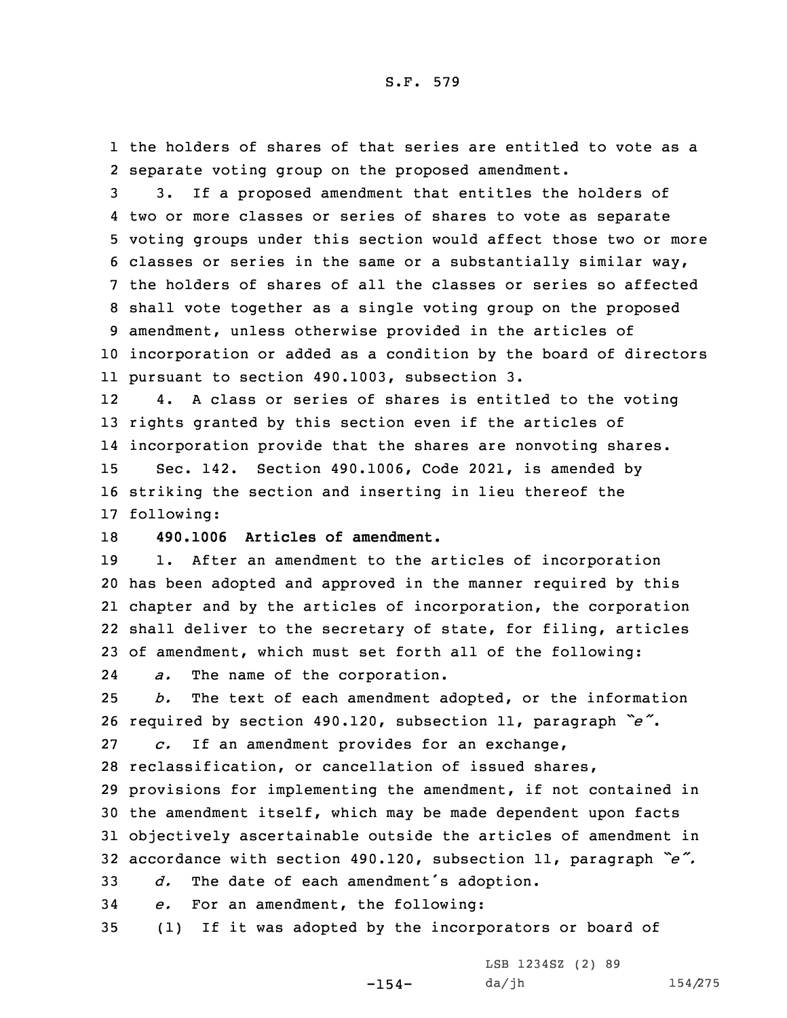1 the holders of shares of that series are entitled to vote as <sup>a</sup> 2 separate voting group on the proposed amendment.

 3. If <sup>a</sup> proposed amendment that entitles the holders of two or more classes or series of shares to vote as separate voting groups under this section would affect those two or more classes or series in the same or <sup>a</sup> substantially similar way, the holders of shares of all the classes or series so affected shall vote together as <sup>a</sup> single voting group on the proposed amendment, unless otherwise provided in the articles of incorporation or added as <sup>a</sup> condition by the board of directors pursuant to section 490.1003, subsection 3.

12 4. <sup>A</sup> class or series of shares is entitled to the voting rights granted by this section even if the articles of incorporation provide that the shares are nonvoting shares. Sec. 142. Section 490.1006, Code 2021, is amended by striking the section and inserting in lieu thereof the following:

18 **490.1006 Articles of amendment.**

 1. After an amendment to the articles of incorporation has been adopted and approved in the manner required by this chapter and by the articles of incorporation, the corporation shall deliver to the secretary of state, for filing, articles of amendment, which must set forth all of the following:

24*a.* The name of the corporation.

25 *b.* The text of each amendment adopted, or the information <sup>26</sup> required by section 490.120, subsection 11, paragraph *"e"*.

27 *c.* If an amendment provides for an exchange,

28 reclassification, or cancellation of issued shares,

 provisions for implementing the amendment, if not contained in the amendment itself, which may be made dependent upon facts objectively ascertainable outside the articles of amendment in accordance with section 490.120, subsection 11, paragraph *"e".*

<sup>33</sup> *d.* The date of each amendment's adoption.

34 *e.* For an amendment, the following:

35 (1) If it was adopted by the incorporators or board of

-154-

LSB 1234SZ (2) 89 da/jh 154/275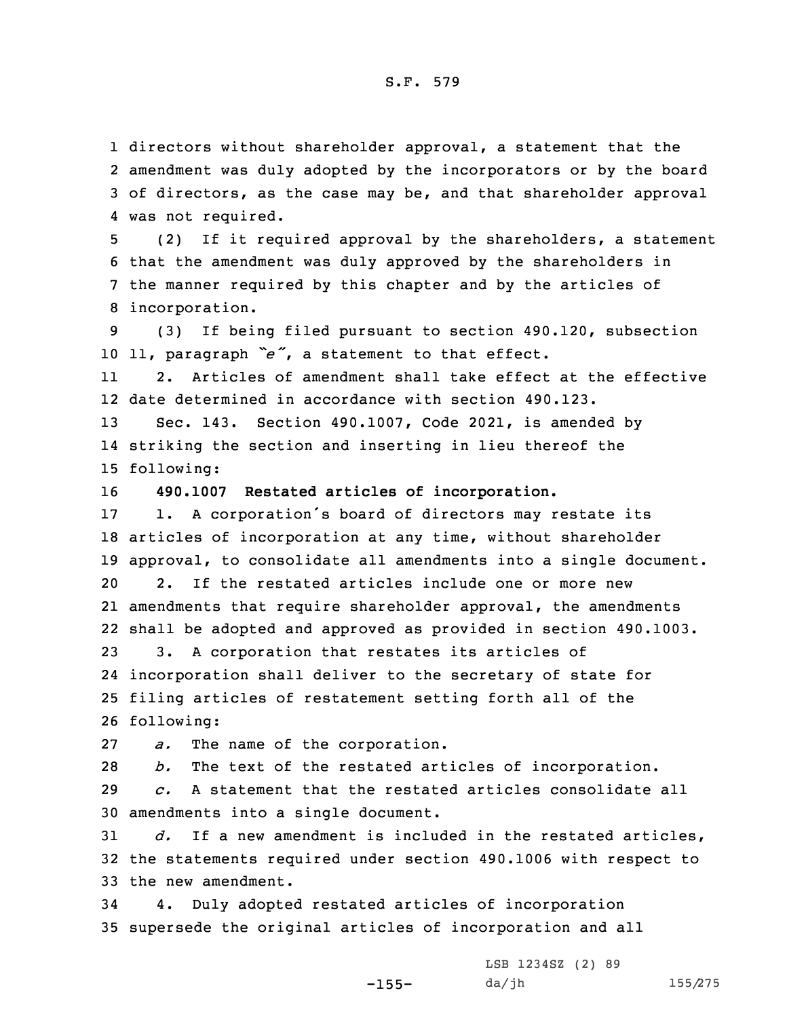directors without shareholder approval, <sup>a</sup> statement that the amendment was duly adopted by the incorporators or by the board of directors, as the case may be, and that shareholder approval was not required.

 (2) If it required approval by the shareholders, <sup>a</sup> statement that the amendment was duly approved by the shareholders in the manner required by this chapter and by the articles of incorporation.

9 (3) If being filed pursuant to section 490.120, subsection <sup>10</sup> 11, paragraph *"e"*, <sup>a</sup> statement to that effect.

11 2. Articles of amendment shall take effect at the effective 12 date determined in accordance with section 490.123.

13 Sec. 143. Section 490.1007, Code 2021, is amended by 14 striking the section and inserting in lieu thereof the 15 following:

16 **490.1007 Restated articles of incorporation.**

 1. <sup>A</sup> corporation's board of directors may restate its articles of incorporation at any time, without shareholder approval, to consolidate all amendments into <sup>a</sup> single document. 2. If the restated articles include one or more new

21 amendments that require shareholder approval, the amendments 22 shall be adopted and approved as provided in section 490.1003.

 3. <sup>A</sup> corporation that restates its articles of incorporation shall deliver to the secretary of state for filing articles of restatement setting forth all of the following:

27 *a.* The name of the corporation.

28 *b.* The text of the restated articles of incorporation. 29 *c.* A statement that the restated articles consolidate all 30 amendments into <sup>a</sup> single document.

31 *d.* If <sup>a</sup> new amendment is included in the restated articles, 32 the statements required under section 490.1006 with respect to 33 the new amendment.

-155-

34 4. Duly adopted restated articles of incorporation 35 supersede the original articles of incorporation and all

> LSB 1234SZ (2) 89 da/jh 155/275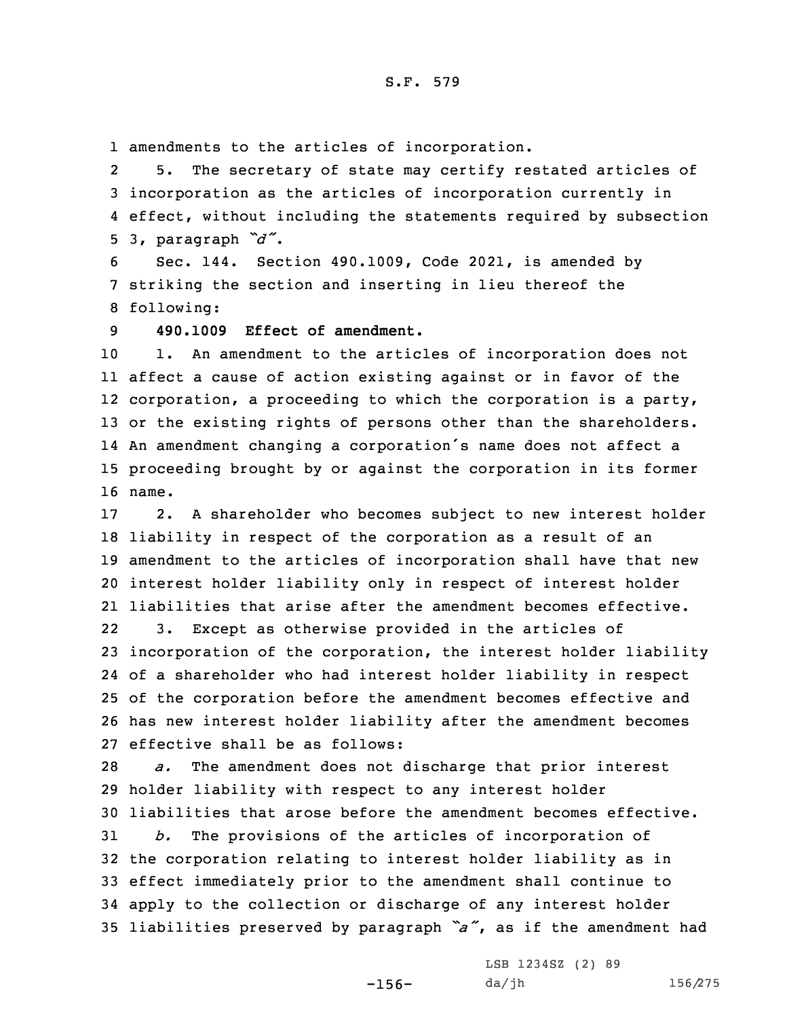1 amendments to the articles of incorporation.

2 5. The secretary of state may certify restated articles of 3 incorporation as the articles of incorporation currently in 4 effect, without including the statements required by subsection <sup>5</sup> 3, paragraph *"d"*.

6 Sec. 144. Section 490.1009, Code 2021, is amended by 7 striking the section and inserting in lieu thereof the 8 following:

9 **490.1009 Effect of amendment.**

 1. An amendment to the articles of incorporation does not affect <sup>a</sup> cause of action existing against or in favor of the 12 corporation, a proceeding to which the corporation is a party, or the existing rights of persons other than the shareholders. An amendment changing <sup>a</sup> corporation's name does not affect <sup>a</sup> proceeding brought by or against the corporation in its former 16 name.

 2. <sup>A</sup> shareholder who becomes subject to new interest holder liability in respect of the corporation as <sup>a</sup> result of an amendment to the articles of incorporation shall have that new interest holder liability only in respect of interest holder liabilities that arise after the amendment becomes effective. 22 3. Except as otherwise provided in the articles of incorporation of the corporation, the interest holder liability of <sup>a</sup> shareholder who had interest holder liability in respect

25 of the corporation before the amendment becomes effective and 26 has new interest holder liability after the amendment becomes 27 effective shall be as follows:

 *a.* The amendment does not discharge that prior interest holder liability with respect to any interest holder liabilities that arose before the amendment becomes effective. *b.* The provisions of the articles of incorporation of the corporation relating to interest holder liability as in effect immediately prior to the amendment shall continue to

34 apply to the collection or discharge of any interest holder <sup>35</sup> liabilities preserved by paragraph *"a"*, as if the amendment had

-156-

LSB 1234SZ (2) 89 da/jh 156/275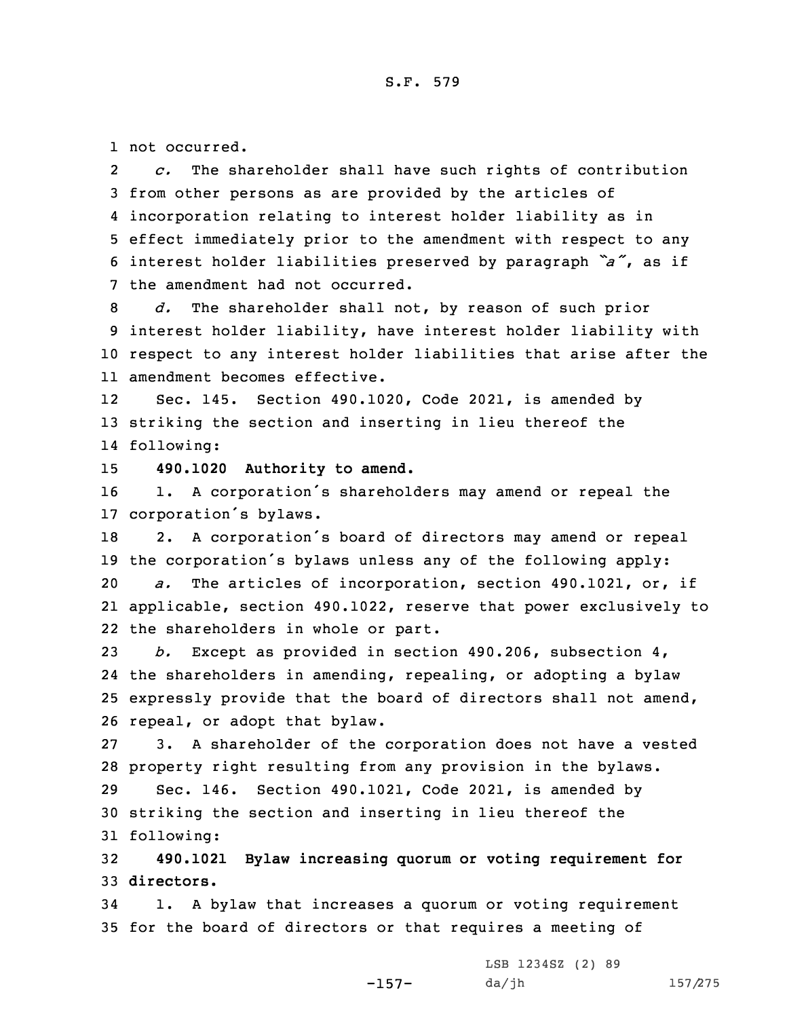1 not occurred.

2 *c.* The shareholder shall have such rights of contribution from other persons as are provided by the articles of incorporation relating to interest holder liability as in effect immediately prior to the amendment with respect to any interest holder liabilities preserved by paragraph *"a"*, as if the amendment had not occurred.

 *d.* The shareholder shall not, by reason of such prior interest holder liability, have interest holder liability with respect to any interest holder liabilities that arise after the amendment becomes effective.

12 Sec. 145. Section 490.1020, Code 2021, is amended by 13 striking the section and inserting in lieu thereof the 14 following:

15 **490.1020 Authority to amend.**

<sup>16</sup> 1. <sup>A</sup> corporation's shareholders may amend or repeal the <sup>17</sup> corporation's bylaws.

 2. <sup>A</sup> corporation's board of directors may amend or repeal the corporation's bylaws unless any of the following apply: *a.* The articles of incorporation, section 490.1021, or, if applicable, section 490.1022, reserve that power exclusively to the shareholders in whole or part.

 *b.* Except as provided in section 490.206, subsection 4, the shareholders in amending, repealing, or adopting <sup>a</sup> bylaw expressly provide that the board of directors shall not amend, repeal, or adopt that bylaw.

27 3. <sup>A</sup> shareholder of the corporation does not have <sup>a</sup> vested 28 property right resulting from any provision in the bylaws.

29 Sec. 146. Section 490.1021, Code 2021, is amended by 30 striking the section and inserting in lieu thereof the 31 following:

32 **490.1021 Bylaw increasing quorum or voting requirement for** 33 **directors.**

34 1. <sup>A</sup> bylaw that increases <sup>a</sup> quorum or voting requirement 35 for the board of directors or that requires <sup>a</sup> meeting of

-157-

LSB 1234SZ (2) 89 da/jh 157/275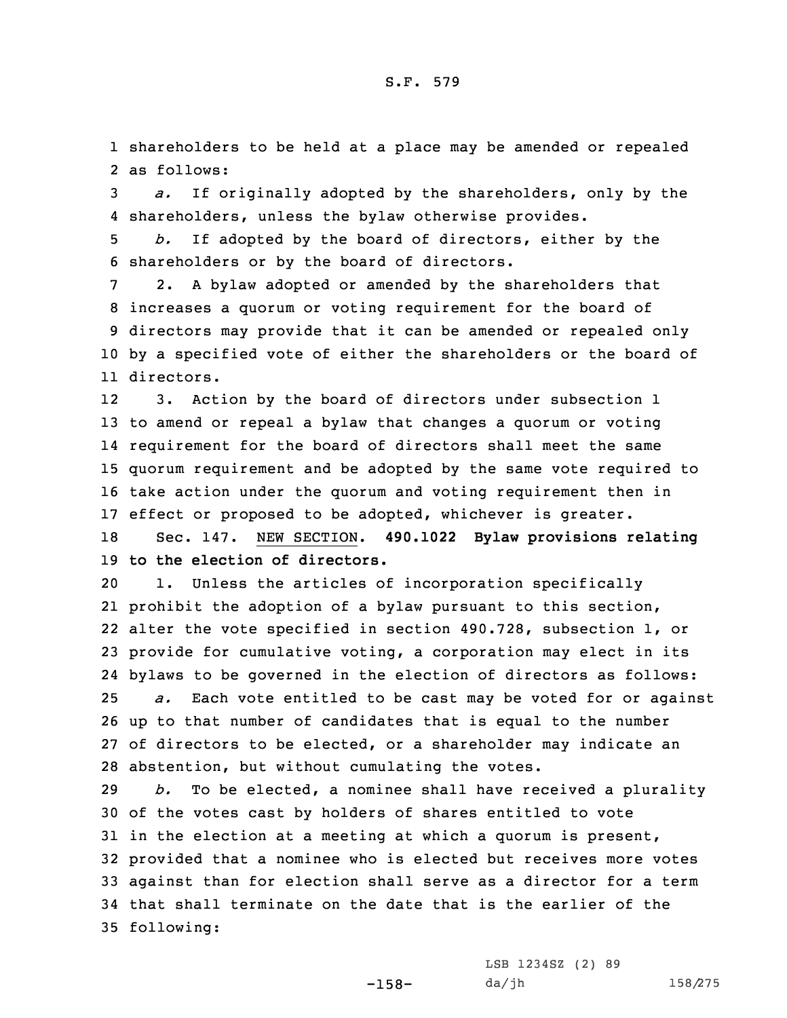1 shareholders to be held at <sup>a</sup> place may be amended or repealed 2 as follows:

3 *a.* If originally adopted by the shareholders, only by the 4 shareholders, unless the bylaw otherwise provides.

5 *b.* If adopted by the board of directors, either by the 6 shareholders or by the board of directors.

 2. <sup>A</sup> bylaw adopted or amended by the shareholders that increases <sup>a</sup> quorum or voting requirement for the board of directors may provide that it can be amended or repealed only by <sup>a</sup> specified vote of either the shareholders or the board of directors.

12 3. Action by the board of directors under subsection 1 to amend or repeal <sup>a</sup> bylaw that changes <sup>a</sup> quorum or voting requirement for the board of directors shall meet the same quorum requirement and be adopted by the same vote required to take action under the quorum and voting requirement then in effect or proposed to be adopted, whichever is greater.

18 Sec. 147. NEW SECTION. **490.1022 Bylaw provisions relating** 19 **to the election of directors.**

 1. Unless the articles of incorporation specifically prohibit the adoption of <sup>a</sup> bylaw pursuant to this section, alter the vote specified in section 490.728, subsection 1, or provide for cumulative voting, <sup>a</sup> corporation may elect in its bylaws to be governed in the election of directors as follows: *a.* Each vote entitled to be cast may be voted for or against up to that number of candidates that is equal to the number of directors to be elected, or <sup>a</sup> shareholder may indicate an abstention, but without cumulating the votes.

 *b.* To be elected, <sup>a</sup> nominee shall have received <sup>a</sup> plurality of the votes cast by holders of shares entitled to vote in the election at <sup>a</sup> meeting at which <sup>a</sup> quorum is present, provided that <sup>a</sup> nominee who is elected but receives more votes against than for election shall serve as <sup>a</sup> director for <sup>a</sup> term that shall terminate on the date that is the earlier of the following:

-158-

LSB 1234SZ (2) 89 da/jh 158/275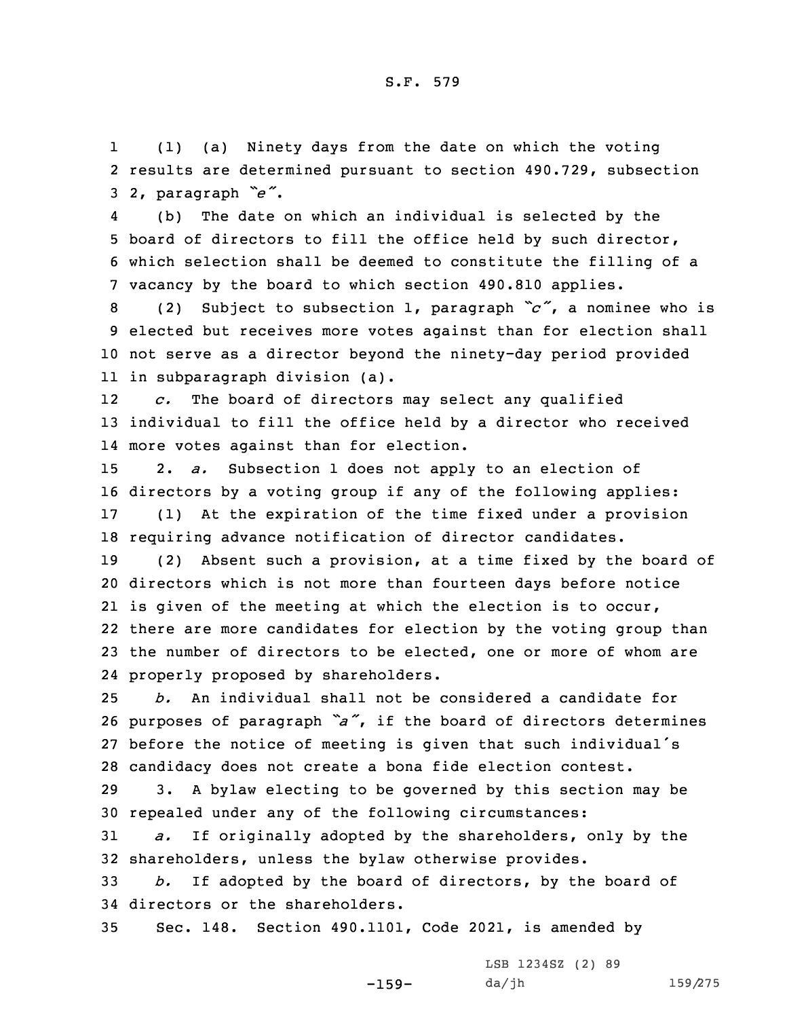1 (1) (a) Ninety days from the date on which the voting 2 results are determined pursuant to section 490.729, subsection <sup>3</sup> 2, paragraph *"e"*.

4 (b) The date on which an individual is selected by the 5 board of directors to fill the office held by such director, 6 which selection shall be deemed to constitute the filling of <sup>a</sup> 7 vacancy by the board to which section 490.810 applies.

 (2) Subject to subsection 1, paragraph *"c"*, <sup>a</sup> nominee who is elected but receives more votes against than for election shall not serve as <sup>a</sup> director beyond the ninety-day period provided in subparagraph division (a).

12 *c.* The board of directors may select any qualified 13 individual to fill the office held by <sup>a</sup> director who received 14 more votes against than for election.

 2. *a.* Subsection 1 does not apply to an election of directors by <sup>a</sup> voting group if any of the fo1lowing applies: (1) At the expiration of the time fixed under <sup>a</sup> provision requiring advance notification of director candidates.

 (2) Absent such <sup>a</sup> provision, at <sup>a</sup> time fixed by the board of directors which is not more than fourteen days before notice is given of the meeting at which the election is to occur, there are more candidates for election by the voting group than the number of directors to be elected, one or more of whom are properly proposed by shareholders.

 *b.* An individual shall not be considered <sup>a</sup> candidate for purposes of paragraph *"a"*, if the board of directors determines before the notice of meeting is given that such individual's candidacy does not create <sup>a</sup> bona fide election contest.

29 3. <sup>A</sup> bylaw electing to be governed by this section may be 30 repealed under any of the following circumstances:

31 *a.* If originally adopted by the shareholders, only by the 32 shareholders, unless the bylaw otherwise provides.

33 *b.* If adopted by the board of directors, by the board of 34 directors or the shareholders.

-159-

35 Sec. 148. Section 490.1101, Code 2021, is amended by

LSB 1234SZ (2) 89 da/jh 159/275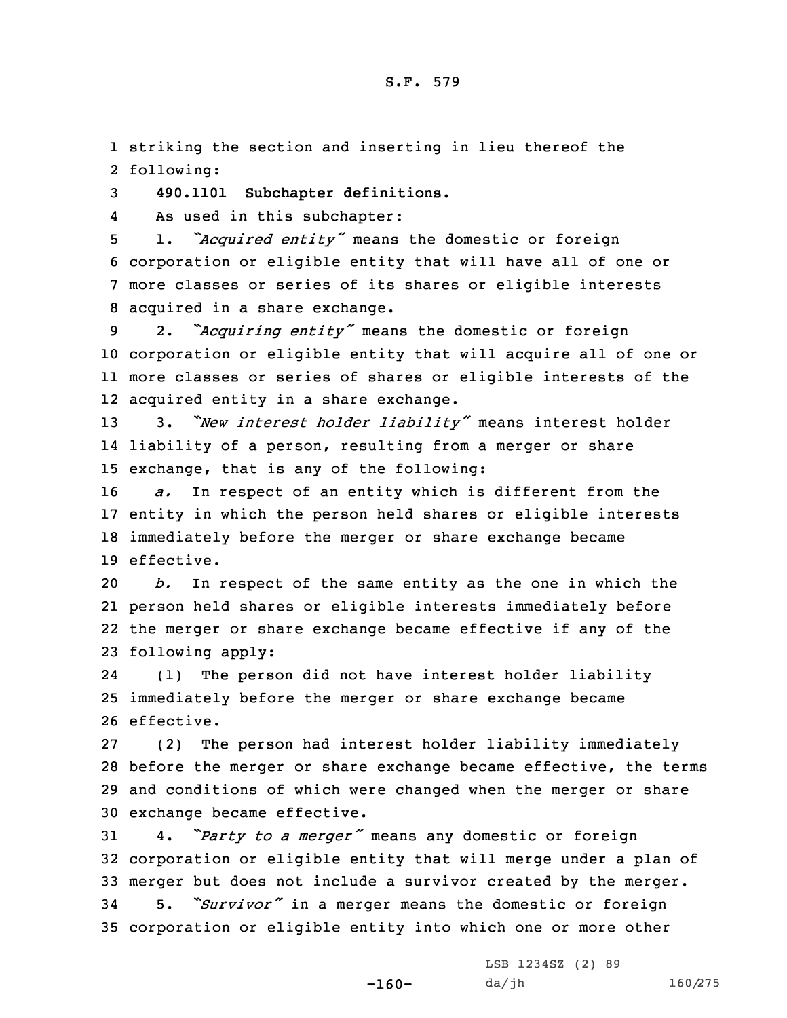1 striking the section and inserting in lieu thereof the 2 following:

3 **490.1101 Subchapter definitions.**

4As used in this subchapter:

 1. *"Acquired entity"* means the domestic or foreign corporation or eligible entity that will have all of one or more classes or series of its shares or eligible interests acquired in <sup>a</sup> share exchange.

 2. *"Acquiring entity"* means the domestic or foreign corporation or eligible entity that will acquire all of one or more classes or series of shares or eligible interests of the acquired entity in <sup>a</sup> share exchange.

<sup>13</sup> 3. *"New interest holder liability"* means interest holder 14 liability of <sup>a</sup> person, resulting from <sup>a</sup> merger or share 15 exchange, that is any of the following:

 *a.* In respect of an entity which is different from the entity in which the person held shares or eligible interests immediately before the merger or share exchange became effective.

 *b.* In respect of the same entity as the one in which the person held shares or eligible interests immediately before the merger or share exchange became effective if any of the following apply:

24 (1) The person did not have interest holder liability 25 immediately before the merger or share exchange became 26 effective.

 (2) The person had interest holder liability immediately before the merger or share exchange became effective, the terms and conditions of which were changed when the merger or share exchange became effective.

 4. *"Party to <sup>a</sup> merger"* means any domestic or foreign corporation or eligible entity that will merge under <sup>a</sup> plan of merger but does not include <sup>a</sup> survivor created by the merger. 5. *"Survivor"* in <sup>a</sup> merger means the domestic or foreign corporation or eligible entity into which one or more other

-160-

LSB 1234SZ (2) 89 da/jh 160/275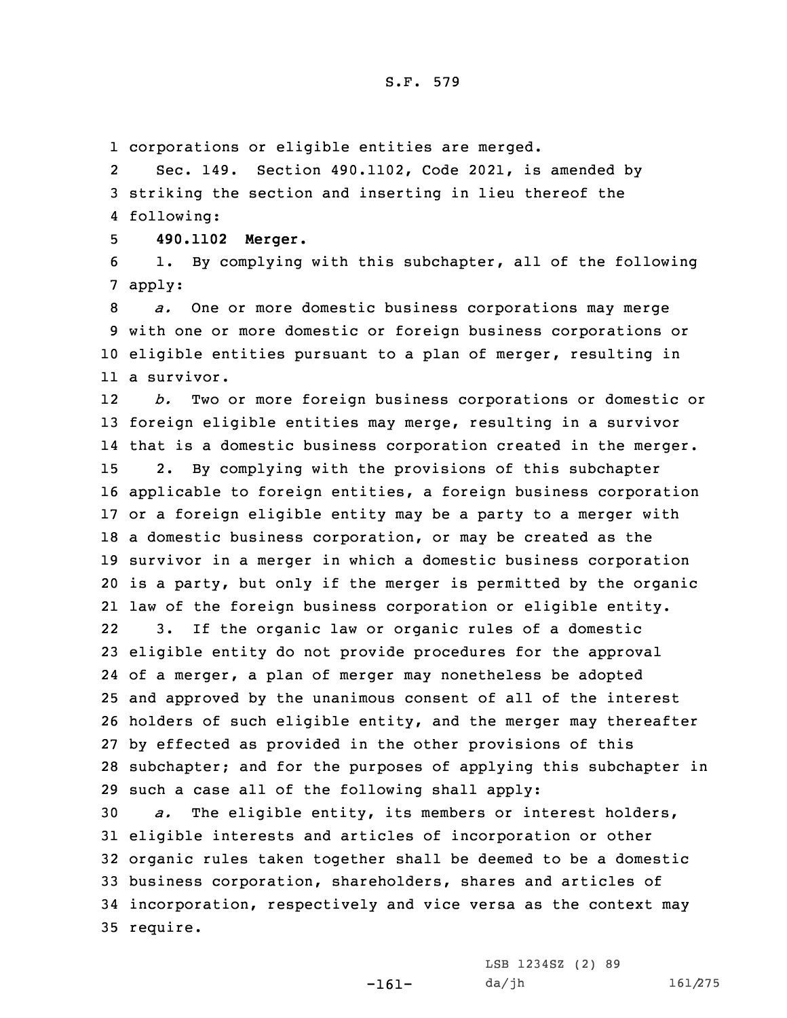1 corporations or eligible entities are merged.

2 Sec. 149. Section 490.1102, Code 2021, is amended by 3 striking the section and inserting in lieu thereof the 4 following:

5 **490.1102 Merger.**

6 1. By complying with this subchapter, all of the following 7 apply:

 *a.* One or more domestic business corporations may merge with one or more domestic or foreign business corporations or eligible entities pursuant to <sup>a</sup> plan of merger, resulting in <sup>a</sup> survivor.

12 *b.* Two or more foreign business corporations or domestic or foreign eligible entities may merge, resulting in <sup>a</sup> survivor that is <sup>a</sup> domestic business corporation created in the merger. 2. By complying with the provisions of this subchapter applicable to foreign entities, <sup>a</sup> foreign business corporation or <sup>a</sup> foreign eligible entity may be <sup>a</sup> party to <sup>a</sup> merger with <sup>a</sup> domestic business corporation, or may be created as the survivor in <sup>a</sup> merger in which <sup>a</sup> domestic business corporation is <sup>a</sup> party, but only if the merger is permitted by the organic law of the foreign business corporation or eligible entity. 22 3. If the organic law or organic rules of <sup>a</sup> domestic eligible entity do not provide procedures for the approval of <sup>a</sup> merger, <sup>a</sup> plan of merger may nonetheless be adopted and approved by the unanimous consent of all of the interest holders of such eligible entity, and the merger may thereafter by effected as provided in the other provisions of this subchapter; and for the purposes of applying this subchapter in such <sup>a</sup> case all of the following shall apply:

 *a.* The eligible entity, its members or interest holders, eligible interests and articles of incorporation or other organic rules taken together shall be deemed to be <sup>a</sup> domestic business corporation, shareholders, shares and articles of incorporation, respectively and vice versa as the context may 35 require.

> LSB 1234SZ (2) 89 da/jh 161/275

-161-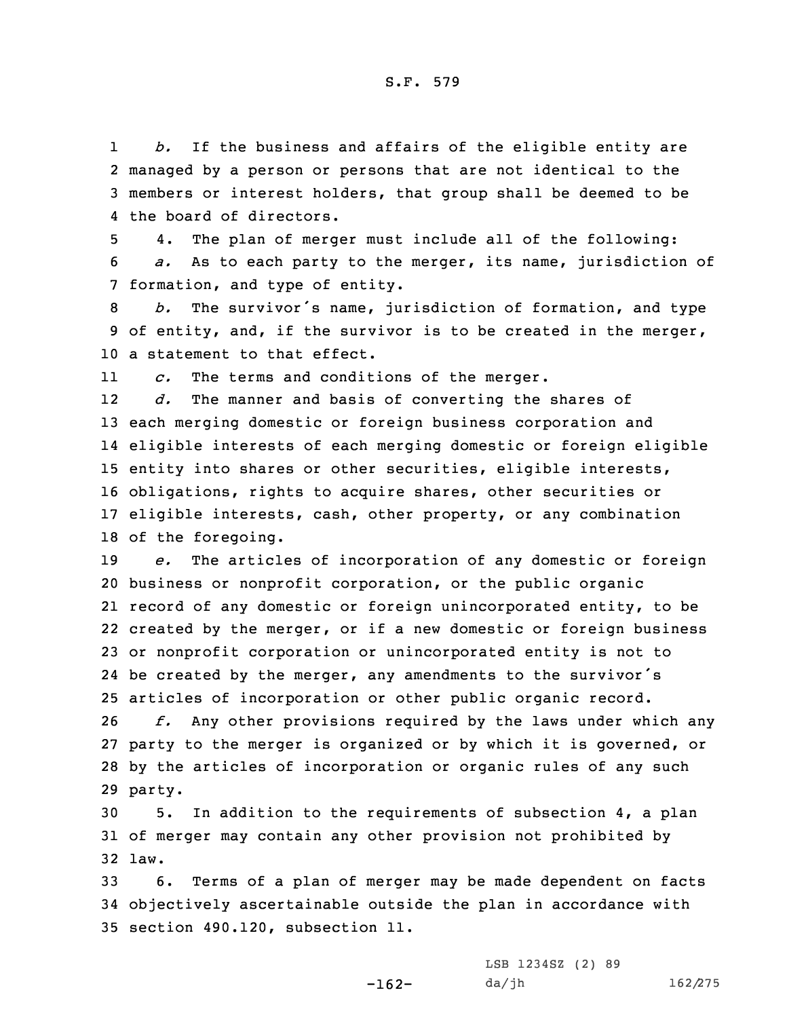1 *b.* If the business and affairs of the eligible entity are 2 managed by <sup>a</sup> person or persons that are not identical to the 3 members or interest holders, that group shall be deemed to be 4 the board of directors.

5 4. The plan of merger must include all of the following: 6 *a.* As to each party to the merger, its name, jurisdiction of 7 formation, and type of entity.

<sup>8</sup> *b.* The survivor's name, jurisdiction of formation, and type 9 of entity, and, if the survivor is to be created in the merger, 10 a statement to that effect.

11*c.* The terms and conditions of the merger.

12 *d.* The manner and basis of converting the shares of each merging domestic or foreign business corporation and eligible interests of each merging domestic or foreign eligible entity into shares or other securities, eligible interests, obligations, rights to acquire shares, other securities or eligible interests, cash, other property, or any combination of the foregoing.

 *e.* The articles of incorporation of any domestic or foreign business or nonprofit corporation, or the public organic record of any domestic or foreign unincorporated entity, to be created by the merger, or if <sup>a</sup> new domestic or foreign business or nonprofit corporation or unincorporated entity is not to be created by the merger, any amendments to the survivor's articles of incorporation or other public organic record. *f.* Any other provisions required by the laws under which any party to the merger is organized or by which it is governed, or

28 by the articles of incorporation or organic rules of any such 29 party.

30 5. In addition to the requirements of subsection 4, <sup>a</sup> plan 31 of merger may contain any other provision not prohibited by 32 law.

33 6. Terms of <sup>a</sup> plan of merger may be made dependent on facts 34 objectively ascertainable outside the plan in accordance with 35 section 490.120, subsection 11.

> -162- LSB 1234SZ (2) 89 da/jh 162/275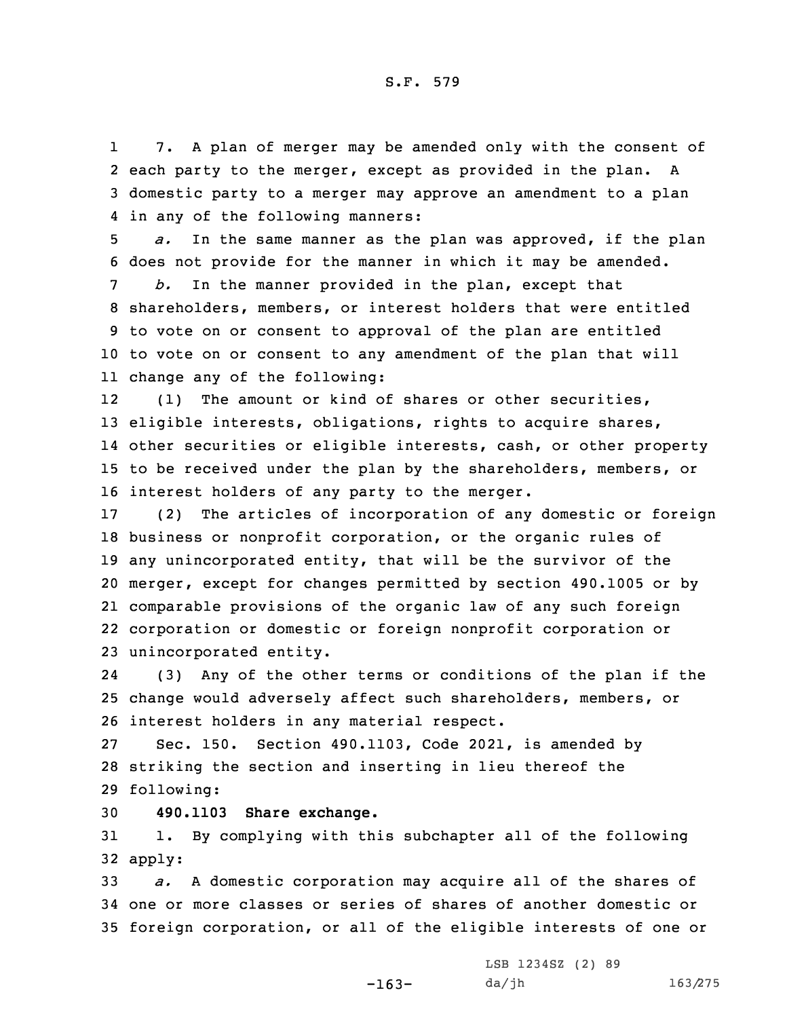1 7. <sup>A</sup> plan of merger may be amended only with the consent of 2 each party to the merger, except as provided in the plan. <sup>A</sup> 3 domestic party to <sup>a</sup> merger may approve an amendment to <sup>a</sup> plan 4 in any of the following manners:

5 *a.* In the same manner as the plan was approved, if the plan 6 does not provide for the manner in which it may be amended.

 *b.* In the manner provided in the plan, except that shareholders, members, or interest holders that were entitled to vote on or consent to approval of the plan are entitled to vote on or consent to any amendment of the plan that will change any of the following:

12 (1) The amount or kind of shares or other securities, eligible interests, obligations, rights to acquire shares, other securities or eligible interests, cash, or other property to be received under the plan by the shareholders, members, or interest holders of any party to the merger.

 (2) The articles of incorporation of any domestic or foreign business or nonprofit corporation, or the organic rules of any unincorporated entity, that will be the survivor of the merger, except for changes permitted by section 490.1005 or by comparable provisions of the organic law of any such foreign corporation or domestic or foreign nonprofit corporation or unincorporated entity.

24 (3) Any of the other terms or conditions of the plan if the 25 change would adversely affect such shareholders, members, or 26 interest holders in any material respect.

27 Sec. 150. Section 490.1103, Code 2021, is amended by 28 striking the section and inserting in lieu thereof the 29 following:

30 **490.1103 Share exchange.**

31 1. By complying with this subchapter all of the following 32 apply:

33 *a.* <sup>A</sup> domestic corporation may acquire all of the shares of 34 one or more classes or series of shares of another domestic or 35 foreign corporation, or all of the eligible interests of one or

-163-

LSB 1234SZ (2) 89 da/jh 163/275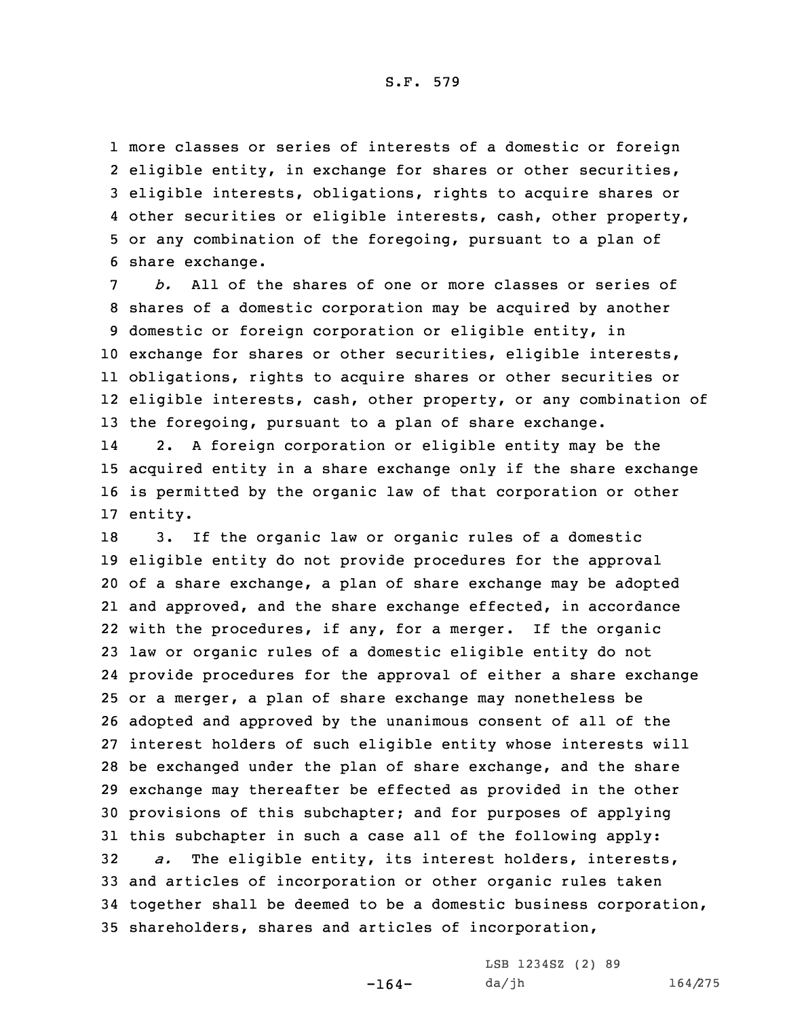S.F. 579

 more classes or series of interests of <sup>a</sup> domestic or foreign eligible entity, in exchange for shares or other securities, eligible interests, obligations, rights to acquire shares or other securities or eligible interests, cash, other property, or any combination of the foregoing, pursuant to <sup>a</sup> plan of share exchange.

 *b.* All of the shares of one or more classes or series of shares of <sup>a</sup> domestic corporation may be acquired by another domestic or foreign corporation or eligible entity, in exchange for shares or other securities, eligible interests, obligations, rights to acquire shares or other securities or eligible interests, cash, other property, or any combination of 13 the foregoing, pursuant to a plan of share exchange.

14 2. <sup>A</sup> foreign corporation or eligible entity may be the 15 acquired entity in <sup>a</sup> share exchange only if the share exchange 16 is permitted by the organic law of that corporation or other 17 entity.

 3. If the organic law or organic rules of <sup>a</sup> domestic eligible entity do not provide procedures for the approval of <sup>a</sup> share exchange, <sup>a</sup> plan of share exchange may be adopted and approved, and the share exchange effected, in accordance with the procedures, if any, for <sup>a</sup> merger. If the organic law or organic rules of <sup>a</sup> domestic eligible entity do not provide procedures for the approval of either <sup>a</sup> share exchange or <sup>a</sup> merger, <sup>a</sup> plan of share exchange may nonetheless be adopted and approved by the unanimous consent of all of the interest holders of such eligible entity whose interests will be exchanged under the plan of share exchange, and the share exchange may thereafter be effected as provided in the other provisions of this subchapter; and for purposes of applying this subchapter in such <sup>a</sup> case all of the following apply: *a.* The eligible entity, its interest holders, interests, and articles of incorporation or other organic rules taken together shall be deemed to be <sup>a</sup> domestic business corporation, shareholders, shares and articles of incorporation,

 $-164-$ 

LSB 1234SZ (2) 89 da/jh 164/275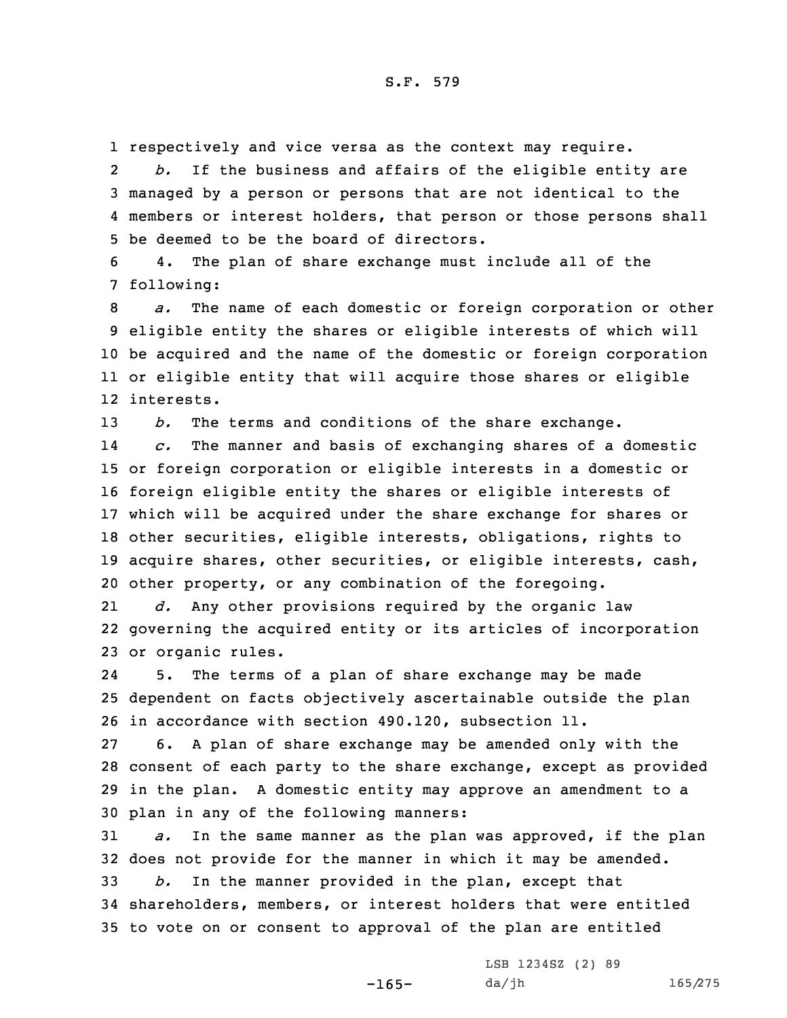1 respectively and vice versa as the context may require.

2 *b.* If the business and affairs of the eligible entity are 3 managed by <sup>a</sup> person or persons that are not identical to the 4 members or interest holders, that person or those persons shall 5 be deemed to be the board of directors.

6 4. The plan of share exchange must include all of the 7 following:

 *a.* The name of each domestic or foreign corporation or other eligible entity the shares or eligible interests of which will be acquired and the name of the domestic or foreign corporation or eligible entity that will acquire those shares or eligible interests.

13 *b.* The terms and conditions of the share exchange.

14 *c.* The manner and basis of exchanging shares of <sup>a</sup> domestic or foreign corporation or eligible interests in <sup>a</sup> domestic or foreign eligible entity the shares or eligible interests of which will be acquired under the share exchange for shares or other securities, eligible interests, obligations, rights to acquire shares, other securities, or eligible interests, cash, other property, or any combination of the foregoing.

21 *d.* Any other provisions required by the organic law 22 governing the acquired entity or its articles of incorporation 23 or organic rules.

24 5. The terms of <sup>a</sup> plan of share exchange may be made 25 dependent on facts objectively ascertainable outside the plan 26 in accordance with section 490.120, subsection 11.

 6. <sup>A</sup> plan of share exchange may be amended only with the consent of each party to the share exchange, except as provided in the plan. <sup>A</sup> domestic entity may approve an amendment to <sup>a</sup> plan in any of the following manners:

 *a.* In the same manner as the plan was approved, if the plan does not provide for the manner in which it may be amended. *b.* In the manner provided in the plan, except that shareholders, members, or interest holders that were entitled to vote on or consent to approval of the plan are entitled

-165-

LSB 1234SZ (2) 89 da/jh 165/275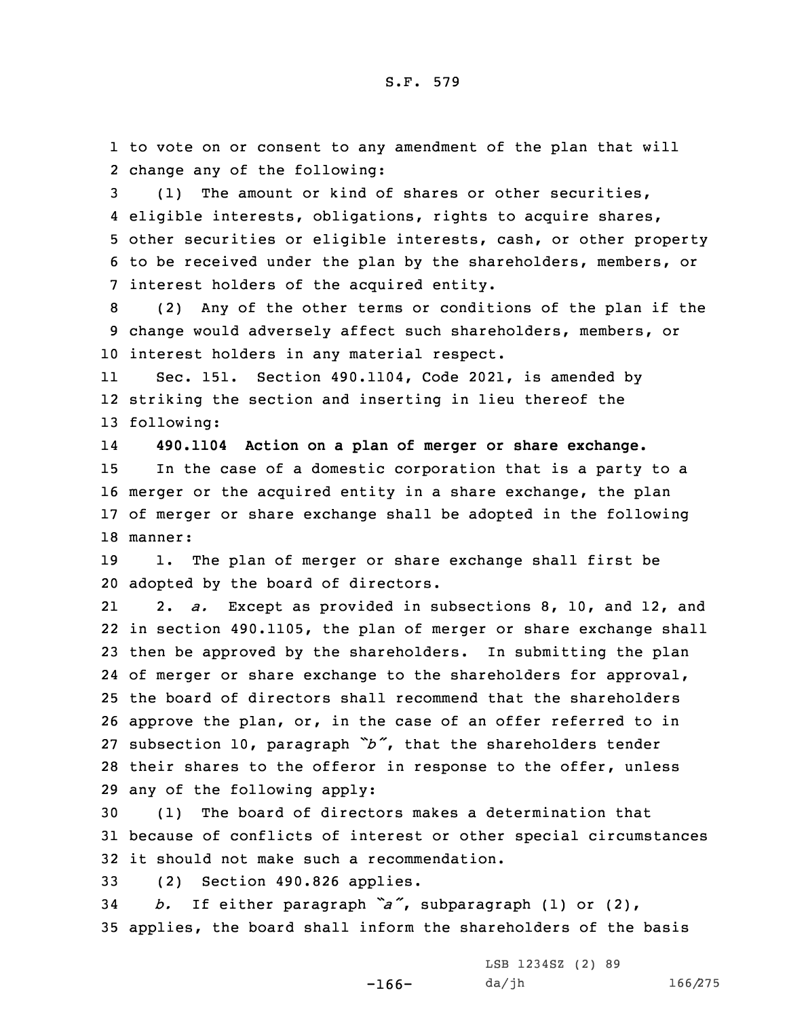1 to vote on or consent to any amendment of the plan that will 2 change any of the following:

 (1) The amount or kind of shares or other securities, eligible interests, obligations, rights to acquire shares, other securities or eligible interests, cash, or other property to be received under the plan by the shareholders, members, or interest holders of the acquired entity.

8 (2) Any of the other terms or conditions of the plan if the 9 change would adversely affect such shareholders, members, or 10 interest holders in any material respect.

11 Sec. 151. Section 490.1104, Code 2021, is amended by 12 striking the section and inserting in lieu thereof the 13 following:

14 **490.1104 Action on <sup>a</sup> plan of merger or share exchange.** 15 In the case of <sup>a</sup> domestic corporation that is <sup>a</sup> party to <sup>a</sup> 16 merger or the acquired entity in <sup>a</sup> share exchange, the plan 17 of merger or share exchange shall be adopted in the following 18 manner:

19 1. The plan of merger or share exchange shall first be 20 adopted by the board of directors.

21 2. *a.* Except as provided in subsections 8, 10, and 12, and in section 490.1105, the plan of merger or share exchange shall then be approved by the shareholders. In submitting the plan of merger or share exchange to the shareholders for approval, the board of directors shall recommend that the shareholders approve the plan, or, in the case of an offer referred to in subsection 10, paragraph *"b"*, that the shareholders tender their shares to the offeror in response to the offer, unless any of the following apply:

30 (1) The board of directors makes <sup>a</sup> determination that 31 because of conflicts of interest or other special circumstances 32 it should not make such <sup>a</sup> recommendation.

33 (2) Section 490.826 applies.

<sup>34</sup> *b.* If either paragraph *"a"*, subparagraph (1) or (2), 35 applies, the board shall inform the shareholders of the basis

-166-

LSB 1234SZ (2) 89 da/jh 166/275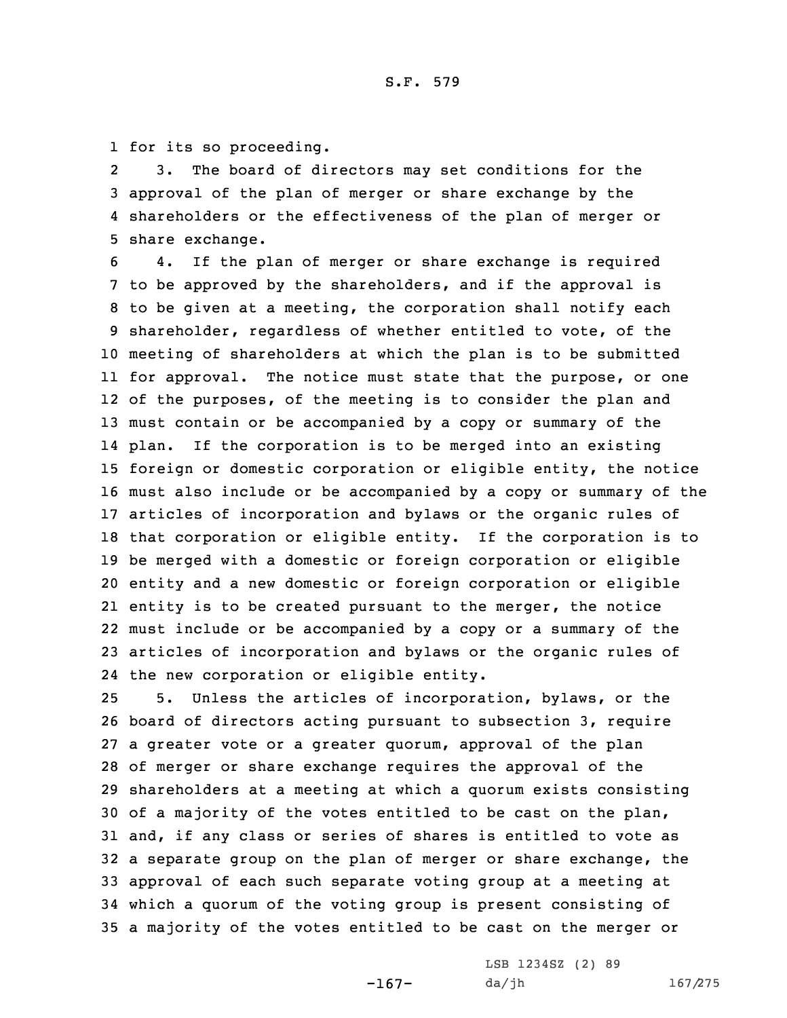1 for its so proceeding.

2 3. The board of directors may set conditions for the 3 approval of the plan of merger or share exchange by the 4 shareholders or the effectiveness of the plan of merger or 5 share exchange.

 4. If the plan of merger or share exchange is required to be approved by the shareholders, and if the approval is to be given at <sup>a</sup> meeting, the corporation shall notify each shareholder, regardless of whether entitled to vote, of the meeting of shareholders at which the plan is to be submitted for approval. The notice must state that the purpose, or one of the purposes, of the meeting is to consider the plan and must contain or be accompanied by <sup>a</sup> copy or summary of the plan. If the corporation is to be merged into an existing foreign or domestic corporation or eligible entity, the notice must also include or be accompanied by <sup>a</sup> copy or summary of the articles of incorporation and bylaws or the organic rules of that corporation or eligible entity. If the corporation is to be merged with <sup>a</sup> domestic or foreign corporation or eligible entity and <sup>a</sup> new domestic or foreign corporation or eligible entity is to be created pursuant to the merger, the notice must include or be accompanied by <sup>a</sup> copy or <sup>a</sup> summary of the articles of incorporation and bylaws or the organic rules of the new corporation or eligible entity.

 5. Unless the articles of incorporation, bylaws, or the board of directors acting pursuant to subsection 3, require <sup>a</sup> greater vote or <sup>a</sup> greater quorum, approval of the plan of merger or share exchange requires the approval of the shareholders at <sup>a</sup> meeting at which <sup>a</sup> quorum exists consisting of <sup>a</sup> majority of the votes entitled to be cast on the plan, and, if any class or series of shares is entitled to vote as <sup>a</sup> separate group on the plan of merger or share exchange, the approval of each such separate voting group at <sup>a</sup> meeting at which <sup>a</sup> quorum of the voting group is present consisting of <sup>a</sup> majority of the votes entitled to be cast on the merger or

-167-

LSB 1234SZ (2) 89 da/jh 167/275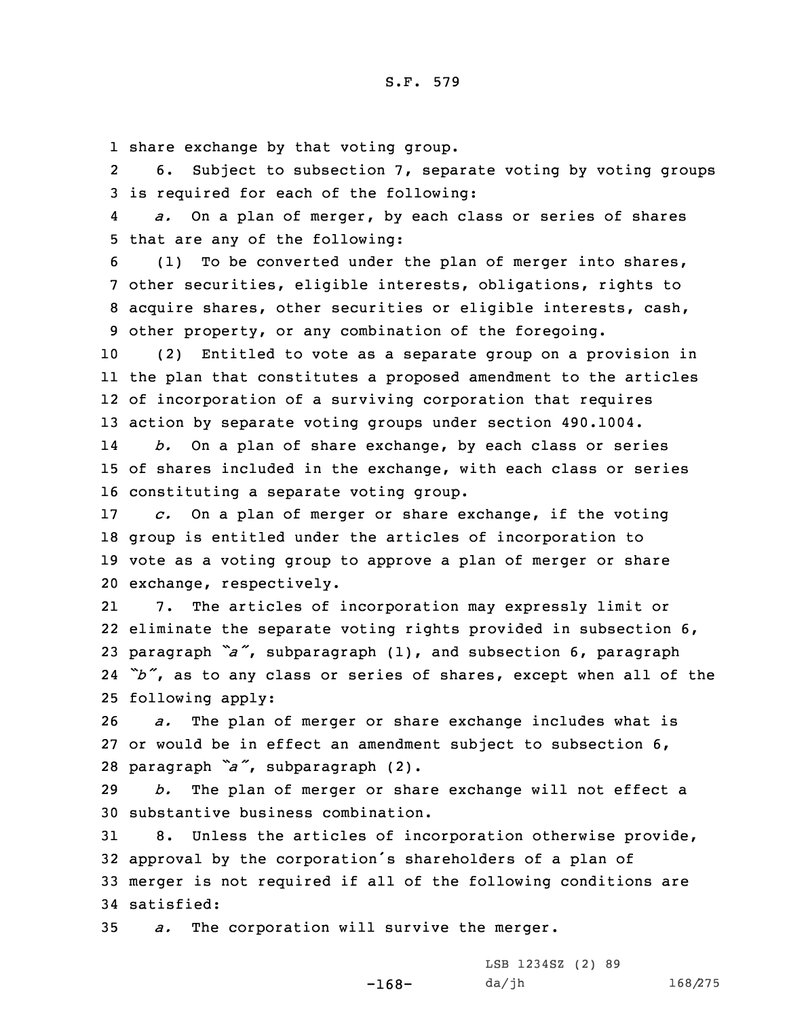S.F. 579

1 share exchange by that voting group.

2 6. Subject to subsection 7, separate voting by voting groups 3 is required for each of the following:

4 *a.* On <sup>a</sup> plan of merger, by each class or series of shares 5 that are any of the following:

 (1) To be converted under the plan of merger into shares, other securities, eligible interests, obligations, rights to acquire shares, other securities or eligible interests, cash, other property, or any combination of the foregoing.

 (2) Entitled to vote as <sup>a</sup> separate group on <sup>a</sup> provision in the plan that constitutes <sup>a</sup> proposed amendment to the articles of incorporation of <sup>a</sup> surviving corporation that requires action by separate voting groups under section 490.1004. 14*b.* On <sup>a</sup> plan of share exchange, by each class or series

15 of shares included in the exchange, with each class or series 16 constituting <sup>a</sup> separate voting group.

 *c.* On <sup>a</sup> plan of merger or share exchange, if the voting group is entitled under the articles of incorporation to vote as <sup>a</sup> voting group to approve <sup>a</sup> plan of merger or share exchange, respectively.

21 7. The articles of incorporation may expressly limit or eliminate the separate voting rights provided in subsection 6, paragraph *"a"*, subparagraph (1), and subsection 6, paragraph *"b"*, as to any class or series of shares, except when all of the following apply:

26 *a.* The plan of merger or share exchange includes what is 27 or would be in effect an amendment subject to subsection 6, <sup>28</sup> paragraph *"a"*, subparagraph (2).

29 *b.* The plan of merger or share exchange will not effect <sup>a</sup> 30 substantive business combination.

 8. Unless the articles of incorporation otherwise provide, approval by the corporation's shareholders of <sup>a</sup> plan of merger is not required if all of the following conditions are satisfied:

-168-

35 *a.* The corporation will survive the merger.

LSB 1234SZ (2) 89 da/jh 168/275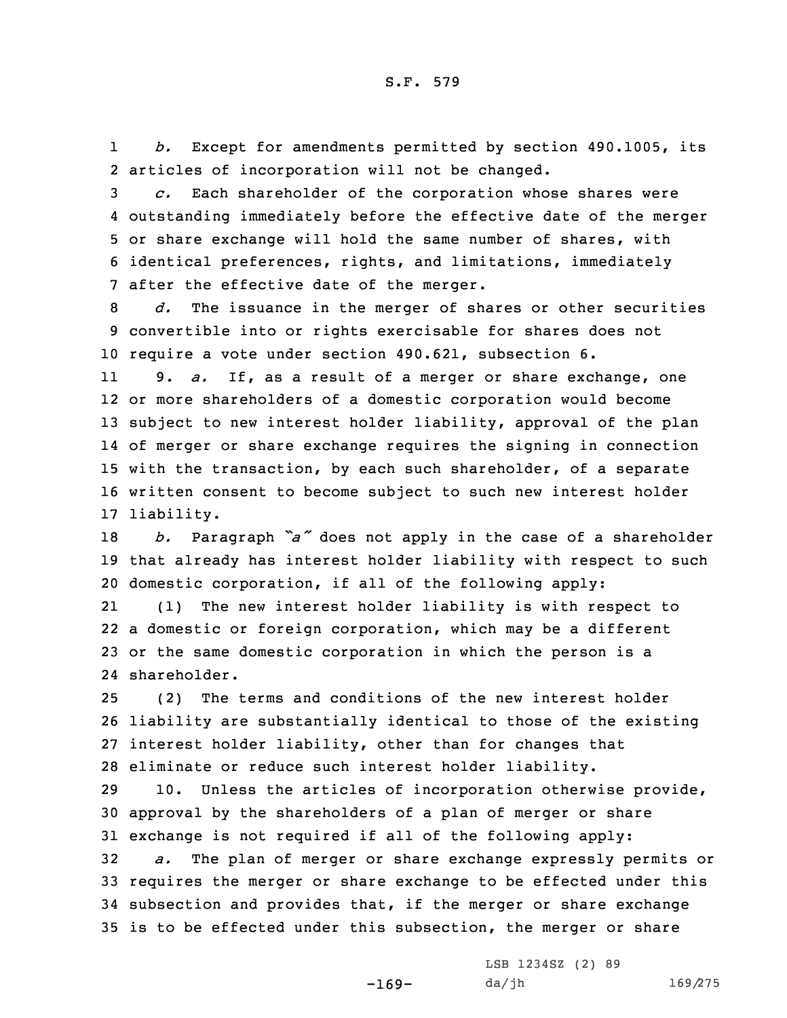S.F. 579

1 *b.* Except for amendments permitted by section 490.1005, its 2 articles of incorporation will not be changed.

 *c.* Each shareholder of the corporation whose shares were outstanding immediately before the effective date of the merger or share exchange will hold the same number of shares, with identical preferences, rights, and limitations, immediately after the effective date of the merger.

8 *d.* The issuance in the merger of shares or other securities 9 convertible into or rights exercisable for shares does not 10 require <sup>a</sup> vote under section 490.621, subsection 6.

11 9. *a.* If, as <sup>a</sup> result of <sup>a</sup> merger or share exchange, one or more shareholders of <sup>a</sup> domestic corporation would become subject to new interest holder liability, approval of the plan of merger or share exchange requires the signing in connection with the transaction, by each such shareholder, of <sup>a</sup> separate written consent to become subject to such new interest holder liability.

<sup>18</sup> *b.* Paragraph *"a"* does not apply in the case of <sup>a</sup> shareholder 19 that already has interest holder liability with respect to such 20 domestic corporation, if all of the following apply:

21 (1) The new interest holder liability is with respect to 22 <sup>a</sup> domestic or foreign corporation, which may be <sup>a</sup> different 23 or the same domestic corporation in which the person is <sup>a</sup> 24 shareholder.

 (2) The terms and conditions of the new interest holder liability are substantially identical to those of the existing interest holder liability, other than for changes that eliminate or reduce such interest holder liability.

29 10. Unless the articles of incorporation otherwise provide, 30 approval by the shareholders of <sup>a</sup> plan of merger or share 31 exchange is not required if all of the following apply:

 *a.* The plan of merger or share exchange expressly permits or requires the merger or share exchange to be effected under this subsection and provides that, if the merger or share exchange is to be effected under this subsection, the merger or share

-169-

LSB 1234SZ (2) 89 da/jh 169/275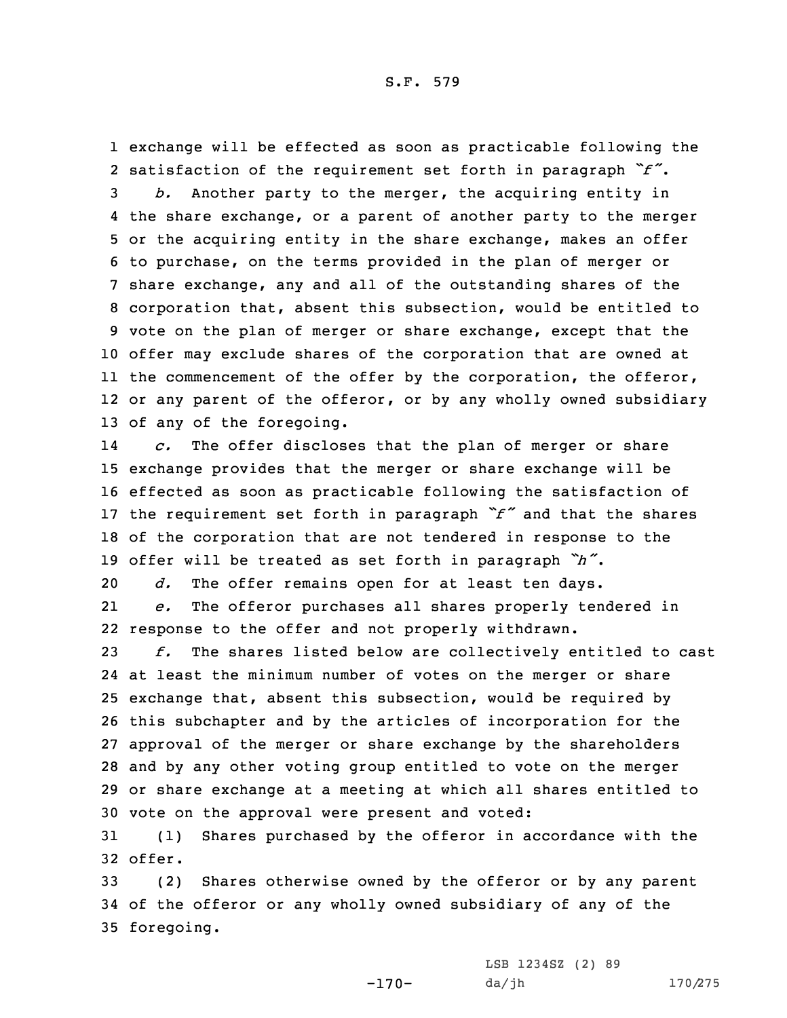exchange will be effected as soon as practicable following the satisfaction of the requirement set forth in paragraph *"f"*. *b.* Another party to the merger, the acquiring entity in the share exchange, or <sup>a</sup> parent of another party to the merger or the acquiring entity in the share exchange, makes an offer to purchase, on the terms provided in the plan of merger or share exchange, any and all of the outstanding shares of the corporation that, absent this subsection, would be entitled to vote on the plan of merger or share exchange, except that the offer may exclude shares of the corporation that are owned at the commencement of the offer by the corporation, the offeror, or any parent of the offeror, or by any wholly owned subsidiary of any of the foregoing.

14 *c.* The offer discloses that the plan of merger or share exchange provides that the merger or share exchange will be effected as soon as practicable following the satisfaction of the requirement set forth in paragraph *"f"* and that the shares of the corporation that are not tendered in response to the offer will be treated as set forth in paragraph *"h"*.

20 *d.* The offer remains open for at least ten days. 21 *e.* The offeror purchases all shares properly tendered in 22 response to the offer and not properly withdrawn.

 *f.* The shares listed below are collectively entitled to cast at least the minimum number of votes on the merger or share exchange that, absent this subsection, would be required by this subchapter and by the articles of incorporation for the approval of the merger or share exchange by the shareholders and by any other voting group entitled to vote on the merger or share exchange at <sup>a</sup> meeting at which all shares entitled to vote on the approval were present and voted:

31 (1) Shares purchased by the offeror in accordance with the 32 offer.

33 (2) Shares otherwise owned by the offeror or by any parent 34 of the offeror or any wholly owned subsidiary of any of the 35 foregoing.

 $-170-$ 

LSB 1234SZ (2) 89 da/jh 170/275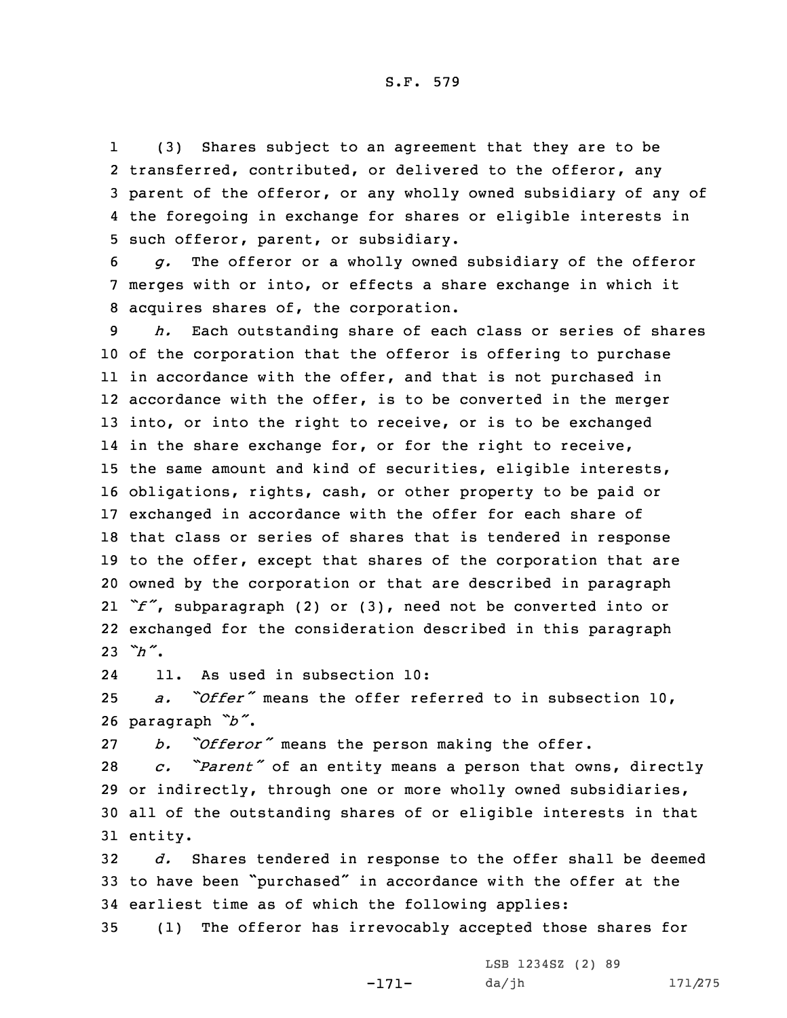S.F. 579

1 (3) Shares subject to an agreement that they are to be 2 transferred, contributed, or delivered to the offeror, any 3 parent of the offeror, or any wholly owned subsidiary of any of 4 the foregoing in exchange for shares or eligible interests in 5 such offeror, parent, or subsidiary.

6 *g.* The offeror or <sup>a</sup> wholly owned subsidiary of the offeror 7 merges with or into, or effects <sup>a</sup> share exchange in which it 8 acquires shares of, the corporation.

 *h.* Each outstanding share of each class or series of shares of the corporation that the offeror is offering to purchase in accordance with the offer, and that is not purchased in 12 accordance with the offer, is to be converted in the merger into, or into the right to receive, or is to be exchanged in the share exchange for, or for the right to receive, the same amount and kind of securities, eligible interests, obligations, rights, cash, or other property to be paid or exchanged in accordance with the offer for each share of that class or series of shares that is tendered in response to the offer, except that shares of the corporation that are owned by the corporation or that are described in paragraph *"f"*, subparagraph (2) or (3), need not be converted into or exchanged for the consideration described in this paragraph  $\frac{m}{2}$ .

2411. As used in subsection 10:

25 *a. "Offer"* means the offer referred to in subsection 10, <sup>26</sup> paragraph *"b"*.

27 *b. "Offeror"* means the person making the offer.

 *c. "Parent"* of an entity means <sup>a</sup> person that owns, directly or indirectly, through one or more wholly owned subsidiaries, all of the outstanding shares of or eligible interests in that 31 entity.

32 *d.* Shares tendered in response to the offer shall be deemed <sup>33</sup> to have been "purchased" in accordance with the offer at the 34 earliest time as of which the following applies:

35 (1) The offeror has irrevocably accepted those shares for

-171-

LSB 1234SZ (2) 89 da/jh 171/275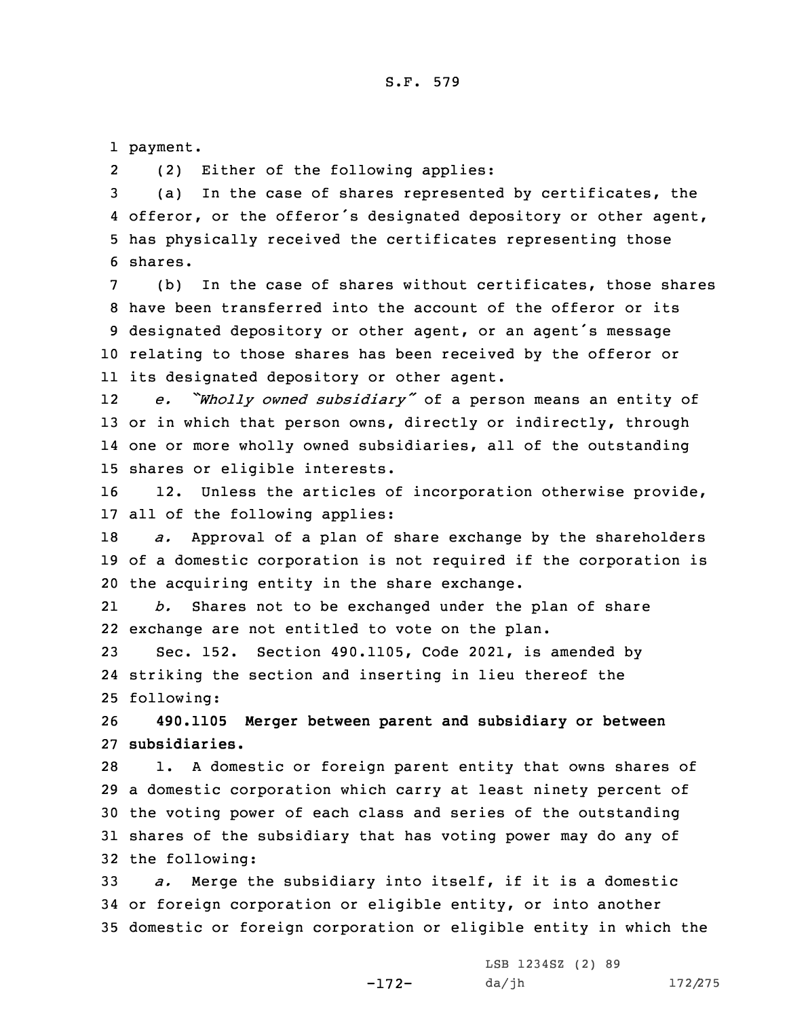1 payment.

2(2) Either of the following applies:

 (a) In the case of shares represented by certificates, the offeror, or the offeror's designated depository or other agent, has physically received the certificates representing those 6 shares.

 (b) In the case of shares without certificates, those shares have been transferred into the account of the offeror or its designated depository or other agent, or an agent's message relating to those shares has been received by the offeror or its designated depository or other agent.

12 *e. "Wholly owned subsidiary"* of <sup>a</sup> person means an entity of 13 or in which that person owns, directly or indirectly, through 14 one or more wholly owned subsidiaries, all of the outstanding 15 shares or eligible interests.

16 12. Unless the articles of incorporation otherwise provide, 17 all of the following applies:

18 *a.* Approval of <sup>a</sup> plan of share exchange by the shareholders 19 of <sup>a</sup> domestic corporation is not required if the corporation is 20 the acquiring entity in the share exchange.

21 *b.* Shares not to be exchanged under the plan of share 22 exchange are not entitled to vote on the plan.

23 Sec. 152. Section 490.1105, Code 2021, is amended by 24 striking the section and inserting in lieu thereof the 25 following:

26 **490.1105 Merger between parent and subsidiary or between** 27 **subsidiaries.**

 1. <sup>A</sup> domestic or foreign parent entity that owns shares of <sup>a</sup> domestic corporation which carry at least ninety percent of the voting power of each class and series of the outstanding shares of the subsidiary that has voting power may do any of the following:

33 *a.* Merge the subsidiary into itself, if it is <sup>a</sup> domestic 34 or foreign corporation or eligible entity, or into another 35 domestic or foreign corporation or eligible entity in which the

-172-

```
LSB 1234SZ (2) 89
da/jh 172/275
```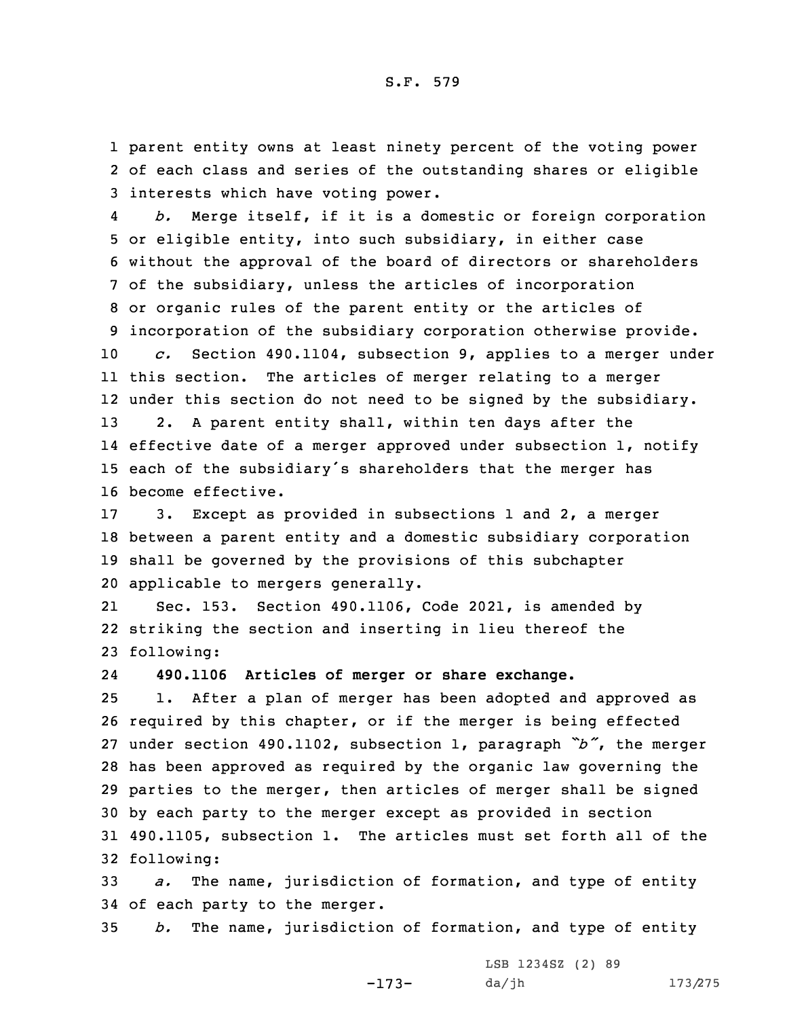1 parent entity owns at least ninety percent of the voting power 2 of each class and series of the outstanding shares or eligible 3 interests which have voting power.

4 *b.* Merge itself, if it is <sup>a</sup> domestic or foreign corporation or eligible entity, into such subsidiary, in either case without the approval of the board of directors or shareholders of the subsidiary, unless the articles of incorporation or organic rules of the parent entity or the articles of incorporation of the subsidiary corporation otherwise provide. *c.* Section 490.1104, subsection 9, applies to <sup>a</sup> merger under this section. The articles of merger relating to <sup>a</sup> merger under this section do not need to be signed by the subsidiary. 2. <sup>A</sup> parent entity shall, within ten days after the effective date of <sup>a</sup> merger approved under subsection 1, notify each of the subsidiary's shareholders that the merger has become effective.

 3. Except as provided in subsections 1 and 2, <sup>a</sup> merger between <sup>a</sup> parent entity and <sup>a</sup> domestic subsidiary corporation shall be governed by the provisions of this subchapter applicable to mergers generally.

21 Sec. 153. Section 490.1106, Code 2021, is amended by 22 striking the section and inserting in lieu thereof the 23 following:

24**490.1106 Articles of merger or share exchange.**

 1. After <sup>a</sup> plan of merger has been adopted and approved as required by this chapter, or if the merger is being effected under section 490.1102, subsection 1, paragraph *"b"*, the merger has been approved as required by the organic law governing the parties to the merger, then articles of merger shall be signed by each party to the merger except as provided in section 490.1105, subsection 1. The articles must set forth all of the following:

33 *a.* The name, jurisdiction of formation, and type of entity 34 of each party to the merger.

35 *b.* The name, jurisdiction of formation, and type of entity

-173-

LSB 1234SZ (2) 89 da/jh 173/275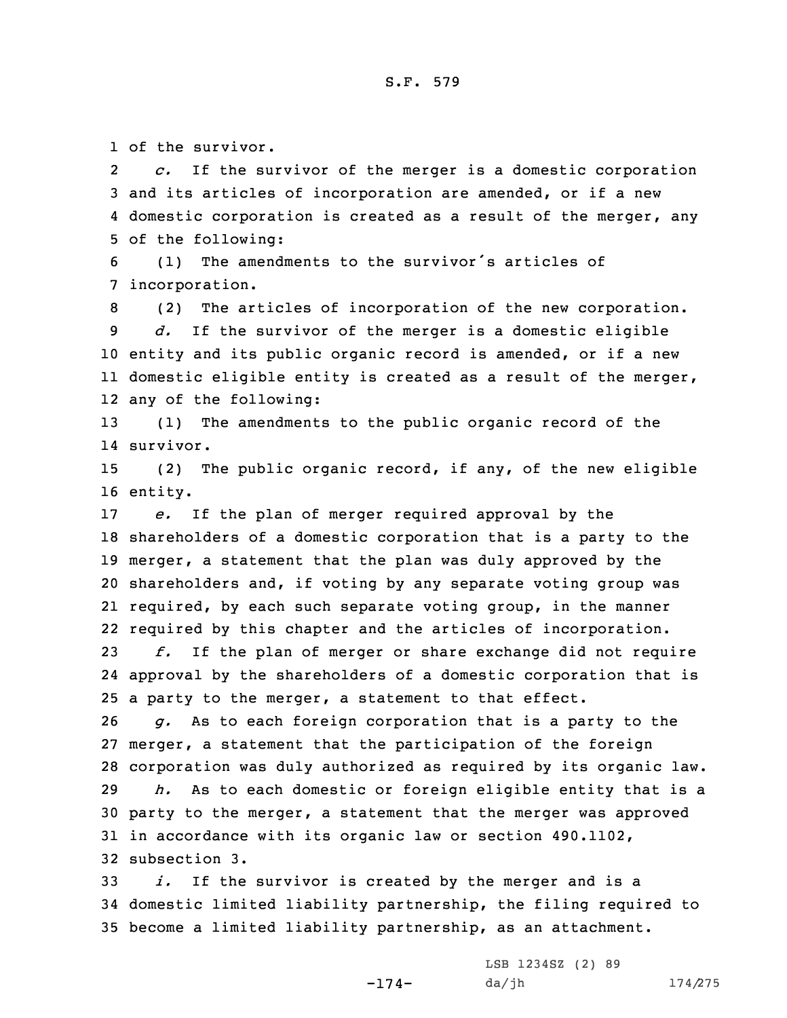1 of the survivor.

2 *c.* If the survivor of the merger is <sup>a</sup> domestic corporation 3 and its articles of incorporation are amended, or if <sup>a</sup> new 4 domestic corporation is created as a result of the merger, any 5 of the following:

<sup>6</sup> (1) The amendments to the survivor's articles of 7 incorporation.

 (2) The articles of incorporation of the new corporation. *d.* If the survivor of the merger is <sup>a</sup> domestic eligible entity and its public organic record is amended, or if <sup>a</sup> new domestic eligible entity is created as <sup>a</sup> result of the merger, any of the following:

13 (1) The amendments to the public organic record of the 14 survivor.

15 (2) The public organic record, if any, of the new eligible 16 entity.

 *e.* If the plan of merger required approval by the shareholders of <sup>a</sup> domestic corporation that is <sup>a</sup> party to the merger, <sup>a</sup> statement that the plan was duly approved by the shareholders and, if voting by any separate voting group was required, by each such separate voting group, in the manner required by this chapter and the articles of incorporation. *f.* If the plan of merger or share exchange did not require

24 approval by the shareholders of <sup>a</sup> domestic corporation that is 25 <sup>a</sup> party to the merger, <sup>a</sup> statement to that effect.

 *g.* As to each foreign corporation that is <sup>a</sup> party to the merger, <sup>a</sup> statement that the participation of the foreign corporation was duly authorized as required by its organic law. *h.* As to each domestic or foreign eligible entity that is <sup>a</sup> party to the merger, <sup>a</sup> statement that the merger was approved in accordance with its organic law or section 490.1102, subsection 3.

33 *i.* If the survivor is created by the merger and is <sup>a</sup> 34 domestic limited liability partnership, the filing required to 35 become <sup>a</sup> limited liability partnership, as an attachment.

> LSB 1234SZ (2) 89 da/jh 174/275

 $-174-$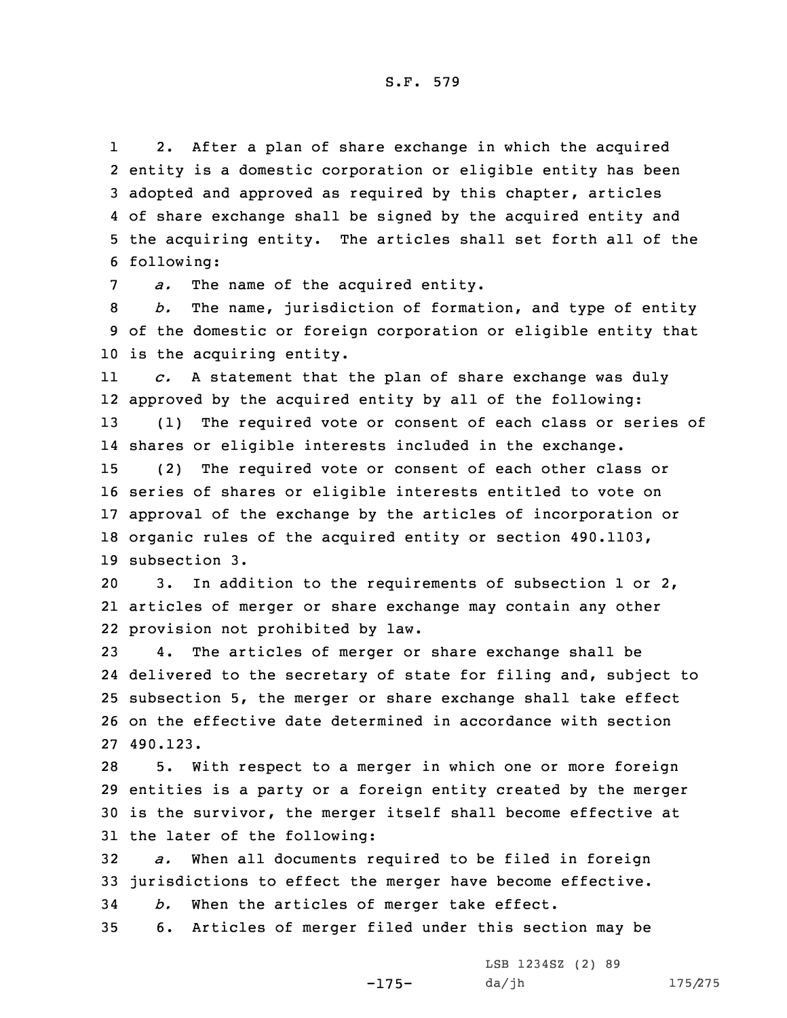S.F. 579

1 2. After <sup>a</sup> plan of share exchange in which the acquired entity is <sup>a</sup> domestic corporation or eligible entity has been adopted and approved as required by this chapter, articles of share exchange shall be signed by the acquired entity and the acquiring entity. The articles shall set forth all of the following:

7 *a.* The name of the acquired entity.

8 *b.* The name, jurisdiction of formation, and type of entity 9 of the domestic or foreign corporation or eligible entity that 10 is the acquiring entity.

11 *c.* <sup>A</sup> statement that the plan of share exchange was duly 12 approved by the acquired entity by all of the following:

13 (1) The required vote or consent of each class or series of 14 shares or eligible interests included in the exchange.

 (2) The required vote or consent of each other class or series of shares or eligible interests entitled to vote on approval of the exchange by the articles of incorporation or organic rules of the acquired entity or section 490.1103, subsection 3.

20 3. In addition to the requirements of subsection 1 or 2, 21 articles of merger or share exchange may contain any other 22 provision not prohibited by law.

 4. The articles of merger or share exchange shall be delivered to the secretary of state for filing and, subject to subsection 5, the merger or share exchange shall take effect on the effective date determined in accordance with section 27 490.123.

 5. With respect to <sup>a</sup> merger in which one or more foreign entities is <sup>a</sup> party or <sup>a</sup> foreign entity created by the merger is the survivor, the merger itself shall become effective at the later of the following:

32 *a.* When all documents required to be filed in foreign 33 jurisdictions to effect the merger have become effective.

34 *b.* When the articles of merger take effect.

35 6. Articles of merger filed under this section may be

-175-

LSB 1234SZ (2) 89 da/jh 175/275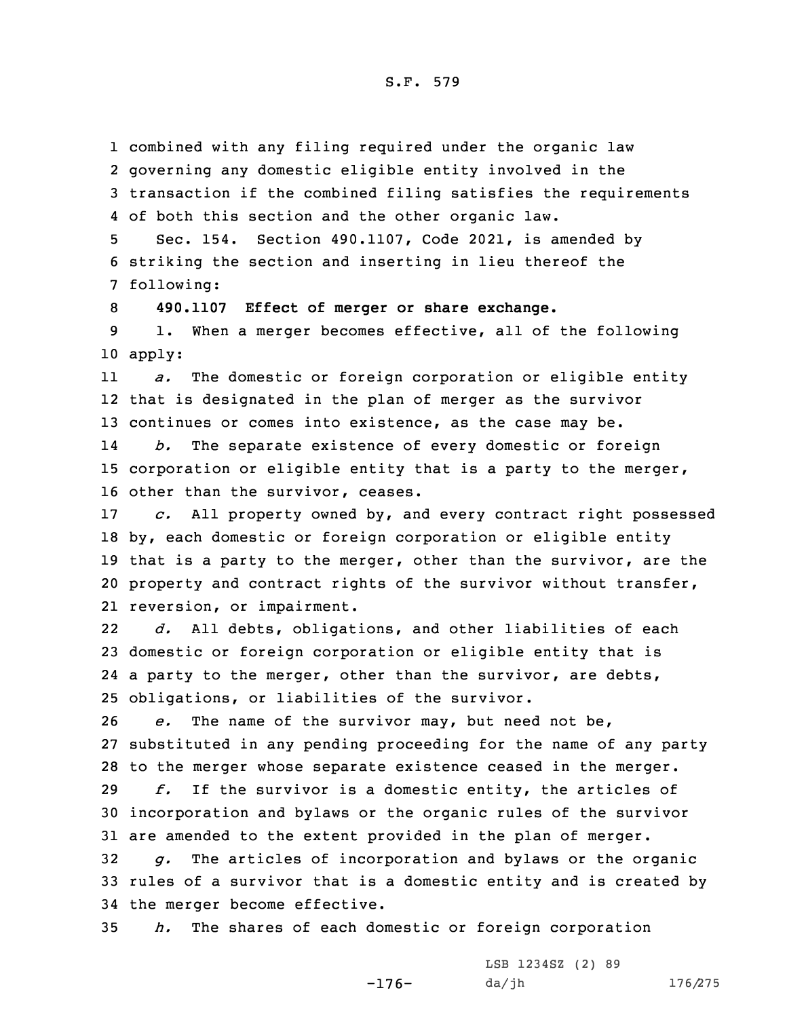combined with any filing required under the organic law governing any domestic eligible entity involved in the transaction if the combined filing satisfies the requirements of both this section and the other organic law.

5 Sec. 154. Section 490.1107, Code 2021, is amended by 6 striking the section and inserting in lieu thereof the 7 following:

8 **490.1107 Effect of merger or share exchange.**

9 1. When <sup>a</sup> merger becomes effective, all of the following 10 apply:

11 *a.* The domestic or foreign corporation or eligible entity 12 that is designated in the plan of merger as the survivor 13 continues or comes into existence, as the case may be.

14 *b.* The separate existence of every domestic or foreign 15 corporation or eligible entity that is <sup>a</sup> party to the merger, 16 other than the survivor, ceases.

 *c.* All property owned by, and every contract right possessed by, each domestic or foreign corporation or eligible entity that is <sup>a</sup> party to the merger, other than the survivor, are the property and contract rights of the survivor without transfer, reversion, or impairment.

22 *d.* All debts, obligations, and other liabilities of each 23 domestic or foreign corporation or eligible entity that is 24 <sup>a</sup> party to the merger, other than the survivor, are debts, 25 obligations, or liabilities of the survivor.

 *e.* The name of the survivor may, but need not be, substituted in any pending proceeding for the name of any party to the merger whose separate existence ceased in the merger. *f.* If the survivor is <sup>a</sup> domestic entity, the articles of incorporation and bylaws or the organic rules of the survivor are amended to the extent provided in the plan of merger.

32 *g.* The articles of incorporation and bylaws or the organic 33 rules of <sup>a</sup> survivor that is <sup>a</sup> domestic entity and is created by 34 the merger become effective.

-176-

35 *h.* The shares of each domestic or foreign corporation

LSB 1234SZ (2) 89 da/jh 176/275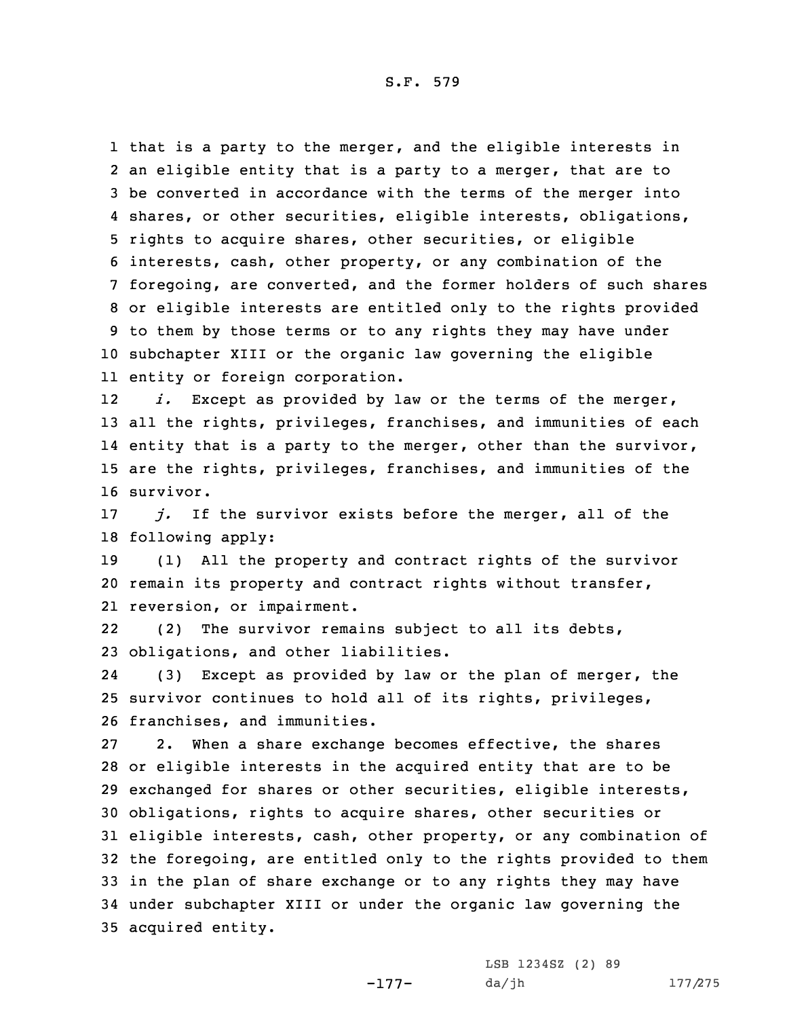that is <sup>a</sup> party to the merger, and the eligible interests in an eligible entity that is <sup>a</sup> party to <sup>a</sup> merger, that are to be converted in accordance with the terms of the merger into shares, or other securities, eligible interests, obligations, rights to acquire shares, other securities, or eligible interests, cash, other property, or any combination of the foregoing, are converted, and the former holders of such shares or eligible interests are entitled only to the rights provided to them by those terms or to any rights they may have under subchapter XIII or the organic law governing the eligible entity or foreign corporation.

12 *i.* Except as provided by law or the terms of the merger, all the rights, privileges, franchises, and immunities of each entity that is <sup>a</sup> party to the merger, other than the survivor, are the rights, privileges, franchises, and immunities of the survivor.

17 *j.* If the survivor exists before the merger, all of the 18 following apply:

19 (1) All the property and contract rights of the survivor 20 remain its property and contract rights without transfer, 21 reversion, or impairment.

22 (2) The survivor remains subject to all its debts, 23 obligations, and other liabilities.

24 (3) Except as provided by law or the plan of merger, the 25 survivor continues to hold all of its rights, privileges, 26 franchises, and immunities.

 2. When <sup>a</sup> share exchange becomes effective, the shares or eligible interests in the acquired entity that are to be exchanged for shares or other securities, eligible interests, obligations, rights to acquire shares, other securities or eligible interests, cash, other property, or any combination of the foregoing, are entitled only to the rights provided to them in the plan of share exchange or to any rights they may have under subchapter XIII or under the organic law governing the acquired entity.

> LSB 1234SZ (2) 89 da/jh 177/275

-177-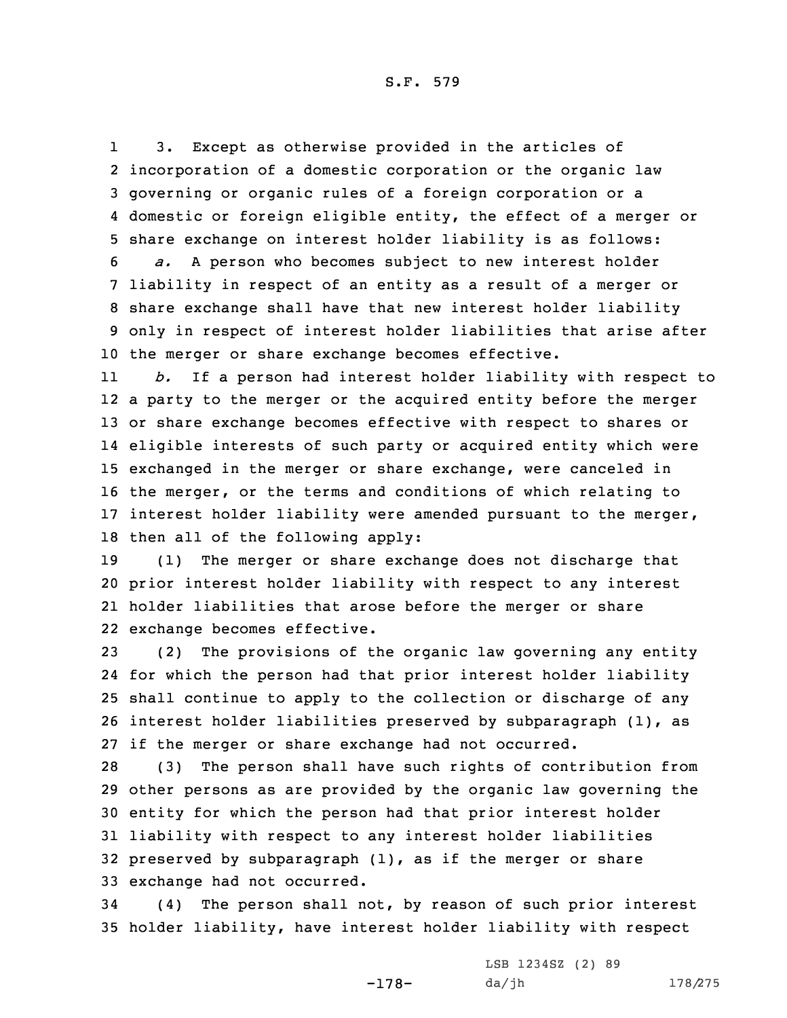S.F. 579

1 3. Except as otherwise provided in the articles of incorporation of <sup>a</sup> domestic corporation or the organic law governing or organic rules of <sup>a</sup> foreign corporation or <sup>a</sup> domestic or foreign eligible entity, the effect of <sup>a</sup> merger or share exchange on interest holder liability is as follows: *a.* <sup>A</sup> person who becomes subject to new interest holder liability in respect of an entity as <sup>a</sup> result of <sup>a</sup> merger or share exchange shall have that new interest holder liability only in respect of interest holder liabilities that arise after the merger or share exchange becomes effective.

11 *b.* If <sup>a</sup> person had interest holder liability with respect to <sup>a</sup> party to the merger or the acquired entity before the merger or share exchange becomes effective with respect to shares or eligible interests of such party or acquired entity which were exchanged in the merger or share exchange, were canceled in the merger, or the terms and conditions of which relating to interest holder liability were amended pursuant to the merger, then all of the following apply:

 (1) The merger or share exchange does not discharge that prior interest holder liability with respect to any interest holder liabilities that arose before the merger or share exchange becomes effective.

 (2) The provisions of the organic law governing any entity for which the person had that prior interest holder liability shall continue to apply to the collection or discharge of any interest holder liabilities preserved by subparagraph (1), as if the merger or share exchange had not occurred.

 (3) The person shall have such rights of contribution from other persons as are provided by the organic law governing the entity for which the person had that prior interest holder liability with respect to any interest holder liabilities preserved by subparagraph (1), as if the merger or share exchange had not occurred.

34 (4) The person shall not, by reason of such prior interest 35 holder liability, have interest holder liability with respect

-178-

LSB 1234SZ (2) 89 da/jh 178/275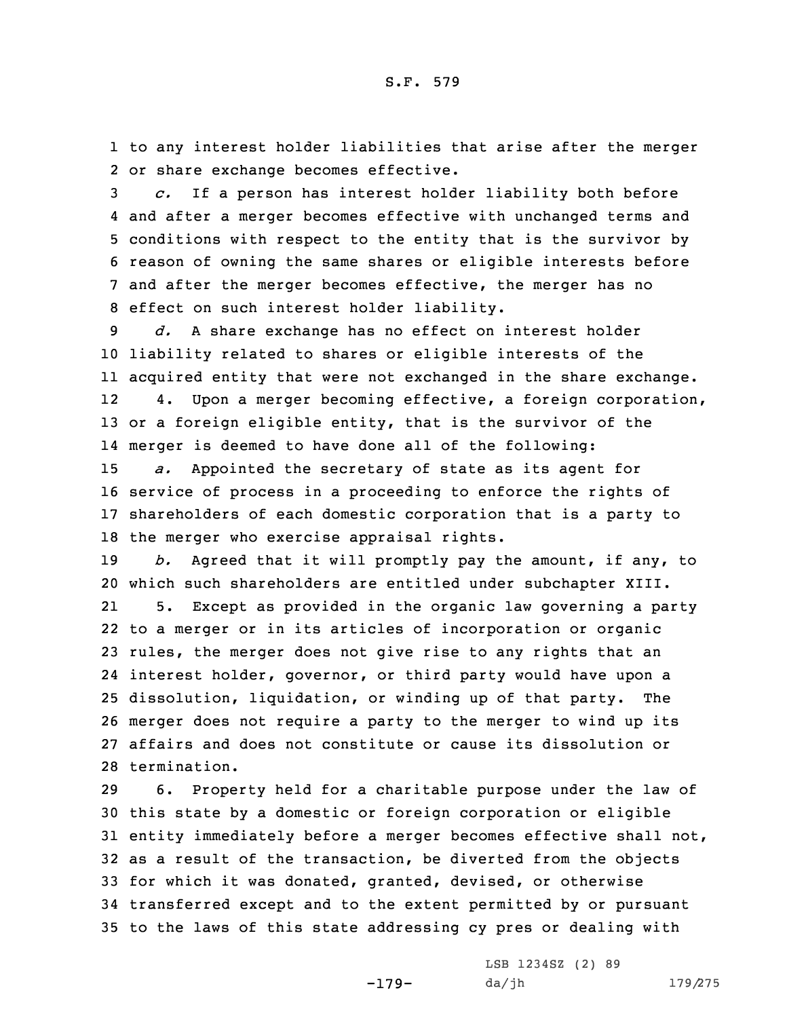1 to any interest holder liabilities that arise after the merger 2 or share exchange becomes effective.

 *c.* If <sup>a</sup> person has interest holder liability both before and after <sup>a</sup> merger becomes effective with unchanged terms and conditions with respect to the entity that is the survivor by reason of owning the same shares or eligible interests before and after the merger becomes effective, the merger has no effect on such interest holder liability.

 *d.* <sup>A</sup> share exchange has no effect on interest holder liability related to shares or eligible interests of the acquired entity that were not exchanged in the share exchange. 12 4. Upon <sup>a</sup> merger becoming effective, <sup>a</sup> foreign corporation, or <sup>a</sup> foreign eligible entity, that is the survivor of the merger is deemed to have done all of the following:

 *a.* Appointed the secretary of state as its agent for service of process in <sup>a</sup> proceeding to enforce the rights of shareholders of each domestic corporation that is <sup>a</sup> party to the merger who exercise appraisal rights.

 *b.* Agreed that it will promptly pay the amount, if any, to which such shareholders are entitled under subchapter XIII. 21 5. Except as provided in the organic law governing <sup>a</sup> party to <sup>a</sup> merger or in its articles of incorporation or organic rules, the merger does not give rise to any rights that an interest holder, governor, or third party would have upon <sup>a</sup> dissolution, liquidation, or winding up of that party. The merger does not require <sup>a</sup> party to the merger to wind up its affairs and does not constitute or cause its dissolution or termination.

 6. Property held for <sup>a</sup> charitable purpose under the law of this state by <sup>a</sup> domestic or foreign corporation or eligible entity immediately before <sup>a</sup> merger becomes effective shall not, as <sup>a</sup> result of the transaction, be diverted from the objects for which it was donated, granted, devised, or otherwise transferred except and to the extent permitted by or pursuant to the laws of this state addressing cy pres or dealing with

-179-

LSB 1234SZ (2) 89 da/jh 179/275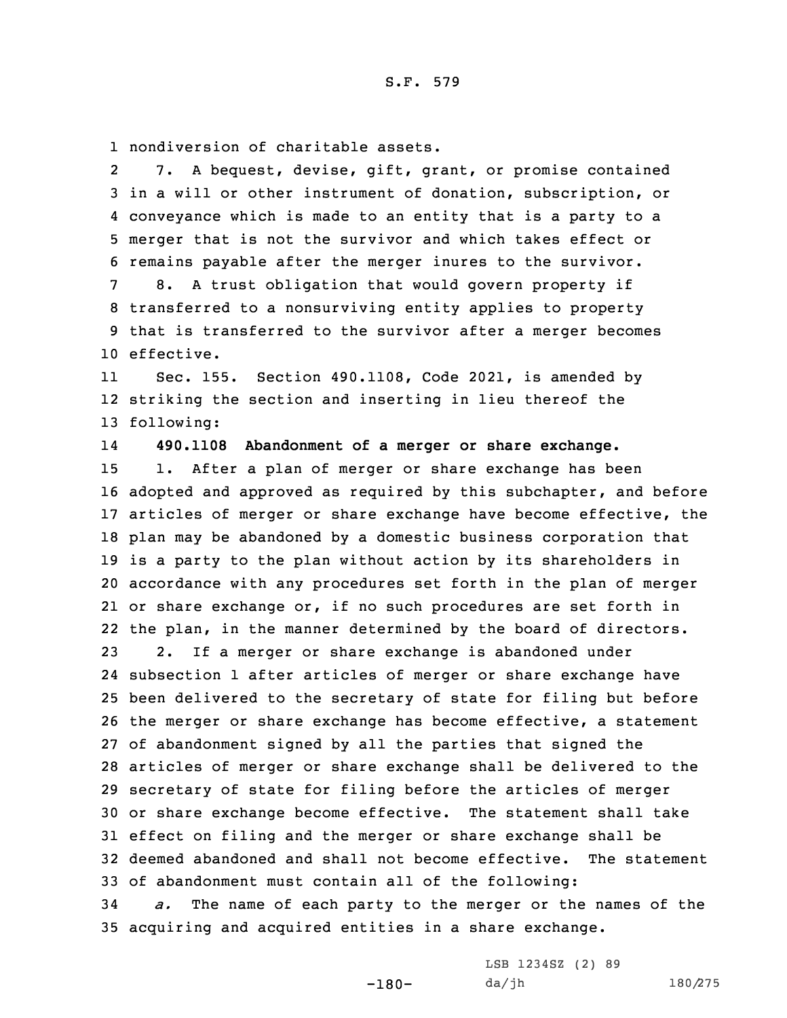1 nondiversion of charitable assets.

2 7. <sup>A</sup> bequest, devise, gift, grant, or promise contained in <sup>a</sup> will or other instrument of donation, subscription, or conveyance which is made to an entity that is <sup>a</sup> party to <sup>a</sup> merger that is not the survivor and which takes effect or remains payable after the merger inures to the survivor.

 8. <sup>A</sup> trust obligation that would govern property if transferred to <sup>a</sup> nonsurviving entity applies to property that is transferred to the survivor after <sup>a</sup> merger becomes effective.

11 Sec. 155. Section 490.1108, Code 2021, is amended by 12 striking the section and inserting in lieu thereof the 13 following:

14 **490.1108 Abandonment of <sup>a</sup> merger or share exchange.** 1. After <sup>a</sup> plan of merger or share exchange has been adopted and approved as required by this subchapter, and before articles of merger or share exchange have become effective, the plan may be abandoned by <sup>a</sup> domestic business corporation that is <sup>a</sup> party to the plan without action by its shareholders in accordance with any procedures set forth in the plan of merger or share exchange or, if no such procedures are set forth in the plan, in the manner determined by the board of directors. 2. If <sup>a</sup> merger or share exchange is abandoned under subsection 1 after articles of merger or share exchange have been delivered to the secretary of state for filing but before the merger or share exchange has become effective, <sup>a</sup> statement of abandonment signed by all the parties that signed the articles of merger or share exchange shall be delivered to the secretary of state for filing before the articles of merger or share exchange become effective. The statement shall take effect on filing and the merger or share exchange shall be deemed abandoned and shall not become effective. The statement of abandonment must contain all of the following: *a.* The name of each party to the merger or the names of the

35 acquiring and acquired entities in <sup>a</sup> share exchange.

-180-

LSB 1234SZ (2) 89 da/jh 180/275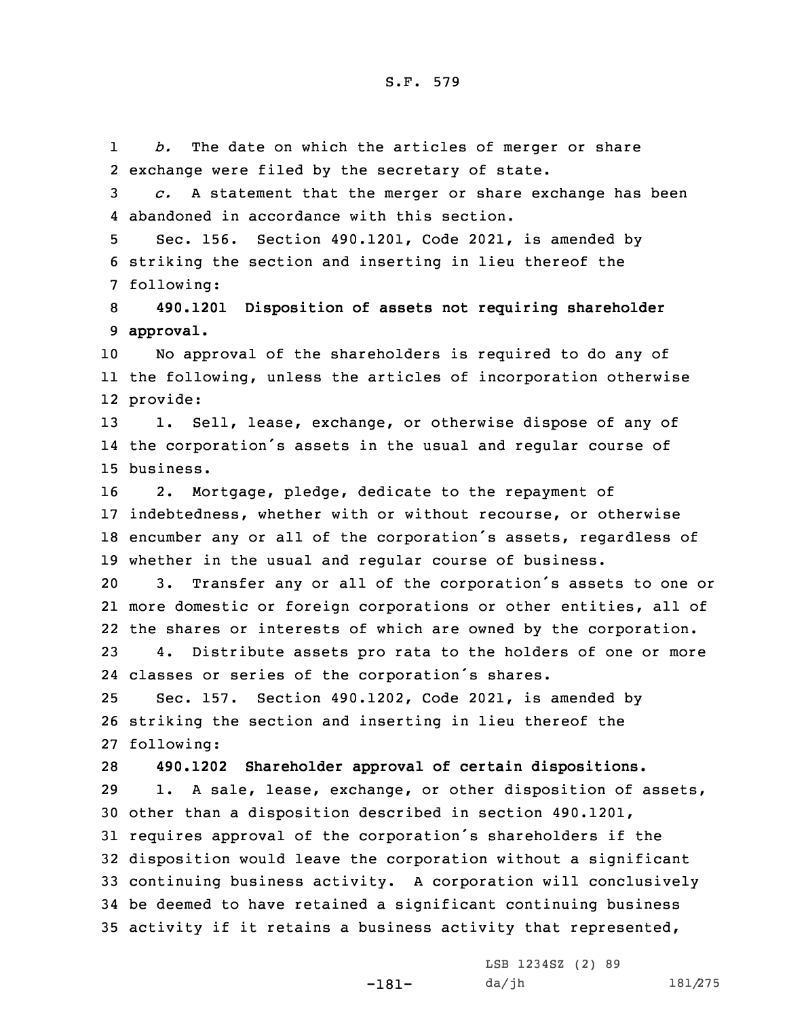1 *b.* The date on which the articles of merger or share 2 exchange were filed by the secretary of state.

3 *c.* <sup>A</sup> statement that the merger or share exchange has been 4 abandoned in accordance with this section.

5 Sec. 156. Section 490.1201, Code 2021, is amended by 6 striking the section and inserting in lieu thereof the 7 following:

8 **490.1201 Disposition of assets not requiring shareholder** 9 **approval.**

10 No approval of the shareholders is required to do any of 11 the following, unless the articles of incorporation otherwise 12 provide:

13 1. Sell, lease, exchange, or otherwise dispose of any of 14 the corporation's assets in the usual and regular course of 15 business.

 2. Mortgage, pledge, dedicate to the repayment of indebtedness, whether with or without recourse, or otherwise encumber any or all of the corporation's assets, regardless of whether in the usual and regular course of business.

<sup>20</sup> 3. Transfer any or all of the corporation's assets to one or 21 more domestic or foreign corporations or other entities, all of 22 the shares or interests of which are owned by the corporation.

23 4. Distribute assets pro rata to the holders of one or more 24 classes or series of the corporation's shares.

25 Sec. 157. Section 490.1202, Code 2021, is amended by 26 striking the section and inserting in lieu thereof the 27 following:

28 **490.1202 Shareholder approval of certain dispositions.**

 1. <sup>A</sup> sale, lease, exchange, or other disposition of assets, other than <sup>a</sup> disposition described in section 490.1201, requires approval of the corporation's shareholders if the disposition would leave the corporation without <sup>a</sup> significant continuing business activity. <sup>A</sup> corporation will conclusively be deemed to have retained <sup>a</sup> significant continuing business activity if it retains <sup>a</sup> business activity that represented,

-181-

LSB 1234SZ (2) 89 da/jh 181/275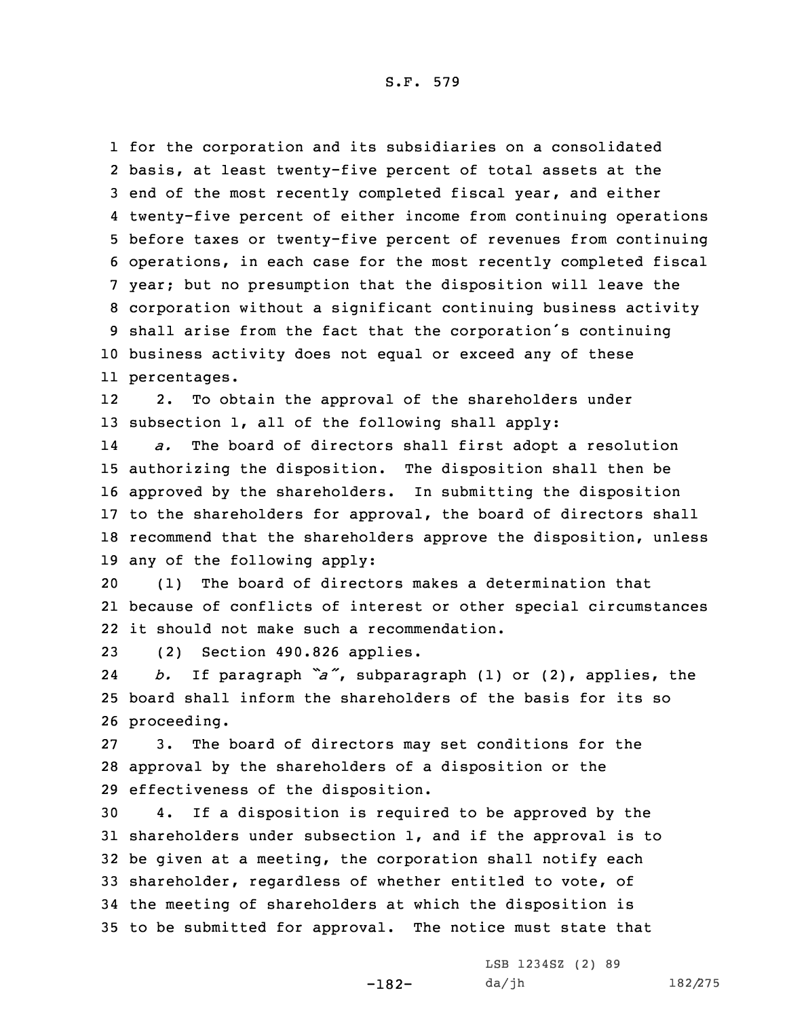for the corporation and its subsidiaries on <sup>a</sup> consolidated basis, at least twenty-five percent of total assets at the end of the most recently completed fiscal year, and either twenty-five percent of either income from continuing operations before taxes or twenty-five percent of revenues from continuing operations, in each case for the most recently completed fiscal year; but no presumption that the disposition will leave the corporation without <sup>a</sup> significant continuing business activity shall arise from the fact that the corporation's continuing business activity does not equal or exceed any of these percentages.

12 2. To obtain the approval of the shareholders under 13 subsection 1, all of the following shall apply:

14 *a.* The board of directors shall first adopt <sup>a</sup> resolution authorizing the disposition. The disposition shall then be approved by the shareholders. In submitting the disposition to the shareholders for approval, the board of directors shall recommend that the shareholders approve the disposition, unless any of the following apply:

20 (1) The board of directors makes <sup>a</sup> determination that 21 because of conflicts of interest or other special circumstances 22 it should not make such <sup>a</sup> recommendation.

23 (2) Section 490.826 applies.

24 *b.* If paragraph *"a"*, subparagraph (1) or (2), applies, the 25 board shall inform the shareholders of the basis for its so 26 proceeding.

27 3. The board of directors may set conditions for the 28 approval by the shareholders of <sup>a</sup> disposition or the 29 effectiveness of the disposition.

 4. If <sup>a</sup> disposition is required to be approved by the shareholders under subsection 1, and if the approval is to be given at <sup>a</sup> meeting, the corporation shall notify each shareholder, regardless of whether entitled to vote, of the meeting of shareholders at which the disposition is to be submitted for approval. The notice must state that

-182-

LSB 1234SZ (2) 89 da/jh 182/275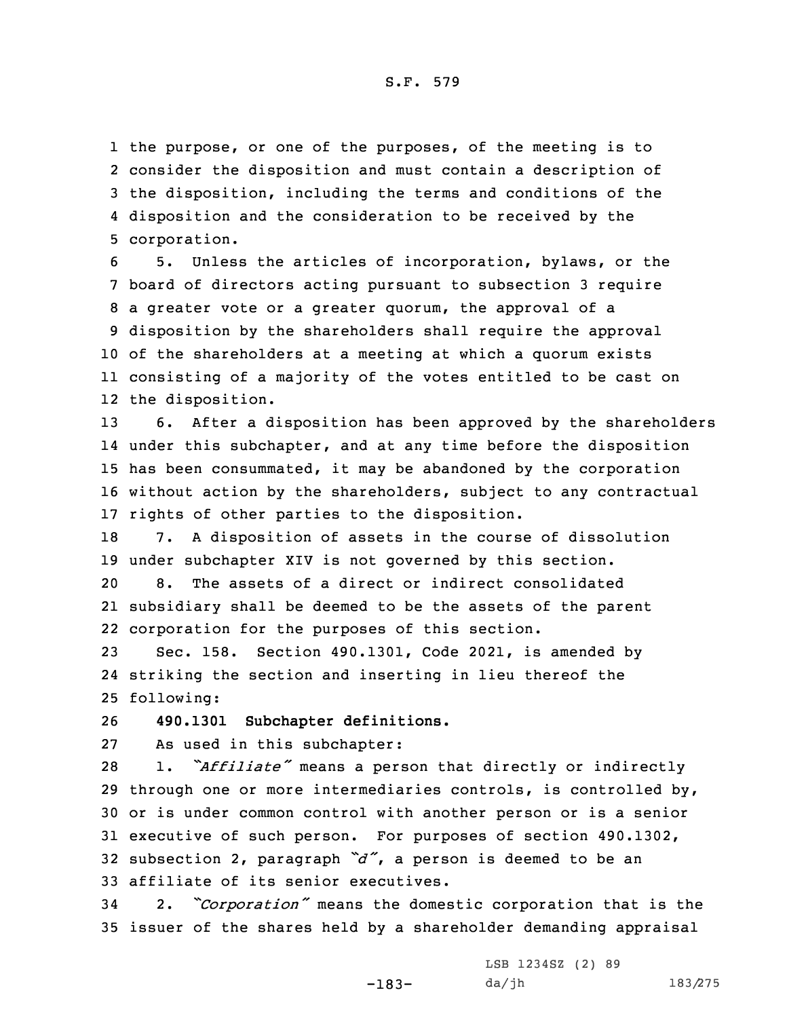the purpose, or one of the purposes, of the meeting is to consider the disposition and must contain <sup>a</sup> description of the disposition, including the terms and conditions of the disposition and the consideration to be received by the corporation.

 5. Unless the articles of incorporation, bylaws, or the board of directors acting pursuant to subsection 3 require <sup>a</sup> greater vote or <sup>a</sup> greater quorum, the approval of <sup>a</sup> disposition by the shareholders shall require the approval of the shareholders at <sup>a</sup> meeting at which <sup>a</sup> quorum exists consisting of <sup>a</sup> majority of the votes entitled to be cast on the disposition.

 6. After <sup>a</sup> disposition has been approved by the shareholders under this subchapter, and at any time before the disposition has been consummated, it may be abandoned by the corporation without action by the shareholders, subject to any contractual rights of other parties to the disposition.

18 7. <sup>A</sup> disposition of assets in the course of dissolution 19 under subchapter XIV is not governed by this section.

20 8. The assets of <sup>a</sup> direct or indirect consolidated 21 subsidiary shall be deemed to be the assets of the parent 22 corporation for the purposes of this section.

23 Sec. 158. Section 490.1301, Code 2021, is amended by 24 striking the section and inserting in lieu thereof the 25 following:

26 **490.1301 Subchapter definitions.**

27 As used in this subchapter:

 1. *"Affiliate"* means <sup>a</sup> person that directly or indirectly through one or more intermediaries controls, is controlled by, or is under common control with another person or is <sup>a</sup> senior executive of such person. For purposes of section 490.1302, subsection 2, paragraph *"d"*, <sup>a</sup> person is deemed to be an affiliate of its senior executives.

<sup>34</sup> 2. *"Corporation"* means the domestic corporation that is the 35 issuer of the shares held by <sup>a</sup> shareholder demanding appraisal

-183-

LSB 1234SZ (2) 89 da/jh 183/275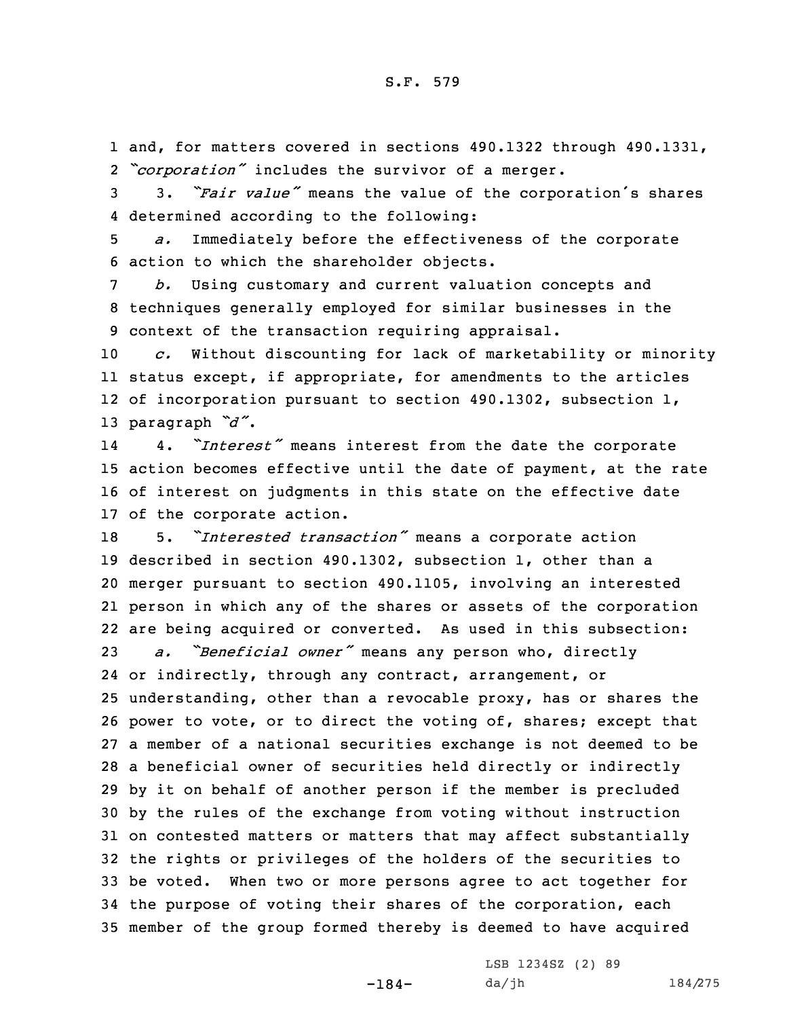1 and, for matters covered in sections 490.1322 through 490.1331, 2 *"corporation"* includes the survivor of <sup>a</sup> merger.

<sup>3</sup> 3. *"Fair value"* means the value of the corporation's shares 4 determined according to the following:

5 *a.* Immediately before the effectiveness of the corporate 6 action to which the shareholder objects.

7 *b.* Using customary and current valuation concepts and 8 techniques generally employed for similar businesses in the 9 context of the transaction requiring appraisal.

 *c.* Without discounting for lack of marketability or minority status except, if appropriate, for amendments to the articles of incorporation pursuant to section 490.1302, subsection 1, paragraph *"d"*.

14 4. *"Interest"* means interest from the date the corporate 15 action becomes effective until the date of payment, at the rate 16 of interest on judgments in this state on the effective date 17 of the corporate action.

 5. *"Interested transaction"* means <sup>a</sup> corporate action described in section 490.1302, subsection 1, other than <sup>a</sup> merger pursuant to section 490.1105, involving an interested person in which any of the shares or assets of the corporation are being acquired or converted. As used in this subsection:

 *a. "Beneficial owner"* means any person who, directly or indirectly, through any contract, arrangement, or understanding, other than <sup>a</sup> revocable proxy, has or shares the power to vote, or to direct the voting of, shares; except that <sup>a</sup> member of <sup>a</sup> national securities exchange is not deemed to be <sup>a</sup> beneficial owner of securities held directly or indirectly by it on behalf of another person if the member is precluded by the rules of the exchange from voting without instruction on contested matters or matters that may affect substantially the rights or privileges of the holders of the securities to be voted. When two or more persons agree to act together for the purpose of voting their shares of the corporation, each member of the group formed thereby is deemed to have acquired

-184-

LSB 1234SZ (2) 89 da/jh 184/275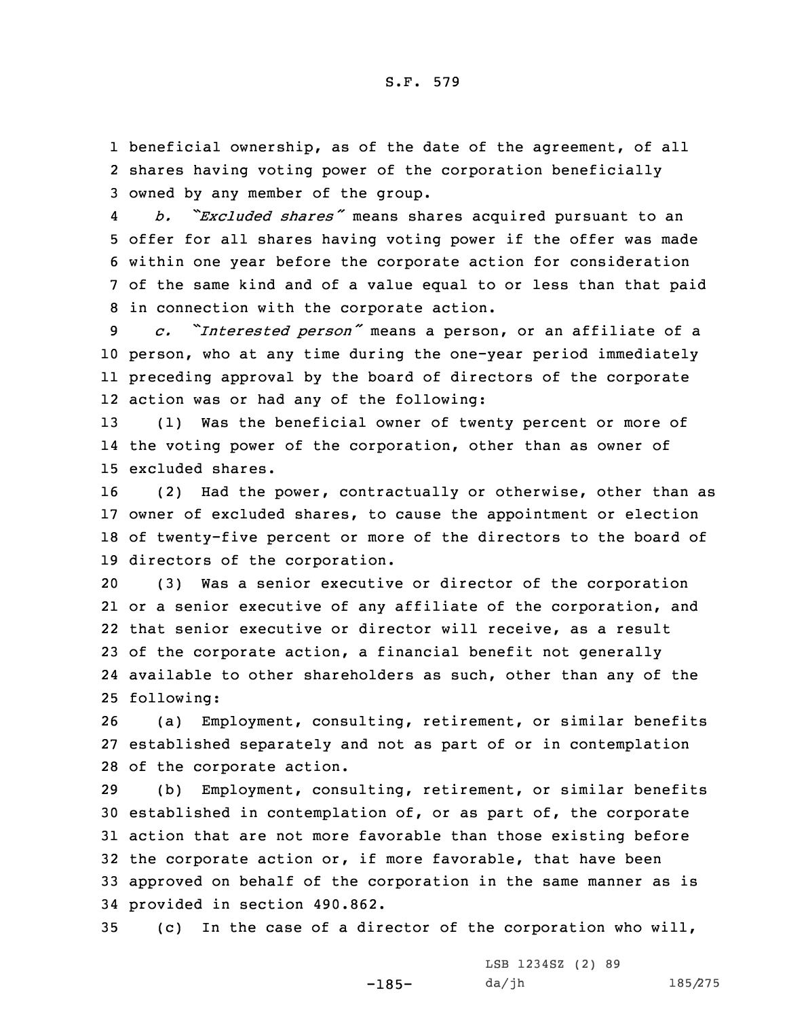1 beneficial ownership, as of the date of the agreement, of all 2 shares having voting power of the corporation beneficially 3 owned by any member of the group.

4 *b. "Excluded shares"* means shares acquired pursuant to an offer for all shares having voting power if the offer was made within one year before the corporate action for consideration of the same kind and of <sup>a</sup> value equal to or less than that paid in connection with the corporate action.

 *c. "Interested person"* means <sup>a</sup> person, or an affiliate of <sup>a</sup> person, who at any time during the one-year period immediately preceding approval by the board of directors of the corporate action was or had any of the following:

13 (1) Was the beneficial owner of twenty percent or more of 14 the voting power of the corporation, other than as owner of 15 excluded shares.

 (2) Had the power, contractually or otherwise, other than as owner of excluded shares, to cause the appointment or election of twenty-five percent or more of the directors to the board of directors of the corporation.

 (3) Was <sup>a</sup> senior executive or director of the corporation or <sup>a</sup> senior executive of any affiliate of the corporation, and that senior executive or director will receive, as <sup>a</sup> result of the corporate action, <sup>a</sup> financial benefit not generally available to other shareholders as such, other than any of the following:

26 (a) Employment, consulting, retirement, or similar benefits 27 established separately and not as part of or in contemplation 28 of the corporate action.

 (b) Employment, consulting, retirement, or similar benefits established in contemplation of, or as part of, the corporate action that are not more favorable than those existing before the corporate action or, if more favorable, that have been approved on behalf of the corporation in the same manner as is provided in section 490.862.

35 (c) In the case of <sup>a</sup> director of the corporation who will,

-185-

LSB 1234SZ (2) 89 da/jh 185/275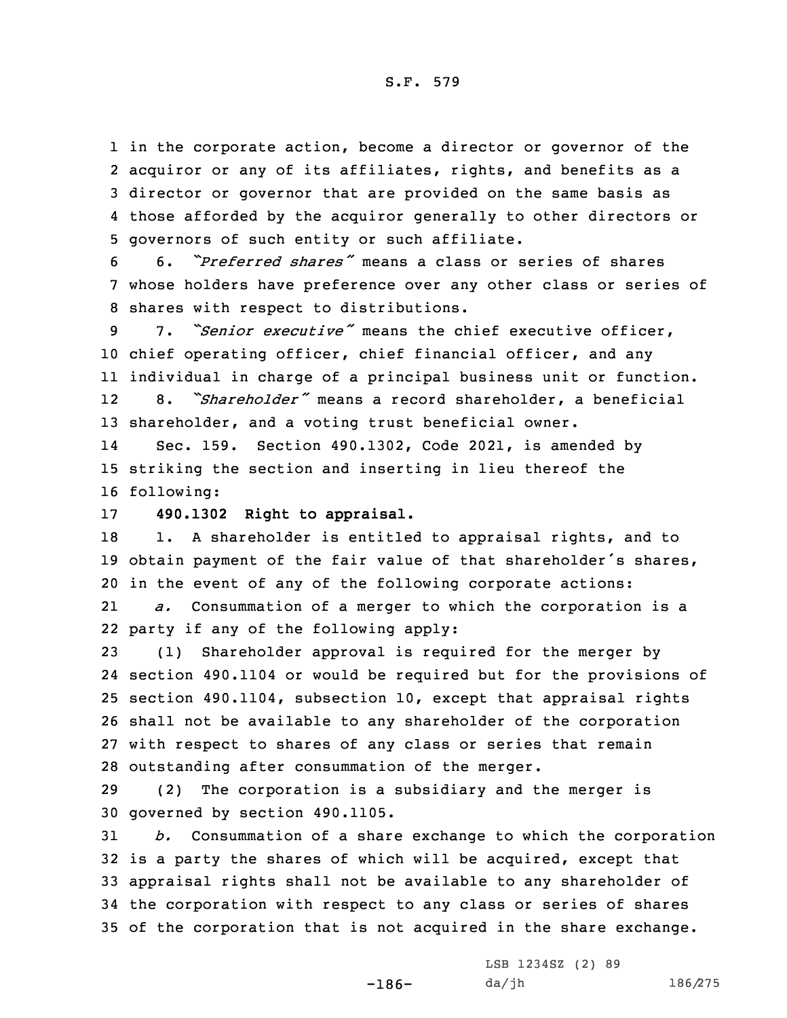in the corporate action, become <sup>a</sup> director or governor of the acquiror or any of its affiliates, rights, and benefits as <sup>a</sup> director or governor that are provided on the same basis as those afforded by the acquiror generally to other directors or governors of such entity or such affiliate.

6 6. *"Preferred shares"* means <sup>a</sup> class or series of shares 7 whose holders have preference over any other class or series of 8 shares with respect to distributions.

9 7. *"Senior executive"* means the chief executive officer, 10 chief operating officer, chief financial officer, and any 11 individual in charge of <sup>a</sup> principal business unit or function. 128. *"Shareholder"* means <sup>a</sup> record shareholder, <sup>a</sup> beneficial

13 shareholder, and <sup>a</sup> voting trust beneficial owner.

14 Sec. 159. Section 490.1302, Code 2021, is amended by 15 striking the section and inserting in lieu thereof the 16 following:

17 **490.1302 Right to appraisal.**

18 1. A shareholder is entitled to appraisal rights, and to 19 obtain payment of the fair value of that shareholder's shares, 20 in the event of any of the following corporate actions: 21*a.* Consummation of <sup>a</sup> merger to which the corporation is <sup>a</sup>

22 party if any of the following apply:

 (1) Shareholder approval is required for the merger by section 490.1104 or would be required but for the provisions of section 490.1104, subsection 10, except that appraisal rights shall not be available to any shareholder of the corporation with respect to shares of any class or series that remain outstanding after consummation of the merger.

29 (2) The corporation is <sup>a</sup> subsidiary and the merger is 30 governed by section 490.1105.

 *b.* Consummation of <sup>a</sup> share exchange to which the corporation is <sup>a</sup> party the shares of which will be acquired, except that appraisal rights shall not be available to any shareholder of the corporation with respect to any class or series of shares of the corporation that is not acquired in the share exchange.

-186-

LSB 1234SZ (2) 89 da/jh 186/275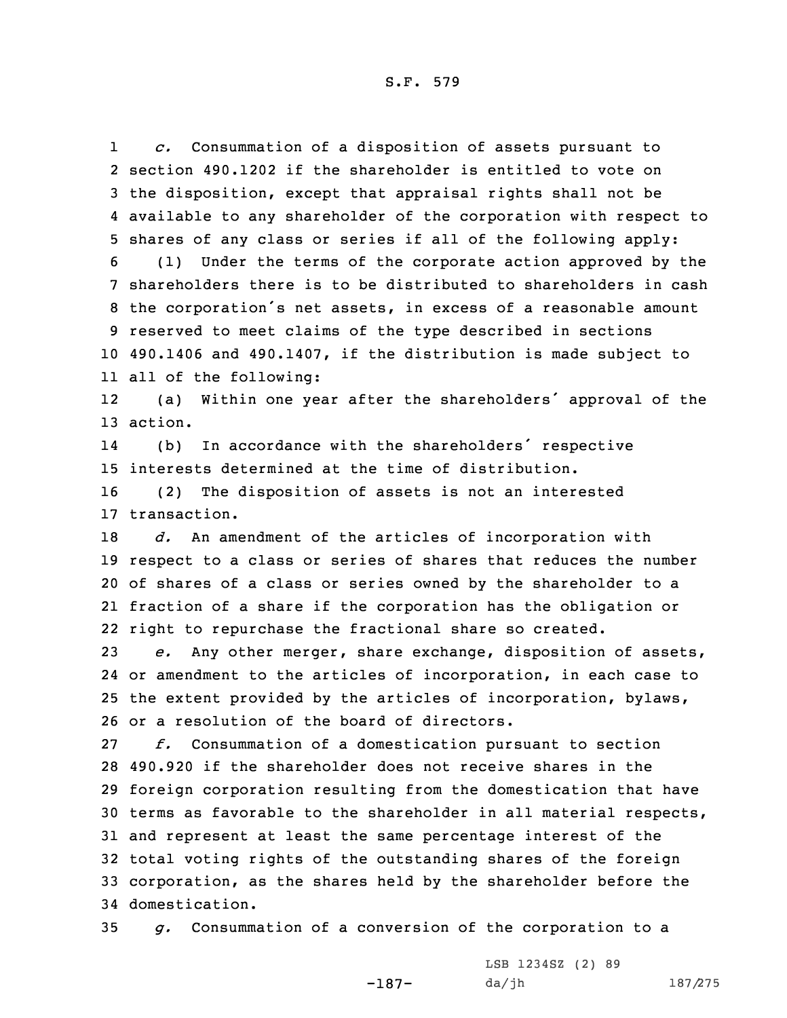1 *c.* Consummation of <sup>a</sup> disposition of assets pursuant to section 490.1202 if the shareholder is entitled to vote on the disposition, except that appraisal rights shall not be available to any shareholder of the corporation with respect to shares of any class or series if all of the following apply: (1) Under the terms of the corporate action approved by the shareholders there is to be distributed to shareholders in cash the corporation's net assets, in excess of <sup>a</sup> reasonable amount reserved to meet claims of the type described in sections 490.1406 and 490.1407, if the distribution is made subject to all of the following:

12 (a) Within one year after the shareholders' approval of the 13 action.

14 (b) In accordance with the shareholders' respective 15 interests determined at the time of distribution.

16 (2) The disposition of assets is not an interested 17 transaction.

 *d.* An amendment of the articles of incorporation with respect to <sup>a</sup> class or series of shares that reduces the number of shares of <sup>a</sup> class or series owned by the shareholder to <sup>a</sup> fraction of <sup>a</sup> share if the corporation has the obligation or right to repurchase the fractional share so created.

 *e.* Any other merger, share exchange, disposition of assets, or amendment to the articles of incorporation, in each case to the extent provided by the articles of incorporation, bylaws, or <sup>a</sup> resolution of the board of directors.

 *f.* Consummation of <sup>a</sup> domestication pursuant to section 490.920 if the shareholder does not receive shares in the foreign corporation resulting from the domestication that have terms as favorable to the shareholder in all material respects, and represent at least the same percentage interest of the total voting rights of the outstanding shares of the foreign corporation, as the shares held by the shareholder before the domestication.

35 *g.* Consummation of <sup>a</sup> conversion of the corporation to <sup>a</sup>

-187-

LSB 1234SZ (2) 89 da/jh 187/275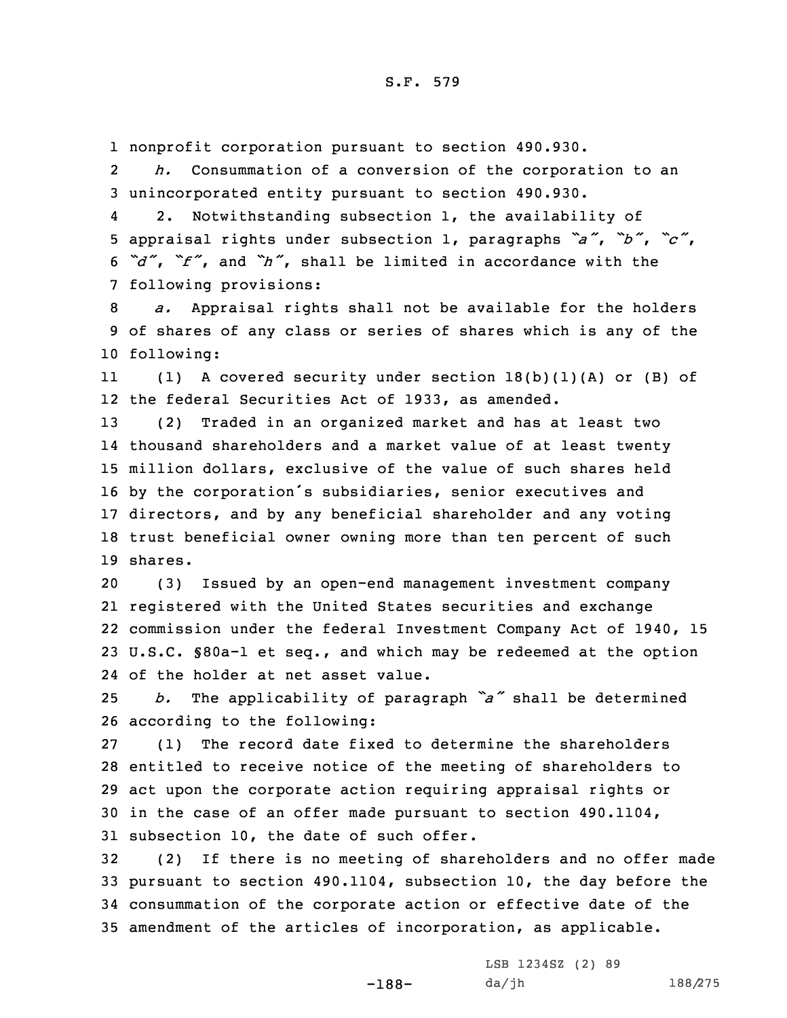1 nonprofit corporation pursuant to section 490.930.

2 *h.* Consummation of <sup>a</sup> conversion of the corporation to an 3 unincorporated entity pursuant to section 490.930.

4 2. Notwithstanding subsection 1, the availability of <sup>5</sup> appraisal rights under subsection 1, paragraphs *"a"*, *"b"*, *"c"*, 6 *"d"*, *"f"*, and *"h"*, shall be limited in accordance with the 7 following provisions:

8 *a.* Appraisal rights shall not be available for the holders 9 of shares of any class or series of shares which is any of the 10 following:

11 (1) <sup>A</sup> covered security under section 18(b)(1)(A) or (B) of 12 the federal Securities Act of 1933, as amended.

 (2) Traded in an organized market and has at least two thousand shareholders and <sup>a</sup> market value of at least twenty million dollars, exclusive of the value of such shares held by the corporation's subsidiaries, senior executives and directors, and by any beneficial shareholder and any voting trust beneficial owner owning more than ten percent of such 19 shares.

 (3) Issued by an open-end management investment company registered with the United States securities and exchange commission under the federal Investment Company Act of 1940, 15 U.S.C. §80a-1 et seq., and which may be redeemed at the option of the holder at net asset value.

<sup>25</sup> *b.* The applicability of paragraph *"a"* shall be determined 26 according to the following:

 (1) The record date fixed to determine the shareholders entitled to receive notice of the meeting of shareholders to act upon the corporate action requiring appraisal rights or in the case of an offer made pursuant to section 490.1104, subsection 10, the date of such offer.

 (2) If there is no meeting of shareholders and no offer made pursuant to section 490.1104, subsection 10, the day before the consummation of the corporate action or effective date of the amendment of the articles of incorporation, as applicable.

-188-

LSB 1234SZ (2) 89 da/jh 188/275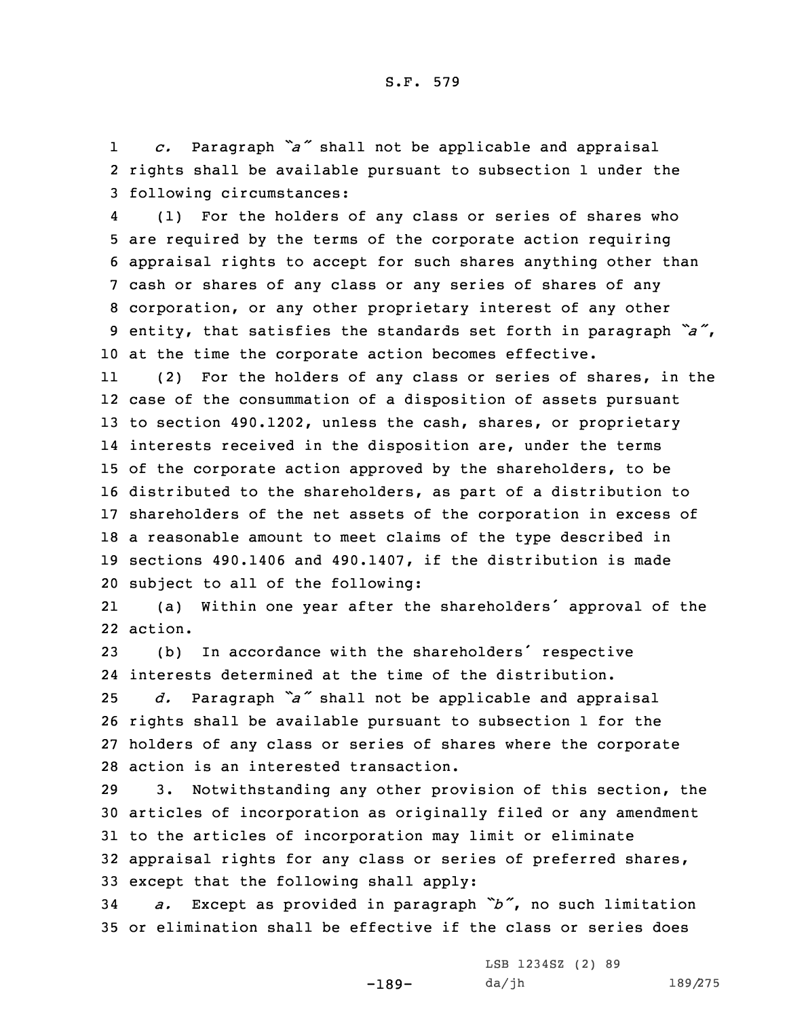1 *c.* Paragraph *"a"* shall not be applicable and appraisal 2 rights shall be available pursuant to subsection 1 under the 3 following circumstances:

4 (1) For the holders of any class or series of shares who are required by the terms of the corporate action requiring appraisal rights to accept for such shares anything other than cash or shares of any class or any series of shares of any corporation, or any other proprietary interest of any other entity, that satisfies the standards set forth in paragraph *"a"*, at the time the corporate action becomes effective.

11 (2) For the holders of any class or series of shares, in the case of the consummation of <sup>a</sup> disposition of assets pursuant to section 490.1202, unless the cash, shares, or proprietary interests received in the disposition are, under the terms of the corporate action approved by the shareholders, to be distributed to the shareholders, as part of <sup>a</sup> distribution to shareholders of the net assets of the corporation in excess of <sup>a</sup> reasonable amount to meet claims of the type described in sections 490.1406 and 490.1407, if the distribution is made subject to all of the following:

21 (a) Within one year after the shareholders' approval of the 22 action.

<sup>23</sup> (b) In accordance with the shareholders' respective 24 interests determined at the time of the distribution.

 *d.* Paragraph *"a"* shall not be applicable and appraisal rights shall be available pursuant to subsection 1 for the holders of any class or series of shares where the corporate action is an interested transaction.

 3. Notwithstanding any other provision of this section, the articles of incorporation as originally filed or any amendment to the articles of incorporation may limit or eliminate appraisal rights for any class or series of preferred shares, except that the following shall apply:

<sup>34</sup> *a.* Except as provided in paragraph *"b"*, no such limitation 35 or elimination shall be effective if the class or series does

-189-

LSB 1234SZ (2) 89 da/jh 189/275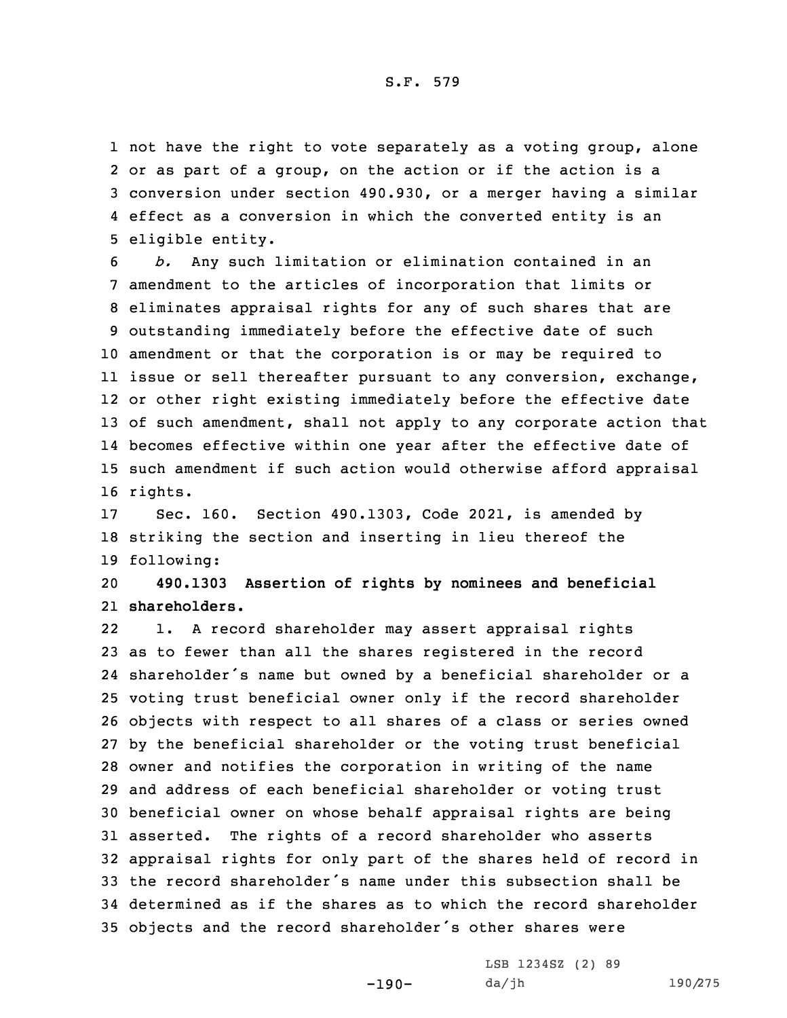not have the right to vote separately as <sup>a</sup> voting group, alone or as part of <sup>a</sup> group, on the action or if the action is <sup>a</sup> conversion under section 490.930, or <sup>a</sup> merger having <sup>a</sup> similar effect as <sup>a</sup> conversion in which the converted entity is an eligible entity.

 *b.* Any such limitation or elimination contained in an amendment to the articles of incorporation that limits or eliminates appraisal rights for any of such shares that are outstanding immediately before the effective date of such amendment or that the corporation is or may be required to issue or sell thereafter pursuant to any conversion, exchange, or other right existing immediately before the effective date of such amendment, shall not apply to any corporate action that becomes effective within one year after the effective date of such amendment if such action would otherwise afford appraisal 16 rights.

17 Sec. 160. Section 490.1303, Code 2021, is amended by 18 striking the section and inserting in lieu thereof the 19 following:

20 **490.1303 Assertion of rights by nominees and beneficial** 21 **shareholders.**

22 1. <sup>A</sup> record shareholder may assert appraisal rights as to fewer than all the shares registered in the record shareholder's name but owned by <sup>a</sup> beneficial shareholder or <sup>a</sup> voting trust beneficial owner only if the record shareholder objects with respect to all shares of <sup>a</sup> class or series owned by the beneficial shareholder or the voting trust beneficial owner and notifies the corporation in writing of the name and address of each beneficial shareholder or voting trust beneficial owner on whose behalf appraisal rights are being asserted. The rights of <sup>a</sup> record shareholder who asserts appraisal rights for only part of the shares held of record in the record shareholder's name under this subsection shall be determined as if the shares as to which the record shareholder objects and the record shareholder's other shares were

-190-

LSB 1234SZ (2) 89 da/jh 190/275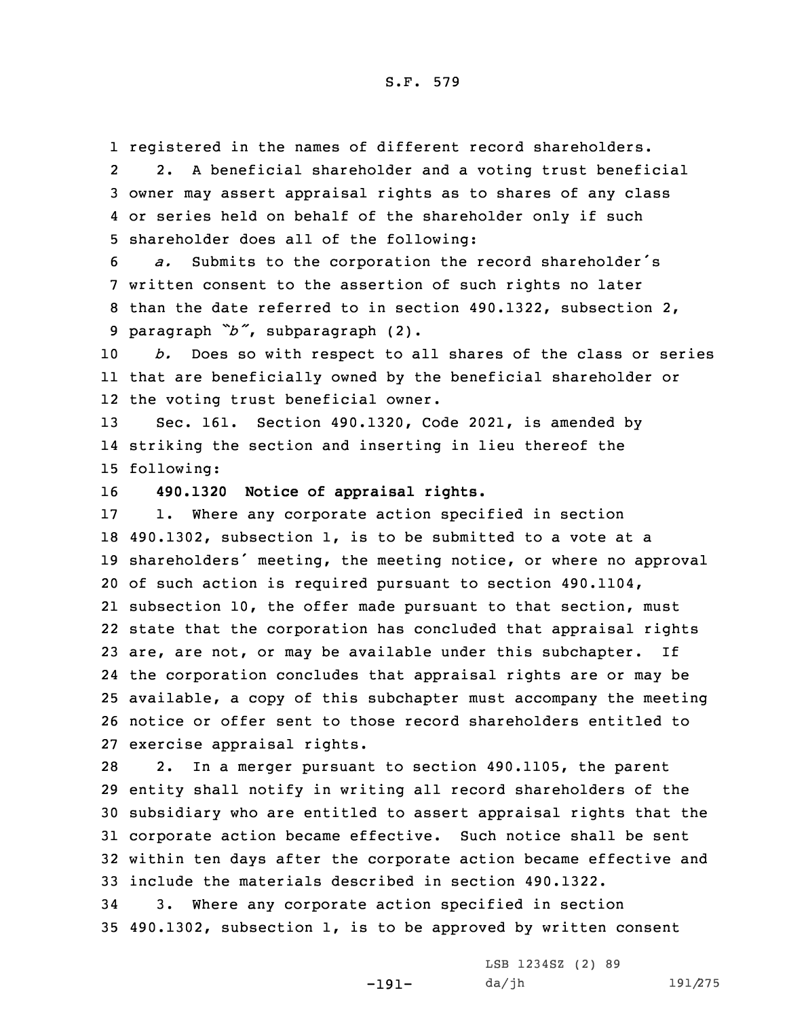1 registered in the names of different record shareholders.

2 2. <sup>A</sup> beneficial shareholder and <sup>a</sup> voting trust beneficial 3 owner may assert appraisal rights as to shares of any class 4 or series held on behalf of the shareholder only if such 5 shareholder does all of the following:

 *a.* Submits to the corporation the record shareholder's written consent to the assertion of such rights no later than the date referred to in section 490.1322, subsection 2, paragraph *"b"*, subparagraph (2).

10 *b.* Does so with respect to all shares of the class or series 11 that are beneficially owned by the beneficial shareholder or 12 the voting trust beneficial owner.

13 Sec. 161. Section 490.1320, Code 2021, is amended by 14 striking the section and inserting in lieu thereof the 15 following:

16 **490.1320 Notice of appraisal rights.**

 1. Where any corporate action specified in section 490.1302, subsection 1, is to be submitted to <sup>a</sup> vote at <sup>a</sup> shareholders' meeting, the meeting notice, or where no approval of such action is required pursuant to section 490.1104, subsection 10, the offer made pursuant to that section, must state that the corporation has concluded that appraisal rights are, are not, or may be available under this subchapter. If the corporation concludes that appraisal rights are or may be available, <sup>a</sup> copy of this subchapter must accompany the meeting notice or offer sent to those record shareholders entitled to exercise appraisal rights.

 2. In <sup>a</sup> merger pursuant to section 490.1105, the parent entity shall notify in writing all record shareholders of the subsidiary who are entitled to assert appraisal rights that the corporate action became effective. Such notice shall be sent within ten days after the corporate action became effective and include the materials described in section 490.1322.

34 3. Where any corporate action specified in section 35 490.1302, subsection 1, is to be approved by written consent

-191-

LSB 1234SZ (2) 89 da/jh 191/275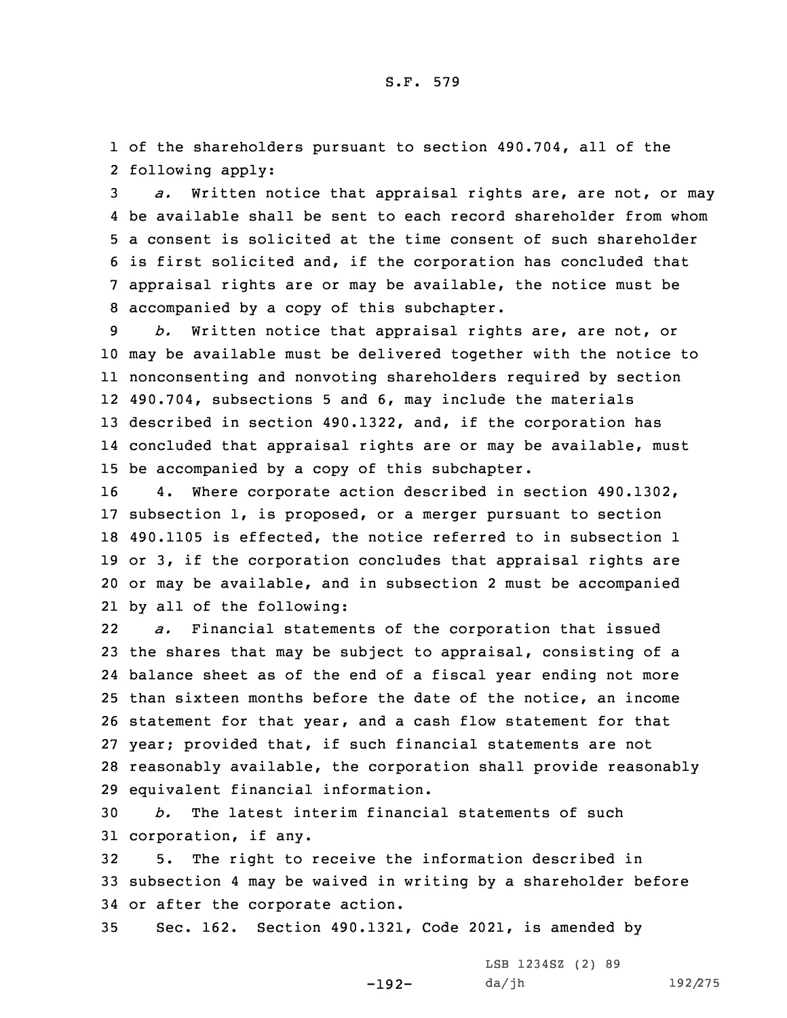1 of the shareholders pursuant to section 490.704, all of the 2 following apply:

 *a.* Written notice that appraisal rights are, are not, or may be available shall be sent to each record shareholder from whom <sup>a</sup> consent is solicited at the time consent of such shareholder is first solicited and, if the corporation has concluded that appraisal rights are or may be available, the notice must be accompanied by <sup>a</sup> copy of this subchapter.

 *b.* Written notice that appraisal rights are, are not, or may be available must be delivered together with the notice to nonconsenting and nonvoting shareholders required by section 490.704, subsections 5 and 6, may include the materials described in section 490.1322, and, if the corporation has concluded that appraisal rights are or may be available, must be accompanied by <sup>a</sup> copy of this subchapter.

 4. Where corporate action described in section 490.1302, subsection 1, is proposed, or <sup>a</sup> merger pursuant to section 490.1105 is effected, the notice referred to in subsection 1 or 3, if the corporation concludes that appraisal rights are or may be available, and in subsection 2 must be accompanied by all of the following:

22 *a.* Financial statements of the corporation that issued the shares that may be subject to appraisal, consisting of <sup>a</sup> balance sheet as of the end of <sup>a</sup> fiscal year ending not more than sixteen months before the date of the notice, an income statement for that year, and <sup>a</sup> cash flow statement for that year; provided that, if such financial statements are not reasonably available, the corporation shall provide reasonably equivalent financial information.

30 *b.* The latest interim financial statements of such 31 corporation, if any.

32 5. The right to receive the information described in 33 subsection 4 may be waived in writing by <sup>a</sup> shareholder before 34 or after the corporate action.

-192-

35 Sec. 162. Section 490.1321, Code 2021, is amended by

LSB 1234SZ (2) 89 da/jh 192/275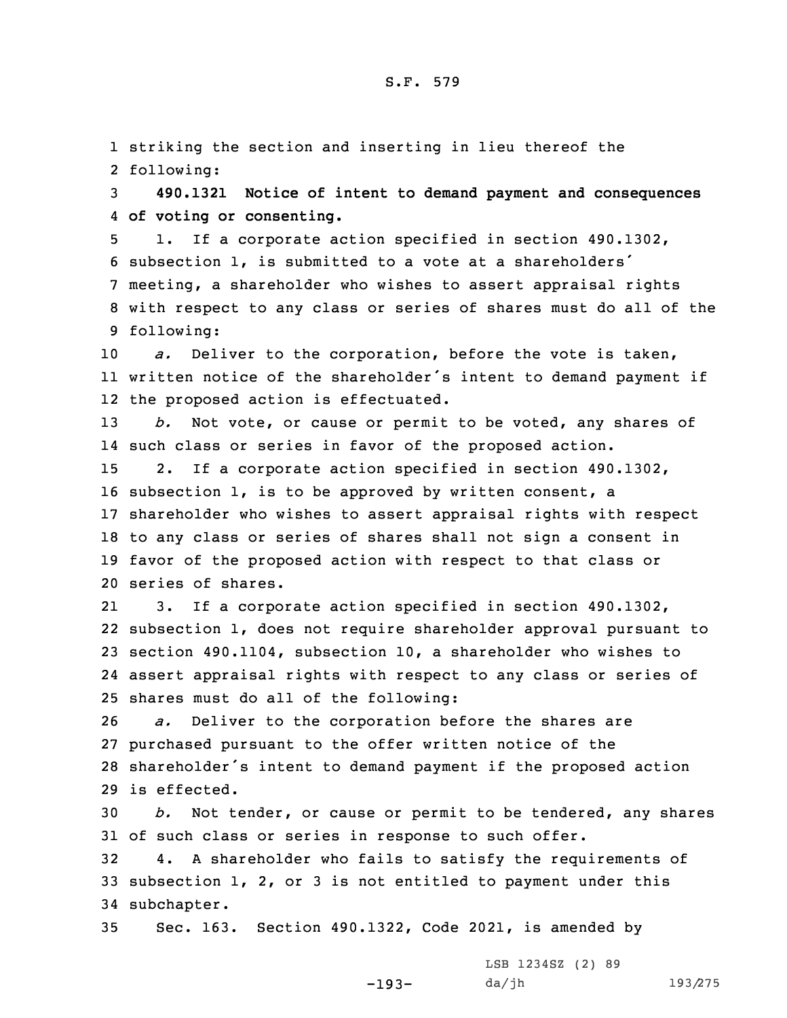1 striking the section and inserting in lieu thereof the 2 following:

3 **490.1321 Notice of intent to demand payment and consequences** 4 **of voting or consenting.**

 1. If <sup>a</sup> corporate action specified in section 490.1302, subsection 1, is submitted to <sup>a</sup> vote at <sup>a</sup> shareholders' meeting, <sup>a</sup> shareholder who wishes to assert appraisal rights with respect to any class or series of shares must do all of the following:

10 *a.* Deliver to the corporation, before the vote is taken, 11 written notice of the shareholder's intent to demand payment if 12 the proposed action is effectuated.

 *b.* Not vote, or cause or permit to be voted, any shares of such class or series in favor of the proposed action. 2. If <sup>a</sup> corporate action specified in section 490.1302, subsection 1, is to be approved by written consent, <sup>a</sup> shareholder who wishes to assert appraisal rights with respect to any class or series of shares shall not sign <sup>a</sup> consent in favor of the proposed action with respect to that class or series of shares.

21 3. If <sup>a</sup> corporate action specified in section 490.1302, subsection 1, does not require shareholder approval pursuant to section 490.1104, subsection 10, <sup>a</sup> shareholder who wishes to assert appraisal rights with respect to any class or series of shares must do all of the following:

 *a.* Deliver to the corporation before the shares are purchased pursuant to the offer written notice of the shareholder's intent to demand payment if the proposed action is effected.

30 *b.* Not tender, or cause or permit to be tendered, any shares 31 of such class or series in response to such offer.

32 4. <sup>A</sup> shareholder who fails to satisfy the requirements of 33 subsection 1, 2, or 3 is not entitled to payment under this 34 subchapter.

-193-

35 Sec. 163. Section 490.1322, Code 2021, is amended by

LSB 1234SZ (2) 89 da/jh 193/275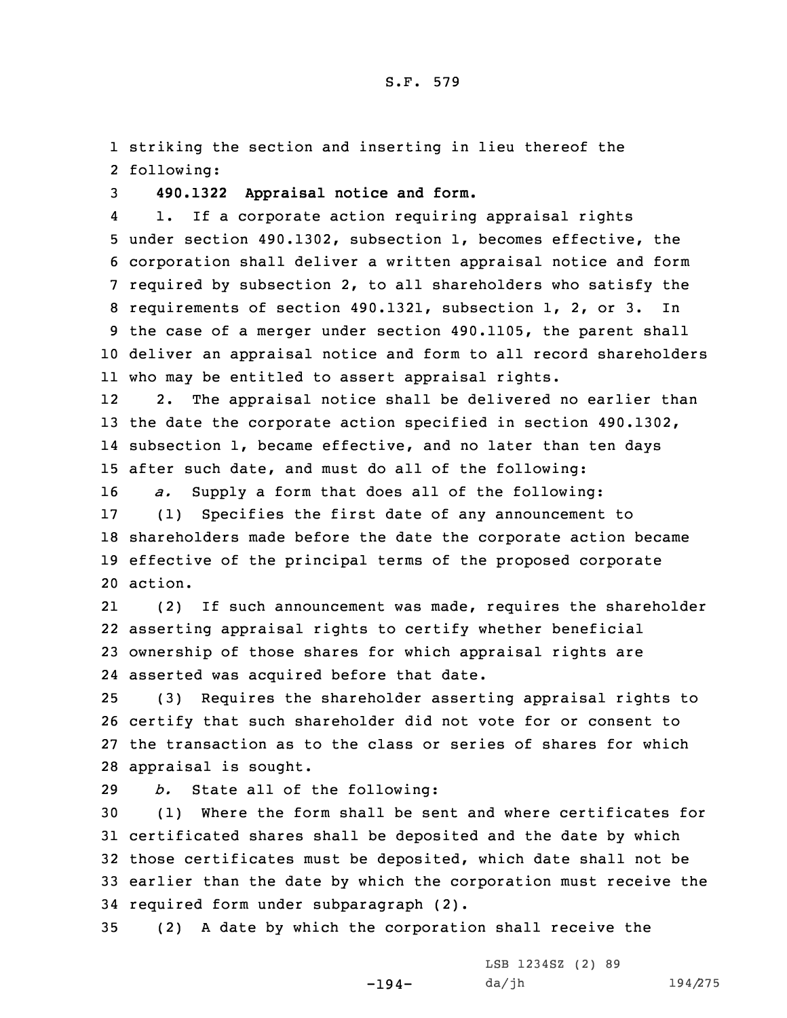1 striking the section and inserting in lieu thereof the 2 following:

3 **490.1322 Appraisal notice and form.**

4 1. If <sup>a</sup> corporate action requiring appraisal rights under section 490.1302, subsection 1, becomes effective, the corporation shall deliver <sup>a</sup> written appraisal notice and form required by subsection 2, to all shareholders who satisfy the requirements of section 490.1321, subsection 1, 2, or 3. In the case of <sup>a</sup> merger under section 490.1105, the parent shall deliver an appraisal notice and form to all record shareholders who may be entitled to assert appraisal rights.

12 2. The appraisal notice shall be delivered no earlier than 13 the date the corporate action specified in section 490.1302, 14 subsection 1, became effective, and no later than ten days 15 after such date, and must do all of the following:

 *a.* Supply <sup>a</sup> form that does all of the following: (1) Specifies the first date of any announcement to shareholders made before the date the corporate action became effective of the principal terms of the proposed corporate 20 action.

21 (2) If such announcement was made, requires the shareholder 22 asserting appraisal rights to certify whether beneficial 23 ownership of those shares for which appraisal rights are 24 asserted was acquired before that date.

 (3) Requires the shareholder asserting appraisal rights to certify that such shareholder did not vote for or consent to the transaction as to the class or series of shares for which appraisal is sought.

29 *b.* State all of the following:

 (1) Where the form shall be sent and where certificates for certificated shares shall be deposited and the date by which those certificates must be deposited, which date shall not be earlier than the date by which the corporation must receive the required form under subparagraph (2).

-194-

35 (2) <sup>A</sup> date by which the corporation shall receive the

LSB 1234SZ (2) 89 da/jh 194/275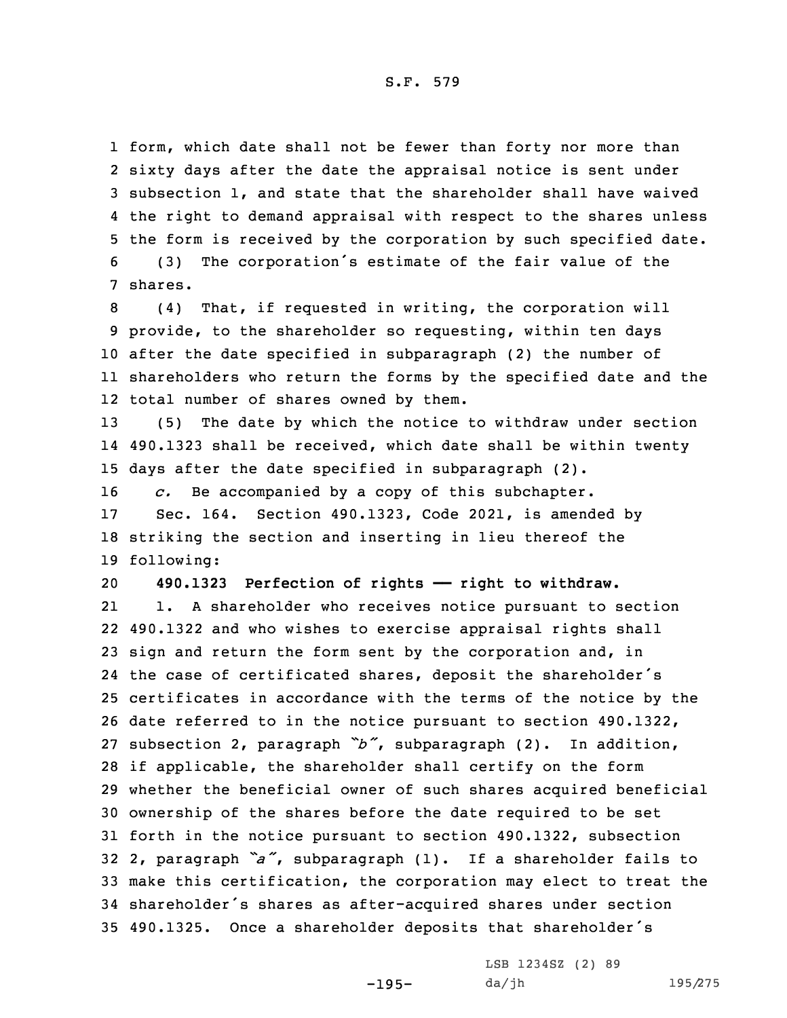form, which date shall not be fewer than forty nor more than sixty days after the date the appraisal notice is sent under subsection 1, and state that the shareholder shall have waived the right to demand appraisal with respect to the shares unless the form is received by the corporation by such specified date. (3) The corporation's estimate of the fair value of the 7 shares.

 (4) That, if requested in writing, the corporation will provide, to the shareholder so requesting, within ten days after the date specified in subparagraph (2) the number of shareholders who return the forms by the specified date and the total number of shares owned by them.

13 (5) The date by which the notice to withdraw under section 14 490.1323 shall be received, which date shall be within twenty 15 days after the date specified in subparagraph (2).

 *c.* Be accompanied by <sup>a</sup> copy of this subchapter. Sec. 164. Section 490.1323, Code 2021, is amended by striking the section and inserting in lieu thereof the following:

20 **490.1323 Perfection of rights —— right to withdraw.**

21 1. <sup>A</sup> shareholder who receives notice pursuant to section 490.1322 and who wishes to exercise appraisal rights shall sign and return the form sent by the corporation and, in the case of certificated shares, deposit the shareholder's certificates in accordance with the terms of the notice by the date referred to in the notice pursuant to section 490.1322, subsection 2, paragraph *"b"*, subparagraph (2). In addition, if applicable, the shareholder shall certify on the form whether the beneficial owner of such shares acquired beneficial ownership of the shares before the date required to be set forth in the notice pursuant to section 490.1322, subsection 2, paragraph *"a"*, subparagraph (1). If <sup>a</sup> shareholder fails to make this certification, the corporation may elect to treat the shareholder's shares as after-acquired shares under section 490.1325. Once <sup>a</sup> shareholder deposits that shareholder's

-195-

LSB 1234SZ (2) 89 da/jh 195/275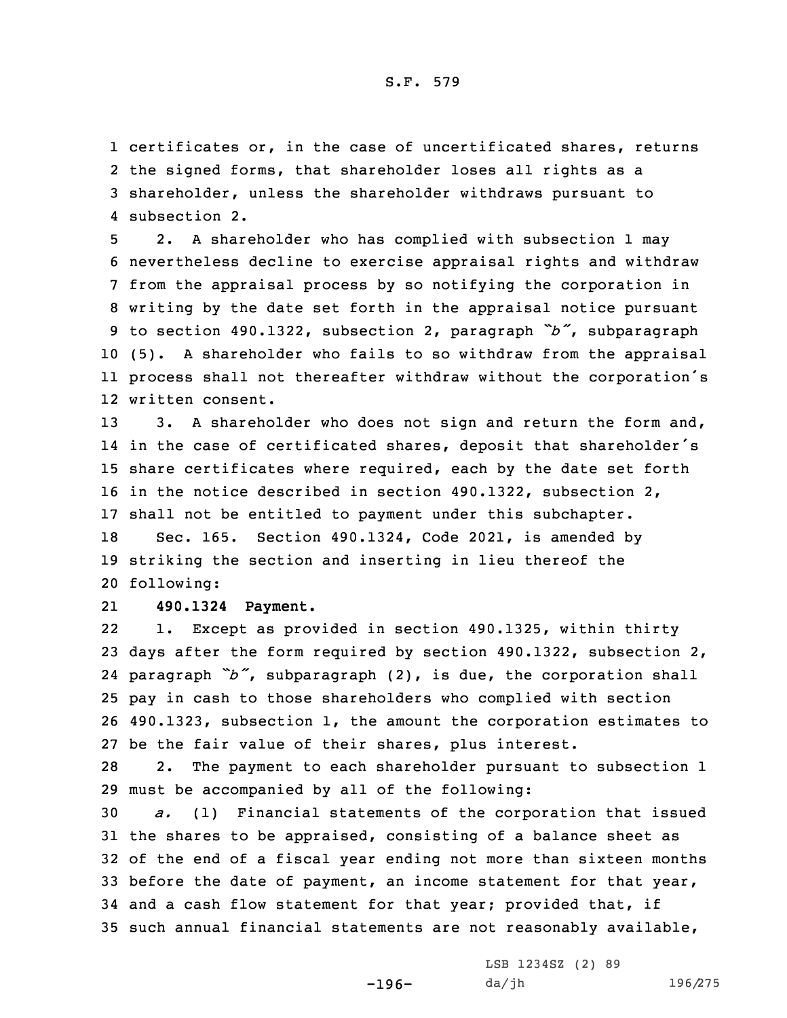1 certificates or, in the case of uncertificated shares, returns the signed forms, that shareholder loses all rights as <sup>a</sup> shareholder, unless the shareholder withdraws pursuant to subsection 2.

 2. <sup>A</sup> shareholder who has complied with subsection 1 may nevertheless decline to exercise appraisal rights and withdraw from the appraisal process by so notifying the corporation in writing by the date set forth in the appraisal notice pursuant to section 490.1322, subsection 2, paragraph *"b"*, subparagraph (5). <sup>A</sup> shareholder who fails to so withdraw from the appraisal process shall not thereafter withdraw without the corporation's written consent.

13 3. A shareholder who does not sign and return the form and, in the case of certificated shares, deposit that shareholder's share certificates where required, each by the date set forth in the notice described in section 490.1322, subsection 2, shall not be entitled to payment under this subchapter. Sec. 165. Section 490.1324, Code 2021, is amended by striking the section and inserting in lieu thereof the following:

## 21**490.1324 Payment.**

22 1. Except as provided in section 490.1325, within thirty days after the form required by section 490.1322, subsection 2, paragraph *"b"*, subparagraph (2), is due, the corporation shall pay in cash to those shareholders who complied with section 490.1323, subsection 1, the amount the corporation estimates to be the fair value of their shares, plus interest.

28 2. The payment to each shareholder pursuant to subsection 1 29 must be accompanied by all of the following:

 *a.* (1) Financial statements of the corporation that issued the shares to be appraised, consisting of <sup>a</sup> balance sheet as of the end of <sup>a</sup> fiscal year ending not more than sixteen months before the date of payment, an income statement for that year, and <sup>a</sup> cash flow statement for that year; provided that, if such annual financial statements are not reasonably available,

-196-

LSB 1234SZ (2) 89 da/jh 196/275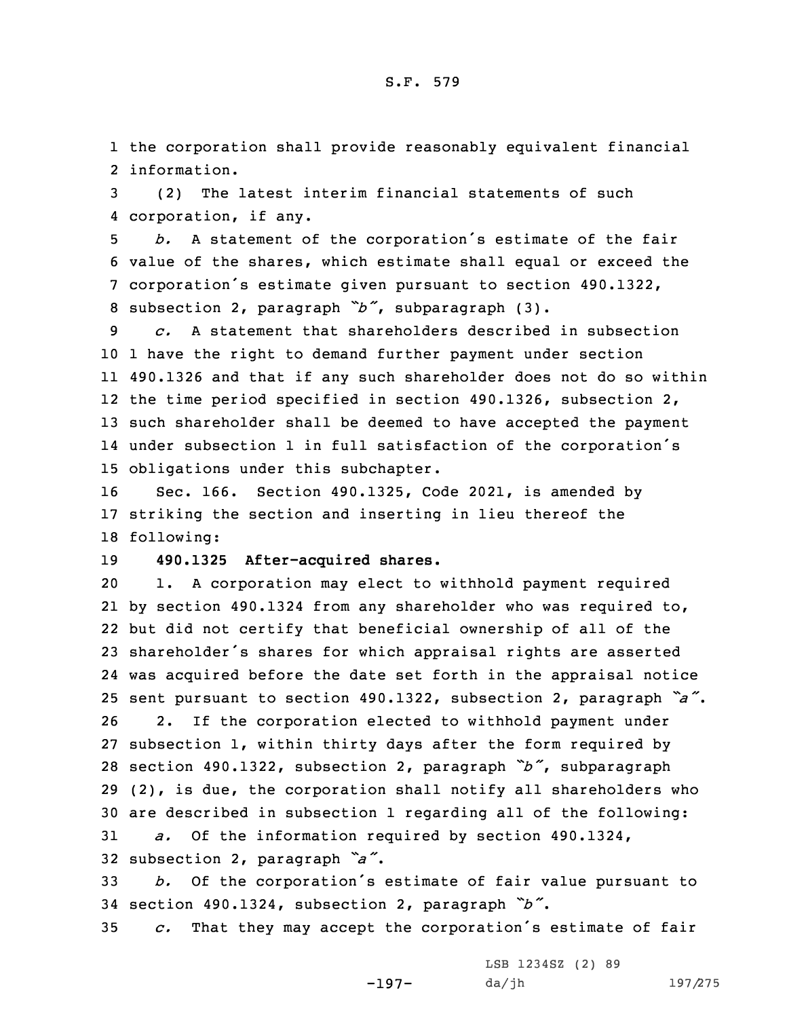1 the corporation shall provide reasonably equivalent financial 2 information.

3 (2) The latest interim financial statements of such 4 corporation, if any.

 *b.* <sup>A</sup> statement of the corporation's estimate of the fair value of the shares, which estimate shall equal or exceed the corporation's estimate given pursuant to section 490.1322, subsection 2, paragraph *"b"*, subparagraph (3).

 *c.* A statement that shareholders described in subsection 1 have the right to demand further payment under section 490.1326 and that if any such shareholder does not do so within the time period specified in section 490.1326, subsection 2, such shareholder shall be deemed to have accepted the payment under subsection <sup>1</sup> in full satisfaction of the corporation's obligations under this subchapter.

16 Sec. 166. Section 490.1325, Code 2021, is amended by 17 striking the section and inserting in lieu thereof the 18 following:

19 **490.1325 After-acquired shares.**

 1. <sup>A</sup> corporation may elect to withhold payment required by section 490.1324 from any shareholder who was required to, but did not certify that beneficial ownership of all of the shareholder's shares for which appraisal rights are asserted was acquired before the date set forth in the appraisal notice sent pursuant to section 490.1322, subsection 2, paragraph *"a"*. 2. If the corporation elected to withhold payment under subsection 1, within thirty days after the form required by section 490.1322, subsection 2, paragraph *"b"*, subparagraph (2), is due, the corporation shall notify all shareholders who are described in subsection 1 regarding all of the following: *a.* Of the information required by section 490.1324, subsection 2, paragraph *"a"*.

<sup>33</sup> *b.* Of the corporation's estimate of fair value pursuant to <sup>34</sup> section 490.1324, subsection 2, paragraph *"b"*.

<sup>35</sup> *c.* That they may accept the corporation's estimate of fair

-197-

LSB 1234SZ (2) 89 da/jh 197/275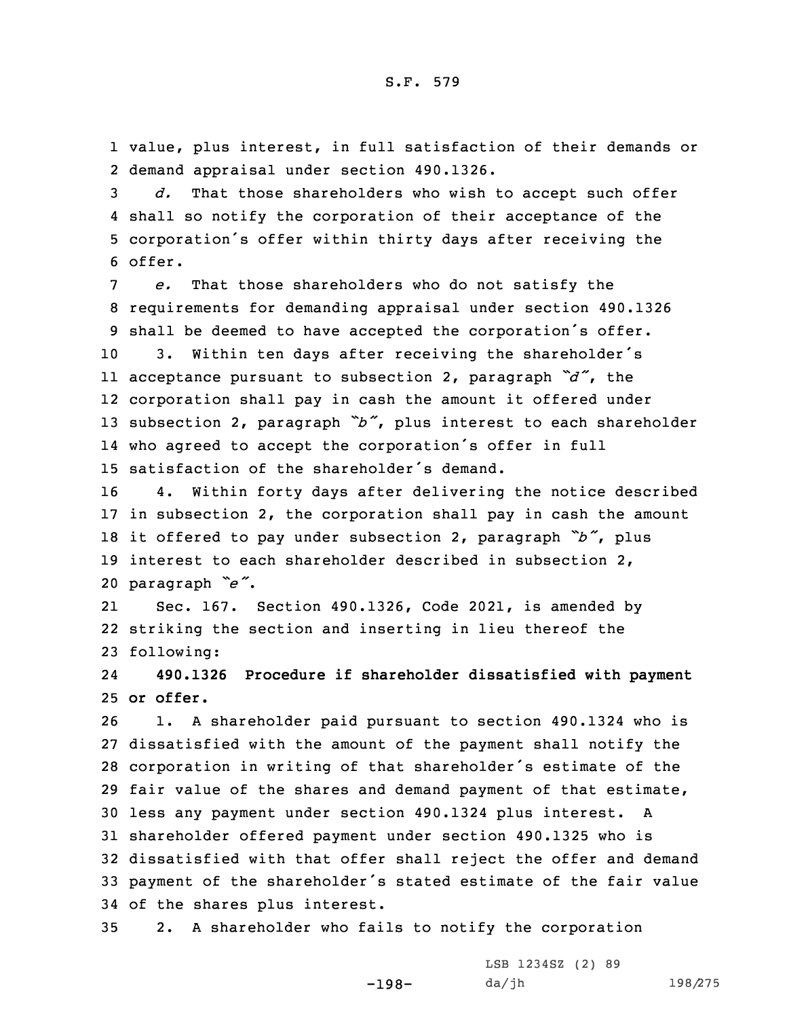1 value, plus interest, in full satisfaction of their demands or 2 demand appraisal under section 490.1326.

 *d.* That those shareholders who wish to accept such offer shall so notify the corporation of their acceptance of the corporation's offer within thirty days after receiving the 6 offer.

 *e.* That those shareholders who do not satisfy the requirements for demanding appraisal under section 490.1326 shall be deemed to have accepted the corporation's offer. 3. Within ten days after receiving the shareholder's acceptance pursuant to subsection 2, paragraph *"d"*, the corporation shall pay in cash the amount it offered under subsection 2, paragraph *"b"*, plus interest to each shareholder who agreed to accept the corporation's offer in full

15 satisfaction of the shareholder's demand.

 4. Within forty days after delivering the notice described in subsection 2, the corporation shall pay in cash the amount it offered to pay under subsection 2, paragraph *"b"*, plus interest to each shareholder described in subsection 2, paragraph *"e"*.

21 Sec. 167. Section 490.1326, Code 2021, is amended by 22 striking the section and inserting in lieu thereof the 23 following:

24 **490.1326 Procedure if shareholder dissatisfied with payment** 25 **or offer.**

 1. <sup>A</sup> shareholder paid pursuant to section 490.1324 who is dissatisfied with the amount of the payment shall notify the corporation in writing of that shareholder's estimate of the fair value of the shares and demand payment of that estimate, less any payment under section 490.1324 plus interest. <sup>A</sup> shareholder offered payment under section 490.1325 who is dissatisfied with that offer shall reject the offer and demand payment of the shareholder's stated estimate of the fair value of the shares plus interest.

-198-

35 2. <sup>A</sup> shareholder who fails to notify the corporation

LSB 1234SZ (2) 89 da/jh 198/275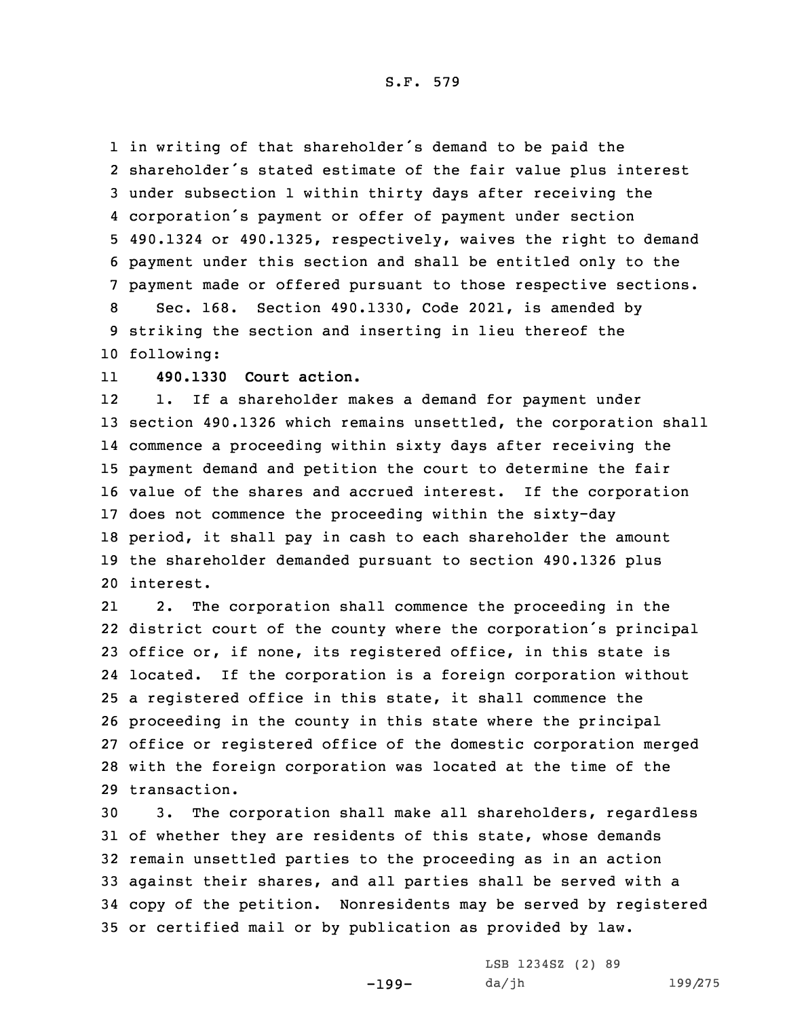in writing of that shareholder's demand to be paid the shareholder's stated estimate of the fair value plus interest under subsection 1 within thirty days after receiving the corporation's payment or offer of payment under section 490.1324 or 490.1325, respectively, waives the right to demand payment under this section and shall be entitled only to the payment made or offered pursuant to those respective sections. Sec. 168. Section 490.1330, Code 2021, is amended by striking the section and inserting in lieu thereof the following:

11**490.1330 Court action.**

12 1. If <sup>a</sup> shareholder makes <sup>a</sup> demand for payment under section 490.1326 which remains unsettled, the corporation shall commence <sup>a</sup> proceeding within sixty days after receiving the payment demand and petition the court to determine the fair value of the shares and accrued interest. If the corporation does not commence the proceeding within the sixty-day period, it shall pay in cash to each shareholder the amount the shareholder demanded pursuant to section 490.1326 plus interest.

21 2. The corporation shall commence the proceeding in the district court of the county where the corporation's principal 23 office or, if none, its registered office, in this state is located. If the corporation is <sup>a</sup> foreign corporation without <sup>a</sup> registered office in this state, it shall commence the proceeding in the county in this state where the principal office or registered office of the domestic corporation merged with the foreign corporation was located at the time of the transaction.

 3. The corporation shall make all shareholders, regardless 31 of whether they are residents of this state, whose demands remain unsettled parties to the proceeding as in an action against their shares, and all parties shall be served with <sup>a</sup> copy of the petition. Nonresidents may be served by registered or certified mail or by publication as provided by law.

-199-

LSB 1234SZ (2) 89 da/jh 199/275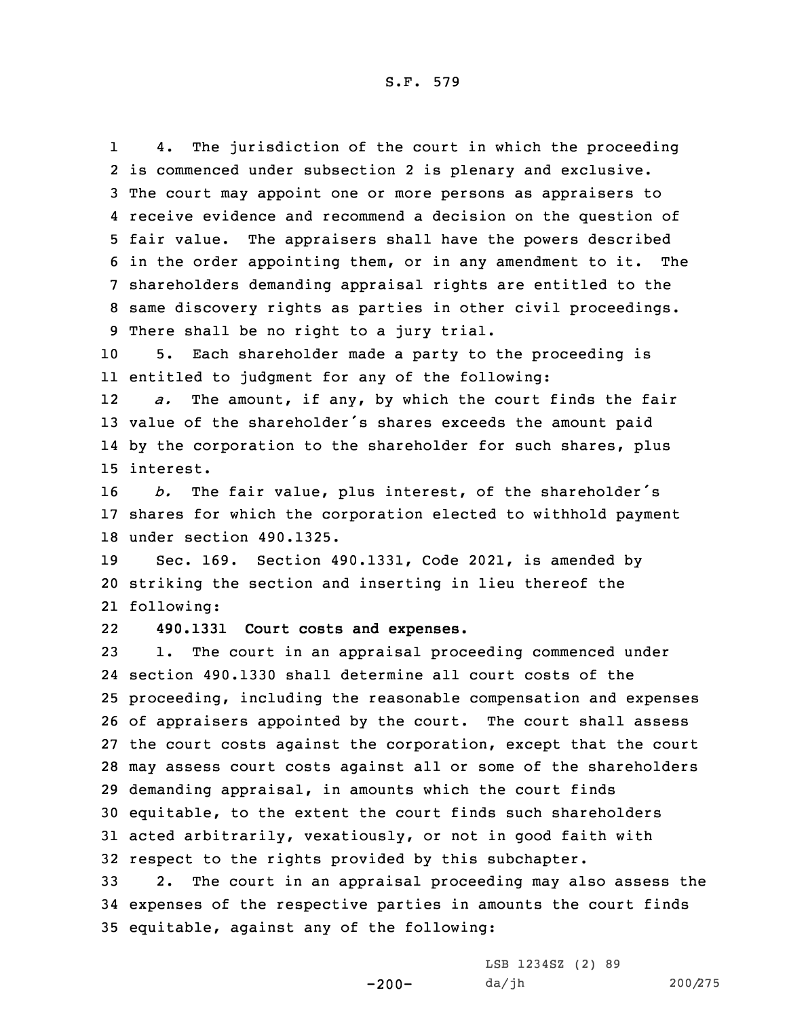1 4. The jurisdiction of the court in which the proceeding is commenced under subsection 2 is plenary and exclusive. The court may appoint one or more persons as appraisers to receive evidence and recommend <sup>a</sup> decision on the question of fair value. The appraisers shall have the powers described in the order appointing them, or in any amendment to it. The shareholders demanding appraisal rights are entitled to the same discovery rights as parties in other civil proceedings. There shall be no right to <sup>a</sup> jury trial.

10 5. Each shareholder made <sup>a</sup> party to the proceeding is 11 entitled to judgment for any of the following:

12 *a.* The amount, if any, by which the court finds the fair <sup>13</sup> value of the shareholder's shares exceeds the amount paid 14 by the corporation to the shareholder for such shares, plus 15 interest.

<sup>16</sup> *b.* The fair value, plus interest, of the shareholder's 17 shares for which the corporation elected to withhold payment 18 under section 490.1325.

19 Sec. 169. Section 490.1331, Code 2021, is amended by 20 striking the section and inserting in lieu thereof the 21 following:

22**490.1331 Court costs and expenses.**

 1. The court in an appraisal proceeding commenced under section 490.1330 shall determine all court costs of the proceeding, including the reasonable compensation and expenses of appraisers appointed by the court. The court shall assess the court costs against the corporation, except that the court may assess court costs against all or some of the shareholders demanding appraisal, in amounts which the court finds equitable, to the extent the court finds such shareholders acted arbitrarily, vexatiously, or not in good faith with respect to the rights provided by this subchapter.

33 2. The court in an appraisal proceeding may also assess the 34 expenses of the respective parties in amounts the court finds 35 equitable, against any of the following:

-200-

LSB 1234SZ (2) 89 da/jh 200/275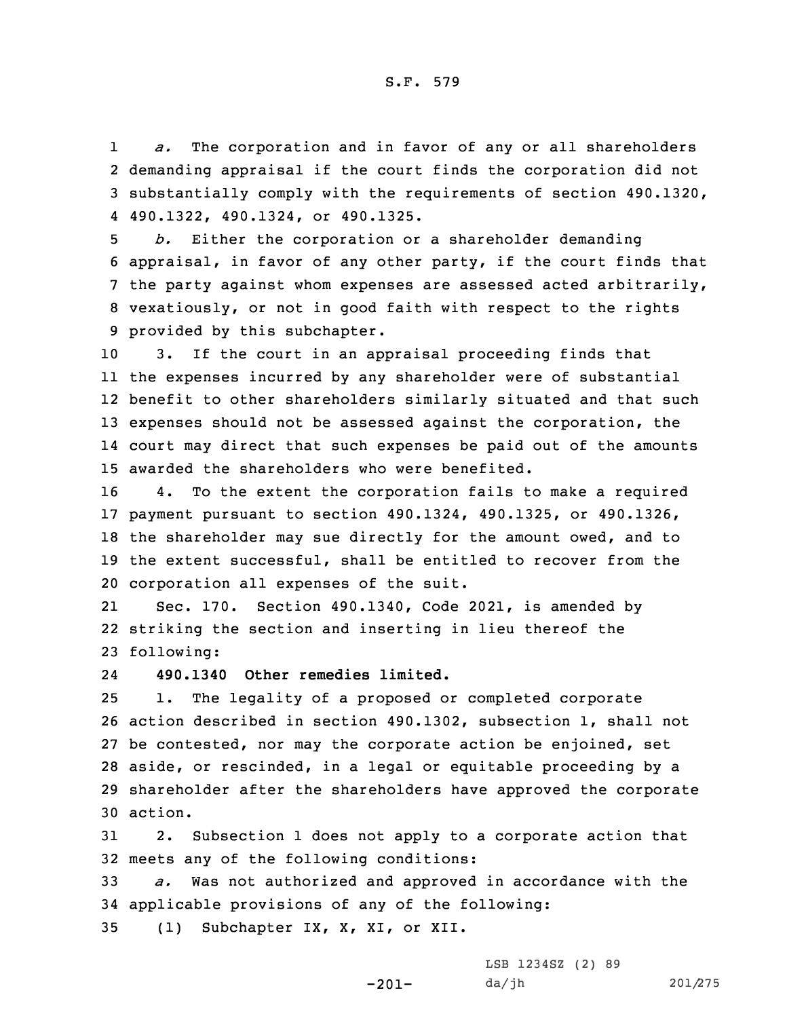1 *a.* The corporation and in favor of any or all shareholders 2 demanding appraisal if the court finds the corporation did not 3 substantially comply with the requirements of section 490.1320, 4 490.1322, 490.1324, or 490.1325.

 *b.* Either the corporation or <sup>a</sup> shareholder demanding appraisal, in favor of any other party, if the court finds that the party against whom expenses are assessed acted arbitrarily, vexatiously, or not in good faith with respect to the rights provided by this subchapter.

 3. If the court in an appraisal proceeding finds that the expenses incurred by any shareholder were of substantial benefit to other shareholders similarly situated and that such expenses should not be assessed against the corporation, the court may direct that such expenses be paid out of the amounts awarded the shareholders who were benefited.

 4. To the extent the corporation fails to make <sup>a</sup> required payment pursuant to section 490.1324, 490.1325, or 490.1326, the shareholder may sue directly for the amount owed, and to the extent successful, shall be entitled to recover from the corporation all expenses of the suit.

21 Sec. 170. Section 490.1340, Code 2021, is amended by 22 striking the section and inserting in lieu thereof the 23 following:

24**490.1340 Other remedies limited.**

 1. The legality of <sup>a</sup> proposed or completed corporate action described in section 490.1302, subsection 1, shall not be contested, nor may the corporate action be enjoined, set aside, or rescinded, in <sup>a</sup> legal or equitable proceeding by <sup>a</sup> shareholder after the shareholders have approved the corporate 30 action.

31 2. Subsection 1 does not apply to <sup>a</sup> corporate action that 32 meets any of the following conditions:

33 *a.* Was not authorized and approved in accordance with the 34 applicable provisions of any of the following:

 $-201-$ 

35 (1) Subchapter IX, X, XI, or XII.

LSB 1234SZ (2) 89 da/jh 201/275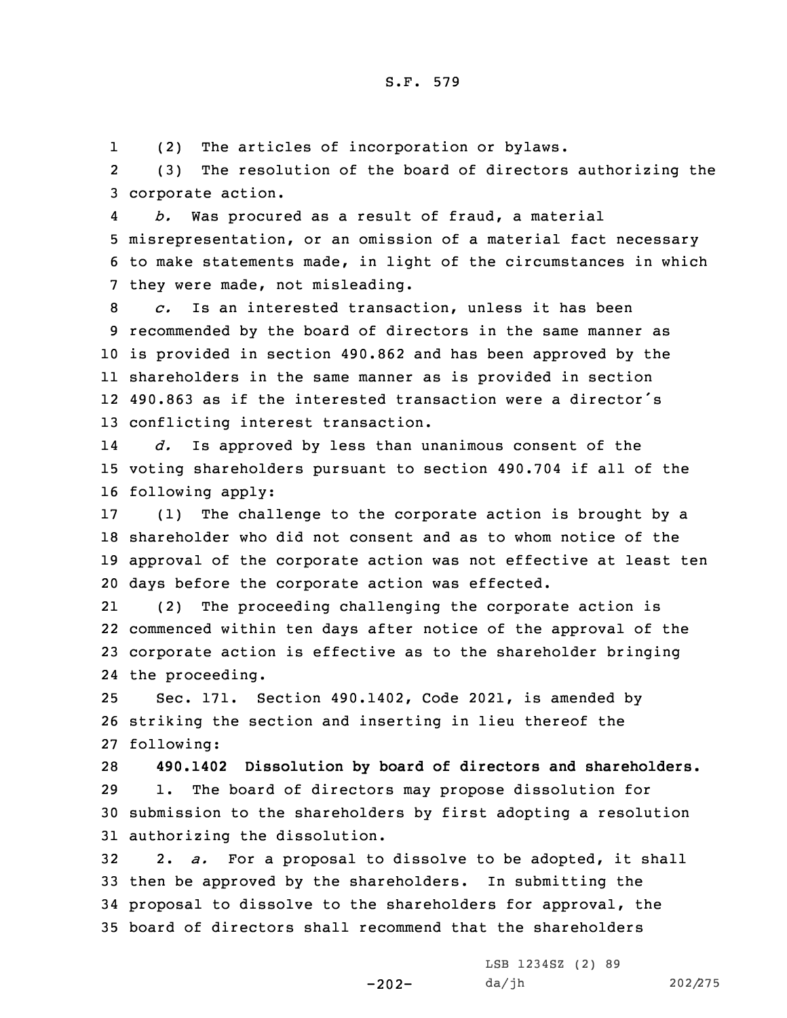1(2) The articles of incorporation or bylaws.

2 (3) The resolution of the board of directors authorizing the 3 corporate action.

4 *b.* Was procured as <sup>a</sup> result of fraud, <sup>a</sup> material 5 misrepresentation, or an omission of <sup>a</sup> material fact necessary 6 to make statements made, in light of the circumstances in which 7 they were made, not misleading.

 *c.* Is an interested transaction, unless it has been recommended by the board of directors in the same manner as is provided in section 490.862 and has been approved by the shareholders in the same manner as is provided in section 490.863 as if the interested transaction were <sup>a</sup> director's conflicting interest transaction.

14 *d.* Is approved by less than unanimous consent of the 15 voting shareholders pursuant to section 490.704 if all of the 16 following apply:

 (1) The challenge to the corporate action is brought by <sup>a</sup> shareholder who did not consent and as to whom notice of the approval of the corporate action was not effective at least ten days before the corporate action was effected.

21 (2) The proceeding challenging the corporate action is 22 commenced within ten days after notice of the approval of the 23 corporate action is effective as to the shareholder bringing 24 the proceeding.

25 Sec. 171. Section 490.1402, Code 2021, is amended by 26 striking the section and inserting in lieu thereof the 27 following:

 **490.1402 Dissolution by board of directors and shareholders.** 1. The board of directors may propose dissolution for submission to the shareholders by first adopting <sup>a</sup> resolution authorizing the dissolution.

 2. *a.* For <sup>a</sup> proposal to dissolve to be adopted, it shall then be approved by the shareholders. In submitting the proposal to dissolve to the shareholders for approval, the board of directors shall recommend that the shareholders

-202-

LSB 1234SZ (2) 89 da/jh 202/275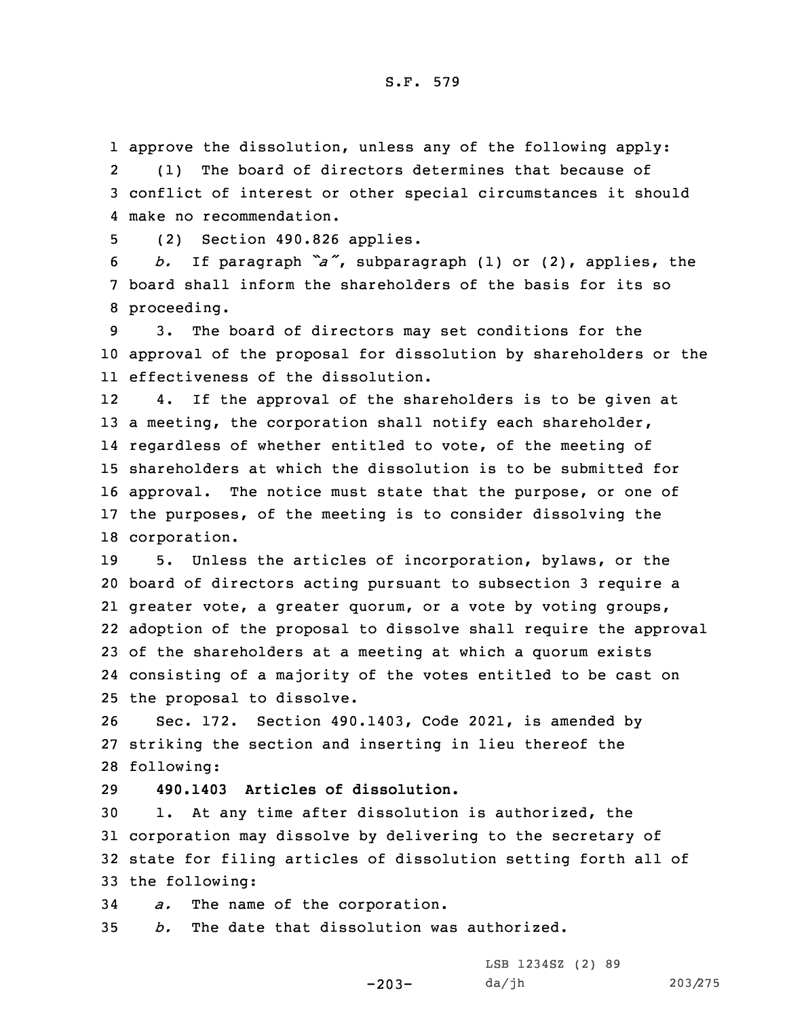1 approve the dissolution, unless any of the following apply:

2 (1) The board of directors determines that because of 3 conflict of interest or other special circumstances it should 4 make no recommendation.

5 (2) Section 490.826 applies.

<sup>6</sup> *b.* If paragraph *"a"*, subparagraph (1) or (2), applies, the 7 board shall inform the shareholders of the basis for its so 8 proceeding.

9 3. The board of directors may set conditions for the 10 approval of the proposal for dissolution by shareholders or the 11 effectiveness of the dissolution.

12 4. If the approval of the shareholders is to be given at 13 a meeting, the corporation shall notify each shareholder, regardless of whether entitled to vote, of the meeting of shareholders at which the dissolution is to be submitted for approval. The notice must state that the purpose, or one of the purposes, of the meeting is to consider dissolving the corporation.

 5. Unless the articles of incorporation, bylaws, or the board of directors acting pursuant to subsection 3 require <sup>a</sup> greater vote, <sup>a</sup> greater quorum, or <sup>a</sup> vote by voting groups, adoption of the proposal to dissolve shall require the approval of the shareholders at <sup>a</sup> meeting at which <sup>a</sup> quorum exists consisting of <sup>a</sup> majority of the votes entitled to be cast on the proposal to dissolve.

26 Sec. 172. Section 490.1403, Code 2021, is amended by 27 striking the section and inserting in lieu thereof the 28 following:

29 **490.1403 Articles of dissolution.**

 1. At any time after dissolution is authorized, the corporation may dissolve by delivering to the secretary of state for filing articles of dissolution setting forth all of the following:

-203-

34 *a.* The name of the corporation.

35 *b.* The date that dissolution was authorized.

LSB 1234SZ (2) 89 da/jh 203/275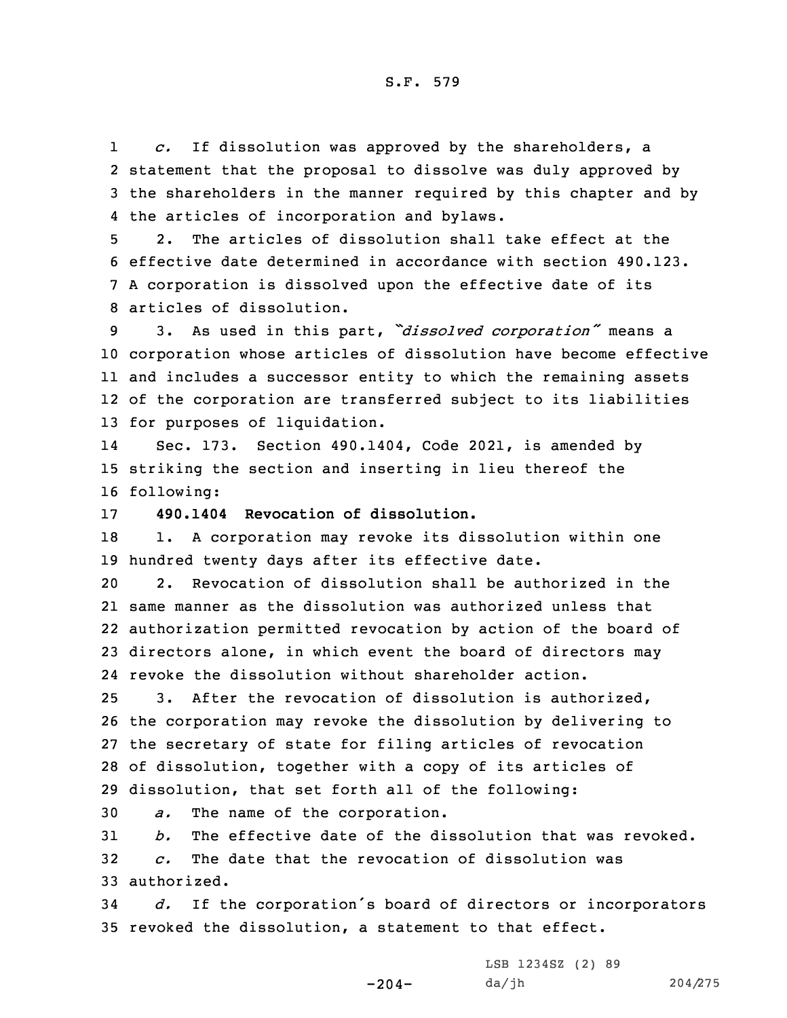1 *c.* If dissolution was approved by the shareholders, <sup>a</sup> 2 statement that the proposal to dissolve was duly approved by 3 the shareholders in the manner required by this chapter and by 4 the articles of incorporation and bylaws.

 2. The articles of dissolution shall take effect at the effective date determined in accordance with section 490.123. <sup>A</sup> corporation is dissolved upon the effective date of its articles of dissolution.

 3. As used in this part, *"dissolved corporation"* means <sup>a</sup> corporation whose articles of dissolution have become effective and includes <sup>a</sup> successor entity to which the remaining assets of the corporation are transferred subject to its liabilities for purposes of liquidation.

14 Sec. 173. Section 490.1404, Code 2021, is amended by 15 striking the section and inserting in lieu thereof the 16 following:

17 **490.1404 Revocation of dissolution.**

18 1. A corporation may revoke its dissolution within one 19 hundred twenty days after its effective date.

 2. Revocation of dissolution shall be authorized in the same manner as the dissolution was authorized unless that authorization permitted revocation by action of the board of directors alone, in which event the board of directors may revoke the dissolution without shareholder action.

 3. After the revocation of dissolution is authorized, the corporation may revoke the dissolution by delivering to the secretary of state for filing articles of revocation of dissolution, together with <sup>a</sup> copy of its articles of dissolution, that set forth all of the following:

30 *a.* The name of the corporation.

31 *b.* The effective date of the dissolution that was revoked. 32 *c.* The date that the revocation of dissolution was 33 authorized.

<sup>34</sup> *d.* If the corporation's board of directors or incorporators 35 revoked the dissolution, <sup>a</sup> statement to that effect.

 $-204-$ 

LSB 1234SZ (2) 89 da/jh 204/275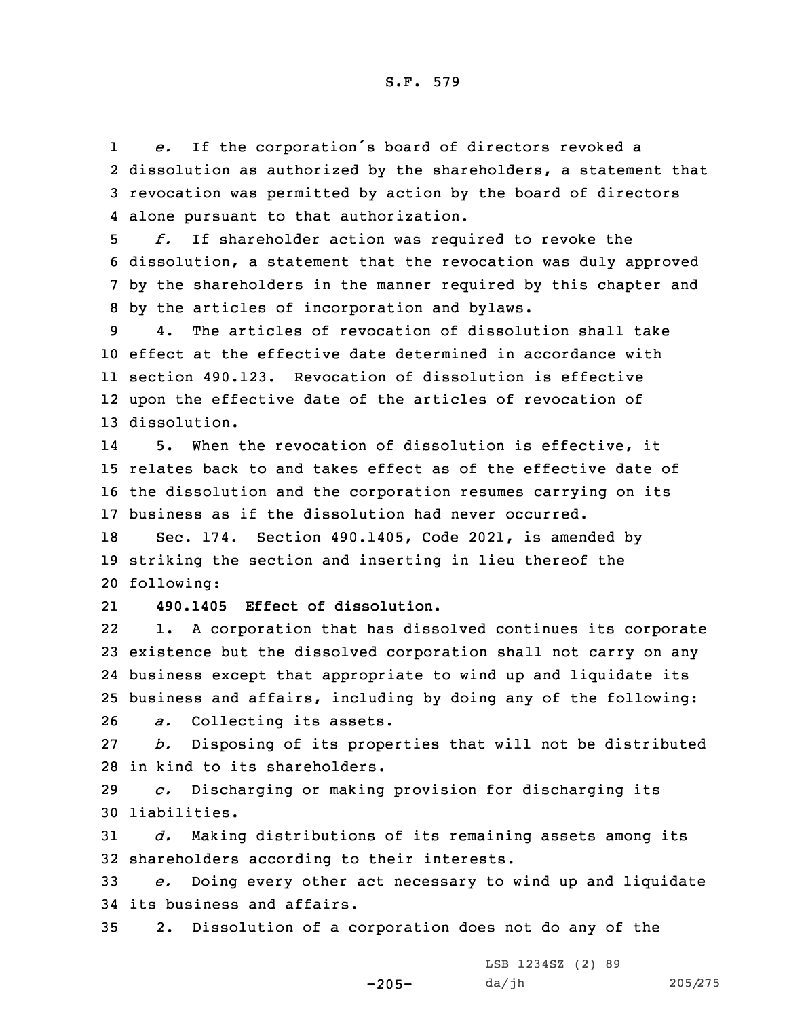1 *e.* If the corporation's board of directors revoked <sup>a</sup> 2 dissolution as authorized by the shareholders, <sup>a</sup> statement that 3 revocation was permitted by action by the board of directors 4 alone pursuant to that authorization.

 *f.* If shareholder action was required to revoke the dissolution, <sup>a</sup> statement that the revocation was duly approved by the shareholders in the manner required by this chapter and by the articles of incorporation and bylaws.

 4. The articles of revocation of dissolution shall take effect at the effective date determined in accordance with section 490.123. Revocation of dissolution is effective upon the effective date of the articles of revocation of dissolution.

14 5. When the revocation of dissolution is effective, it 15 relates back to and takes effect as of the effective date of 16 the dissolution and the corporation resumes carrying on its 17 business as if the dissolution had never occurred.

18 Sec. 174. Section 490.1405, Code 2021, is amended by 19 striking the section and inserting in lieu thereof the 20 following:

21**490.1405 Effect of dissolution.**

22 1. <sup>A</sup> corporation that has dissolved continues its corporate existence but the dissolved corporation shall not carry on any business except that appropriate to wind up and liquidate its business and affairs, including by doing any of the following: *a.* Collecting its assets.

27 *b.* Disposing of its properties that will not be distributed 28 in kind to its shareholders.

29 *c.* Discharging or making provision for discharging its 30 liabilities.

31 *d.* Making distributions of its remaining assets among its 32 shareholders according to their interests.

33 *e.* Doing every other act necessary to wind up and liquidate 34 its business and affairs.

-205-

35 2. Dissolution of <sup>a</sup> corporation does not do any of the

LSB 1234SZ (2) 89 da/jh 205/275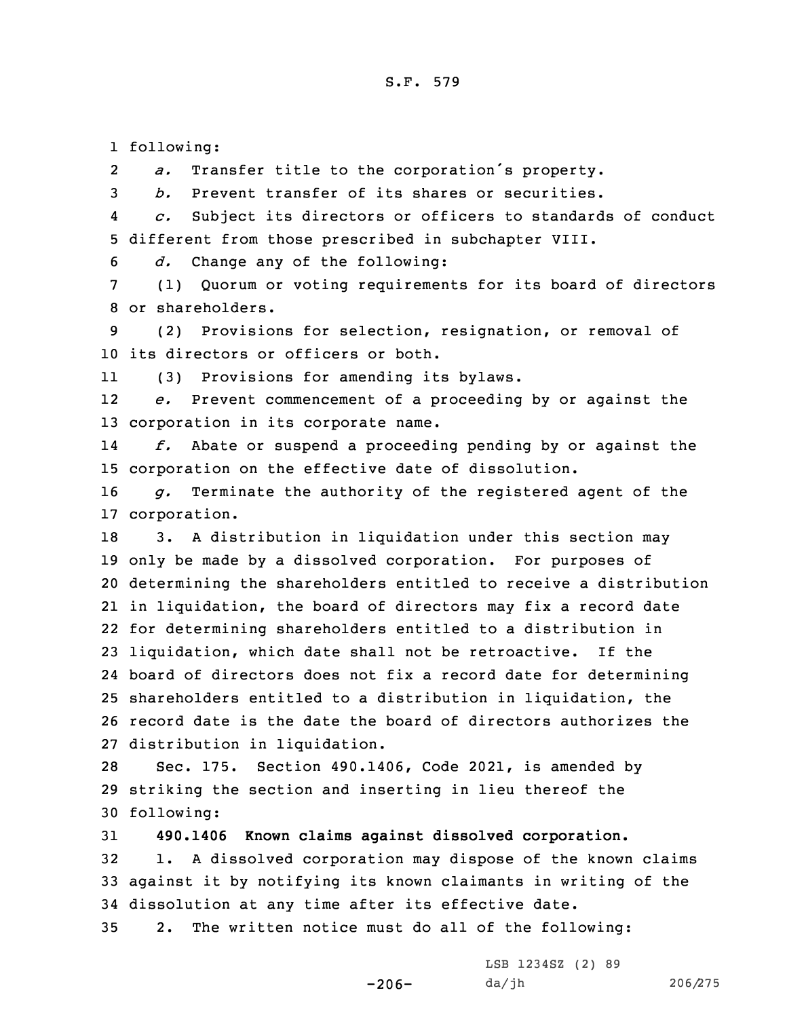1 following:

2*a.* Transfer title to the corporation's property.

3 *b.* Prevent transfer of its shares or securities.

4 *c.* Subject its directors or officers to standards of conduct 5 different from those prescribed in subchapter VIII.

6 *d.* Change any of the following:

7 (1) Quorum or voting requirements for its board of directors 8 or shareholders.

9 (2) Provisions for selection, resignation, or removal of 10 its directors or officers or both.

11(3) Provisions for amending its bylaws.

12 *e.* Prevent commencement of <sup>a</sup> proceeding by or against the 13 corporation in its corporate name.

14 *f.* Abate or suspend <sup>a</sup> proceeding pending by or against the 15 corporation on the effective date of dissolution.

16 *g.* Terminate the authority of the registered agent of the 17 corporation.

 3. <sup>A</sup> distribution in liquidation under this section may only be made by <sup>a</sup> dissolved corporation. For purposes of determining the shareholders entitled to receive <sup>a</sup> distribution in liquidation, the board of directors may fix <sup>a</sup> record date for determining shareholders entitled to <sup>a</sup> distribution in liquidation, which date shall not be retroactive. If the board of directors does not fix <sup>a</sup> record date for determining shareholders entitled to <sup>a</sup> distribution in liquidation, the record date is the date the board of directors authorizes the distribution in liquidation.

28 Sec. 175. Section 490.1406, Code 2021, is amended by 29 striking the section and inserting in lieu thereof the 30 following:

 **490.1406 Known claims against dissolved corporation.** 1. <sup>A</sup> dissolved corporation may dispose of the known claims against it by notifying its known claimants in writing of the dissolution at any time after its effective date.

-206-

35 2. The written notice must do all of the following:

LSB 1234SZ (2) 89 da/jh 206/275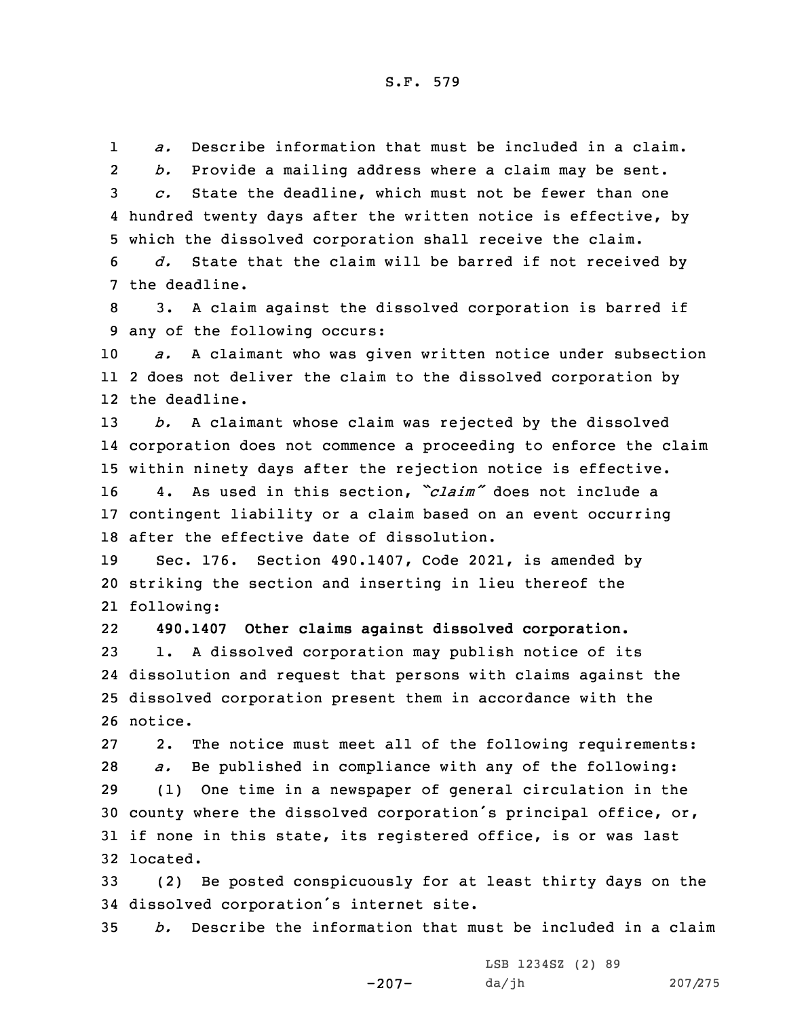1*a.* Describe information that must be included in <sup>a</sup> claim.

2*b.* Provide <sup>a</sup> mailing address where <sup>a</sup> claim may be sent.

3 *c.* State the deadline, which must not be fewer than one 4 hundred twenty days after the written notice is effective, by 5 which the dissolved corporation shall receive the claim.

6 *d.* State that the claim will be barred if not received by 7 the deadline.

8 3. <sup>A</sup> claim against the dissolved corporation is barred if 9 any of the following occurs:

10 *a.* <sup>A</sup> claimant who was given written notice under subsection 11 2 does not deliver the claim to the dissolved corporation by 12 the deadline.

13 *b.* <sup>A</sup> claimant whose claim was rejected by the dissolved 14 corporation does not commence <sup>a</sup> proceeding to enforce the claim 15 within ninety days after the rejection notice is effective.

16 4. As used in this section, *"claim"* does not include <sup>a</sup> 17 contingent liability or <sup>a</sup> claim based on an event occurring 18 after the effective date of dissolution.

19 Sec. 176. Section 490.1407, Code 2021, is amended by 20 striking the section and inserting in lieu thereof the 21 following:

22**490.1407 Other claims against dissolved corporation.**

 1. <sup>A</sup> dissolved corporation may publish notice of its dissolution and request that persons with claims against the dissolved corporation present them in accordance with the 26 notice.

 2. The notice must meet all of the following requirements: *a.* Be published in compliance with any of the following: (1) One time in <sup>a</sup> newspaper of general circulation in the county where the dissolved corporation's principal office, or, if none in this state, its registered office, is or was last 32 located.

33 (2) Be posted conspicuously for at least thirty days on the <sup>34</sup> dissolved corporation's internet site.

35 *b.* Describe the information that must be included in <sup>a</sup> claim

-207-

LSB 1234SZ (2) 89 da/jh 207/275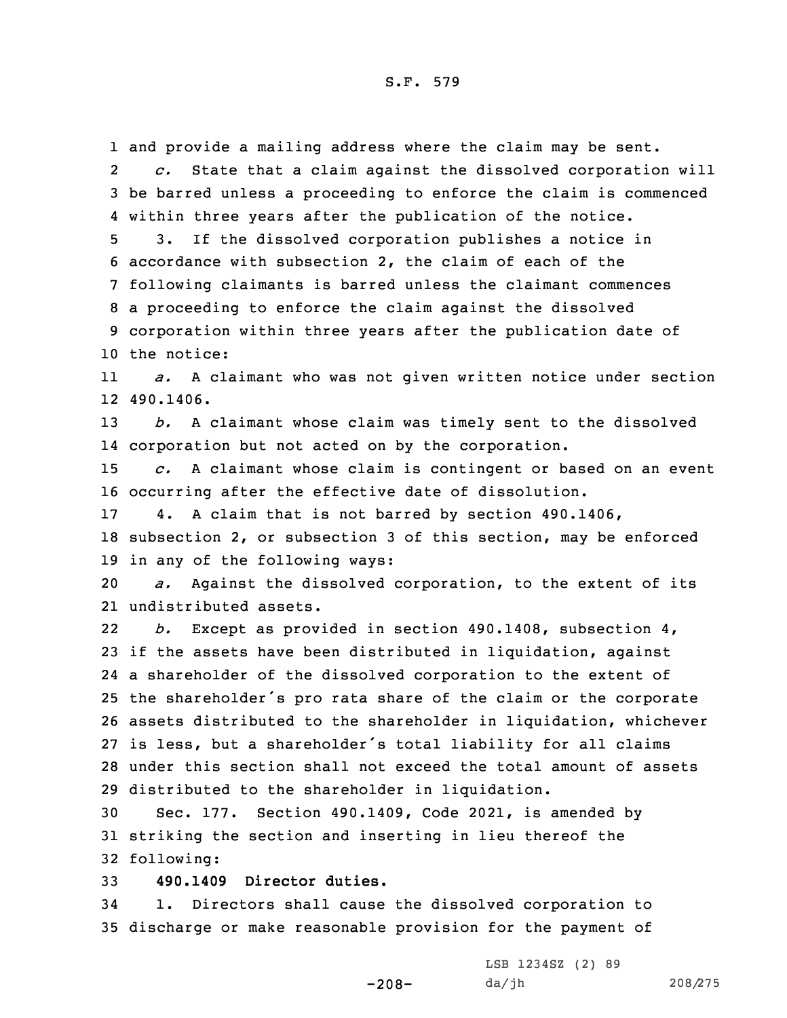and provide <sup>a</sup> mailing address where the claim may be sent. 2 *c.* State that <sup>a</sup> claim against the dissolved corporation will be barred unless <sup>a</sup> proceeding to enforce the claim is commenced within three years after the publication of the notice. 3. If the dissolved corporation publishes <sup>a</sup> notice in accordance with subsection 2, the claim of each of the following claimants is barred unless the claimant commences <sup>a</sup> proceeding to enforce the claim against the dissolved corporation within three years after the publication date of the notice: 11 *a.* <sup>A</sup> claimant who was not given written notice under section 490.1406. *b.* <sup>A</sup> claimant whose claim was timely sent to the dissolved corporation but not acted on by the corporation. *c.* <sup>A</sup> claimant whose claim is contingent or based on an event occurring after the effective date of dissolution. 4. <sup>A</sup> claim that is not barred by section 490.1406, subsection 2, or subsection 3 of this section, may be enforced in any of the following ways: *a.* Against the dissolved corporation, to the extent of its undistributed assets. 22 *b.* Except as provided in section 490.1408, subsection 4, if the assets have been distributed in liquidation, against <sup>a</sup> shareholder of the dissolved corporation to the extent of the shareholder's pro rata share of the claim or the corporate assets distributed to the shareholder in liquidation, whichever is less, but <sup>a</sup> shareholder's total liability for all claims under this section shall not exceed the total amount of assets distributed to the shareholder in liquidation. Sec. 177. Section 490.1409, Code 2021, is amended by striking the section and inserting in lieu thereof the following:

33 **490.1409 Director duties.**

34 1. Directors shall cause the dissolved corporation to 35 discharge or make reasonable provision for the payment of

 $-208-$ 

LSB 1234SZ (2) 89 da/jh 208/275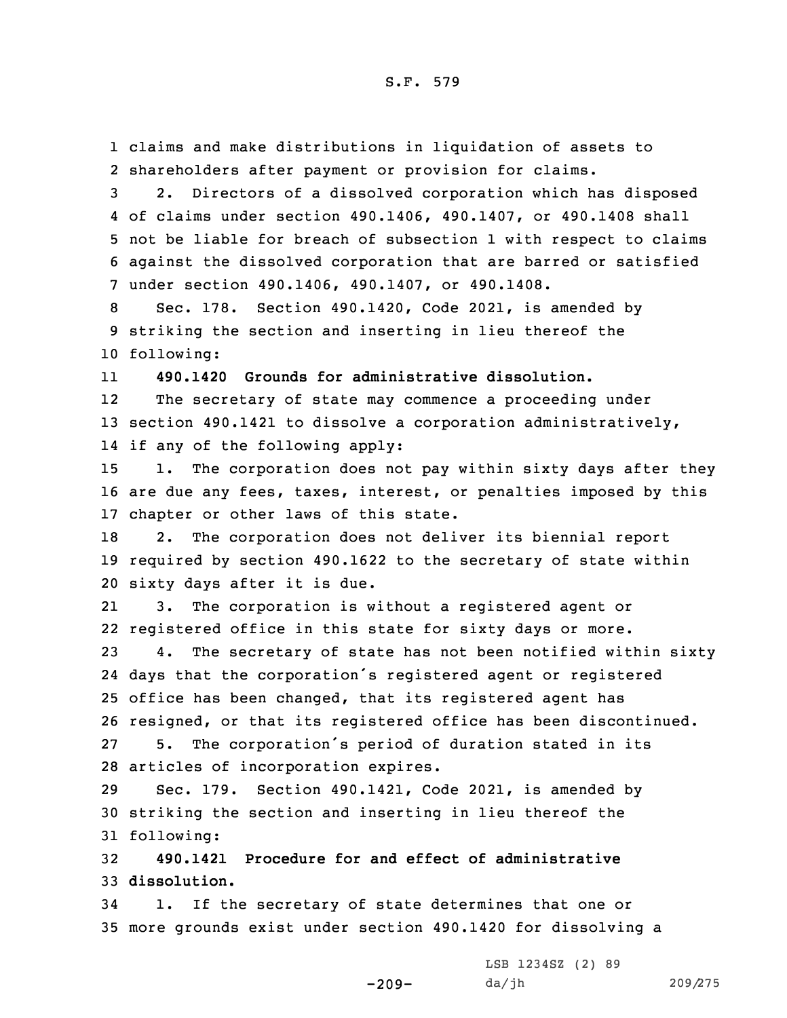1 claims and make distributions in liquidation of assets to 2 shareholders after payment or provision for claims.

 2. Directors of <sup>a</sup> dissolved corporation which has disposed of claims under section 490.1406, 490.1407, or 490.1408 shall not be liable for breach of subsection 1 with respect to claims against the dissolved corporation that are barred or satisfied under section 490.1406, 490.1407, or 490.1408.

8 Sec. 178. Section 490.1420, Code 2021, is amended by 9 striking the section and inserting in lieu thereof the 10 following:

11 **490.1420 Grounds for administrative dissolution.** 12 The secretary of state may commence <sup>a</sup> proceeding under 13 section 490.1421 to dissolve <sup>a</sup> corporation administratively, 14 if any of the following apply:

15 1. The corporation does not pay within sixty days after they 16 are due any fees, taxes, interest, or penalties imposed by this 17 chapter or other laws of this state.

18 2. The corporation does not deliver its biennial report 19 required by section 490.1622 to the secretary of state within 20 sixty days after it is due.

21 3. The corporation is without <sup>a</sup> registered agent or 22 registered office in this state for sixty days or more.

 4. The secretary of state has not been notified within sixty days that the corporation's registered agent or registered office has been changed, that its registered agent has resigned, or that its registered office has been discontinued. 5. The corporation's period of duration stated in its articles of incorporation expires.

29 Sec. 179. Section 490.1421, Code 2021, is amended by 30 striking the section and inserting in lieu thereof the 31 following:

32 **490.1421 Procedure for and effect of administrative** 33 **dissolution.**

34 1. If the secretary of state determines that one or 35 more grounds exist under section 490.1420 for dissolving <sup>a</sup>

-209-

LSB 1234SZ (2) 89 da/jh 209/275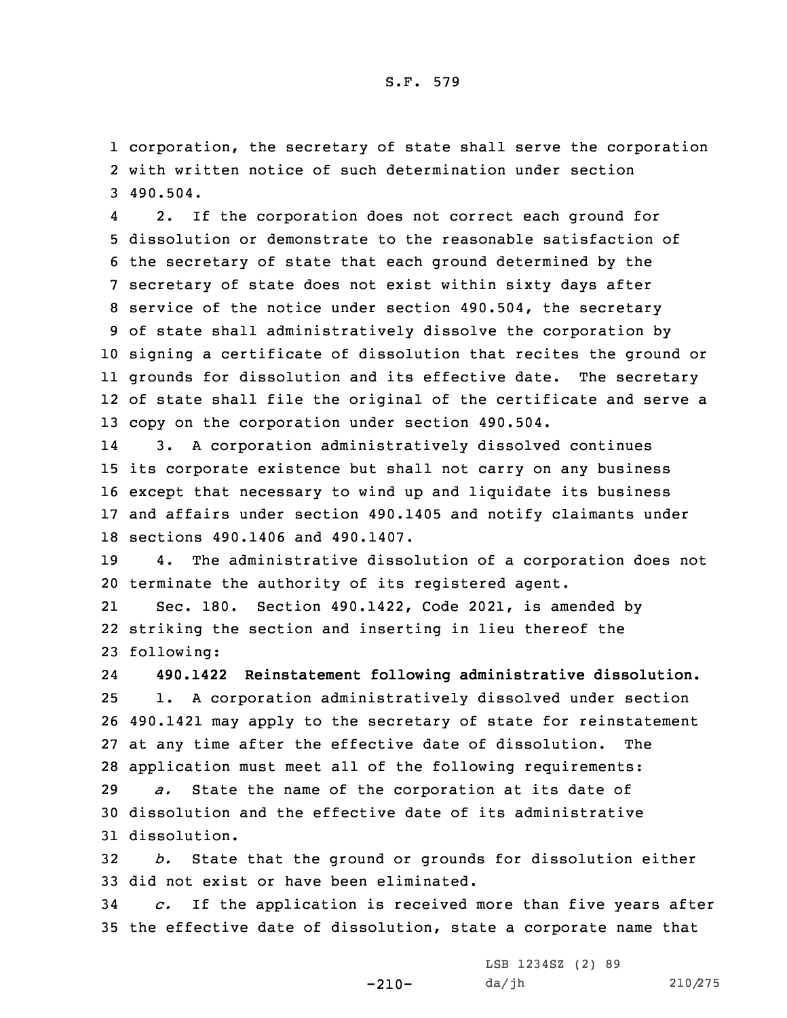1 corporation, the secretary of state shall serve the corporation 2 with written notice of such determination under section 3 490.504.

4 2. If the corporation does not correct each ground for dissolution or demonstrate to the reasonable satisfaction of the secretary of state that each ground determined by the secretary of state does not exist within sixty days after service of the notice under section 490.504, the secretary of state shall administratively dissolve the corporation by signing <sup>a</sup> certificate of dissolution that recites the ground or grounds for dissolution and its effective date. The secretary of state shall file the original of the certificate and serve <sup>a</sup> copy on the corporation under section 490.504.

14 3. <sup>A</sup> corporation administratively dissolved continues its corporate existence but shall not carry on any business except that necessary to wind up and liquidate its business and affairs under section 490.1405 and notify claimants under sections 490.1406 and 490.1407.

19 4. The administrative dissolution of <sup>a</sup> corporation does not 20 terminate the authority of its registered agent.

21 Sec. 180. Section 490.1422, Code 2021, is amended by 22 striking the section and inserting in lieu thereof the 23 following:

24 **490.1422 Reinstatement following administrative dissolution.** 1. <sup>A</sup> corporation administratively dissolved under section 490.1421 may apply to the secretary of state for reinstatement at any time after the effective date of dissolution. The application must meet all of the following requirements:

29 *a.* State the name of the corporation at its date of 30 dissolution and the effective date of its administrative 31 dissolution.

32 *b.* State that the ground or grounds for dissolution either 33 did not exist or have been eliminated.

34 *c.* If the application is received more than five years after 35 the effective date of dissolution, state <sup>a</sup> corporate name that

> LSB 1234SZ (2) 89 da/jh 210/275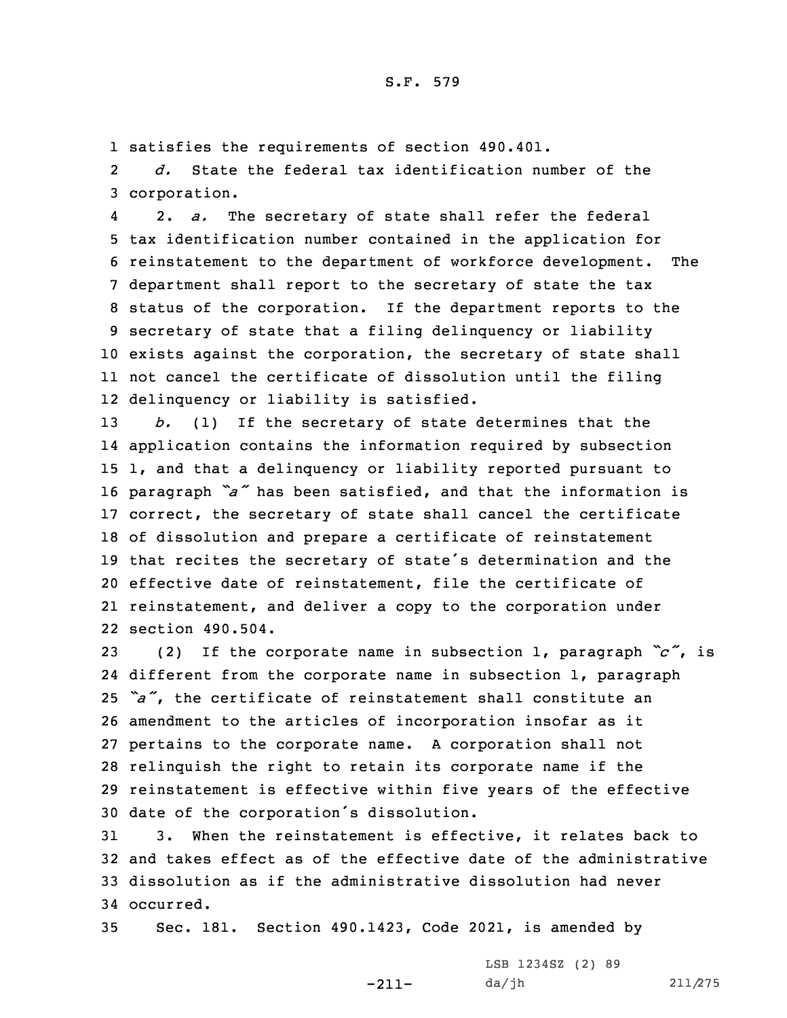1 satisfies the requirements of section 490.401.

2 *d.* State the federal tax identification number of the 3 corporation.

4 2. *a.* The secretary of state shall refer the federal tax identification number contained in the application for reinstatement to the department of workforce development. The department shall report to the secretary of state the tax status of the corporation. If the department reports to the secretary of state that <sup>a</sup> filing delinquency or liability exists against the corporation, the secretary of state shall not cancel the certificate of dissolution until the filing delinquency or liability is satisfied.

 *b.* (1) If the secretary of state determines that the application contains the information required by subsection 1, and that <sup>a</sup> delinquency or liability reported pursuant to paragraph *"a"* has been satisfied, and that the information is correct, the secretary of state shall cancel the certificate of dissolution and prepare <sup>a</sup> certificate of reinstatement that recites the secretary of state's determination and the effective date of reinstatement, file the certificate of reinstatement, and deliver <sup>a</sup> copy to the corporation under section 490.504.

 (2) If the corporate name in subsection 1, paragraph *"c"*, is different from the corporate name in subsection 1, paragraph *"a"*, the certificate of reinstatement shall constitute an amendment to the articles of incorporation insofar as it pertains to the corporate name. <sup>A</sup> corporation shall not relinquish the right to retain its corporate name if the reinstatement is effective within five years of the effective date of the corporation's dissolution.

 3. When the reinstatement is effective, it relates back to and takes effect as of the effective date of the administrative dissolution as if the administrative dissolution had never occurred.

35 Sec. 181. Section 490.1423, Code 2021, is amended by

-211-

LSB 1234SZ (2) 89 da/jh 211/275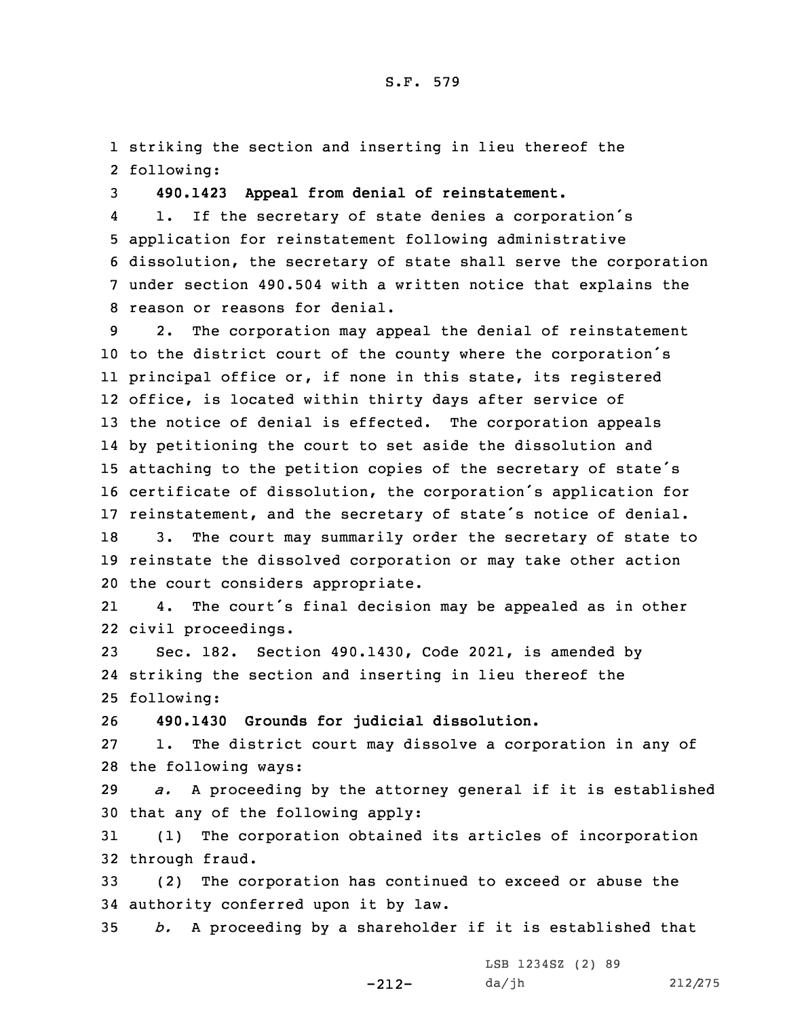1 striking the section and inserting in lieu thereof the 2 following:

3 **490.1423 Appeal from denial of reinstatement.**

4 1. If the secretary of state denies <sup>a</sup> corporation's application for reinstatement following administrative dissolution, the secretary of state shall serve the corporation under section 490.504 with <sup>a</sup> written notice that explains the reason or reasons for denial.

 2. The corporation may appeal the denial of reinstatement to the district court of the county where the corporation's principal office or, if none in this state, its registered office, is located within thirty days after service of the notice of denial is effected. The corporation appeals by petitioning the court to set aside the dissolution and attaching to the petition copies of the secretary of state's certificate of dissolution, the corporation's application for reinstatement, and the secretary of state's notice of denial.

18 3. The court may summarily order the secretary of state to 19 reinstate the dissolved corporation or may take other action 20 the court considers appropriate.

21 4. The court's final decision may be appealed as in other 22 civil proceedings.

23 Sec. 182. Section 490.1430, Code 2021, is amended by 24 striking the section and inserting in lieu thereof the 25 following:

26 **490.1430 Grounds for judicial dissolution.**

27 1. The district court may dissolve <sup>a</sup> corporation in any of 28 the following ways:

29 *a.* <sup>A</sup> proceeding by the attorney general if it is established 30 that any of the following apply:

31 (1) The corporation obtained its articles of incorporation 32 through fraud.

33 (2) The corporation has continued to exceed or abuse the 34 authority conferred upon it by law.

35 *b.* <sup>A</sup> proceeding by <sup>a</sup> shareholder if it is established that

-212-

LSB 1234SZ (2) 89 da/jh 212/275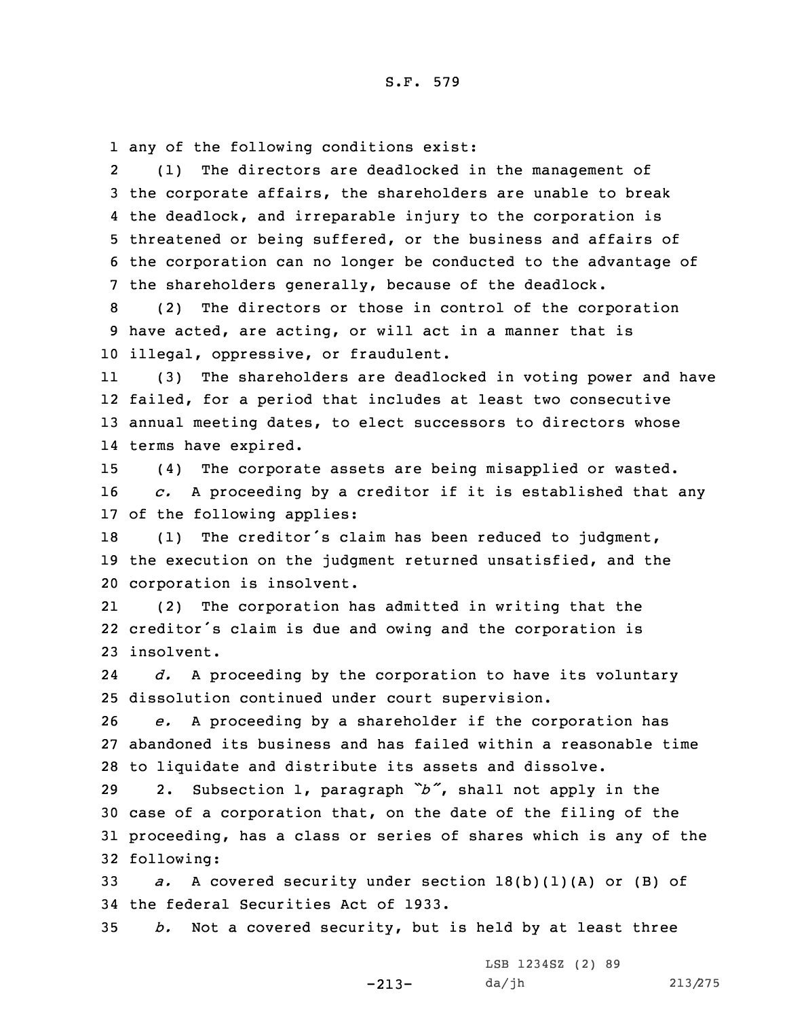1 any of the following conditions exist:

2 (1) The directors are deadlocked in the management of the corporate affairs, the shareholders are unable to break the deadlock, and irreparable injury to the corporation is threatened or being suffered, or the business and affairs of the corporation can no longer be conducted to the advantage of the shareholders generally, because of the deadlock.

8 (2) The directors or those in control of the corporation 9 have acted, are acting, or will act in <sup>a</sup> manner that is 10 illegal, oppressive, or fraudulent.

11 (3) The shareholders are deadlocked in voting power and have 12 failed, for <sup>a</sup> period that includes at least two consecutive 13 annual meeting dates, to elect successors to directors whose 14 terms have expired.

15 (4) The corporate assets are being misapplied or wasted. 16 *c.* <sup>A</sup> proceeding by <sup>a</sup> creditor if it is established that any 17 of the following applies:

18 (1) The creditor's claim has been reduced to judgment, 19 the execution on the judgment returned unsatisfied, and the 20 corporation is insolvent.

21 (2) The corporation has admitted in writing that the 22 creditor's claim is due and owing and the corporation is 23 insolvent.

24 *d.* <sup>A</sup> proceeding by the corporation to have its voluntary 25 dissolution continued under court supervision.

26 *e.* <sup>A</sup> proceeding by <sup>a</sup> shareholder if the corporation has 27 abandoned its business and has failed within <sup>a</sup> reasonable time 28 to liquidate and distribute its assets and dissolve.

 2. Subsection 1, paragraph *"b"*, shall not apply in the case of <sup>a</sup> corporation that, on the date of the filing of the proceeding, has <sup>a</sup> class or series of shares which is any of the following:

33 *a.* <sup>A</sup> covered security under section 18(b)(1)(A) or (B) of 34 the federal Securities Act of 1933.

35 *b.* Not <sup>a</sup> covered security, but is held by at least three

-213-

LSB 1234SZ (2) 89 da/jh 213/275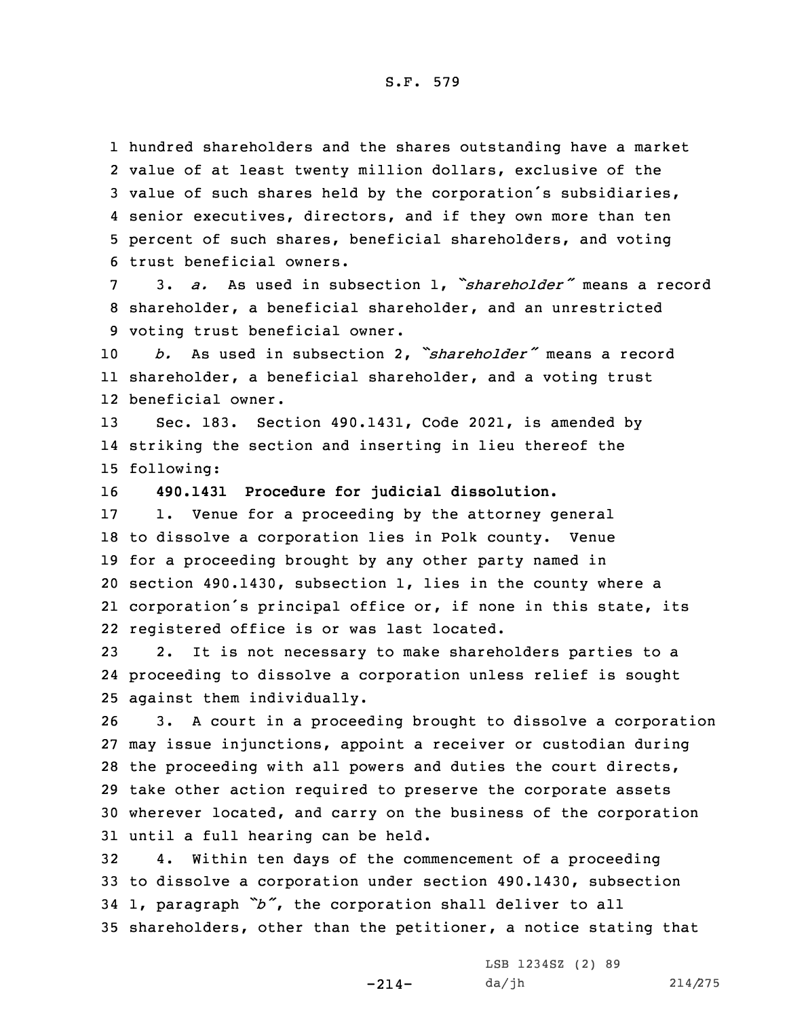hundred shareholders and the shares outstanding have <sup>a</sup> market value of at least twenty million dollars, exclusive of the value of such shares held by the corporation's subsidiaries, senior executives, directors, and if they own more than ten percent of such shares, beneficial shareholders, and voting trust beneficial owners.

7 3. *a.* As used in subsection 1, *"shareholder"* means <sup>a</sup> record 8 shareholder, <sup>a</sup> beneficial shareholder, and an unrestricted 9 voting trust beneficial owner.

10 *b.* As used in subsection 2, *"shareholder"* means <sup>a</sup> record 11 shareholder, <sup>a</sup> beneficial shareholder, and <sup>a</sup> voting trust 12 beneficial owner.

13 Sec. 183. Section 490.1431, Code 2021, is amended by 14 striking the section and inserting in lieu thereof the 15 following:

16 **490.1431 Procedure for judicial dissolution.**

 1. Venue for <sup>a</sup> proceeding by the attorney general to dissolve <sup>a</sup> corporation lies in Polk county. Venue for <sup>a</sup> proceeding brought by any other party named in section 490.1430, subsection 1, lies in the county where <sup>a</sup> corporation's principal office or, if none in this state, its registered office is or was last located.

23 2. It is not necessary to make shareholders parties to <sup>a</sup> 24 proceeding to dissolve <sup>a</sup> corporation unless relief is sought 25 against them individually.

 3. <sup>A</sup> court in <sup>a</sup> proceeding brought to dissolve <sup>a</sup> corporation may issue injunctions, appoint <sup>a</sup> receiver or custodian during the proceeding with all powers and duties the court directs, take other action required to preserve the corporate assets wherever located, and carry on the business of the corporation until <sup>a</sup> full hearing can be held.

 4. Within ten days of the commencement of <sup>a</sup> proceeding to dissolve <sup>a</sup> corporation under section 490.1430, subsection 1, paragraph *"b"*, the corporation shall deliver to all shareholders, other than the petitioner, <sup>a</sup> notice stating that

 $-214-$ 

LSB 1234SZ (2) 89 da/jh 214/275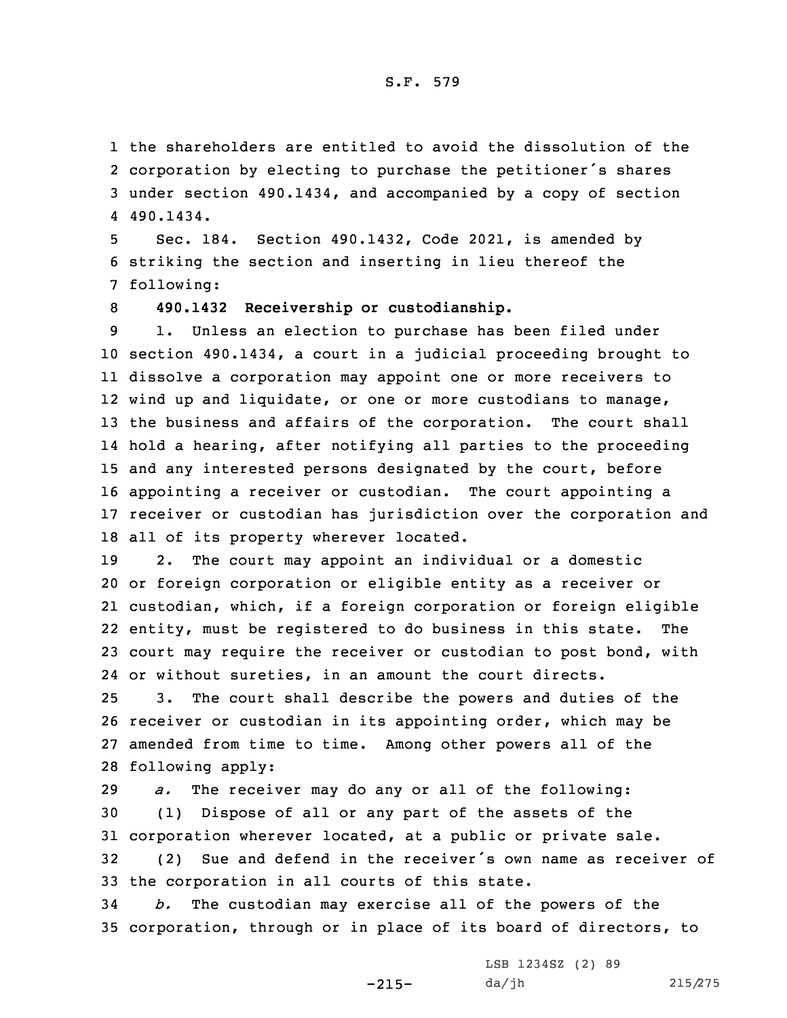the shareholders are entitled to avoid the dissolution of the corporation by electing to purchase the petitioner's shares under section 490.1434, and accompanied by <sup>a</sup> copy of section 490.1434.

5 Sec. 184. Section 490.1432, Code 2021, is amended by 6 striking the section and inserting in lieu thereof the 7 following:

8 **490.1432 Receivership or custodianship.**

 1. Unless an election to purchase has been filed under section 490.1434, <sup>a</sup> court in <sup>a</sup> judicial proceeding brought to dissolve <sup>a</sup> corporation may appoint one or more receivers to wind up and liquidate, or one or more custodians to manage, the business and affairs of the corporation. The court shall hold <sup>a</sup> hearing, after notifying all parties to the proceeding 15 and any interested persons designated by the court, before appointing <sup>a</sup> receiver or custodian. The court appointing <sup>a</sup> receiver or custodian has jurisdiction over the corporation and all of its property wherever located.

 2. The court may appoint an individual or <sup>a</sup> domestic or foreign corporation or eligible entity as <sup>a</sup> receiver or custodian, which, if <sup>a</sup> foreign corporation or foreign eligible entity, must be registered to do business in this state. The court may require the receiver or custodian to post bond, with or without sureties, in an amount the court directs.

 3. The court shall describe the powers and duties of the receiver or custodian in its appointing order, which may be amended from time to time. Among other powers all of the following apply:

 *a.* The receiver may do any or all of the following: (1) Dispose of all or any part of the assets of the corporation wherever located, at <sup>a</sup> public or private sale. (2) Sue and defend in the receiver's own name as receiver of the corporation in all courts of this state.

34 *b.* The custodian may exercise all of the powers of the 35 corporation, through or in place of its board of directors, to

-215-

LSB 1234SZ (2) 89 da/jh 215/275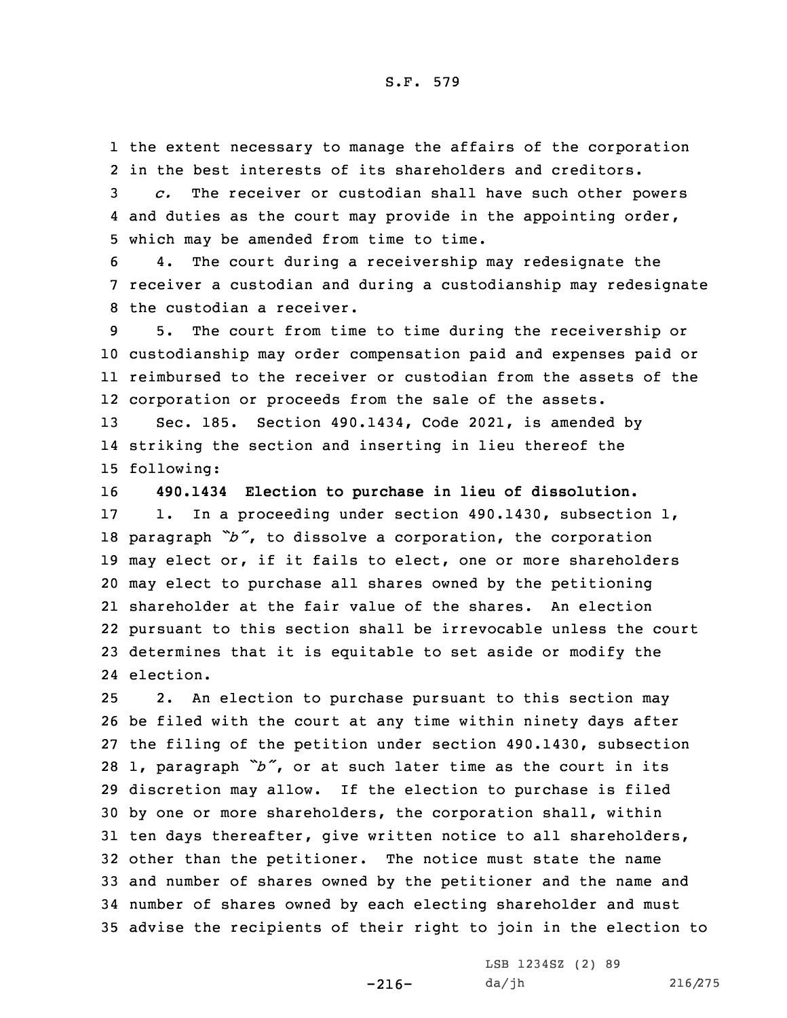1 the extent necessary to manage the affairs of the corporation 2 in the best interests of its shareholders and creditors.

3 *c.* The receiver or custodian shall have such other powers 4 and duties as the court may provide in the appointing order, 5 which may be amended from time to time.

6 4. The court during <sup>a</sup> receivership may redesignate the 7 receiver <sup>a</sup> custodian and during <sup>a</sup> custodianship may redesignate 8 the custodian <sup>a</sup> receiver.

 5. The court from time to time during the receivership or custodianship may order compensation paid and expenses paid or reimbursed to the receiver or custodian from the assets of the corporation or proceeds from the sale of the assets.

13 Sec. 185. Section 490.1434, Code 2021, is amended by 14 striking the section and inserting in lieu thereof the 15 following:

 **490.1434 Election to purchase in lieu of dissolution.** 1. In <sup>a</sup> proceeding under section 490.1430, subsection 1, paragraph *"b"*, to dissolve <sup>a</sup> corporation, the corporation may elect or, if it fails to elect, one or more shareholders may elect to purchase all shares owned by the petitioning shareholder at the fair value of the shares. An election pursuant to this section shall be irrevocable unless the court determines that it is equitable to set aside or modify the

24 election.

 2. An election to purchase pursuant to this section may be filed with the court at any time within ninety days after the filing of the petition under section 490.1430, subsection 1, paragraph *"b"*, or at such later time as the court in its discretion may allow. If the election to purchase is filed by one or more shareholders, the corporation shall, within ten days thereafter, give written notice to all shareholders, other than the petitioner. The notice must state the name and number of shares owned by the petitioner and the name and number of shares owned by each electing shareholder and must advise the recipients of their right to join in the election to

-216-

LSB 1234SZ (2) 89 da/jh 216/275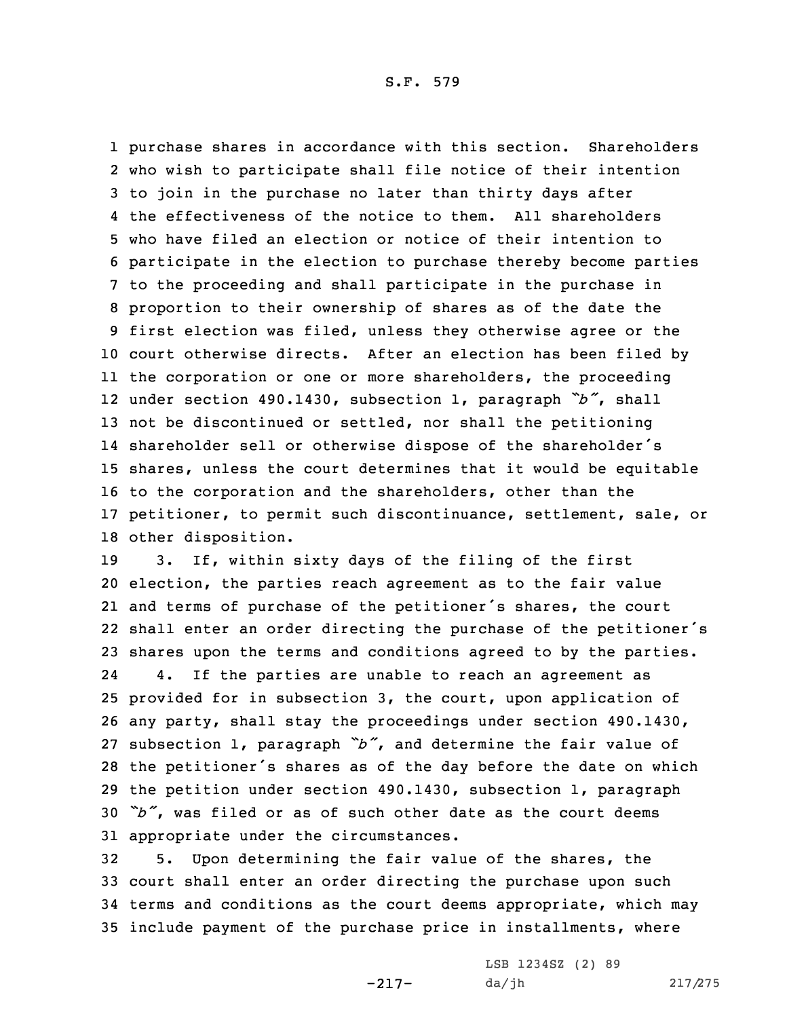purchase shares in accordance with this section. Shareholders who wish to participate shall file notice of their intention to join in the purchase no later than thirty days after the effectiveness of the notice to them. All shareholders who have filed an election or notice of their intention to participate in the election to purchase thereby become parties to the proceeding and shall participate in the purchase in proportion to their ownership of shares as of the date the first election was filed, unless they otherwise agree or the court otherwise directs. After an election has been filed by the corporation or one or more shareholders, the proceeding under section 490.1430, subsection 1, paragraph *"b"*, shall not be discontinued or settled, nor shall the petitioning shareholder sell or otherwise dispose of the shareholder's shares, unless the court determines that it would be equitable to the corporation and the shareholders, other than the petitioner, to permit such discontinuance, settlement, sale, or other disposition.

 3. If, within sixty days of the filing of the first election, the parties reach agreement as to the fair value and terms of purchase of the petitioner's shares, the court shall enter an order directing the purchase of the petitioner's shares upon the terms and conditions agreed to by the parties. 24 4. If the parties are unable to reach an agreement as provided for in subsection 3, the court, upon application of any party, shall stay the proceedings under section 490.1430, subsection 1, paragraph *"b"*, and determine the fair value of the petitioner's shares as of the day before the date on which the petition under section 490.1430, subsection 1, paragraph *"b"*, was filed or as of such other date as the court deems appropriate under the circumstances.

 5. Upon determining the fair value of the shares, the court shall enter an order directing the purchase upon such terms and conditions as the court deems appropriate, which may include payment of the purchase price in installments, where

-217-

LSB 1234SZ (2) 89 da/jh 217/275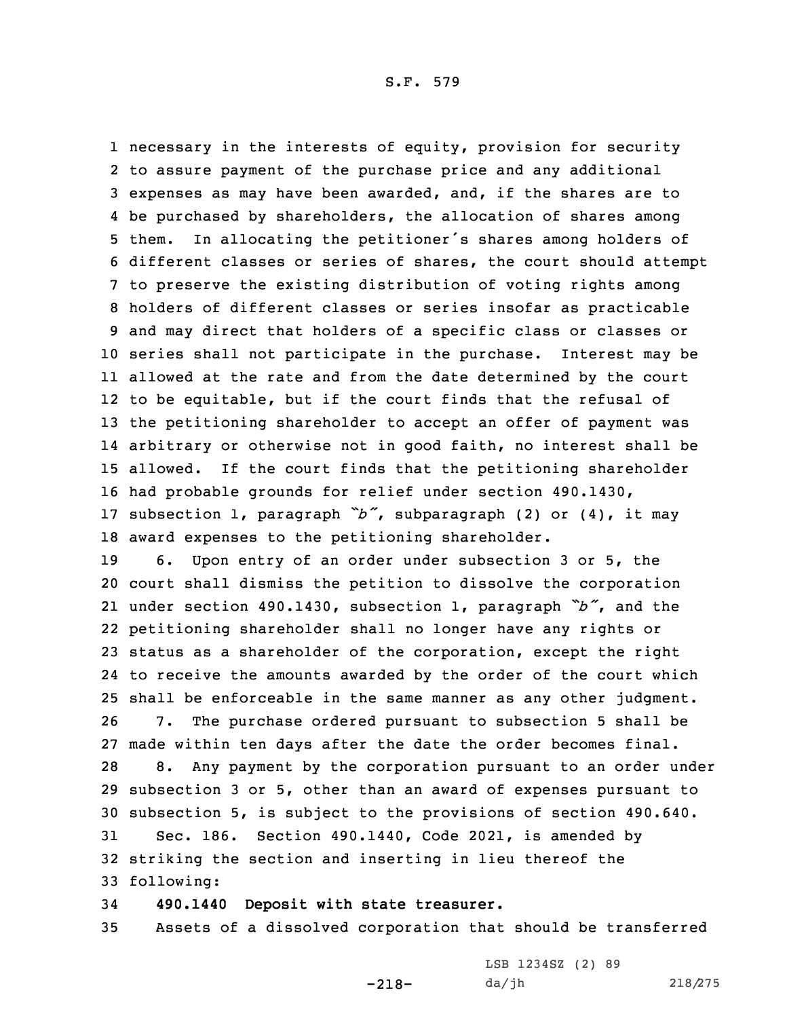necessary in the interests of equity, provision for security to assure payment of the purchase price and any additional expenses as may have been awarded, and, if the shares are to be purchased by shareholders, the allocation of shares among them. In allocating the petitioner's shares among holders of different classes or series of shares, the court should attempt to preserve the existing distribution of voting rights among holders of different classes or series insofar as practicable and may direct that holders of <sup>a</sup> specific class or classes or series shall not participate in the purchase. Interest may be allowed at the rate and from the date determined by the court to be equitable, but if the court finds that the refusal of the petitioning shareholder to accept an offer of payment was arbitrary or otherwise not in good faith, no interest shall be allowed. If the court finds that the petitioning shareholder had probable grounds for relief under section 490.1430, subsection 1, paragraph *"b"*, subparagraph (2) or (4), it may award expenses to the petitioning shareholder. 6. Upon entry of an order under subsection 3 or 5, the court shall dismiss the petition to dissolve the corporation under section 490.1430, subsection 1, paragraph *"b"*, and the petitioning shareholder shall no longer have any rights or status as <sup>a</sup> shareholder of the corporation, except the right to receive the amounts awarded by the order of the court which shall be enforceable in the same manner as any other judgment. 7. The purchase ordered pursuant to subsection 5 shall be made within ten days after the date the order becomes final. 8. Any payment by the corporation pursuant to an order under subsection 3 or 5, other than an award of expenses pursuant to subsection 5, is subject to the provisions of section 490.640. Sec. 186. Section 490.1440, Code 2021, is amended by striking the section and inserting in lieu thereof the following:

34 **490.1440 Deposit with state treasurer.**

35 Assets of <sup>a</sup> dissolved corporation that should be transferred

-218-

LSB 1234SZ (2) 89 da/jh 218/275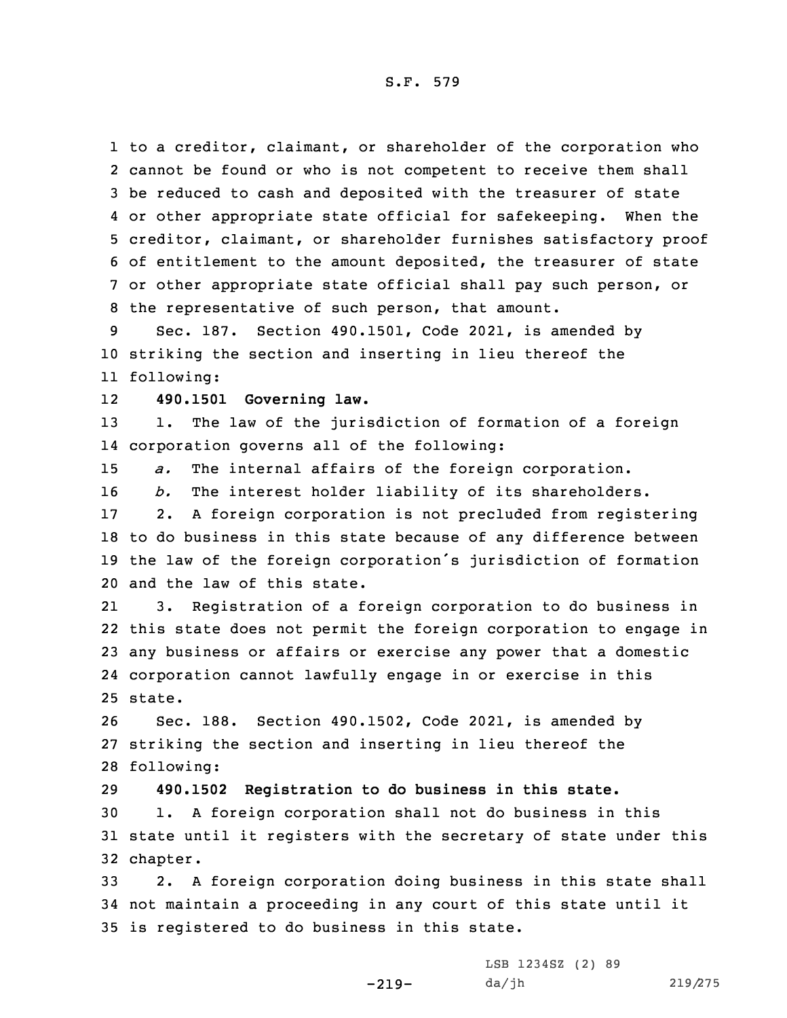S.F. 579

 to <sup>a</sup> creditor, claimant, or shareholder of the corporation who cannot be found or who is not competent to receive them shall be reduced to cash and deposited with the treasurer of state or other appropriate state official for safekeeping. When the creditor, claimant, or shareholder furnishes satisfactory proof of entitlement to the amount deposited, the treasurer of state or other appropriate state official shall pay such person, or the representative of such person, that amount.

9 Sec. 187. Section 490.1501, Code 2021, is amended by 10 striking the section and inserting in lieu thereof the 11 following:

12**490.1501 Governing law.**

13 1. The law of the jurisdiction of formation of <sup>a</sup> foreign 14 corporation governs all of the following:

15 *a.* The internal affairs of the foreign corporation.

16 *b.* The interest holder liability of its shareholders.

 2. <sup>A</sup> foreign corporation is not precluded from registering to do business in this state because of any difference between the law of the foreign corporation's jurisdiction of formation and the law of this state.

21 3. Registration of <sup>a</sup> foreign corporation to do business in 22 this state does not permit the foreign corporation to engage in 23 any business or affairs or exercise any power that <sup>a</sup> domestic 24 corporation cannot lawfully engage in or exercise in this 25 state.

26 Sec. 188. Section 490.1502, Code 2021, is amended by 27 striking the section and inserting in lieu thereof the 28 following:

29 **490.1502 Registration to do business in this state.**

30 1. <sup>A</sup> foreign corporation shall not do business in this 31 state until it registers with the secretary of state under this 32 chapter.

33 2. <sup>A</sup> foreign corporation doing business in this state shall 34 not maintain <sup>a</sup> proceeding in any court of this state until it 35 is registered to do business in this state.

-219-

LSB 1234SZ (2) 89 da/jh 219/275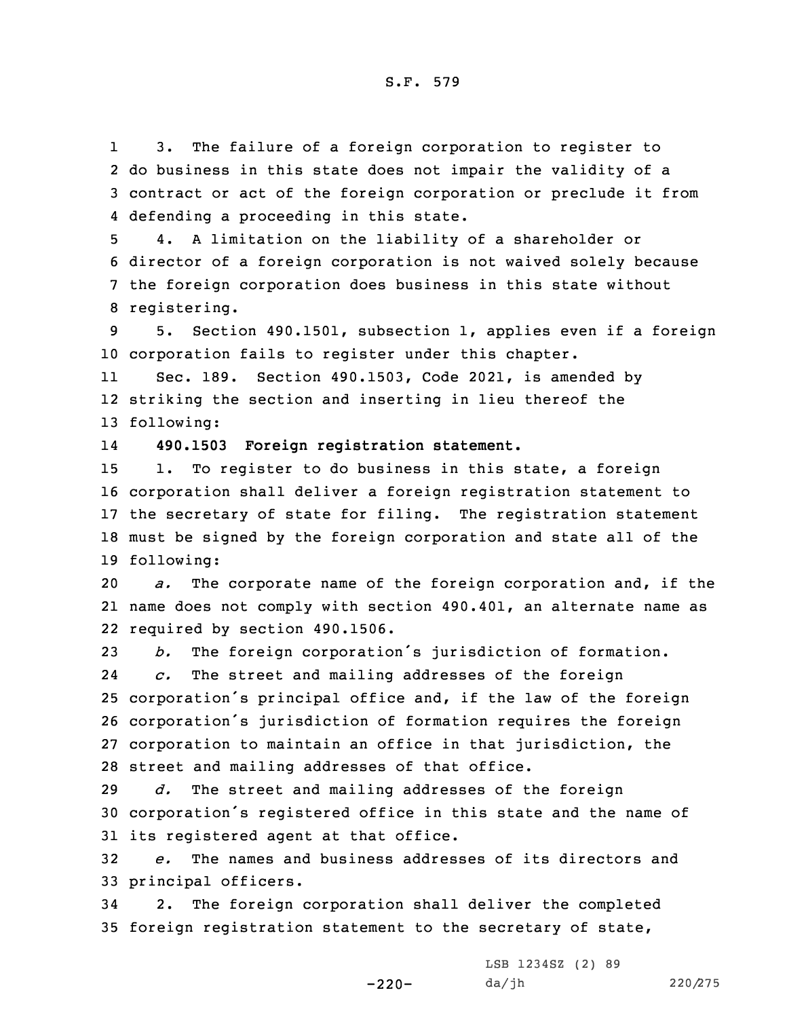1 3. The failure of <sup>a</sup> foreign corporation to register to 2 do business in this state does not impair the validity of <sup>a</sup> 3 contract or act of the foreign corporation or preclude it from 4 defending <sup>a</sup> proceeding in this state.

 4. <sup>A</sup> limitation on the liability of <sup>a</sup> shareholder or director of <sup>a</sup> foreign corporation is not waived solely because the foreign corporation does business in this state without registering.

9 5. Section 490.1501, subsection 1, applies even if <sup>a</sup> foreign 10 corporation fails to register under this chapter.

11 Sec. 189. Section 490.1503, Code 2021, is amended by 12 striking the section and inserting in lieu thereof the 13 following:

14**490.1503 Foreign registration statement.**

 1. To register to do business in this state, <sup>a</sup> foreign corporation shall deliver <sup>a</sup> foreign registration statement to the secretary of state for filing. The registration statement must be signed by the foreign corporation and state all of the following:

20 *a.* The corporate name of the foreign corporation and, if the 21 name does not comply with section 490.401, an alternate name as 22 required by section 490.1506.

 *b.* The foreign corporation's jurisdiction of formation. 24 *c.* The street and mailing addresses of the foreign corporation's principal office and, if the law of the foreign corporation's jurisdiction of formation requires the foreign corporation to maintain an office in that jurisdiction, the street and mailing addresses of that office.

29 *d.* The street and mailing addresses of the foreign <sup>30</sup> corporation's registered office in this state and the name of 31 its registered agent at that office.

32 *e.* The names and business addresses of its directors and 33 principal officers.

34 2. The foreign corporation shall deliver the completed 35 foreign registration statement to the secretary of state,

-220-

LSB 1234SZ (2) 89 da/jh 220/275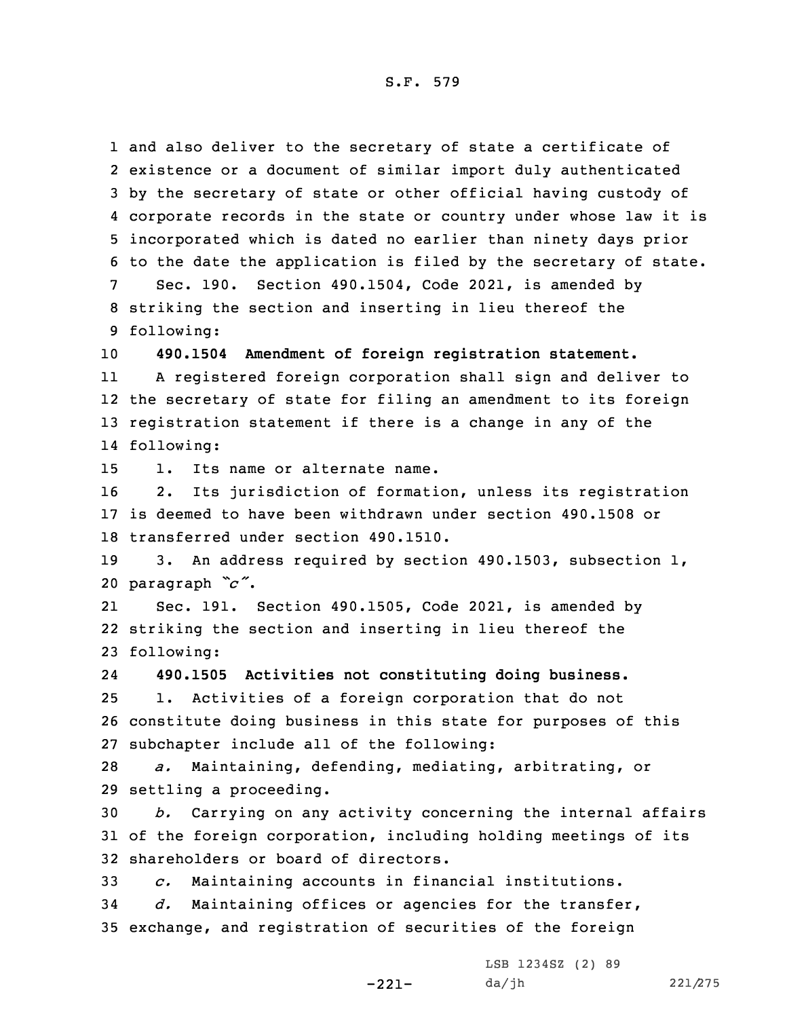S.F. 579

 and also deliver to the secretary of state <sup>a</sup> certificate of existence or <sup>a</sup> document of similar import duly authenticated by the secretary of state or other official having custody of corporate records in the state or country under whose law it is incorporated which is dated no earlier than ninety days prior to the date the application is filed by the secretary of state. Sec. 190. Section 490.1504, Code 2021, is amended by striking the section and inserting in lieu thereof the following:

10 **490.1504 Amendment of foreign registration statement.**

11 <sup>A</sup> registered foreign corporation shall sign and deliver to 12 the secretary of state for filing an amendment to its foreign 13 registration statement if there is <sup>a</sup> change in any of the 14 following:

15 1. Its name or alternate name.

16 2. Its jurisdiction of formation, unless its registration 17 is deemed to have been withdrawn under section 490.1508 or 18 transferred under section 490.1510.

19 3. An address required by section 490.1503, subsection 1, <sup>20</sup> paragraph *"c"*.

21 Sec. 191. Section 490.1505, Code 2021, is amended by 22 striking the section and inserting in lieu thereof the 23 following:

24**490.1505 Activities not constituting doing business.**

25 1. Activities of <sup>a</sup> foreign corporation that do not 26 constitute doing business in this state for purposes of this 27 subchapter include all of the following:

28 *a.* Maintaining, defending, mediating, arbitrating, or 29 settling <sup>a</sup> proceeding.

30 *b.* Carrying on any activity concerning the internal affairs 31 of the foreign corporation, including holding meetings of its 32 shareholders or board of directors.

-221-

33 *c.* Maintaining accounts in financial institutions.

34 *d.* Maintaining offices or agencies for the transfer, 35 exchange, and registration of securities of the foreign

> LSB 1234SZ (2) 89 da/jh 221/275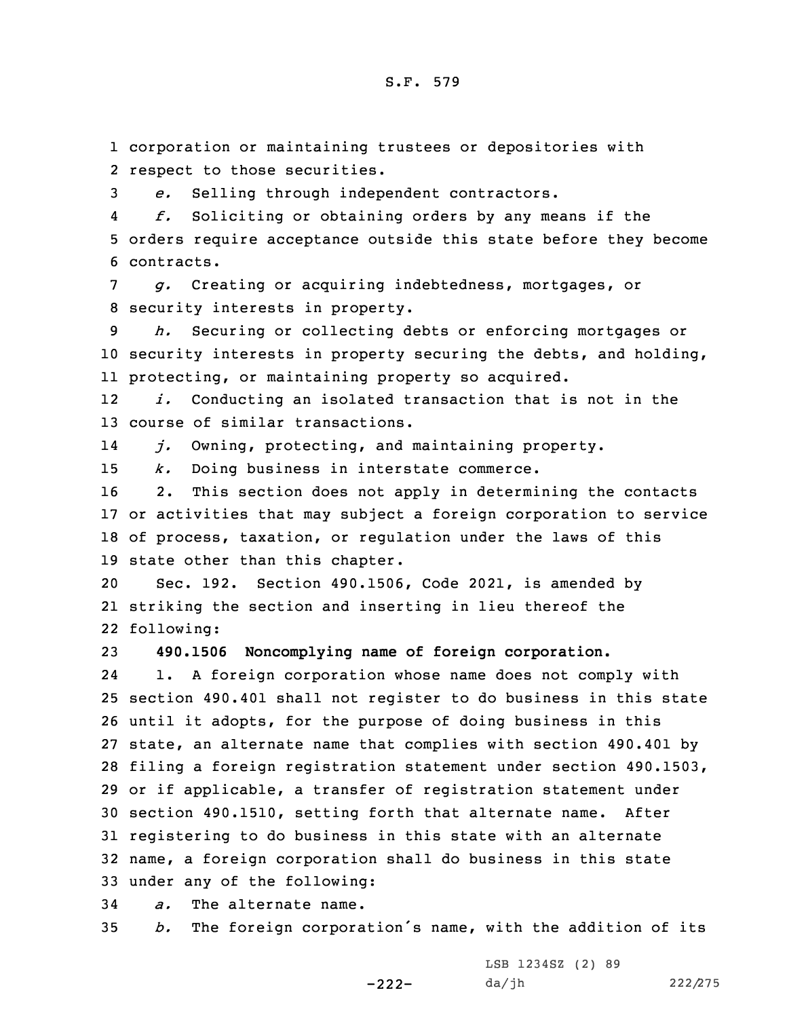1 corporation or maintaining trustees or depositories with 2 respect to those securities.

3 *e.* Selling through independent contractors.

4 *f.* Soliciting or obtaining orders by any means if the 5 orders require acceptance outside this state before they become 6 contracts.

7 *g.* Creating or acquiring indebtedness, mortgages, or 8 security interests in property.

9 *h.* Securing or collecting debts or enforcing mortgages or 10 security interests in property securing the debts, and holding, 11 protecting, or maintaining property so acquired.

12 *i.* Conducting an isolated transaction that is not in the 13 course of similar transactions.

14*j.* Owning, protecting, and maintaining property.

15 *k.* Doing business in interstate commerce.

 2. This section does not apply in determining the contacts or activities that may subject <sup>a</sup> foreign corporation to service of process, taxation, or regulation under the laws of this state other than this chapter.

20 Sec. 192. Section 490.1506, Code 2021, is amended by 21 striking the section and inserting in lieu thereof the 22 following:

23 **490.1506 Noncomplying name of foreign corporation.**

24 1. <sup>A</sup> foreign corporation whose name does not comply with section 490.401 shall not register to do business in this state until it adopts, for the purpose of doing business in this state, an alternate name that complies with section 490.401 by filing <sup>a</sup> foreign registration statement under section 490.1503, or if applicable, <sup>a</sup> transfer of registration statement under section 490.1510, setting forth that alternate name. After registering to do business in this state with an alternate name, <sup>a</sup> foreign corporation shall do business in this state under any of the following:

34 *a.* The alternate name.

<sup>35</sup> *b.* The foreign corporation's name, with the addition of its

-222-

LSB 1234SZ (2) 89 da/jh 222/275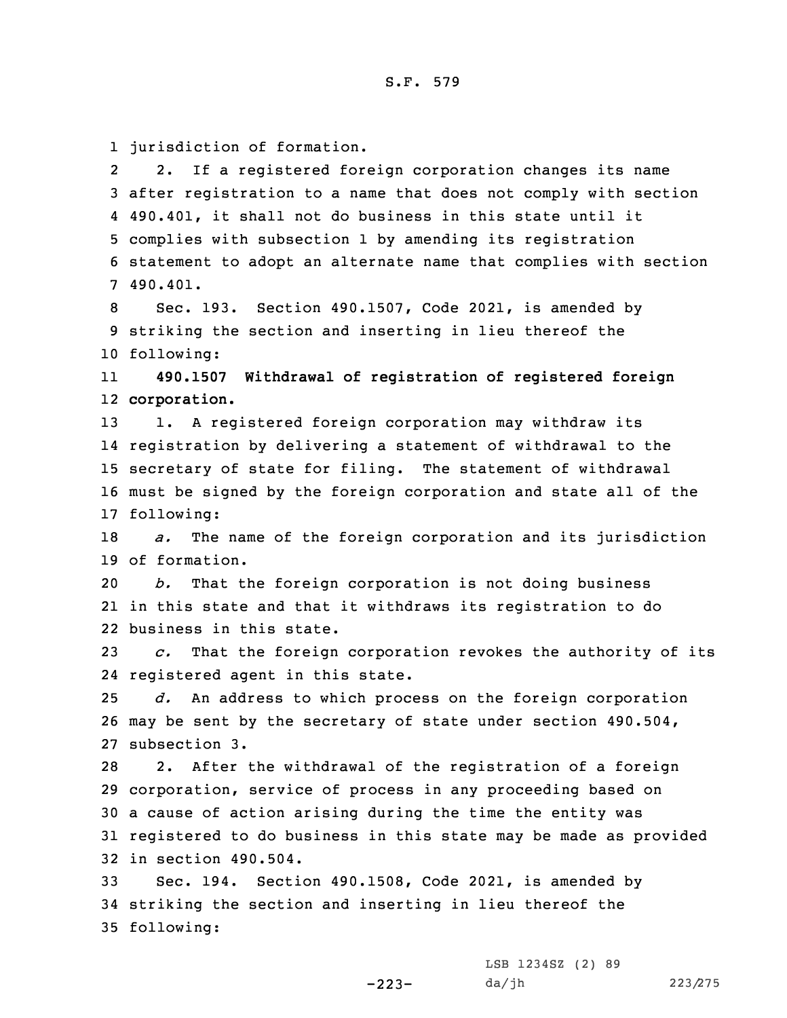1 jurisdiction of formation.

2 2. If <sup>a</sup> registered foreign corporation changes its name 3 after registration to <sup>a</sup> name that does not comply with section 4 490.401, it shall not do business in this state until it 5 complies with subsection 1 by amending its registration 6 statement to adopt an alternate name that complies with section 7 490.401.

8 Sec. 193. Section 490.1507, Code 2021, is amended by 9 striking the section and inserting in lieu thereof the 10 following:

11 **490.1507 Withdrawal of registration of registered foreign** 12 **corporation.**

13 1. A registered foreign corporation may withdraw its registration by delivering <sup>a</sup> statement of withdrawal to the secretary of state for filing. The statement of withdrawal must be signed by the foreign corporation and state all of the following:

18 *a.* The name of the foreign corporation and its jurisdiction 19 of formation.

20 *b.* That the foreign corporation is not doing business 21 in this state and that it withdraws its registration to do 22 business in this state.

23 *c.* That the foreign corporation revokes the authority of its 24 registered agent in this state.

25 *d.* An address to which process on the foreign corporation 26 may be sent by the secretary of state under section 490.504, 27 subsection 3.

 2. After the withdrawal of the registration of <sup>a</sup> foreign corporation, service of process in any proceeding based on <sup>a</sup> cause of action arising during the time the entity was registered to do business in this state may be made as provided in section 490.504.

33 Sec. 194. Section 490.1508, Code 2021, is amended by 34 striking the section and inserting in lieu thereof the 35 following:

 $-223-$ 

LSB 1234SZ (2) 89 da/jh 223/275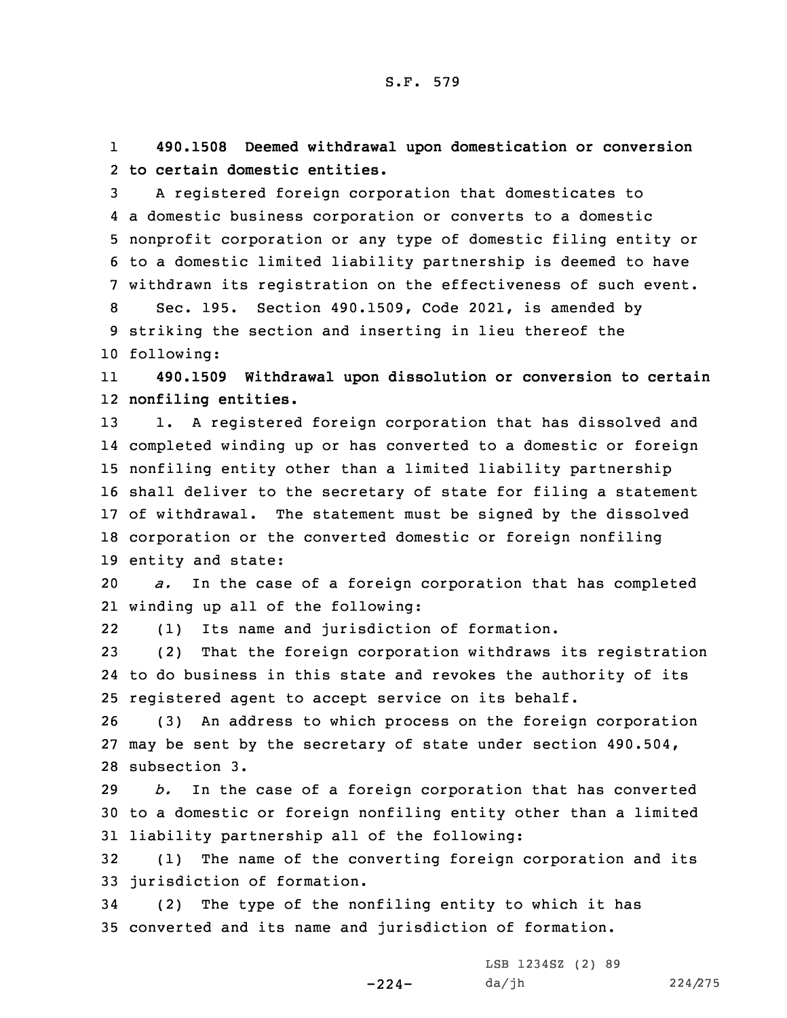1 **490.1508 Deemed withdrawal upon domestication or conversion** 2 **to certain domestic entities.**

 <sup>A</sup> registered foreign corporation that domesticates to <sup>a</sup> domestic business corporation or converts to <sup>a</sup> domestic nonprofit corporation or any type of domestic filing entity or to <sup>a</sup> domestic limited liability partnership is deemed to have withdrawn its registration on the effectiveness of such event.

8 Sec. 195. Section 490.1509, Code 2021, is amended by 9 striking the section and inserting in lieu thereof the 10 following:

11 **490.1509 Withdrawal upon dissolution or conversion to certain** 12 **nonfiling entities.**

13 1. A registered foreign corporation that has dissolved and completed winding up or has converted to <sup>a</sup> domestic or foreign nonfiling entity other than <sup>a</sup> limited liability partnership shall deliver to the secretary of state for filing <sup>a</sup> statement of withdrawal. The statement must be signed by the dissolved corporation or the converted domestic or foreign nonfiling entity and state:

20 *a.* In the case of <sup>a</sup> foreign corporation that has completed 21 winding up all of the following:

22(1) Its name and jurisdiction of formation.

23 (2) That the foreign corporation withdraws its registration 24 to do business in this state and revokes the authority of its 25 registered agent to accept service on its behalf.

26 (3) An address to which process on the foreign corporation 27 may be sent by the secretary of state under section 490.504, 28 subsection 3.

29 *b.* In the case of <sup>a</sup> foreign corporation that has converted 30 to <sup>a</sup> domestic or foreign nonfiling entity other than <sup>a</sup> limited 31 liability partnership all of the following:

32 (1) The name of the converting foreign corporation and its 33 jurisdiction of formation.

-224-

34 (2) The type of the nonfiling entity to which it has 35 converted and its name and jurisdiction of formation.

> LSB 1234SZ (2) 89 da/jh 224/275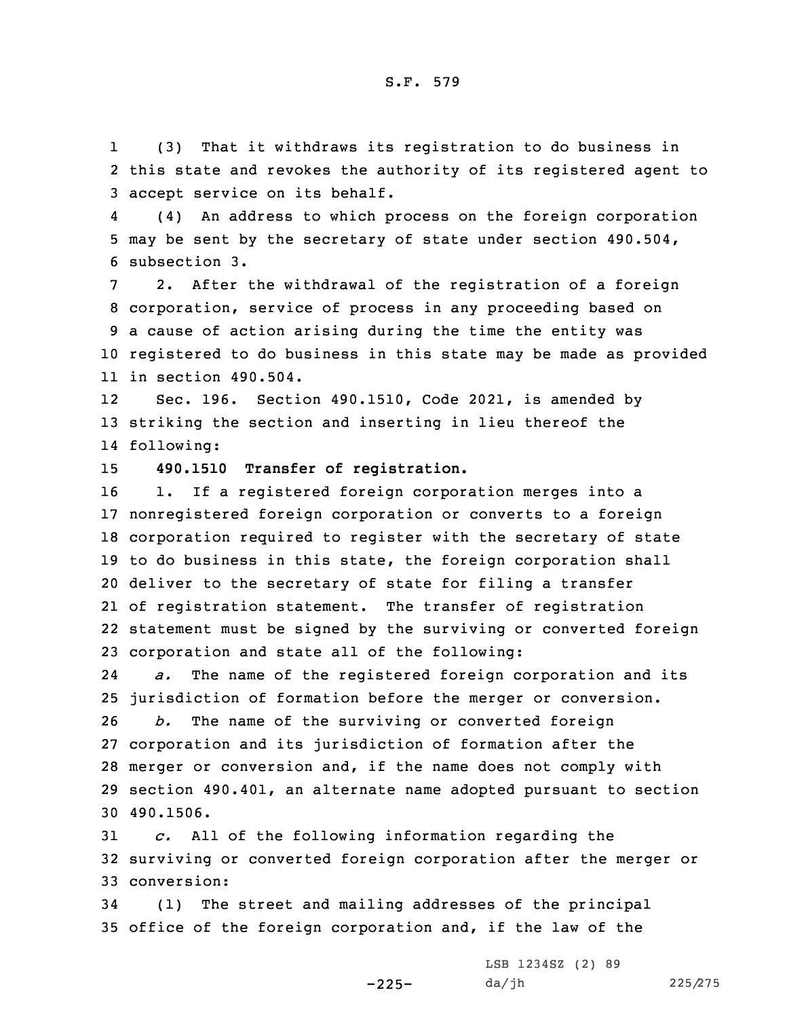1 (3) That it withdraws its registration to do business in 2 this state and revokes the authority of its registered agent to 3 accept service on its behalf.

4 (4) An address to which process on the foreign corporation 5 may be sent by the secretary of state under section 490.504, 6 subsection 3.

 2. After the withdrawal of the registration of <sup>a</sup> foreign corporation, service of process in any proceeding based on <sup>a</sup> cause of action arising during the time the entity was registered to do business in this state may be made as provided in section 490.504.

12 Sec. 196. Section 490.1510, Code 2021, is amended by 13 striking the section and inserting in lieu thereof the 14 following:

15 **490.1510 Transfer of registration.**

16 1. If a registered foreign corporation merges into a nonregistered foreign corporation or converts to <sup>a</sup> foreign corporation required to register with the secretary of state to do business in this state, the foreign corporation shall deliver to the secretary of state for filing <sup>a</sup> transfer of registration statement. The transfer of registration statement must be signed by the surviving or converted foreign corporation and state all of the following:

24 *a.* The name of the registered foreign corporation and its jurisdiction of formation before the merger or conversion. *b.* The name of the surviving or converted foreign corporation and its jurisdiction of formation after the merger or conversion and, if the name does not comply with section 490.401, an alternate name adopted pursuant to section 490.1506.

31 *c.* All of the following information regarding the 32 surviving or converted foreign corporation after the merger or 33 conversion:

-225-

34 (1) The street and mailing addresses of the principal 35 office of the foreign corporation and, if the law of the

> LSB 1234SZ (2) 89 da/jh 225/275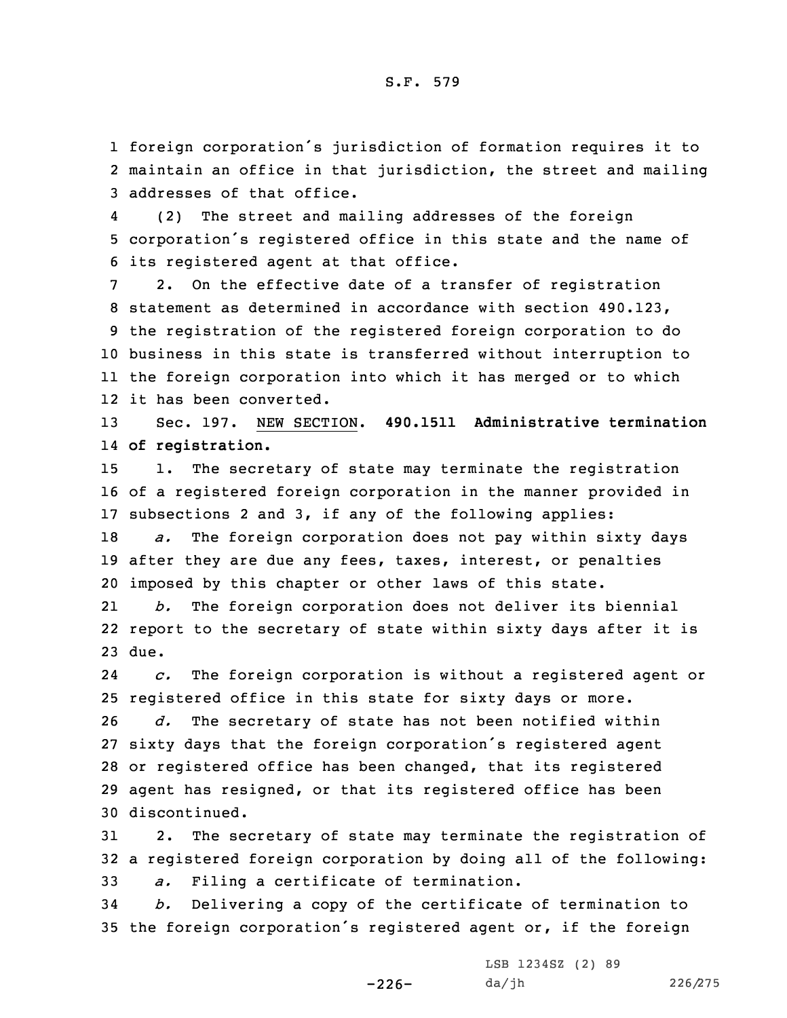1 foreign corporation's jurisdiction of formation requires it to 2 maintain an office in that jurisdiction, the street and mailing 3 addresses of that office.

4 (2) The street and mailing addresses of the foreign <sup>5</sup> corporation's registered office in this state and the name of 6 its registered agent at that office.

 2. On the effective date of <sup>a</sup> transfer of registration statement as determined in accordance with section 490.123, the registration of the registered foreign corporation to do business in this state is transferred without interruption to the foreign corporation into which it has merged or to which it has been converted.

13 Sec. 197. NEW SECTION. **490.1511 Administrative termination** 14 **of registration.**

15 1. The secretary of state may terminate the registration 16 of <sup>a</sup> registered foreign corporation in the manner provided in 17 subsections 2 and 3, if any of the following applies:

18 *a.* The foreign corporation does not pay within sixty days 19 after they are due any fees, taxes, interest, or penalties 20 imposed by this chapter or other laws of this state.

21 *b.* The foreign corporation does not deliver its biennial 22 report to the secretary of state within sixty days after it is 23 due.

24 *c.* The foreign corporation is without <sup>a</sup> registered agent or 25 registered office in this state for sixty days or more.

 *d.* The secretary of state has not been notified within sixty days that the foreign corporation's registered agent or registered office has been changed, that its registered agent has resigned, or that its registered office has been discontinued.

31 2. The secretary of state may terminate the registration of 32 <sup>a</sup> registered foreign corporation by doing all of the following: 33 *a.* Filing <sup>a</sup> certificate of termination.

34 *b.* Delivering <sup>a</sup> copy of the certificate of termination to <sup>35</sup> the foreign corporation's registered agent or, if the foreign

-226-

LSB 1234SZ (2) 89 da/jh 226/275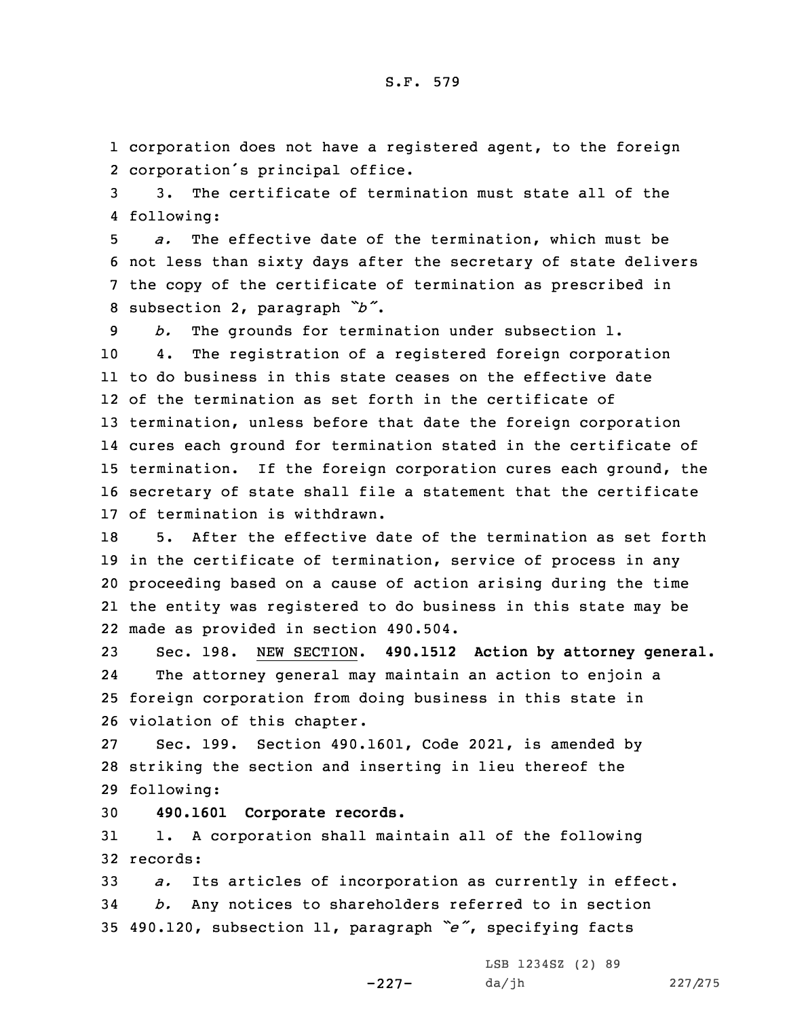1 corporation does not have <sup>a</sup> registered agent, to the foreign 2 corporation's principal office.

3 3. The certificate of termination must state all of the 4 following:

 *a.* The effective date of the termination, which must be not less than sixty days after the secretary of state delivers the copy of the certificate of termination as prescribed in subsection 2, paragraph *"b"*.

 *b.* The grounds for termination under subsection 1. 4. The registration of <sup>a</sup> registered foreign corporation to do business in this state ceases on the effective date of the termination as set forth in the certificate of termination, unless before that date the foreign corporation cures each ground for termination stated in the certificate of termination. If the foreign corporation cures each ground, the secretary of state shall file <sup>a</sup> statement that the certificate of termination is withdrawn.

 5. After the effective date of the termination as set forth in the certificate of termination, service of process in any proceeding based on <sup>a</sup> cause of action arising during the time the entity was registered to do business in this state may be made as provided in section 490.504.

23 Sec. 198. NEW SECTION. **490.1512 Action by attorney general.** 24 The attorney general may maintain an action to enjoin <sup>a</sup> 25 foreign corporation from doing business in this state in 26 violation of this chapter.

27 Sec. 199. Section 490.1601, Code 2021, is amended by 28 striking the section and inserting in lieu thereof the 29 following:

30 **490.1601 Corporate records.**

31 1. <sup>A</sup> corporation shall maintain all of the following 32 records:

33 *a.* Its articles of incorporation as currently in effect. 34 *b.* Any notices to shareholders referred to in section <sup>35</sup> 490.120, subsection 11, paragraph *"e"*, specifying facts

-227-

LSB 1234SZ (2) 89 da/jh 227/275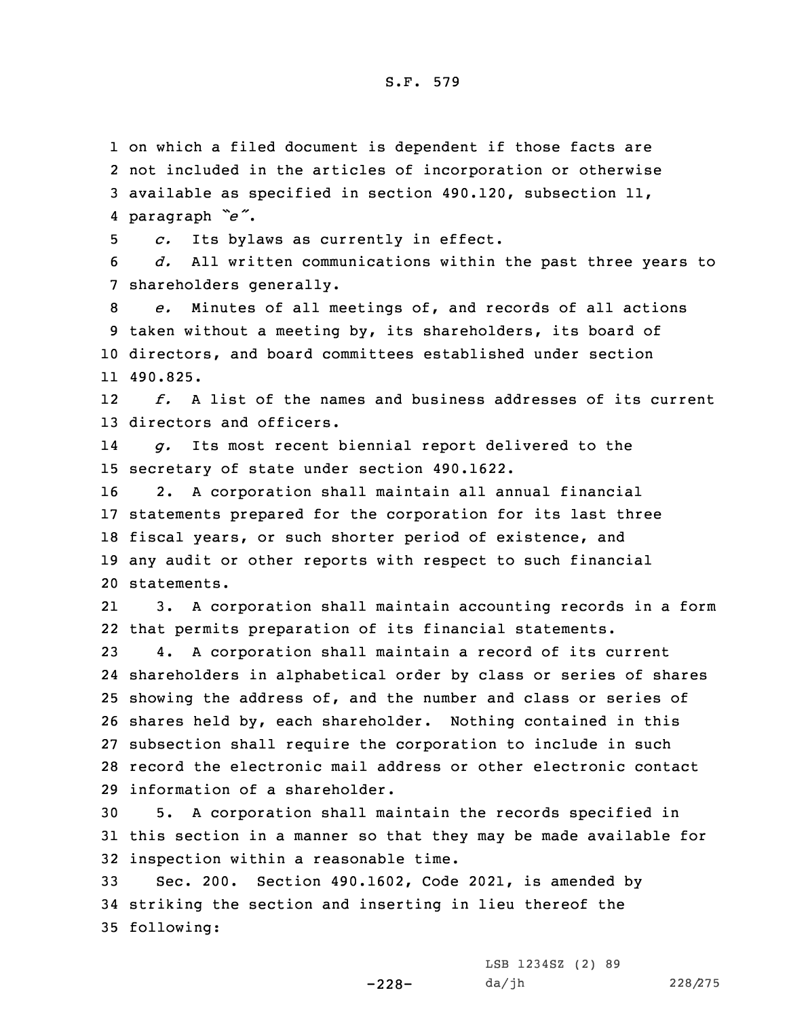on which <sup>a</sup> filed document is dependent if those facts are not included in the articles of incorporation or otherwise available as specified in section 490.120, subsection 11, paragraph *"e"*.

5 *c.* Its bylaws as currently in effect.

6 *d.* All written communications within the past three years to 7 shareholders generally.

 *e.* Minutes of all meetings of, and records of all actions taken without <sup>a</sup> meeting by, its shareholders, its board of directors, and board committees established under section 11 490.825.

12 *f.* A list of the names and business addresses of its current 13 directors and officers.

14 *g.* Its most recent biennial report delivered to the 15 secretary of state under section 490.1622.

 2. <sup>A</sup> corporation shall maintain all annual financial statements prepared for the corporation for its last three fiscal years, or such shorter period of existence, and any audit or other reports with respect to such financial statements.

21 3. <sup>A</sup> corporation shall maintain accounting records in <sup>a</sup> form 22 that permits preparation of its financial statements.

 4. <sup>A</sup> corporation shall maintain <sup>a</sup> record of its current shareholders in alphabetical order by class or series of shares showing the address of, and the number and class or series of shares held by, each shareholder. Nothing contained in this subsection shall require the corporation to include in such record the electronic mail address or other electronic contact information of <sup>a</sup> shareholder.

30 5. <sup>A</sup> corporation shall maintain the records specified in 31 this section in <sup>a</sup> manner so that they may be made available for 32 inspection within <sup>a</sup> reasonable time.

33 Sec. 200. Section 490.1602, Code 2021, is amended by 34 striking the section and inserting in lieu thereof the 35 following:

-228-

LSB 1234SZ (2) 89 da/jh 228/275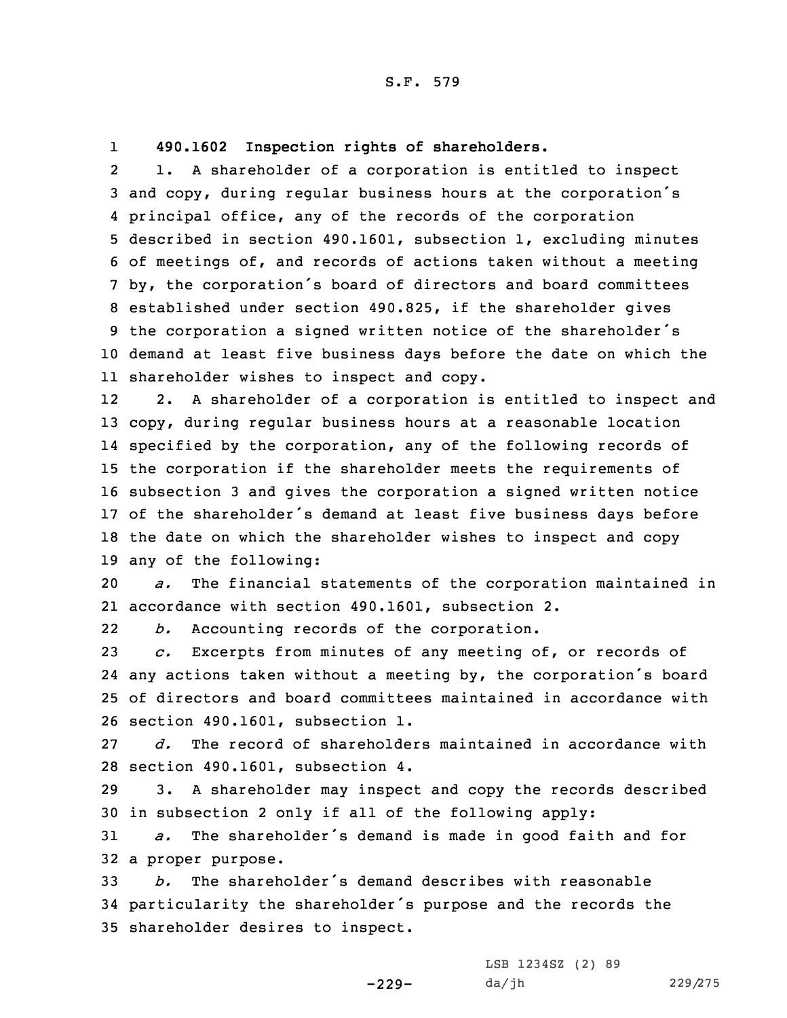## 1**490.1602 Inspection rights of shareholders.**

2 1. <sup>A</sup> shareholder of <sup>a</sup> corporation is entitled to inspect and copy, during regular business hours at the corporation's principal office, any of the records of the corporation described in section 490.1601, subsection 1, excluding minutes of meetings of, and records of actions taken without <sup>a</sup> meeting by, the corporation's board of directors and board committees established under section 490.825, if the shareholder gives the corporation <sup>a</sup> signed written notice of the shareholder's demand at least five business days before the date on which the shareholder wishes to inspect and copy.

12 2. <sup>A</sup> shareholder of <sup>a</sup> corporation is entitled to inspect and copy, during regular business hours at <sup>a</sup> reasonable location specified by the corporation, any of the following records of the corporation if the shareholder meets the requirements of subsection 3 and gives the corporation <sup>a</sup> signed written notice of the shareholder's demand at least five business days before the date on which the shareholder wishes to inspect and copy any of the following:

20 *a.* The financial statements of the corporation maintained in 21 accordance with section 490.1601, subsection 2.

22*b.* Accounting records of the corporation.

 *c.* Excerpts from minutes of any meeting of, or records of any actions taken without <sup>a</sup> meeting by, the corporation's board of directors and board committees maintained in accordance with section 490.1601, subsection 1.

27 *d.* The record of shareholders maintained in accordance with 28 section 490.1601, subsection 4.

29 3. <sup>A</sup> shareholder may inspect and copy the records described 30 in subsection 2 only if all of the following apply:

<sup>31</sup> *a.* The shareholder's demand is made in good faith and for 32 <sup>a</sup> proper purpose.

33 *b.* The shareholder's demand describes with reasonable <sup>34</sup> particularity the shareholder's purpose and the records the 35 shareholder desires to inspect.

-229-

LSB 1234SZ (2) 89 da/jh 229/275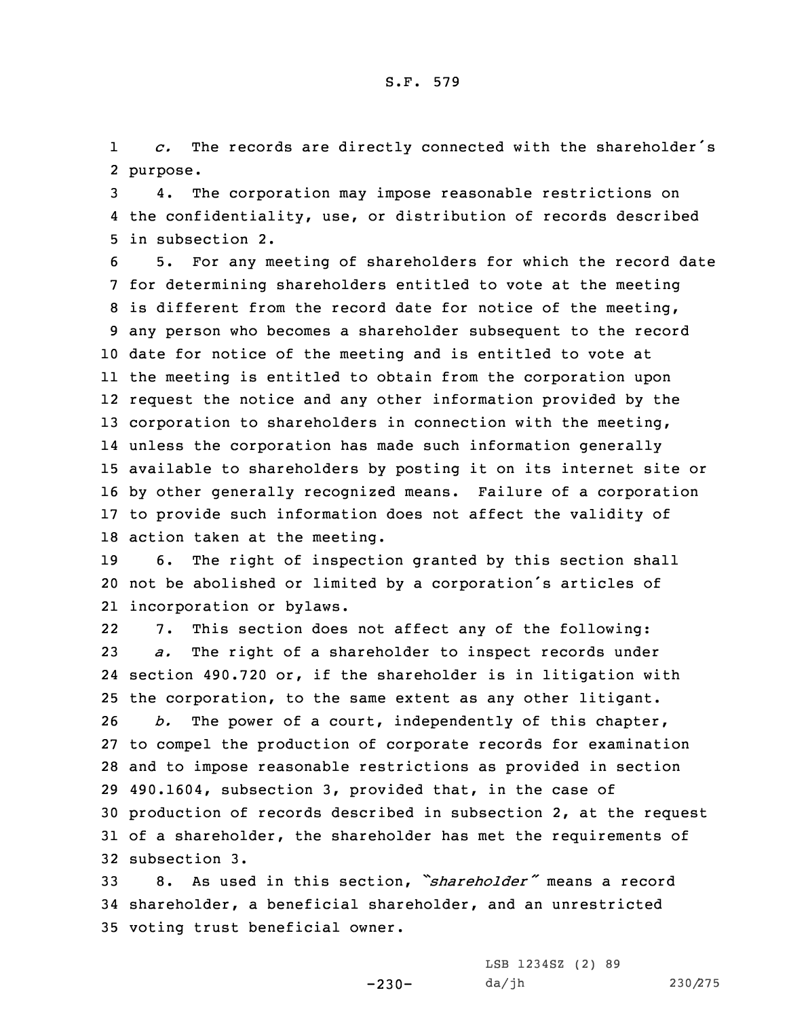1 *c.* The records are directly connected with the shareholder's 2 purpose.

3 4. The corporation may impose reasonable restrictions on 4 the confidentiality, use, or distribution of records described 5 in subsection 2.

 5. For any meeting of shareholders for which the record date for determining shareholders entitled to vote at the meeting is different from the record date for notice of the meeting, any person who becomes <sup>a</sup> shareholder subsequent to the record date for notice of the meeting and is entitled to vote at the meeting is entitled to obtain from the corporation upon request the notice and any other information provided by the 13 corporation to shareholders in connection with the meeting, unless the corporation has made such information generally available to shareholders by posting it on its internet site or by other generally recognized means. Failure of <sup>a</sup> corporation to provide such information does not affect the validity of action taken at the meeting.

19 6. The right of inspection granted by this section shall <sup>20</sup> not be abolished or limited by <sup>a</sup> corporation's articles of 21 incorporation or bylaws.

22 7. This section does not affect any of the following: *a.* The right of <sup>a</sup> shareholder to inspect records under section 490.720 or, if the shareholder is in litigation with the corporation, to the same extent as any other litigant. *b.* The power of <sup>a</sup> court, independently of this chapter, to compel the production of corporate records for examination and to impose reasonable restrictions as provided in section 490.1604, subsection 3, provided that, in the case of production of records described in subsection 2, at the request of <sup>a</sup> shareholder, the shareholder has met the requirements of subsection 3.

33 8. As used in this section, *"shareholder"* means <sup>a</sup> record 34 shareholder, <sup>a</sup> beneficial shareholder, and an unrestricted 35 voting trust beneficial owner.

-230-

LSB 1234SZ (2) 89 da/jh 230/275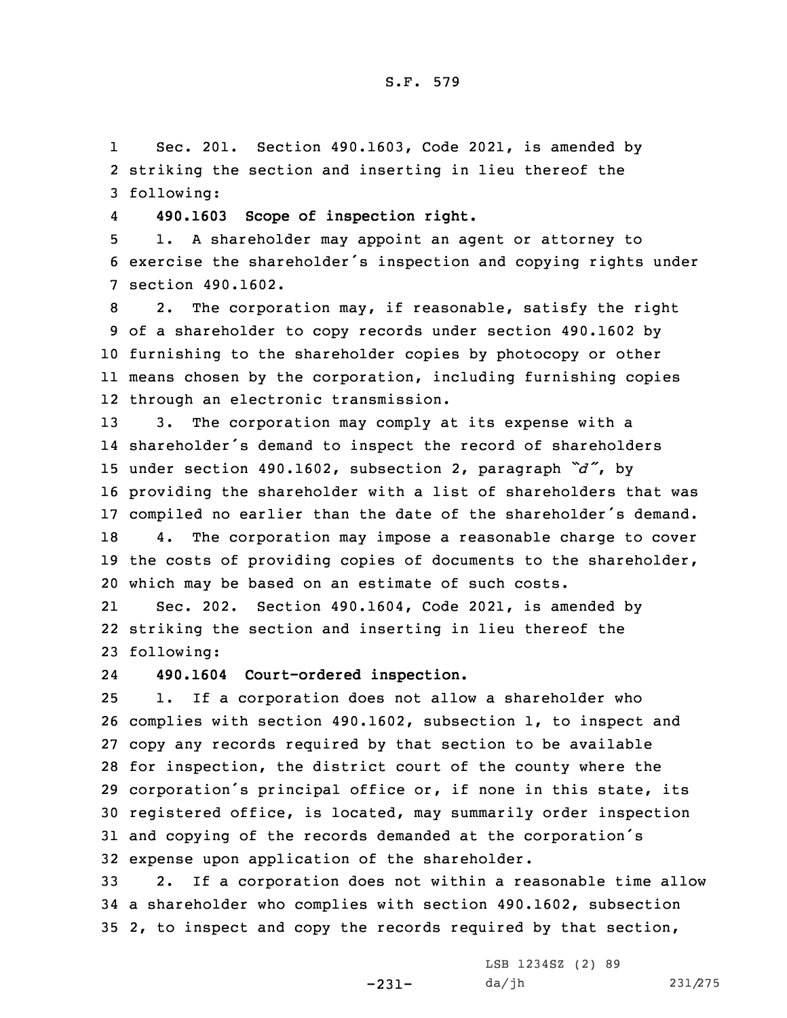1 Sec. 201. Section 490.1603, Code 2021, is amended by 2 striking the section and inserting in lieu thereof the 3 following:

4**490.1603 Scope of inspection right.**

5 1. <sup>A</sup> shareholder may appoint an agent or attorney to <sup>6</sup> exercise the shareholder's inspection and copying rights under 7 section 490.1602.

 2. The corporation may, if reasonable, satisfy the right of <sup>a</sup> shareholder to copy records under section 490.1602 by furnishing to the shareholder copies by photocopy or other means chosen by the corporation, including furnishing copies through an electronic transmission.

 3. The corporation may comply at its expense with <sup>a</sup> shareholder's demand to inspect the record of shareholders under section 490.1602, subsection 2, paragraph *"d"*, by providing the shareholder with <sup>a</sup> list of shareholders that was compiled no earlier than the date of the shareholder's demand. 4. The corporation may impose <sup>a</sup> reasonable charge to cover the costs of providing copies of documents to the shareholder, which may be based on an estimate of such costs.

21 Sec. 202. Section 490.1604, Code 2021, is amended by 22 striking the section and inserting in lieu thereof the 23 following:

24**490.1604 Court-ordered inspection.**

 1. If <sup>a</sup> corporation does not allow <sup>a</sup> shareholder who complies with section 490.1602, subsection 1, to inspect and copy any records required by that section to be available for inspection, the district court of the county where the corporation's principal office or, if none in this state, its registered office, is located, may summarily order inspection and copying of the records demanded at the corporation's expense upon application of the shareholder.

33 2. If <sup>a</sup> corporation does not within <sup>a</sup> reasonable time allow 34 <sup>a</sup> shareholder who complies with section 490.1602, subsection 35 2, to inspect and copy the records required by that section,

-231-

LSB 1234SZ (2) 89 da/jh 231/275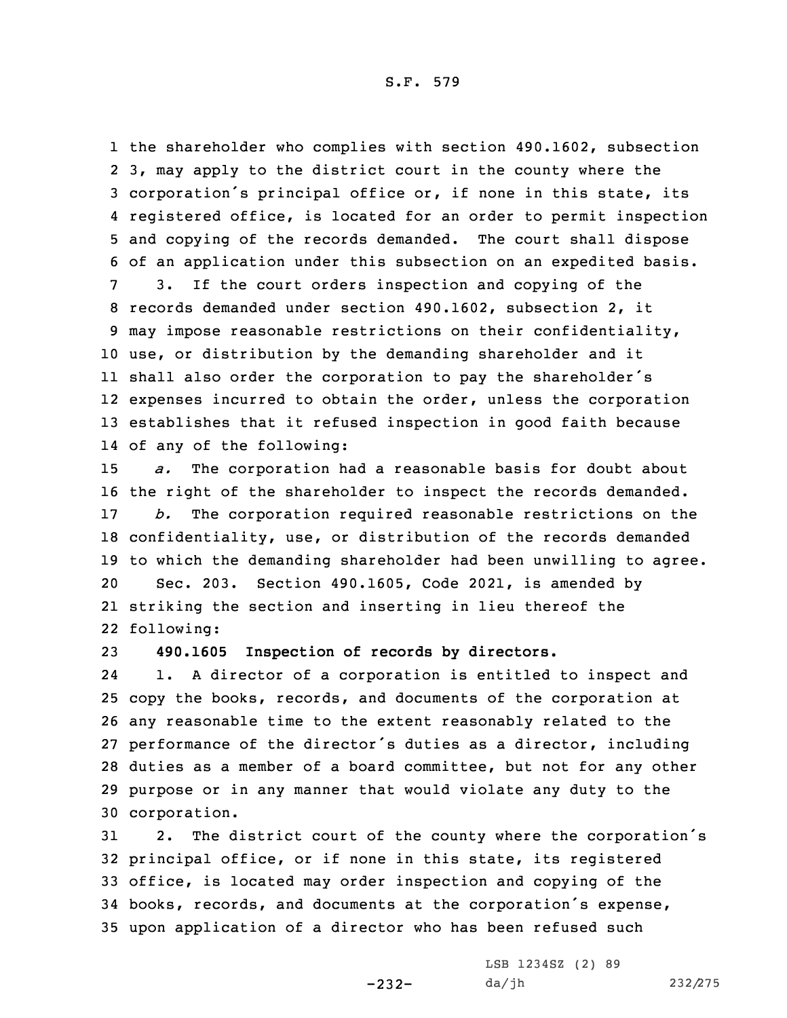the shareholder who complies with section 490.1602, subsection 3, may apply to the district court in the county where the corporation's principal office or, if none in this state, its registered office, is located for an order to permit inspection and copying of the records demanded. The court shall dispose of an application under this subsection on an expedited basis. 3. If the court orders inspection and copying of the records demanded under section 490.1602, subsection 2, it may impose reasonable restrictions on their confidentiality, use, or distribution by the demanding shareholder and it shall also order the corporation to pay the shareholder's expenses incurred to obtain the order, unless the corporation establishes that it refused inspection in good faith because of any of the following:

 *a.* The corporation had <sup>a</sup> reasonable basis for doubt about the right of the shareholder to inspect the records demanded. *b.* The corporation required reasonable restrictions on the confidentiality, use, or distribution of the records demanded to which the demanding shareholder had been unwilling to agree. Sec. 203. Section 490.1605, Code 2021, is amended by striking the section and inserting in lieu thereof the following:

23 **490.1605 Inspection of records by directors.**

24 1. <sup>A</sup> director of <sup>a</sup> corporation is entitled to inspect and copy the books, records, and documents of the corporation at any reasonable time to the extent reasonably related to the performance of the director's duties as <sup>a</sup> director, including duties as <sup>a</sup> member of <sup>a</sup> board committee, but not for any other purpose or in any manner that would violate any duty to the corporation.

 2. The district court of the county where the corporation's principal office, or if none in this state, its registered office, is located may order inspection and copying of the books, records, and documents at the corporation's expense, upon application of <sup>a</sup> director who has been refused such

-232-

LSB 1234SZ (2) 89 da/jh 232/275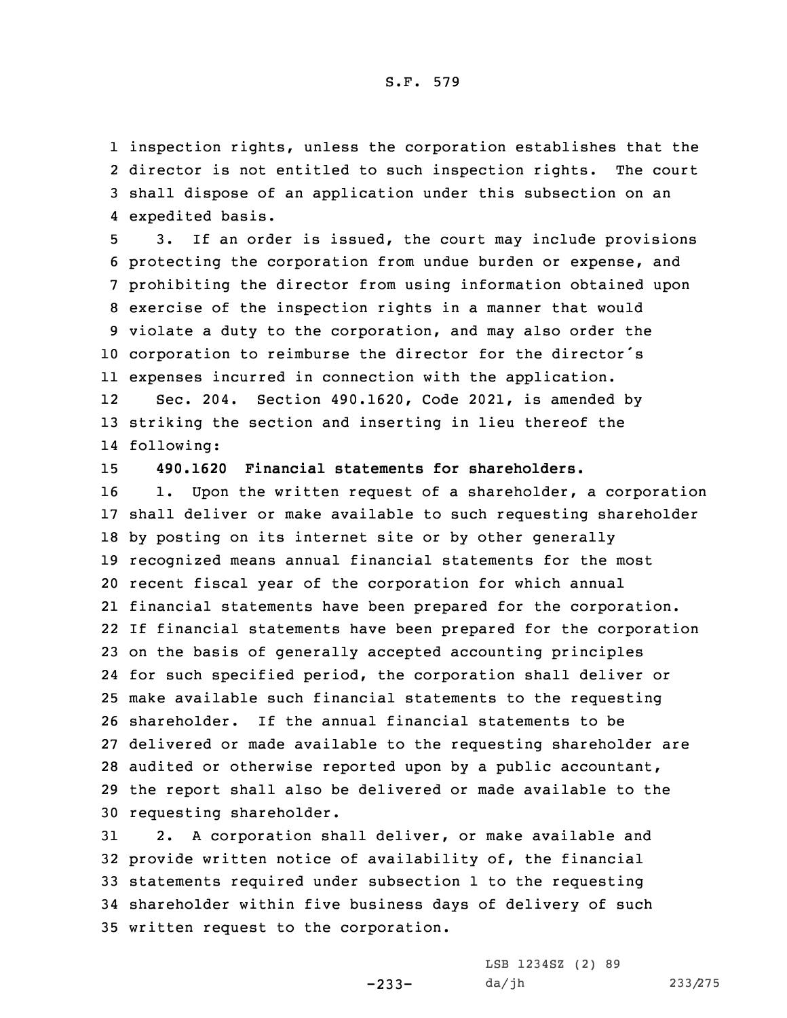inspection rights, unless the corporation establishes that the director is not entitled to such inspection rights. The court shall dispose of an application under this subsection on an expedited basis.

 3. If an order is issued, the court may include provisions protecting the corporation from undue burden or expense, and prohibiting the director from using information obtained upon exercise of the inspection rights in <sup>a</sup> manner that would violate <sup>a</sup> duty to the corporation, and may also order the corporation to reimburse the director for the director's expenses incurred in connection with the application. 12 Sec. 204. Section 490.1620, Code 2021, is amended by striking the section and inserting in lieu thereof the

14 following:

15 **490.1620 Financial statements for shareholders.**

16 1. Upon the written request of a shareholder, a corporation shall deliver or make available to such requesting shareholder by posting on its internet site or by other generally recognized means annual financial statements for the most recent fiscal year of the corporation for which annual financial statements have been prepared for the corporation. If financial statements have been prepared for the corporation on the basis of generally accepted accounting principles for such specified period, the corporation shall deliver or make available such financial statements to the requesting shareholder. If the annual financial statements to be delivered or made available to the requesting shareholder are audited or otherwise reported upon by <sup>a</sup> public accountant, the report shall also be delivered or made available to the requesting shareholder.

 2. <sup>A</sup> corporation shall deliver, or make available and provide written notice of availability of, the financial statements required under subsection 1 to the requesting shareholder within five business days of delivery of such written request to the corporation.

-233-

LSB 1234SZ (2) 89 da/jh 233/275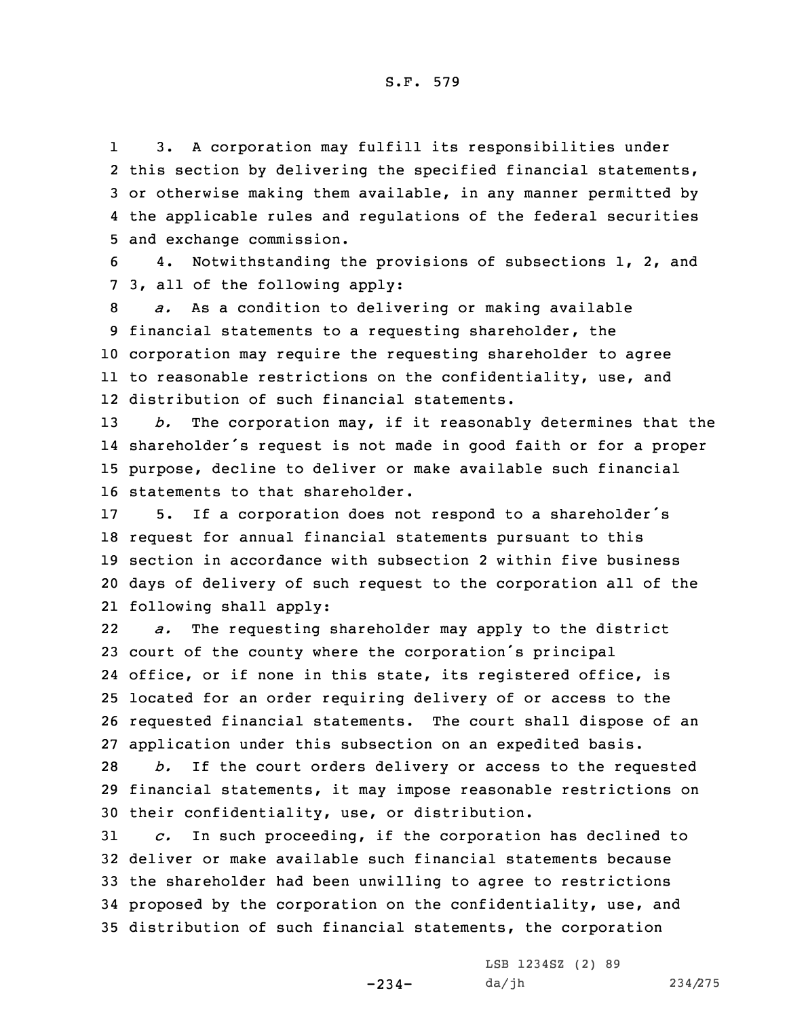1 3. <sup>A</sup> corporation may fulfill its responsibilities under 2 this section by delivering the specified financial statements, 3 or otherwise making them available, in any manner permitted by 4 the applicable rules and regulations of the federal securities 5 and exchange commission.

6 4. Notwithstanding the provisions of subsections 1, 2, and 7 3, all of the following apply:

 *a.* As <sup>a</sup> condition to delivering or making available financial statements to <sup>a</sup> requesting shareholder, the corporation may require the requesting shareholder to agree to reasonable restrictions on the confidentiality, use, and distribution of such financial statements.

 *b.* The corporation may, if it reasonably determines that the shareholder's request is not made in good faith or for <sup>a</sup> proper purpose, decline to deliver or make available such financial statements to that shareholder.

 5. If <sup>a</sup> corporation does not respond to <sup>a</sup> shareholder's request for annual financial statements pursuant to this section in accordance with subsection 2 within five business days of delivery of such request to the corporation all of the following shall apply:

22 *a.* The requesting shareholder may apply to the district court of the county where the corporation's principal office, or if none in this state, its registered office, is located for an order requiring delivery of or access to the requested financial statements. The court shall dispose of an application under this subsection on an expedited basis.

28 *b.* If the court orders delivery or access to the requested 29 financial statements, it may impose reasonable restrictions on 30 their confidentiality, use, or distribution.

 *c.* In such proceeding, if the corporation has declined to deliver or make available such financial statements because the shareholder had been unwilling to agree to restrictions proposed by the corporation on the confidentiality, use, and distribution of such financial statements, the corporation

-234-

LSB 1234SZ (2) 89 da/jh 234/275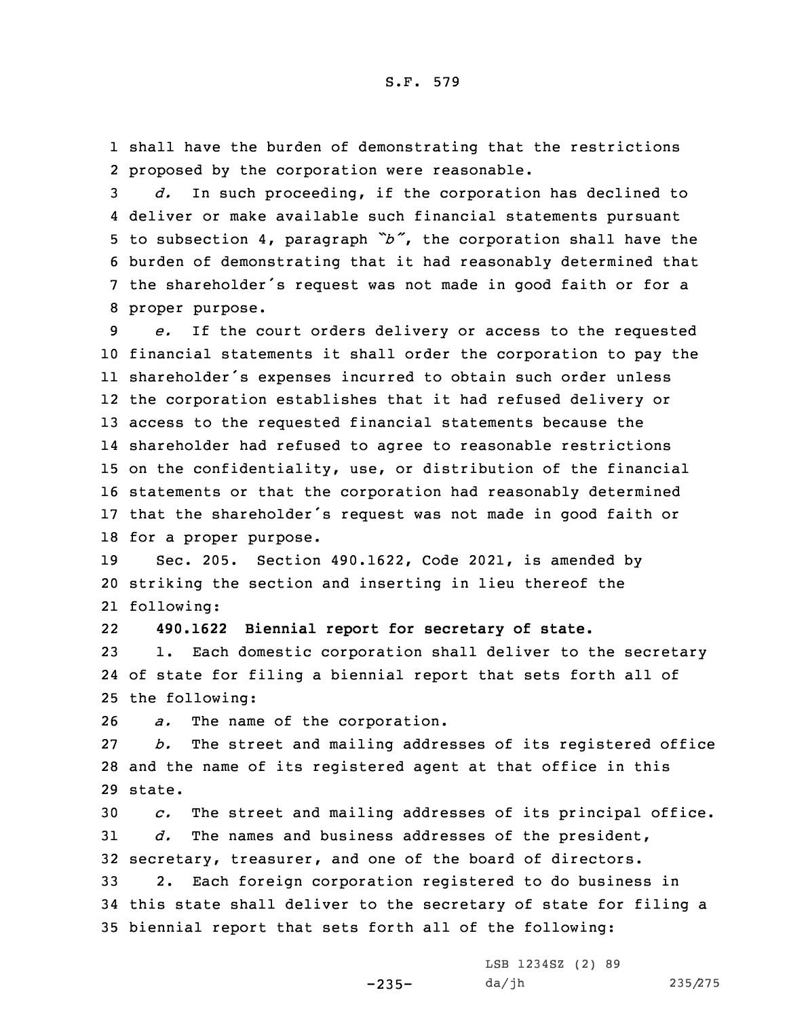1 shall have the burden of demonstrating that the restrictions 2 proposed by the corporation were reasonable.

 *d.* In such proceeding, if the corporation has declined to deliver or make available such financial statements pursuant to subsection 4, paragraph *"b"*, the corporation shall have the burden of demonstrating that it had reasonably determined that the shareholder's request was not made in good faith or for <sup>a</sup> proper purpose.

 *e.* If the court orders delivery or access to the requested financial statements it shall order the corporation to pay the shareholder's expenses incurred to obtain such order unless the corporation establishes that it had refused delivery or access to the requested financial statements because the shareholder had refused to agree to reasonable restrictions on the confidentiality, use, or distribution of the financial statements or that the corporation had reasonably determined that the shareholder's request was not made in good faith or for <sup>a</sup> proper purpose.

19 Sec. 205. Section 490.1622, Code 2021, is amended by 20 striking the section and inserting in lieu thereof the 21 following:

22**490.1622 Biennial report for secretary of state.**

23 1. Each domestic corporation shall deliver to the secretary 24 of state for filing <sup>a</sup> biennial report that sets forth all of 25 the following:

26 *a.* The name of the corporation.

27 *b.* The street and mailing addresses of its registered office 28 and the name of its registered agent at that office in this 29 state.

30 *c.* The street and mailing addresses of its principal office. 31 *d.* The names and business addresses of the president, 32 secretary, treasurer, and one of the board of directors.

33 2. Each foreign corporation registered to do business in 34 this state shall deliver to the secretary of state for filing <sup>a</sup> 35 biennial report that sets forth all of the following:

-235-

LSB 1234SZ (2) 89 da/jh 235/275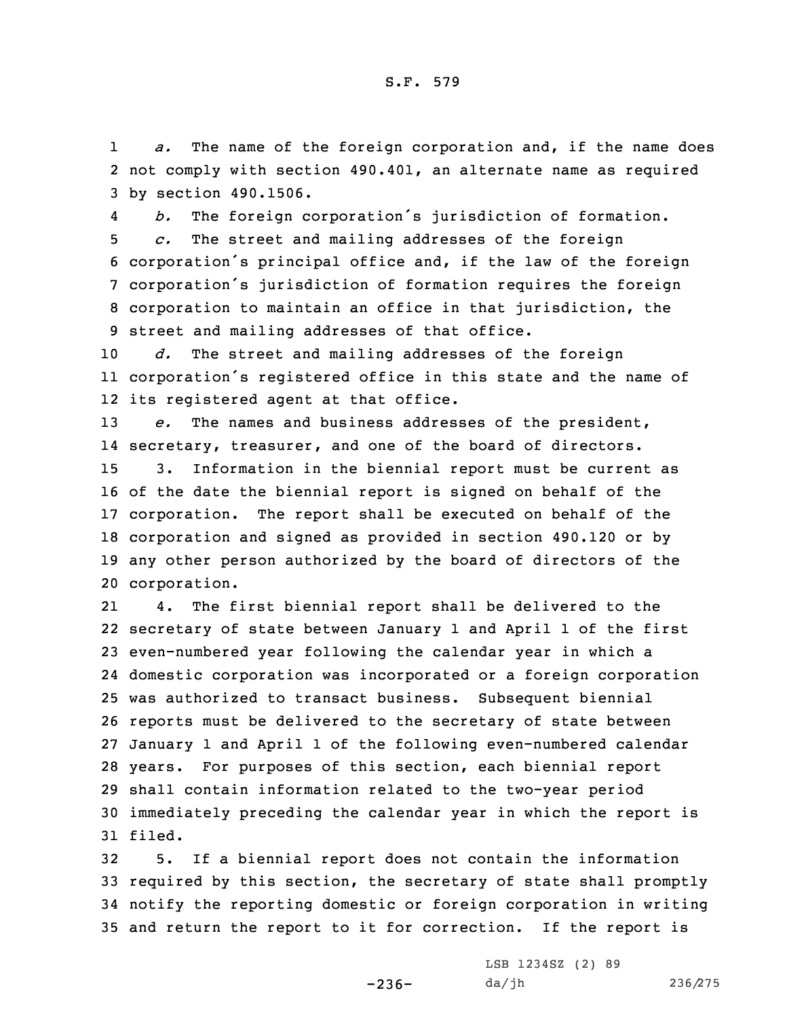1 *a.* The name of the foreign corporation and, if the name does 2 not comply with section 490.401, an alternate name as required 3 by section 490.1506.

4 *b.* The foreign corporation's jurisdiction of formation. *c.* The street and mailing addresses of the foreign corporation's principal office and, if the law of the foreign corporation's jurisdiction of formation requires the foreign corporation to maintain an office in that jurisdiction, the street and mailing addresses of that office.

10 *d.* The street and mailing addresses of the foreign 11 corporation's registered office in this state and the name of 12 its registered agent at that office.

 *e.* The names and business addresses of the president, secretary, treasurer, and one of the board of directors. 3. Information in the biennial report must be current as of the date the biennial report is signed on behalf of the corporation. The report shall be executed on behalf of the corporation and signed as provided in section 490.120 or by any other person authorized by the board of directors of the corporation.

21 4. The first biennial report shall be delivered to the secretary of state between January 1 and April 1 of the first even-numbered year following the calendar year in which <sup>a</sup> domestic corporation was incorporated or <sup>a</sup> foreign corporation was authorized to transact business. Subsequent biennial reports must be delivered to the secretary of state between January 1 and April 1 of the following even-numbered calendar years. For purposes of this section, each biennial report shall contain information related to the two-year period immediately preceding the calendar year in which the report is 31 filed.

 5. If <sup>a</sup> biennial report does not contain the information required by this section, the secretary of state shall promptly notify the reporting domestic or foreign corporation in writing and return the report to it for correction. If the report is

-236-

LSB 1234SZ (2) 89 da/jh 236/275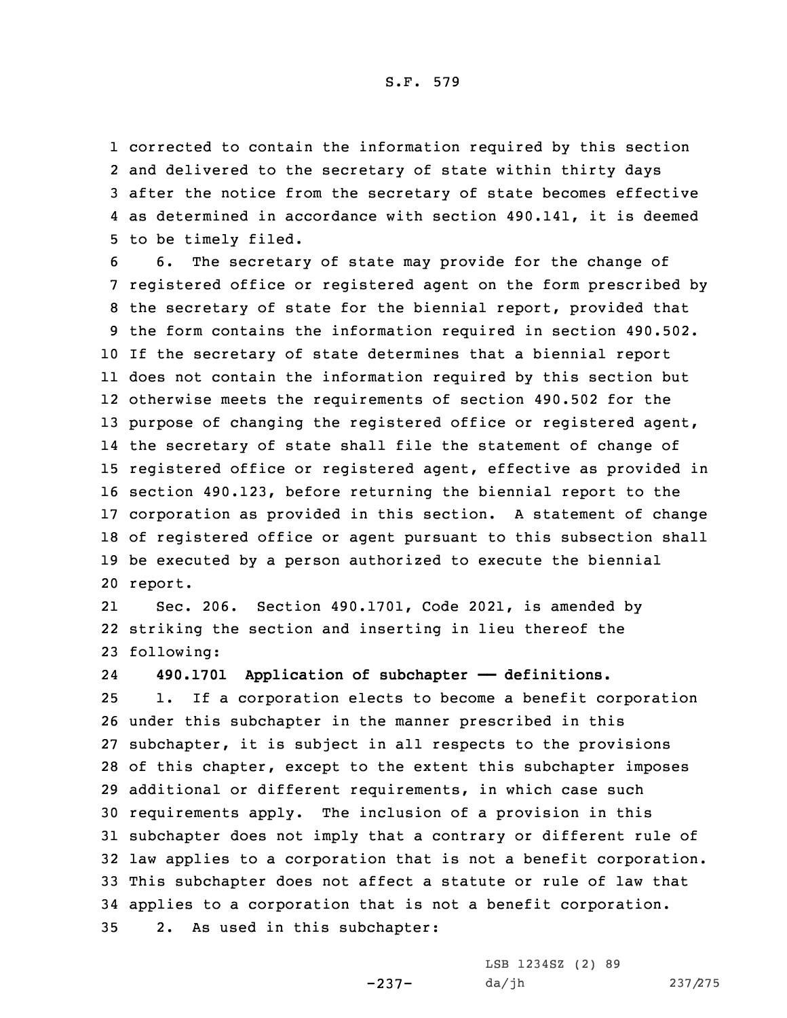S.F. 579

 corrected to contain the information required by this section and delivered to the secretary of state within thirty days after the notice from the secretary of state becomes effective as determined in accordance with section 490.141, it is deemed to be timely filed.

 6. The secretary of state may provide for the change of registered office or registered agent on the form prescribed by the secretary of state for the biennial report, provided that the form contains the information required in section 490.502. If the secretary of state determines that <sup>a</sup> biennial report does not contain the information required by this section but otherwise meets the requirements of section 490.502 for the purpose of changing the registered office or registered agent, the secretary of state shall file the statement of change of registered office or registered agent, effective as provided in section 490.123, before returning the biennial report to the corporation as provided in this section. <sup>A</sup> statement of change of registered office or agent pursuant to this subsection shall be executed by <sup>a</sup> person authorized to execute the biennial 20 report.

21 Sec. 206. Section 490.1701, Code 2021, is amended by 22 striking the section and inserting in lieu thereof the 23 following:

24**490.1701 Application of subchapter —— definitions.**

 1. If <sup>a</sup> corporation elects to become <sup>a</sup> benefit corporation under this subchapter in the manner prescribed in this subchapter, it is subject in all respects to the provisions of this chapter, except to the extent this subchapter imposes additional or different requirements, in which case such requirements apply. The inclusion of <sup>a</sup> provision in this subchapter does not imply that <sup>a</sup> contrary or different rule of law applies to <sup>a</sup> corporation that is not <sup>a</sup> benefit corporation. This subchapter does not affect <sup>a</sup> statute or rule of law that applies to <sup>a</sup> corporation that is not <sup>a</sup> benefit corporation. 2. As used in this subchapter:

> LSB 1234SZ (2) 89 da/jh 237/275

-237-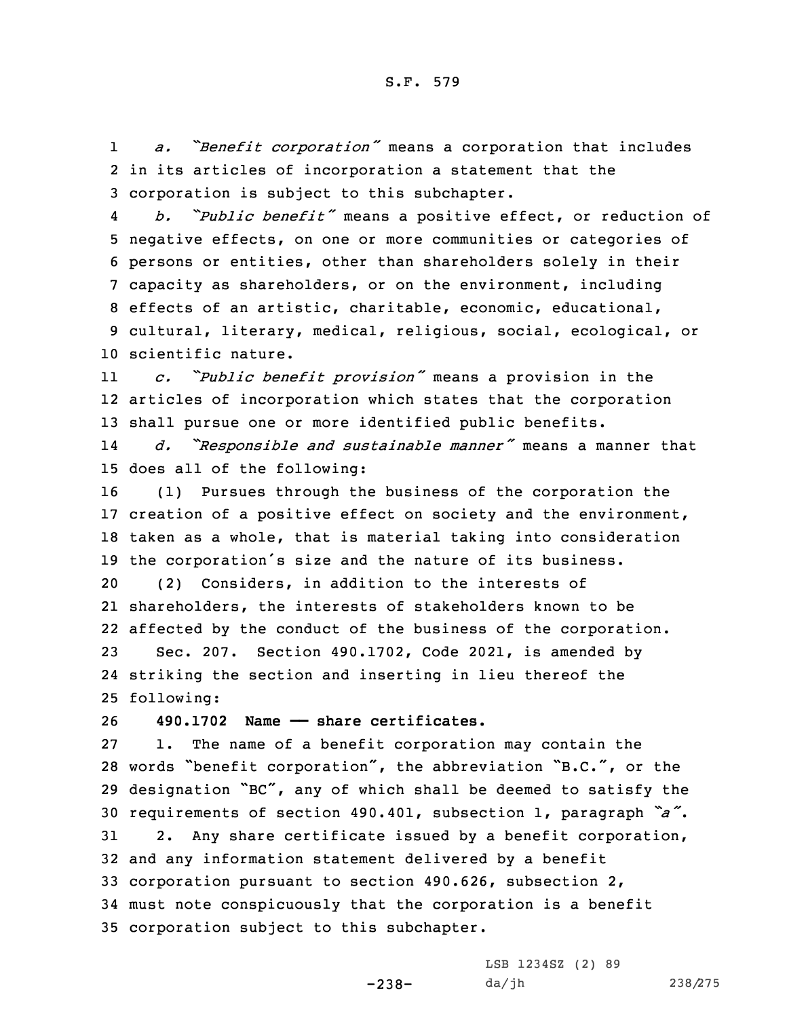1 *a. "Benefit corporation"* means <sup>a</sup> corporation that includes 2 in its articles of incorporation <sup>a</sup> statement that the 3 corporation is subject to this subchapter.

4 *b. "Public benefit"* means <sup>a</sup> positive effect, or reduction of negative effects, on one or more communities or categories of persons or entities, other than shareholders solely in their capacity as shareholders, or on the environment, including effects of an artistic, charitable, economic, educational, cultural, literary, medical, religious, social, ecological, or scientific nature.

11 *c. "Public benefit provision"* means <sup>a</sup> provision in the 12 articles of incorporation which states that the corporation 13 shall pursue one or more identified public benefits.

14 *d. "Responsible and sustainable manner"* means <sup>a</sup> manner that 15 does all of the following:

 (1) Pursues through the business of the corporation the creation of <sup>a</sup> positive effect on society and the environment, taken as <sup>a</sup> whole, that is material taking into consideration the corporation's size and the nature of its business.

 (2) Considers, in addition to the interests of shareholders, the interests of stakeholders known to be affected by the conduct of the business of the corporation. Sec. 207. Section 490.1702, Code 2021, is amended by striking the section and inserting in lieu thereof the following:

26 **490.1702 Name —— share certificates.**

 1. The name of <sup>a</sup> benefit corporation may contain the words "benefit corporation", the abbreviation "B.C.", or the designation "BC", any of which shall be deemed to satisfy the requirements of section 490.401, subsection 1, paragraph *"a"*. 2. Any share certificate issued by <sup>a</sup> benefit corporation, and any information statement delivered by <sup>a</sup> benefit corporation pursuant to section 490.626, subsection 2, must note conspicuously that the corporation is <sup>a</sup> benefit corporation subject to this subchapter.

-238-

LSB 1234SZ (2) 89 da/jh 238/275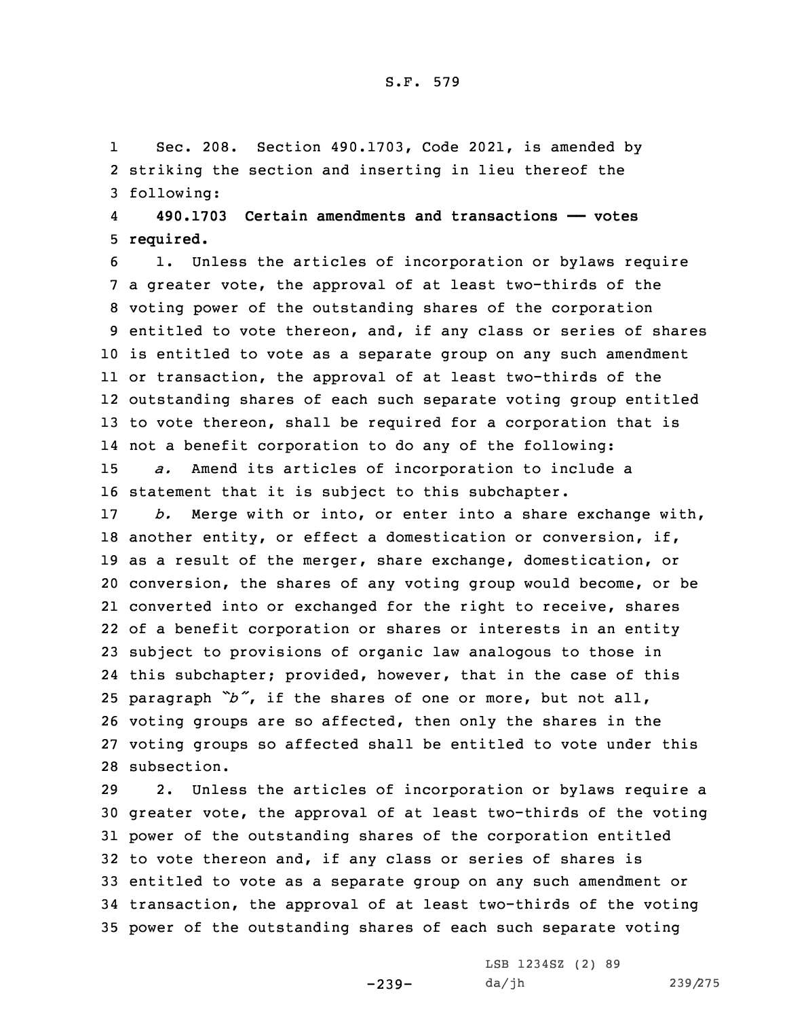1 Sec. 208. Section 490.1703, Code 2021, is amended by 2 striking the section and inserting in lieu thereof the 3 following:

4 **490.1703 Certain amendments and transactions —— votes** 5 **required.**

 1. Unless the articles of incorporation or bylaws require <sup>a</sup> greater vote, the approval of at least two-thirds of the voting power of the outstanding shares of the corporation entitled to vote thereon, and, if any class or series of shares is entitled to vote as <sup>a</sup> separate group on any such amendment or transaction, the approval of at least two-thirds of the outstanding shares of each such separate voting group entitled to vote thereon, shall be required for <sup>a</sup> corporation that is not <sup>a</sup> benefit corporation to do any of the following: *a.* Amend its articles of incorporation to include <sup>a</sup> statement that it is subject to this subchapter.

 *b.* Merge with or into, or enter into <sup>a</sup> share exchange with, another entity, or effect <sup>a</sup> domestication or conversion, if, as <sup>a</sup> result of the merger, share exchange, domestication, or conversion, the shares of any voting group would become, or be converted into or exchanged for the right to receive, shares of <sup>a</sup> benefit corporation or shares or interests in an entity subject to provisions of organic law analogous to those in this subchapter; provided, however, that in the case of this paragraph *"b"*, if the shares of one or more, but not all, voting groups are so affected, then only the shares in the voting groups so affected shall be entitled to vote under this subsection.

 2. Unless the articles of incorporation or bylaws require <sup>a</sup> greater vote, the approval of at least two-thirds of the voting power of the outstanding shares of the corporation entitled to vote thereon and, if any class or series of shares is entitled to vote as <sup>a</sup> separate group on any such amendment or transaction, the approval of at least two-thirds of the voting power of the outstanding shares of each such separate voting

-239-

LSB 1234SZ (2) 89 da/jh 239/275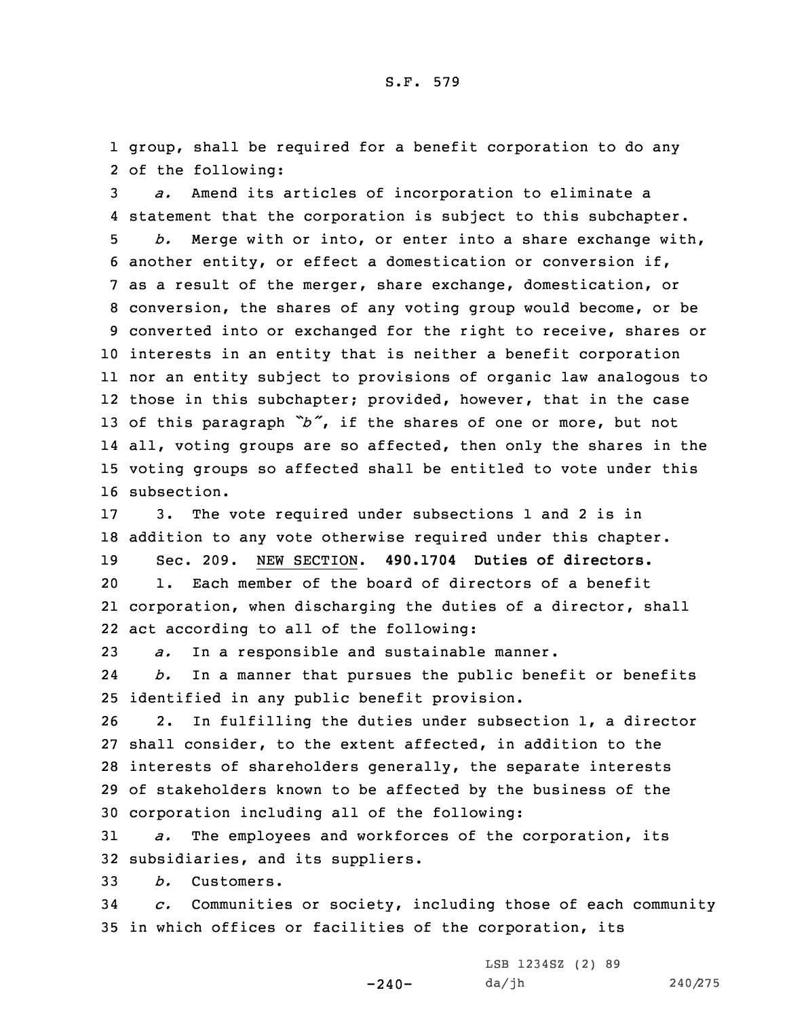1 group, shall be required for <sup>a</sup> benefit corporation to do any 2 of the following:

 *a.* Amend its articles of incorporation to eliminate <sup>a</sup> statement that the corporation is subject to this subchapter. *b.* Merge with or into, or enter into <sup>a</sup> share exchange with, another entity, or effect <sup>a</sup> domestication or conversion if, as <sup>a</sup> result of the merger, share exchange, domestication, or conversion, the shares of any voting group would become, or be converted into or exchanged for the right to receive, shares or interests in an entity that is neither <sup>a</sup> benefit corporation nor an entity subject to provisions of organic law analogous to those in this subchapter; provided, however, that in the case of this paragraph *"b"*, if the shares of one or more, but not all, voting groups are so affected, then only the shares in the voting groups so affected shall be entitled to vote under this subsection.

 3. The vote required under subsections 1 and 2 is in addition to any vote otherwise required under this chapter. Sec. 209. NEW SECTION. **490.1704 Duties of directors.** 1. Each member of the board of directors of <sup>a</sup> benefit corporation, when discharging the duties of <sup>a</sup> director, shall act according to all of the following:

23 *a.* In <sup>a</sup> responsible and sustainable manner.

24b. In a manner that pursues the public benefit or benefits 25 identified in any public benefit provision.

 2. In fulfilling the duties under subsection 1, <sup>a</sup> director shall consider, to the extent affected, in addition to the interests of shareholders generally, the separate interests of stakeholders known to be affected by the business of the corporation including all of the following:

31 *a.* The employees and workforces of the corporation, its 32 subsidiaries, and its suppliers.

33 *b.* Customers.

34 *c.* Communities or society, including those of each community 35 in which offices or facilities of the corporation, its

 $-240-$ 

LSB 1234SZ (2) 89 da/jh 240/275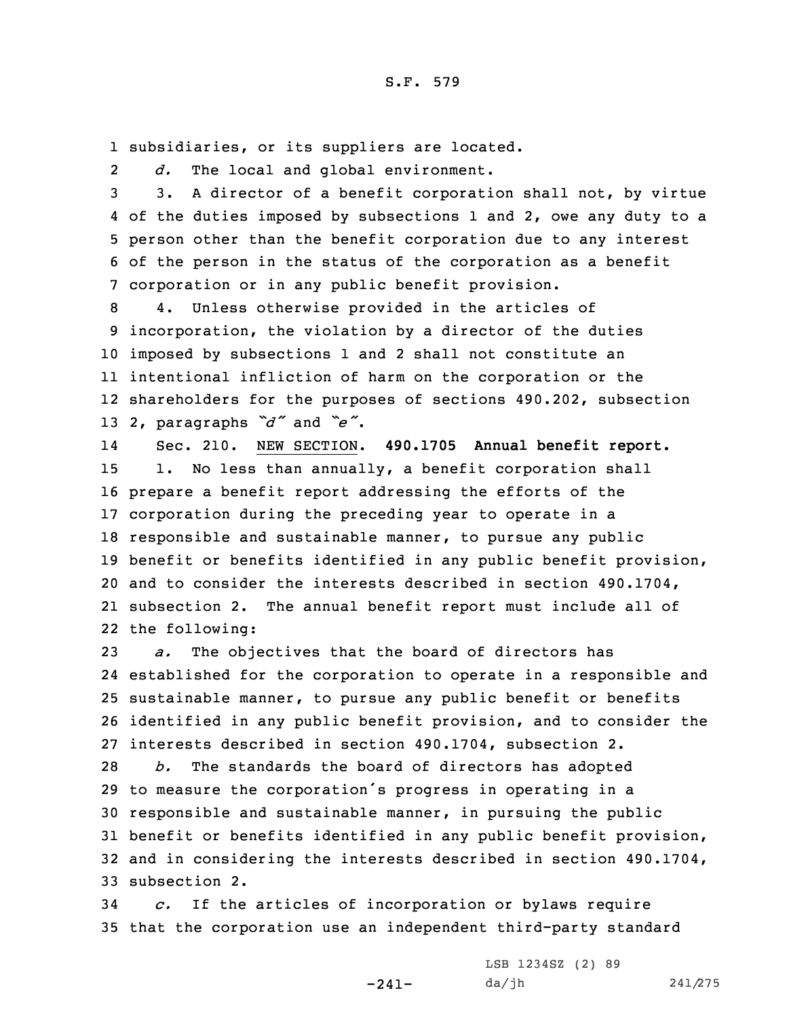1 subsidiaries, or its suppliers are located.

2*d.* The local and global environment.

 3. <sup>A</sup> director of <sup>a</sup> benefit corporation shall not, by virtue of the duties imposed by subsections 1 and 2, owe any duty to <sup>a</sup> person other than the benefit corporation due to any interest of the person in the status of the corporation as <sup>a</sup> benefit corporation or in any public benefit provision.

 4. Unless otherwise provided in the articles of incorporation, the violation by <sup>a</sup> director of the duties imposed by subsections 1 and 2 shall not constitute an intentional infliction of harm on the corporation or the shareholders for the purposes of sections 490.202, subsection 2, paragraphs *"d"* and *"e"*.

14 Sec. 210. NEW SECTION. **490.1705 Annual benefit report.** 1. No less than annually, <sup>a</sup> benefit corporation shall prepare <sup>a</sup> benefit report addressing the efforts of the corporation during the preceding year to operate in <sup>a</sup> responsible and sustainable manner, to pursue any public benefit or benefits identified in any public benefit provision, and to consider the interests described in section 490.1704, subsection 2. The annual benefit report must include all of the following:

 *a.* The objectives that the board of directors has established for the corporation to operate in <sup>a</sup> responsible and sustainable manner, to pursue any public benefit or benefits identified in any public benefit provision, and to consider the interests described in section 490.1704, subsection 2. *b.* The standards the board of directors has adopted to measure the corporation's progress in operating in <sup>a</sup> responsible and sustainable manner, in pursuing the public benefit or benefits identified in any public benefit provision, and in considering the interests described in section 490.1704, subsection 2.

34 *c.* If the articles of incorporation or bylaws require 35 that the corporation use an independent third-party standard

 $-241-$ 

```
LSB 1234SZ (2) 89
da/jh 241/275
```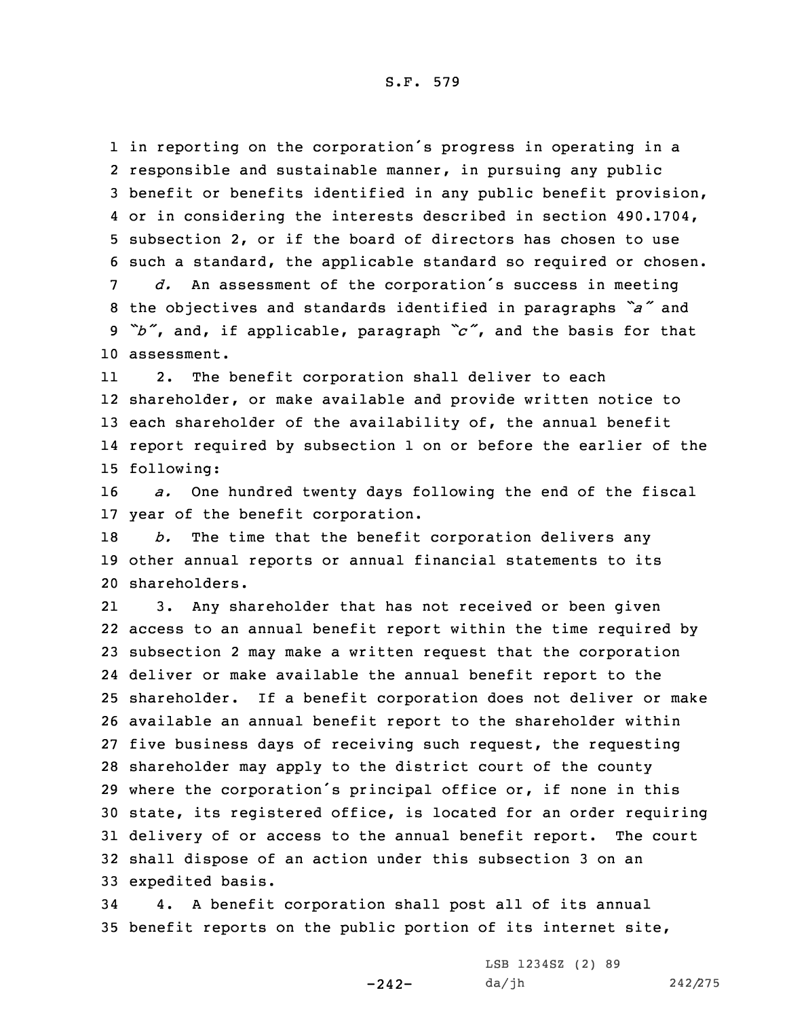S.F. 579

 in reporting on the corporation's progress in operating in <sup>a</sup> responsible and sustainable manner, in pursuing any public benefit or benefits identified in any public benefit provision, or in considering the interests described in section 490.1704, subsection 2, or if the board of directors has chosen to use such <sup>a</sup> standard, the applicable standard so required or chosen. *d.* An assessment of the corporation's success in meeting the objectives and standards identified in paragraphs *"a"* and *"b"*, and, if applicable, paragraph *"c"*, and the basis for that assessment.

11 2. The benefit corporation shall deliver to each 12 shareholder, or make available and provide written notice to 13 each shareholder of the availability of, the annual benefit 14 report required by subsection 1 on or before the earlier of the 15 following:

16 *a.* One hundred twenty days following the end of the fiscal 17 year of the benefit corporation.

18 *b.* The time that the benefit corporation delivers any 19 other annual reports or annual financial statements to its 20 shareholders.

21 3. Any shareholder that has not received or been given access to an annual benefit report within the time required by subsection 2 may make <sup>a</sup> written request that the corporation deliver or make available the annual benefit report to the shareholder. If <sup>a</sup> benefit corporation does not deliver or make available an annual benefit report to the shareholder within five business days of receiving such request, the requesting shareholder may apply to the district court of the county where the corporation's principal office or, if none in this state, its registered office, is located for an order requiring delivery of or access to the annual benefit report. The court shall dispose of an action under this subsection 3 on an expedited basis.

34 4. <sup>A</sup> benefit corporation shall post all of its annual 35 benefit reports on the public portion of its internet site,

> LSB 1234SZ (2) 89 da/jh 242/275

-242-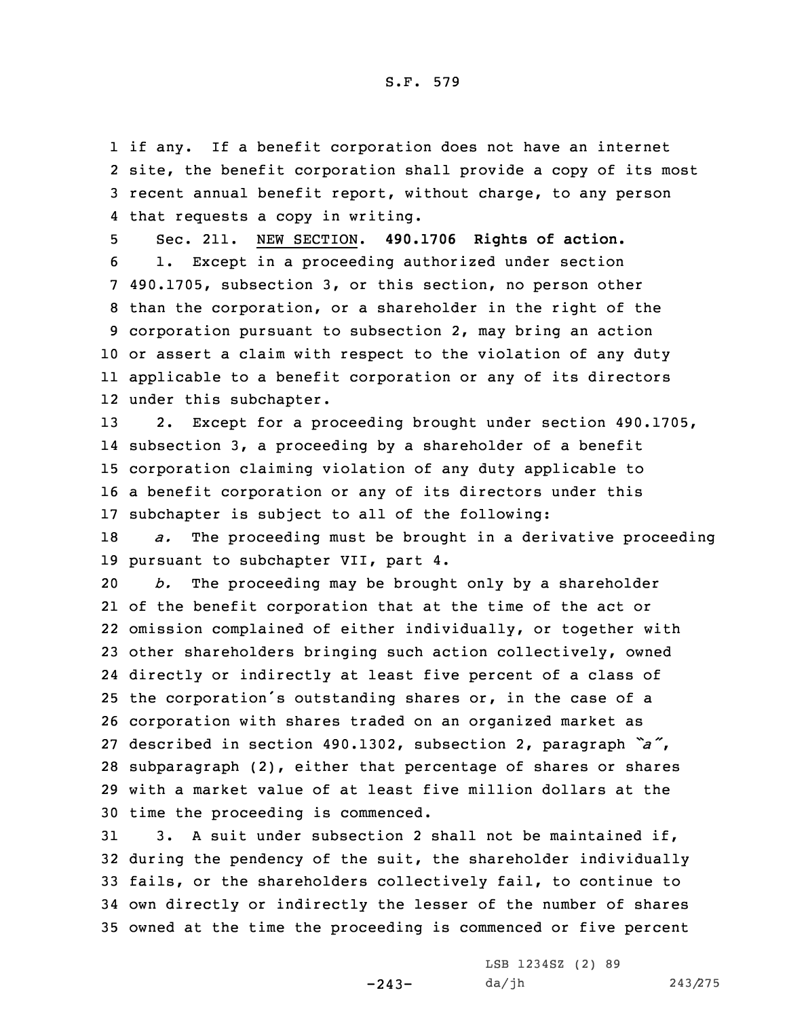if any. If <sup>a</sup> benefit corporation does not have an internet site, the benefit corporation shall provide <sup>a</sup> copy of its most recent annual benefit report, without charge, to any person that requests <sup>a</sup> copy in writing.

 Sec. 211. NEW SECTION. **490.1706 Rights of action.** 1. Except in <sup>a</sup> proceeding authorized under section 490.1705, subsection 3, or this section, no person other than the corporation, or <sup>a</sup> shareholder in the right of the corporation pursuant to subsection 2, may bring an action or assert <sup>a</sup> claim with respect to the violation of any duty applicable to <sup>a</sup> benefit corporation or any of its directors under this subchapter.

 2. Except for <sup>a</sup> proceeding brought under section 490.1705, subsection 3, <sup>a</sup> proceeding by <sup>a</sup> shareholder of <sup>a</sup> benefit corporation claiming violation of any duty applicable to <sup>a</sup> benefit corporation or any of its directors under this subchapter is subject to all of the following:

18 *a.* The proceeding must be brought in <sup>a</sup> derivative proceeding 19 pursuant to subchapter VII, part 4.

 *b.* The proceeding may be brought only by <sup>a</sup> shareholder of the benefit corporation that at the time of the act or omission complained of either individually, or together with other shareholders bringing such action collectively, owned directly or indirectly at least five percent of <sup>a</sup> class of the corporation's outstanding shares or, in the case of <sup>a</sup> corporation with shares traded on an organized market as described in section 490.1302, subsection 2, paragraph *"a"*, subparagraph (2), either that percentage of shares or shares with <sup>a</sup> market value of at least five million dollars at the time the proceeding is commenced.

 3. A suit under subsection 2 shall not be maintained if, during the pendency of the suit, the shareholder individually fails, or the shareholders collectively fail, to continue to own directly or indirectly the lesser of the number of shares owned at the time the proceeding is commenced or five percent

-243-

LSB 1234SZ (2) 89 da/jh 243/275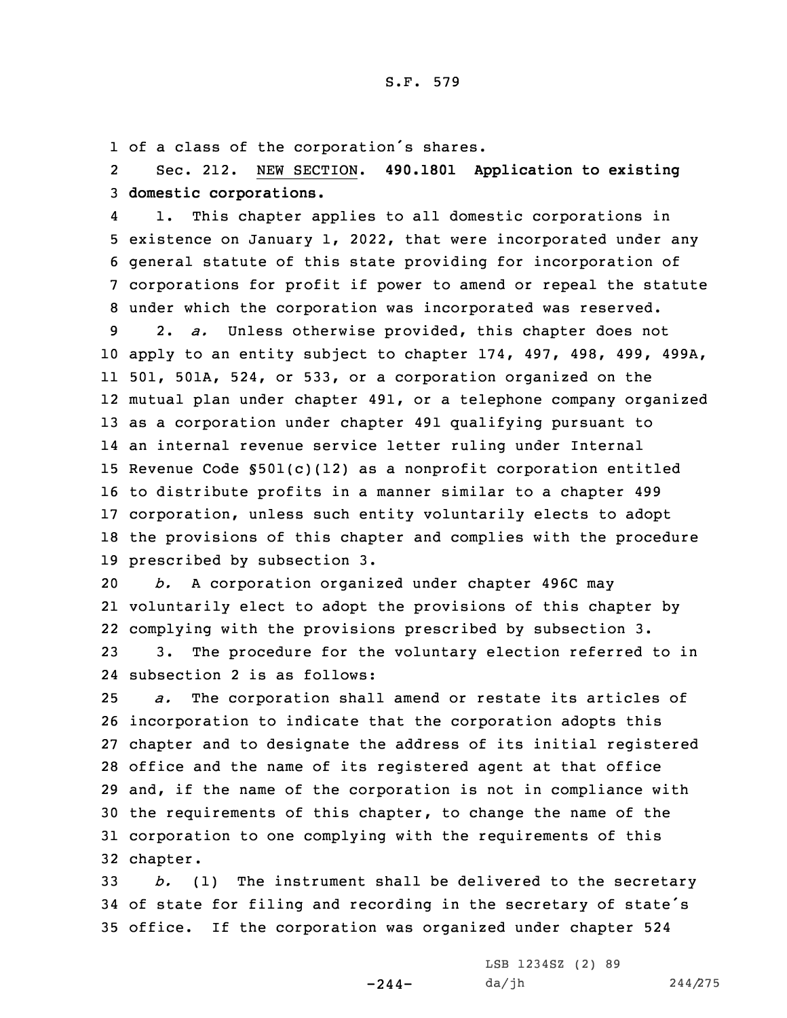1 of <sup>a</sup> class of the corporation's shares.

2 Sec. 212. NEW SECTION. **490.1801 Application to existing** 3 **domestic corporations.**

4 1. This chapter applies to all domestic corporations in existence on January 1, 2022, that were incorporated under any general statute of this state providing for incorporation of corporations for profit if power to amend or repeal the statute under which the corporation was incorporated was reserved.

 2. *a.* Unless otherwise provided, this chapter does not apply to an entity subject to chapter 174, 497, 498, 499, 499A, 501, 501A, 524, or 533, or <sup>a</sup> corporation organized on the mutual plan under chapter 491, or <sup>a</sup> telephone company organized as <sup>a</sup> corporation under chapter 491 qualifying pursuant to an internal revenue service letter ruling under Internal Revenue Code §501(c)(12) as <sup>a</sup> nonprofit corporation entitled to distribute profits in <sup>a</sup> manner similar to <sup>a</sup> chapter 499 corporation, unless such entity voluntarily elects to adopt the provisions of this chapter and complies with the procedure prescribed by subsection 3.

20 *b.* <sup>A</sup> corporation organized under chapter 496C may 21 voluntarily elect to adopt the provisions of this chapter by 22 complying with the provisions prescribed by subsection 3.

23 3. The procedure for the voluntary election referred to in 24 subsection 2 is as follows:

 *a.* The corporation shall amend or restate its articles of incorporation to indicate that the corporation adopts this chapter and to designate the address of its initial registered office and the name of its registered agent at that office and, if the name of the corporation is not in compliance with the requirements of this chapter, to change the name of the corporation to one complying with the requirements of this 32 chapter.

33 *b.* (1) The instrument shall be delivered to the secretary <sup>34</sup> of state for filing and recording in the secretary of state's 35 office. If the corporation was organized under chapter 524

 $-244-$ 

LSB 1234SZ (2) 89 da/jh 244/275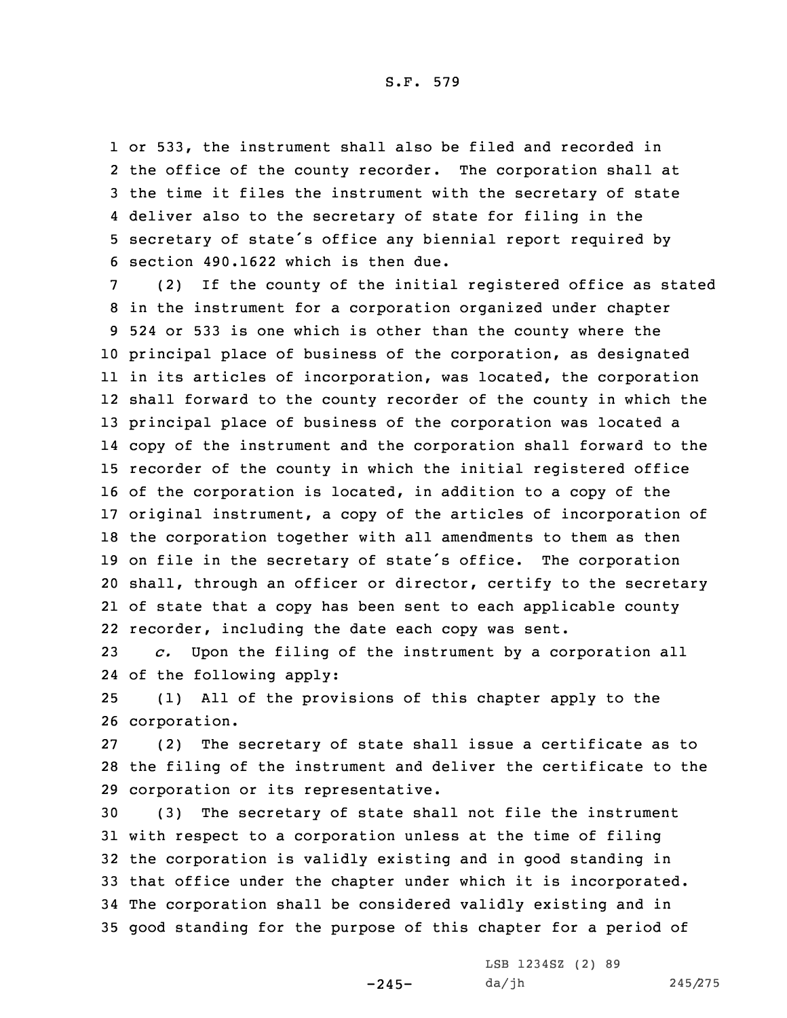S.F. 579

 or 533, the instrument shall also be filed and recorded in the office of the county recorder. The corporation shall at the time it files the instrument with the secretary of state deliver also to the secretary of state for filing in the secretary of state's office any biennial report required by section 490.1622 which is then due.

 (2) If the county of the initial registered office as stated in the instrument for <sup>a</sup> corporation organized under chapter 524 or 533 is one which is other than the county where the principal place of business of the corporation, as designated in its articles of incorporation, was located, the corporation shall forward to the county recorder of the county in which the principal place of business of the corporation was located <sup>a</sup> copy of the instrument and the corporation shall forward to the recorder of the county in which the initial registered office of the corporation is located, in addition to <sup>a</sup> copy of the original instrument, <sup>a</sup> copy of the articles of incorporation of the corporation together with all amendments to them as then on file in the secretary of state's office. The corporation shall, through an officer or director, certify to the secretary of state that <sup>a</sup> copy has been sent to each applicable county recorder, including the date each copy was sent.

23 *c.* Upon the filing of the instrument by <sup>a</sup> corporation all 24 of the following apply:

25 (1) All of the provisions of this chapter apply to the 26 corporation.

27 (2) The secretary of state shall issue <sup>a</sup> certificate as to 28 the filing of the instrument and deliver the certificate to the 29 corporation or its representative.

 (3) The secretary of state shall not file the instrument with respect to <sup>a</sup> corporation unless at the time of filing the corporation is validly existing and in good standing in that office under the chapter under which it is incorporated. The corporation shall be considered validly existing and in good standing for the purpose of this chapter for <sup>a</sup> period of

-245-

LSB 1234SZ (2) 89 da/jh 245/275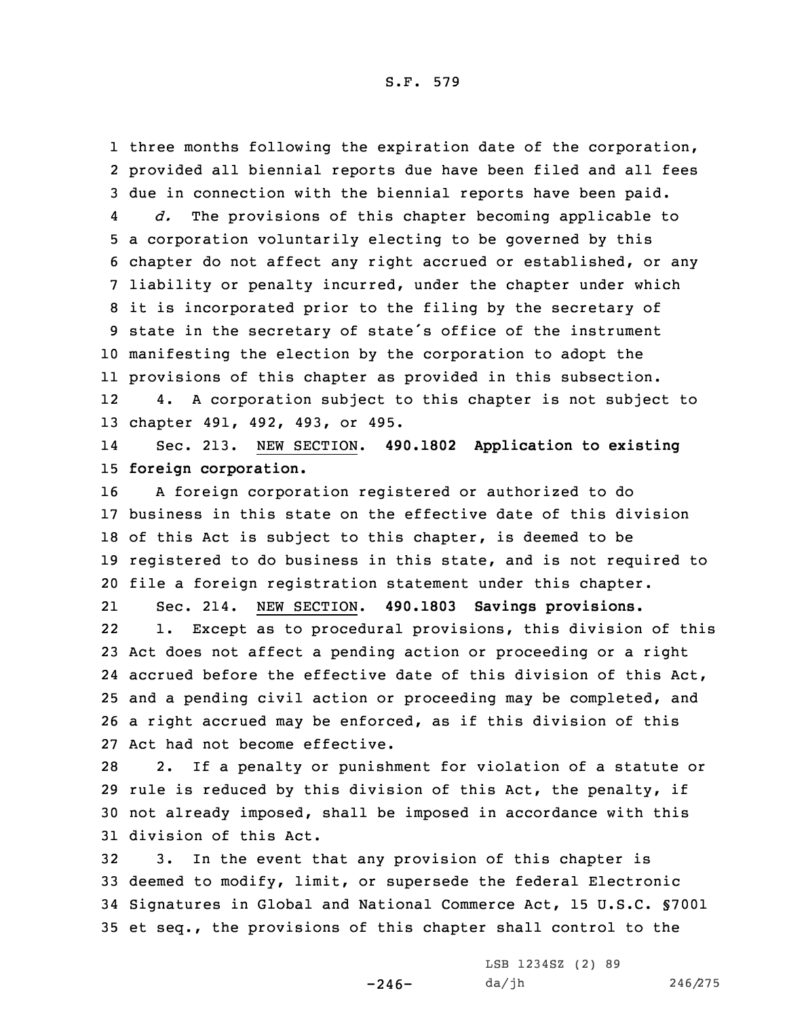1 three months following the expiration date of the corporation, 2 provided all biennial reports due have been filed and all fees 3 due in connection with the biennial reports have been paid.

4 *d.* The provisions of this chapter becoming applicable to <sup>a</sup> corporation voluntarily electing to be governed by this chapter do not affect any right accrued or established, or any liability or penalty incurred, under the chapter under which it is incorporated prior to the filing by the secretary of state in the secretary of state's office of the instrument manifesting the election by the corporation to adopt the provisions of this chapter as provided in this subsection. 124. <sup>A</sup> corporation subject to this chapter is not subject to

13 chapter 491, 492, 493, or 495.

14 Sec. 213. NEW SECTION. **490.1802 Application to existing** 15 **foreign corporation.**

 <sup>A</sup> foreign corporation registered or authorized to do business in this state on the effective date of this division of this Act is subject to this chapter, is deemed to be registered to do business in this state, and is not required to file <sup>a</sup> foreign registration statement under this chapter.

21 Sec. 214. NEW SECTION. **490.1803 Savings provisions.** 22 1. Except as to procedural provisions, this division of this 23 Act does not affect <sup>a</sup> pending action or proceeding or <sup>a</sup> right 24 accrued before the effective date of this division of this Act, 25 and <sup>a</sup> pending civil action or proceeding may be completed, and 26 <sup>a</sup> right accrued may be enforced, as if this division of this 27 Act had not become effective.

 2. If <sup>a</sup> penalty or punishment for violation of <sup>a</sup> statute or rule is reduced by this division of this Act, the penalty, if not already imposed, shall be imposed in accordance with this division of this Act.

 3. In the event that any provision of this chapter is deemed to modify, limit, or supersede the federal Electronic Signatures in Global and National Commerce Act, 15 U.S.C. §7001 et seq., the provisions of this chapter shall control to the

-246-

LSB 1234SZ (2) 89 da/jh 246/275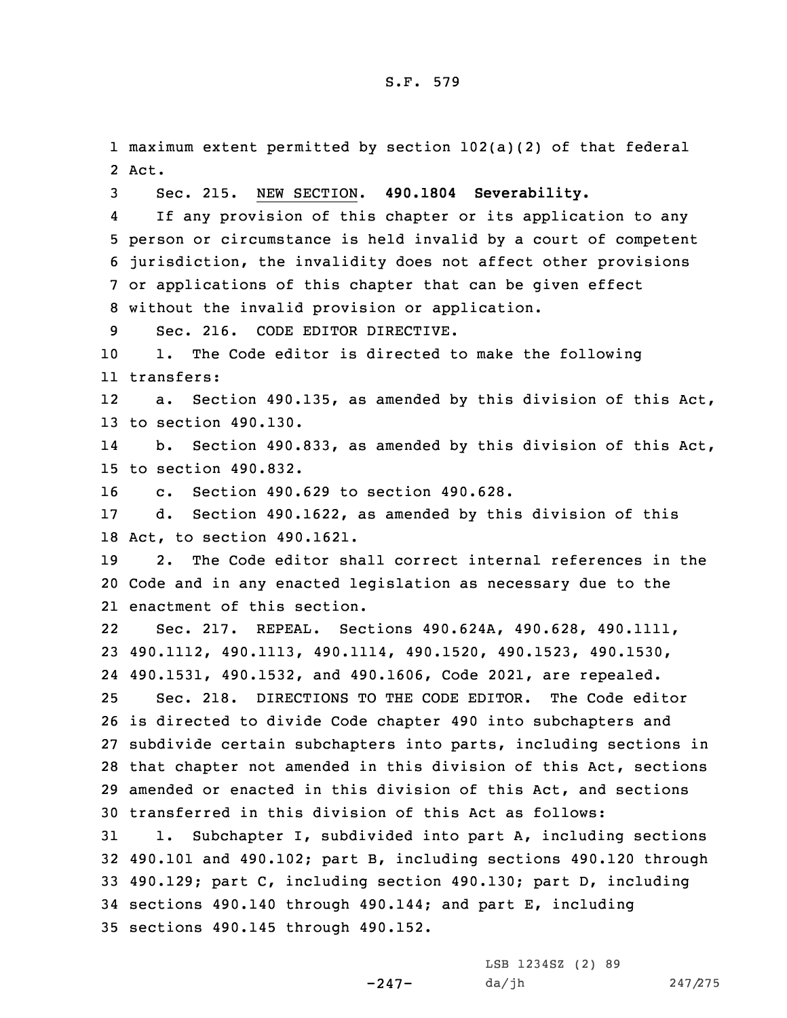## S.F. 579

1 maximum extent permitted by section 102(a)(2) of that federal 2 Act.

3 Sec. 215. NEW SECTION. **490.1804 Severability.**

4 If any provision of this chapter or its application to any person or circumstance is held invalid by <sup>a</sup> court of competent jurisdiction, the invalidity does not affect other provisions or applications of this chapter that can be given effect without the invalid provision or application.

9 Sec. 216. CODE EDITOR DIRECTIVE.

10 1. The Code editor is directed to make the following 11 transfers:

12 a. Section 490.135, as amended by this division of this Act, 13 to section 490.130.

14 b. Section 490.833, as amended by this division of this Act, 15 to section 490.832.

16 c. Section 490.629 to section 490.628.

17 d. Section 490.1622, as amended by this division of this 18 Act, to section 490.1621.

19 2. The Code editor shall correct internal references in the 20 Code and in any enacted legislation as necessary due to the 21 enactment of this section.

22 Sec. 217. REPEAL. Sections 490.624A, 490.628, 490.1111, 490.1112, 490.1113, 490.1114, 490.1520, 490.1523, 490.1530, 490.1531, 490.1532, and 490.1606, Code 2021, are repealed. Sec. 218. DIRECTIONS TO THE CODE EDITOR. The Code editor is directed to divide Code chapter 490 into subchapters and subdivide certain subchapters into parts, including sections in that chapter not amended in this division of this Act, sections amended or enacted in this division of this Act, and sections transferred in this division of this Act as follows:

 1. Subchapter I, subdivided into part A, including sections 490.101 and 490.102; part B, including sections 490.120 through 490.129; part C, including section 490.130; part D, including sections 490.140 through 490.144; and part E, including sections 490.145 through 490.152.

-247-

LSB 1234SZ (2) 89 da/jh 247/275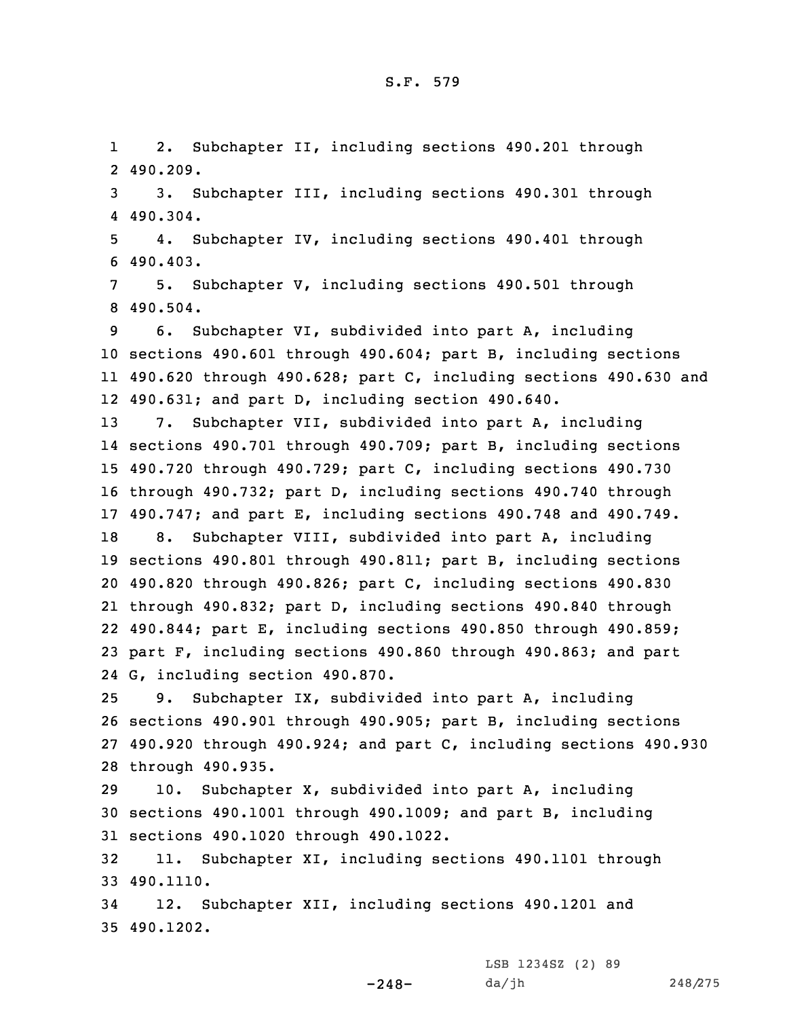1 2. Subchapter II, including sections 490.201 through 2 490.209.

3 3. Subchapter III, including sections 490.301 through 4 490.304.

5 4. Subchapter IV, including sections 490.401 through 6 490.403.

7 5. Subchapter V, including sections 490.501 through 8 490.504.

 6. Subchapter VI, subdivided into part A, including sections 490.601 through 490.604; part B, including sections 490.620 through 490.628; part C, including sections 490.630 and 490.631; and part D, including section 490.640.

 7. Subchapter VII, subdivided into part A, including sections 490.701 through 490.709; part B, including sections 490.720 through 490.729; part C, including sections 490.730 through 490.732; part D, including sections 490.740 through 490.747; and part E, including sections 490.748 and 490.749.

 8. Subchapter VIII, subdivided into part A, including sections 490.801 through 490.811; part B, including sections 490.820 through 490.826; part C, including sections 490.830 through 490.832; part D, including sections 490.840 through 490.844; part E, including sections 490.850 through 490.859; part F, including sections 490.860 through 490.863; and part G, including section 490.870.

 9. Subchapter IX, subdivided into part A, including sections 490.901 through 490.905; part B, including sections 490.920 through 490.924; and part C, including sections 490.930 through 490.935.

29 10. Subchapter X, subdivided into part A, including 30 sections 490.1001 through 490.1009; and part B, including 31 sections 490.1020 through 490.1022.

32 11. Subchapter XI, including sections 490.1101 through 33 490.1110.

 $-248-$ 

34 12. Subchapter XII, including sections 490.1201 and 35 490.1202.

> LSB 1234SZ (2) 89 da/jh 248/275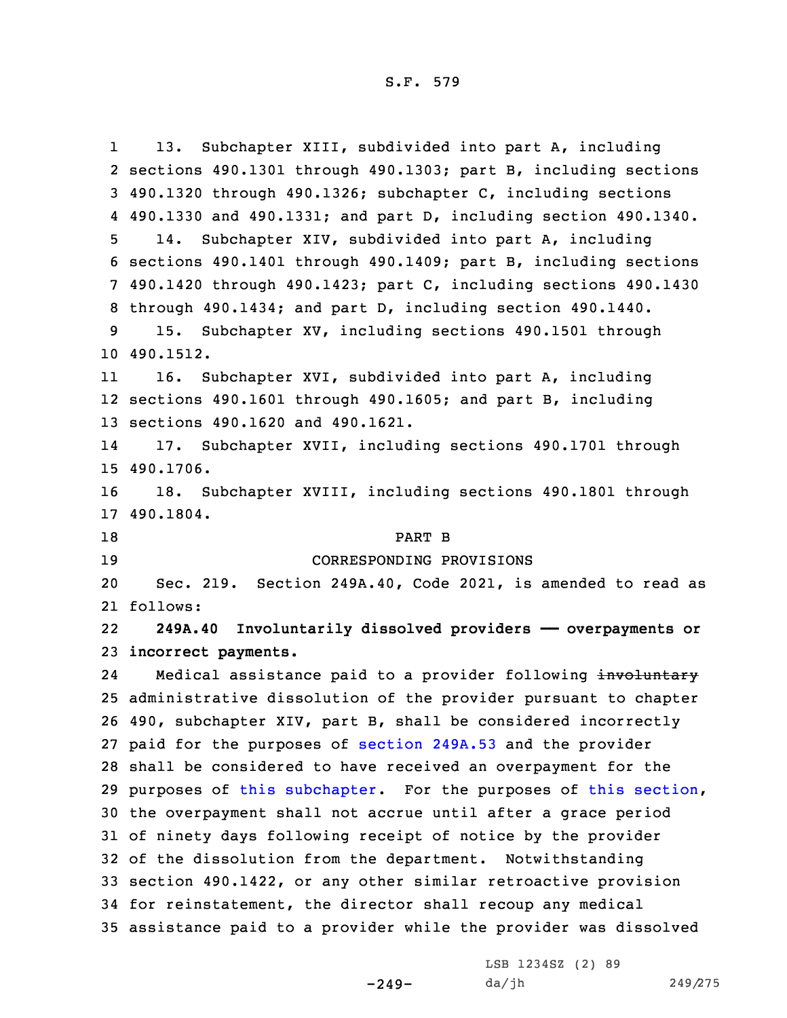1 13. Subchapter XIII, subdivided into part A, including sections 490.1301 through 490.1303; part B, including sections 490.1320 through 490.1326; subchapter C, including sections 490.1330 and 490.1331; and part D, including section 490.1340. 14. Subchapter XIV, subdivided into part A, including sections 490.1401 through 490.1409; part B, including sections 490.1420 through 490.1423; part C, including sections 490.1430 through 490.1434; and part D, including section 490.1440. 15. Subchapter XV, including sections 490.1501 through 490.1512. 11 16. Subchapter XVI, subdivided into part A, including sections 490.1601 through 490.1605; and part B, including sections 490.1620 and 490.1621. 14 17. Subchapter XVII, including sections 490.1701 through 490.1706. 18. Subchapter XVIII, including sections 490.1801 through 490.1804. 18 PART B CORRESPONDING PROVISIONS Sec. 219. Section 249A.40, Code 2021, is amended to read as 21 follows: 22 **249A.40 Involuntarily dissolved providers —— overpayments or incorrect payments.** 24Medical assistance paid to a provider following involuntary administrative dissolution of the provider pursuant to chapter 490, subchapter XIV, part B, shall be considered incorrectly paid for the purposes of [section](https://www.legis.iowa.gov/docs/code/2021/249A.53.pdf) 249A.53 and the provider shall be considered to have received an overpayment for the purposes of this [subchapter](https://www.legis.iowa.gov/docs/code/2021/249A.pdf). For the purposes of this [section](https://www.legis.iowa.gov/docs/code/2021/249A.40.pdf), the overpayment shall not accrue until after <sup>a</sup> grace period of ninety days following receipt of notice by the provider of the dissolution from the department. Notwithstanding section 490.1422, or any other similar retroactive provision for reinstatement, the director shall recoup any medical assistance paid to <sup>a</sup> provider while the provider was dissolved

 $-249-$ 

LSB 1234SZ (2) 89 da/jh 249/275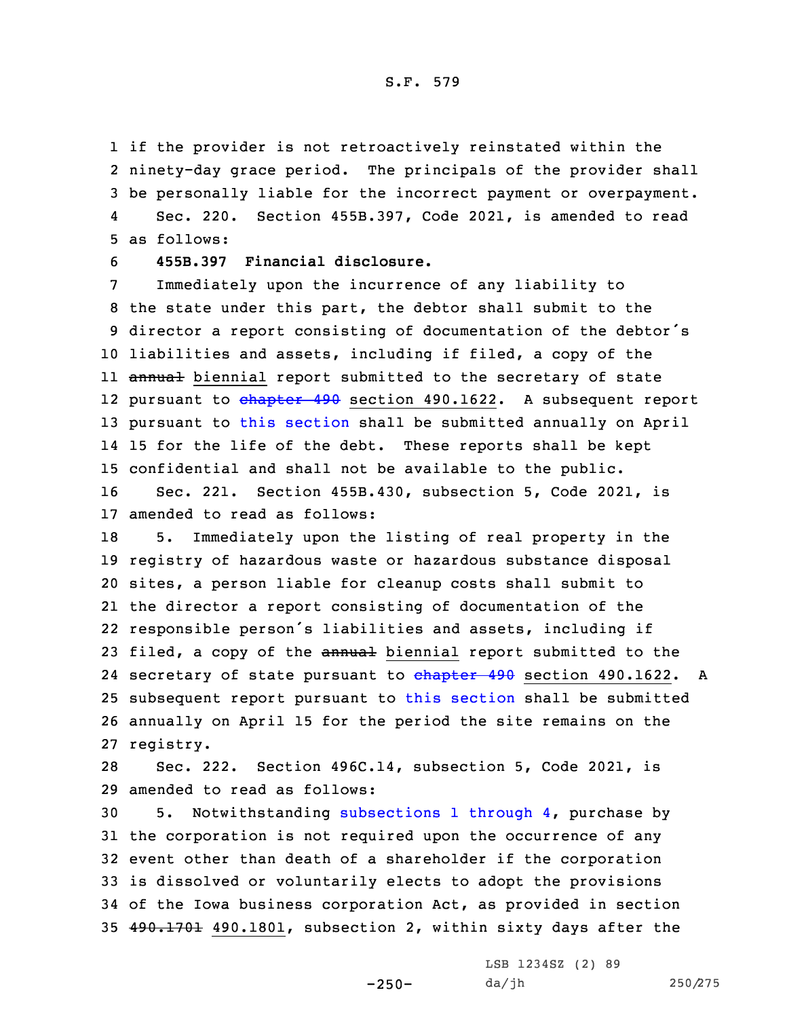S.F. 579

 if the provider is not retroactively reinstated within the ninety-day grace period. The principals of the provider shall be personally liable for the incorrect payment or overpayment. 4 Sec. 220. Section 455B.397, Code 2021, is amended to read as follows:

6 **455B.397 Financial disclosure.**

 Immediately upon the incurrence of any liability to the state under this part, the debtor shall submit to the director <sup>a</sup> report consisting of documentation of the debtor's liabilities and assets, including if filed, <sup>a</sup> copy of the ll <del>annual</del> biennial report submitted to the secretary of state 12 pursuant to <del>[chapter](https://www.legis.iowa.gov/docs/code/2021/490.pdf) 490</del> section 490.1622. A subsequent report pursuant to this [section](https://www.legis.iowa.gov/docs/code/2021/455B.397.pdf) shall be submitted annually on April 15 for the life of the debt. These reports shall be kept confidential and shall not be available to the public. Sec. 221. Section 455B.430, subsection 5, Code 2021, is amended to read as follows:

 5. Immediately upon the listing of real property in the registry of hazardous waste or hazardous substance disposal sites, <sup>a</sup> person liable for cleanup costs shall submit to the director <sup>a</sup> report consisting of documentation of the responsible person's liabilities and assets, including if 23 filed, a copy of the annual biennial report submitted to the 24 secretary of state pursuant to *ehapter* 490 section 490.1622. A subsequent report pursuant to this [section](https://www.legis.iowa.gov/docs/code/2021/455B.430.pdf) shall be submitted annually on April 15 for the period the site remains on the registry.

28 Sec. 222. Section 496C.14, subsection 5, Code 2021, is 29 amended to read as follows:

 5. Notwithstanding [subsections](https://www.legis.iowa.gov/docs/code/2021/496C.14.pdf) 1 through 4, purchase by the corporation is not required upon the occurrence of any event other than death of <sup>a</sup> shareholder if the corporation is dissolved or voluntarily elects to adopt the provisions of the Iowa business corporation Act, as provided in section 490.1701 490.1801, subsection 2, within sixty days after the

 $-250-$ 

LSB 1234SZ (2) 89 da/jh 250/275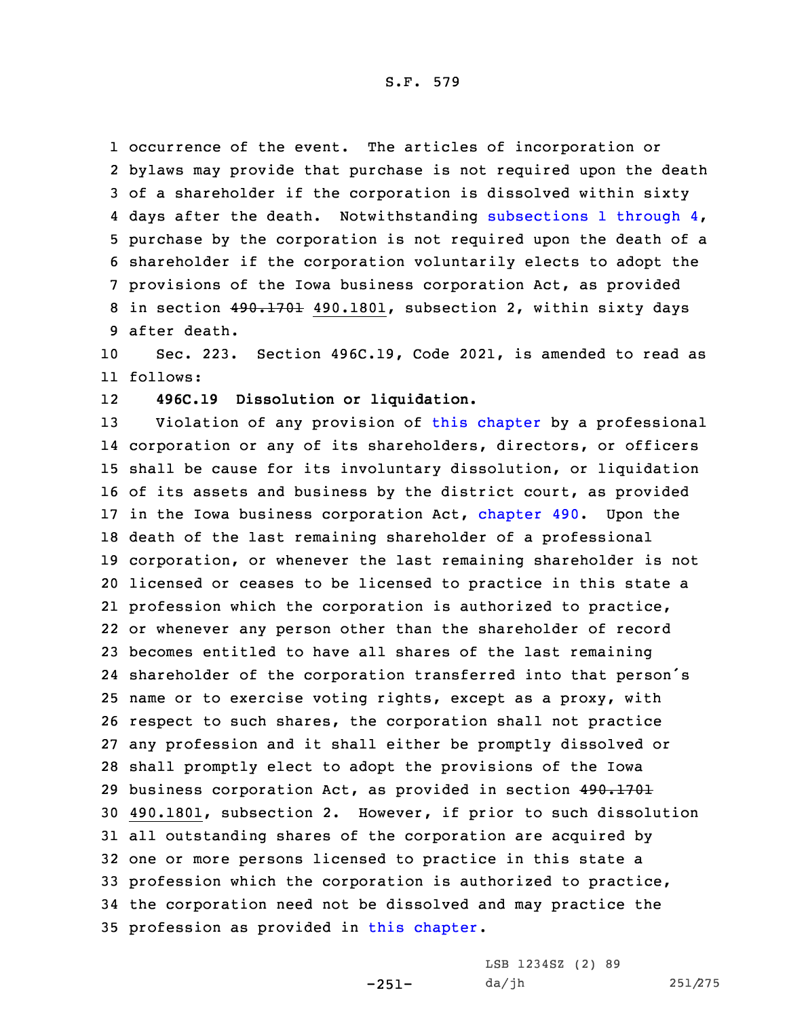occurrence of the event. The articles of incorporation or bylaws may provide that purchase is not required upon the death of <sup>a</sup> shareholder if the corporation is dissolved within sixty 4 days after the death. Notwithstanding [subsections](https://www.legis.iowa.gov/docs/code/2021/496C.14.pdf) 1 through  $4$ , purchase by the corporation is not required upon the death of <sup>a</sup> shareholder if the corporation voluntarily elects to adopt the provisions of the Iowa business corporation Act, as provided 8 in section 490.1701 490.1801, subsection 2, within sixty days after death.

10 Sec. 223. Section 496C.19, Code 2021, is amended to read as 11 follows:

12**496C.19 Dissolution or liquidation.**

 Violation of any provision of this [chapter](https://www.legis.iowa.gov/docs/code/2021/496C.pdf) by <sup>a</sup> professional corporation or any of its shareholders, directors, or officers shall be cause for its involuntary dissolution, or liquidation of its assets and business by the district court, as provided 17 in the Iowa business corporation Act, [chapter](https://www.legis.iowa.gov/docs/code/2021/490.pdf) 490. Upon the death of the last remaining shareholder of <sup>a</sup> professional corporation, or whenever the last remaining shareholder is not licensed or ceases to be licensed to practice in this state <sup>a</sup> profession which the corporation is authorized to practice, or whenever any person other than the shareholder of record becomes entitled to have all shares of the last remaining shareholder of the corporation transferred into that person's name or to exercise voting rights, except as <sup>a</sup> proxy, with respect to such shares, the corporation shall not practice any profession and it shall either be promptly dissolved or shall promptly elect to adopt the provisions of the Iowa 29 business corporation Act, as provided in section 490.1701 490.1801, subsection 2. However, if prior to such dissolution all outstanding shares of the corporation are acquired by one or more persons licensed to practice in this state <sup>a</sup> profession which the corporation is authorized to practice, the corporation need not be dissolved and may practice the profession as provided in this [chapter](https://www.legis.iowa.gov/docs/code/2021/496C.pdf).

> LSB 1234SZ (2) 89 da/jh 251/275

-251-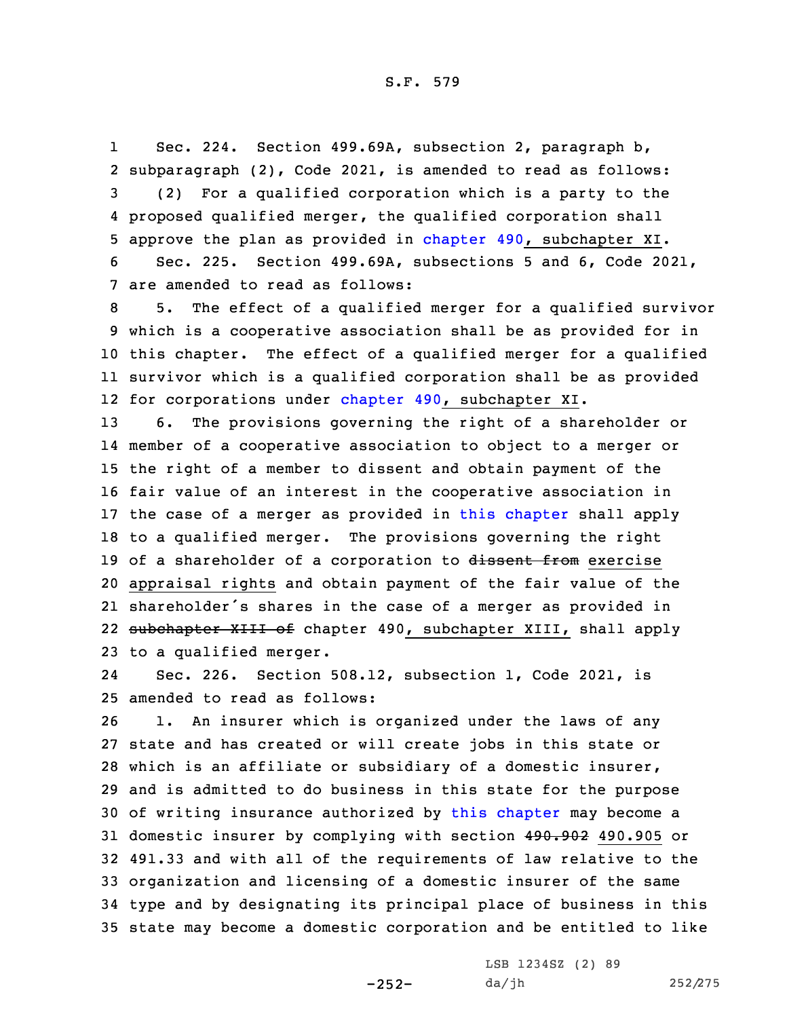1 Sec. 224. Section 499.69A, subsection 2, paragraph b, subparagraph (2), Code 2021, is amended to read as follows: (2) For <sup>a</sup> qualified corporation which is <sup>a</sup> party to the proposed qualified merger, the qualified corporation shall approve the plan as provided in [chapter](https://www.legis.iowa.gov/docs/code/2021/490.pdf) 490, subchapter XI. Sec. 225. Section 499.69A, subsections 5 and 6, Code 2021, are amended to read as follows:

 5. The effect of <sup>a</sup> qualified merger for <sup>a</sup> qualified survivor which is <sup>a</sup> cooperative association shall be as provided for in this chapter. The effect of <sup>a</sup> qualified merger for <sup>a</sup> qualified survivor which is <sup>a</sup> qualified corporation shall be as provided 12 for corporations under [chapter](https://www.legis.iowa.gov/docs/code/2021/490.pdf) 490, subchapter XI.

 6. The provisions governing the right of <sup>a</sup> shareholder or member of <sup>a</sup> cooperative association to object to <sup>a</sup> merger or the right of <sup>a</sup> member to dissent and obtain payment of the fair value of an interest in the cooperative association in the case of <sup>a</sup> merger as provided in this [chapter](https://www.legis.iowa.gov/docs/code/2021/499.pdf) shall apply to <sup>a</sup> qualified merger. The provisions governing the right 19 of a shareholder of a corporation to dissent from exercise appraisal rights and obtain payment of the fair value of the shareholder's shares in the case of <sup>a</sup> merger as provided in 22 <del>subchapter XIII of</del> chapter 490, subchapter XIII, shall apply to <sup>a</sup> qualified merger.

24 Sec. 226. Section 508.12, subsection 1, Code 2021, is 25 amended to read as follows:

 1. An insurer which is organized under the laws of any state and has created or will create jobs in this state or which is an affiliate or subsidiary of <sup>a</sup> domestic insurer, and is admitted to do business in this state for the purpose 30 of writing insurance authorized by this [chapter](https://www.legis.iowa.gov/docs/code/2021/508.pdf) may become a domestic insurer by complying with section 490.902 490.905 or 491.33 and with all of the requirements of law relative to the organization and licensing of <sup>a</sup> domestic insurer of the same type and by designating its principal place of business in this state may become <sup>a</sup> domestic corporation and be entitled to like

-252-

LSB 1234SZ (2) 89 da/jh 252/275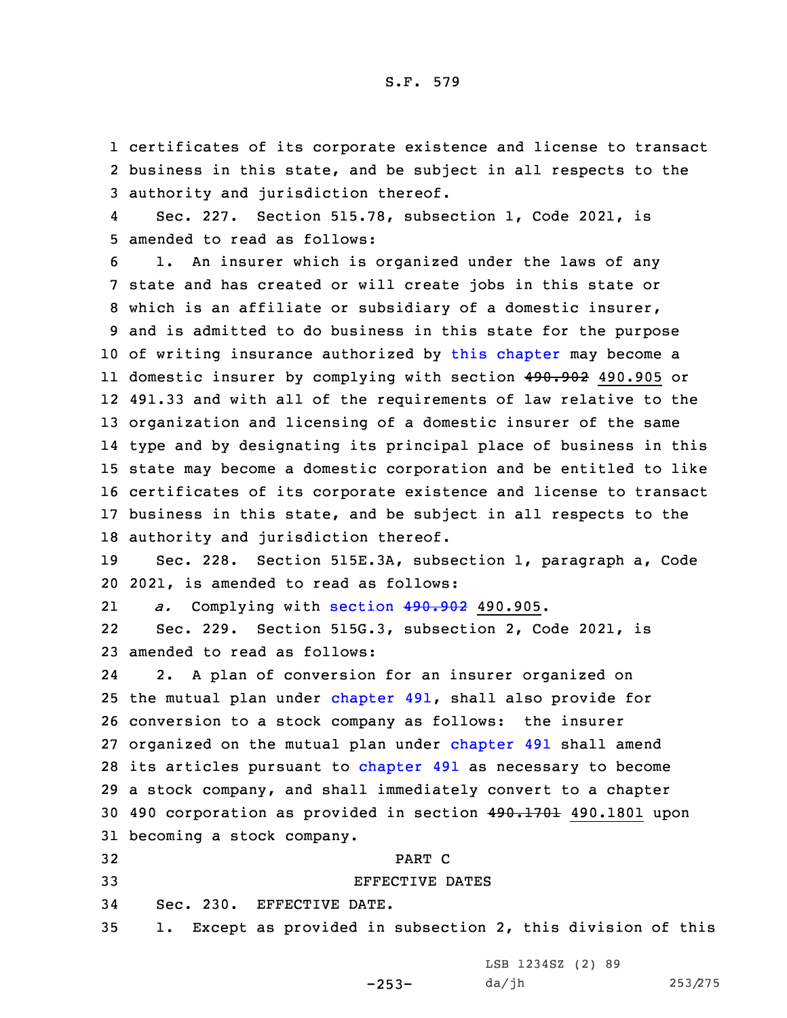1 certificates of its corporate existence and license to transact 2 business in this state, and be subject in all respects to the 3 authority and jurisdiction thereof.

4 Sec. 227. Section 515.78, subsection 1, Code 2021, is 5 amended to read as follows:

 1. An insurer which is organized under the laws of any state and has created or will create jobs in this state or which is an affiliate or subsidiary of <sup>a</sup> domestic insurer, and is admitted to do business in this state for the purpose 10 of writing insurance authorized by this [chapter](https://www.legis.iowa.gov/docs/code/2021/515.pdf) may become a domestic insurer by complying with section 490.902 490.905 or 491.33 and with all of the requirements of law relative to the organization and licensing of <sup>a</sup> domestic insurer of the same type and by designating its principal place of business in this state may become <sup>a</sup> domestic corporation and be entitled to like certificates of its corporate existence and license to transact business in this state, and be subject in all respects to the authority and jurisdiction thereof.

19 Sec. 228. Section 515E.3A, subsection 1, paragraph a, Code 20 2021, is amended to read as follows:

21*a.* Complying with [section](https://www.legis.iowa.gov/docs/code/2021/490.902.pdf) 490.902 490.905.

22 Sec. 229. Section 515G.3, subsection 2, Code 2021, is 23 amended to read as follows:

24 2. <sup>A</sup> plan of conversion for an insurer organized on the mutual plan under [chapter](https://www.legis.iowa.gov/docs/code/2021/491.pdf) 491, shall also provide for conversion to <sup>a</sup> stock company as follows: the insurer 27 organized on the mutual plan under [chapter](https://www.legis.iowa.gov/docs/code/2021/491.pdf) 491 shall amend its articles pursuant to [chapter](https://www.legis.iowa.gov/docs/code/2021/491.pdf) 491 as necessary to become <sup>a</sup> stock company, and shall immediately convert to <sup>a</sup> chapter 490 corporation as provided in section 490.1701 490.1801 upon becoming <sup>a</sup> stock company.

32 PART C EFFECTIVE DATES Sec. 230. EFFECTIVE DATE. 1. Except as provided in subsection 2, this division of this

-253-

LSB 1234SZ (2) 89 da/jh 253/275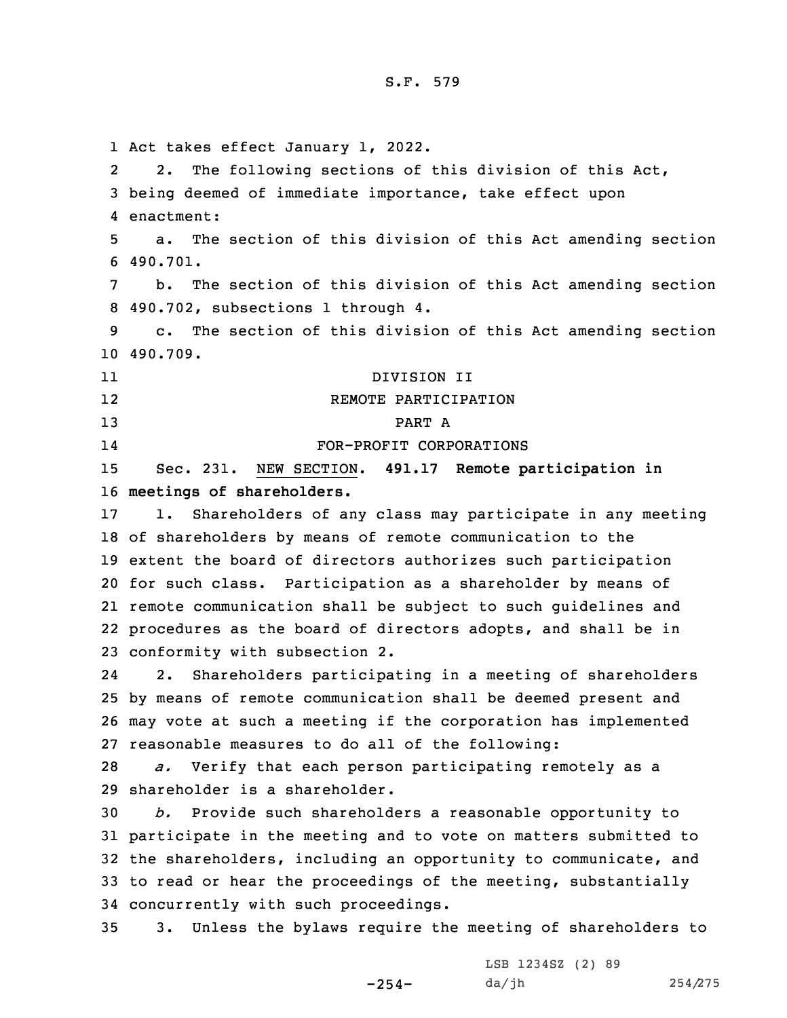Act takes effect January 1, 2022. 2 2. The following sections of this division of this Act, being deemed of immediate importance, take effect upon enactment: a. The section of this division of this Act amending section 6 490.701. b. The section of this division of this Act amending section 490.702, subsections 1 through 4. c. The section of this division of this Act amending section 10 490.709. 11 DIVISION II 12 REMOTE PARTICIPATION 13 PART A 14 FOR-PROFIT CORPORATIONS Sec. 231. NEW SECTION. **491.17 Remote participation in meetings of shareholders.** 1. Shareholders of any class may participate in any meeting of shareholders by means of remote communication to the extent the board of directors authorizes such participation for such class. Participation as <sup>a</sup> shareholder by means of remote communication shall be subject to such guidelines and procedures as the board of directors adopts, and shall be in conformity with subsection 2. 24 2. Shareholders participating in <sup>a</sup> meeting of shareholders by means of remote communication shall be deemed present and may vote at such <sup>a</sup> meeting if the corporation has implemented reasonable measures to do all of the following: *a.* Verify that each person participating remotely as <sup>a</sup> shareholder is <sup>a</sup> shareholder. *b.* Provide such shareholders <sup>a</sup> reasonable opportunity to participate in the meeting and to vote on matters submitted to the shareholders, including an opportunity to communicate, and to read or hear the proceedings of the meeting, substantially concurrently with such proceedings. 3. Unless the bylaws require the meeting of shareholders to LSB 1234SZ (2) 89

-254-

da/jh 254/275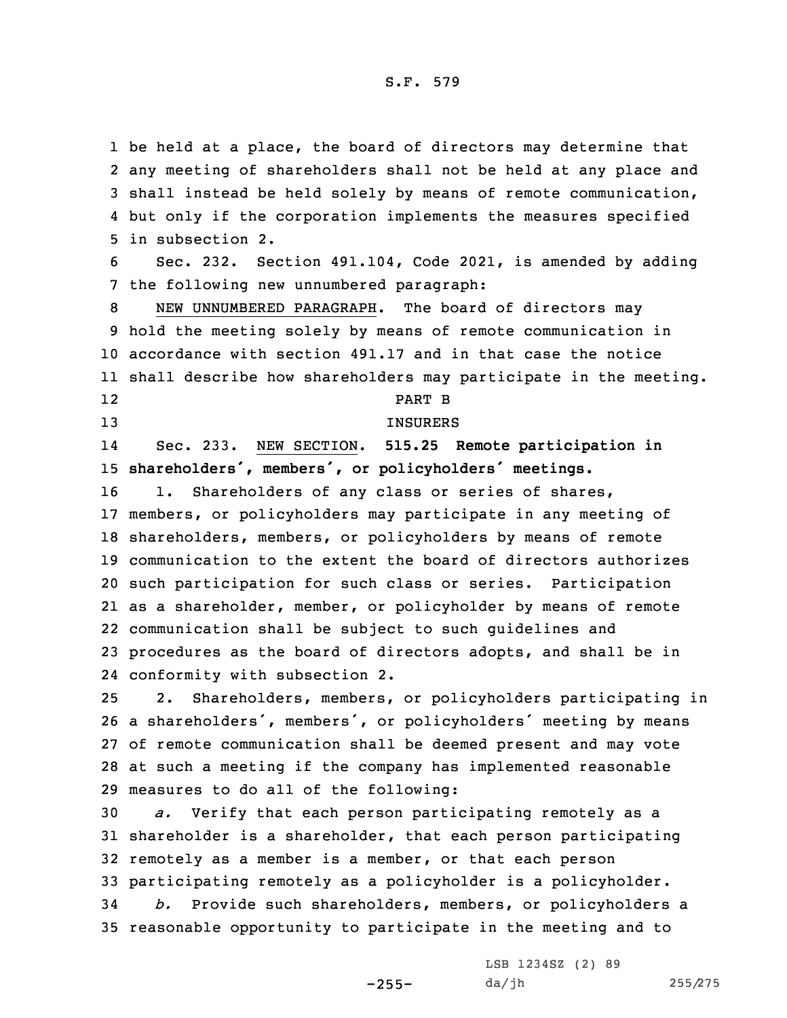be held at <sup>a</sup> place, the board of directors may determine that any meeting of shareholders shall not be held at any place and shall instead be held solely by means of remote communication, but only if the corporation implements the measures specified in subsection 2.

6 Sec. 232. Section 491.104, Code 2021, is amended by adding 7 the following new unnumbered paragraph:

 NEW UNNUMBERED PARAGRAPH. The board of directors may hold the meeting solely by means of remote communication in accordance with section 491.17 and in that case the notice shall describe how shareholders may participate in the meeting. 12PART B

### 13 INSURERS

14 Sec. 233. NEW SECTION. **515.25 Remote participation in** <sup>15</sup> **shareholders', members', or policyholders' meetings.**

 1. Shareholders of any class or series of shares, members, or policyholders may participate in any meeting of shareholders, members, or policyholders by means of remote communication to the extent the board of directors authorizes such participation for such class or series. Participation as <sup>a</sup> shareholder, member, or policyholder by means of remote communication shall be subject to such guidelines and procedures as the board of directors adopts, and shall be in conformity with subsection 2.

 2. Shareholders, members, or policyholders participating in <sup>a</sup> shareholders', members', or policyholders' meeting by means of remote communication shall be deemed present and may vote at such <sup>a</sup> meeting if the company has implemented reasonable measures to do all of the following:

 *a.* Verify that each person participating remotely as <sup>a</sup> shareholder is <sup>a</sup> shareholder, that each person participating remotely as <sup>a</sup> member is <sup>a</sup> member, or that each person participating remotely as <sup>a</sup> policyholder is <sup>a</sup> policyholder. *b.* Provide such shareholders, members, or policyholders <sup>a</sup> reasonable opportunity to participate in the meeting and to

-255-

LSB 1234SZ (2) 89 da/jh 255/275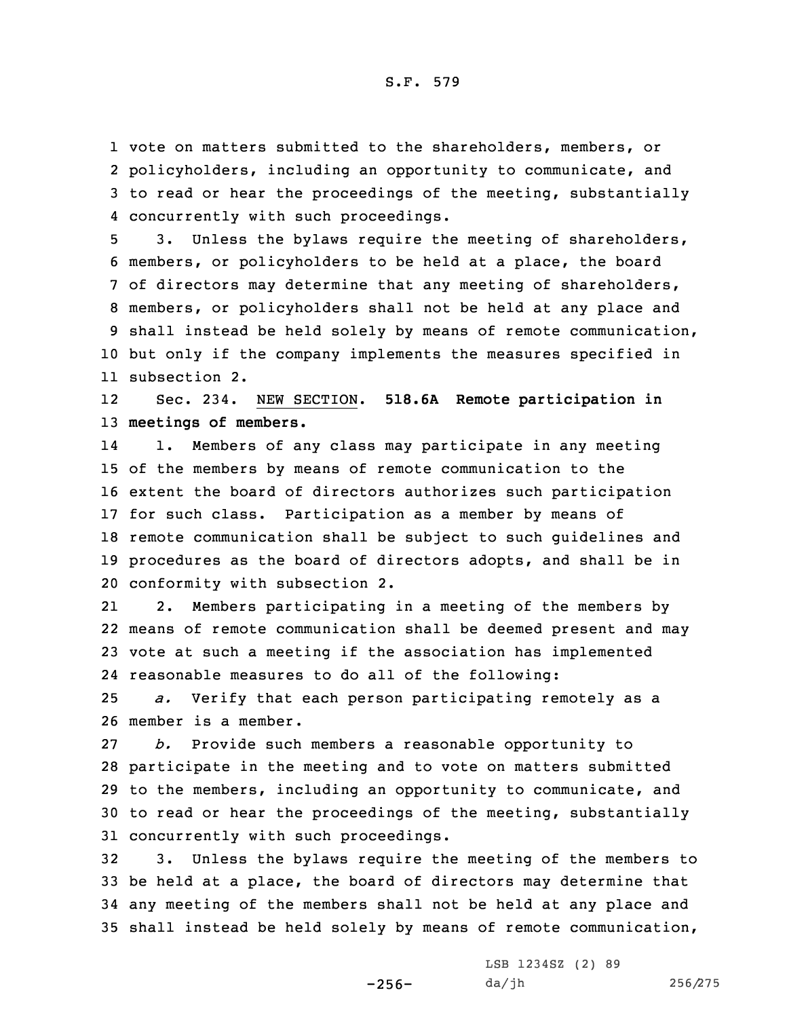vote on matters submitted to the shareholders, members, or policyholders, including an opportunity to communicate, and to read or hear the proceedings of the meeting, substantially concurrently with such proceedings.

 3. Unless the bylaws require the meeting of shareholders, members, or policyholders to be held at <sup>a</sup> place, the board of directors may determine that any meeting of shareholders, members, or policyholders shall not be held at any place and shall instead be held solely by means of remote communication, but only if the company implements the measures specified in subsection 2.

12 Sec. 234. NEW SECTION. **518.6A Remote participation in** 13 **meetings of members.**

14 1. Members of any class may participate in any meeting of the members by means of remote communication to the extent the board of directors authorizes such participation for such class. Participation as <sup>a</sup> member by means of remote communication shall be subject to such guidelines and procedures as the board of directors adopts, and shall be in conformity with subsection 2.

21 2. Members participating in <sup>a</sup> meeting of the members by 22 means of remote communication shall be deemed present and may 23 vote at such <sup>a</sup> meeting if the association has implemented 24 reasonable measures to do all of the following:

25 *a.* Verify that each person participating remotely as <sup>a</sup> 26 member is <sup>a</sup> member.

 *b.* Provide such members <sup>a</sup> reasonable opportunity to participate in the meeting and to vote on matters submitted to the members, including an opportunity to communicate, and to read or hear the proceedings of the meeting, substantially concurrently with such proceedings.

 3. Unless the bylaws require the meeting of the members to be held at <sup>a</sup> place, the board of directors may determine that any meeting of the members shall not be held at any place and shall instead be held solely by means of remote communication,

-256-

LSB 1234SZ (2) 89 da/jh 256/275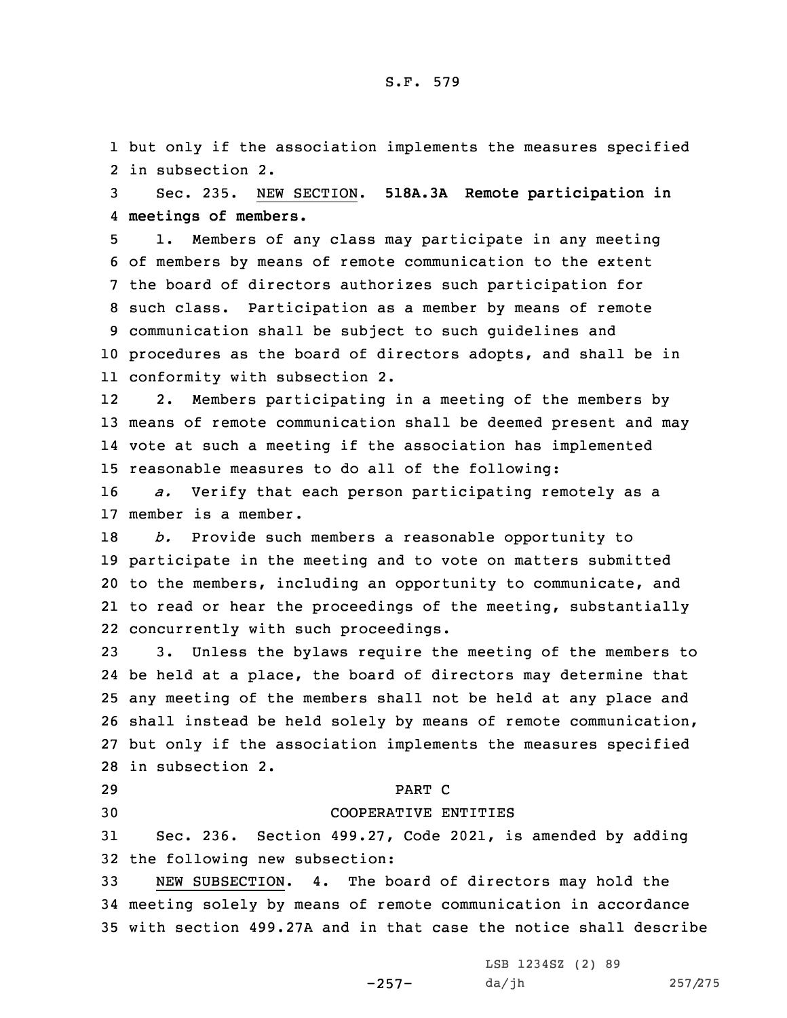1 but only if the association implements the measures specified 2 in subsection 2.

3 Sec. 235. NEW SECTION. **518A.3A Remote participation in** 4 **meetings of members.**

 1. Members of any class may participate in any meeting of members by means of remote communication to the extent the board of directors authorizes such participation for such class. Participation as <sup>a</sup> member by means of remote communication shall be subject to such guidelines and procedures as the board of directors adopts, and shall be in conformity with subsection 2.

12 2. Members participating in <sup>a</sup> meeting of the members by 13 means of remote communication shall be deemed present and may 14 vote at such <sup>a</sup> meeting if the association has implemented 15 reasonable measures to do all of the following:

16 *a.* Verify that each person participating remotely as <sup>a</sup> 17 member is <sup>a</sup> member.

 *b.* Provide such members <sup>a</sup> reasonable opportunity to participate in the meeting and to vote on matters submitted to the members, including an opportunity to communicate, and to read or hear the proceedings of the meeting, substantially concurrently with such proceedings.

 3. Unless the bylaws require the meeting of the members to be held at <sup>a</sup> place, the board of directors may determine that any meeting of the members shall not be held at any place and shall instead be held solely by means of remote communication, but only if the association implements the measures specified in subsection 2.

# 29 PART C

## 30 COOPERATIVE ENTITIES

31 Sec. 236. Section 499.27, Code 2021, is amended by adding 32 the following new subsection:

33 NEW SUBSECTION. 4. The board of directors may hold the 34 meeting solely by means of remote communication in accordance 35 with section 499.27A and in that case the notice shall describe

-257-

LSB 1234SZ (2) 89 da/jh 257/275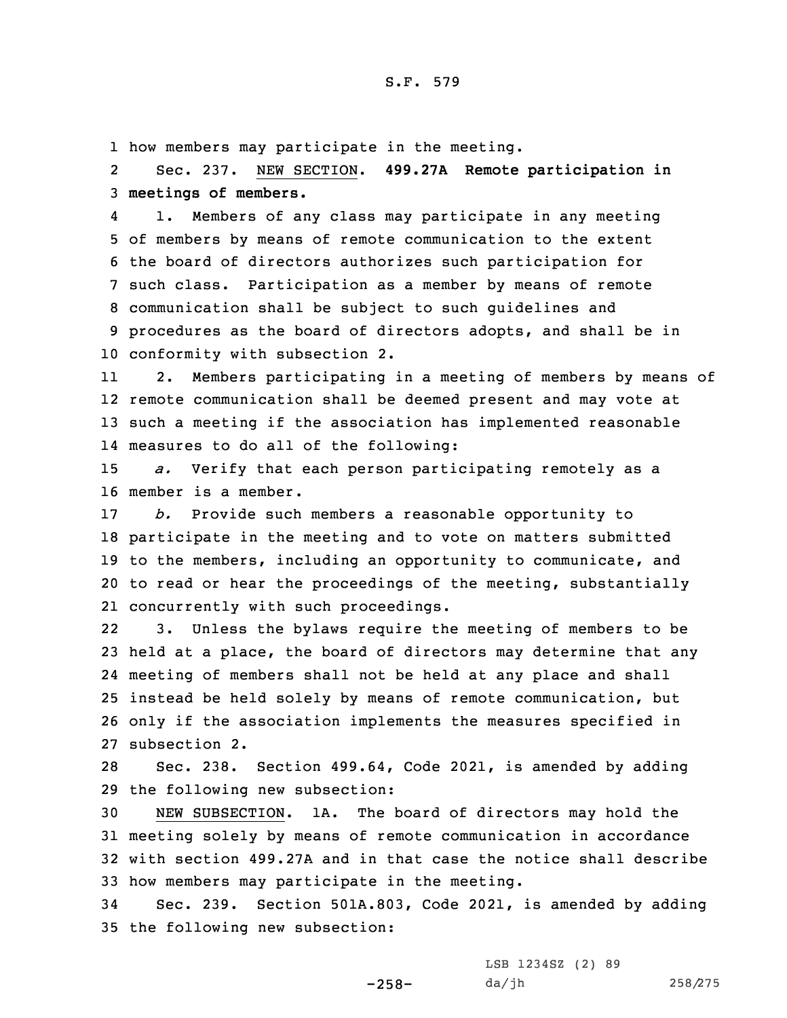1 how members may participate in the meeting.

2 Sec. 237. NEW SECTION. **499.27A Remote participation in** 3 **meetings of members.**

4 1. Members of any class may participate in any meeting of members by means of remote communication to the extent the board of directors authorizes such participation for such class. Participation as <sup>a</sup> member by means of remote communication shall be subject to such guidelines and procedures as the board of directors adopts, and shall be in conformity with subsection 2.

11 2. Members participating in <sup>a</sup> meeting of members by means of 12 remote communication shall be deemed present and may vote at 13 such <sup>a</sup> meeting if the association has implemented reasonable 14 measures to do all of the following:

15 *a.* Verify that each person participating remotely as <sup>a</sup> 16 member is <sup>a</sup> member.

 *b.* Provide such members <sup>a</sup> reasonable opportunity to participate in the meeting and to vote on matters submitted to the members, including an opportunity to communicate, and to read or hear the proceedings of the meeting, substantially concurrently with such proceedings.

22 3. Unless the bylaws require the meeting of members to be held at <sup>a</sup> place, the board of directors may determine that any meeting of members shall not be held at any place and shall instead be held solely by means of remote communication, but only if the association implements the measures specified in subsection 2.

28 Sec. 238. Section 499.64, Code 2021, is amended by adding 29 the following new subsection:

 NEW SUBSECTION. 1A. The board of directors may hold the meeting solely by means of remote communication in accordance with section 499.27A and in that case the notice shall describe how members may participate in the meeting.

34 Sec. 239. Section 501A.803, Code 2021, is amended by adding 35 the following new subsection:

-258-

LSB 1234SZ (2) 89 da/jh 258/275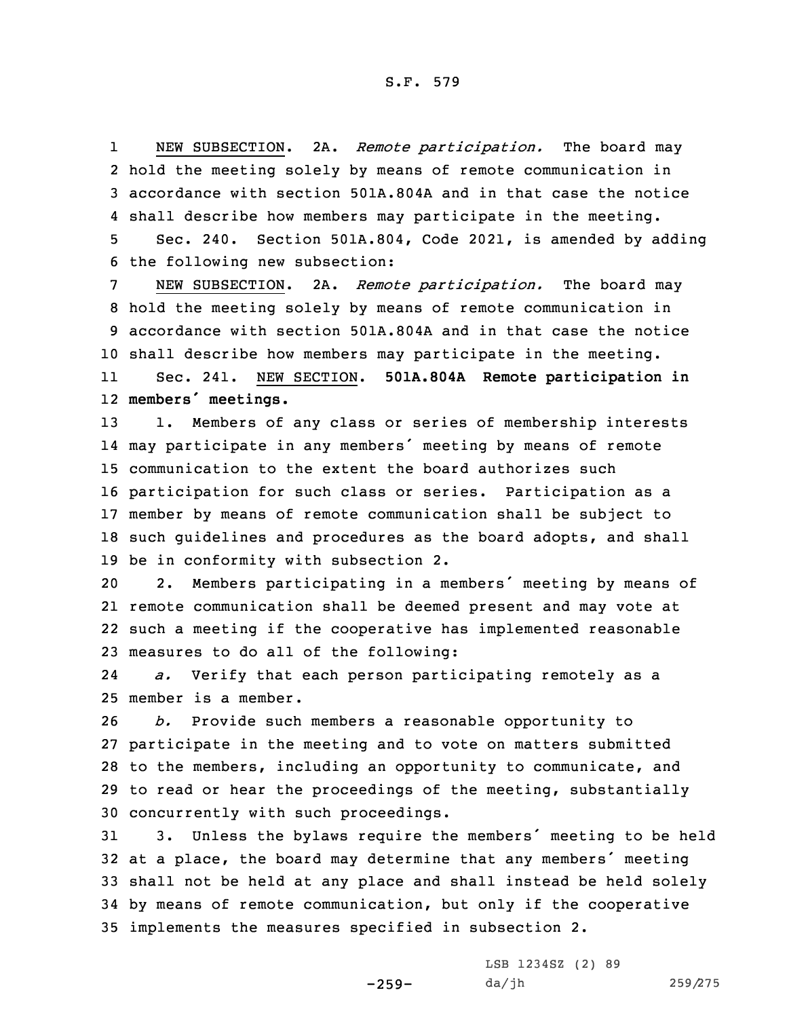1 NEW SUBSECTION. 2A. *Remote participation.* The board may hold the meeting solely by means of remote communication in accordance with section 501A.804A and in that case the notice shall describe how members may participate in the meeting. Sec. 240. Section 501A.804, Code 2021, is amended by adding the following new subsection:

 NEW SUBSECTION. 2A. *Remote participation.* The board may hold the meeting solely by means of remote communication in accordance with section 501A.804A and in that case the notice shall describe how members may participate in the meeting.

11 Sec. 241. NEW SECTION. **501A.804A Remote participation in** 12 **members' meetings.**

 1. Members of any class or series of membership interests may participate in any members' meeting by means of remote communication to the extent the board authorizes such participation for such class or series. Participation as <sup>a</sup> member by means of remote communication shall be subject to such guidelines and procedures as the board adopts, and shall be in conformity with subsection 2.

 2. Members participating in <sup>a</sup> members' meeting by means of remote communication shall be deemed present and may vote at such <sup>a</sup> meeting if the cooperative has implemented reasonable measures to do all of the following:

24 *a.* Verify that each person participating remotely as <sup>a</sup> 25 member is <sup>a</sup> member.

 *b.* Provide such members <sup>a</sup> reasonable opportunity to participate in the meeting and to vote on matters submitted to the members, including an opportunity to communicate, and to read or hear the proceedings of the meeting, substantially concurrently with such proceedings.

 3. Unless the bylaws require the members' meeting to be held at <sup>a</sup> place, the board may determine that any members' meeting shall not be held at any place and shall instead be held solely by means of remote communication, but only if the cooperative implements the measures specified in subsection 2.

> LSB 1234SZ (2) 89 da/jh 259/275

 $-259-$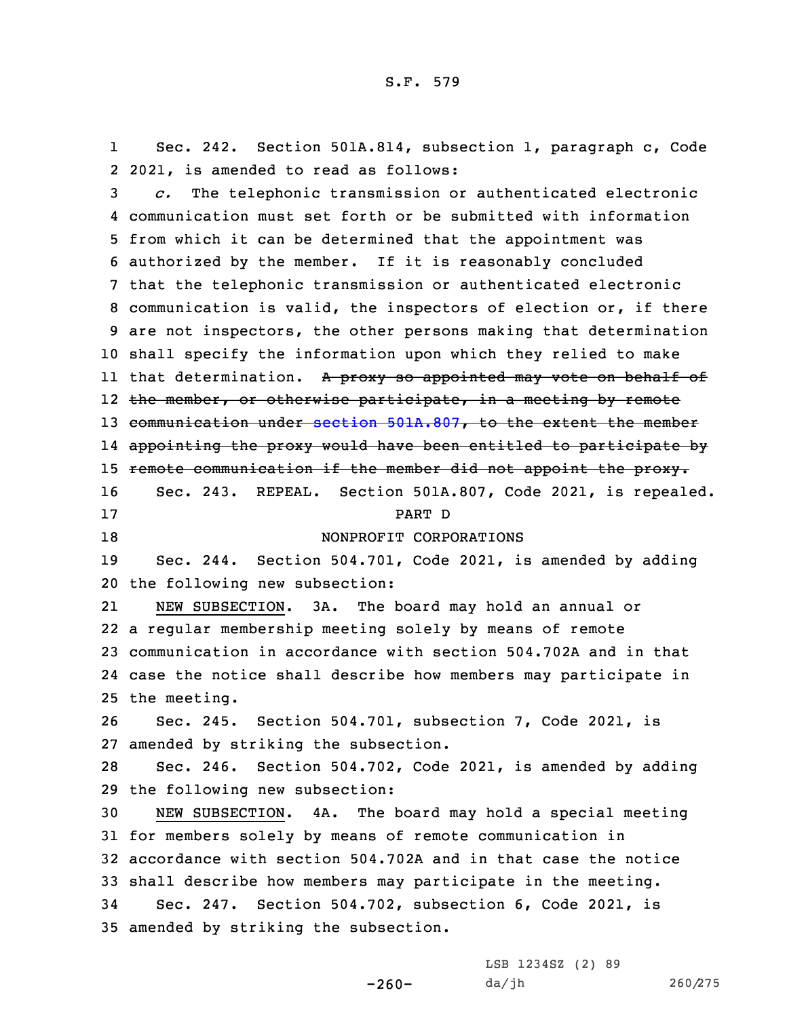1 Sec. 242. Section 501A.814, subsection 1, paragraph c, Code 2 2021, is amended to read as follows:

 *c.* The telephonic transmission or authenticated electronic communication must set forth or be submitted with information from which it can be determined that the appointment was authorized by the member. If it is reasonably concluded that the telephonic transmission or authenticated electronic communication is valid, the inspectors of election or, if there are not inspectors, the other persons making that determination shall specify the information upon which they relied to make ll that determination. <del>A proxy so appointed may vote on behalf of</del> the member, or otherwise participate, in <sup>a</sup> meeting by remote communication under section [501A.807](https://www.legis.iowa.gov/docs/code/2021/501A.807.pdf), to the extent the member appointing the proxy would have been entitled to participate by 15 remote communication if the member did not appoint the proxy. Sec. 243. REPEAL. Section 501A.807, Code 2021, is repealed. 17 PART D 18 NONPROFIT CORPORATIONS Sec. 244. Section 504.701, Code 2021, is amended by adding the following new subsection: 21 NEW SUBSECTION. 3A. The board may hold an annual or <sup>a</sup> regular membership meeting solely by means of remote communication in accordance with section 504.702A and in that case the notice shall describe how members may participate in the meeting. Sec. 245. Section 504.701, subsection 7, Code 2021, is amended by striking the subsection. Sec. 246. Section 504.702, Code 2021, is amended by adding the following new subsection: NEW SUBSECTION. 4A. The board may hold <sup>a</sup> special meeting for members solely by means of remote communication in accordance with section 504.702A and in that case the notice shall describe how members may participate in the meeting. Sec. 247. Section 504.702, subsection 6, Code 2021, is amended by striking the subsection.

-260-

LSB 1234SZ (2) 89 da/jh 260/275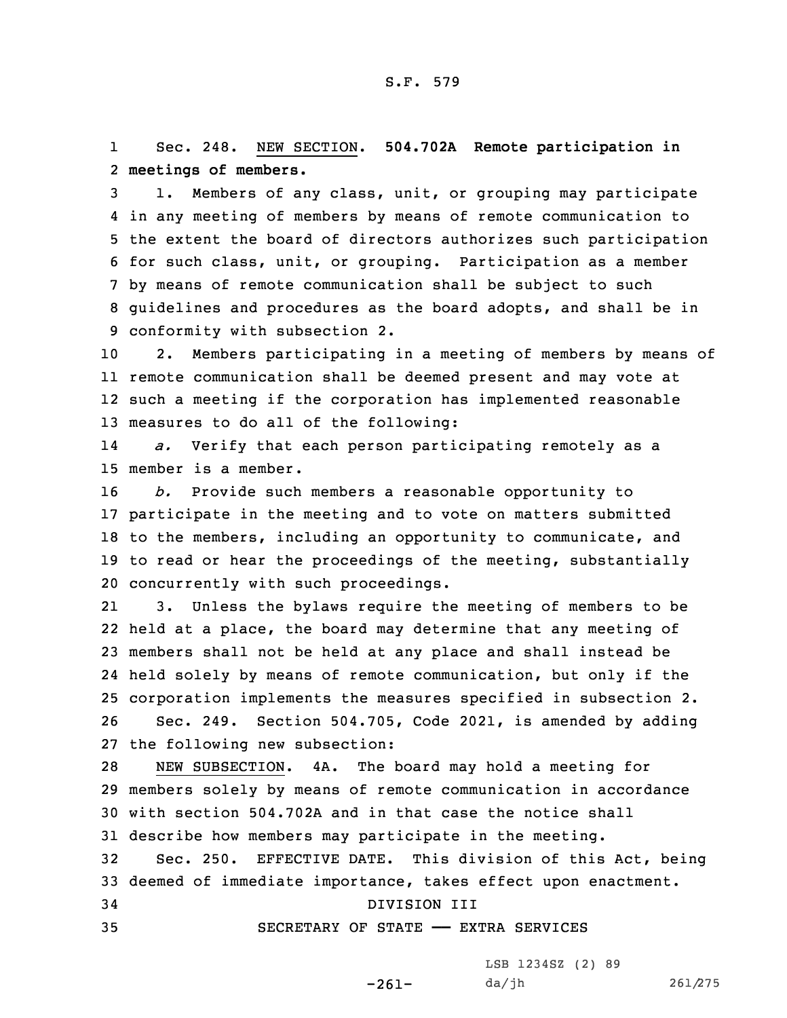1 Sec. 248. NEW SECTION. **504.702A Remote participation in** 2 **meetings of members.**

 1. Members of any class, unit, or grouping may participate in any meeting of members by means of remote communication to the extent the board of directors authorizes such participation for such class, unit, or grouping. Participation as <sup>a</sup> member by means of remote communication shall be subject to such guidelines and procedures as the board adopts, and shall be in conformity with subsection 2.

 2. Members participating in <sup>a</sup> meeting of members by means of remote communication shall be deemed present and may vote at such <sup>a</sup> meeting if the corporation has implemented reasonable measures to do all of the following:

14 *a.* Verify that each person participating remotely as <sup>a</sup> 15 member is <sup>a</sup> member.

 *b.* Provide such members <sup>a</sup> reasonable opportunity to participate in the meeting and to vote on matters submitted to the members, including an opportunity to communicate, and to read or hear the proceedings of the meeting, substantially concurrently with such proceedings.

21 3. Unless the bylaws require the meeting of members to be held at <sup>a</sup> place, the board may determine that any meeting of members shall not be held at any place and shall instead be held solely by means of remote communication, but only if the corporation implements the measures specified in subsection 2. Sec. 249. Section 504.705, Code 2021, is amended by adding the following new subsection:

 NEW SUBSECTION. 4A. The board may hold <sup>a</sup> meeting for members solely by means of remote communication in accordance with section 504.702A and in that case the notice shall describe how members may participate in the meeting. Sec. 250. EFFECTIVE DATE. This division of this Act, being deemed of immediate importance, takes effect upon enactment. DIVISION III

35 SECRETARY OF STATE —— EXTRA SERVICES

LSB 1234SZ (2) 89

-261-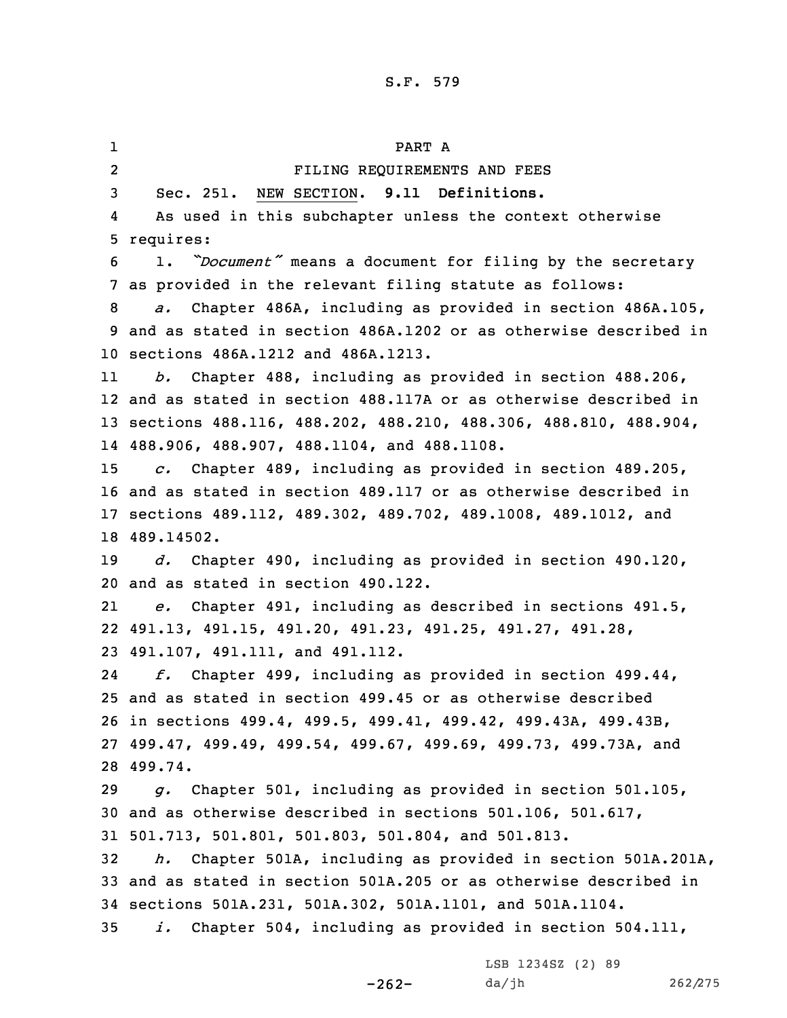1 PART A 2 FILING REQUIREMENTS AND FEES Sec. 251. NEW SECTION. **9.11 Definitions.** 4 As used in this subchapter unless the context otherwise requires: 1. *"Document"* means <sup>a</sup> document for filing by the secretary as provided in the relevant filing statute as follows: *a.* Chapter 486A, including as provided in section 486A.105, and as stated in section 486A.1202 or as otherwise described in sections 486A.1212 and 486A.1213. 11 *b.* Chapter 488, including as provided in section 488.206, and as stated in section 488.117A or as otherwise described in sections 488.116, 488.202, 488.210, 488.306, 488.810, 488.904, 488.906, 488.907, 488.1104, and 488.1108. *c.* Chapter 489, including as provided in section 489.205, and as stated in section 489.117 or as otherwise described in sections 489.112, 489.302, 489.702, 489.1008, 489.1012, and 489.14502. *d.* Chapter 490, including as provided in section 490.120, and as stated in section 490.122. 21 *e.* Chapter 491, including as described in sections 491.5, 491.13, 491.15, 491.20, 491.23, 491.25, 491.27, 491.28, 491.107, 491.111, and 491.112. 24 *f.* Chapter 499, including as provided in section 499.44, and as stated in section 499.45 or as otherwise described in sections 499.4, 499.5, 499.41, 499.42, 499.43A, 499.43B, 499.47, 499.49, 499.54, 499.67, 499.69, 499.73, 499.73A, and 28 499.74. *g.* Chapter 501, including as provided in section 501.105, and as otherwise described in sections 501.106, 501.617, 501.713, 501.801, 501.803, 501.804, and 501.813. *h.* Chapter 501A, including as provided in section 501A.201A, and as stated in section 501A.205 or as otherwise described in sections 501A.231, 501A.302, 501A.1101, and 501A.1104. *i.* Chapter 504, including as provided in section 504.111,

-262-

LSB 1234SZ (2) 89 da/jh 262/275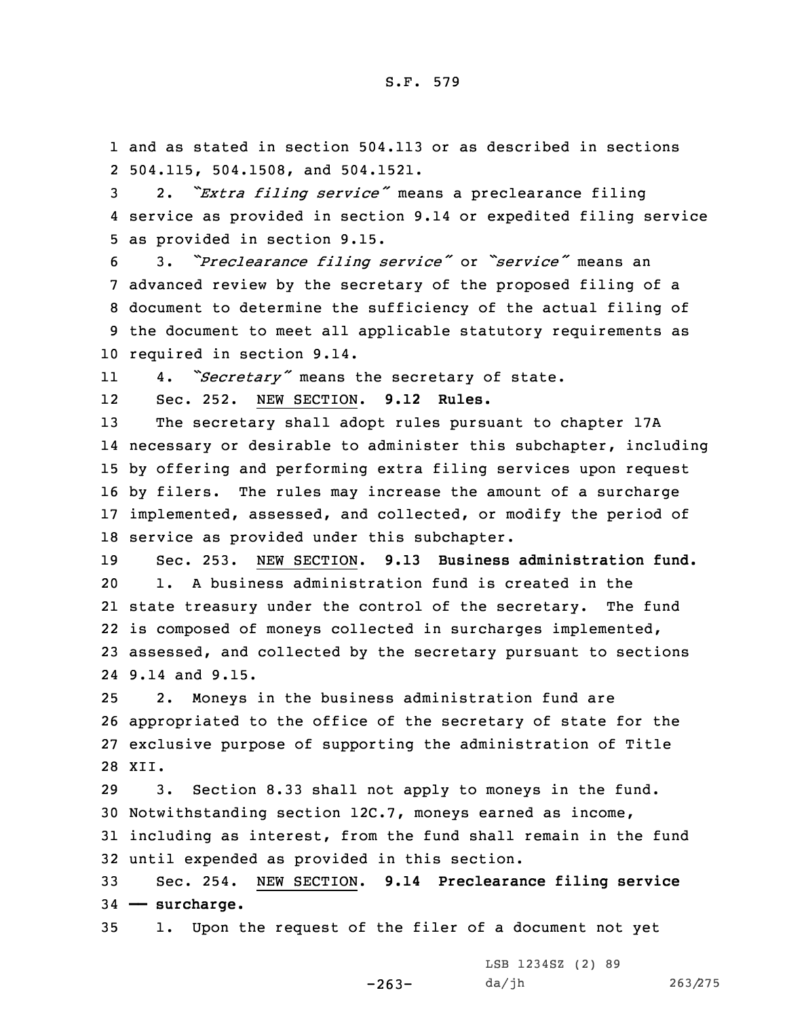1 and as stated in section 504.113 or as described in sections 2 504.115, 504.1508, and 504.1521.

<sup>3</sup> 2. *"Extra filing service"* means <sup>a</sup> preclearance filing 4 service as provided in section 9.14 or expedited filing service 5 as provided in section 9.15.

 3. *"Preclearance filing service"* or *"service"* means an advanced review by the secretary of the proposed filing of <sup>a</sup> document to determine the sufficiency of the actual filing of the document to meet all applicable statutory requirements as required in section 9.14.

114. *"Secretary"* means the secretary of state.

12Sec. 252. NEW SECTION. **9.12 Rules.**

 The secretary shall adopt rules pursuant to chapter 17A necessary or desirable to administer this subchapter, including by offering and performing extra filing services upon request by filers. The rules may increase the amount of <sup>a</sup> surcharge implemented, assessed, and collected, or modify the period of service as provided under this subchapter.

 Sec. 253. NEW SECTION. **9.13 Business administration fund.** 1. A business administration fund is created in the state treasury under the control of the secretary. The fund is composed of moneys collected in surcharges implemented, assessed, and collected by the secretary pursuant to sections 9.14 and 9.15.

 2. Moneys in the business administration fund are appropriated to the office of the secretary of state for the exclusive purpose of supporting the administration of Title 28 XII.

 3. Section 8.33 shall not apply to moneys in the fund. Notwithstanding section 12C.7, moneys earned as income, including as interest, from the fund shall remain in the fund until expended as provided in this section.

33 Sec. 254. NEW SECTION. **9.14 Preclearance filing service** 34 **—— surcharge.**

 $-263-$ 

35 1. Upon the request of the filer of <sup>a</sup> document not yet

LSB 1234SZ (2) 89 da/jh 263/275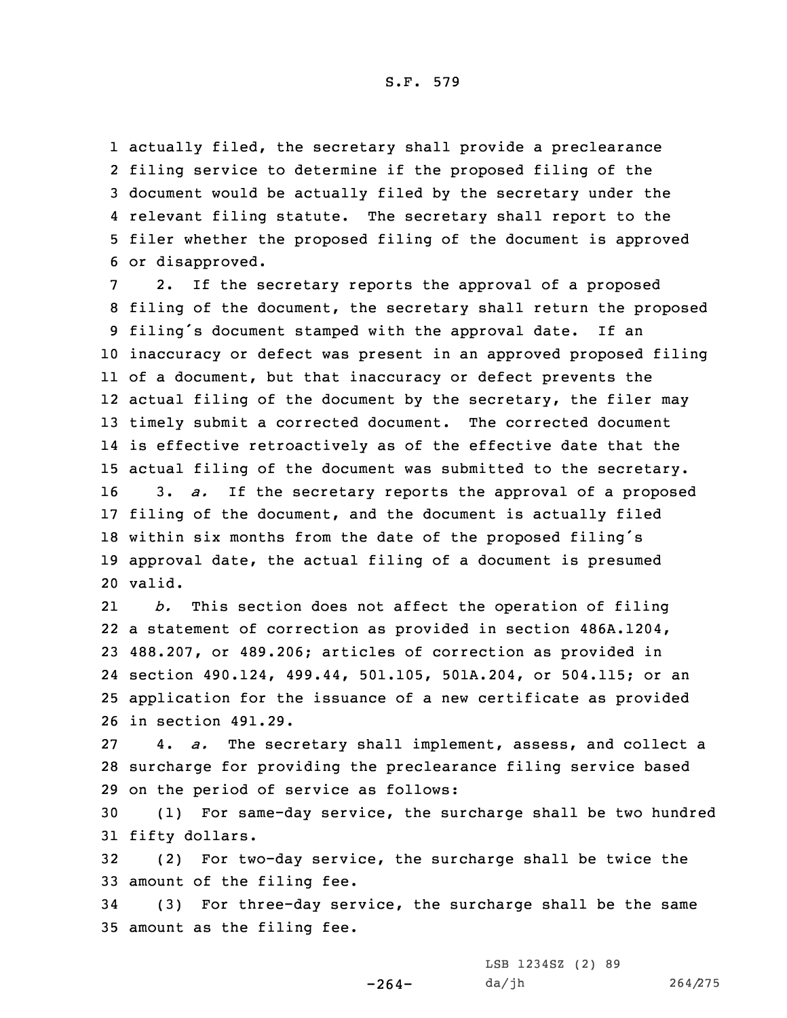actually filed, the secretary shall provide <sup>a</sup> preclearance filing service to determine if the proposed filing of the document would be actually filed by the secretary under the relevant filing statute. The secretary shall report to the filer whether the proposed filing of the document is approved or disapproved.

 2. If the secretary reports the approval of <sup>a</sup> proposed filing of the document, the secretary shall return the proposed filing's document stamped with the approval date. If an inaccuracy or defect was present in an approved proposed filing of <sup>a</sup> document, but that inaccuracy or defect prevents the actual filing of the document by the secretary, the filer may timely submit <sup>a</sup> corrected document. The corrected document is effective retroactively as of the effective date that the actual filing of the document was submitted to the secretary. 3. *a.* If the secretary reports the approval of <sup>a</sup> proposed filing of the document, and the document is actually filed within six months from the date of the proposed filing's approval date, the actual filing of <sup>a</sup> document is presumed 20 valid.

21 *b.* This section does not affect the operation of filing <sup>a</sup> statement of correction as provided in section 486A.1204, 488.207, or 489.206; articles of correction as provided in section 490.124, 499.44, 501.105, 501A.204, or 504.115; or an application for the issuance of <sup>a</sup> new certificate as provided in section 491.29.

27 4. *a.* The secretary shall implement, assess, and collect <sup>a</sup> 28 surcharge for providing the preclearance filing service based 29 on the period of service as follows:

30 (1) For same-day service, the surcharge shall be two hundred 31 fifty dollars.

32 (2) For two-day service, the surcharge shall be twice the 33 amount of the filing fee.

34 (3) For three-day service, the surcharge shall be the same 35 amount as the filing fee.

 $-264-$ 

LSB 1234SZ (2) 89 da/jh 264/275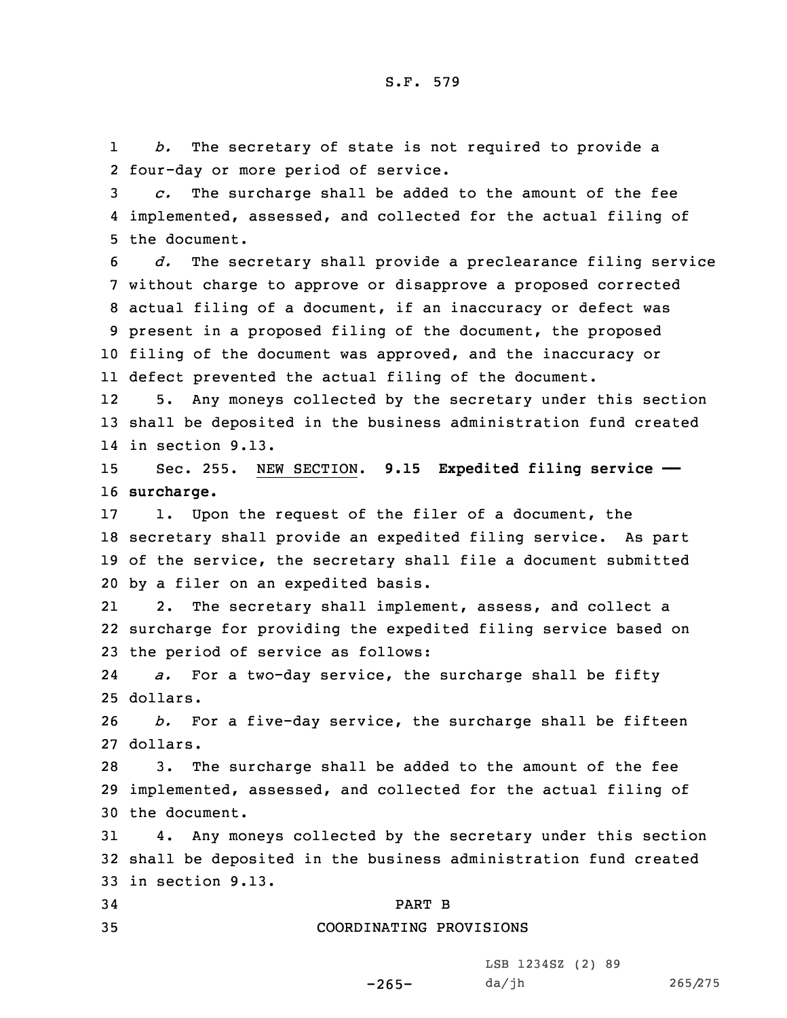1 *b.* The secretary of state is not required to provide <sup>a</sup> 2 four-day or more period of service.

3 *c.* The surcharge shall be added to the amount of the fee 4 implemented, assessed, and collected for the actual filing of 5 the document.

 *d.* The secretary shall provide <sup>a</sup> preclearance filing service without charge to approve or disapprove <sup>a</sup> proposed corrected actual filing of <sup>a</sup> document, if an inaccuracy or defect was present in <sup>a</sup> proposed filing of the document, the proposed filing of the document was approved, and the inaccuracy or defect prevented the actual filing of the document.

12 5. Any moneys collected by the secretary under this section 13 shall be deposited in the business administration fund created 14 in section 9.13.

15 Sec. 255. NEW SECTION. **9.15 Expedited filing service ——** 16 **surcharge.**

 1. Upon the request of the filer of <sup>a</sup> document, the secretary shall provide an expedited filing service. As part of the service, the secretary shall file <sup>a</sup> document submitted by <sup>a</sup> filer on an expedited basis.

21 2. The secretary shall implement, assess, and collect <sup>a</sup> 22 surcharge for providing the expedited filing service based on 23 the period of service as follows:

24 *a.* For <sup>a</sup> two-day service, the surcharge shall be fifty 25 dollars.

26 *b.* For <sup>a</sup> five-day service, the surcharge shall be fifteen 27 dollars.

28 3. The surcharge shall be added to the amount of the fee 29 implemented, assessed, and collected for the actual filing of 30 the document.

31 4. Any moneys collected by the secretary under this section 32 shall be deposited in the business administration fund created 33 in section 9.13.

## 34 PART B

## 35 COORDINATING PROVISIONS

LSB 1234SZ (2) 89 da/jh 265/275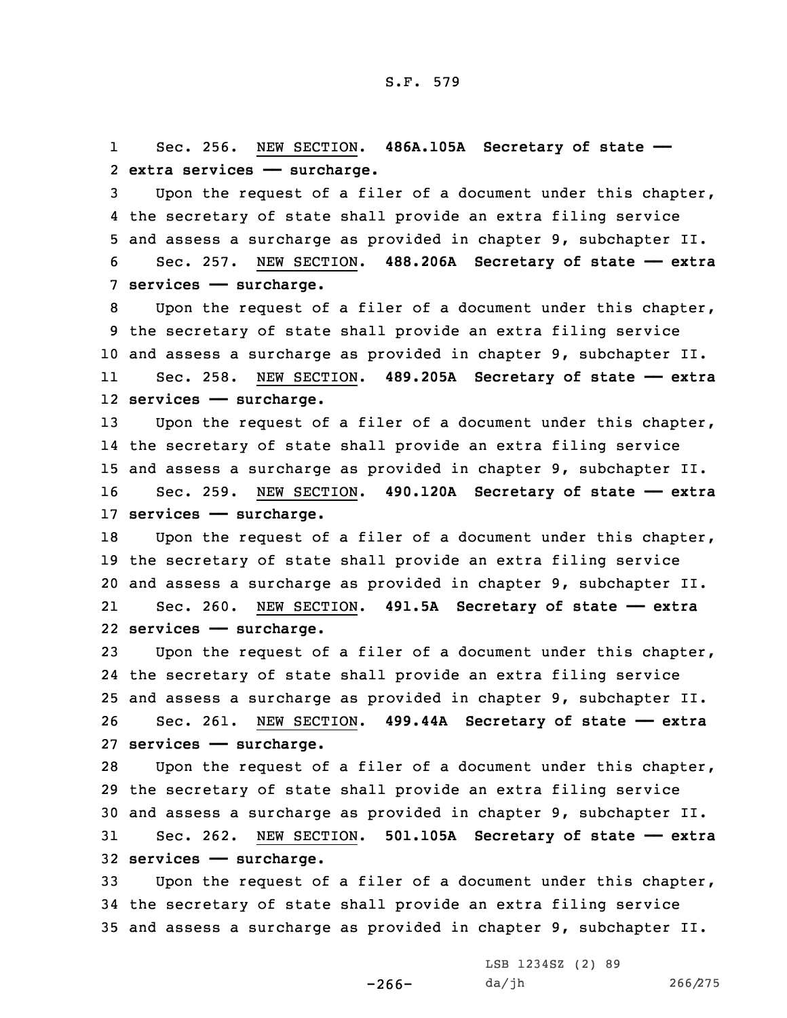1 Sec. 256. NEW SECTION. **486A.105A Secretary of state ——** 2 **extra services —— surcharge.**

 Upon the request of <sup>a</sup> filer of <sup>a</sup> document under this chapter, the secretary of state shall provide an extra filing service and assess <sup>a</sup> surcharge as provided in chapter 9, subchapter II. Sec. 257. NEW SECTION. **488.206A Secretary of state —— extra services —— surcharge.**

 Upon the request of <sup>a</sup> filer of <sup>a</sup> document under this chapter, the secretary of state shall provide an extra filing service and assess <sup>a</sup> surcharge as provided in chapter 9, subchapter II. 11 Sec. 258. NEW SECTION. **489.205A Secretary of state —— extra services —— surcharge.**

 Upon the request of <sup>a</sup> filer of <sup>a</sup> document under this chapter, the secretary of state shall provide an extra filing service and assess <sup>a</sup> surcharge as provided in chapter 9, subchapter II. Sec. 259. NEW SECTION. **490.120A Secretary of state —— extra services —— surcharge.**

 Upon the request of <sup>a</sup> filer of <sup>a</sup> document under this chapter, the secretary of state shall provide an extra filing service and assess <sup>a</sup> surcharge as provided in chapter 9, subchapter II. 21 Sec. 260. NEW SECTION. **491.5A Secretary of state —— extra services —— surcharge.**

 Upon the request of <sup>a</sup> filer of <sup>a</sup> document under this chapter, the secretary of state shall provide an extra filing service and assess <sup>a</sup> surcharge as provided in chapter 9, subchapter II. Sec. 261. NEW SECTION. **499.44A Secretary of state —— extra services —— surcharge.**

 Upon the request of <sup>a</sup> filer of <sup>a</sup> document under this chapter, the secretary of state shall provide an extra filing service and assess <sup>a</sup> surcharge as provided in chapter 9, subchapter II. Sec. 262. NEW SECTION. **501.105A Secretary of state —— extra services —— surcharge.**

33 Upon the request of <sup>a</sup> filer of <sup>a</sup> document under this chapter, 34 the secretary of state shall provide an extra filing service 35 and assess <sup>a</sup> surcharge as provided in chapter 9, subchapter II.

 $-266-$ 

LSB 1234SZ (2) 89 da/jh 266/275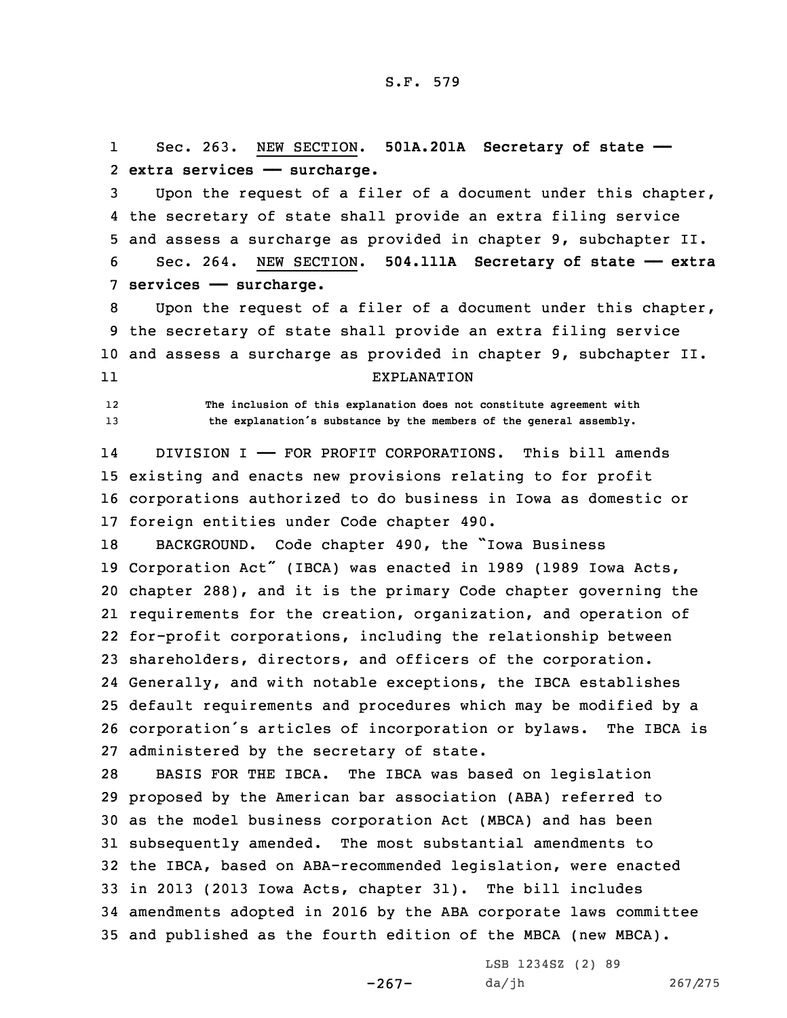1 Sec. 263. NEW SECTION. **501A.201A Secretary of state ——** 2 **extra services —— surcharge.**

 Upon the request of <sup>a</sup> filer of <sup>a</sup> document under this chapter, the secretary of state shall provide an extra filing service and assess <sup>a</sup> surcharge as provided in chapter 9, subchapter II. Sec. 264. NEW SECTION. **504.111A Secretary of state —— extra services —— surcharge.**

8 Upon the request of <sup>a</sup> filer of <sup>a</sup> document under this chapter, 9 the secretary of state shall provide an extra filing service 10 and assess <sup>a</sup> surcharge as provided in chapter 9, subchapter II. 11EXPLANATION

12 **The inclusion of this explanation does not constitute agreement with** <sup>13</sup> **the explanation's substance by the members of the general assembly.**

14 DIVISION I —— FOR PROFIT CORPORATIONS. This bill amends 15 existing and enacts new provisions relating to for profit 16 corporations authorized to do business in Iowa as domestic or 17 foreign entities under Code chapter 490.

 BACKGROUND. Code chapter 490, the "Iowa Business Corporation Act" (IBCA) was enacted in <sup>1989</sup> (1989 Iowa Acts, chapter 288), and it is the primary Code chapter governing the requirements for the creation, organization, and operation of for-profit corporations, including the relationship between shareholders, directors, and officers of the corporation. Generally, and with notable exceptions, the IBCA establishes default requirements and procedures which may be modified by <sup>a</sup> corporation's articles of incorporation or bylaws. The IBCA is administered by the secretary of state.

 BASIS FOR THE IBCA. The IBCA was based on legislation proposed by the American bar association (ABA) referred to as the model business corporation Act (MBCA) and has been subsequently amended. The most substantial amendments to the IBCA, based on ABA-recommended legislation, were enacted in 2013 (2013 Iowa Acts, chapter 31). The bill includes amendments adopted in 2016 by the ABA corporate laws committee and published as the fourth edition of the MBCA (new MBCA).

> LSB 1234SZ (2) 89 da/jh 267/275

 $-267-$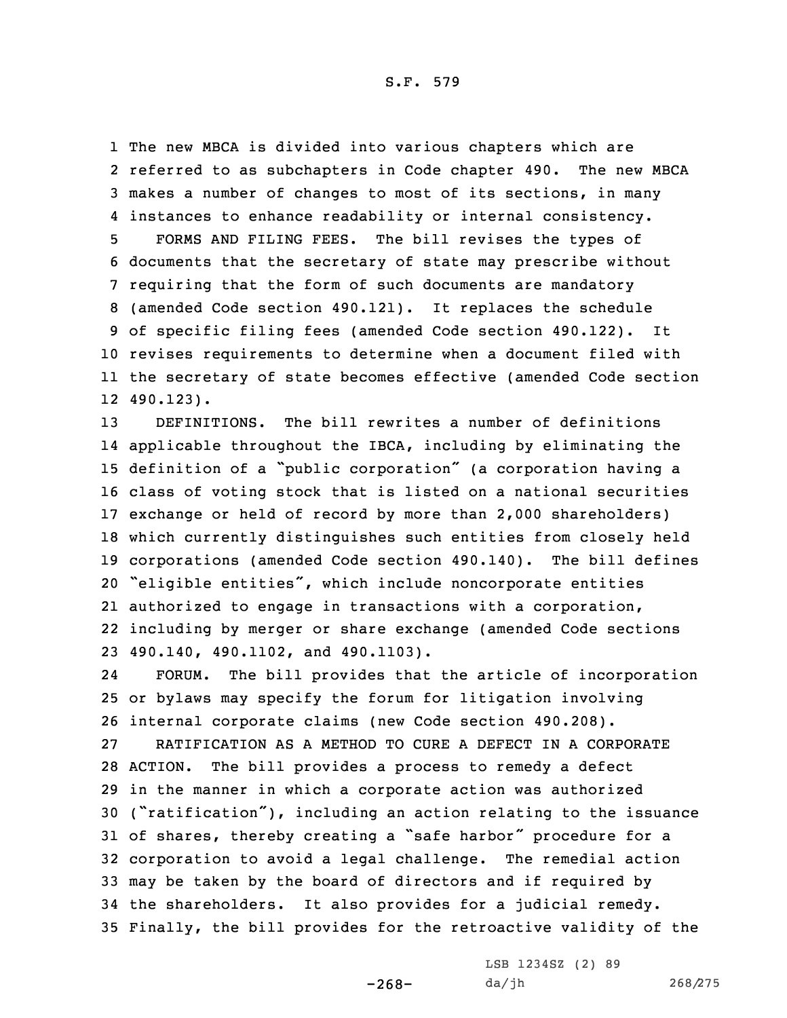The new MBCA is divided into various chapters which are referred to as subchapters in Code chapter 490. The new MBCA makes <sup>a</sup> number of changes to most of its sections, in many instances to enhance readability or internal consistency. FORMS AND FILING FEES. The bill revises the types of documents that the secretary of state may prescribe without requiring that the form of such documents are mandatory (amended Code section 490.121). It replaces the schedule of specific filing fees (amended Code section 490.122). It revises requirements to determine when <sup>a</sup> document filed with the secretary of state becomes effective (amended Code section 490.123).

 DEFINITIONS. The bill rewrites <sup>a</sup> number of definitions applicable throughout the IBCA, including by eliminating the definition of <sup>a</sup> "public corporation" (a corporation having <sup>a</sup> class of voting stock that is listed on <sup>a</sup> national securities exchange or held of record by more than 2,000 shareholders) which currently distinguishes such entities from closely held corporations (amended Code section 490.140). The bill defines "eligible entities", which include noncorporate entities authorized to engage in transactions with <sup>a</sup> corporation, including by merger or share exchange (amended Code sections 490.140, 490.1102, and 490.1103).

24 FORUM. The bill provides that the article of incorporation or bylaws may specify the forum for litigation involving internal corporate claims (new Code section 490.208). RATIFICATION AS A METHOD TO CURE A DEFECT IN A CORPORATE ACTION. The bill provides <sup>a</sup> process to remedy <sup>a</sup> defect in the manner in which <sup>a</sup> corporate action was authorized ("ratification"), including an action relating to the issuance of shares, thereby creating <sup>a</sup> "safe harbor" procedure for <sup>a</sup> corporation to avoid <sup>a</sup> legal challenge. The remedial action may be taken by the board of directors and if required by the shareholders. It also provides for <sup>a</sup> judicial remedy. Finally, the bill provides for the retroactive validity of the

-268-

LSB 1234SZ (2) 89 da/jh 268/275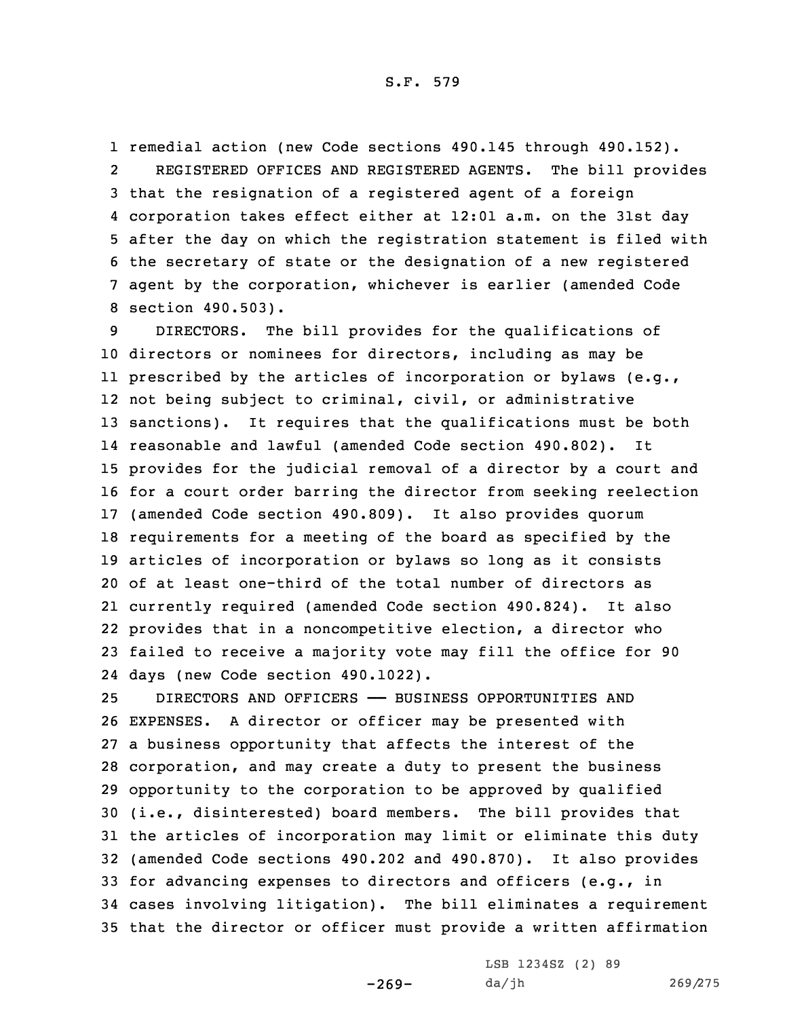remedial action (new Code sections 490.145 through 490.152). 2 REGISTERED OFFICES AND REGISTERED AGENTS. The bill provides that the resignation of <sup>a</sup> registered agent of <sup>a</sup> foreign corporation takes effect either at 12:01 a.m. on the 31st day after the day on which the registration statement is filed with the secretary of state or the designation of <sup>a</sup> new registered agent by the corporation, whichever is earlier (amended Code section 490.503).

 DIRECTORS. The bill provides for the qualifications of directors or nominees for directors, including as may be prescribed by the articles of incorporation or bylaws (e.g., not being subject to criminal, civil, or administrative sanctions). It requires that the qualifications must be both reasonable and lawful (amended Code section 490.802). It provides for the judicial removal of <sup>a</sup> director by <sup>a</sup> court and for <sup>a</sup> court order barring the director from seeking reelection (amended Code section 490.809). It also provides quorum requirements for <sup>a</sup> meeting of the board as specified by the articles of incorporation or bylaws so long as it consists of at least one-third of the total number of directors as currently required (amended Code section 490.824). It also provides that in <sup>a</sup> noncompetitive election, <sup>a</sup> director who failed to receive <sup>a</sup> majority vote may fill the office for 90 days (new Code section 490.1022).

 DIRECTORS AND OFFICERS —— BUSINESS OPPORTUNITIES AND EXPENSES. <sup>A</sup> director or officer may be presented with <sup>a</sup> business opportunity that affects the interest of the corporation, and may create <sup>a</sup> duty to present the business opportunity to the corporation to be approved by qualified (i.e., disinterested) board members. The bill provides that the articles of incorporation may limit or eliminate this duty (amended Code sections 490.202 and 490.870). It also provides for advancing expenses to directors and officers (e.g., in cases involving litigation). The bill eliminates <sup>a</sup> requirement that the director or officer must provide <sup>a</sup> written affirmation

-269-

LSB 1234SZ (2) 89 da/jh 269/275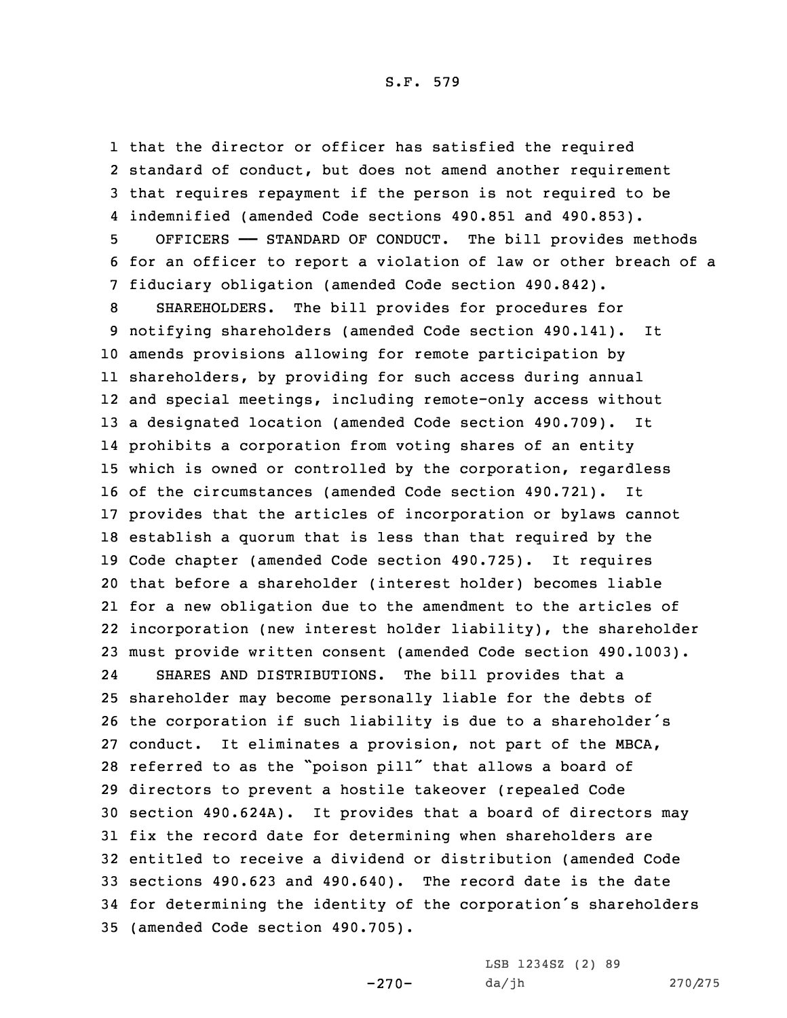that the director or officer has satisfied the required standard of conduct, but does not amend another requirement that requires repayment if the person is not required to be indemnified (amended Code sections 490.851 and 490.853). OFFICERS —— STANDARD OF CONDUCT. The bill provides methods for an officer to report <sup>a</sup> violation of law or other breach of <sup>a</sup> fiduciary obligation (amended Code section 490.842). SHAREHOLDERS. The bill provides for procedures for notifying shareholders (amended Code section 490.141). It amends provisions allowing for remote participation by shareholders, by providing for such access during annual and special meetings, including remote-only access without <sup>a</sup> designated location (amended Code section 490.709). It prohibits <sup>a</sup> corporation from voting shares of an entity which is owned or controlled by the corporation, regardless of the circumstances (amended Code section 490.721). It provides that the articles of incorporation or bylaws cannot establish <sup>a</sup> quorum that is less than that required by the Code chapter (amended Code section 490.725). It requires that before <sup>a</sup> shareholder (interest holder) becomes liable for <sup>a</sup> new obligation due to the amendment to the articles of incorporation (new interest holder liability), the shareholder must provide written consent (amended Code section 490.1003). 24 SHARES AND DISTRIBUTIONS. The bill provides that <sup>a</sup> shareholder may become personally liable for the debts of the corporation if such liability is due to <sup>a</sup> shareholder's conduct. It eliminates <sup>a</sup> provision, not part of the MBCA, referred to as the "poison pill" that allows <sup>a</sup> board of directors to prevent <sup>a</sup> hostile takeover (repealed Code section 490.624A). It provides that <sup>a</sup> board of directors may fix the record date for determining when shareholders are entitled to receive <sup>a</sup> dividend or distribution (amended Code sections 490.623 and 490.640). The record date is the date for determining the identity of the corporation's shareholders (amended Code section 490.705).

 $-270-$ 

LSB 1234SZ (2) 89 da/jh 270/275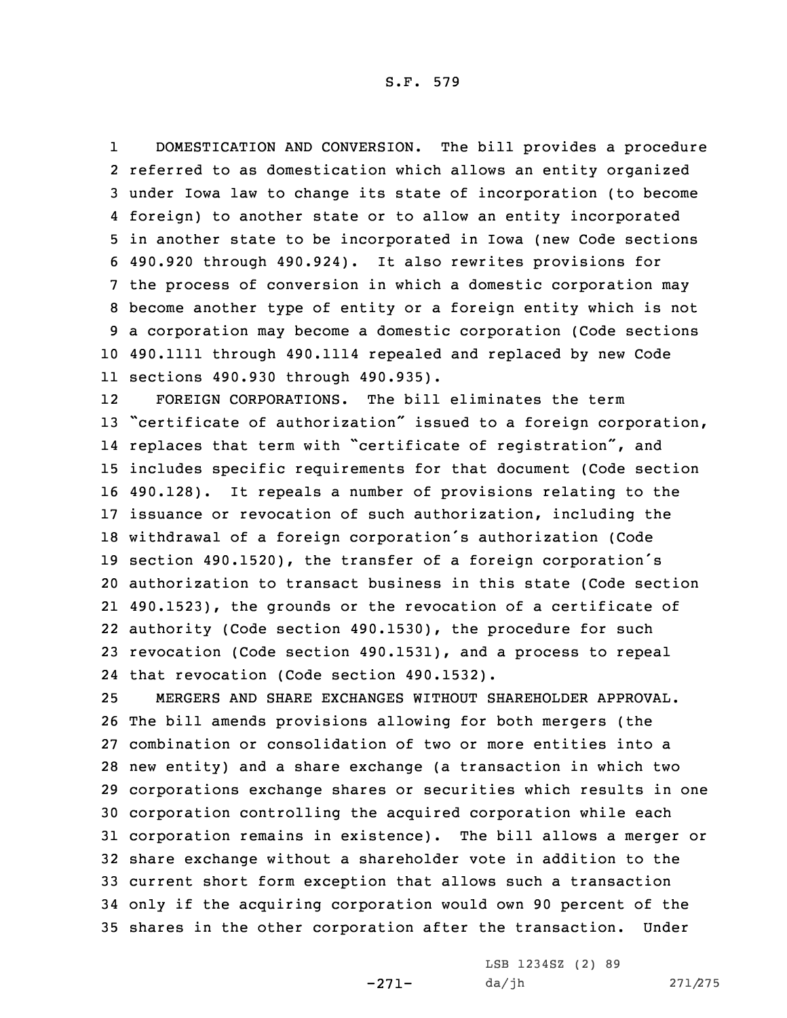1 DOMESTICATION AND CONVERSION. The bill provides <sup>a</sup> procedure referred to as domestication which allows an entity organized under Iowa law to change its state of incorporation (to become foreign) to another state or to allow an entity incorporated in another state to be incorporated in Iowa (new Code sections 490.920 through 490.924). It also rewrites provisions for the process of conversion in which <sup>a</sup> domestic corporation may become another type of entity or <sup>a</sup> foreign entity which is not <sup>a</sup> corporation may become <sup>a</sup> domestic corporation (Code sections 490.1111 through 490.1114 repealed and replaced by new Code sections 490.930 through 490.935).

12 FOREIGN CORPORATIONS. The bill eliminates the term "certificate of authorization" issued to <sup>a</sup> foreign corporation, replaces that term with "certificate of registration", and includes specific requirements for that document (Code section 490.128). It repeals <sup>a</sup> number of provisions relating to the issuance or revocation of such authorization, including the withdrawal of <sup>a</sup> foreign corporation's authorization (Code section 490.1520), the transfer of <sup>a</sup> foreign corporation's authorization to transact business in this state (Code section 490.1523), the grounds or the revocation of <sup>a</sup> certificate of authority (Code section 490.1530), the procedure for such revocation (Code section 490.1531), and <sup>a</sup> process to repeal that revocation (Code section 490.1532).

 MERGERS AND SHARE EXCHANGES WITHOUT SHAREHOLDER APPROVAL. The bill amends provisions allowing for both mergers (the combination or consolidation of two or more entities into <sup>a</sup> new entity) and <sup>a</sup> share exchange (a transaction in which two corporations exchange shares or securities which results in one corporation controlling the acquired corporation while each corporation remains in existence). The bill allows <sup>a</sup> merger or share exchange without <sup>a</sup> shareholder vote in addition to the current short form exception that allows such <sup>a</sup> transaction only if the acquiring corporation would own 90 percent of the shares in the other corporation after the transaction. Under

-271-

LSB 1234SZ (2) 89 da/jh 271/275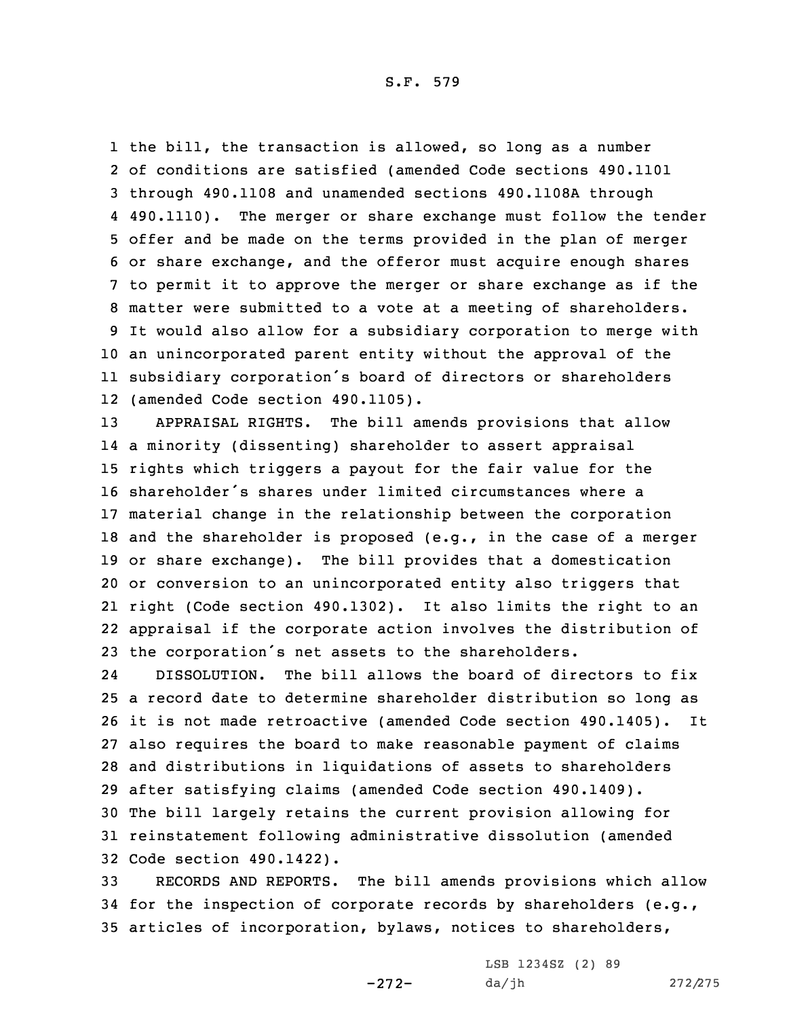the bill, the transaction is allowed, so long as <sup>a</sup> number of conditions are satisfied (amended Code sections 490.1101 through 490.1108 and unamended sections 490.1108A through 490.1110). The merger or share exchange must follow the tender offer and be made on the terms provided in the plan of merger or share exchange, and the offeror must acquire enough shares to permit it to approve the merger or share exchange as if the matter were submitted to <sup>a</sup> vote at <sup>a</sup> meeting of shareholders. It would also allow for <sup>a</sup> subsidiary corporation to merge with an unincorporated parent entity without the approval of the subsidiary corporation's board of directors or shareholders (amended Code section 490.1105).

 APPRAISAL RIGHTS. The bill amends provisions that allow <sup>a</sup> minority (dissenting) shareholder to assert appraisal rights which triggers <sup>a</sup> payout for the fair value for the shareholder's shares under limited circumstances where <sup>a</sup> material change in the relationship between the corporation and the shareholder is proposed (e.g., in the case of <sup>a</sup> merger or share exchange). The bill provides that <sup>a</sup> domestication or conversion to an unincorporated entity also triggers that right (Code section 490.1302). It also limits the right to an appraisal if the corporate action involves the distribution of the corporation's net assets to the shareholders.

24 DISSOLUTION. The bill allows the board of directors to fix <sup>a</sup> record date to determine shareholder distribution so long as it is not made retroactive (amended Code section 490.1405). It also requires the board to make reasonable payment of claims and distributions in liquidations of assets to shareholders after satisfying claims (amended Code section 490.1409). The bill largely retains the current provision allowing for reinstatement following administrative dissolution (amended Code section 490.1422).

33 RECORDS AND REPORTS. The bill amends provisions which allow 34 for the inspection of corporate records by shareholders (e.g., 35 articles of incorporation, bylaws, notices to shareholders,

-272-

LSB 1234SZ (2) 89 da/jh 272/275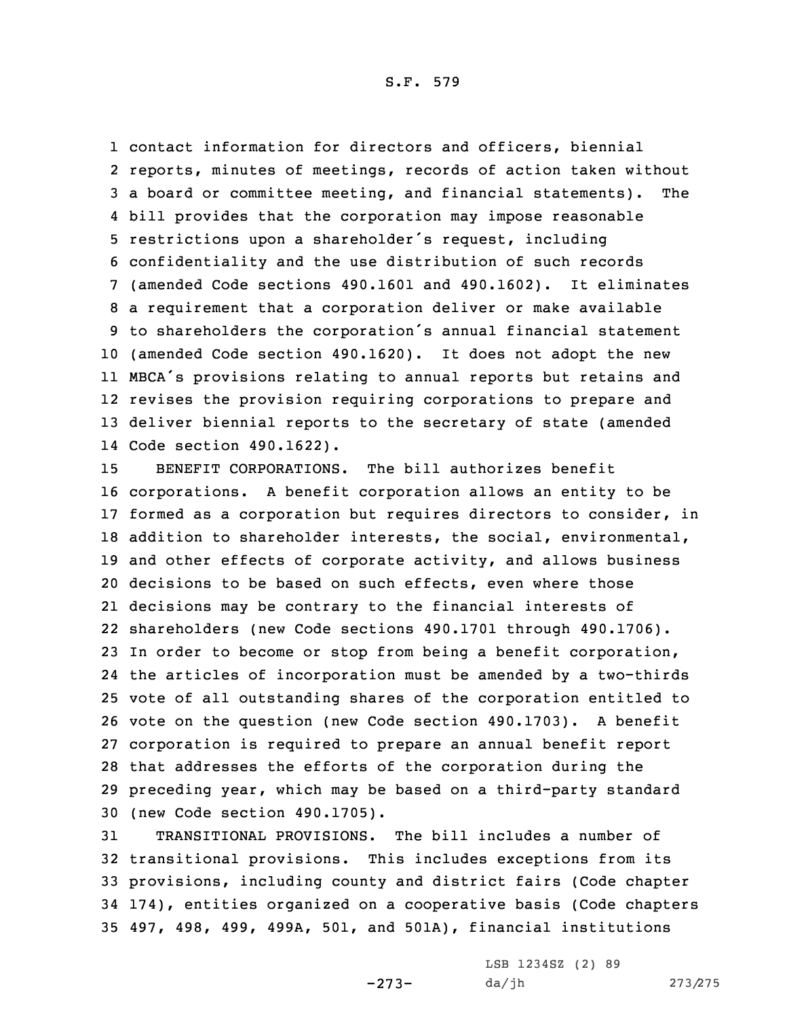contact information for directors and officers, biennial reports, minutes of meetings, records of action taken without <sup>a</sup> board or committee meeting, and financial statements). The bill provides that the corporation may impose reasonable restrictions upon <sup>a</sup> shareholder's request, including confidentiality and the use distribution of such records (amended Code sections 490.1601 and 490.1602). It eliminates <sup>a</sup> requirement that <sup>a</sup> corporation deliver or make available to shareholders the corporation's annual financial statement (amended Code section 490.1620). It does not adopt the new MBCA's provisions relating to annual reports but retains and revises the provision requiring corporations to prepare and deliver biennial reports to the secretary of state (amended Code section 490.1622).

 BENEFIT CORPORATIONS. The bill authorizes benefit corporations. <sup>A</sup> benefit corporation allows an entity to be formed as <sup>a</sup> corporation but requires directors to consider, in addition to shareholder interests, the social, environmental, and other effects of corporate activity, and allows business decisions to be based on such effects, even where those decisions may be contrary to the financial interests of shareholders (new Code sections 490.1701 through 490.1706). In order to become or stop from being <sup>a</sup> benefit corporation, the articles of incorporation must be amended by <sup>a</sup> two-thirds vote of all outstanding shares of the corporation entitled to vote on the question (new Code section 490.1703). <sup>A</sup> benefit corporation is required to prepare an annual benefit report that addresses the efforts of the corporation during the preceding year, which may be based on <sup>a</sup> third-party standard (new Code section 490.1705).

 TRANSITIONAL PROVISIONS. The bill includes <sup>a</sup> number of transitional provisions. This includes exceptions from its provisions, including county and district fairs (Code chapter 174), entities organized on <sup>a</sup> cooperative basis (Code chapters 497, 498, 499, 499A, 501, and 501A), financial institutions

-273-

LSB 1234SZ (2) 89 da/jh 273/275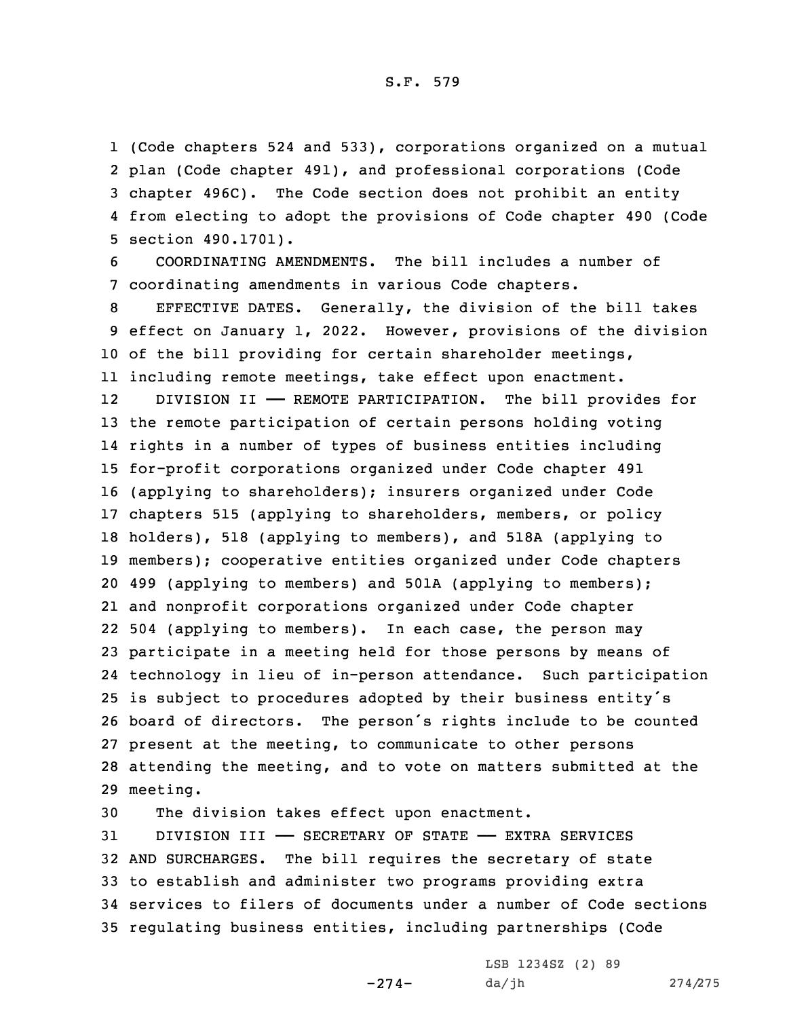(Code chapters 524 and 533), corporations organized on <sup>a</sup> mutual plan (Code chapter 491), and professional corporations (Code chapter 496C). The Code section does not prohibit an entity from electing to adopt the provisions of Code chapter 490 (Code section 490.1701).

6 COORDINATING AMENDMENTS. The bill includes <sup>a</sup> number of 7 coordinating amendments in various Code chapters.

 EFFECTIVE DATES. Generally, the division of the bill takes effect on January 1, 2022. However, provisions of the division of the bill providing for certain shareholder meetings, including remote meetings, take effect upon enactment.

12 DIVISION II —— REMOTE PARTICIPATION. The bill provides for the remote participation of certain persons holding voting rights in <sup>a</sup> number of types of business entities including for-profit corporations organized under Code chapter 491 (applying to shareholders); insurers organized under Code chapters 515 (applying to shareholders, members, or policy holders), 518 (applying to members), and 518A (applying to members); cooperative entities organized under Code chapters 499 (applying to members) and 501A (applying to members); and nonprofit corporations organized under Code chapter 504 (applying to members). In each case, the person may participate in <sup>a</sup> meeting held for those persons by means of technology in lieu of in-person attendance. Such participation is subject to procedures adopted by their business entity's board of directors. The person's rights include to be counted present at the meeting, to communicate to other persons attending the meeting, and to vote on matters submitted at the 29 meeting.

30 The division takes effect upon enactment.

 DIVISION III —— SECRETARY OF STATE —— EXTRA SERVICES AND SURCHARGES. The bill requires the secretary of state to establish and administer two programs providing extra services to filers of documents under <sup>a</sup> number of Code sections regulating business entities, including partnerships (Code

-274-

LSB 1234SZ (2) 89 da/jh 274/275